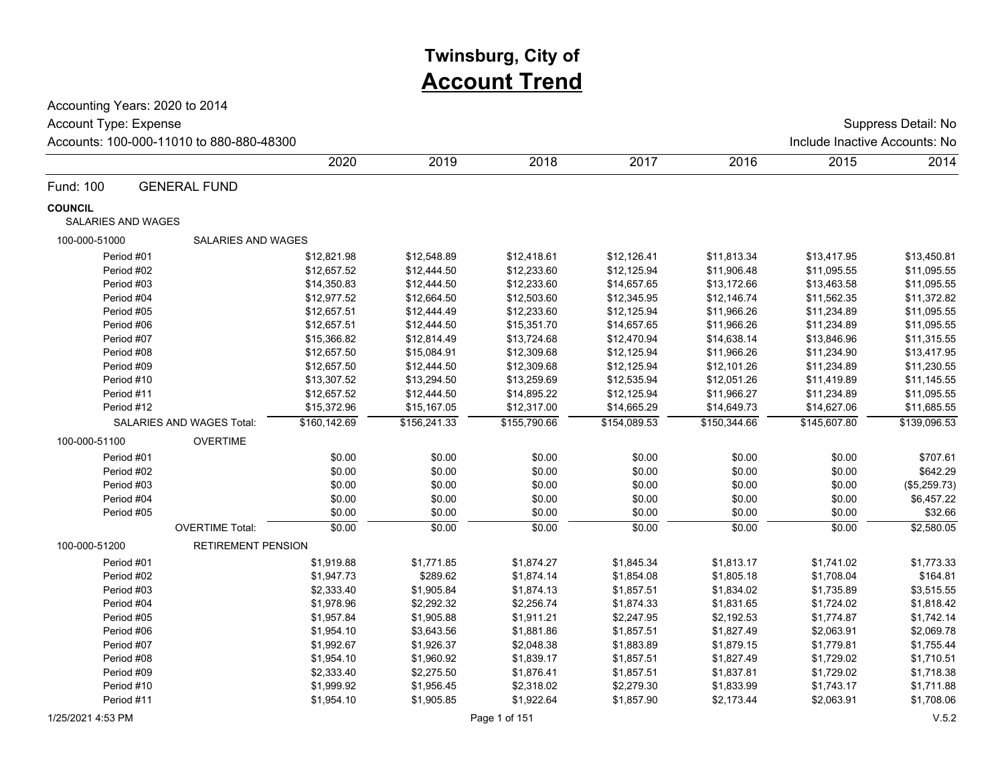# **Twinsburg, City of Account Trend**

| Accounting Years: 2020 to 2014       |                                          |              |              |              |              |              |                               |                     |
|--------------------------------------|------------------------------------------|--------------|--------------|--------------|--------------|--------------|-------------------------------|---------------------|
| Account Type: Expense                |                                          |              |              |              |              |              |                               | Suppress Detail: No |
|                                      | Accounts: 100-000-11010 to 880-880-48300 |              |              |              |              |              | Include Inactive Accounts: No |                     |
|                                      |                                          | 2020         | 2019         | 2018         | 2017         | 2016         | 2015                          | 2014                |
| Fund: 100                            | <b>GENERAL FUND</b>                      |              |              |              |              |              |                               |                     |
| <b>COUNCIL</b><br>SALARIES AND WAGES |                                          |              |              |              |              |              |                               |                     |
| 100-000-51000                        | <b>SALARIES AND WAGES</b>                |              |              |              |              |              |                               |                     |
| Period #01                           |                                          | \$12,821.98  | \$12,548.89  | \$12,418.61  | \$12,126.41  | \$11,813.34  | \$13,417.95                   | \$13,450.81         |
| Period #02                           |                                          | \$12,657.52  | \$12,444.50  | \$12,233.60  | \$12,125.94  | \$11,906.48  | \$11,095.55                   | \$11,095.55         |
| Period #03                           |                                          | \$14,350.83  | \$12,444.50  | \$12,233.60  | \$14,657.65  | \$13,172.66  | \$13,463.58                   | \$11,095.55         |
| Period #04                           |                                          | \$12,977.52  | \$12,664.50  | \$12,503.60  | \$12,345.95  | \$12,146.74  | \$11,562.35                   | \$11,372.82         |
| Period #05                           |                                          | \$12,657.51  | \$12,444.49  | \$12,233.60  | \$12,125.94  | \$11,966.26  | \$11,234.89                   | \$11,095.55         |
| Period #06                           |                                          | \$12,657.51  | \$12,444.50  | \$15,351.70  | \$14,657.65  | \$11,966.26  | \$11,234.89                   | \$11,095.55         |
| Period #07                           |                                          | \$15,366.82  | \$12,814.49  | \$13,724.68  | \$12,470.94  | \$14,638.14  | \$13,846.96                   | \$11,315.55         |
| Period #08                           |                                          | \$12,657.50  | \$15,084.91  | \$12,309.68  | \$12,125.94  | \$11,966.26  | \$11,234.90                   | \$13,417.95         |
| Period #09                           |                                          | \$12,657.50  | \$12,444.50  | \$12,309.68  | \$12,125.94  | \$12,101.26  | \$11,234.89                   | \$11,230.55         |
| Period #10                           |                                          | \$13,307.52  | \$13,294.50  | \$13,259.69  | \$12,535.94  | \$12,051.26  | \$11,419.89                   | \$11,145.55         |
| Period #11                           |                                          | \$12,657.52  | \$12,444.50  | \$14,895.22  | \$12,125.94  | \$11,966.27  | \$11,234.89                   | \$11,095.55         |
| Period #12                           |                                          | \$15,372.96  | \$15,167.05  | \$12,317.00  | \$14,665.29  | \$14,649.73  | \$14,627.06                   | \$11,685.55         |
|                                      | SALARIES AND WAGES Total:                | \$160,142.69 | \$156,241.33 | \$155,790.66 | \$154,089.53 | \$150,344.66 | \$145,607.80                  | \$139,096.53        |
| 100-000-51100                        | <b>OVERTIME</b>                          |              |              |              |              |              |                               |                     |
| Period #01                           |                                          | \$0.00       | \$0.00       | \$0.00       | \$0.00       | \$0.00       | \$0.00                        | \$707.61            |
| Period #02                           |                                          | \$0.00       | \$0.00       | \$0.00       | \$0.00       | \$0.00       | \$0.00                        | \$642.29            |
| Period #03                           |                                          | \$0.00       | \$0.00       | \$0.00       | \$0.00       | \$0.00       | \$0.00                        | (\$5,259.73)        |
| Period #04                           |                                          | \$0.00       | \$0.00       | \$0.00       | \$0.00       | \$0.00       | \$0.00                        | \$6,457.22          |
| Period #05                           |                                          | \$0.00       | \$0.00       | \$0.00       | \$0.00       | \$0.00       | \$0.00                        | \$32.66             |
|                                      | <b>OVERTIME Total:</b>                   | \$0.00       | \$0.00       | \$0.00       | \$0.00       | \$0.00       | \$0.00                        | \$2,580.05          |
| 100-000-51200                        | <b>RETIREMENT PENSION</b>                |              |              |              |              |              |                               |                     |
| Period #01                           |                                          | \$1,919.88   | \$1,771.85   | \$1,874.27   | \$1,845.34   | \$1,813.17   | \$1,741.02                    | \$1,773.33          |
| Period #02                           |                                          | \$1,947.73   | \$289.62     | \$1,874.14   | \$1,854.08   | \$1,805.18   | \$1,708.04                    | \$164.81            |
| Period #03                           |                                          | \$2,333.40   | \$1,905.84   | \$1,874.13   | \$1,857.51   | \$1,834.02   | \$1,735.89                    | \$3,515.55          |
| Period #04                           |                                          | \$1,978.96   | \$2,292.32   | \$2,256.74   | \$1,874.33   | \$1,831.65   | \$1,724.02                    | \$1,818.42          |
| Period #05                           |                                          | \$1,957.84   | \$1,905.88   | \$1,911.21   | \$2,247.95   | \$2,192.53   | \$1,774.87                    | \$1,742.14          |
| Period #06                           |                                          | \$1,954.10   | \$3,643.56   | \$1,881.86   | \$1,857.51   | \$1,827.49   | \$2,063.91                    | \$2,069.78          |
| Period #07                           |                                          | \$1,992.67   | \$1,926.37   | \$2,048.38   | \$1,883.89   | \$1,879.15   | \$1,779.81                    | \$1,755.44          |
| Period #08                           |                                          | \$1,954.10   | \$1,960.92   | \$1,839.17   | \$1,857.51   | \$1,827.49   | \$1,729.02                    | \$1,710.51          |
| Period #09                           |                                          | \$2,333.40   | \$2,275.50   | \$1,876.41   | \$1,857.51   | \$1,837.81   | \$1,729.02                    | \$1,718.38          |
| Period #10                           |                                          | \$1,999.92   | \$1,956.45   | \$2,318.02   | \$2,279.30   | \$1,833.99   | \$1,743.17                    | \$1,711.88          |
| Period #11                           |                                          | \$1,954.10   | \$1,905.85   | \$1,922.64   | \$1,857.90   | \$2,173.44   | \$2,063.91                    | \$1,708.06          |

#### 1/25/2021 4:53 PM Page 1 of 151 V.5.2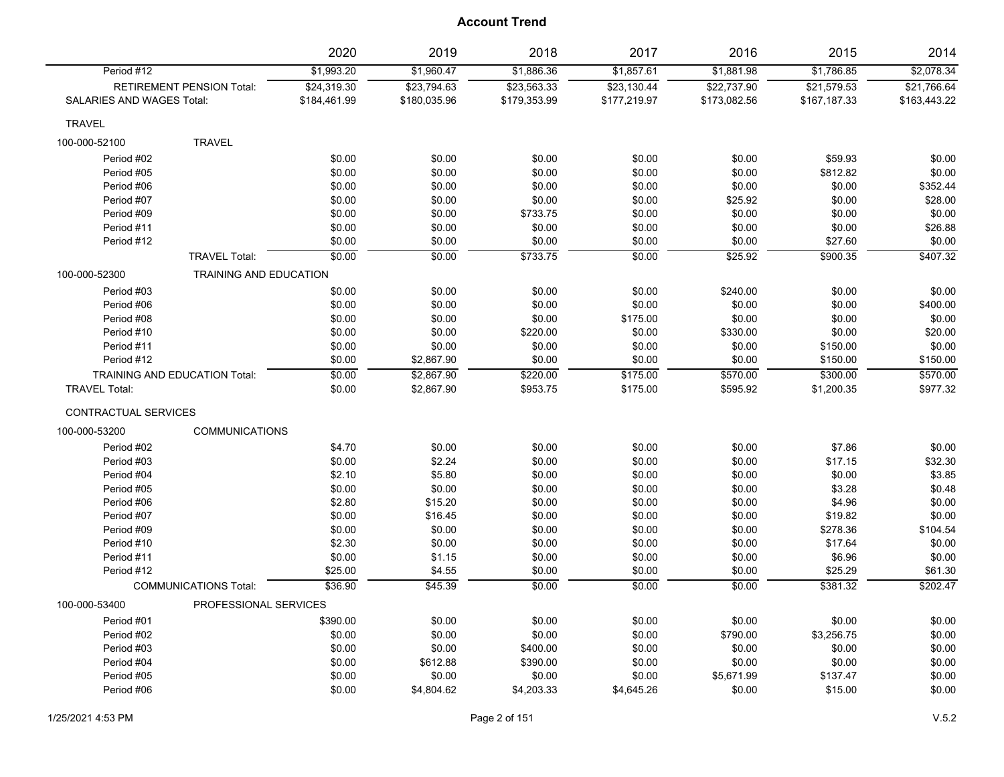|                                  |                                      | 2020                        | 2019                        | 2018                        | 2017                        | 2016                        | 2015                        | 2014                        |
|----------------------------------|--------------------------------------|-----------------------------|-----------------------------|-----------------------------|-----------------------------|-----------------------------|-----------------------------|-----------------------------|
| Period #12                       |                                      | \$1,993.20                  | \$1,960.47                  | \$1,886.36                  | \$1,857.61                  | \$1,881.98                  | \$1,786.85                  | \$2,078.34                  |
| <b>SALARIES AND WAGES Total:</b> | <b>RETIREMENT PENSION Total:</b>     | \$24,319.30<br>\$184,461.99 | \$23,794.63<br>\$180,035.96 | \$23,563.33<br>\$179,353.99 | \$23,130.44<br>\$177,219.97 | \$22,737.90<br>\$173,082.56 | \$21,579.53<br>\$167,187.33 | \$21,766.64<br>\$163,443.22 |
| <b>TRAVEL</b>                    |                                      |                             |                             |                             |                             |                             |                             |                             |
| 100-000-52100                    | <b>TRAVEL</b>                        |                             |                             |                             |                             |                             |                             |                             |
| Period #02                       |                                      | \$0.00                      | \$0.00                      | \$0.00                      | \$0.00                      | \$0.00                      | \$59.93                     | \$0.00                      |
| Period #05                       |                                      | \$0.00                      | \$0.00                      | \$0.00                      | \$0.00                      | \$0.00                      | \$812.82                    | \$0.00                      |
| Period #06                       |                                      | \$0.00                      | \$0.00                      | \$0.00                      | \$0.00                      | \$0.00                      | \$0.00                      | \$352.44                    |
| Period #07                       |                                      | \$0.00                      | \$0.00                      | \$0.00                      | \$0.00                      | \$25.92                     | \$0.00                      | \$28.00                     |
| Period #09                       |                                      | \$0.00                      | \$0.00                      | \$733.75                    | \$0.00                      | \$0.00                      | \$0.00                      | \$0.00                      |
| Period #11                       |                                      | \$0.00                      | \$0.00                      | \$0.00                      | \$0.00                      | \$0.00                      | \$0.00                      | \$26.88                     |
| Period #12                       |                                      | \$0.00                      | \$0.00                      | \$0.00                      | \$0.00                      | \$0.00                      | \$27.60                     | \$0.00                      |
|                                  | <b>TRAVEL Total:</b>                 | \$0.00                      | \$0.00                      | \$733.75                    | \$0.00                      | \$25.92                     | \$900.35                    | \$407.32                    |
| 100-000-52300                    | <b>TRAINING AND EDUCATION</b>        |                             |                             |                             |                             |                             |                             |                             |
| Period #03                       |                                      | \$0.00                      | \$0.00                      | \$0.00                      | \$0.00                      | \$240.00                    | \$0.00                      | \$0.00                      |
| Period #06                       |                                      | \$0.00                      | \$0.00                      | \$0.00                      | \$0.00                      | \$0.00                      | \$0.00                      | \$400.00                    |
| Period #08                       |                                      | \$0.00                      | \$0.00                      | \$0.00                      | \$175.00                    | \$0.00                      | \$0.00                      | \$0.00                      |
| Period #10                       |                                      | \$0.00                      | \$0.00                      | \$220.00                    | \$0.00                      | \$330.00                    | \$0.00                      | \$20.00                     |
| Period #11                       |                                      | \$0.00                      | \$0.00                      | \$0.00                      | \$0.00                      | \$0.00                      | \$150.00                    | \$0.00                      |
| Period #12                       |                                      | \$0.00                      | \$2,867.90                  | \$0.00                      | \$0.00                      | \$0.00                      | \$150.00                    | \$150.00                    |
|                                  | <b>TRAINING AND EDUCATION Total:</b> | \$0.00                      | \$2,867.90                  | \$220.00                    | \$175.00                    | \$570.00                    | \$300.00                    | \$570.00                    |
| <b>TRAVEL Total:</b>             |                                      | \$0.00                      | \$2,867.90                  | \$953.75                    | \$175.00                    | \$595.92                    | \$1,200.35                  | \$977.32                    |
| CONTRACTUAL SERVICES             |                                      |                             |                             |                             |                             |                             |                             |                             |
| 100-000-53200                    | <b>COMMUNICATIONS</b>                |                             |                             |                             |                             |                             |                             |                             |
| Period #02                       |                                      | \$4.70                      | \$0.00                      | \$0.00                      | \$0.00                      | \$0.00                      | \$7.86                      | \$0.00                      |
| Period #03                       |                                      | \$0.00                      | \$2.24                      | \$0.00                      | \$0.00                      | \$0.00                      | \$17.15                     | \$32.30                     |
| Period #04                       |                                      | \$2.10                      | \$5.80                      | \$0.00                      | \$0.00                      | \$0.00                      | \$0.00                      | \$3.85                      |
| Period #05                       |                                      | \$0.00                      | \$0.00                      | \$0.00                      | \$0.00                      | \$0.00                      | \$3.28                      | \$0.48                      |
| Period #06                       |                                      | \$2.80                      | \$15.20                     | \$0.00                      | \$0.00                      | \$0.00                      | \$4.96                      | \$0.00                      |
| Period #07                       |                                      | \$0.00                      | \$16.45                     | \$0.00                      | \$0.00                      | \$0.00                      | \$19.82                     | \$0.00                      |
| Period #09                       |                                      | \$0.00                      | \$0.00                      | \$0.00                      | \$0.00                      | \$0.00                      | \$278.36                    | \$104.54                    |
| Period #10                       |                                      | \$2.30                      | \$0.00                      | \$0.00                      | \$0.00                      | \$0.00                      | \$17.64                     | \$0.00                      |
| Period #11                       |                                      | \$0.00                      | \$1.15                      | \$0.00                      | \$0.00                      | \$0.00                      | \$6.96                      | \$0.00                      |
| Period #12                       |                                      | \$25.00                     | \$4.55                      | \$0.00                      | \$0.00                      | \$0.00                      | \$25.29                     | \$61.30                     |
|                                  | <b>COMMUNICATIONS Total:</b>         | \$36.90                     | \$45.39                     | \$0.00                      | \$0.00                      | \$0.00                      | \$381.32                    | \$202.47                    |
| 100-000-53400                    | PROFESSIONAL SERVICES                |                             |                             |                             |                             |                             |                             |                             |
| Period #01                       |                                      | \$390.00                    | \$0.00                      | \$0.00                      | \$0.00                      | \$0.00                      | \$0.00                      | \$0.00                      |
| Period #02                       |                                      | \$0.00                      | \$0.00                      | \$0.00                      | \$0.00                      | \$790.00                    | \$3,256.75                  | \$0.00                      |
| Period #03                       |                                      | \$0.00                      | \$0.00                      | \$400.00                    | \$0.00                      | \$0.00                      | \$0.00                      | \$0.00                      |
| Period #04                       |                                      | \$0.00                      | \$612.88                    | \$390.00                    | \$0.00                      | \$0.00                      | \$0.00                      | \$0.00                      |
| Period #05                       |                                      | \$0.00                      | \$0.00                      | \$0.00                      | \$0.00                      | \$5,671.99                  | \$137.47                    | \$0.00                      |
| Period #06                       |                                      | \$0.00                      | \$4,804.62                  | \$4,203.33                  | \$4,645.26                  | \$0.00                      | \$15.00                     | \$0.00                      |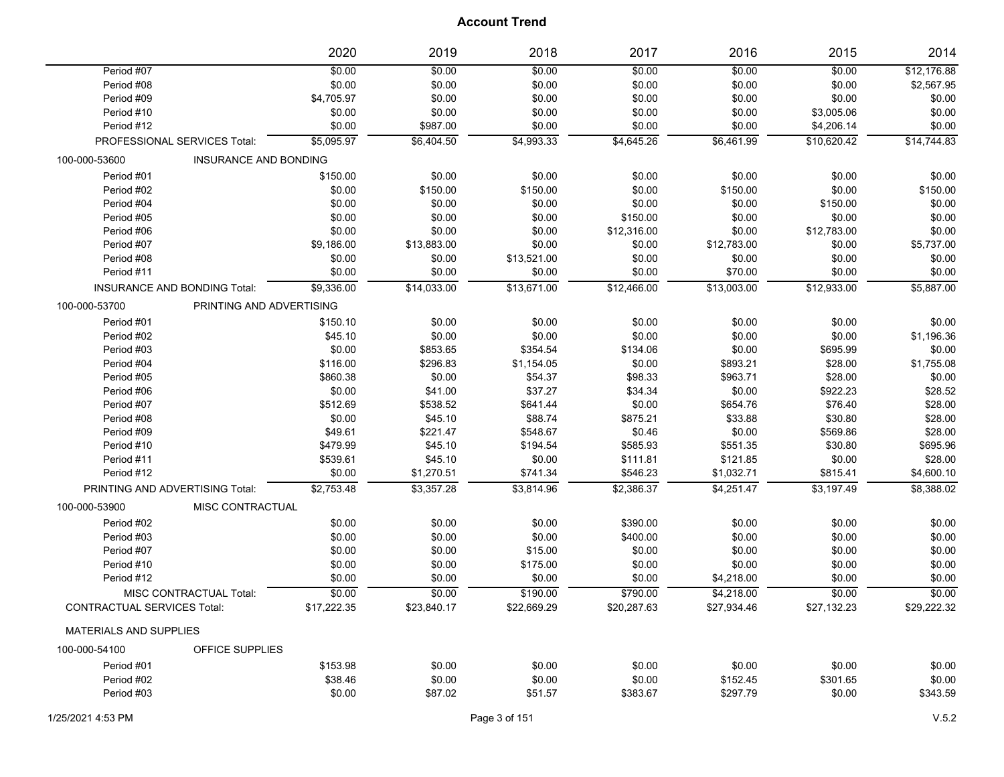|                                    |                                 | 2020        | 2019        | 2018        | 2017        | 2016        | 2015        | 2014        |
|------------------------------------|---------------------------------|-------------|-------------|-------------|-------------|-------------|-------------|-------------|
| Period #07                         |                                 | \$0.00      | \$0.00      | \$0.00      | \$0.00      | \$0.00      | \$0.00      | \$12,176.88 |
| Period #08                         |                                 | \$0.00      | \$0.00      | \$0.00      | \$0.00      | \$0.00      | \$0.00      | \$2,567.95  |
| Period #09                         |                                 | \$4,705.97  | \$0.00      | \$0.00      | \$0.00      | \$0.00      | \$0.00      | \$0.00      |
| Period #10                         |                                 | \$0.00      | \$0.00      | \$0.00      | \$0.00      | \$0.00      | \$3,005.06  | \$0.00      |
| Period #12                         |                                 | \$0.00      | \$987.00    | \$0.00      | \$0.00      | \$0.00      | \$4,206.14  | \$0.00      |
|                                    | PROFESSIONAL SERVICES Total:    | \$5,095.97  | \$6,404.50  | \$4,993.33  | \$4,645.26  | \$6,461.99  | \$10,620.42 | \$14,744.83 |
| 100-000-53600                      | <b>INSURANCE AND BONDING</b>    |             |             |             |             |             |             |             |
| Period #01                         |                                 | \$150.00    | \$0.00      | \$0.00      | \$0.00      | \$0.00      | \$0.00      | \$0.00      |
| Period #02                         |                                 | \$0.00      | \$150.00    | \$150.00    | \$0.00      | \$150.00    | \$0.00      | \$150.00    |
| Period #04                         |                                 | \$0.00      | \$0.00      | \$0.00      | \$0.00      | \$0.00      | \$150.00    | \$0.00      |
| Period #05                         |                                 | \$0.00      | \$0.00      | \$0.00      | \$150.00    | \$0.00      | \$0.00      | \$0.00      |
| Period #06                         |                                 | \$0.00      | \$0.00      | \$0.00      | \$12,316.00 | \$0.00      | \$12,783.00 | \$0.00      |
| Period #07                         |                                 | \$9,186.00  | \$13,883.00 | \$0.00      | \$0.00      | \$12,783.00 | \$0.00      | \$5,737.00  |
| Period #08                         |                                 | \$0.00      | \$0.00      | \$13,521.00 | \$0.00      | \$0.00      | \$0.00      | \$0.00      |
| Period #11                         |                                 | \$0.00      | \$0.00      | \$0.00      | \$0.00      | \$70.00     | \$0.00      | \$0.00      |
|                                    | INSURANCE AND BONDING Total:    | \$9,336.00  | \$14,033.00 | \$13,671.00 | \$12,466.00 | \$13,003.00 | \$12,933.00 | \$5,887.00  |
| 100-000-53700                      | PRINTING AND ADVERTISING        |             |             |             |             |             |             |             |
| Period #01                         |                                 | \$150.10    | \$0.00      | \$0.00      | \$0.00      | \$0.00      | \$0.00      | \$0.00      |
| Period #02                         |                                 | \$45.10     | \$0.00      | \$0.00      | \$0.00      | \$0.00      | \$0.00      | \$1,196.36  |
| Period #03                         |                                 | \$0.00      | \$853.65    | \$354.54    | \$134.06    | \$0.00      | \$695.99    | \$0.00      |
| Period #04                         |                                 | \$116.00    | \$296.83    | \$1,154.05  | \$0.00      | \$893.21    | \$28.00     | \$1,755.08  |
| Period #05                         |                                 | \$860.38    | \$0.00      | \$54.37     | \$98.33     | \$963.71    | \$28.00     | \$0.00      |
| Period #06                         |                                 | \$0.00      | \$41.00     | \$37.27     | \$34.34     | \$0.00      | \$922.23    | \$28.52     |
| Period #07                         |                                 | \$512.69    | \$538.52    | \$641.44    | \$0.00      | \$654.76    | \$76.40     | \$28.00     |
| Period #08                         |                                 | \$0.00      | \$45.10     | \$88.74     | \$875.21    | \$33.88     | \$30.80     | \$28.00     |
| Period #09                         |                                 | \$49.61     | \$221.47    | \$548.67    | \$0.46      | \$0.00      | \$569.86    | \$28.00     |
| Period #10                         |                                 | \$479.99    | \$45.10     | \$194.54    | \$585.93    | \$551.35    | \$30.80     | \$695.96    |
| Period #11                         |                                 | \$539.61    | \$45.10     | \$0.00      | \$111.81    | \$121.85    | \$0.00      | \$28.00     |
| Period #12                         |                                 | \$0.00      | \$1,270.51  | \$741.34    | \$546.23    | \$1,032.71  | \$815.41    | \$4,600.10  |
|                                    | PRINTING AND ADVERTISING Total: | \$2,753.48  | \$3,357.28  | \$3,814.96  | \$2,386.37  | \$4,251.47  | \$3,197.49  | \$8,388.02  |
| 100-000-53900                      | <b>MISC CONTRACTUAL</b>         |             |             |             |             |             |             |             |
| Period #02                         |                                 | \$0.00      | \$0.00      | \$0.00      | \$390.00    | \$0.00      | \$0.00      | \$0.00      |
| Period #03                         |                                 | \$0.00      | \$0.00      | \$0.00      | \$400.00    | \$0.00      | \$0.00      | \$0.00      |
| Period #07                         |                                 | \$0.00      | \$0.00      | \$15.00     | \$0.00      | \$0.00      | \$0.00      | \$0.00      |
| Period #10                         |                                 | \$0.00      | \$0.00      | \$175.00    | \$0.00      | \$0.00      | \$0.00      | \$0.00      |
| Period #12                         |                                 | \$0.00      | \$0.00      | \$0.00      | \$0.00      | \$4,218.00  | \$0.00      | \$0.00      |
|                                    | MISC CONTRACTUAL Total:         | \$0.00      | \$0.00      | \$190.00    | \$790.00    | \$4,218.00  | \$0.00      | \$0.00      |
| <b>CONTRACTUAL SERVICES Total:</b> |                                 | \$17,222.35 | \$23,840.17 | \$22,669.29 | \$20,287.63 | \$27,934.46 | \$27,132.23 | \$29,222.32 |
| <b>MATERIALS AND SUPPLIES</b>      |                                 |             |             |             |             |             |             |             |
| 100-000-54100                      | OFFICE SUPPLIES                 |             |             |             |             |             |             |             |
| Period #01                         |                                 | \$153.98    | \$0.00      | \$0.00      | \$0.00      | \$0.00      | \$0.00      | \$0.00      |
| Period #02                         |                                 | \$38.46     | \$0.00      | \$0.00      | \$0.00      | \$152.45    | \$301.65    | \$0.00      |
| Period #03                         |                                 | \$0.00      | \$87.02     | \$51.57     | \$383.67    | \$297.79    | \$0.00      | \$343.59    |
|                                    |                                 |             |             |             |             |             |             |             |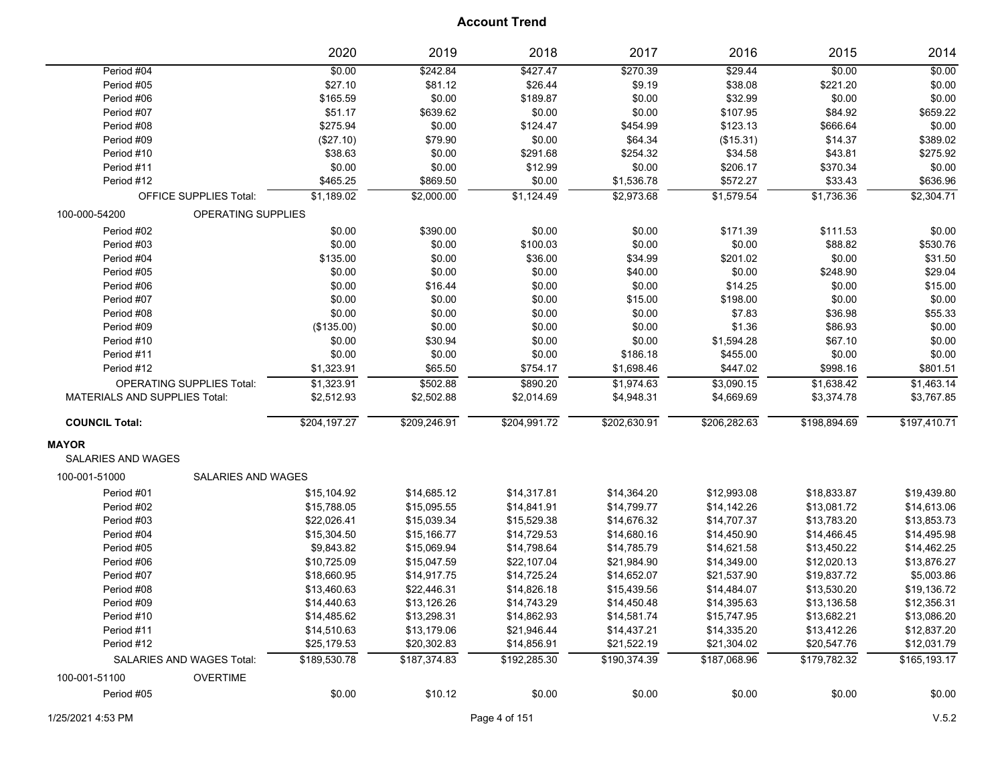|                               |                                  | 2020         | 2019         | 2018         | 2017         | 2016         | 2015         | 2014         |
|-------------------------------|----------------------------------|--------------|--------------|--------------|--------------|--------------|--------------|--------------|
| Period #04                    |                                  | \$0.00       | \$242.84     | \$427.47     | \$270.39     | \$29.44      | \$0.00       | \$0.00       |
| Period #05                    |                                  | \$27.10      | \$81.12      | \$26.44      | \$9.19       | \$38.08      | \$221.20     | \$0.00       |
| Period #06                    |                                  | \$165.59     | \$0.00       | \$189.87     | \$0.00       | \$32.99      | \$0.00       | \$0.00       |
| Period #07                    |                                  | \$51.17      | \$639.62     | \$0.00       | \$0.00       | \$107.95     | \$84.92      | \$659.22     |
| Period #08                    |                                  | \$275.94     | \$0.00       | \$124.47     | \$454.99     | \$123.13     | \$666.64     | \$0.00       |
| Period #09                    |                                  | (\$27.10)    | \$79.90      | \$0.00       | \$64.34      | (\$15.31)    | \$14.37      | \$389.02     |
| Period #10                    |                                  | \$38.63      | \$0.00       | \$291.68     | \$254.32     | \$34.58      | \$43.81      | \$275.92     |
| Period #11                    |                                  | \$0.00       | \$0.00       | \$12.99      | \$0.00       | \$206.17     | \$370.34     | \$0.00       |
| Period #12                    |                                  | \$465.25     | \$869.50     | \$0.00       | \$1,536.78   | \$572.27     | \$33.43      | \$636.96     |
|                               | OFFICE SUPPLIES Total:           | \$1,189.02   | \$2,000.00   | \$1,124.49   | \$2,973.68   | \$1,579.54   | \$1,736.36   | \$2,304.71   |
| 100-000-54200                 | <b>OPERATING SUPPLIES</b>        |              |              |              |              |              |              |              |
| Period #02                    |                                  | \$0.00       | \$390.00     | \$0.00       | \$0.00       | \$171.39     | \$111.53     | \$0.00       |
| Period #03                    |                                  | \$0.00       | \$0.00       | \$100.03     | \$0.00       | \$0.00       | \$88.82      | \$530.76     |
| Period #04                    |                                  | \$135.00     | \$0.00       | \$36.00      | \$34.99      | \$201.02     | \$0.00       | \$31.50      |
| Period #05                    |                                  | \$0.00       | \$0.00       | \$0.00       | \$40.00      | \$0.00       | \$248.90     | \$29.04      |
| Period #06                    |                                  | \$0.00       | \$16.44      | \$0.00       | \$0.00       | \$14.25      | \$0.00       | \$15.00      |
| Period #07                    |                                  | \$0.00       | \$0.00       | \$0.00       | \$15.00      | \$198.00     | \$0.00       | \$0.00       |
| Period #08                    |                                  | \$0.00       | \$0.00       | \$0.00       | \$0.00       | \$7.83       | \$36.98      | \$55.33      |
| Period #09                    |                                  | (\$135.00)   | \$0.00       | \$0.00       | \$0.00       | \$1.36       | \$86.93      | \$0.00       |
| Period #10                    |                                  | \$0.00       | \$30.94      | \$0.00       | \$0.00       | \$1,594.28   | \$67.10      | \$0.00       |
| Period #11                    |                                  | \$0.00       | \$0.00       | \$0.00       | \$186.18     | \$455.00     | \$0.00       | \$0.00       |
| Period #12                    |                                  | \$1,323.91   | \$65.50      | \$754.17     | \$1,698.46   | \$447.02     | \$998.16     | \$801.51     |
|                               | <b>OPERATING SUPPLIES Total:</b> | \$1,323.91   | \$502.88     | \$890.20     | \$1,974.63   | \$3,090.15   | \$1,638.42   | \$1,463.14   |
| MATERIALS AND SUPPLIES Total: |                                  | \$2,512.93   | \$2,502.88   | \$2,014.69   | \$4,948.31   | \$4,669.69   | \$3,374.78   | \$3,767.85   |
| <b>COUNCIL Total:</b>         |                                  | \$204,197.27 | \$209,246.91 | \$204,991.72 | \$202,630.91 | \$206,282.63 | \$198,894.69 | \$197,410.71 |
| <b>MAYOR</b>                  |                                  |              |              |              |              |              |              |              |
| <b>SALARIES AND WAGES</b>     |                                  |              |              |              |              |              |              |              |
| 100-001-51000                 | SALARIES AND WAGES               |              |              |              |              |              |              |              |
| Period #01                    |                                  | \$15,104.92  | \$14,685.12  | \$14,317.81  | \$14,364.20  | \$12,993.08  | \$18,833.87  | \$19,439.80  |
| Period #02                    |                                  | \$15,788.05  | \$15,095.55  | \$14,841.91  | \$14,799.77  | \$14,142.26  | \$13,081.72  | \$14,613.06  |
| Period #03                    |                                  | \$22,026.41  | \$15,039.34  | \$15,529.38  | \$14,676.32  | \$14,707.37  | \$13,783.20  | \$13,853.73  |
| Period #04                    |                                  | \$15,304.50  | \$15,166.77  | \$14,729.53  | \$14,680.16  | \$14,450.90  | \$14,466.45  | \$14,495.98  |
| Period #05                    |                                  | \$9,843.82   | \$15,069.94  | \$14,798.64  | \$14,785.79  | \$14,621.58  | \$13,450.22  | \$14,462.25  |
| Period #06                    |                                  | \$10,725.09  | \$15,047.59  | \$22,107.04  | \$21,984.90  | \$14,349.00  | \$12,020.13  | \$13,876.27  |
| Period #07                    |                                  | \$18,660.95  | \$14,917.75  | \$14,725.24  | \$14,652.07  | \$21,537.90  | \$19,837.72  | \$5,003.86   |
| Period #08                    |                                  | \$13,460.63  | \$22,446.31  | \$14,826.18  | \$15,439.56  | \$14,484.07  | \$13,530.20  | \$19,136.72  |
| Period #09                    |                                  | \$14,440.63  | \$13,126.26  | \$14,743.29  | \$14,450.48  | \$14,395.63  | \$13,136.58  | \$12,356.31  |
| Period #10                    |                                  | \$14,485.62  | \$13,298.31  | \$14,862.93  | \$14,581.74  | \$15,747.95  | \$13,682.21  | \$13,086.20  |
| Period #11                    |                                  | \$14,510.63  | \$13,179.06  | \$21,946.44  | \$14,437.21  | \$14,335.20  | \$13,412.26  | \$12,837.20  |
| Period #12                    |                                  | \$25,179.53  | \$20,302.83  | \$14,856.91  | \$21,522.19  | \$21,304.02  | \$20,547.76  | \$12,031.79  |
|                               | SALARIES AND WAGES Total:        | \$189,530.78 | \$187,374.83 | \$192,285.30 | \$190,374.39 | \$187,068.96 | \$179,782.32 | \$165,193.17 |
| 100-001-51100                 | <b>OVERTIME</b>                  |              |              |              |              |              |              |              |
| Period #05                    |                                  | \$0.00       | \$10.12      | \$0.00       | \$0.00       | \$0.00       | \$0.00       | \$0.00       |
|                               |                                  |              |              |              |              |              |              |              |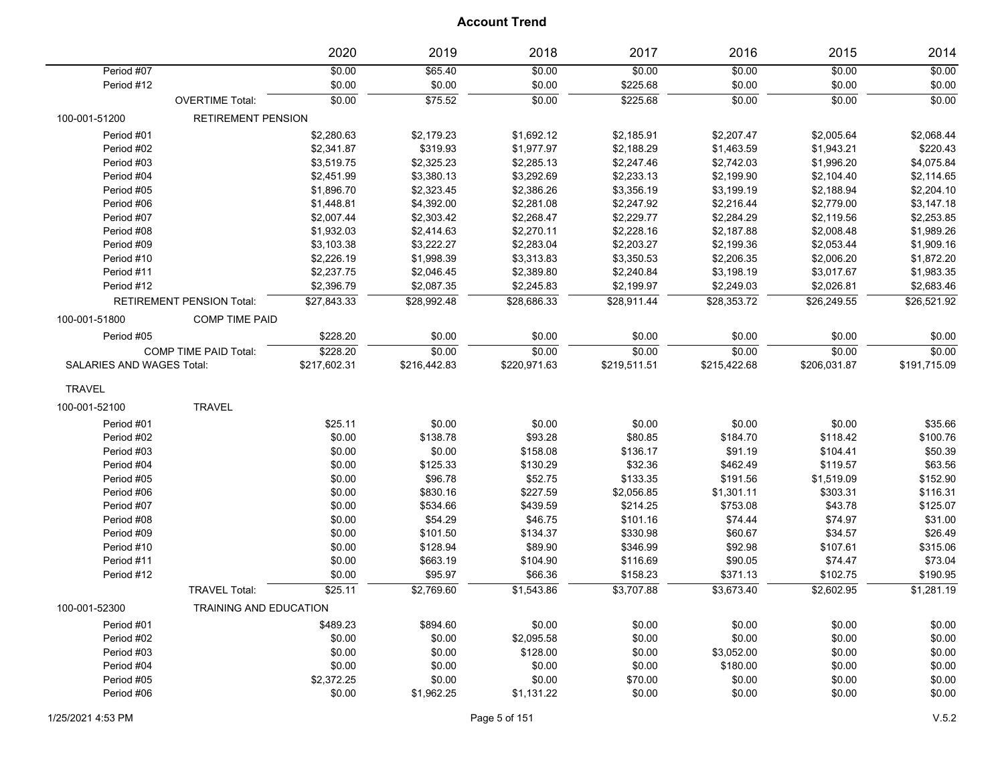|                           |                                  | 2020         | 2019         | 2018         | 2017         | 2016         | 2015         | 2014         |
|---------------------------|----------------------------------|--------------|--------------|--------------|--------------|--------------|--------------|--------------|
| Period #07                |                                  | \$0.00       | \$65.40      | \$0.00       | \$0.00       | \$0.00       | \$0.00       | \$0.00       |
| Period #12                |                                  | \$0.00       | \$0.00       | \$0.00       | \$225.68     | \$0.00       | \$0.00       | \$0.00       |
|                           | <b>OVERTIME Total:</b>           | \$0.00       | \$75.52      | \$0.00       | \$225.68     | \$0.00       | \$0.00       | \$0.00       |
| 100-001-51200             | <b>RETIREMENT PENSION</b>        |              |              |              |              |              |              |              |
| Period #01                |                                  | \$2,280.63   | \$2,179.23   | \$1,692.12   | \$2,185.91   | \$2,207.47   | \$2,005.64   | \$2,068.44   |
| Period #02                |                                  | \$2,341.87   | \$319.93     | \$1,977.97   | \$2,188.29   | \$1,463.59   | \$1,943.21   | \$220.43     |
| Period #03                |                                  | \$3,519.75   | \$2,325.23   | \$2,285.13   | \$2,247.46   | \$2,742.03   | \$1,996.20   | \$4,075.84   |
| Period #04                |                                  | \$2,451.99   | \$3,380.13   | \$3,292.69   | \$2,233.13   | \$2,199.90   | \$2,104.40   | \$2,114.65   |
| Period #05                |                                  | \$1,896.70   | \$2,323.45   | \$2,386.26   | \$3,356.19   | \$3,199.19   | \$2,188.94   | \$2,204.10   |
| Period #06                |                                  | \$1,448.81   | \$4,392.00   | \$2,281.08   | \$2,247.92   | \$2,216.44   | \$2,779.00   | \$3,147.18   |
| Period #07                |                                  | \$2,007.44   | \$2,303.42   | \$2,268.47   | \$2,229.77   | \$2,284.29   | \$2,119.56   | \$2,253.85   |
| Period #08                |                                  | \$1,932.03   | \$2,414.63   | \$2,270.11   | \$2,228.16   | \$2,187.88   | \$2,008.48   | \$1,989.26   |
| Period #09                |                                  | \$3,103.38   | \$3,222.27   | \$2,283.04   | \$2,203.27   | \$2,199.36   | \$2,053.44   | \$1,909.16   |
| Period #10                |                                  | \$2,226.19   | \$1,998.39   | \$3,313.83   | \$3,350.53   | \$2,206.35   | \$2,006.20   | \$1,872.20   |
| Period #11                |                                  | \$2,237.75   | \$2,046.45   | \$2,389.80   | \$2,240.84   | \$3,198.19   | \$3,017.67   | \$1,983.35   |
| Period #12                |                                  | \$2,396.79   | \$2,087.35   | \$2,245.83   | \$2,199.97   | \$2,249.03   | \$2,026.81   | \$2,683.46   |
|                           | <b>RETIREMENT PENSION Total:</b> | \$27,843.33  | \$28,992.48  | \$28,686.33  | \$28,911.44  | \$28,353.72  | \$26,249.55  | \$26,521.92  |
| 100-001-51800             | <b>COMP TIME PAID</b>            |              |              |              |              |              |              |              |
| Period #05                |                                  | \$228.20     | \$0.00       | \$0.00       | \$0.00       | \$0.00       | \$0.00       | \$0.00       |
|                           | <b>COMP TIME PAID Total:</b>     | \$228.20     | \$0.00       | \$0.00       | \$0.00       | 50.00        | \$0.00       | \$0.00       |
| SALARIES AND WAGES Total: |                                  | \$217,602.31 | \$216,442.83 | \$220,971.63 | \$219,511.51 | \$215,422.68 | \$206,031.87 | \$191,715.09 |
| <b>TRAVEL</b>             |                                  |              |              |              |              |              |              |              |
| 100-001-52100             | <b>TRAVEL</b>                    |              |              |              |              |              |              |              |
| Period #01                |                                  | \$25.11      | \$0.00       | \$0.00       | \$0.00       | \$0.00       | \$0.00       | \$35.66      |
| Period #02                |                                  | \$0.00       | \$138.78     | \$93.28      | \$80.85      | \$184.70     | \$118.42     | \$100.76     |
| Period #03                |                                  | \$0.00       | \$0.00       | \$158.08     | \$136.17     | \$91.19      | \$104.41     | \$50.39      |
| Period #04                |                                  | \$0.00       | \$125.33     | \$130.29     | \$32.36      | \$462.49     | \$119.57     | \$63.56      |
| Period #05                |                                  | \$0.00       | \$96.78      | \$52.75      | \$133.35     | \$191.56     | \$1,519.09   | \$152.90     |
| Period #06                |                                  | \$0.00       | \$830.16     | \$227.59     | \$2,056.85   | \$1,301.11   | \$303.31     | \$116.31     |
| Period #07                |                                  | \$0.00       | \$534.66     | \$439.59     | \$214.25     | \$753.08     | \$43.78      | \$125.07     |
| Period #08                |                                  | \$0.00       | \$54.29      | \$46.75      | \$101.16     | \$74.44      | \$74.97      | \$31.00      |
| Period #09                |                                  | \$0.00       | \$101.50     | \$134.37     | \$330.98     | \$60.67      | \$34.57      | \$26.49      |
| Period #10                |                                  | \$0.00       | \$128.94     | \$89.90      | \$346.99     | \$92.98      | \$107.61     | \$315.06     |
| Period #11                |                                  | \$0.00       | \$663.19     | \$104.90     | \$116.69     | \$90.05      | \$74.47      | \$73.04      |
| Period #12                |                                  | \$0.00       | \$95.97      | \$66.36      | \$158.23     | \$371.13     | \$102.75     | \$190.95     |
|                           | <b>TRAVEL Total:</b>             | \$25.11      | \$2,769.60   | \$1,543.86   | \$3,707.88   | \$3,673.40   | \$2,602.95   | \$1,281.19   |
| 100-001-52300             | TRAINING AND EDUCATION           |              |              |              |              |              |              |              |
| Period #01                |                                  | \$489.23     | \$894.60     | \$0.00       | \$0.00       | \$0.00       | \$0.00       | \$0.00       |
| Period #02                |                                  | \$0.00       | \$0.00       | \$2,095.58   | \$0.00       | \$0.00       | \$0.00       | \$0.00       |
| Period #03                |                                  | \$0.00       | \$0.00       | \$128.00     | \$0.00       | \$3,052.00   | \$0.00       | \$0.00       |
| Period #04                |                                  | \$0.00       | \$0.00       | \$0.00       | \$0.00       | \$180.00     | \$0.00       | \$0.00       |
| Period #05                |                                  | \$2,372.25   | \$0.00       | \$0.00       | \$70.00      | \$0.00       | \$0.00       | \$0.00       |
| Period #06                |                                  | \$0.00       | \$1,962.25   | \$1,131.22   | \$0.00       | \$0.00       | \$0.00       | \$0.00       |
|                           |                                  |              |              |              |              |              |              |              |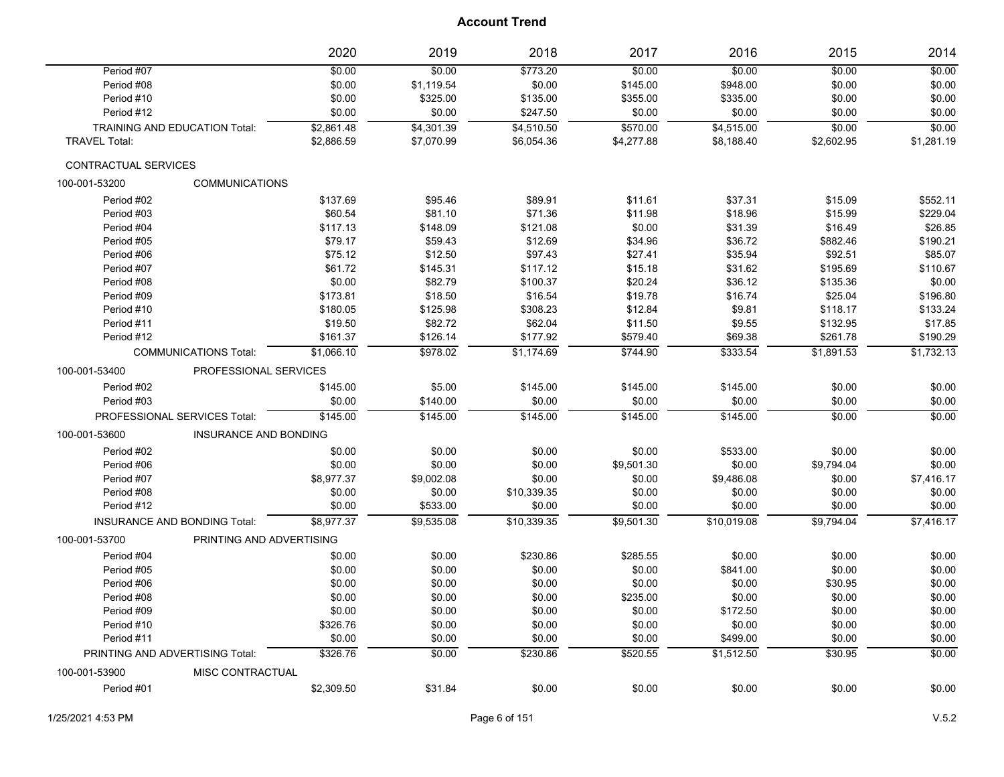|                             |                                      | 2020       | 2019       | 2018        | 2017       | 2016        | 2015       | 2014       |
|-----------------------------|--------------------------------------|------------|------------|-------------|------------|-------------|------------|------------|
| Period #07                  |                                      | \$0.00     | \$0.00     | \$773.20    | \$0.00     | \$0.00      | \$0.00     | \$0.00     |
| Period #08                  |                                      | \$0.00     | \$1,119.54 | \$0.00      | \$145.00   | \$948.00    | \$0.00     | \$0.00     |
| Period #10                  |                                      | \$0.00     | \$325.00   | \$135.00    | \$355.00   | \$335.00    | \$0.00     | \$0.00     |
| Period #12                  |                                      | \$0.00     | \$0.00     | \$247.50    | \$0.00     | \$0.00      | \$0.00     | \$0.00     |
|                             | <b>TRAINING AND EDUCATION Total:</b> | \$2,861.48 | \$4,301.39 | \$4,510.50  | \$570.00   | \$4,515.00  | \$0.00     | \$0.00     |
| <b>TRAVEL Total:</b>        |                                      | \$2,886.59 | \$7,070.99 | \$6,054.36  | \$4,277.88 | \$8,188.40  | \$2,602.95 | \$1,281.19 |
| <b>CONTRACTUAL SERVICES</b> |                                      |            |            |             |            |             |            |            |
| 100-001-53200               | <b>COMMUNICATIONS</b>                |            |            |             |            |             |            |            |
| Period #02                  |                                      | \$137.69   | \$95.46    | \$89.91     | \$11.61    | \$37.31     | \$15.09    | \$552.11   |
| Period #03                  |                                      | \$60.54    | \$81.10    | \$71.36     | \$11.98    | \$18.96     | \$15.99    | \$229.04   |
| Period #04                  |                                      | \$117.13   | \$148.09   | \$121.08    | \$0.00     | \$31.39     | \$16.49    | \$26.85    |
| Period #05                  |                                      | \$79.17    | \$59.43    | \$12.69     | \$34.96    | \$36.72     | \$882.46   | \$190.21   |
| Period #06                  |                                      | \$75.12    | \$12.50    | \$97.43     | \$27.41    | \$35.94     | \$92.51    | \$85.07    |
| Period #07                  |                                      | \$61.72    | \$145.31   | \$117.12    | \$15.18    | \$31.62     | \$195.69   | \$110.67   |
| Period #08                  |                                      | \$0.00     | \$82.79    | \$100.37    | \$20.24    | \$36.12     | \$135.36   | \$0.00     |
| Period #09                  |                                      | \$173.81   | \$18.50    | \$16.54     | \$19.78    | \$16.74     | \$25.04    | \$196.80   |
| Period #10                  |                                      | \$180.05   | \$125.98   | \$308.23    | \$12.84    | \$9.81      | \$118.17   | \$133.24   |
| Period #11                  |                                      | \$19.50    | \$82.72    | \$62.04     | \$11.50    | \$9.55      | \$132.95   | \$17.85    |
| Period #12                  |                                      | \$161.37   | \$126.14   | \$177.92    | \$579.40   | \$69.38     | \$261.78   | \$190.29   |
|                             | <b>COMMUNICATIONS Total:</b>         | \$1.066.10 | \$978.02   | \$1.174.69  | \$744.90   | \$333.54    | \$1,891.53 | \$1,732.13 |
| 100-001-53400               | PROFESSIONAL SERVICES                |            |            |             |            |             |            |            |
| Period #02                  |                                      | \$145.00   | \$5.00     | \$145.00    | \$145.00   | \$145.00    | \$0.00     | \$0.00     |
| Period #03                  |                                      | \$0.00     | \$140.00   | \$0.00      | \$0.00     | \$0.00      | \$0.00     | \$0.00     |
|                             | PROFESSIONAL SERVICES Total:         | \$145.00   | \$145.00   | \$145.00    | \$145.00   | \$145.00    | \$0.00     | \$0.00     |
| 100-001-53600               | <b>INSURANCE AND BONDING</b>         |            |            |             |            |             |            |            |
| Period #02                  |                                      | \$0.00     | \$0.00     | \$0.00      | \$0.00     | \$533.00    | \$0.00     | \$0.00     |
| Period #06                  |                                      | \$0.00     | \$0.00     | \$0.00      | \$9,501.30 | \$0.00      | \$9,794.04 | \$0.00     |
| Period #07                  |                                      | \$8,977.37 | \$9,002.08 | \$0.00      | \$0.00     | \$9,486.08  | \$0.00     | \$7,416.17 |
| Period #08                  |                                      | \$0.00     | \$0.00     | \$10,339.35 | \$0.00     | \$0.00      | \$0.00     | \$0.00     |
| Period #12                  |                                      | \$0.00     | \$533.00   | \$0.00      | \$0.00     | \$0.00      | \$0.00     | \$0.00     |
|                             | <b>INSURANCE AND BONDING Total:</b>  | \$8,977.37 | \$9,535.08 | \$10,339.35 | \$9,501.30 | \$10,019.08 | \$9,794.04 | \$7,416.17 |
| 100-001-53700               | PRINTING AND ADVERTISING             |            |            |             |            |             |            |            |
| Period #04                  |                                      | \$0.00     | \$0.00     | \$230.86    | \$285.55   | \$0.00      | \$0.00     | \$0.00     |
| Period #05                  |                                      | \$0.00     | \$0.00     | \$0.00      | \$0.00     | \$841.00    | \$0.00     | \$0.00     |
| Period #06                  |                                      | \$0.00     | \$0.00     | \$0.00      | \$0.00     | \$0.00      | \$30.95    | \$0.00     |
| Period #08                  |                                      | \$0.00     | \$0.00     | \$0.00      | \$235.00   | \$0.00      | \$0.00     | \$0.00     |
| Period #09                  |                                      | \$0.00     | \$0.00     | \$0.00      | \$0.00     | \$172.50    | \$0.00     | \$0.00     |
| Period #10                  |                                      | \$326.76   | \$0.00     | \$0.00      | \$0.00     | \$0.00      | \$0.00     | \$0.00     |
| Period #11                  |                                      | \$0.00     | \$0.00     | \$0.00      | \$0.00     | \$499.00    | \$0.00     | \$0.00     |
|                             | PRINTING AND ADVERTISING Total:      | \$326.76   | \$0.00     | \$230.86    | \$520.55   | \$1,512.50  | \$30.95    | \$0.00     |
| 100-001-53900               | MISC CONTRACTUAL                     |            |            |             |            |             |            |            |
| Period #01                  |                                      | \$2,309.50 | \$31.84    | \$0.00      | \$0.00     | \$0.00      | \$0.00     | \$0.00     |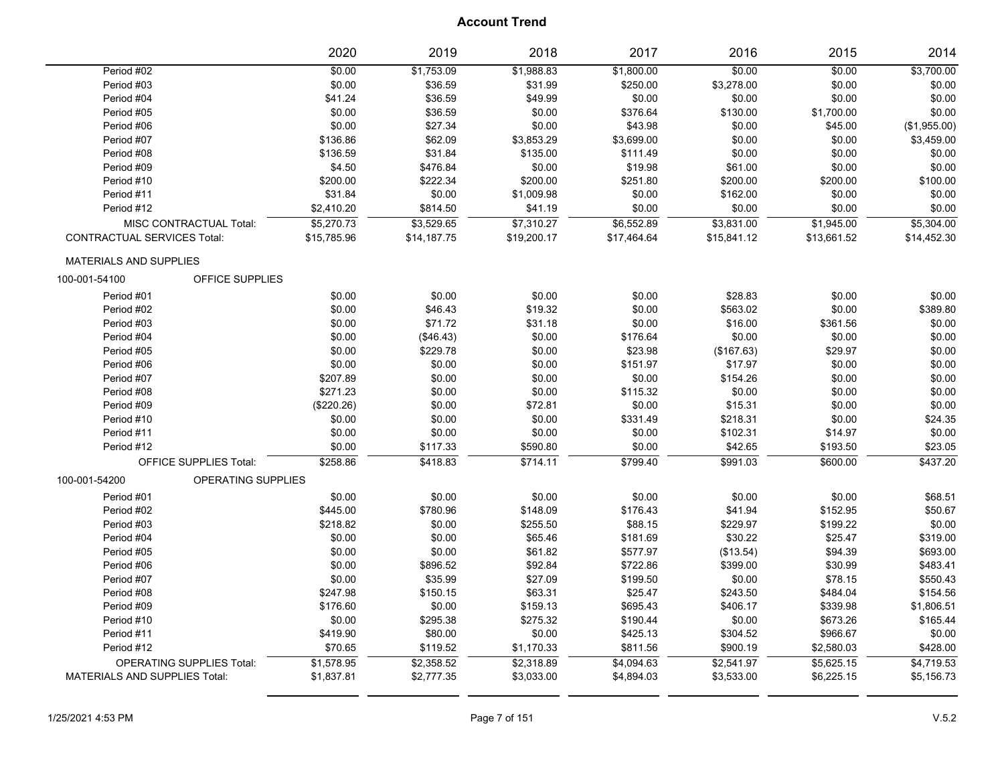| \$0.00<br>\$1,753.09<br>\$1,988.83<br>\$1,800.00<br>\$0.00<br>\$0.00<br>\$3,700.00<br>Period #02<br>\$0.00<br>\$0.00<br>Period #03<br>\$36.59<br>\$31.99<br>\$250.00<br>\$3,278.00<br>\$0.00<br>\$41.24<br>\$36.59<br>\$0.00<br>\$0.00<br>Period #04<br>\$49.99<br>\$0.00<br>\$0.00<br>\$0.00<br>\$36.59<br>\$376.64<br>\$0.00<br>Period #05<br>\$0.00<br>\$130.00<br>\$1,700.00<br>\$0.00<br>\$27.34<br>\$43.98<br>Period #06<br>\$0.00<br>\$0.00<br>\$45.00<br>(\$1,955.00)<br>\$62.09<br>\$0.00<br>Period #07<br>\$136.86<br>\$3,853.29<br>\$3,699.00<br>\$0.00<br>\$3,459.00<br>\$136.59<br>\$31.84<br>\$135.00<br>\$111.49<br>\$0.00<br>\$0.00<br>\$0.00<br>Period #08<br>\$0.00<br>\$4.50<br>\$476.84<br>\$0.00<br>\$19.98<br>\$61.00<br>\$0.00<br>Period #09<br>\$200.00<br>\$222.34<br>\$200.00<br>\$251.80<br>\$200.00<br>\$200.00<br>\$100.00<br>Period #10<br>\$31.84<br>\$0.00<br>\$0.00<br>\$0.00<br>\$0.00<br>Period #11<br>\$1,009.98<br>\$162.00<br>Period #12<br>\$2,410.20<br>\$41.19<br>\$0.00<br>\$0.00<br>\$0.00<br>\$0.00<br>\$814.50<br>\$6,552.89<br>\$1,945.00<br>\$5,304.00<br>MISC CONTRACTUAL Total:<br>\$5,270.73<br>\$3,529.65<br>\$7,310.27<br>\$3,831.00<br><b>CONTRACTUAL SERVICES Total:</b><br>\$14,452.30<br>\$15,785.96<br>\$14,187.75<br>\$19,200.17<br>\$17,464.64<br>\$15,841.12<br>\$13,661.52<br><b>MATERIALS AND SUPPLIES</b><br>OFFICE SUPPLIES<br>100-001-54100<br>Period #01<br>\$0.00<br>\$0.00<br>\$0.00<br>\$0.00<br>\$28.83<br>\$0.00<br>\$0.00<br>\$0.00<br>\$46.43<br>\$0.00<br>\$0.00<br>\$389.80<br>Period #02<br>\$19.32<br>\$563.02<br>\$71.72<br>\$0.00<br>Period #03<br>\$0.00<br>\$31.18<br>\$0.00<br>\$16.00<br>\$361.56<br>\$0.00<br>\$0.00<br>\$0.00<br>\$0.00<br>\$0.00<br>Period #04<br>(\$46.43)<br>\$176.64<br>\$0.00<br>Period #05<br>\$0.00<br>\$229.78<br>\$0.00<br>\$23.98<br>\$29.97<br>(\$167.63)<br>\$0.00<br>\$0.00<br>\$0.00<br>\$0.00<br>Period #06<br>\$0.00<br>\$151.97<br>\$17.97<br>\$0.00<br>\$0.00<br>\$0.00<br>Period #07<br>\$207.89<br>\$0.00<br>\$0.00<br>\$154.26<br>\$271.23<br>\$0.00<br>\$0.00<br>Period #08<br>\$0.00<br>\$0.00<br>\$115.32<br>\$0.00<br>\$0.00<br>(\$220.26)<br>\$0.00<br>\$72.81<br>\$15.31<br>\$0.00<br>Period #09<br>\$0.00<br>\$24.35<br>Period #10<br>\$0.00<br>\$0.00<br>\$0.00<br>\$331.49<br>\$218.31<br>\$0.00<br>\$0.00<br>\$0.00<br>\$0.00<br>\$0.00<br>\$0.00<br>\$102.31<br>\$14.97<br>Period #11<br>\$42.65<br>Period #12<br>\$0.00<br>\$117.33<br>\$590.80<br>\$0.00<br>\$193.50<br>\$23.05<br>\$437.20<br><b>OFFICE SUPPLIES Total:</b><br>\$258.86<br>\$714.11<br>\$799.40<br>\$991.03<br>\$600.00<br>\$418.83<br>100-001-54200<br>OPERATING SUPPLIES<br>Period #01<br>\$0.00<br>\$0.00<br>\$0.00<br>\$0.00<br>\$0.00<br>\$0.00<br>\$68.51<br>\$445.00<br>\$780.96<br>\$41.94<br>\$152.95<br>\$50.67<br>Period #02<br>\$148.09<br>\$176.43<br>\$218.82<br>\$0.00<br>\$255.50<br>\$229.97<br>\$199.22<br>\$0.00<br>Period #03<br>\$88.15<br>\$0.00<br>\$0.00<br>\$65.46<br>\$30.22<br>\$25.47<br>\$319.00<br>Period #04<br>\$181.69<br>\$0.00<br>\$0.00<br>\$61.82<br>\$577.97<br>\$94.39<br>\$693.00<br>Period #05<br>(\$13.54)<br>\$896.52<br>\$92.84<br>\$30.99<br>Period #06<br>\$0.00<br>\$722.86<br>\$399.00<br>\$483.41<br>\$0.00<br>\$35.99<br>\$27.09<br>\$199.50<br>\$0.00<br>\$78.15<br>\$550.43<br>Period #07<br>\$247.98<br>\$150.15<br>\$63.31<br>\$25.47<br>\$154.56<br>Period #08<br>\$243.50<br>\$484.04<br>\$176.60<br>\$0.00<br>\$159.13<br>\$695.43<br>\$406.17<br>\$339.98<br>\$1,806.51<br>Period #09<br>\$0.00<br>\$295.38<br>\$275.32<br>\$190.44<br>\$0.00<br>\$165.44<br>Period #10<br>\$673.26<br>\$80.00<br>Period #11<br>\$419.90<br>\$0.00<br>\$425.13<br>\$304.52<br>\$966.67<br>\$0.00<br>\$70.65<br>\$119.52<br>\$1,170.33<br>\$811.56<br>\$900.19<br>\$2,580.03<br>\$428.00<br>Period #12<br>\$2,358.52<br>\$2,541.97<br><b>OPERATING SUPPLIES Total:</b><br>\$1,578.95<br>\$2,318.89<br>\$4,094.63<br>\$5,625.15<br>\$4,719.53<br><b>MATERIALS AND SUPPLIES Total:</b><br>\$1,837.81<br>\$2,777.35<br>\$3,033.00<br>\$4,894.03<br>\$3,533.00<br>\$6,225.15<br>\$5,156.73 |  | 2020 | 2019 | 2018 | 2017 | 2016 | 2015 | 2014 |
|-----------------------------------------------------------------------------------------------------------------------------------------------------------------------------------------------------------------------------------------------------------------------------------------------------------------------------------------------------------------------------------------------------------------------------------------------------------------------------------------------------------------------------------------------------------------------------------------------------------------------------------------------------------------------------------------------------------------------------------------------------------------------------------------------------------------------------------------------------------------------------------------------------------------------------------------------------------------------------------------------------------------------------------------------------------------------------------------------------------------------------------------------------------------------------------------------------------------------------------------------------------------------------------------------------------------------------------------------------------------------------------------------------------------------------------------------------------------------------------------------------------------------------------------------------------------------------------------------------------------------------------------------------------------------------------------------------------------------------------------------------------------------------------------------------------------------------------------------------------------------------------------------------------------------------------------------------------------------------------------------------------------------------------------------------------------------------------------------------------------------------------------------------------------------------------------------------------------------------------------------------------------------------------------------------------------------------------------------------------------------------------------------------------------------------------------------------------------------------------------------------------------------------------------------------------------------------------------------------------------------------------------------------------------------------------------------------------------------------------------------------------------------------------------------------------------------------------------------------------------------------------------------------------------------------------------------------------------------------------------------------------------------------------------------------------------------------------------------------------------------------------------------------------------------------------------------------------------------------------------------------------------------------------------------------------------------------------------------------------------------------------------------------------------------------------------------------------------------------------------------------------------------------------------------------------------------------------------------------------------------------------------------------------------------------------------------------------------------------------------------------------------------------------------------------------------------------------------------------------------------------------------------------------------------------------------------------------------------------------------------------------------------------------------------------------------------------------------------------------------------------------------|--|------|------|------|------|------|------|------|
|                                                                                                                                                                                                                                                                                                                                                                                                                                                                                                                                                                                                                                                                                                                                                                                                                                                                                                                                                                                                                                                                                                                                                                                                                                                                                                                                                                                                                                                                                                                                                                                                                                                                                                                                                                                                                                                                                                                                                                                                                                                                                                                                                                                                                                                                                                                                                                                                                                                                                                                                                                                                                                                                                                                                                                                                                                                                                                                                                                                                                                                                                                                                                                                                                                                                                                                                                                                                                                                                                                                                                                                                                                                                                                                                                                                                                                                                                                                                                                                                                                                                                                                                         |  |      |      |      |      |      |      |      |
|                                                                                                                                                                                                                                                                                                                                                                                                                                                                                                                                                                                                                                                                                                                                                                                                                                                                                                                                                                                                                                                                                                                                                                                                                                                                                                                                                                                                                                                                                                                                                                                                                                                                                                                                                                                                                                                                                                                                                                                                                                                                                                                                                                                                                                                                                                                                                                                                                                                                                                                                                                                                                                                                                                                                                                                                                                                                                                                                                                                                                                                                                                                                                                                                                                                                                                                                                                                                                                                                                                                                                                                                                                                                                                                                                                                                                                                                                                                                                                                                                                                                                                                                         |  |      |      |      |      |      |      |      |
|                                                                                                                                                                                                                                                                                                                                                                                                                                                                                                                                                                                                                                                                                                                                                                                                                                                                                                                                                                                                                                                                                                                                                                                                                                                                                                                                                                                                                                                                                                                                                                                                                                                                                                                                                                                                                                                                                                                                                                                                                                                                                                                                                                                                                                                                                                                                                                                                                                                                                                                                                                                                                                                                                                                                                                                                                                                                                                                                                                                                                                                                                                                                                                                                                                                                                                                                                                                                                                                                                                                                                                                                                                                                                                                                                                                                                                                                                                                                                                                                                                                                                                                                         |  |      |      |      |      |      |      |      |
|                                                                                                                                                                                                                                                                                                                                                                                                                                                                                                                                                                                                                                                                                                                                                                                                                                                                                                                                                                                                                                                                                                                                                                                                                                                                                                                                                                                                                                                                                                                                                                                                                                                                                                                                                                                                                                                                                                                                                                                                                                                                                                                                                                                                                                                                                                                                                                                                                                                                                                                                                                                                                                                                                                                                                                                                                                                                                                                                                                                                                                                                                                                                                                                                                                                                                                                                                                                                                                                                                                                                                                                                                                                                                                                                                                                                                                                                                                                                                                                                                                                                                                                                         |  |      |      |      |      |      |      |      |
|                                                                                                                                                                                                                                                                                                                                                                                                                                                                                                                                                                                                                                                                                                                                                                                                                                                                                                                                                                                                                                                                                                                                                                                                                                                                                                                                                                                                                                                                                                                                                                                                                                                                                                                                                                                                                                                                                                                                                                                                                                                                                                                                                                                                                                                                                                                                                                                                                                                                                                                                                                                                                                                                                                                                                                                                                                                                                                                                                                                                                                                                                                                                                                                                                                                                                                                                                                                                                                                                                                                                                                                                                                                                                                                                                                                                                                                                                                                                                                                                                                                                                                                                         |  |      |      |      |      |      |      |      |
|                                                                                                                                                                                                                                                                                                                                                                                                                                                                                                                                                                                                                                                                                                                                                                                                                                                                                                                                                                                                                                                                                                                                                                                                                                                                                                                                                                                                                                                                                                                                                                                                                                                                                                                                                                                                                                                                                                                                                                                                                                                                                                                                                                                                                                                                                                                                                                                                                                                                                                                                                                                                                                                                                                                                                                                                                                                                                                                                                                                                                                                                                                                                                                                                                                                                                                                                                                                                                                                                                                                                                                                                                                                                                                                                                                                                                                                                                                                                                                                                                                                                                                                                         |  |      |      |      |      |      |      |      |
|                                                                                                                                                                                                                                                                                                                                                                                                                                                                                                                                                                                                                                                                                                                                                                                                                                                                                                                                                                                                                                                                                                                                                                                                                                                                                                                                                                                                                                                                                                                                                                                                                                                                                                                                                                                                                                                                                                                                                                                                                                                                                                                                                                                                                                                                                                                                                                                                                                                                                                                                                                                                                                                                                                                                                                                                                                                                                                                                                                                                                                                                                                                                                                                                                                                                                                                                                                                                                                                                                                                                                                                                                                                                                                                                                                                                                                                                                                                                                                                                                                                                                                                                         |  |      |      |      |      |      |      |      |
|                                                                                                                                                                                                                                                                                                                                                                                                                                                                                                                                                                                                                                                                                                                                                                                                                                                                                                                                                                                                                                                                                                                                                                                                                                                                                                                                                                                                                                                                                                                                                                                                                                                                                                                                                                                                                                                                                                                                                                                                                                                                                                                                                                                                                                                                                                                                                                                                                                                                                                                                                                                                                                                                                                                                                                                                                                                                                                                                                                                                                                                                                                                                                                                                                                                                                                                                                                                                                                                                                                                                                                                                                                                                                                                                                                                                                                                                                                                                                                                                                                                                                                                                         |  |      |      |      |      |      |      |      |
|                                                                                                                                                                                                                                                                                                                                                                                                                                                                                                                                                                                                                                                                                                                                                                                                                                                                                                                                                                                                                                                                                                                                                                                                                                                                                                                                                                                                                                                                                                                                                                                                                                                                                                                                                                                                                                                                                                                                                                                                                                                                                                                                                                                                                                                                                                                                                                                                                                                                                                                                                                                                                                                                                                                                                                                                                                                                                                                                                                                                                                                                                                                                                                                                                                                                                                                                                                                                                                                                                                                                                                                                                                                                                                                                                                                                                                                                                                                                                                                                                                                                                                                                         |  |      |      |      |      |      |      |      |
|                                                                                                                                                                                                                                                                                                                                                                                                                                                                                                                                                                                                                                                                                                                                                                                                                                                                                                                                                                                                                                                                                                                                                                                                                                                                                                                                                                                                                                                                                                                                                                                                                                                                                                                                                                                                                                                                                                                                                                                                                                                                                                                                                                                                                                                                                                                                                                                                                                                                                                                                                                                                                                                                                                                                                                                                                                                                                                                                                                                                                                                                                                                                                                                                                                                                                                                                                                                                                                                                                                                                                                                                                                                                                                                                                                                                                                                                                                                                                                                                                                                                                                                                         |  |      |      |      |      |      |      |      |
|                                                                                                                                                                                                                                                                                                                                                                                                                                                                                                                                                                                                                                                                                                                                                                                                                                                                                                                                                                                                                                                                                                                                                                                                                                                                                                                                                                                                                                                                                                                                                                                                                                                                                                                                                                                                                                                                                                                                                                                                                                                                                                                                                                                                                                                                                                                                                                                                                                                                                                                                                                                                                                                                                                                                                                                                                                                                                                                                                                                                                                                                                                                                                                                                                                                                                                                                                                                                                                                                                                                                                                                                                                                                                                                                                                                                                                                                                                                                                                                                                                                                                                                                         |  |      |      |      |      |      |      |      |
|                                                                                                                                                                                                                                                                                                                                                                                                                                                                                                                                                                                                                                                                                                                                                                                                                                                                                                                                                                                                                                                                                                                                                                                                                                                                                                                                                                                                                                                                                                                                                                                                                                                                                                                                                                                                                                                                                                                                                                                                                                                                                                                                                                                                                                                                                                                                                                                                                                                                                                                                                                                                                                                                                                                                                                                                                                                                                                                                                                                                                                                                                                                                                                                                                                                                                                                                                                                                                                                                                                                                                                                                                                                                                                                                                                                                                                                                                                                                                                                                                                                                                                                                         |  |      |      |      |      |      |      |      |
|                                                                                                                                                                                                                                                                                                                                                                                                                                                                                                                                                                                                                                                                                                                                                                                                                                                                                                                                                                                                                                                                                                                                                                                                                                                                                                                                                                                                                                                                                                                                                                                                                                                                                                                                                                                                                                                                                                                                                                                                                                                                                                                                                                                                                                                                                                                                                                                                                                                                                                                                                                                                                                                                                                                                                                                                                                                                                                                                                                                                                                                                                                                                                                                                                                                                                                                                                                                                                                                                                                                                                                                                                                                                                                                                                                                                                                                                                                                                                                                                                                                                                                                                         |  |      |      |      |      |      |      |      |
|                                                                                                                                                                                                                                                                                                                                                                                                                                                                                                                                                                                                                                                                                                                                                                                                                                                                                                                                                                                                                                                                                                                                                                                                                                                                                                                                                                                                                                                                                                                                                                                                                                                                                                                                                                                                                                                                                                                                                                                                                                                                                                                                                                                                                                                                                                                                                                                                                                                                                                                                                                                                                                                                                                                                                                                                                                                                                                                                                                                                                                                                                                                                                                                                                                                                                                                                                                                                                                                                                                                                                                                                                                                                                                                                                                                                                                                                                                                                                                                                                                                                                                                                         |  |      |      |      |      |      |      |      |
|                                                                                                                                                                                                                                                                                                                                                                                                                                                                                                                                                                                                                                                                                                                                                                                                                                                                                                                                                                                                                                                                                                                                                                                                                                                                                                                                                                                                                                                                                                                                                                                                                                                                                                                                                                                                                                                                                                                                                                                                                                                                                                                                                                                                                                                                                                                                                                                                                                                                                                                                                                                                                                                                                                                                                                                                                                                                                                                                                                                                                                                                                                                                                                                                                                                                                                                                                                                                                                                                                                                                                                                                                                                                                                                                                                                                                                                                                                                                                                                                                                                                                                                                         |  |      |      |      |      |      |      |      |
|                                                                                                                                                                                                                                                                                                                                                                                                                                                                                                                                                                                                                                                                                                                                                                                                                                                                                                                                                                                                                                                                                                                                                                                                                                                                                                                                                                                                                                                                                                                                                                                                                                                                                                                                                                                                                                                                                                                                                                                                                                                                                                                                                                                                                                                                                                                                                                                                                                                                                                                                                                                                                                                                                                                                                                                                                                                                                                                                                                                                                                                                                                                                                                                                                                                                                                                                                                                                                                                                                                                                                                                                                                                                                                                                                                                                                                                                                                                                                                                                                                                                                                                                         |  |      |      |      |      |      |      |      |
|                                                                                                                                                                                                                                                                                                                                                                                                                                                                                                                                                                                                                                                                                                                                                                                                                                                                                                                                                                                                                                                                                                                                                                                                                                                                                                                                                                                                                                                                                                                                                                                                                                                                                                                                                                                                                                                                                                                                                                                                                                                                                                                                                                                                                                                                                                                                                                                                                                                                                                                                                                                                                                                                                                                                                                                                                                                                                                                                                                                                                                                                                                                                                                                                                                                                                                                                                                                                                                                                                                                                                                                                                                                                                                                                                                                                                                                                                                                                                                                                                                                                                                                                         |  |      |      |      |      |      |      |      |
|                                                                                                                                                                                                                                                                                                                                                                                                                                                                                                                                                                                                                                                                                                                                                                                                                                                                                                                                                                                                                                                                                                                                                                                                                                                                                                                                                                                                                                                                                                                                                                                                                                                                                                                                                                                                                                                                                                                                                                                                                                                                                                                                                                                                                                                                                                                                                                                                                                                                                                                                                                                                                                                                                                                                                                                                                                                                                                                                                                                                                                                                                                                                                                                                                                                                                                                                                                                                                                                                                                                                                                                                                                                                                                                                                                                                                                                                                                                                                                                                                                                                                                                                         |  |      |      |      |      |      |      |      |
|                                                                                                                                                                                                                                                                                                                                                                                                                                                                                                                                                                                                                                                                                                                                                                                                                                                                                                                                                                                                                                                                                                                                                                                                                                                                                                                                                                                                                                                                                                                                                                                                                                                                                                                                                                                                                                                                                                                                                                                                                                                                                                                                                                                                                                                                                                                                                                                                                                                                                                                                                                                                                                                                                                                                                                                                                                                                                                                                                                                                                                                                                                                                                                                                                                                                                                                                                                                                                                                                                                                                                                                                                                                                                                                                                                                                                                                                                                                                                                                                                                                                                                                                         |  |      |      |      |      |      |      |      |
|                                                                                                                                                                                                                                                                                                                                                                                                                                                                                                                                                                                                                                                                                                                                                                                                                                                                                                                                                                                                                                                                                                                                                                                                                                                                                                                                                                                                                                                                                                                                                                                                                                                                                                                                                                                                                                                                                                                                                                                                                                                                                                                                                                                                                                                                                                                                                                                                                                                                                                                                                                                                                                                                                                                                                                                                                                                                                                                                                                                                                                                                                                                                                                                                                                                                                                                                                                                                                                                                                                                                                                                                                                                                                                                                                                                                                                                                                                                                                                                                                                                                                                                                         |  |      |      |      |      |      |      |      |
|                                                                                                                                                                                                                                                                                                                                                                                                                                                                                                                                                                                                                                                                                                                                                                                                                                                                                                                                                                                                                                                                                                                                                                                                                                                                                                                                                                                                                                                                                                                                                                                                                                                                                                                                                                                                                                                                                                                                                                                                                                                                                                                                                                                                                                                                                                                                                                                                                                                                                                                                                                                                                                                                                                                                                                                                                                                                                                                                                                                                                                                                                                                                                                                                                                                                                                                                                                                                                                                                                                                                                                                                                                                                                                                                                                                                                                                                                                                                                                                                                                                                                                                                         |  |      |      |      |      |      |      |      |
|                                                                                                                                                                                                                                                                                                                                                                                                                                                                                                                                                                                                                                                                                                                                                                                                                                                                                                                                                                                                                                                                                                                                                                                                                                                                                                                                                                                                                                                                                                                                                                                                                                                                                                                                                                                                                                                                                                                                                                                                                                                                                                                                                                                                                                                                                                                                                                                                                                                                                                                                                                                                                                                                                                                                                                                                                                                                                                                                                                                                                                                                                                                                                                                                                                                                                                                                                                                                                                                                                                                                                                                                                                                                                                                                                                                                                                                                                                                                                                                                                                                                                                                                         |  |      |      |      |      |      |      |      |
|                                                                                                                                                                                                                                                                                                                                                                                                                                                                                                                                                                                                                                                                                                                                                                                                                                                                                                                                                                                                                                                                                                                                                                                                                                                                                                                                                                                                                                                                                                                                                                                                                                                                                                                                                                                                                                                                                                                                                                                                                                                                                                                                                                                                                                                                                                                                                                                                                                                                                                                                                                                                                                                                                                                                                                                                                                                                                                                                                                                                                                                                                                                                                                                                                                                                                                                                                                                                                                                                                                                                                                                                                                                                                                                                                                                                                                                                                                                                                                                                                                                                                                                                         |  |      |      |      |      |      |      |      |
|                                                                                                                                                                                                                                                                                                                                                                                                                                                                                                                                                                                                                                                                                                                                                                                                                                                                                                                                                                                                                                                                                                                                                                                                                                                                                                                                                                                                                                                                                                                                                                                                                                                                                                                                                                                                                                                                                                                                                                                                                                                                                                                                                                                                                                                                                                                                                                                                                                                                                                                                                                                                                                                                                                                                                                                                                                                                                                                                                                                                                                                                                                                                                                                                                                                                                                                                                                                                                                                                                                                                                                                                                                                                                                                                                                                                                                                                                                                                                                                                                                                                                                                                         |  |      |      |      |      |      |      |      |
|                                                                                                                                                                                                                                                                                                                                                                                                                                                                                                                                                                                                                                                                                                                                                                                                                                                                                                                                                                                                                                                                                                                                                                                                                                                                                                                                                                                                                                                                                                                                                                                                                                                                                                                                                                                                                                                                                                                                                                                                                                                                                                                                                                                                                                                                                                                                                                                                                                                                                                                                                                                                                                                                                                                                                                                                                                                                                                                                                                                                                                                                                                                                                                                                                                                                                                                                                                                                                                                                                                                                                                                                                                                                                                                                                                                                                                                                                                                                                                                                                                                                                                                                         |  |      |      |      |      |      |      |      |
|                                                                                                                                                                                                                                                                                                                                                                                                                                                                                                                                                                                                                                                                                                                                                                                                                                                                                                                                                                                                                                                                                                                                                                                                                                                                                                                                                                                                                                                                                                                                                                                                                                                                                                                                                                                                                                                                                                                                                                                                                                                                                                                                                                                                                                                                                                                                                                                                                                                                                                                                                                                                                                                                                                                                                                                                                                                                                                                                                                                                                                                                                                                                                                                                                                                                                                                                                                                                                                                                                                                                                                                                                                                                                                                                                                                                                                                                                                                                                                                                                                                                                                                                         |  |      |      |      |      |      |      |      |
|                                                                                                                                                                                                                                                                                                                                                                                                                                                                                                                                                                                                                                                                                                                                                                                                                                                                                                                                                                                                                                                                                                                                                                                                                                                                                                                                                                                                                                                                                                                                                                                                                                                                                                                                                                                                                                                                                                                                                                                                                                                                                                                                                                                                                                                                                                                                                                                                                                                                                                                                                                                                                                                                                                                                                                                                                                                                                                                                                                                                                                                                                                                                                                                                                                                                                                                                                                                                                                                                                                                                                                                                                                                                                                                                                                                                                                                                                                                                                                                                                                                                                                                                         |  |      |      |      |      |      |      |      |
|                                                                                                                                                                                                                                                                                                                                                                                                                                                                                                                                                                                                                                                                                                                                                                                                                                                                                                                                                                                                                                                                                                                                                                                                                                                                                                                                                                                                                                                                                                                                                                                                                                                                                                                                                                                                                                                                                                                                                                                                                                                                                                                                                                                                                                                                                                                                                                                                                                                                                                                                                                                                                                                                                                                                                                                                                                                                                                                                                                                                                                                                                                                                                                                                                                                                                                                                                                                                                                                                                                                                                                                                                                                                                                                                                                                                                                                                                                                                                                                                                                                                                                                                         |  |      |      |      |      |      |      |      |
|                                                                                                                                                                                                                                                                                                                                                                                                                                                                                                                                                                                                                                                                                                                                                                                                                                                                                                                                                                                                                                                                                                                                                                                                                                                                                                                                                                                                                                                                                                                                                                                                                                                                                                                                                                                                                                                                                                                                                                                                                                                                                                                                                                                                                                                                                                                                                                                                                                                                                                                                                                                                                                                                                                                                                                                                                                                                                                                                                                                                                                                                                                                                                                                                                                                                                                                                                                                                                                                                                                                                                                                                                                                                                                                                                                                                                                                                                                                                                                                                                                                                                                                                         |  |      |      |      |      |      |      |      |
|                                                                                                                                                                                                                                                                                                                                                                                                                                                                                                                                                                                                                                                                                                                                                                                                                                                                                                                                                                                                                                                                                                                                                                                                                                                                                                                                                                                                                                                                                                                                                                                                                                                                                                                                                                                                                                                                                                                                                                                                                                                                                                                                                                                                                                                                                                                                                                                                                                                                                                                                                                                                                                                                                                                                                                                                                                                                                                                                                                                                                                                                                                                                                                                                                                                                                                                                                                                                                                                                                                                                                                                                                                                                                                                                                                                                                                                                                                                                                                                                                                                                                                                                         |  |      |      |      |      |      |      |      |
|                                                                                                                                                                                                                                                                                                                                                                                                                                                                                                                                                                                                                                                                                                                                                                                                                                                                                                                                                                                                                                                                                                                                                                                                                                                                                                                                                                                                                                                                                                                                                                                                                                                                                                                                                                                                                                                                                                                                                                                                                                                                                                                                                                                                                                                                                                                                                                                                                                                                                                                                                                                                                                                                                                                                                                                                                                                                                                                                                                                                                                                                                                                                                                                                                                                                                                                                                                                                                                                                                                                                                                                                                                                                                                                                                                                                                                                                                                                                                                                                                                                                                                                                         |  |      |      |      |      |      |      |      |
|                                                                                                                                                                                                                                                                                                                                                                                                                                                                                                                                                                                                                                                                                                                                                                                                                                                                                                                                                                                                                                                                                                                                                                                                                                                                                                                                                                                                                                                                                                                                                                                                                                                                                                                                                                                                                                                                                                                                                                                                                                                                                                                                                                                                                                                                                                                                                                                                                                                                                                                                                                                                                                                                                                                                                                                                                                                                                                                                                                                                                                                                                                                                                                                                                                                                                                                                                                                                                                                                                                                                                                                                                                                                                                                                                                                                                                                                                                                                                                                                                                                                                                                                         |  |      |      |      |      |      |      |      |
|                                                                                                                                                                                                                                                                                                                                                                                                                                                                                                                                                                                                                                                                                                                                                                                                                                                                                                                                                                                                                                                                                                                                                                                                                                                                                                                                                                                                                                                                                                                                                                                                                                                                                                                                                                                                                                                                                                                                                                                                                                                                                                                                                                                                                                                                                                                                                                                                                                                                                                                                                                                                                                                                                                                                                                                                                                                                                                                                                                                                                                                                                                                                                                                                                                                                                                                                                                                                                                                                                                                                                                                                                                                                                                                                                                                                                                                                                                                                                                                                                                                                                                                                         |  |      |      |      |      |      |      |      |
|                                                                                                                                                                                                                                                                                                                                                                                                                                                                                                                                                                                                                                                                                                                                                                                                                                                                                                                                                                                                                                                                                                                                                                                                                                                                                                                                                                                                                                                                                                                                                                                                                                                                                                                                                                                                                                                                                                                                                                                                                                                                                                                                                                                                                                                                                                                                                                                                                                                                                                                                                                                                                                                                                                                                                                                                                                                                                                                                                                                                                                                                                                                                                                                                                                                                                                                                                                                                                                                                                                                                                                                                                                                                                                                                                                                                                                                                                                                                                                                                                                                                                                                                         |  |      |      |      |      |      |      |      |
|                                                                                                                                                                                                                                                                                                                                                                                                                                                                                                                                                                                                                                                                                                                                                                                                                                                                                                                                                                                                                                                                                                                                                                                                                                                                                                                                                                                                                                                                                                                                                                                                                                                                                                                                                                                                                                                                                                                                                                                                                                                                                                                                                                                                                                                                                                                                                                                                                                                                                                                                                                                                                                                                                                                                                                                                                                                                                                                                                                                                                                                                                                                                                                                                                                                                                                                                                                                                                                                                                                                                                                                                                                                                                                                                                                                                                                                                                                                                                                                                                                                                                                                                         |  |      |      |      |      |      |      |      |
|                                                                                                                                                                                                                                                                                                                                                                                                                                                                                                                                                                                                                                                                                                                                                                                                                                                                                                                                                                                                                                                                                                                                                                                                                                                                                                                                                                                                                                                                                                                                                                                                                                                                                                                                                                                                                                                                                                                                                                                                                                                                                                                                                                                                                                                                                                                                                                                                                                                                                                                                                                                                                                                                                                                                                                                                                                                                                                                                                                                                                                                                                                                                                                                                                                                                                                                                                                                                                                                                                                                                                                                                                                                                                                                                                                                                                                                                                                                                                                                                                                                                                                                                         |  |      |      |      |      |      |      |      |
|                                                                                                                                                                                                                                                                                                                                                                                                                                                                                                                                                                                                                                                                                                                                                                                                                                                                                                                                                                                                                                                                                                                                                                                                                                                                                                                                                                                                                                                                                                                                                                                                                                                                                                                                                                                                                                                                                                                                                                                                                                                                                                                                                                                                                                                                                                                                                                                                                                                                                                                                                                                                                                                                                                                                                                                                                                                                                                                                                                                                                                                                                                                                                                                                                                                                                                                                                                                                                                                                                                                                                                                                                                                                                                                                                                                                                                                                                                                                                                                                                                                                                                                                         |  |      |      |      |      |      |      |      |
|                                                                                                                                                                                                                                                                                                                                                                                                                                                                                                                                                                                                                                                                                                                                                                                                                                                                                                                                                                                                                                                                                                                                                                                                                                                                                                                                                                                                                                                                                                                                                                                                                                                                                                                                                                                                                                                                                                                                                                                                                                                                                                                                                                                                                                                                                                                                                                                                                                                                                                                                                                                                                                                                                                                                                                                                                                                                                                                                                                                                                                                                                                                                                                                                                                                                                                                                                                                                                                                                                                                                                                                                                                                                                                                                                                                                                                                                                                                                                                                                                                                                                                                                         |  |      |      |      |      |      |      |      |
|                                                                                                                                                                                                                                                                                                                                                                                                                                                                                                                                                                                                                                                                                                                                                                                                                                                                                                                                                                                                                                                                                                                                                                                                                                                                                                                                                                                                                                                                                                                                                                                                                                                                                                                                                                                                                                                                                                                                                                                                                                                                                                                                                                                                                                                                                                                                                                                                                                                                                                                                                                                                                                                                                                                                                                                                                                                                                                                                                                                                                                                                                                                                                                                                                                                                                                                                                                                                                                                                                                                                                                                                                                                                                                                                                                                                                                                                                                                                                                                                                                                                                                                                         |  |      |      |      |      |      |      |      |
|                                                                                                                                                                                                                                                                                                                                                                                                                                                                                                                                                                                                                                                                                                                                                                                                                                                                                                                                                                                                                                                                                                                                                                                                                                                                                                                                                                                                                                                                                                                                                                                                                                                                                                                                                                                                                                                                                                                                                                                                                                                                                                                                                                                                                                                                                                                                                                                                                                                                                                                                                                                                                                                                                                                                                                                                                                                                                                                                                                                                                                                                                                                                                                                                                                                                                                                                                                                                                                                                                                                                                                                                                                                                                                                                                                                                                                                                                                                                                                                                                                                                                                                                         |  |      |      |      |      |      |      |      |
|                                                                                                                                                                                                                                                                                                                                                                                                                                                                                                                                                                                                                                                                                                                                                                                                                                                                                                                                                                                                                                                                                                                                                                                                                                                                                                                                                                                                                                                                                                                                                                                                                                                                                                                                                                                                                                                                                                                                                                                                                                                                                                                                                                                                                                                                                                                                                                                                                                                                                                                                                                                                                                                                                                                                                                                                                                                                                                                                                                                                                                                                                                                                                                                                                                                                                                                                                                                                                                                                                                                                                                                                                                                                                                                                                                                                                                                                                                                                                                                                                                                                                                                                         |  |      |      |      |      |      |      |      |
|                                                                                                                                                                                                                                                                                                                                                                                                                                                                                                                                                                                                                                                                                                                                                                                                                                                                                                                                                                                                                                                                                                                                                                                                                                                                                                                                                                                                                                                                                                                                                                                                                                                                                                                                                                                                                                                                                                                                                                                                                                                                                                                                                                                                                                                                                                                                                                                                                                                                                                                                                                                                                                                                                                                                                                                                                                                                                                                                                                                                                                                                                                                                                                                                                                                                                                                                                                                                                                                                                                                                                                                                                                                                                                                                                                                                                                                                                                                                                                                                                                                                                                                                         |  |      |      |      |      |      |      |      |
|                                                                                                                                                                                                                                                                                                                                                                                                                                                                                                                                                                                                                                                                                                                                                                                                                                                                                                                                                                                                                                                                                                                                                                                                                                                                                                                                                                                                                                                                                                                                                                                                                                                                                                                                                                                                                                                                                                                                                                                                                                                                                                                                                                                                                                                                                                                                                                                                                                                                                                                                                                                                                                                                                                                                                                                                                                                                                                                                                                                                                                                                                                                                                                                                                                                                                                                                                                                                                                                                                                                                                                                                                                                                                                                                                                                                                                                                                                                                                                                                                                                                                                                                         |  |      |      |      |      |      |      |      |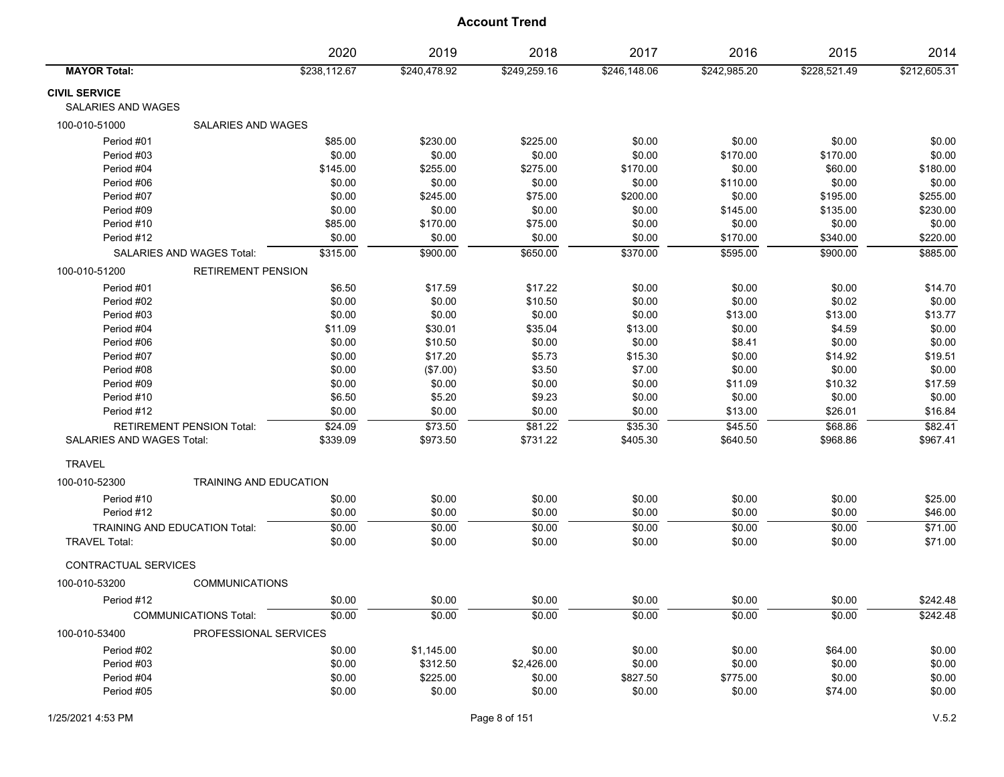|                                            |                                  | 2020         | 2019         | 2018         | 2017         | 2016         | 2015         | 2014         |
|--------------------------------------------|----------------------------------|--------------|--------------|--------------|--------------|--------------|--------------|--------------|
| <b>MAYOR Total:</b>                        |                                  | \$238,112.67 | \$240,478.92 | \$249,259.16 | \$246,148.06 | \$242,985.20 | \$228,521.49 | \$212,605.31 |
| <b>CIVIL SERVICE</b><br>SALARIES AND WAGES |                                  |              |              |              |              |              |              |              |
| 100-010-51000                              | <b>SALARIES AND WAGES</b>        |              |              |              |              |              |              |              |
| Period #01                                 |                                  | \$85.00      | \$230.00     | \$225.00     | \$0.00       | \$0.00       | \$0.00       | \$0.00       |
| Period #03                                 |                                  | \$0.00       | \$0.00       | \$0.00       | \$0.00       | \$170.00     | \$170.00     | \$0.00       |
| Period #04                                 |                                  | \$145.00     | \$255.00     | \$275.00     | \$170.00     | \$0.00       | \$60.00      | \$180.00     |
| Period #06                                 |                                  | \$0.00       | \$0.00       | \$0.00       | \$0.00       | \$110.00     | \$0.00       | \$0.00       |
| Period #07                                 |                                  | \$0.00       | \$245.00     | \$75.00      | \$200.00     | \$0.00       | \$195.00     | \$255.00     |
| Period #09                                 |                                  | \$0.00       | \$0.00       | \$0.00       | \$0.00       | \$145.00     | \$135.00     | \$230.00     |
| Period #10                                 |                                  | \$85.00      | \$170.00     | \$75.00      | \$0.00       | \$0.00       | \$0.00       | \$0.00       |
| Period #12                                 |                                  | \$0.00       | \$0.00       | \$0.00       | \$0.00       | \$170.00     | \$340.00     | \$220.00     |
|                                            | SALARIES AND WAGES Total:        | \$315.00     | \$900.00     | \$650.00     | \$370.00     | \$595.00     | \$900.00     | \$885.00     |
| 100-010-51200                              | <b>RETIREMENT PENSION</b>        |              |              |              |              |              |              |              |
| Period #01                                 |                                  | \$6.50       | \$17.59      | \$17.22      | \$0.00       | \$0.00       | \$0.00       | \$14.70      |
| Period #02                                 |                                  | \$0.00       | \$0.00       | \$10.50      | \$0.00       | \$0.00       | \$0.02       | \$0.00       |
| Period #03                                 |                                  | \$0.00       | \$0.00       | \$0.00       | \$0.00       | \$13.00      | \$13.00      | \$13.77      |
| Period #04                                 |                                  | \$11.09      | \$30.01      | \$35.04      | \$13.00      | \$0.00       | \$4.59       | \$0.00       |
| Period #06                                 |                                  | \$0.00       | \$10.50      | \$0.00       | \$0.00       | \$8.41       | \$0.00       | \$0.00       |
| Period #07                                 |                                  | \$0.00       | \$17.20      | \$5.73       | \$15.30      | \$0.00       | \$14.92      | \$19.51      |
| Period #08                                 |                                  | \$0.00       | (\$7.00)     | \$3.50       | \$7.00       | \$0.00       | \$0.00       | \$0.00       |
| Period #09                                 |                                  | \$0.00       | \$0.00       | \$0.00       | \$0.00       | \$11.09      | \$10.32      | \$17.59      |
| Period #10                                 |                                  | \$6.50       | \$5.20       | \$9.23       | \$0.00       | \$0.00       | \$0.00       | \$0.00       |
| Period #12                                 |                                  | \$0.00       | \$0.00       | \$0.00       | \$0.00       | \$13.00      | \$26.01      | \$16.84      |
|                                            | <b>RETIREMENT PENSION Total:</b> | \$24.09      | \$73.50      | \$81.22      | \$35.30      | \$45.50      | \$68.86      | \$82.41      |
| SALARIES AND WAGES Total:                  |                                  | \$339.09     | \$973.50     | \$731.22     | \$405.30     | \$640.50     | \$968.86     | \$967.41     |
| <b>TRAVEL</b>                              |                                  |              |              |              |              |              |              |              |
| 100-010-52300                              | TRAINING AND EDUCATION           |              |              |              |              |              |              |              |
| Period #10                                 |                                  | \$0.00       | \$0.00       | \$0.00       | \$0.00       | \$0.00       | \$0.00       | \$25.00      |
| Period #12                                 |                                  | \$0.00       | \$0.00       | \$0.00       | \$0.00       | \$0.00       | \$0.00       | \$46.00      |
|                                            | TRAINING AND EDUCATION Total:    | \$0.00       | \$0.00       | \$0.00       | \$0.00       | \$0.00       | \$0.00       | \$71.00      |
| <b>TRAVEL Total:</b>                       |                                  | \$0.00       | \$0.00       | \$0.00       | \$0.00       | \$0.00       | \$0.00       | \$71.00      |
| CONTRACTUAL SERVICES                       |                                  |              |              |              |              |              |              |              |
| 100-010-53200                              | <b>COMMUNICATIONS</b>            |              |              |              |              |              |              |              |
| Period #12                                 |                                  | \$0.00       | \$0.00       | \$0.00       | \$0.00       | \$0.00       | \$0.00       | \$242.48     |
|                                            | <b>COMMUNICATIONS Total:</b>     | \$0.00       | \$0.00       | \$0.00       | \$0.00       | \$0.00       | \$0.00       | \$242.48     |
| 100-010-53400                              | PROFESSIONAL SERVICES            |              |              |              |              |              |              |              |
| Period #02                                 |                                  | \$0.00       | \$1,145.00   | \$0.00       | \$0.00       | \$0.00       | \$64.00      | \$0.00       |
| Period #03                                 |                                  | \$0.00       | \$312.50     | \$2,426.00   | \$0.00       | \$0.00       | \$0.00       | \$0.00       |
| Period #04                                 |                                  | \$0.00       | \$225.00     | \$0.00       | \$827.50     | \$775.00     | \$0.00       | \$0.00       |
| Period #05                                 |                                  | \$0.00       | \$0.00       | \$0.00       | \$0.00       | \$0.00       | \$74.00      | \$0.00       |
|                                            |                                  |              |              |              |              |              |              |              |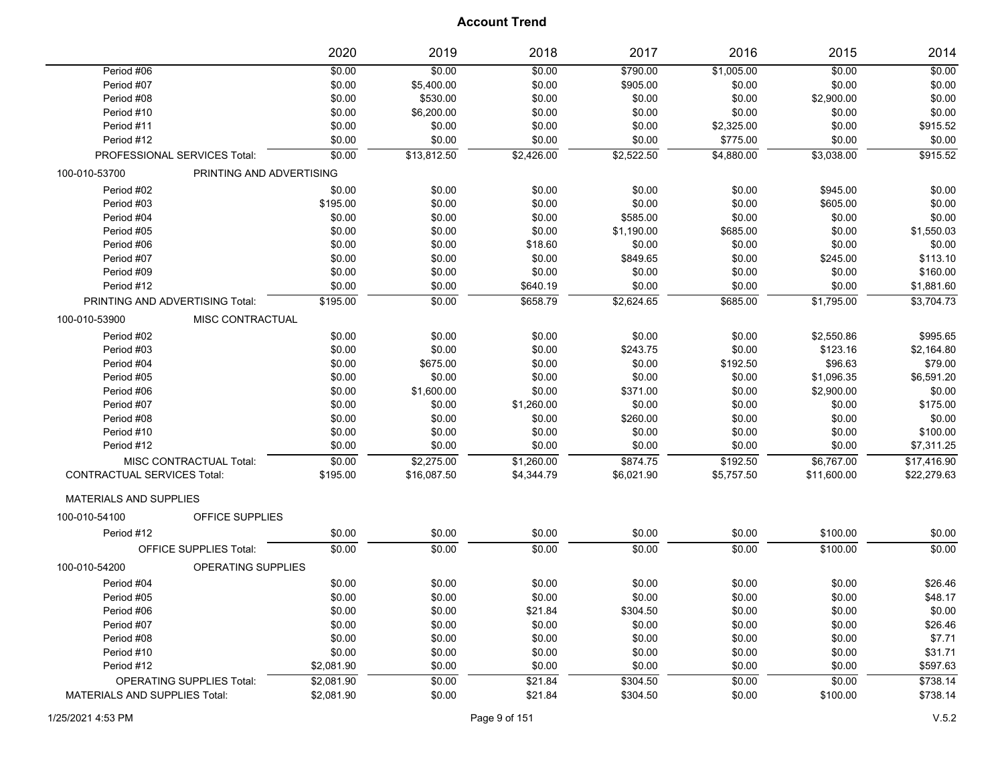|                                      |                                  | 2020             | 2019             | 2018             | 2017             | 2016       | 2015             | 2014               |
|--------------------------------------|----------------------------------|------------------|------------------|------------------|------------------|------------|------------------|--------------------|
| Period #06                           |                                  | \$0.00           | \$0.00           | \$0.00           | \$790.00         | \$1,005.00 | \$0.00           | \$0.00             |
| Period #07                           |                                  | \$0.00           | \$5,400.00       | \$0.00           | \$905.00         | \$0.00     | \$0.00           | \$0.00             |
| Period #08                           |                                  | \$0.00           | \$530.00         | \$0.00           | \$0.00           | \$0.00     | \$2,900.00       | \$0.00             |
| Period #10                           |                                  | \$0.00           | \$6,200.00       | \$0.00           | \$0.00           | \$0.00     | \$0.00           | \$0.00             |
| Period #11                           |                                  | \$0.00           | \$0.00           | \$0.00           | \$0.00           | \$2,325.00 | \$0.00           | \$915.52           |
| Period #12                           |                                  | \$0.00           | \$0.00           | \$0.00           | \$0.00           | \$775.00   | \$0.00           | \$0.00             |
|                                      | PROFESSIONAL SERVICES Total:     | \$0.00           | \$13,812.50      | \$2,426.00       | \$2,522.50       | \$4,880.00 | \$3,038.00       | \$915.52           |
| 100-010-53700                        | PRINTING AND ADVERTISING         |                  |                  |                  |                  |            |                  |                    |
| Period #02                           |                                  | \$0.00           | \$0.00           | \$0.00           | \$0.00           | \$0.00     | \$945.00         | \$0.00             |
| Period #03                           |                                  | \$195.00         | \$0.00           | \$0.00           | \$0.00           | \$0.00     | \$605.00         | \$0.00             |
| Period #04                           |                                  | \$0.00           | \$0.00           | \$0.00           | \$585.00         | \$0.00     | \$0.00           | \$0.00             |
| Period #05                           |                                  | \$0.00           | \$0.00           | \$0.00           | \$1,190.00       | \$685.00   | \$0.00           | \$1,550.03         |
| Period #06                           |                                  | \$0.00           | \$0.00           | \$18.60          | \$0.00           | \$0.00     | \$0.00           | \$0.00             |
| Period #07                           |                                  | \$0.00           | \$0.00           | \$0.00           | \$849.65         | \$0.00     | \$245.00         | \$113.10           |
| Period #09                           |                                  | \$0.00           | \$0.00           | \$0.00           | \$0.00           | \$0.00     | \$0.00           | \$160.00           |
| Period #12                           |                                  | \$0.00           | \$0.00           | \$640.19         | \$0.00           | \$0.00     | \$0.00           | \$1,881.60         |
|                                      | PRINTING AND ADVERTISING Total:  | \$195.00         | \$0.00           | \$658.79         | \$2,624.65       | \$685.00   | \$1.795.00       | \$3.704.73         |
| 100-010-53900                        | MISC CONTRACTUAL                 |                  |                  |                  |                  |            |                  |                    |
| Period #02                           |                                  | \$0.00           | \$0.00           | \$0.00           | \$0.00           | \$0.00     | \$2,550.86       | \$995.65           |
| Period #03                           |                                  | \$0.00           | \$0.00           | \$0.00           | \$243.75         | \$0.00     | \$123.16         | \$2,164.80         |
| Period #04                           |                                  | \$0.00           | \$675.00         | \$0.00           | \$0.00           | \$192.50   | \$96.63          | \$79.00            |
| Period #05                           |                                  | \$0.00           | \$0.00           | \$0.00           | \$0.00           | \$0.00     | \$1,096.35       | \$6,591.20         |
| Period #06                           |                                  | \$0.00           | \$1,600.00       | \$0.00           | \$371.00         | \$0.00     | \$2,900.00       | \$0.00             |
| Period #07                           |                                  | \$0.00           | \$0.00           | \$1,260.00       | \$0.00           | \$0.00     | \$0.00           | \$175.00           |
| Period #08                           |                                  | \$0.00           | \$0.00           | \$0.00           | \$260.00         | \$0.00     | \$0.00           | \$0.00             |
| Period #10                           |                                  | \$0.00           | \$0.00           | \$0.00           | \$0.00           | \$0.00     | \$0.00           | \$100.00           |
| Period #12                           |                                  | \$0.00           | \$0.00           | \$0.00           | \$0.00           | \$0.00     | \$0.00           | \$7,311.25         |
|                                      | <b>MISC CONTRACTUAL Total:</b>   | \$0.00           | \$2,275.00       | \$1,260.00       | \$874.75         | \$192.50   | \$6,767.00       | \$17,416.90        |
| <b>CONTRACTUAL SERVICES Total:</b>   |                                  | \$195.00         | \$16,087.50      | \$4,344.79       | \$6,021.90       | \$5,757.50 | \$11,600.00      | \$22,279.63        |
| <b>MATERIALS AND SUPPLIES</b>        |                                  |                  |                  |                  |                  |            |                  |                    |
| 100-010-54100                        | OFFICE SUPPLIES                  |                  |                  |                  |                  |            |                  |                    |
| Period #12                           |                                  | \$0.00           | \$0.00           | \$0.00           | \$0.00           | \$0.00     | \$100.00         | \$0.00             |
|                                      | <b>OFFICE SUPPLIES Total:</b>    | \$0.00           | \$0.00           | \$0.00           | \$0.00           | \$0.00     | \$100.00         | \$0.00             |
| 100-010-54200                        | <b>OPERATING SUPPLIES</b>        |                  |                  |                  |                  |            |                  |                    |
| Period #04                           |                                  |                  |                  |                  | \$0.00           | \$0.00     |                  |                    |
| Period #05                           |                                  | \$0.00<br>\$0.00 | \$0.00<br>\$0.00 | \$0.00<br>\$0.00 | \$0.00           | \$0.00     | \$0.00<br>\$0.00 | \$26.46<br>\$48.17 |
|                                      |                                  | \$0.00           |                  | \$21.84          |                  |            |                  |                    |
| Period #06                           |                                  |                  | \$0.00           |                  | \$304.50         | \$0.00     | \$0.00           | \$0.00             |
| Period #07                           |                                  | \$0.00           | \$0.00           | \$0.00           | \$0.00           | \$0.00     | \$0.00           | \$26.46            |
| Period #08                           |                                  | \$0.00           | \$0.00           | \$0.00           | \$0.00           | \$0.00     | \$0.00           | \$7.71             |
| Period #10<br>Period #12             |                                  | \$0.00           | \$0.00           | \$0.00<br>\$0.00 | \$0.00<br>\$0.00 | \$0.00     | \$0.00<br>\$0.00 | \$31.71            |
|                                      |                                  | \$2,081.90       | \$0.00           |                  |                  | \$0.00     |                  | \$597.63           |
|                                      | <b>OPERATING SUPPLIES Total:</b> | \$2,081.90       | \$0.00           | \$21.84          | \$304.50         | \$0.00     | \$0.00           | \$738.14           |
| <b>MATERIALS AND SUPPLIES Total:</b> |                                  | \$2,081.90       | \$0.00           | \$21.84          | \$304.50         | \$0.00     | \$100.00         | \$738.14           |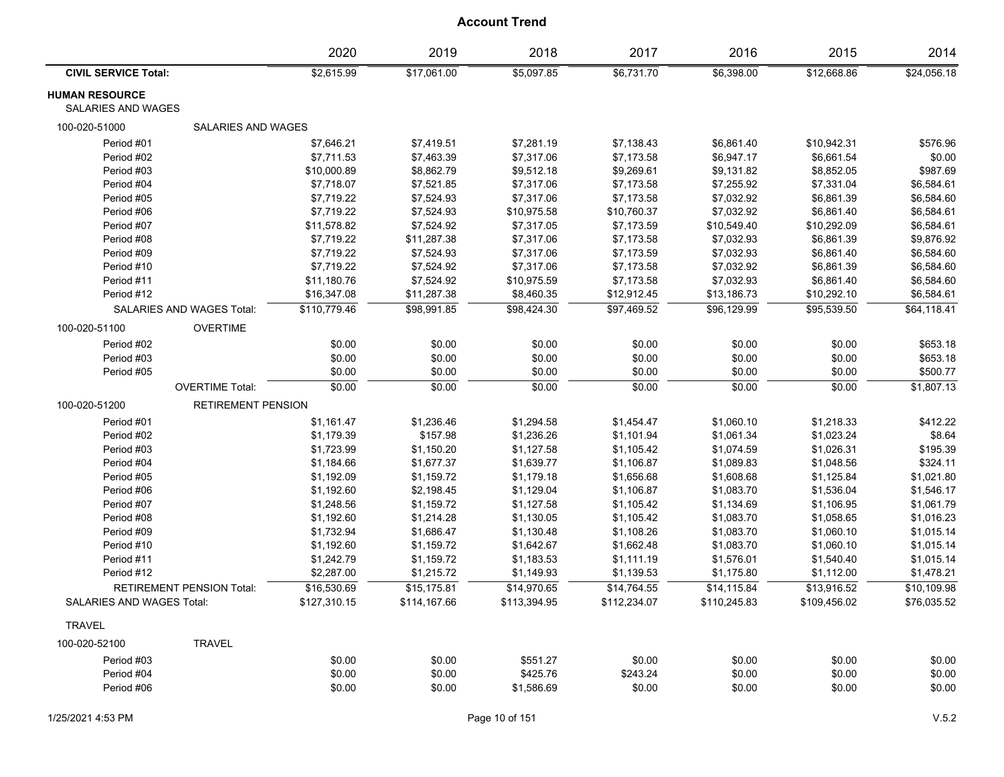|                                             |                                  | 2020         | 2019         | 2018         | 2017         | 2016         | 2015         | 2014        |
|---------------------------------------------|----------------------------------|--------------|--------------|--------------|--------------|--------------|--------------|-------------|
| <b>CIVIL SERVICE Total:</b>                 |                                  | \$2,615.99   | \$17,061.00  | \$5,097.85   | \$6,731.70   | \$6,398.00   | \$12,668.86  | \$24,056.18 |
| <b>HUMAN RESOURCE</b><br>SALARIES AND WAGES |                                  |              |              |              |              |              |              |             |
| 100-020-51000                               | <b>SALARIES AND WAGES</b>        |              |              |              |              |              |              |             |
| Period #01                                  |                                  | \$7,646.21   | \$7,419.51   | \$7,281.19   | \$7,138.43   | \$6,861.40   | \$10,942.31  | \$576.96    |
| Period #02                                  |                                  | \$7,711.53   | \$7,463.39   | \$7,317.06   | \$7,173.58   | \$6,947.17   | \$6,661.54   | \$0.00      |
| Period #03                                  |                                  | \$10,000.89  | \$8,862.79   | \$9,512.18   | \$9,269.61   | \$9,131.82   | \$8,852.05   | \$987.69    |
| Period #04                                  |                                  | \$7,718.07   | \$7,521.85   | \$7,317.06   | \$7,173.58   | \$7,255.92   | \$7,331.04   | \$6,584.61  |
| Period #05                                  |                                  | \$7,719.22   | \$7,524.93   | \$7,317.06   | \$7,173.58   | \$7,032.92   | \$6,861.39   | \$6,584.60  |
| Period #06                                  |                                  | \$7,719.22   | \$7,524.93   | \$10,975.58  | \$10,760.37  | \$7,032.92   | \$6,861.40   | \$6,584.61  |
| Period #07                                  |                                  | \$11,578.82  | \$7,524.92   | \$7,317.05   | \$7,173.59   | \$10,549.40  | \$10,292.09  | \$6,584.61  |
| Period #08                                  |                                  | \$7,719.22   | \$11,287.38  | \$7,317.06   | \$7,173.58   | \$7,032.93   | \$6,861.39   | \$9,876.92  |
| Period #09                                  |                                  | \$7,719.22   | \$7,524.93   | \$7,317.06   | \$7,173.59   | \$7,032.93   | \$6,861.40   | \$6,584.60  |
| Period #10                                  |                                  | \$7,719.22   | \$7,524.92   | \$7,317.06   | \$7,173.58   | \$7,032.92   | \$6,861.39   | \$6,584.60  |
| Period #11                                  |                                  | \$11,180.76  | \$7,524.92   | \$10,975.59  | \$7,173.58   | \$7,032.93   | \$6,861.40   | \$6,584.60  |
| Period #12                                  |                                  | \$16,347.08  | \$11,287.38  | \$8,460.35   | \$12,912.45  | \$13,186.73  | \$10,292.10  | \$6,584.61  |
|                                             | <b>SALARIES AND WAGES Total:</b> | \$110.779.46 | \$98.991.85  | \$98,424.30  | \$97,469.52  | \$96,129.99  | \$95,539.50  | \$64.118.41 |
| 100-020-51100                               | <b>OVERTIME</b>                  |              |              |              |              |              |              |             |
| Period #02                                  |                                  | \$0.00       | \$0.00       | \$0.00       | \$0.00       | \$0.00       | \$0.00       | \$653.18    |
| Period #03                                  |                                  | \$0.00       | \$0.00       | \$0.00       | \$0.00       | \$0.00       | \$0.00       | \$653.18    |
| Period #05                                  |                                  | \$0.00       | \$0.00       | \$0.00       | \$0.00       | \$0.00       | \$0.00       | \$500.77    |
|                                             | <b>OVERTIME Total:</b>           | \$0.00       | \$0.00       | \$0.00       | \$0.00       | \$0.00       | \$0.00       | \$1,807.13  |
| 100-020-51200                               | <b>RETIREMENT PENSION</b>        |              |              |              |              |              |              |             |
| Period #01                                  |                                  | \$1,161.47   | \$1,236.46   | \$1,294.58   | \$1,454.47   | \$1,060.10   | \$1,218.33   | \$412.22    |
| Period #02                                  |                                  | \$1,179.39   | \$157.98     | \$1,236.26   | \$1,101.94   | \$1,061.34   | \$1,023.24   | \$8.64      |
| Period #03                                  |                                  | \$1,723.99   | \$1,150.20   | \$1,127.58   | \$1,105.42   | \$1,074.59   | \$1,026.31   | \$195.39    |
| Period #04                                  |                                  | \$1,184.66   | \$1,677.37   | \$1,639.77   | \$1,106.87   | \$1,089.83   | \$1,048.56   | \$324.11    |
| Period #05                                  |                                  | \$1,192.09   | \$1,159.72   | \$1,179.18   | \$1,656.68   | \$1,608.68   | \$1,125.84   | \$1,021.80  |
| Period #06                                  |                                  | \$1,192.60   | \$2,198.45   | \$1,129.04   | \$1,106.87   | \$1,083.70   | \$1,536.04   | \$1,546.17  |
| Period #07                                  |                                  | \$1,248.56   | \$1,159.72   | \$1,127.58   | \$1,105.42   | \$1,134.69   | \$1,106.95   | \$1,061.79  |
| Period #08                                  |                                  | \$1,192.60   | \$1,214.28   | \$1,130.05   | \$1,105.42   | \$1,083.70   | \$1,058.65   | \$1,016.23  |
| Period #09                                  |                                  | \$1,732.94   | \$1,686.47   | \$1,130.48   | \$1,108.26   | \$1,083.70   | \$1,060.10   | \$1,015.14  |
| Period #10                                  |                                  | \$1,192.60   | \$1,159.72   | \$1,642.67   | \$1,662.48   | \$1,083.70   | \$1,060.10   | \$1,015.14  |
| Period #11                                  |                                  | \$1,242.79   | \$1,159.72   | \$1,183.53   | \$1,111.19   | \$1,576.01   | \$1,540.40   | \$1,015.14  |
| Period #12                                  |                                  | \$2,287.00   | \$1,215.72   | \$1,149.93   | \$1,139.53   | \$1,175.80   | \$1,112.00   | \$1,478.21  |
|                                             | <b>RETIREMENT PENSION Total:</b> | \$16,530.69  | \$15,175.81  | \$14,970.65  | \$14,764.55  | \$14,115.84  | \$13,916.52  | \$10,109.98 |
| <b>SALARIES AND WAGES Total:</b>            |                                  | \$127,310.15 | \$114,167.66 | \$113,394.95 | \$112,234.07 |              |              | \$76,035.52 |
|                                             |                                  |              |              |              |              | \$110,245.83 | \$109,456.02 |             |
| <b>TRAVEL</b>                               |                                  |              |              |              |              |              |              |             |
| 100-020-52100                               | <b>TRAVEL</b>                    |              |              |              |              |              |              |             |
| Period #03                                  |                                  |              | \$0.00       | \$551.27     | \$0.00       | \$0.00       | \$0.00       | \$0.00      |
|                                             |                                  | \$0.00       |              |              |              |              |              |             |
| Period #04                                  |                                  | \$0.00       | \$0.00       | \$425.76     | \$243.24     | \$0.00       | \$0.00       | \$0.00      |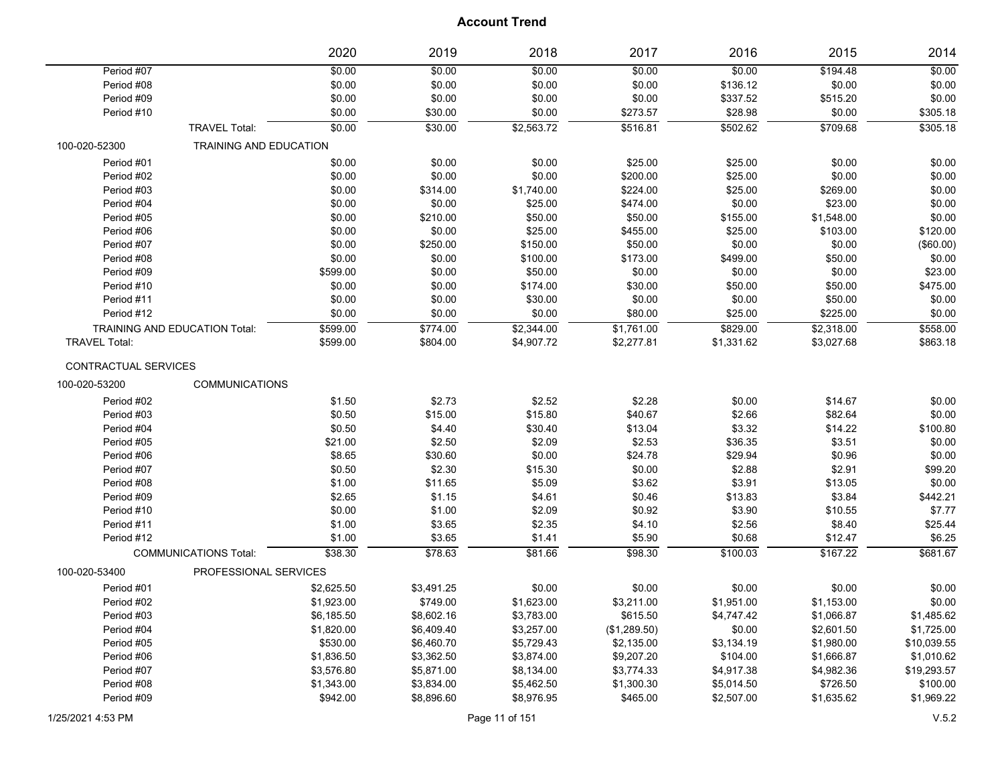|                      |                               | 2020       | 2019       | 2018       | 2017         | 2016       | 2015       | 2014        |
|----------------------|-------------------------------|------------|------------|------------|--------------|------------|------------|-------------|
| Period #07           |                               | \$0.00     | \$0.00     | \$0.00     | \$0.00       | \$0.00     | \$194.48   | \$0.00      |
| Period #08           |                               | \$0.00     | \$0.00     | \$0.00     | \$0.00       | \$136.12   | \$0.00     | \$0.00      |
| Period #09           |                               | \$0.00     | \$0.00     | \$0.00     | \$0.00       | \$337.52   | \$515.20   | \$0.00      |
| Period #10           |                               | \$0.00     | \$30.00    | \$0.00     | \$273.57     | \$28.98    | \$0.00     | \$305.18    |
|                      | <b>TRAVEL Total:</b>          | \$0.00     | \$30.00    | \$2,563.72 | \$516.81     | \$502.62   | \$709.68   | \$305.18    |
| 100-020-52300        | TRAINING AND EDUCATION        |            |            |            |              |            |            |             |
| Period #01           |                               | \$0.00     | \$0.00     | \$0.00     | \$25.00      | \$25.00    | \$0.00     | \$0.00      |
| Period #02           |                               | \$0.00     | \$0.00     | \$0.00     | \$200.00     | \$25.00    | \$0.00     | \$0.00      |
| Period #03           |                               | \$0.00     | \$314.00   | \$1,740.00 | \$224.00     | \$25.00    | \$269.00   | \$0.00      |
| Period #04           |                               | \$0.00     | \$0.00     | \$25.00    | \$474.00     | \$0.00     | \$23.00    | \$0.00      |
| Period #05           |                               | \$0.00     | \$210.00   | \$50.00    | \$50.00      | \$155.00   | \$1,548.00 | \$0.00      |
| Period #06           |                               | \$0.00     | \$0.00     | \$25.00    | \$455.00     | \$25.00    | \$103.00   | \$120.00    |
| Period #07           |                               | \$0.00     | \$250.00   | \$150.00   | \$50.00      | \$0.00     | \$0.00     | (\$60.00)   |
| Period #08           |                               | \$0.00     | \$0.00     | \$100.00   | \$173.00     | \$499.00   | \$50.00    | \$0.00      |
| Period #09           |                               | \$599.00   | \$0.00     | \$50.00    | \$0.00       | \$0.00     | \$0.00     | \$23.00     |
| Period #10           |                               | \$0.00     | \$0.00     | \$174.00   | \$30.00      | \$50.00    | \$50.00    | \$475.00    |
| Period #11           |                               | \$0.00     | \$0.00     | \$30.00    | \$0.00       | \$0.00     | \$50.00    | \$0.00      |
| Period #12           |                               | \$0.00     | \$0.00     | \$0.00     | \$80.00      | \$25.00    | \$225.00   | \$0.00      |
|                      | TRAINING AND EDUCATION Total: | \$599.00   | \$774.00   | \$2,344.00 | \$1,761.00   | \$829.00   | \$2,318.00 | \$558.00    |
| <b>TRAVEL Total:</b> |                               | \$599.00   | \$804.00   | \$4,907.72 | \$2,277.81   | \$1,331.62 | \$3,027.68 | \$863.18    |
| CONTRACTUAL SERVICES |                               |            |            |            |              |            |            |             |
| 100-020-53200        | <b>COMMUNICATIONS</b>         |            |            |            |              |            |            |             |
| Period #02           |                               | \$1.50     | \$2.73     | \$2.52     | \$2.28       | \$0.00     | \$14.67    | \$0.00      |
| Period #03           |                               | \$0.50     | \$15.00    | \$15.80    | \$40.67      | \$2.66     | \$82.64    | \$0.00      |
| Period #04           |                               | \$0.50     | \$4.40     | \$30.40    | \$13.04      | \$3.32     | \$14.22    | \$100.80    |
| Period #05           |                               | \$21.00    | \$2.50     | \$2.09     | \$2.53       | \$36.35    | \$3.51     | \$0.00      |
| Period #06           |                               | \$8.65     | \$30.60    | \$0.00     | \$24.78      | \$29.94    | \$0.96     | \$0.00      |
| Period #07           |                               | \$0.50     | \$2.30     | \$15.30    | \$0.00       | \$2.88     | \$2.91     | \$99.20     |
| Period #08           |                               | \$1.00     | \$11.65    | \$5.09     | \$3.62       | \$3.91     | \$13.05    | \$0.00      |
| Period #09           |                               | \$2.65     | \$1.15     | \$4.61     | \$0.46       | \$13.83    | \$3.84     | \$442.21    |
| Period #10           |                               | \$0.00     | \$1.00     | \$2.09     | \$0.92       | \$3.90     | \$10.55    | \$7.77      |
| Period #11           |                               | \$1.00     | \$3.65     | \$2.35     | \$4.10       | \$2.56     | \$8.40     | \$25.44     |
| Period #12           |                               | \$1.00     | \$3.65     | \$1.41     | \$5.90       | \$0.68     | \$12.47    | \$6.25      |
|                      | <b>COMMUNICATIONS Total:</b>  | \$38.30    | \$78.63    | \$81.66    | \$98.30      | \$100.03   | \$167.22   | \$681.67    |
| 100-020-53400        | PROFESSIONAL SERVICES         |            |            |            |              |            |            |             |
| Period #01           |                               | \$2,625.50 | \$3,491.25 | \$0.00     | \$0.00       | \$0.00     | \$0.00     | \$0.00      |
| Period #02           |                               | \$1,923.00 | \$749.00   | \$1,623.00 | \$3,211.00   | \$1,951.00 | \$1,153.00 | \$0.00      |
| Period #03           |                               | \$6,185.50 | \$8,602.16 | \$3,783.00 | \$615.50     | \$4,747.42 | \$1,066.87 | \$1,485.62  |
| Period #04           |                               | \$1,820.00 | \$6,409.40 | \$3,257.00 | (\$1,289.50) | \$0.00     | \$2,601.50 | \$1,725.00  |
| Period #05           |                               | \$530.00   | \$6,460.70 | \$5,729.43 | \$2,135.00   | \$3,134.19 | \$1,980.00 | \$10,039.55 |
| Period #06           |                               | \$1,836.50 | \$3,362.50 | \$3,874.00 | \$9,207.20   | \$104.00   | \$1,666.87 | \$1,010.62  |
| Period #07           |                               | \$3,576.80 | \$5,871.00 | \$8,134.00 | \$3,774.33   | \$4,917.38 | \$4,982.36 | \$19,293.57 |
| Period #08           |                               | \$1,343.00 | \$3,834.00 | \$5,462.50 | \$1,300.30   | \$5,014.50 | \$726.50   | \$100.00    |
| Period #09           |                               | \$942.00   | \$8,896.60 | \$8,976.95 | \$465.00     | \$2,507.00 | \$1,635.62 | \$1,969.22  |
|                      |                               |            |            |            |              |            |            |             |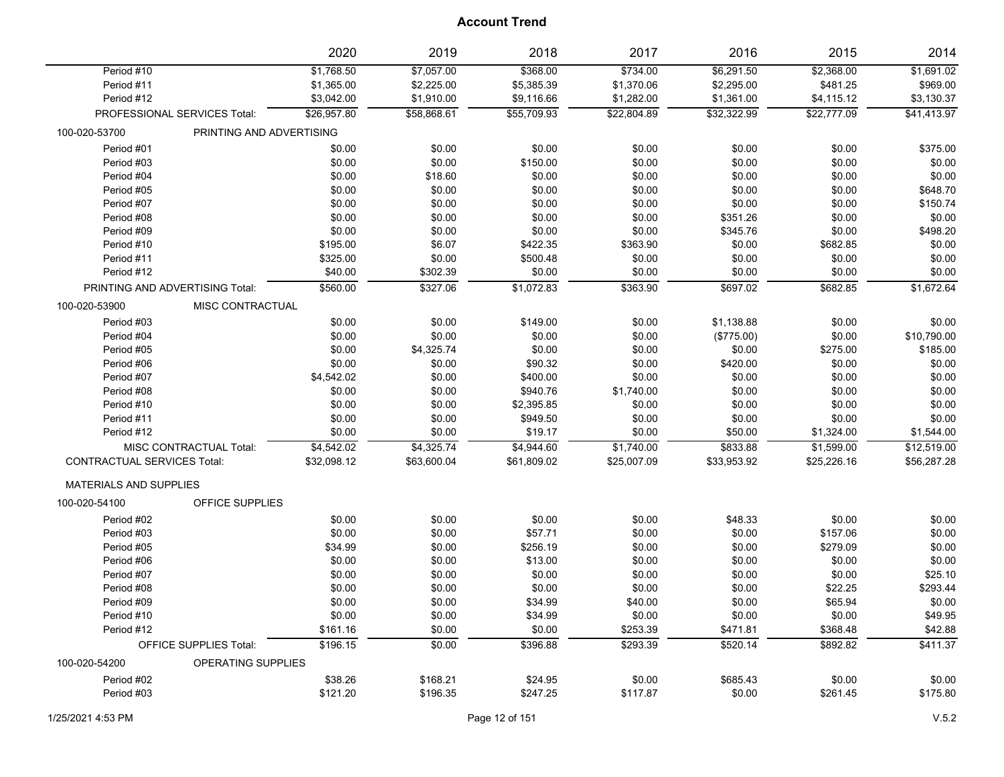|                                    |                                 | 2020        | 2019        | 2018        | 2017        | 2016        | 2015        | 2014        |
|------------------------------------|---------------------------------|-------------|-------------|-------------|-------------|-------------|-------------|-------------|
| Period #10                         |                                 | \$1,768.50  | \$7,057.00  | \$368.00    | \$734.00    | \$6,291.50  | \$2,368.00  | \$1,691.02  |
| Period #11                         |                                 | \$1,365.00  | \$2,225.00  | \$5,385.39  | \$1,370.06  | \$2,295.00  | \$481.25    | \$969.00    |
| Period #12                         |                                 | \$3,042.00  | \$1,910.00  | \$9,116.66  | \$1,282.00  | \$1,361.00  | \$4,115.12  | \$3,130.37  |
|                                    | PROFESSIONAL SERVICES Total:    | \$26,957.80 | \$58,868.61 | \$55,709.93 | \$22,804.89 | \$32,322.99 | \$22,777.09 | \$41,413.97 |
| 100-020-53700                      | PRINTING AND ADVERTISING        |             |             |             |             |             |             |             |
| Period #01                         |                                 | \$0.00      | \$0.00      | \$0.00      | \$0.00      | \$0.00      | \$0.00      | \$375.00    |
| Period #03                         |                                 | \$0.00      | \$0.00      | \$150.00    | \$0.00      | \$0.00      | \$0.00      | \$0.00      |
| Period #04                         |                                 | \$0.00      | \$18.60     | \$0.00      | \$0.00      | \$0.00      | \$0.00      | \$0.00      |
| Period #05                         |                                 | \$0.00      | \$0.00      | \$0.00      | \$0.00      | \$0.00      | \$0.00      | \$648.70    |
| Period #07                         |                                 | \$0.00      | \$0.00      | \$0.00      | \$0.00      | \$0.00      | \$0.00      | \$150.74    |
| Period #08                         |                                 | \$0.00      | \$0.00      | \$0.00      | \$0.00      | \$351.26    | \$0.00      | \$0.00      |
| Period #09                         |                                 | \$0.00      | \$0.00      | \$0.00      | \$0.00      | \$345.76    | \$0.00      | \$498.20    |
| Period #10                         |                                 | \$195.00    | \$6.07      | \$422.35    | \$363.90    | \$0.00      | \$682.85    | \$0.00      |
| Period #11                         |                                 | \$325.00    | \$0.00      | \$500.48    | \$0.00      | \$0.00      | \$0.00      | \$0.00      |
| Period #12                         |                                 | \$40.00     | \$302.39    | \$0.00      | \$0.00      | \$0.00      | \$0.00      | \$0.00      |
|                                    | PRINTING AND ADVERTISING Total: | \$560.00    | \$327.06    | \$1,072.83  | \$363.90    | \$697.02    | \$682.85    | \$1,672.64  |
| 100-020-53900                      | <b>MISC CONTRACTUAL</b>         |             |             |             |             |             |             |             |
| Period #03                         |                                 | \$0.00      | \$0.00      | \$149.00    | \$0.00      | \$1,138.88  | \$0.00      | \$0.00      |
| Period #04                         |                                 | \$0.00      | \$0.00      | \$0.00      | \$0.00      | (\$775.00)  | \$0.00      | \$10,790.00 |
| Period #05                         |                                 | \$0.00      | \$4,325.74  | \$0.00      | \$0.00      | \$0.00      | \$275.00    | \$185.00    |
| Period #06                         |                                 | \$0.00      | \$0.00      | \$90.32     | \$0.00      | \$420.00    | \$0.00      | \$0.00      |
| Period #07                         |                                 | \$4,542.02  | \$0.00      | \$400.00    | \$0.00      | \$0.00      | \$0.00      | \$0.00      |
| Period #08                         |                                 | \$0.00      | \$0.00      | \$940.76    | \$1,740.00  | \$0.00      | \$0.00      | \$0.00      |
| Period #10                         |                                 | \$0.00      | \$0.00      | \$2,395.85  | \$0.00      | \$0.00      | \$0.00      | \$0.00      |
| Period #11                         |                                 | \$0.00      | \$0.00      | \$949.50    | \$0.00      | \$0.00      | \$0.00      | \$0.00      |
| Period #12                         |                                 | \$0.00      | \$0.00      | \$19.17     | \$0.00      | \$50.00     | \$1,324.00  | \$1,544.00  |
|                                    | MISC CONTRACTUAL Total:         | \$4,542.02  | \$4,325.74  | \$4,944.60  | \$1,740.00  | \$833.88    | \$1,599.00  | \$12,519.00 |
| <b>CONTRACTUAL SERVICES Total:</b> |                                 | \$32,098.12 | \$63,600.04 | \$61,809.02 | \$25,007.09 | \$33,953.92 | \$25,226.16 | \$56,287.28 |
| <b>MATERIALS AND SUPPLIES</b>      |                                 |             |             |             |             |             |             |             |
| 100-020-54100                      | OFFICE SUPPLIES                 |             |             |             |             |             |             |             |
| Period #02                         |                                 | \$0.00      | \$0.00      | \$0.00      | \$0.00      | \$48.33     | \$0.00      | \$0.00      |
| Period #03                         |                                 | \$0.00      | \$0.00      | \$57.71     | \$0.00      | \$0.00      | \$157.06    | \$0.00      |
| Period #05                         |                                 | \$34.99     | \$0.00      | \$256.19    | \$0.00      | \$0.00      | \$279.09    | \$0.00      |
| Period #06                         |                                 | \$0.00      | \$0.00      | \$13.00     | \$0.00      | \$0.00      | \$0.00      | \$0.00      |
| Period #07                         |                                 | \$0.00      | \$0.00      | \$0.00      | \$0.00      | \$0.00      | \$0.00      | \$25.10     |
| Period #08                         |                                 | \$0.00      | \$0.00      | \$0.00      | \$0.00      | \$0.00      | \$22.25     | \$293.44    |
| Period #09                         |                                 | \$0.00      | \$0.00      | \$34.99     | \$40.00     | \$0.00      | \$65.94     | \$0.00      |
| Period #10                         |                                 | \$0.00      | \$0.00      | \$34.99     | \$0.00      | \$0.00      | \$0.00      | \$49.95     |
| Period #12                         |                                 | \$161.16    | \$0.00      | \$0.00      | \$253.39    | \$471.81    | \$368.48    | \$42.88     |
|                                    | <b>OFFICE SUPPLIES Total:</b>   | \$196.15    | \$0.00      | \$396.88    | \$293.39    | \$520.14    | \$892.82    | \$411.37    |
| 100-020-54200                      | OPERATING SUPPLIES              |             |             |             |             |             |             |             |
| Period #02                         |                                 | \$38.26     | \$168.21    | \$24.95     | \$0.00      | \$685.43    | \$0.00      | \$0.00      |
| Period #03                         |                                 | \$121.20    | \$196.35    | \$247.25    | \$117.87    | \$0.00      | \$261.45    | \$175.80    |
|                                    |                                 |             |             |             |             |             |             |             |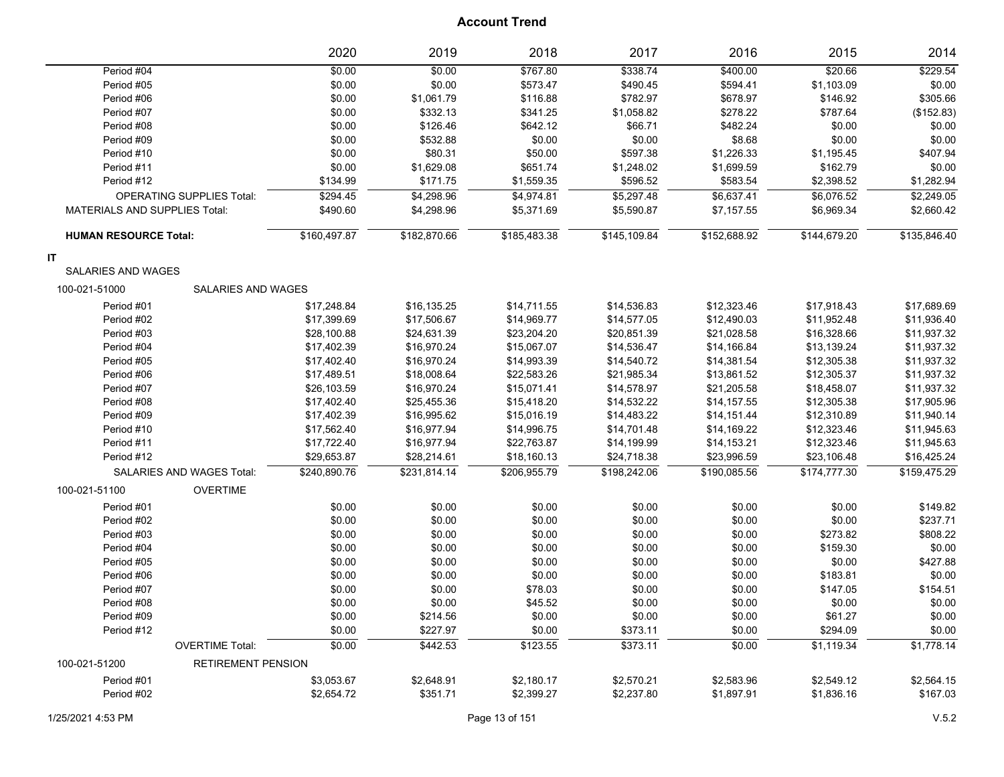|                                  |                           | 2020         | 2019         | 2018         | 2017         | 2016         | 2015         | 2014         |
|----------------------------------|---------------------------|--------------|--------------|--------------|--------------|--------------|--------------|--------------|
| Period #04                       |                           | \$0.00       | \$0.00       | \$767.80     | \$338.74     | \$400.00     | \$20.66      | \$229.54     |
| Period #05                       |                           | \$0.00       | \$0.00       | \$573.47     | \$490.45     | \$594.41     | \$1,103.09   | \$0.00       |
| Period #06                       |                           | \$0.00       | \$1,061.79   | \$116.88     | \$782.97     | \$678.97     | \$146.92     | \$305.66     |
| Period #07                       |                           | \$0.00       | \$332.13     | \$341.25     | \$1,058.82   | \$278.22     | \$787.64     | (\$152.83)   |
| Period #08                       |                           | \$0.00       | \$126.46     | \$642.12     | \$66.71      | \$482.24     | \$0.00       | \$0.00       |
| Period #09                       |                           | \$0.00       | \$532.88     | \$0.00       | \$0.00       | \$8.68       | \$0.00       | \$0.00       |
| Period #10                       |                           | \$0.00       | \$80.31      | \$50.00      | \$597.38     | \$1,226.33   | \$1,195.45   | \$407.94     |
| Period #11                       |                           | \$0.00       | \$1,629.08   | \$651.74     | \$1,248.02   | \$1,699.59   | \$162.79     | \$0.00       |
| Period #12                       |                           | \$134.99     | \$171.75     | \$1,559.35   | \$596.52     | \$583.54     | \$2,398.52   | \$1,282.94   |
| <b>OPERATING SUPPLIES Total:</b> |                           | \$294.45     | \$4,298.96   | \$4,974.81   | \$5,297.48   | \$6,637.41   | \$6,076.52   | \$2,249.05   |
| MATERIALS AND SUPPLIES Total:    |                           | \$490.60     | \$4,298.96   | \$5,371.69   | \$5,590.87   | \$7,157.55   | \$6,969.34   | \$2,660.42   |
| <b>HUMAN RESOURCE Total:</b>     |                           | \$160,497.87 | \$182,870.66 | \$185,483.38 | \$145,109.84 | \$152,688.92 | \$144,679.20 | \$135,846.40 |
| <b>IT</b>                        |                           |              |              |              |              |              |              |              |
| <b>SALARIES AND WAGES</b>        |                           |              |              |              |              |              |              |              |
| 100-021-51000                    | SALARIES AND WAGES        |              |              |              |              |              |              |              |
| Period #01                       |                           | \$17,248.84  | \$16,135.25  | \$14,711.55  | \$14,536.83  | \$12,323.46  | \$17,918.43  | \$17,689.69  |
| Period #02                       |                           | \$17,399.69  | \$17,506.67  | \$14,969.77  | \$14,577.05  | \$12,490.03  | \$11,952.48  | \$11,936.40  |
| Period #03                       |                           | \$28,100.88  | \$24,631.39  | \$23,204.20  | \$20,851.39  | \$21,028.58  | \$16,328.66  | \$11,937.32  |
| Period #04                       |                           | \$17,402.39  | \$16,970.24  | \$15,067.07  | \$14,536.47  | \$14,166.84  | \$13,139.24  | \$11,937.32  |
| Period #05                       |                           | \$17,402.40  | \$16,970.24  | \$14,993.39  | \$14,540.72  | \$14,381.54  | \$12,305.38  | \$11,937.32  |
| Period #06                       |                           | \$17,489.51  | \$18,008.64  | \$22,583.26  | \$21,985.34  | \$13,861.52  | \$12,305.37  | \$11,937.32  |
| Period #07                       |                           | \$26,103.59  | \$16,970.24  | \$15,071.41  | \$14,578.97  | \$21,205.58  | \$18,458.07  | \$11,937.32  |
| Period #08                       |                           | \$17,402.40  | \$25,455.36  | \$15,418.20  | \$14,532.22  | \$14,157.55  | \$12,305.38  | \$17,905.96  |
| Period #09                       |                           | \$17,402.39  | \$16,995.62  | \$15,016.19  | \$14,483.22  | \$14,151.44  | \$12,310.89  | \$11,940.14  |
| Period #10                       |                           | \$17,562.40  | \$16,977.94  | \$14,996.75  | \$14,701.48  | \$14,169.22  | \$12,323.46  | \$11,945.63  |
| Period #11                       |                           | \$17,722.40  | \$16,977.94  | \$22,763.87  | \$14,199.99  | \$14,153.21  | \$12,323.46  | \$11,945.63  |
| Period #12                       |                           | \$29,653.87  | \$28,214.61  | \$18,160.13  | \$24,718.38  | \$23,996.59  | \$23,106.48  | \$16,425.24  |
| SALARIES AND WAGES Total:        |                           | \$240,890.76 | \$231,814.14 | \$206,955.79 | \$198,242.06 | \$190,085.56 | \$174,777.30 | \$159,475.29 |
| 100-021-51100                    | <b>OVERTIME</b>           |              |              |              |              |              |              |              |
| Period #01                       |                           | \$0.00       | \$0.00       | \$0.00       | \$0.00       | \$0.00       | \$0.00       | \$149.82     |
| Period #02                       |                           | \$0.00       | \$0.00       | \$0.00       | \$0.00       | \$0.00       | \$0.00       | \$237.71     |
| Period #03                       |                           | \$0.00       | \$0.00       | \$0.00       | \$0.00       | \$0.00       | \$273.82     | \$808.22     |
| Period #04                       |                           | \$0.00       | \$0.00       | \$0.00       | \$0.00       | \$0.00       | \$159.30     | \$0.00       |
| Period #05                       |                           | \$0.00       | \$0.00       | \$0.00       | \$0.00       | \$0.00       | \$0.00       | \$427.88     |
| Period #06                       |                           | \$0.00       | \$0.00       | \$0.00       | \$0.00       | \$0.00       | \$183.81     | \$0.00       |
| Period #07                       |                           | \$0.00       | \$0.00       | \$78.03      | \$0.00       | \$0.00       | \$147.05     | \$154.51     |
| Period #08                       |                           | \$0.00       | \$0.00       | \$45.52      | \$0.00       | \$0.00       | \$0.00       | \$0.00       |
| Period #09                       |                           | \$0.00       | \$214.56     | \$0.00       | \$0.00       | \$0.00       | \$61.27      | \$0.00       |
| Period #12                       |                           | \$0.00       | \$227.97     | \$0.00       | \$373.11     | \$0.00       | \$294.09     | \$0.00       |
|                                  | <b>OVERTIME Total:</b>    | \$0.00       | \$442.53     | \$123.55     | \$373.11     | \$0.00       | \$1,119.34   | \$1,778.14   |
| 100-021-51200                    | <b>RETIREMENT PENSION</b> |              |              |              |              |              |              |              |
| Period #01                       |                           | \$3,053.67   | \$2,648.91   | \$2,180.17   | \$2,570.21   | \$2,583.96   | \$2,549.12   | \$2,564.15   |
| Period #02                       |                           | \$2,654.72   | \$351.71     | \$2,399.27   | \$2,237.80   | \$1,897.91   | \$1,836.16   | \$167.03     |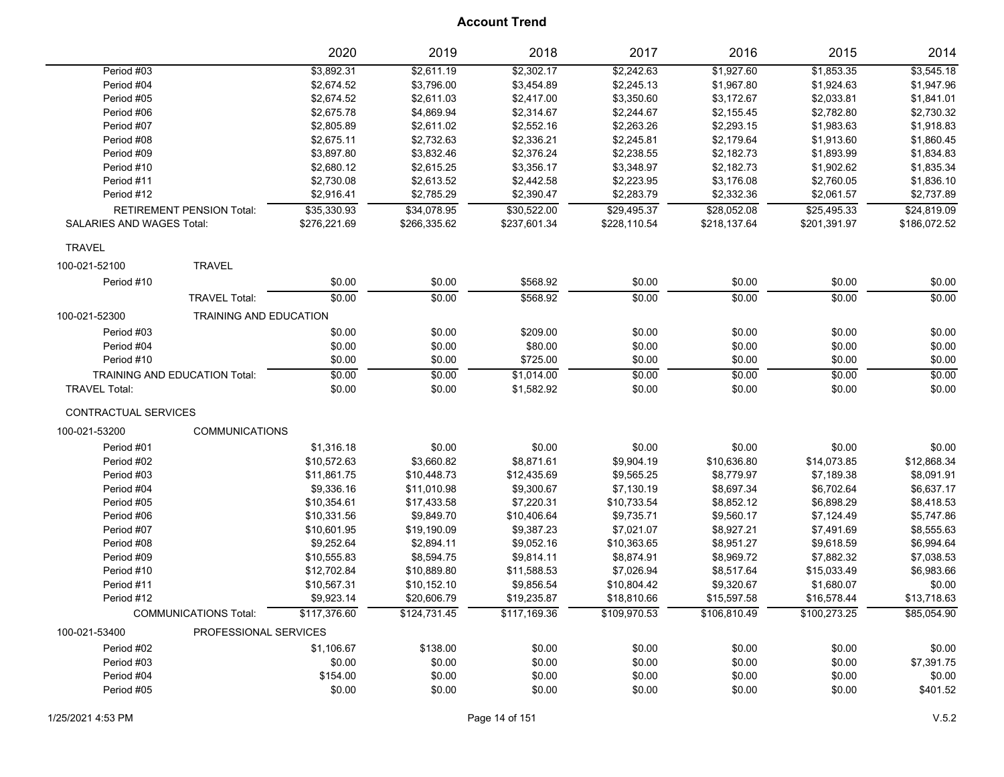|                                  |                                      | 2020         | 2019         | 2018         | 2017         | 2016         | 2015         | 2014         |
|----------------------------------|--------------------------------------|--------------|--------------|--------------|--------------|--------------|--------------|--------------|
| Period #03                       |                                      | \$3,892.31   | \$2,611.19   | \$2,302.17   | \$2,242.63   | \$1,927.60   | \$1,853.35   | \$3,545.18   |
| Period #04                       |                                      | \$2,674.52   | \$3,796.00   | \$3,454.89   | \$2,245.13   | \$1,967.80   | \$1,924.63   | \$1,947.96   |
| Period #05                       |                                      | \$2,674.52   | \$2,611.03   | \$2,417.00   | \$3,350.60   | \$3,172.67   | \$2,033.81   | \$1,841.01   |
| Period #06                       |                                      | \$2,675.78   | \$4,869.94   | \$2,314.67   | \$2,244.67   | \$2,155.45   | \$2,782.80   | \$2,730.32   |
| Period #07                       |                                      | \$2,805.89   | \$2,611.02   | \$2,552.16   | \$2,263.26   | \$2,293.15   | \$1,983.63   | \$1,918.83   |
| Period #08                       |                                      | \$2,675.11   | \$2,732.63   | \$2,336.21   | \$2,245.81   | \$2,179.64   | \$1,913.60   | \$1,860.45   |
| Period #09                       |                                      | \$3,897.80   | \$3,832.46   | \$2,376.24   | \$2,238.55   | \$2,182.73   | \$1,893.99   | \$1,834.83   |
| Period #10                       |                                      | \$2,680.12   | \$2,615.25   | \$3,356.17   | \$3,348.97   | \$2,182.73   | \$1,902.62   | \$1,835.34   |
| Period #11                       |                                      | \$2,730.08   | \$2,613.52   | \$2,442.58   | \$2,223.95   | \$3,176.08   | \$2,760.05   | \$1,836.10   |
| Period #12                       |                                      | \$2,916.41   | \$2,785.29   | \$2,390.47   | \$2,283.79   | \$2,332.36   | \$2,061.57   | \$2,737.89   |
|                                  | <b>RETIREMENT PENSION Total:</b>     | \$35,330.93  | \$34,078.95  | \$30,522.00  | \$29,495.37  | \$28,052.08  | \$25,495.33  | \$24,819.09  |
| <b>SALARIES AND WAGES Total:</b> |                                      | \$276,221.69 | \$266,335.62 | \$237,601.34 | \$228,110.54 | \$218,137.64 | \$201,391.97 | \$186,072.52 |
| <b>TRAVEL</b>                    |                                      |              |              |              |              |              |              |              |
| 100-021-52100                    | <b>TRAVEL</b>                        |              |              |              |              |              |              |              |
| Period #10                       |                                      | \$0.00       | \$0.00       | \$568.92     | \$0.00       | \$0.00       | \$0.00       | \$0.00       |
|                                  | <b>TRAVEL Total:</b>                 | \$0.00       | \$0.00       | \$568.92     | \$0.00       | \$0.00       | \$0.00       | \$0.00       |
| 100-021-52300                    | <b>TRAINING AND EDUCATION</b>        |              |              |              |              |              |              |              |
| Period #03                       |                                      | \$0.00       | \$0.00       | \$209.00     | \$0.00       | \$0.00       | \$0.00       | \$0.00       |
| Period #04                       |                                      | \$0.00       | \$0.00       | \$80.00      | \$0.00       | \$0.00       | \$0.00       | \$0.00       |
| Period #10                       |                                      | \$0.00       | \$0.00       | \$725.00     | \$0.00       | \$0.00       | \$0.00       | \$0.00       |
|                                  | <b>TRAINING AND EDUCATION Total:</b> | \$0.00       | \$0.00       | \$1,014.00   | \$0.00       | \$0.00       | \$0.00       | \$0.00       |
| <b>TRAVEL Total:</b>             |                                      | \$0.00       | \$0.00       | \$1,582.92   | \$0.00       | \$0.00       | \$0.00       | \$0.00       |
| <b>CONTRACTUAL SERVICES</b>      |                                      |              |              |              |              |              |              |              |
| 100-021-53200                    | <b>COMMUNICATIONS</b>                |              |              |              |              |              |              |              |
| Period #01                       |                                      | \$1,316.18   | \$0.00       | \$0.00       | \$0.00       | \$0.00       | \$0.00       | \$0.00       |
| Period #02                       |                                      | \$10,572.63  | \$3,660.82   | \$8,871.61   | \$9,904.19   | \$10,636.80  | \$14,073.85  | \$12,868.34  |
| Period #03                       |                                      | \$11,861.75  | \$10,448.73  | \$12,435.69  | \$9,565.25   | \$8,779.97   | \$7,189.38   | \$8,091.91   |
| Period #04                       |                                      | \$9,336.16   | \$11,010.98  | \$9,300.67   | \$7,130.19   | \$8,697.34   | \$6,702.64   | \$6,637.17   |
| Period #05                       |                                      | \$10,354.61  | \$17,433.58  | \$7,220.31   | \$10,733.54  | \$8,852.12   | \$6,898.29   | \$8,418.53   |
| Period #06                       |                                      | \$10,331.56  | \$9,849.70   | \$10,406.64  | \$9,735.71   | \$9,560.17   | \$7,124.49   | \$5,747.86   |
| Period #07                       |                                      | \$10,601.95  | \$19,190.09  | \$9,387.23   | \$7,021.07   | \$8,927.21   | \$7,491.69   | \$8,555.63   |
| Period #08                       |                                      | \$9,252.64   | \$2,894.11   | \$9,052.16   | \$10,363.65  | \$8,951.27   | \$9,618.59   | \$6,994.64   |
| Period #09                       |                                      | \$10,555.83  | \$8,594.75   | \$9,814.11   | \$8,874.91   | \$8,969.72   | \$7,882.32   | \$7,038.53   |
| Period #10                       |                                      | \$12,702.84  | \$10,889.80  | \$11,588.53  | \$7,026.94   | \$8,517.64   | \$15,033.49  | \$6,983.66   |
| Period #11                       |                                      | \$10,567.31  | \$10,152.10  | \$9,856.54   | \$10,804.42  | \$9,320.67   | \$1,680.07   | \$0.00       |
| Period #12                       |                                      | \$9,923.14   | \$20,606.79  | \$19,235.87  | \$18,810.66  | \$15,597.58  | \$16,578.44  | \$13,718.63  |
|                                  | <b>COMMUNICATIONS Total:</b>         | \$117,376.60 | \$124.731.45 | \$117.169.36 | \$109.970.53 | \$106,810.49 | \$100.273.25 | \$85,054.90  |
| 100-021-53400                    | PROFESSIONAL SERVICES                |              |              |              |              |              |              |              |
| Period #02                       |                                      | \$1,106.67   | \$138.00     | \$0.00       | \$0.00       | \$0.00       | \$0.00       | \$0.00       |
| Period #03                       |                                      | \$0.00       | \$0.00       | \$0.00       | \$0.00       | \$0.00       | \$0.00       | \$7,391.75   |
| Period #04                       |                                      | \$154.00     | \$0.00       | \$0.00       | \$0.00       | \$0.00       | \$0.00       | \$0.00       |
| Period #05                       |                                      | \$0.00       | \$0.00       | \$0.00       | \$0.00       | \$0.00       | \$0.00       | \$401.52     |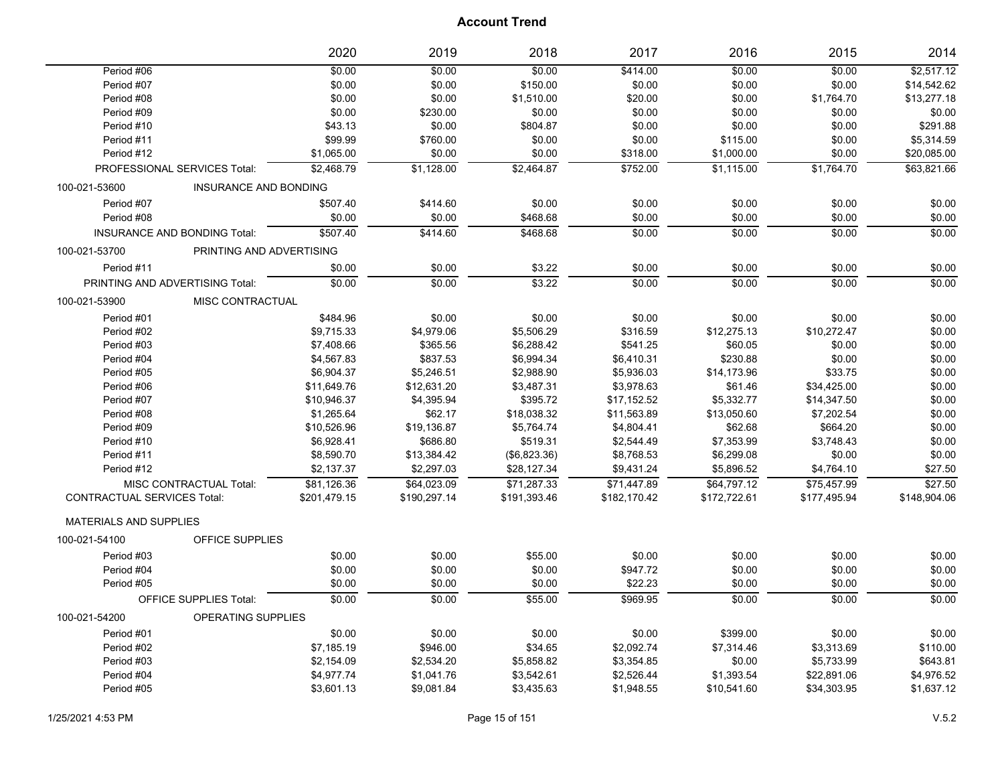|                                    |                                 | 2020                        | 2019                        | 2018                        | 2017                        | 2016                        | 2015                        | 2014                    |
|------------------------------------|---------------------------------|-----------------------------|-----------------------------|-----------------------------|-----------------------------|-----------------------------|-----------------------------|-------------------------|
| Period #06                         |                                 | \$0.00                      | \$0.00                      | \$0.00                      | \$414.00                    | \$0.00                      | \$0.00                      | \$2,517.12              |
| Period #07                         |                                 | \$0.00                      | \$0.00                      | \$150.00                    | \$0.00                      | \$0.00                      | \$0.00                      | \$14.542.62             |
| Period #08                         |                                 | \$0.00                      | \$0.00                      | \$1,510.00                  | \$20.00                     | \$0.00                      | \$1,764.70                  | \$13,277.18             |
| Period #09                         |                                 | \$0.00                      | \$230.00                    | \$0.00                      | \$0.00                      | \$0.00                      | \$0.00                      | \$0.00                  |
| Period #10                         |                                 | \$43.13                     | \$0.00                      | \$804.87                    | \$0.00                      | \$0.00                      | \$0.00                      | \$291.88                |
| Period #11                         |                                 | \$99.99                     | \$760.00                    | \$0.00                      | \$0.00                      | \$115.00                    | \$0.00                      | \$5,314.59              |
| Period #12                         |                                 | \$1,065.00                  | \$0.00                      | \$0.00                      | \$318.00                    | \$1,000.00                  | \$0.00                      | \$20,085.00             |
|                                    | PROFESSIONAL SERVICES Total:    | \$2,468.79                  | \$1,128.00                  | \$2,464.87                  | \$752.00                    | \$1,115.00                  | \$1,764.70                  | \$63,821.66             |
| 100-021-53600                      | <b>INSURANCE AND BONDING</b>    |                             |                             |                             |                             |                             |                             |                         |
| Period #07                         |                                 | \$507.40                    | \$414.60                    | \$0.00                      | \$0.00                      | \$0.00                      | \$0.00                      | \$0.00                  |
| Period #08                         |                                 | \$0.00                      | \$0.00                      | \$468.68                    | \$0.00                      | \$0.00                      | \$0.00                      | \$0.00                  |
|                                    | INSURANCE AND BONDING Total:    | \$507.40                    | \$414.60                    | \$468.68                    | \$0.00                      | \$0.00                      | \$0.00                      | \$0.00                  |
| 100-021-53700                      | PRINTING AND ADVERTISING        |                             |                             |                             |                             |                             |                             |                         |
| Period #11                         |                                 | \$0.00                      | \$0.00                      | \$3.22                      | \$0.00                      | \$0.00                      | \$0.00                      | \$0.00                  |
|                                    | PRINTING AND ADVERTISING Total: | \$0.00                      | \$0.00                      | \$3.22                      | \$0.00                      | \$0.00                      | \$0.00                      | \$0.00                  |
| 100-021-53900                      | MISC CONTRACTUAL                |                             |                             |                             |                             |                             |                             |                         |
| Period #01                         |                                 | \$484.96                    | \$0.00                      | \$0.00                      | \$0.00                      | \$0.00                      | \$0.00                      | \$0.00                  |
| Period #02                         |                                 | \$9,715.33                  | \$4,979.06                  | \$5,506.29                  | \$316.59                    | \$12,275.13                 | \$10,272.47                 | \$0.00                  |
| Period #03                         |                                 | \$7,408.66                  | \$365.56                    | \$6,288.42                  | \$541.25                    | \$60.05                     | \$0.00                      | \$0.00                  |
| Period #04                         |                                 | \$4,567.83                  | \$837.53                    | \$6,994.34                  | \$6,410.31                  | \$230.88                    | \$0.00                      | \$0.00                  |
| Period #05                         |                                 | \$6,904.37                  | \$5,246.51                  | \$2,988.90                  | \$5,936.03                  | \$14,173.96                 | \$33.75                     | \$0.00                  |
| Period #06                         |                                 | \$11,649.76                 | \$12,631.20                 | \$3,487.31                  | \$3,978.63                  | \$61.46                     | \$34,425.00                 | \$0.00                  |
| Period #07                         |                                 | \$10,946.37                 | \$4,395.94                  | \$395.72                    | \$17,152.52                 | \$5,332.77                  | \$14,347.50                 | \$0.00                  |
| Period #08                         |                                 | \$1,265.64                  | \$62.17                     | \$18,038.32                 | \$11,563.89                 | \$13,050.60                 | \$7,202.54                  | \$0.00                  |
| Period #09                         |                                 | \$10,526.96                 | \$19,136.87                 | \$5,764.74                  | \$4,804.41                  | \$62.68                     | \$664.20                    | \$0.00                  |
| Period #10                         |                                 | \$6,928.41                  | \$686.80                    | \$519.31                    | \$2,544.49                  | \$7,353.99                  | \$3,748.43                  | \$0.00                  |
| Period #11                         |                                 | \$8,590.70                  | \$13,384.42                 | (\$6,823.36)                | \$8,768.53                  | \$6,299.08                  | \$0.00                      | \$0.00                  |
| Period #12                         |                                 | \$2,137.37                  | \$2,297.03                  | \$28,127.34                 | \$9,431.24                  | \$5,896.52                  | \$4,764.10                  | \$27.50                 |
| <b>CONTRACTUAL SERVICES Total:</b> | <b>MISC CONTRACTUAL Total:</b>  | \$81,126.36<br>\$201,479.15 | \$64,023.09<br>\$190,297.14 | \$71,287.33<br>\$191,393.46 | \$71,447.89<br>\$182,170.42 | \$64,797.12<br>\$172,722.61 | \$75,457.99<br>\$177,495.94 | \$27.50<br>\$148,904.06 |
|                                    |                                 |                             |                             |                             |                             |                             |                             |                         |
| <b>MATERIALS AND SUPPLIES</b>      |                                 |                             |                             |                             |                             |                             |                             |                         |
| 100-021-54100                      | <b>OFFICE SUPPLIES</b>          |                             |                             |                             |                             |                             |                             |                         |
| Period #03                         |                                 | \$0.00                      | \$0.00                      | \$55.00                     | \$0.00                      | \$0.00                      | \$0.00                      | \$0.00                  |
| Period #04                         |                                 | \$0.00                      | \$0.00                      | \$0.00                      | \$947.72                    | \$0.00                      | \$0.00                      | \$0.00                  |
| Period #05                         |                                 | \$0.00                      | \$0.00                      | \$0.00                      | \$22.23                     | \$0.00                      | \$0.00                      | \$0.00                  |
|                                    | <b>OFFICE SUPPLIES Total:</b>   | \$0.00                      | \$0.00                      | \$55.00                     | \$969.95                    | \$0.00                      | \$0.00                      | \$0.00                  |
| 100-021-54200                      | OPERATING SUPPLIES              |                             |                             |                             |                             |                             |                             |                         |
| Period #01                         |                                 | \$0.00                      | \$0.00                      | \$0.00                      | \$0.00                      | \$399.00                    | \$0.00                      | \$0.00                  |
| Period #02                         |                                 | \$7,185.19                  | \$946.00                    | \$34.65                     | \$2,092.74                  | \$7,314.46                  | \$3,313.69                  | \$110.00                |
| Period #03                         |                                 | \$2,154.09                  | \$2,534.20                  | \$5,858.82                  | \$3,354.85                  | \$0.00                      | \$5,733.99                  | \$643.81                |
| Period #04                         |                                 | \$4,977.74                  | \$1,041.76                  | \$3,542.61                  | \$2,526.44                  | \$1,393.54                  | \$22,891.06                 | \$4,976.52              |
| Period #05                         |                                 | \$3,601.13                  | \$9,081.84                  | \$3,435.63                  | \$1,948.55                  | \$10,541.60                 | \$34,303.95                 | \$1,637.12              |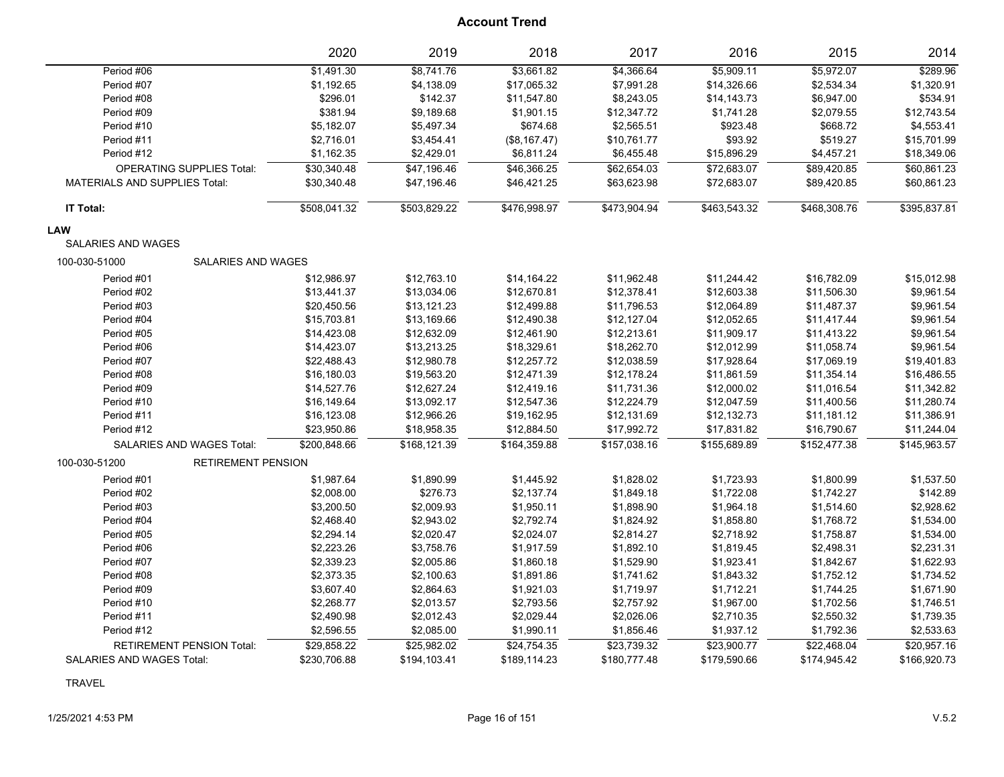|                                            | 2020         | 2019         | 2018         | 2017         | 2016         | 2015         | 2014         |
|--------------------------------------------|--------------|--------------|--------------|--------------|--------------|--------------|--------------|
| Period #06                                 | \$1,491.30   | \$8,741.76   | \$3,661.82   | \$4,366.64   | \$5,909.11   | \$5,972.07   | \$289.96     |
| Period #07                                 | \$1,192.65   | \$4,138.09   | \$17,065.32  | \$7,991.28   | \$14,326.66  | \$2,534.34   | \$1,320.91   |
| Period #08                                 | \$296.01     | \$142.37     | \$11,547.80  | \$8,243.05   | \$14,143.73  | \$6,947.00   | \$534.91     |
| Period #09                                 | \$381.94     | \$9,189.68   | \$1,901.15   | \$12,347.72  | \$1,741.28   | \$2,079.55   | \$12,743.54  |
| Period #10                                 | \$5,182.07   | \$5,497.34   | \$674.68     | \$2,565.51   | \$923.48     | \$668.72     | \$4,553.41   |
| Period #11                                 | \$2,716.01   | \$3,454.41   | (\$8,167.47) | \$10,761.77  | \$93.92      | \$519.27     | \$15,701.99  |
| Period #12                                 | \$1,162.35   | \$2,429.01   | \$6,811.24   | \$6,455.48   | \$15,896.29  | \$4,457.21   | \$18,349.06  |
| <b>OPERATING SUPPLIES Total:</b>           | \$30,340.48  | \$47,196.46  | \$46,366.25  | \$62,654.03  | \$72,683.07  | \$89,420.85  | \$60,861.23  |
| <b>MATERIALS AND SUPPLIES Total:</b>       | \$30,340.48  | \$47,196.46  | \$46,421.25  | \$63,623.98  | \$72,683.07  | \$89,420.85  | \$60,861.23  |
| <b>IT Total:</b>                           | \$508,041.32 | \$503,829.22 | \$476,998.97 | \$473,904.94 | \$463,543.32 | \$468,308.76 | \$395,837.81 |
| LAW                                        |              |              |              |              |              |              |              |
| <b>SALARIES AND WAGES</b>                  |              |              |              |              |              |              |              |
| 100-030-51000<br><b>SALARIES AND WAGES</b> |              |              |              |              |              |              |              |
| Period #01                                 | \$12,986.97  | \$12,763.10  | \$14,164.22  | \$11,962.48  | \$11,244.42  | \$16,782.09  | \$15,012.98  |
| Period #02                                 | \$13,441.37  | \$13,034.06  | \$12,670.81  | \$12,378.41  | \$12,603.38  | \$11,506.30  | \$9,961.54   |
| Period #03                                 | \$20,450.56  | \$13,121.23  | \$12,499.88  | \$11,796.53  | \$12,064.89  | \$11,487.37  | \$9,961.54   |
| Period #04                                 | \$15,703.81  | \$13,169.66  | \$12,490.38  | \$12,127.04  | \$12,052.65  | \$11,417.44  | \$9,961.54   |
| Period #05                                 | \$14,423.08  | \$12,632.09  | \$12,461.90  | \$12,213.61  | \$11,909.17  | \$11,413.22  | \$9,961.54   |
| Period #06                                 | \$14,423.07  | \$13,213.25  | \$18,329.61  | \$18,262.70  | \$12,012.99  | \$11,058.74  | \$9,961.54   |
| Period #07                                 | \$22,488.43  | \$12,980.78  | \$12,257.72  | \$12,038.59  | \$17,928.64  | \$17,069.19  | \$19,401.83  |
| Period #08                                 | \$16,180.03  | \$19,563.20  | \$12,471.39  | \$12,178.24  | \$11,861.59  | \$11,354.14  | \$16,486.55  |
| Period #09                                 | \$14,527.76  | \$12,627.24  | \$12,419.16  | \$11,731.36  | \$12,000.02  | \$11,016.54  | \$11,342.82  |
| Period #10                                 | \$16,149.64  | \$13,092.17  | \$12,547.36  | \$12,224.79  | \$12,047.59  | \$11,400.56  | \$11,280.74  |
| Period #11                                 | \$16,123.08  | \$12,966.26  | \$19,162.95  | \$12,131.69  | \$12,132.73  | \$11,181.12  | \$11,386.91  |
| Period #12                                 | \$23,950.86  | \$18,958.35  | \$12,884.50  | \$17,992.72  | \$17,831.82  | \$16,790.67  | \$11,244.04  |
| SALARIES AND WAGES Total:                  | \$200,848.66 | \$168,121.39 | \$164,359.88 | \$157,038.16 | \$155,689.89 | \$152,477.38 | \$145,963.57 |
| <b>RETIREMENT PENSION</b><br>100-030-51200 |              |              |              |              |              |              |              |
| Period #01                                 | \$1,987.64   | \$1,890.99   | \$1,445.92   | \$1,828.02   | \$1,723.93   | \$1,800.99   | \$1,537.50   |
| Period #02                                 | \$2,008.00   | \$276.73     | \$2,137.74   | \$1,849.18   | \$1,722.08   | \$1,742.27   | \$142.89     |
| Period #03                                 | \$3,200.50   | \$2,009.93   | \$1,950.11   | \$1,898.90   | \$1,964.18   | \$1,514.60   | \$2,928.62   |
| Period #04                                 | \$2,468.40   | \$2,943.02   | \$2,792.74   | \$1,824.92   | \$1,858.80   | \$1,768.72   | \$1,534.00   |
| Period #05                                 | \$2,294.14   | \$2,020.47   | \$2,024.07   | \$2,814.27   | \$2,718.92   | \$1,758.87   | \$1,534.00   |
| Period #06                                 | \$2,223.26   | \$3,758.76   | \$1,917.59   | \$1,892.10   | \$1,819.45   | \$2,498.31   | \$2,231.31   |
| Period #07                                 | \$2,339.23   | \$2,005.86   | \$1,860.18   | \$1,529.90   | \$1,923.41   | \$1,842.67   | \$1,622.93   |
| Period #08                                 | \$2,373.35   | \$2,100.63   | \$1,891.86   | \$1,741.62   | \$1,843.32   | \$1,752.12   | \$1,734.52   |
| Period #09                                 | \$3,607.40   | \$2,864.63   | \$1,921.03   | \$1,719.97   | \$1,712.21   | \$1,744.25   | \$1,671.90   |
| Period #10                                 | \$2,268.77   | \$2,013.57   | \$2,793.56   | \$2,757.92   | \$1,967.00   | \$1,702.56   | \$1,746.51   |
| Period #11                                 | \$2,490.98   | \$2,012.43   | \$2,029.44   | \$2,026.06   | \$2,710.35   | \$2,550.32   | \$1,739.35   |
| Period #12                                 | \$2,596.55   | \$2,085.00   | \$1,990.11   | \$1,856.46   | \$1,937.12   | \$1,792.36   | \$2,533.63   |
| <b>RETIREMENT PENSION Total:</b>           | \$29,858.22  | \$25,982.02  | \$24,754.35  | \$23,739.32  | \$23,900.77  | \$22,468.04  | \$20,957.16  |
| SALARIES AND WAGES Total:                  | \$230,706.88 | \$194,103.41 | \$189,114.23 | \$180,777.48 | \$179,590.66 | \$174,945.42 | \$166,920.73 |

TRAVEL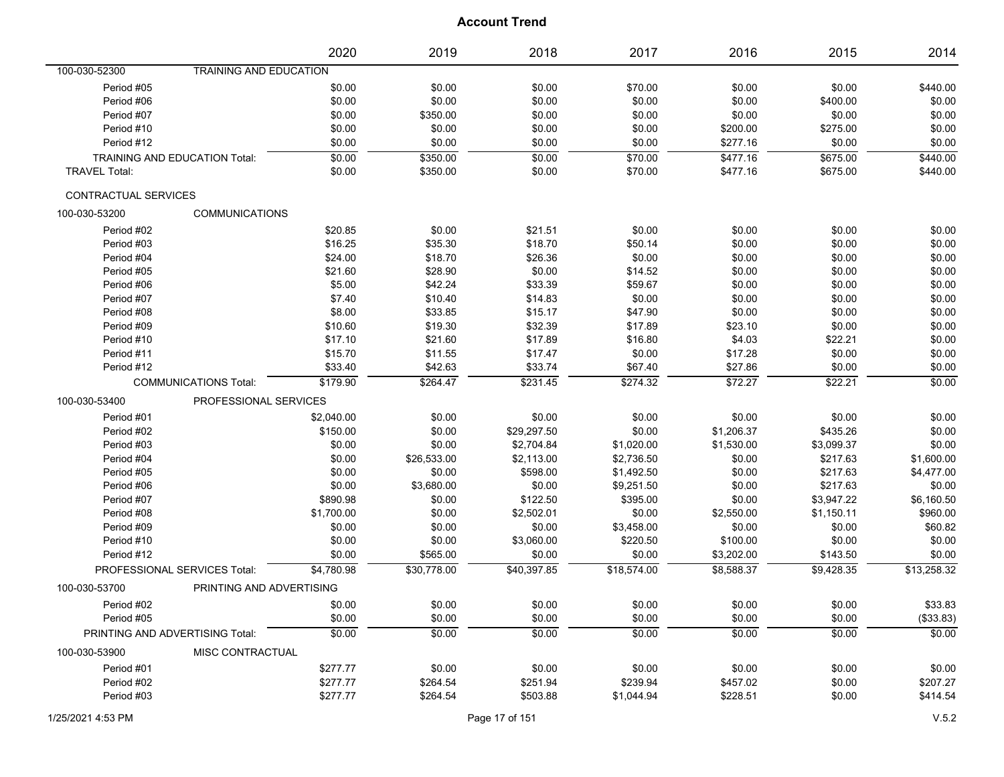|                                 |                              | 2020       | 2019        | 2018        | 2017        | 2016       | 2015       | 2014        |
|---------------------------------|------------------------------|------------|-------------|-------------|-------------|------------|------------|-------------|
| 100-030-52300                   | TRAINING AND EDUCATION       |            |             |             |             |            |            |             |
| Period #05                      |                              | \$0.00     | \$0.00      | \$0.00      | \$70.00     | \$0.00     | \$0.00     | \$440.00    |
| Period #06                      |                              | \$0.00     | \$0.00      | \$0.00      | \$0.00      | \$0.00     | \$400.00   | \$0.00      |
| Period #07                      |                              | \$0.00     | \$350.00    | \$0.00      | \$0.00      | \$0.00     | \$0.00     | \$0.00      |
| Period #10                      |                              | \$0.00     | \$0.00      | \$0.00      | \$0.00      | \$200.00   | \$275.00   | \$0.00      |
| Period #12                      |                              | \$0.00     | \$0.00      | \$0.00      | \$0.00      | \$277.16   | \$0.00     | \$0.00      |
| TRAINING AND EDUCATION Total:   |                              | \$0.00     | \$350.00    | \$0.00      | \$70.00     | \$477.16   | \$675.00   | \$440.00    |
| <b>TRAVEL Total:</b>            |                              | \$0.00     | \$350.00    | \$0.00      | \$70.00     | \$477.16   | \$675.00   | \$440.00    |
| CONTRACTUAL SERVICES            |                              |            |             |             |             |            |            |             |
| 100-030-53200                   | <b>COMMUNICATIONS</b>        |            |             |             |             |            |            |             |
| Period #02                      |                              | \$20.85    | \$0.00      | \$21.51     | \$0.00      | \$0.00     | \$0.00     | \$0.00      |
| Period #03                      |                              | \$16.25    | \$35.30     | \$18.70     | \$50.14     | \$0.00     | \$0.00     | \$0.00      |
| Period #04                      |                              | \$24.00    | \$18.70     | \$26.36     | \$0.00      | \$0.00     | \$0.00     | \$0.00      |
| Period #05                      |                              | \$21.60    | \$28.90     | \$0.00      | \$14.52     | \$0.00     | \$0.00     | \$0.00      |
| Period #06                      |                              | \$5.00     | \$42.24     | \$33.39     | \$59.67     | \$0.00     | \$0.00     | \$0.00      |
| Period #07                      |                              | \$7.40     | \$10.40     | \$14.83     | \$0.00      | \$0.00     | \$0.00     | \$0.00      |
| Period #08                      |                              | \$8.00     | \$33.85     | \$15.17     | \$47.90     | \$0.00     | \$0.00     | \$0.00      |
| Period #09                      |                              | \$10.60    | \$19.30     | \$32.39     | \$17.89     | \$23.10    | \$0.00     | \$0.00      |
| Period #10                      |                              | \$17.10    | \$21.60     | \$17.89     | \$16.80     | \$4.03     | \$22.21    | \$0.00      |
| Period #11                      |                              | \$15.70    | \$11.55     | \$17.47     | \$0.00      | \$17.28    | \$0.00     | \$0.00      |
| Period #12                      |                              | \$33.40    | \$42.63     | \$33.74     | \$67.40     | \$27.86    | \$0.00     | \$0.00      |
|                                 | <b>COMMUNICATIONS Total:</b> | \$179.90   | \$264.47    | \$231.45    | \$274.32    | \$72.27    | \$22.21    | \$0.00      |
| 100-030-53400                   | PROFESSIONAL SERVICES        |            |             |             |             |            |            |             |
| Period #01                      |                              | \$2,040.00 | \$0.00      | \$0.00      | \$0.00      | \$0.00     | \$0.00     | \$0.00      |
| Period #02                      |                              | \$150.00   | \$0.00      | \$29,297.50 | \$0.00      | \$1,206.37 | \$435.26   | \$0.00      |
| Period #03                      |                              | \$0.00     | \$0.00      | \$2,704.84  | \$1,020.00  | \$1,530.00 | \$3,099.37 | \$0.00      |
| Period #04                      |                              | \$0.00     | \$26,533.00 | \$2,113.00  | \$2,736.50  | \$0.00     | \$217.63   | \$1,600.00  |
| Period #05                      |                              | \$0.00     | \$0.00      | \$598.00    | \$1,492.50  | \$0.00     | \$217.63   | \$4,477.00  |
| Period #06                      |                              | \$0.00     | \$3,680.00  | \$0.00      | \$9,251.50  | \$0.00     | \$217.63   | \$0.00      |
| Period #07                      |                              | \$890.98   | \$0.00      | \$122.50    | \$395.00    | \$0.00     | \$3,947.22 | \$6,160.50  |
| Period #08                      |                              | \$1,700.00 | \$0.00      | \$2,502.01  | \$0.00      | \$2,550.00 | \$1,150.11 | \$960.00    |
| Period #09                      |                              | \$0.00     | \$0.00      | \$0.00      | \$3,458.00  | \$0.00     | \$0.00     | \$60.82     |
| Period #10                      |                              | \$0.00     | \$0.00      | \$3,060.00  | \$220.50    | \$100.00   | \$0.00     | \$0.00      |
| Period #12                      |                              | \$0.00     | \$565.00    | \$0.00      | \$0.00      | \$3,202.00 | \$143.50   | \$0.00      |
|                                 | PROFESSIONAL SERVICES Total: | \$4,780.98 | \$30,778.00 | \$40,397.85 | \$18,574.00 | \$8,588.37 | \$9,428.35 | \$13,258.32 |
| 100-030-53700                   | PRINTING AND ADVERTISING     |            |             |             |             |            |            |             |
| Period #02                      |                              | \$0.00     | \$0.00      | \$0.00      | \$0.00      | \$0.00     | \$0.00     | \$33.83     |
| Period #05                      |                              | \$0.00     | \$0.00      | \$0.00      | \$0.00      | \$0.00     | \$0.00     | (\$33.83)   |
| PRINTING AND ADVERTISING Total: |                              | \$0.00     | \$0.00      | \$0.00      | \$0.00      | \$0.00     | \$0.00     | \$0.00      |
| 100-030-53900                   | MISC CONTRACTUAL             |            |             |             |             |            |            |             |
| Period #01                      |                              | \$277.77   | \$0.00      | \$0.00      | \$0.00      | \$0.00     | \$0.00     | \$0.00      |
| Period #02                      |                              | \$277.77   | \$264.54    | \$251.94    | \$239.94    | \$457.02   | \$0.00     | \$207.27    |
| Period #03                      |                              | \$277.77   | \$264.54    | \$503.88    | \$1,044.94  | \$228.51   | \$0.00     | \$414.54    |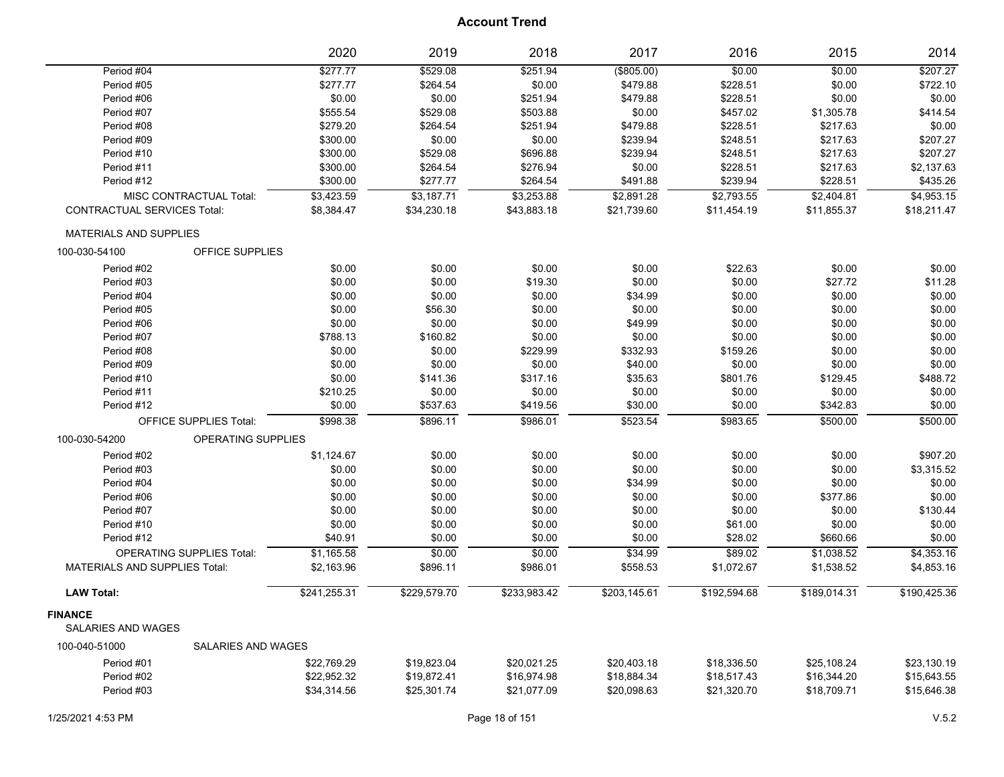|                                      |                                  | 2020         | 2019         | 2018         | 2017          | 2016         | 2015         | 2014         |
|--------------------------------------|----------------------------------|--------------|--------------|--------------|---------------|--------------|--------------|--------------|
| Period #04                           |                                  | \$277.77     | \$529.08     | \$251.94     | $($ \$805.00) | \$0.00       | \$0.00       | \$207.27     |
| Period #05                           |                                  | \$277.77     | \$264.54     | \$0.00       | \$479.88      | \$228.51     | \$0.00       | \$722.10     |
| Period #06                           |                                  | \$0.00       | \$0.00       | \$251.94     | \$479.88      | \$228.51     | \$0.00       | \$0.00       |
| Period #07                           |                                  | \$555.54     | \$529.08     | \$503.88     | \$0.00        | \$457.02     | \$1,305.78   | \$414.54     |
| Period #08                           |                                  | \$279.20     | \$264.54     | \$251.94     | \$479.88      | \$228.51     | \$217.63     | \$0.00       |
| Period #09                           |                                  | \$300.00     | \$0.00       | \$0.00       | \$239.94      | \$248.51     | \$217.63     | \$207.27     |
| Period #10                           |                                  | \$300.00     | \$529.08     | \$696.88     | \$239.94      | \$248.51     | \$217.63     | \$207.27     |
| Period #11                           |                                  | \$300.00     | \$264.54     | \$276.94     | \$0.00        | \$228.51     | \$217.63     | \$2,137.63   |
| Period #12                           |                                  | \$300.00     | \$277.77     | \$264.54     | \$491.88      | \$239.94     | \$228.51     | \$435.26     |
|                                      | MISC CONTRACTUAL Total:          | \$3,423.59   | \$3,187.71   | \$3,253.88   | \$2,891.28    | \$2,793.55   | \$2,404.81   | \$4,953.15   |
| <b>CONTRACTUAL SERVICES Total:</b>   |                                  | \$8,384.47   | \$34,230.18  | \$43,883.18  | \$21,739.60   | \$11,454.19  | \$11,855.37  | \$18,211.47  |
| <b>MATERIALS AND SUPPLIES</b>        |                                  |              |              |              |               |              |              |              |
| 100-030-54100                        | OFFICE SUPPLIES                  |              |              |              |               |              |              |              |
| Period #02                           |                                  | \$0.00       | \$0.00       | \$0.00       | \$0.00        | \$22.63      | \$0.00       | \$0.00       |
| Period #03                           |                                  | \$0.00       | \$0.00       | \$19.30      | \$0.00        | \$0.00       | \$27.72      | \$11.28      |
| Period #04                           |                                  | \$0.00       | \$0.00       | \$0.00       | \$34.99       | \$0.00       | \$0.00       | \$0.00       |
| Period #05                           |                                  | \$0.00       | \$56.30      | \$0.00       | \$0.00        | \$0.00       | \$0.00       | \$0.00       |
| Period #06                           |                                  | \$0.00       | \$0.00       | \$0.00       | \$49.99       | \$0.00       | \$0.00       | \$0.00       |
| Period #07                           |                                  | \$788.13     | \$160.82     | \$0.00       | \$0.00        | \$0.00       | \$0.00       | \$0.00       |
| Period #08                           |                                  | \$0.00       | \$0.00       | \$229.99     | \$332.93      | \$159.26     | \$0.00       | \$0.00       |
| Period #09                           |                                  | \$0.00       | \$0.00       | \$0.00       | \$40.00       | \$0.00       | \$0.00       | \$0.00       |
| Period #10                           |                                  | \$0.00       | \$141.36     | \$317.16     | \$35.63       | \$801.76     | \$129.45     | \$488.72     |
| Period #11                           |                                  | \$210.25     | \$0.00       | \$0.00       | \$0.00        | \$0.00       | \$0.00       | \$0.00       |
| Period #12                           |                                  | \$0.00       | \$537.63     | \$419.56     | \$30.00       | \$0.00       | \$342.83     | \$0.00       |
|                                      | <b>OFFICE SUPPLIES Total:</b>    | \$998.38     | \$896.11     | \$986.01     | \$523.54      | \$983.65     | \$500.00     | \$500.00     |
| 100-030-54200                        | OPERATING SUPPLIES               |              |              |              |               |              |              |              |
| Period #02                           |                                  | \$1,124.67   | \$0.00       | \$0.00       | \$0.00        | \$0.00       | \$0.00       | \$907.20     |
| Period #03                           |                                  | \$0.00       | \$0.00       | \$0.00       | \$0.00        | \$0.00       | \$0.00       | \$3,315.52   |
| Period #04                           |                                  | \$0.00       | \$0.00       | \$0.00       | \$34.99       | \$0.00       | \$0.00       | \$0.00       |
| Period #06                           |                                  | \$0.00       | \$0.00       | \$0.00       | \$0.00        | \$0.00       | \$377.86     | \$0.00       |
| Period #07                           |                                  | \$0.00       | \$0.00       | \$0.00       | \$0.00        | \$0.00       | \$0.00       | \$130.44     |
| Period #10                           |                                  | \$0.00       | \$0.00       | \$0.00       | \$0.00        | \$61.00      | \$0.00       | \$0.00       |
| Period #12                           |                                  | \$40.91      | \$0.00       | \$0.00       | \$0.00        | \$28.02      | \$660.66     | \$0.00       |
|                                      | <b>OPERATING SUPPLIES Total:</b> | \$1,165.58   | \$0.00       | \$0.00       | \$34.99       | \$89.02      | \$1,038.52   | \$4,353.16   |
| <b>MATERIALS AND SUPPLIES Total:</b> |                                  | \$2,163.96   | \$896.11     | \$986.01     | \$558.53      | \$1,072.67   | \$1,538.52   | \$4,853.16   |
| <b>LAW Total:</b>                    |                                  | \$241,255.31 | \$229,579.70 | \$233,983.42 | \$203,145.61  | \$192,594.68 | \$189,014.31 | \$190,425.36 |
| <b>FINANCE</b>                       |                                  |              |              |              |               |              |              |              |
| SALARIES AND WAGES                   |                                  |              |              |              |               |              |              |              |
| 100-040-51000                        | SALARIES AND WAGES               |              |              |              |               |              |              |              |
| Period #01                           |                                  | \$22,769.29  | \$19,823.04  | \$20,021.25  | \$20,403.18   | \$18,336.50  | \$25,108.24  | \$23,130.19  |
| Period #02                           |                                  | \$22,952.32  | \$19,872.41  | \$16,974.98  | \$18,884.34   | \$18,517.43  | \$16,344.20  | \$15,643.55  |
| Period #03                           |                                  | \$34,314.56  | \$25,301.74  | \$21,077.09  | \$20,098.63   | \$21,320.70  | \$18,709.71  | \$15,646.38  |
|                                      |                                  |              |              |              |               |              |              |              |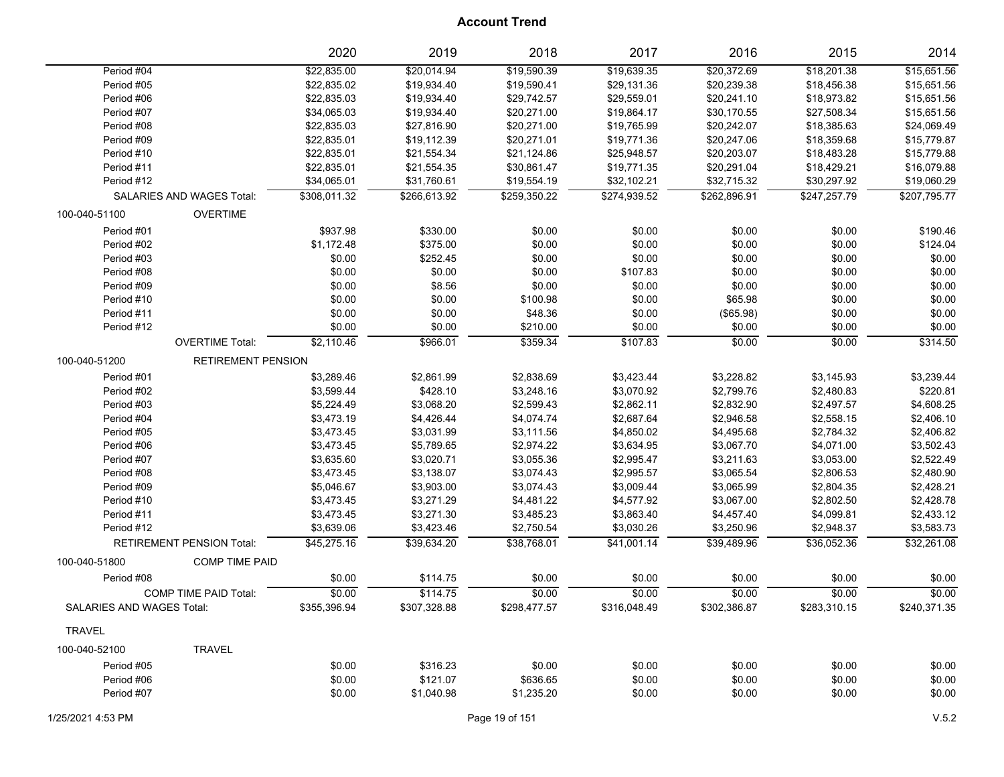|                           |                                  | 2020         | 2019                     | 2018                     | 2017         | 2016                     | 2015         | 2014         |
|---------------------------|----------------------------------|--------------|--------------------------|--------------------------|--------------|--------------------------|--------------|--------------|
| Period #04                |                                  | \$22,835.00  | \$20,014.94              | \$19,590.39              | \$19,639.35  | \$20,372.69              | \$18,201.38  | \$15,651.56  |
| Period #05                |                                  | \$22,835.02  | \$19,934.40              | \$19,590.41              | \$29,131.36  | \$20,239.38              | \$18,456.38  | \$15,651.56  |
| Period #06                |                                  | \$22,835.03  | \$19,934.40              | \$29,742.57              | \$29,559.01  | \$20,241.10              | \$18,973.82  | \$15,651.56  |
| Period #07                |                                  | \$34,065.03  | \$19,934.40              | \$20,271.00              | \$19,864.17  | \$30,170.55              | \$27,508.34  | \$15,651.56  |
| Period #08                |                                  | \$22,835.03  | \$27,816.90              | \$20,271.00              | \$19,765.99  | \$20,242.07              | \$18,385.63  | \$24,069.49  |
| Period #09                |                                  | \$22,835.01  | \$19,112.39              | \$20,271.01              | \$19,771.36  | \$20,247.06              | \$18,359.68  | \$15,779.87  |
| Period #10                |                                  | \$22,835.01  | \$21,554.34              | \$21,124.86              | \$25,948.57  | \$20,203.07              | \$18,483.28  | \$15,779.88  |
| Period #11                |                                  | \$22,835.01  | \$21,554.35              | \$30,861.47              | \$19,771.35  | \$20,291.04              | \$18,429.21  | \$16,079.88  |
| Period #12                |                                  | \$34,065.01  | \$31,760.61              | \$19,554.19              | \$32,102.21  | \$32,715.32              | \$30,297.92  | \$19,060.29  |
|                           | SALARIES AND WAGES Total:        | \$308,011.32 | \$266,613.92             | \$259,350.22             | \$274,939.52 | \$262,896.91             | \$247,257.79 | \$207,795.77 |
| 100-040-51100             | <b>OVERTIME</b>                  |              |                          |                          |              |                          |              |              |
| Period #01                |                                  | \$937.98     | \$330.00                 | \$0.00                   | \$0.00       | \$0.00                   | \$0.00       | \$190.46     |
| Period #02                |                                  | \$1,172.48   | \$375.00                 | \$0.00                   | \$0.00       | \$0.00                   | \$0.00       | \$124.04     |
| Period #03                |                                  | \$0.00       | \$252.45                 | \$0.00                   | \$0.00       | \$0.00                   | \$0.00       | \$0.00       |
| Period #08                |                                  | \$0.00       | \$0.00                   | \$0.00                   | \$107.83     | \$0.00                   | \$0.00       | \$0.00       |
| Period #09                |                                  | \$0.00       | \$8.56                   | \$0.00                   | \$0.00       | \$0.00                   | \$0.00       | \$0.00       |
| Period #10                |                                  | \$0.00       | \$0.00                   | \$100.98                 | \$0.00       | \$65.98                  | \$0.00       | \$0.00       |
| Period #11                |                                  | \$0.00       | \$0.00                   | \$48.36                  | \$0.00       | (\$65.98)                | \$0.00       | \$0.00       |
| Period #12                |                                  | \$0.00       | \$0.00                   | \$210.00                 | \$0.00       | \$0.00                   | \$0.00       | \$0.00       |
|                           | <b>OVERTIME Total:</b>           | \$2,110.46   | \$966.01                 | \$359.34                 | \$107.83     | \$0.00                   | \$0.00       | \$314.50     |
| 100-040-51200             | <b>RETIREMENT PENSION</b>        |              |                          |                          |              |                          |              |              |
| Period #01                |                                  | \$3,289.46   | \$2,861.99               | \$2,838.69               | \$3,423.44   | \$3,228.82               | \$3,145.93   | \$3,239.44   |
| Period #02                |                                  | \$3,599.44   | \$428.10                 | \$3,248.16               | \$3,070.92   | \$2,799.76               | \$2,480.83   | \$220.81     |
| Period #03                |                                  | \$5,224.49   | \$3,068.20               | \$2,599.43               | \$2,862.11   | \$2,832.90               | \$2,497.57   | \$4,608.25   |
| Period #04                |                                  | \$3,473.19   | \$4,426.44               | \$4,074.74               | \$2,687.64   | \$2,946.58               | \$2,558.15   | \$2,406.10   |
| Period #05                |                                  | \$3,473.45   | \$3,031.99               | \$3,111.56               | \$4,850.02   | \$4,495.68               | \$2,784.32   | \$2,406.82   |
| Period #06                |                                  | \$3,473.45   | \$5,789.65               | \$2,974.22               | \$3,634.95   | \$3,067.70               | \$4,071.00   | \$3,502.43   |
| Period #07                |                                  | \$3,635.60   | \$3,020.71               | \$3,055.36               | \$2,995.47   | \$3,211.63               | \$3,053.00   | \$2,522.49   |
| Period #08                |                                  | \$3,473.45   | \$3,138.07               | \$3,074.43               | \$2,995.57   | \$3,065.54               | \$2,806.53   | \$2,480.90   |
| Period #09                |                                  | \$5,046.67   | \$3,903.00               | \$3,074.43               | \$3,009.44   | \$3,065.99               | \$2,804.35   | \$2,428.21   |
| Period #10                |                                  | \$3,473.45   | \$3,271.29               | \$4,481.22               | \$4,577.92   | \$3,067.00               | \$2,802.50   | \$2,428.78   |
| Period #11                |                                  | \$3,473.45   |                          |                          | \$3,863.40   |                          | \$4,099.81   | \$2,433.12   |
| Period #12                |                                  | \$3,639.06   | \$3,271.30<br>\$3,423.46 | \$3,485.23<br>\$2,750.54 | \$3,030.26   | \$4,457.40<br>\$3,250.96 | \$2,948.37   | \$3,583.73   |
|                           |                                  |              |                          |                          |              |                          |              |              |
|                           | <b>RETIREMENT PENSION Total:</b> | \$45,275.16  | \$39,634.20              | \$38,768.01              | \$41,001.14  | \$39,489.96              | \$36,052.36  | \$32,261.08  |
| 100-040-51800             | <b>COMP TIME PAID</b>            |              |                          |                          |              |                          |              |              |
| Period #08                |                                  | \$0.00       | \$114.75                 | \$0.00                   | \$0.00       | \$0.00                   | \$0.00       | \$0.00       |
|                           | COMP TIME PAID Total:            | \$0.00       | \$114.75                 | \$0.00                   | \$0.00       | \$0.00                   | \$0.00       | \$0.00       |
| SALARIES AND WAGES Total: |                                  | \$355,396.94 | \$307,328.88             | \$298,477.57             | \$316,048.49 | \$302,386.87             | \$283,310.15 | \$240,371.35 |
| <b>TRAVEL</b>             |                                  |              |                          |                          |              |                          |              |              |
| 100-040-52100             | <b>TRAVEL</b>                    |              |                          |                          |              |                          |              |              |
| Period #05                |                                  | \$0.00       | \$316.23                 | \$0.00                   | \$0.00       | \$0.00                   | \$0.00       | \$0.00       |
| Period #06                |                                  | \$0.00       | \$121.07                 | \$636.65                 | \$0.00       | \$0.00                   | \$0.00       | \$0.00       |
| Period #07                |                                  | \$0.00       | \$1,040.98               | \$1,235.20               | \$0.00       | \$0.00                   | \$0.00       | \$0.00       |
|                           |                                  |              |                          |                          |              |                          |              |              |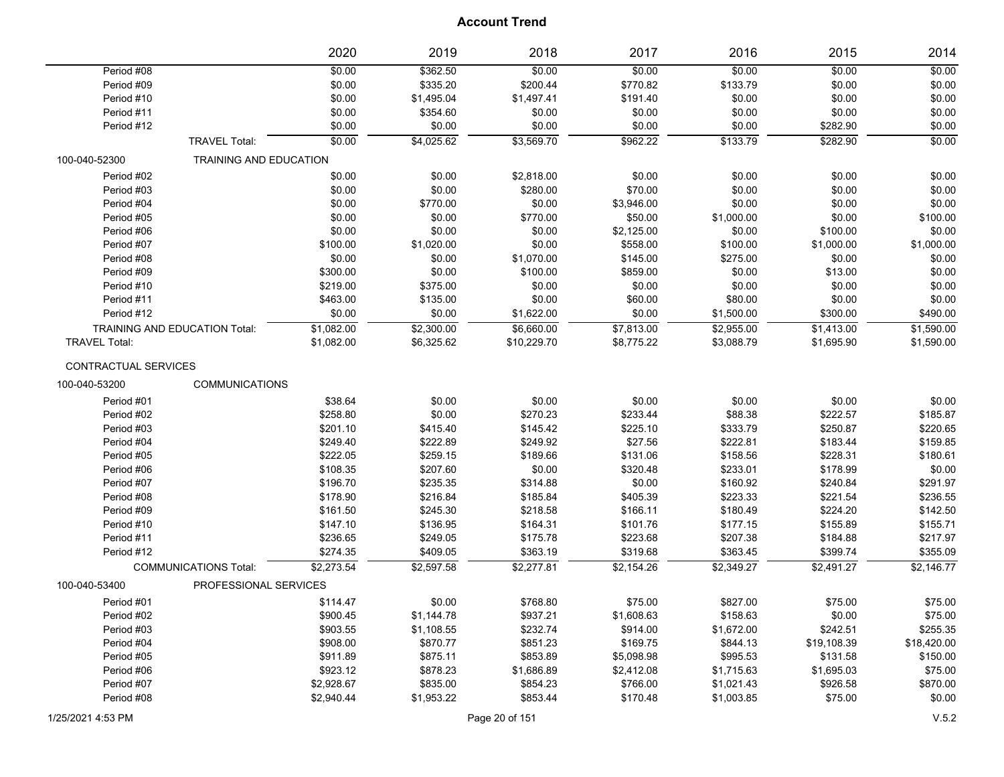|                             |                                      | 2020       | 2019       | 2018        | 2017       | 2016       | 2015        | 2014        |
|-----------------------------|--------------------------------------|------------|------------|-------------|------------|------------|-------------|-------------|
| Period #08                  |                                      | \$0.00     | \$362.50   | \$0.00      | \$0.00     | \$0.00     | \$0.00      | \$0.00      |
| Period #09                  |                                      | \$0.00     | \$335.20   | \$200.44    | \$770.82   | \$133.79   | \$0.00      | \$0.00      |
| Period #10                  |                                      | \$0.00     | \$1,495.04 | \$1,497.41  | \$191.40   | \$0.00     | \$0.00      | \$0.00      |
| Period #11                  |                                      | \$0.00     | \$354.60   | \$0.00      | \$0.00     | \$0.00     | \$0.00      | \$0.00      |
| Period #12                  |                                      | \$0.00     | \$0.00     | \$0.00      | \$0.00     | \$0.00     | \$282.90    | \$0.00      |
|                             | <b>TRAVEL Total:</b>                 | \$0.00     | \$4,025.62 | \$3,569.70  | \$962.22   | \$133.79   | \$282.90    | \$0.00      |
| 100-040-52300               | <b>TRAINING AND EDUCATION</b>        |            |            |             |            |            |             |             |
| Period #02                  |                                      | \$0.00     | \$0.00     | \$2,818.00  | \$0.00     | \$0.00     | \$0.00      | \$0.00      |
| Period #03                  |                                      | \$0.00     | \$0.00     | \$280.00    | \$70.00    | \$0.00     | \$0.00      | \$0.00      |
| Period #04                  |                                      | \$0.00     | \$770.00   | \$0.00      | \$3,946.00 | \$0.00     | \$0.00      | \$0.00      |
| Period #05                  |                                      | \$0.00     | \$0.00     | \$770.00    | \$50.00    | \$1,000.00 | \$0.00      | \$100.00    |
| Period #06                  |                                      | \$0.00     | \$0.00     | \$0.00      | \$2,125.00 | \$0.00     | \$100.00    | \$0.00      |
| Period #07                  |                                      | \$100.00   | \$1,020.00 | \$0.00      | \$558.00   | \$100.00   | \$1,000.00  | \$1,000.00  |
| Period #08                  |                                      | \$0.00     | \$0.00     | \$1,070.00  | \$145.00   | \$275.00   | \$0.00      | \$0.00      |
| Period #09                  |                                      | \$300.00   | \$0.00     | \$100.00    | \$859.00   | \$0.00     | \$13.00     | \$0.00      |
| Period #10                  |                                      | \$219.00   | \$375.00   | \$0.00      | \$0.00     | \$0.00     | \$0.00      | \$0.00      |
| Period #11                  |                                      | \$463.00   | \$135.00   | \$0.00      | \$60.00    | \$80.00    | \$0.00      | \$0.00      |
| Period #12                  |                                      | \$0.00     | \$0.00     | \$1,622.00  | \$0.00     | \$1,500.00 | \$300.00    | \$490.00    |
|                             | <b>TRAINING AND EDUCATION Total:</b> | \$1,082.00 | \$2,300.00 | \$6,660.00  | \$7,813.00 | \$2,955.00 | \$1,413.00  | \$1,590.00  |
| <b>TRAVEL Total:</b>        |                                      | \$1.082.00 | \$6,325.62 | \$10,229.70 | \$8,775.22 | \$3,088.79 | \$1,695.90  | \$1,590.00  |
| <b>CONTRACTUAL SERVICES</b> |                                      |            |            |             |            |            |             |             |
| 100-040-53200               | <b>COMMUNICATIONS</b>                |            |            |             |            |            |             |             |
| Period #01                  |                                      | \$38.64    | \$0.00     | \$0.00      | \$0.00     | \$0.00     | \$0.00      | \$0.00      |
| Period #02                  |                                      | \$258.80   | \$0.00     | \$270.23    | \$233.44   | \$88.38    | \$222.57    | \$185.87    |
| Period #03                  |                                      | \$201.10   | \$415.40   | \$145.42    | \$225.10   | \$333.79   | \$250.87    | \$220.65    |
| Period #04                  |                                      | \$249.40   | \$222.89   | \$249.92    | \$27.56    | \$222.81   | \$183.44    | \$159.85    |
| Period #05                  |                                      | \$222.05   | \$259.15   | \$189.66    | \$131.06   | \$158.56   | \$228.31    | \$180.61    |
| Period #06                  |                                      | \$108.35   | \$207.60   | \$0.00      | \$320.48   | \$233.01   | \$178.99    | \$0.00      |
| Period #07                  |                                      | \$196.70   | \$235.35   | \$314.88    | \$0.00     | \$160.92   | \$240.84    | \$291.97    |
| Period #08                  |                                      | \$178.90   | \$216.84   | \$185.84    | \$405.39   | \$223.33   | \$221.54    | \$236.55    |
| Period #09                  |                                      | \$161.50   | \$245.30   | \$218.58    | \$166.11   | \$180.49   | \$224.20    | \$142.50    |
| Period #10                  |                                      | \$147.10   | \$136.95   | \$164.31    | \$101.76   | \$177.15   | \$155.89    | \$155.71    |
| Period #11                  |                                      | \$236.65   | \$249.05   | \$175.78    | \$223.68   | \$207.38   | \$184.88    | \$217.97    |
| Period #12                  |                                      | \$274.35   | \$409.05   | \$363.19    | \$319.68   | \$363.45   | \$399.74    | \$355.09    |
|                             | <b>COMMUNICATIONS Total:</b>         | \$2,273.54 | \$2.597.58 | \$2,277.81  | \$2,154.26 | \$2,349.27 | \$2,491.27  | \$2,146.77  |
| 100-040-53400               | PROFESSIONAL SERVICES                |            |            |             |            |            |             |             |
| Period #01                  |                                      | \$114.47   | \$0.00     | \$768.80    | \$75.00    | \$827.00   | \$75.00     | \$75.00     |
| Period #02                  |                                      | \$900.45   | \$1,144.78 | \$937.21    | \$1,608.63 | \$158.63   | \$0.00      | \$75.00     |
| Period #03                  |                                      | \$903.55   | \$1,108.55 | \$232.74    | \$914.00   | \$1,672.00 | \$242.51    | \$255.35    |
| Period #04                  |                                      | \$908.00   | \$870.77   | \$851.23    | \$169.75   | \$844.13   | \$19,108.39 | \$18,420.00 |
| Period #05                  |                                      | \$911.89   | \$875.11   | \$853.89    | \$5,098.98 | \$995.53   | \$131.58    | \$150.00    |
| Period #06                  |                                      | \$923.12   | \$878.23   | \$1,686.89  | \$2,412.08 | \$1,715.63 | \$1,695.03  | \$75.00     |
| Period #07                  |                                      | \$2,928.67 | \$835.00   | \$854.23    | \$766.00   | \$1,021.43 | \$926.58    | \$870.00    |
| Period #08                  |                                      | \$2,940.44 | \$1,953.22 | \$853.44    | \$170.48   | \$1,003.85 | \$75.00     | \$0.00      |
|                             |                                      |            |            |             |            |            |             |             |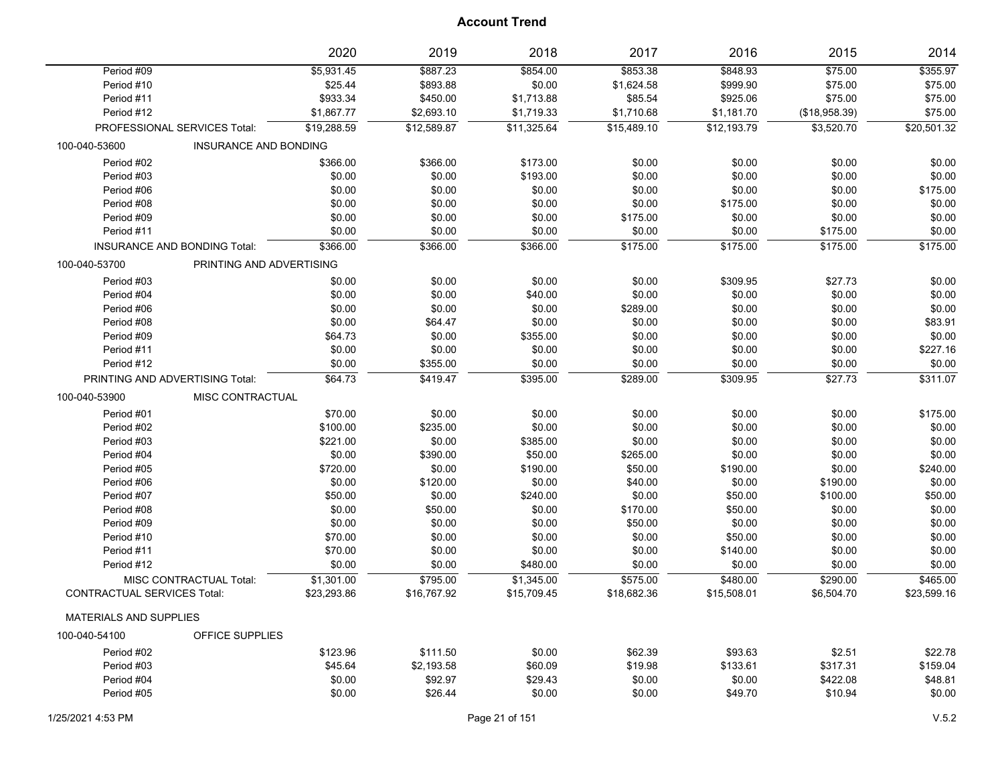|                                    |                                     | 2020        | 2019        | 2018        | 2017        | 2016        | 2015          | 2014        |
|------------------------------------|-------------------------------------|-------------|-------------|-------------|-------------|-------------|---------------|-------------|
| Period #09                         |                                     | \$5,931.45  | \$887.23    | \$854.00    | \$853.38    | \$848.93    | \$75.00       | \$355.97    |
| Period #10                         |                                     | \$25.44     | \$893.88    | \$0.00      | \$1,624.58  | \$999.90    | \$75.00       | \$75.00     |
| Period #11                         |                                     | \$933.34    | \$450.00    | \$1,713.88  | \$85.54     | \$925.06    | \$75.00       | \$75.00     |
| Period #12                         |                                     | \$1,867.77  | \$2,693.10  | \$1,719.33  | \$1,710.68  | \$1,181.70  | (\$18,958.39) | \$75.00     |
|                                    | PROFESSIONAL SERVICES Total:        | \$19,288.59 | \$12,589.87 | \$11,325.64 | \$15,489.10 | \$12,193.79 | \$3,520.70    | \$20,501.32 |
| 100-040-53600                      | INSURANCE AND BONDING               |             |             |             |             |             |               |             |
| Period #02                         |                                     | \$366.00    | \$366.00    | \$173.00    | \$0.00      | \$0.00      | \$0.00        | \$0.00      |
| Period #03                         |                                     | \$0.00      | \$0.00      | \$193.00    | \$0.00      | \$0.00      | \$0.00        | \$0.00      |
| Period #06                         |                                     | \$0.00      | \$0.00      | \$0.00      | \$0.00      | \$0.00      | \$0.00        | \$175.00    |
| Period #08                         |                                     | \$0.00      | \$0.00      | \$0.00      | \$0.00      | \$175.00    | \$0.00        | \$0.00      |
| Period #09                         |                                     | \$0.00      | \$0.00      | \$0.00      | \$175.00    | \$0.00      | \$0.00        | \$0.00      |
| Period #11                         |                                     | \$0.00      | \$0.00      | \$0.00      | \$0.00      | \$0.00      | \$175.00      | \$0.00      |
|                                    | <b>INSURANCE AND BONDING Total:</b> | \$366.00    | \$366.00    | \$366.00    | \$175.00    | \$175.00    | \$175.00      | \$175.00    |
| 100-040-53700                      | PRINTING AND ADVERTISING            |             |             |             |             |             |               |             |
| Period #03                         |                                     | \$0.00      | \$0.00      | \$0.00      | \$0.00      | \$309.95    | \$27.73       | \$0.00      |
| Period #04                         |                                     | \$0.00      | \$0.00      | \$40.00     | \$0.00      | \$0.00      | \$0.00        | \$0.00      |
| Period #06                         |                                     | \$0.00      | \$0.00      | \$0.00      | \$289.00    | \$0.00      | \$0.00        | \$0.00      |
| Period #08                         |                                     | \$0.00      | \$64.47     | \$0.00      | \$0.00      | \$0.00      | \$0.00        | \$83.91     |
| Period #09                         |                                     | \$64.73     | \$0.00      | \$355.00    | \$0.00      | \$0.00      | \$0.00        | \$0.00      |
| Period #11                         |                                     | \$0.00      | \$0.00      | \$0.00      | \$0.00      | \$0.00      | \$0.00        | \$227.16    |
| Period #12                         |                                     | \$0.00      | \$355.00    | \$0.00      | \$0.00      | \$0.00      | \$0.00        | \$0.00      |
| PRINTING AND ADVERTISING Total:    |                                     | \$64.73     | \$419.47    | \$395.00    | \$289.00    | \$309.95    | \$27.73       | \$311.07    |
| 100-040-53900                      | MISC CONTRACTUAL                    |             |             |             |             |             |               |             |
| Period #01                         |                                     | \$70.00     | \$0.00      | \$0.00      | \$0.00      | \$0.00      | \$0.00        | \$175.00    |
| Period #02                         |                                     | \$100.00    | \$235.00    | \$0.00      | \$0.00      | \$0.00      | \$0.00        | \$0.00      |
| Period #03                         |                                     | \$221.00    | \$0.00      | \$385.00    | \$0.00      | \$0.00      | \$0.00        | \$0.00      |
| Period #04                         |                                     | \$0.00      | \$390.00    | \$50.00     | \$265.00    | \$0.00      | \$0.00        | \$0.00      |
| Period #05                         |                                     | \$720.00    | \$0.00      | \$190.00    | \$50.00     | \$190.00    | \$0.00        | \$240.00    |
| Period #06                         |                                     | \$0.00      | \$120.00    | \$0.00      | \$40.00     | \$0.00      | \$190.00      | \$0.00      |
| Period #07                         |                                     | \$50.00     | \$0.00      | \$240.00    | \$0.00      | \$50.00     | \$100.00      | \$50.00     |
| Period #08                         |                                     | \$0.00      | \$50.00     | \$0.00      | \$170.00    | \$50.00     | \$0.00        | \$0.00      |
| Period #09                         |                                     | \$0.00      | \$0.00      | \$0.00      | \$50.00     | \$0.00      | \$0.00        | \$0.00      |
| Period #10                         |                                     | \$70.00     | \$0.00      | \$0.00      | \$0.00      | \$50.00     | \$0.00        | \$0.00      |
| Period #11                         |                                     | \$70.00     | \$0.00      | \$0.00      | \$0.00      | \$140.00    | \$0.00        | \$0.00      |
| Period #12                         |                                     | \$0.00      | \$0.00      | \$480.00    | \$0.00      | \$0.00      | \$0.00        | \$0.00      |
|                                    | <b>MISC CONTRACTUAL Total:</b>      | \$1,301.00  | \$795.00    | \$1,345.00  | \$575.00    | \$480.00    | \$290.00      | \$465.00    |
| <b>CONTRACTUAL SERVICES Total:</b> |                                     | \$23,293.86 | \$16,767.92 | \$15,709.45 | \$18,682.36 | \$15,508.01 | \$6,504.70    | \$23,599.16 |
| <b>MATERIALS AND SUPPLIES</b>      |                                     |             |             |             |             |             |               |             |
| 100-040-54100                      | OFFICE SUPPLIES                     |             |             |             |             |             |               |             |
| Period #02                         |                                     | \$123.96    | \$111.50    | \$0.00      | \$62.39     | \$93.63     | \$2.51        | \$22.78     |
| Period #03                         |                                     | \$45.64     | \$2,193.58  | \$60.09     | \$19.98     | \$133.61    | \$317.31      | \$159.04    |
| Period #04                         |                                     | \$0.00      | \$92.97     | \$29.43     | \$0.00      | \$0.00      | \$422.08      | \$48.81     |
| Period #05                         |                                     | \$0.00      | \$26.44     | \$0.00      | \$0.00      | \$49.70     | \$10.94       | \$0.00      |
|                                    |                                     |             |             |             |             |             |               |             |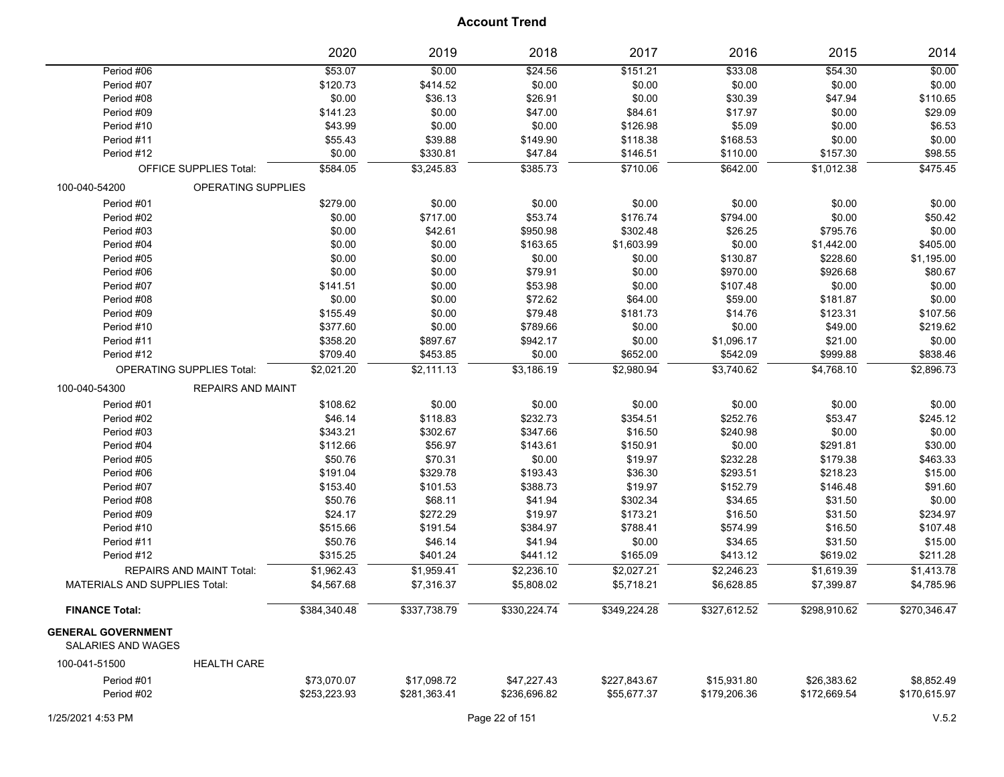|                                                 |                                  | 2020         | 2019         | 2018         | 2017         | 2016         | 2015         | 2014         |
|-------------------------------------------------|----------------------------------|--------------|--------------|--------------|--------------|--------------|--------------|--------------|
| Period #06                                      |                                  | \$53.07      | \$0.00       | \$24.56      | \$151.21     | \$33.08      | \$54.30      | \$0.00       |
| Period #07                                      |                                  | \$120.73     | \$414.52     | \$0.00       | \$0.00       | \$0.00       | \$0.00       | \$0.00       |
| Period #08                                      |                                  | \$0.00       | \$36.13      | \$26.91      | \$0.00       | \$30.39      | \$47.94      | \$110.65     |
| Period #09                                      |                                  | \$141.23     | \$0.00       | \$47.00      | \$84.61      | \$17.97      | \$0.00       | \$29.09      |
| Period #10                                      |                                  | \$43.99      | \$0.00       | \$0.00       | \$126.98     | \$5.09       | \$0.00       | \$6.53       |
| Period #11                                      |                                  | \$55.43      | \$39.88      | \$149.90     | \$118.38     | \$168.53     | \$0.00       | \$0.00       |
| Period #12                                      |                                  | \$0.00       | \$330.81     | \$47.84      | \$146.51     | \$110.00     | \$157.30     | \$98.55      |
|                                                 | <b>OFFICE SUPPLIES Total:</b>    | \$584.05     | \$3,245.83   | \$385.73     | \$710.06     | \$642.00     | \$1,012.38   | \$475.45     |
| 100-040-54200                                   | OPERATING SUPPLIES               |              |              |              |              |              |              |              |
| Period #01                                      |                                  | \$279.00     | \$0.00       | \$0.00       | \$0.00       | \$0.00       | \$0.00       | \$0.00       |
| Period #02                                      |                                  | \$0.00       | \$717.00     | \$53.74      | \$176.74     | \$794.00     | \$0.00       | \$50.42      |
| Period #03                                      |                                  | \$0.00       | \$42.61      | \$950.98     | \$302.48     | \$26.25      | \$795.76     | \$0.00       |
| Period #04                                      |                                  | \$0.00       | \$0.00       | \$163.65     | \$1,603.99   | \$0.00       | \$1,442.00   | \$405.00     |
| Period #05                                      |                                  | \$0.00       | \$0.00       | \$0.00       | \$0.00       | \$130.87     | \$228.60     | \$1,195.00   |
| Period #06                                      |                                  | \$0.00       | \$0.00       | \$79.91      | \$0.00       | \$970.00     | \$926.68     | \$80.67      |
| Period #07                                      |                                  | \$141.51     | \$0.00       | \$53.98      | \$0.00       | \$107.48     | \$0.00       | \$0.00       |
| Period #08                                      |                                  | \$0.00       | \$0.00       | \$72.62      | \$64.00      | \$59.00      | \$181.87     | \$0.00       |
| Period #09                                      |                                  | \$155.49     | \$0.00       | \$79.48      | \$181.73     | \$14.76      | \$123.31     | \$107.56     |
| Period #10                                      |                                  | \$377.60     | \$0.00       | \$789.66     | \$0.00       | \$0.00       | \$49.00      | \$219.62     |
| Period #11                                      |                                  | \$358.20     | \$897.67     | \$942.17     | \$0.00       | \$1,096.17   | \$21.00      | \$0.00       |
| Period #12                                      |                                  | \$709.40     | \$453.85     | \$0.00       | \$652.00     | \$542.09     | \$999.88     | \$838.46     |
|                                                 | <b>OPERATING SUPPLIES Total:</b> | \$2,021.20   | \$2,111.13   | \$3,186.19   | \$2.980.94   | \$3,740.62   | \$4,768.10   | \$2,896.73   |
| 100-040-54300                                   | <b>REPAIRS AND MAINT</b>         |              |              |              |              |              |              |              |
| Period #01                                      |                                  | \$108.62     | \$0.00       | \$0.00       | \$0.00       | \$0.00       | \$0.00       | \$0.00       |
| Period #02                                      |                                  | \$46.14      | \$118.83     | \$232.73     | \$354.51     | \$252.76     | \$53.47      | \$245.12     |
| Period #03                                      |                                  | \$343.21     | \$302.67     | \$347.66     | \$16.50      | \$240.98     | \$0.00       | \$0.00       |
| Period #04                                      |                                  | \$112.66     | \$56.97      | \$143.61     | \$150.91     | \$0.00       | \$291.81     | \$30.00      |
| Period #05                                      |                                  | \$50.76      | \$70.31      | \$0.00       | \$19.97      | \$232.28     | \$179.38     | \$463.33     |
| Period #06                                      |                                  | \$191.04     | \$329.78     | \$193.43     | \$36.30      | \$293.51     | \$218.23     | \$15.00      |
| Period #07                                      |                                  | \$153.40     | \$101.53     | \$388.73     | \$19.97      | \$152.79     | \$146.48     | \$91.60      |
| Period #08                                      |                                  | \$50.76      | \$68.11      | \$41.94      | \$302.34     | \$34.65      | \$31.50      | \$0.00       |
| Period #09                                      |                                  | \$24.17      | \$272.29     | \$19.97      | \$173.21     | \$16.50      | \$31.50      | \$234.97     |
| Period #10                                      |                                  | \$515.66     | \$191.54     | \$384.97     | \$788.41     | \$574.99     | \$16.50      | \$107.48     |
| Period #11                                      |                                  | \$50.76      | \$46.14      | \$41.94      | \$0.00       | \$34.65      | \$31.50      | \$15.00      |
| Period #12                                      |                                  | \$315.25     | \$401.24     | \$441.12     | \$165.09     | \$413.12     | \$619.02     | \$211.28     |
|                                                 | <b>REPAIRS AND MAINT Total:</b>  | \$1,962.43   | \$1,959.41   | \$2,236.10   | \$2,027.21   | \$2,246.23   | \$1,619.39   | \$1,413.78   |
| <b>MATERIALS AND SUPPLIES Total:</b>            |                                  | \$4,567.68   | \$7,316.37   | \$5,808.02   | \$5,718.21   | \$6,628.85   | \$7,399.87   | \$4,785.96   |
| <b>FINANCE Total:</b>                           |                                  | \$384,340.48 | \$337,738.79 | \$330,224.74 | \$349,224.28 | \$327,612.52 | \$298,910.62 | \$270,346.47 |
| <b>GENERAL GOVERNMENT</b><br>SALARIES AND WAGES |                                  |              |              |              |              |              |              |              |
| 100-041-51500                                   | <b>HEALTH CARE</b>               |              |              |              |              |              |              |              |
| Period #01                                      |                                  | \$73,070.07  | \$17,098.72  | \$47,227.43  | \$227,843.67 | \$15,931.80  | \$26,383.62  | \$8,852.49   |
| Period #02                                      |                                  | \$253,223.93 | \$281,363.41 | \$236,696.82 | \$55,677.37  | \$179,206.36 | \$172,669.54 | \$170,615.97 |
|                                                 |                                  |              |              |              |              |              |              |              |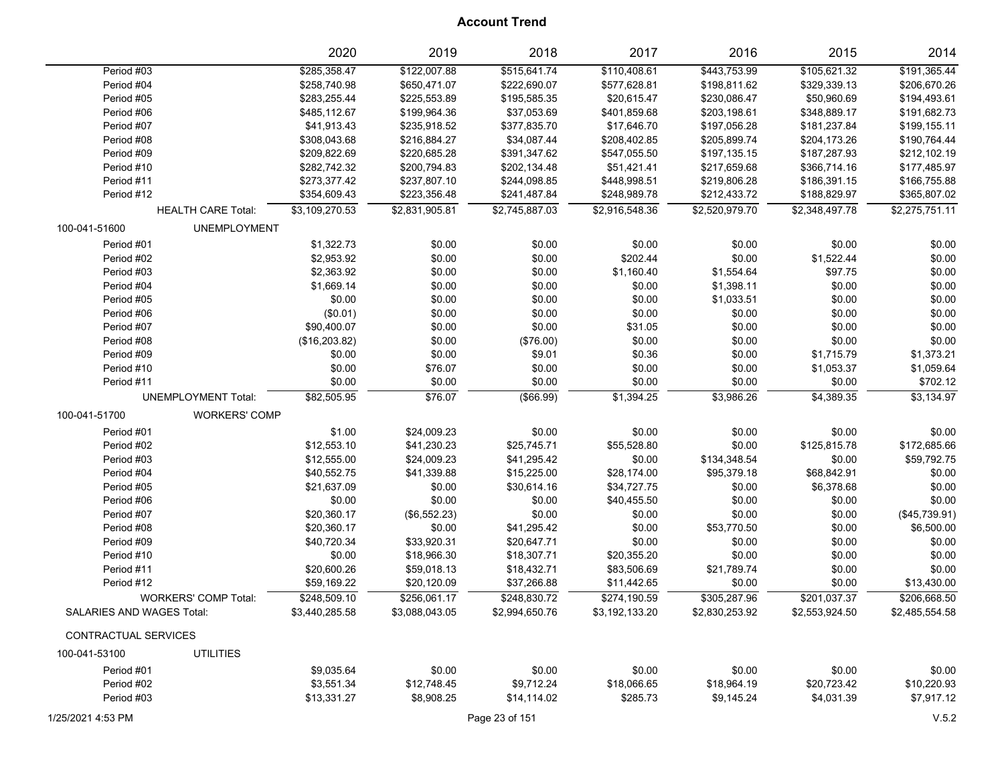|                             |                             | 2020           | 2019           | 2018           | 2017           | 2016           | 2015           | 2014           |
|-----------------------------|-----------------------------|----------------|----------------|----------------|----------------|----------------|----------------|----------------|
| Period #03                  |                             | \$285,358.47   | \$122,007.88   | \$515,641.74   | \$110,408.61   | \$443,753.99   | \$105,621.32   | \$191,365.44   |
| Period #04                  |                             | \$258,740.98   | \$650,471.07   | \$222,690.07   | \$577,628.81   | \$198,811.62   | \$329,339.13   | \$206,670.26   |
| Period #05                  |                             | \$283,255.44   | \$225,553.89   | \$195,585.35   | \$20,615.47    | \$230,086.47   | \$50,960.69    | \$194,493.61   |
| Period #06                  |                             | \$485,112.67   | \$199,964.36   | \$37,053.69    | \$401,859.68   | \$203,198.61   | \$348,889.17   | \$191,682.73   |
| Period #07                  |                             | \$41,913.43    | \$235,918.52   | \$377,835.70   | \$17,646.70    | \$197,056.28   | \$181,237.84   | \$199,155.11   |
| Period #08                  |                             | \$308,043.68   | \$216,884.27   | \$34,087.44    | \$208,402.85   | \$205,899.74   | \$204,173.26   | \$190,764.44   |
| Period #09                  |                             | \$209,822.69   | \$220,685.28   | \$391,347.62   | \$547,055.50   | \$197,135.15   | \$187,287.93   | \$212,102.19   |
| Period #10                  |                             | \$282,742.32   | \$200,794.83   | \$202,134.48   | \$51,421.41    | \$217,659.68   | \$366,714.16   | \$177,485.97   |
| Period #11                  |                             | \$273,377.42   | \$237,807.10   | \$244,098.85   | \$448,998.51   | \$219,806.28   | \$186,391.15   | \$166,755.88   |
| Period #12                  |                             | \$354,609.43   | \$223,356.48   | \$241,487.84   | \$248,989.78   | \$212,433.72   | \$188,829.97   | \$365,807.02   |
|                             | <b>HEALTH CARE Total:</b>   | \$3,109,270.53 | \$2,831,905.81 | \$2,745,887.03 | \$2,916,548.36 | \$2,520,979.70 | \$2,348,497.78 | \$2,275,751.11 |
| 100-041-51600               | <b>UNEMPLOYMENT</b>         |                |                |                |                |                |                |                |
| Period #01                  |                             | \$1,322.73     | \$0.00         | \$0.00         | \$0.00         | \$0.00         | \$0.00         | \$0.00         |
| Period #02                  |                             | \$2,953.92     | \$0.00         | \$0.00         | \$202.44       | \$0.00         | \$1,522.44     | \$0.00         |
| Period #03                  |                             | \$2,363.92     | \$0.00         | \$0.00         | \$1,160.40     | \$1,554.64     | \$97.75        | \$0.00         |
| Period #04                  |                             | \$1,669.14     | \$0.00         | \$0.00         | \$0.00         | \$1,398.11     | \$0.00         | \$0.00         |
| Period #05                  |                             | \$0.00         | \$0.00         | \$0.00         | \$0.00         | \$1,033.51     | \$0.00         | \$0.00         |
| Period #06                  |                             | (\$0.01)       | \$0.00         | \$0.00         | \$0.00         | \$0.00         | \$0.00         | \$0.00         |
| Period #07                  |                             | \$90,400.07    | \$0.00         | \$0.00         | \$31.05        | \$0.00         | \$0.00         | \$0.00         |
| Period #08                  |                             | (\$16,203.82)  | \$0.00         | (\$76.00)      | \$0.00         | \$0.00         | \$0.00         | \$0.00         |
| Period #09                  |                             | \$0.00         | \$0.00         | \$9.01         | \$0.36         | \$0.00         | \$1,715.79     | \$1,373.21     |
| Period #10                  |                             | \$0.00         | \$76.07        | \$0.00         | \$0.00         | \$0.00         | \$1,053.37     | \$1,059.64     |
| Period #11                  |                             | \$0.00         | \$0.00         | \$0.00         | \$0.00         | \$0.00         | \$0.00         | \$702.12       |
|                             |                             |                |                |                |                |                |                |                |
|                             | <b>UNEMPLOYMENT Total:</b>  | \$82,505.95    | \$76.07        | (\$66.99)      | \$1,394.25     | \$3,986.26     | \$4,389.35     | \$3,134.97     |
| 100-041-51700               | <b>WORKERS' COMP</b>        |                |                |                |                |                |                |                |
| Period #01                  |                             | \$1.00         | \$24,009.23    | \$0.00         | \$0.00         | \$0.00         | \$0.00         | \$0.00         |
| Period #02                  |                             | \$12,553.10    | \$41,230.23    | \$25,745.71    | \$55,528.80    | \$0.00         | \$125,815.78   | \$172,685.66   |
| Period #03                  |                             | \$12,555.00    | \$24,009.23    | \$41,295.42    | \$0.00         | \$134,348.54   | \$0.00         | \$59,792.75    |
| Period #04                  |                             | \$40,552.75    | \$41,339.88    | \$15,225.00    | \$28,174.00    | \$95,379.18    | \$68,842.91    | \$0.00         |
| Period #05                  |                             | \$21,637.09    | \$0.00         | \$30,614.16    | \$34,727.75    | \$0.00         | \$6,378.68     | \$0.00         |
| Period #06                  |                             | \$0.00         | \$0.00         | \$0.00         | \$40,455.50    | \$0.00         | \$0.00         | \$0.00         |
| Period #07                  |                             | \$20,360.17    | (\$6,552.23)   | \$0.00         | \$0.00         | \$0.00         | \$0.00         | (\$45,739.91)  |
| Period #08                  |                             | \$20,360.17    | \$0.00         | \$41,295.42    | \$0.00         | \$53,770.50    | \$0.00         | \$6,500.00     |
| Period #09                  |                             | \$40,720.34    | \$33,920.31    | \$20,647.71    | \$0.00         | \$0.00         | \$0.00         | \$0.00         |
| Period #10                  |                             | \$0.00         | \$18,966.30    | \$18,307.71    | \$20,355.20    | \$0.00         | \$0.00         | \$0.00         |
| Period #11                  |                             | \$20,600.26    | \$59,018.13    | \$18,432.71    | \$83,506.69    | \$21,789.74    | \$0.00         | \$0.00         |
| Period #12                  |                             | \$59,169.22    | \$20,120.09    | \$37,266.88    | \$11,442.65    | \$0.00         | \$0.00         | \$13,430.00    |
|                             | <b>WORKERS' COMP Total:</b> | \$248,509.10   | \$256,061.17   | \$248,830.72   | \$274,190.59   | \$305,287.96   | \$201,037.37   | \$206.668.50   |
| SALARIES AND WAGES Total:   |                             | \$3,440,285.58 | \$3,088,043.05 | \$2,994,650.76 | \$3,192,133.20 | \$2,830,253.92 | \$2,553,924.50 | \$2,485,554.58 |
| <b>CONTRACTUAL SERVICES</b> |                             |                |                |                |                |                |                |                |
| 100-041-53100               | <b>UTILITIES</b>            |                |                |                |                |                |                |                |
| Period #01                  |                             | \$9,035.64     | \$0.00         | \$0.00         | \$0.00         | \$0.00         | \$0.00         | \$0.00         |
| Period #02                  |                             | \$3,551.34     | \$12,748.45    | \$9,712.24     | \$18,066.65    | \$18,964.19    | \$20,723.42    | \$10,220.93    |
| Period #03                  |                             | \$13,331.27    | \$8,908.25     | \$14,114.02    | \$285.73       | \$9,145.24     | \$4,031.39     | \$7,917.12     |
|                             |                             |                |                |                |                |                |                |                |
| 1/25/2021 4:53 PM           |                             |                |                | Page 23 of 151 |                |                |                | V.5.2          |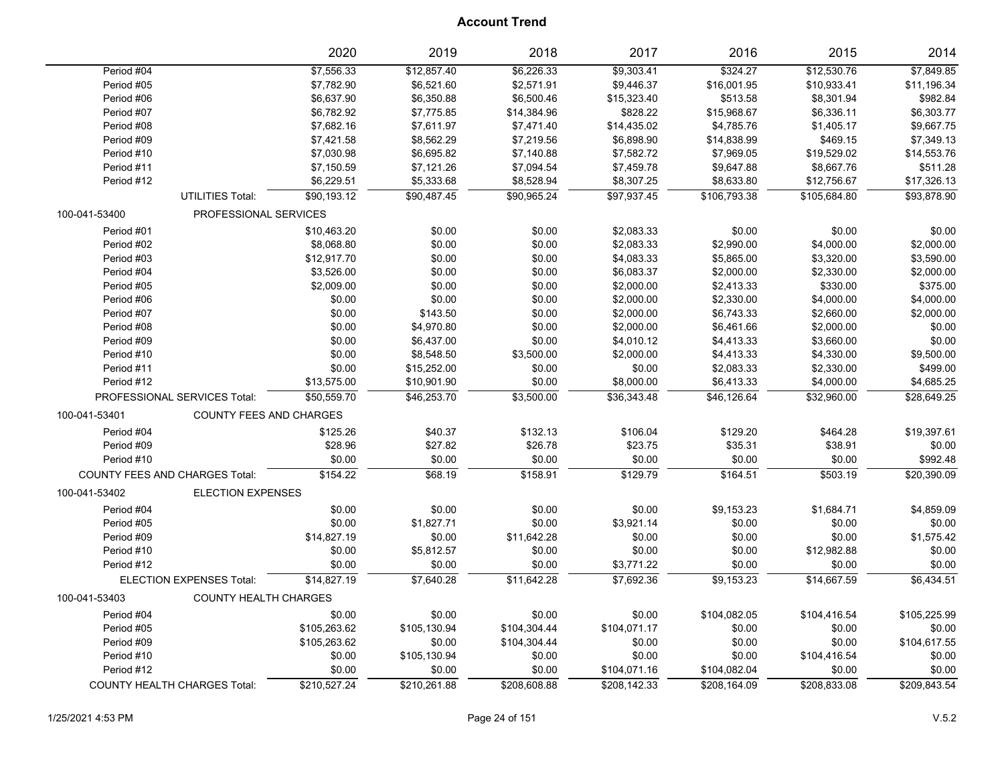|               |                                       | 2020         | 2019         | 2018         | 2017         | 2016         | 2015         | 2014         |
|---------------|---------------------------------------|--------------|--------------|--------------|--------------|--------------|--------------|--------------|
| Period #04    |                                       | \$7,556.33   | \$12,857.40  | \$6,226.33   | \$9,303.41   | \$324.27     | \$12,530.76  | \$7,849.85   |
| Period #05    |                                       | \$7,782.90   | \$6,521.60   | \$2,571.91   | \$9,446.37   | \$16,001.95  | \$10,933.41  | \$11,196.34  |
| Period #06    |                                       | \$6,637.90   | \$6,350.88   | \$6,500.46   | \$15,323.40  | \$513.58     | \$8,301.94   | \$982.84     |
| Period #07    |                                       | \$6,782.92   | \$7,775.85   | \$14,384.96  | \$828.22     | \$15,968.67  | \$6,336.11   | \$6,303.77   |
| Period #08    |                                       | \$7,682.16   | \$7,611.97   | \$7,471.40   | \$14,435.02  | \$4,785.76   | \$1,405.17   | \$9,667.75   |
| Period #09    |                                       | \$7,421.58   | \$8,562.29   | \$7,219.56   | \$6,898.90   | \$14,838.99  | \$469.15     | \$7,349.13   |
| Period #10    |                                       | \$7,030.98   | \$6,695.82   | \$7,140.88   | \$7,582.72   | \$7,969.05   | \$19,529.02  | \$14,553.76  |
| Period #11    |                                       | \$7,150.59   | \$7,121.26   | \$7,094.54   | \$7,459.78   | \$9,647.88   | \$8,667.76   | \$511.28     |
| Period #12    |                                       | \$6,229.51   | \$5,333.68   | \$8,528.94   | \$8,307.25   | \$8,633.80   | \$12,756.67  | \$17,326.13  |
|               | <b>UTILITIES Total:</b>               | \$90,193.12  | \$90,487.45  | \$90,965.24  | \$97,937.45  | \$106,793.38 | \$105,684.80 | \$93,878.90  |
| 100-041-53400 | PROFESSIONAL SERVICES                 |              |              |              |              |              |              |              |
| Period #01    |                                       | \$10,463.20  | \$0.00       | \$0.00       | \$2,083.33   | \$0.00       | \$0.00       | \$0.00       |
| Period #02    |                                       | \$8,068.80   | \$0.00       | \$0.00       | \$2,083.33   | \$2,990.00   | \$4,000.00   | \$2,000.00   |
| Period #03    |                                       | \$12,917.70  | \$0.00       | \$0.00       | \$4,083.33   | \$5,865.00   | \$3,320.00   | \$3,590.00   |
| Period #04    |                                       | \$3,526.00   | \$0.00       | \$0.00       | \$6,083.37   | \$2,000.00   | \$2,330.00   | \$2,000.00   |
| Period #05    |                                       | \$2,009.00   | \$0.00       | \$0.00       | \$2,000.00   | \$2,413.33   | \$330.00     | \$375.00     |
| Period #06    |                                       | \$0.00       | \$0.00       | \$0.00       | \$2,000.00   | \$2,330.00   | \$4,000.00   | \$4,000.00   |
| Period #07    |                                       | \$0.00       | \$143.50     | \$0.00       | \$2,000.00   | \$6,743.33   | \$2,660.00   | \$2,000.00   |
| Period #08    |                                       | \$0.00       | \$4,970.80   | \$0.00       | \$2,000.00   | \$6,461.66   | \$2,000.00   | \$0.00       |
| Period #09    |                                       | \$0.00       | \$6,437.00   | \$0.00       | \$4,010.12   | \$4,413.33   | \$3,660.00   | \$0.00       |
| Period #10    |                                       | \$0.00       | \$8,548.50   | \$3,500.00   | \$2,000.00   | \$4,413.33   | \$4,330.00   | \$9,500.00   |
| Period #11    |                                       | \$0.00       | \$15,252.00  | \$0.00       | \$0.00       | \$2,083.33   | \$2,330.00   | \$499.00     |
| Period #12    |                                       | \$13,575.00  | \$10,901.90  | \$0.00       | \$8,000.00   | \$6,413.33   | \$4,000.00   | \$4,685.25   |
|               | PROFESSIONAL SERVICES Total:          | \$50.559.70  | \$46.253.70  | \$3,500.00   | \$36,343.48  | \$46,126.64  | \$32,960.00  | \$28.649.25  |
| 100-041-53401 | <b>COUNTY FEES AND CHARGES</b>        |              |              |              |              |              |              |              |
| Period #04    |                                       | \$125.26     | \$40.37      | \$132.13     | \$106.04     | \$129.20     | \$464.28     | \$19,397.61  |
| Period #09    |                                       | \$28.96      | \$27.82      | \$26.78      | \$23.75      | \$35.31      | \$38.91      | \$0.00       |
| Period #10    |                                       | \$0.00       | \$0.00       | \$0.00       | \$0.00       | \$0.00       | \$0.00       | \$992.48     |
|               | <b>COUNTY FEES AND CHARGES Total:</b> | \$154.22     | \$68.19      | \$158.91     | \$129.79     | \$164.51     | \$503.19     | \$20,390.09  |
| 100-041-53402 | <b>ELECTION EXPENSES</b>              |              |              |              |              |              |              |              |
| Period #04    |                                       | \$0.00       | \$0.00       | \$0.00       | \$0.00       | \$9,153.23   | \$1,684.71   | \$4,859.09   |
| Period #05    |                                       | \$0.00       | \$1,827.71   | \$0.00       | \$3,921.14   | \$0.00       | \$0.00       | \$0.00       |
| Period #09    |                                       | \$14,827.19  | \$0.00       | \$11,642.28  | \$0.00       | \$0.00       | \$0.00       | \$1,575.42   |
| Period #10    |                                       | \$0.00       | \$5,812.57   | \$0.00       | \$0.00       | \$0.00       | \$12,982.88  | \$0.00       |
| Period #12    |                                       | \$0.00       | \$0.00       | \$0.00       | \$3,771.22   | \$0.00       | \$0.00       | \$0.00       |
|               | ELECTION EXPENSES Total:              | \$14,827.19  | \$7,640.28   | \$11,642.28  | \$7,692.36   | \$9,153.23   | \$14,667.59  | \$6,434.51   |
| 100-041-53403 | <b>COUNTY HEALTH CHARGES</b>          |              |              |              |              |              |              |              |
| Period #04    |                                       | \$0.00       | \$0.00       | \$0.00       | \$0.00       | \$104,082.05 | \$104,416.54 | \$105,225.99 |
| Period #05    |                                       | \$105,263.62 | \$105,130.94 | \$104,304.44 | \$104,071.17 | \$0.00       | \$0.00       | \$0.00       |
| Period #09    |                                       | \$105,263.62 | \$0.00       | \$104,304.44 | \$0.00       | \$0.00       | \$0.00       | \$104,617.55 |
| Period #10    |                                       | \$0.00       | \$105,130.94 | \$0.00       | \$0.00       | \$0.00       | \$104,416.54 | \$0.00       |
| Period #12    |                                       | \$0.00       | \$0.00       | \$0.00       | \$104,071.16 | \$104,082.04 | \$0.00       | \$0.00       |
|               | <b>COUNTY HEALTH CHARGES Total:</b>   | \$210,527.24 | \$210,261.88 | \$208,608.88 | \$208,142.33 | \$208,164.09 | \$208,833.08 | \$209,843.54 |
|               |                                       |              |              |              |              |              |              |              |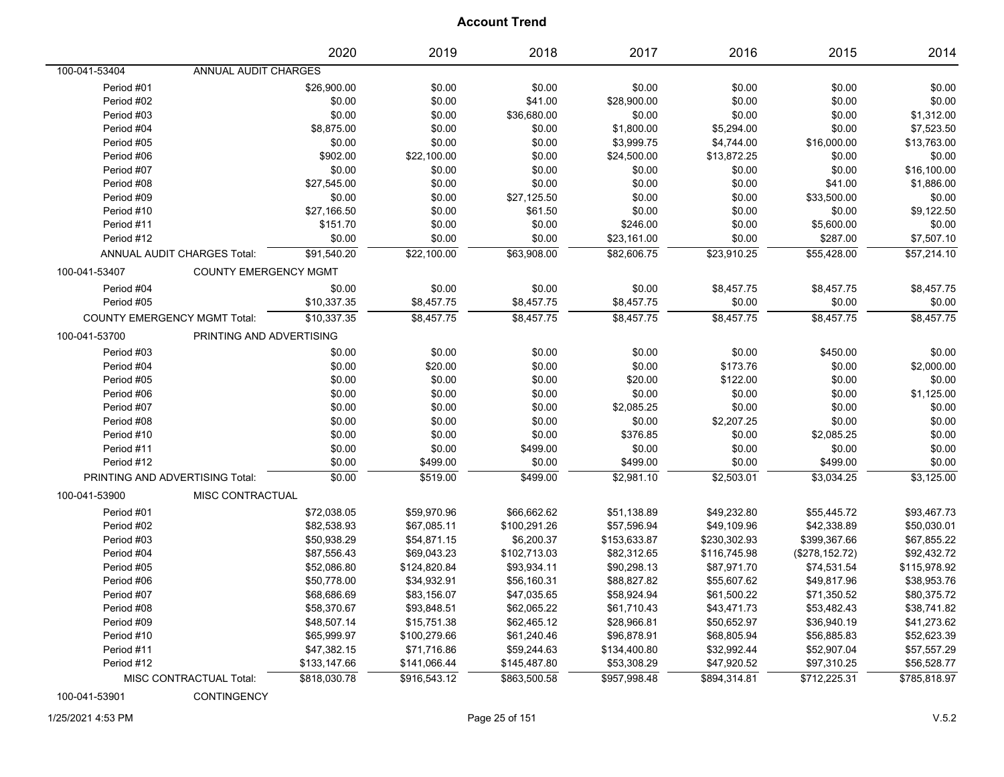|                                 |                              | 2020         | 2019         | 2018         | 2017         | 2016         | 2015            | 2014         |
|---------------------------------|------------------------------|--------------|--------------|--------------|--------------|--------------|-----------------|--------------|
| 100-041-53404                   | ANNUAL AUDIT CHARGES         |              |              |              |              |              |                 |              |
| Period #01                      |                              | \$26,900.00  | \$0.00       | \$0.00       | \$0.00       | \$0.00       | \$0.00          | \$0.00       |
| Period #02                      |                              | \$0.00       | \$0.00       | \$41.00      | \$28,900.00  | \$0.00       | \$0.00          | \$0.00       |
| Period #03                      |                              | \$0.00       | \$0.00       | \$36,680.00  | \$0.00       | \$0.00       | \$0.00          | \$1,312.00   |
| Period #04                      |                              | \$8,875.00   | \$0.00       | \$0.00       | \$1,800.00   | \$5,294.00   | \$0.00          | \$7,523.50   |
| Period #05                      |                              | \$0.00       | \$0.00       | \$0.00       | \$3,999.75   | \$4,744.00   | \$16,000.00     | \$13,763.00  |
| Period #06                      |                              | \$902.00     | \$22,100.00  | \$0.00       | \$24,500.00  | \$13,872.25  | \$0.00          | \$0.00       |
| Period #07                      |                              | \$0.00       | \$0.00       | \$0.00       | \$0.00       | \$0.00       | \$0.00          | \$16,100.00  |
| Period #08                      |                              | \$27,545.00  | \$0.00       | \$0.00       | \$0.00       | \$0.00       | \$41.00         | \$1,886.00   |
| Period #09                      |                              | \$0.00       | \$0.00       | \$27,125.50  | \$0.00       | \$0.00       | \$33,500.00     | \$0.00       |
| Period #10                      |                              | \$27,166.50  | \$0.00       | \$61.50      | \$0.00       | \$0.00       | \$0.00          | \$9,122.50   |
| Period #11                      |                              | \$151.70     | \$0.00       | \$0.00       | \$246.00     | \$0.00       | \$5,600.00      | \$0.00       |
| Period #12                      |                              | \$0.00       | \$0.00       | \$0.00       | \$23,161.00  | \$0.00       | \$287.00        | \$7,507.10   |
|                                 | ANNUAL AUDIT CHARGES Total:  | \$91,540.20  | \$22,100.00  | \$63,908.00  | \$82,606.75  | \$23,910.25  | \$55,428.00     | \$57,214.10  |
| 100-041-53407                   | <b>COUNTY EMERGENCY MGMT</b> |              |              |              |              |              |                 |              |
| Period #04                      |                              | \$0.00       | \$0.00       | \$0.00       | \$0.00       | \$8,457.75   | \$8,457.75      | \$8,457.75   |
| Period #05                      |                              | \$10,337.35  | \$8,457.75   | \$8,457.75   | \$8,457.75   | \$0.00       | \$0.00          | \$0.00       |
| COUNTY EMERGENCY MGMT Total:    |                              | \$10,337.35  | \$8,457.75   | \$8,457.75   | \$8,457.75   | \$8,457.75   | \$8,457.75      | \$8,457.75   |
| 100-041-53700                   | PRINTING AND ADVERTISING     |              |              |              |              |              |                 |              |
| Period #03                      |                              | \$0.00       | \$0.00       | \$0.00       | \$0.00       | \$0.00       | \$450.00        | \$0.00       |
| Period #04                      |                              | \$0.00       | \$20.00      | \$0.00       | \$0.00       | \$173.76     | \$0.00          | \$2,000.00   |
| Period #05                      |                              | \$0.00       | \$0.00       | \$0.00       | \$20.00      | \$122.00     | \$0.00          | \$0.00       |
| Period #06                      |                              | \$0.00       | \$0.00       | \$0.00       | \$0.00       | \$0.00       | \$0.00          | \$1,125.00   |
| Period #07                      |                              | \$0.00       | \$0.00       | \$0.00       | \$2,085.25   | \$0.00       | \$0.00          | \$0.00       |
| Period #08                      |                              | \$0.00       | \$0.00       | \$0.00       | \$0.00       | \$2,207.25   | \$0.00          | \$0.00       |
| Period #10                      |                              | \$0.00       | \$0.00       | \$0.00       | \$376.85     | \$0.00       | \$2,085.25      | \$0.00       |
| Period #11                      |                              | \$0.00       | \$0.00       | \$499.00     | \$0.00       | \$0.00       | \$0.00          | \$0.00       |
| Period #12                      |                              | \$0.00       | \$499.00     | \$0.00       | \$499.00     | \$0.00       | \$499.00        | \$0.00       |
| PRINTING AND ADVERTISING Total: |                              | \$0.00       | \$519.00     | \$499.00     | \$2,981.10   | \$2,503.01   | \$3,034.25      | \$3,125.00   |
| 100-041-53900                   | MISC CONTRACTUAL             |              |              |              |              |              |                 |              |
| Period #01                      |                              | \$72,038.05  | \$59,970.96  | \$66,662.62  | \$51,138.89  | \$49,232.80  | \$55,445.72     | \$93,467.73  |
| Period #02                      |                              | \$82,538.93  | \$67,085.11  | \$100,291.26 | \$57,596.94  | \$49,109.96  | \$42,338.89     | \$50,030.01  |
| Period #03                      |                              | \$50,938.29  | \$54,871.15  | \$6,200.37   | \$153,633.87 | \$230,302.93 | \$399,367.66    | \$67,855.22  |
| Period #04                      |                              | \$87,556.43  | \$69,043.23  | \$102,713.03 | \$82,312.65  | \$116,745.98 | (\$278, 152.72) | \$92,432.72  |
| Period #05                      |                              | \$52,086.80  | \$124,820.84 | \$93,934.11  | \$90,298.13  | \$87,971.70  | \$74,531.54     | \$115,978.92 |
| Period #06                      |                              | \$50,778.00  | \$34,932.91  | \$56,160.31  | \$88,827.82  | \$55,607.62  | \$49,817.96     | \$38,953.76  |
| Period #07                      |                              | \$68,686.69  | \$83,156.07  | \$47,035.65  | \$58,924.94  | \$61,500.22  | \$71,350.52     | \$80,375.72  |
| Period #08                      |                              | \$58,370.67  | \$93,848.51  | \$62,065.22  | \$61,710.43  | \$43,471.73  | \$53,482.43     | \$38,741.82  |
| Period #09                      |                              | \$48,507.14  | \$15,751.38  | \$62,465.12  | \$28,966.81  | \$50,652.97  | \$36,940.19     | \$41,273.62  |
| Period #10                      |                              | \$65,999.97  | \$100,279.66 | \$61,240.46  | \$96,878.91  | \$68,805.94  | \$56,885.83     | \$52,623.39  |
| Period #11                      |                              | \$47,382.15  | \$71,716.86  | \$59,244.63  | \$134,400.80 | \$32,992.44  | \$52,907.04     | \$57,557.29  |
| Period #12                      |                              | \$133,147.66 | \$141,066.44 | \$145,487.80 | \$53,308.29  | \$47,920.52  | \$97,310.25     | \$56,528.77  |
|                                 | MISC CONTRACTUAL Total:      | \$818,030.78 | \$916,543.12 | \$863,500.58 | \$957,998.48 | \$894,314.81 | \$712,225.31    | \$785,818.97 |

100-041-53901 CONTINGENCY

1/25/2021 4:53 PM Page 25 of 151 V.5.2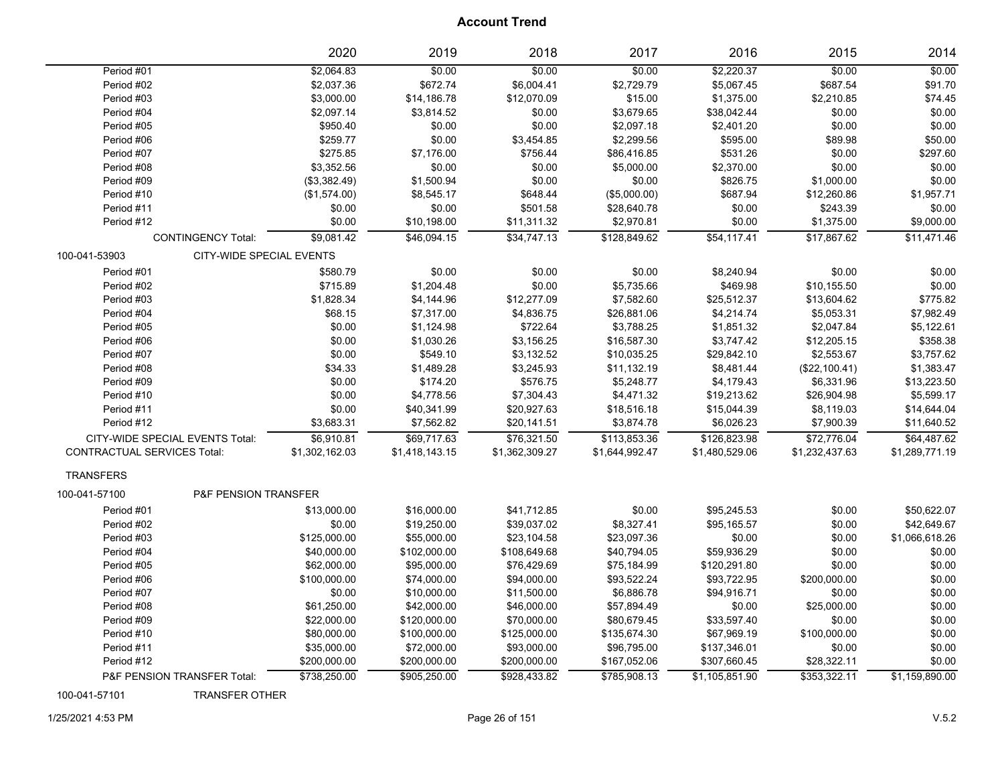|                                    |                                 | 2020           | 2019           | 2018           | 2017           | 2016           | 2015           | 2014           |
|------------------------------------|---------------------------------|----------------|----------------|----------------|----------------|----------------|----------------|----------------|
| Period #01                         |                                 | \$2,064.83     | \$0.00         | \$0.00         | \$0.00         | \$2,220.37     | \$0.00         | \$0.00         |
| Period #02                         |                                 | \$2,037.36     | \$672.74       | \$6,004.41     | \$2,729.79     | \$5,067.45     | \$687.54       | \$91.70        |
| Period #03                         |                                 | \$3,000.00     | \$14,186.78    | \$12,070.09    | \$15.00        | \$1,375.00     | \$2,210.85     | \$74.45        |
| Period #04                         |                                 | \$2,097.14     | \$3,814.52     | \$0.00         | \$3,679.65     | \$38,042.44    | \$0.00         | \$0.00         |
| Period #05                         |                                 | \$950.40       | \$0.00         | \$0.00         | \$2,097.18     | \$2,401.20     | \$0.00         | \$0.00         |
| Period #06                         |                                 | \$259.77       | \$0.00         | \$3,454.85     | \$2,299.56     | \$595.00       | \$89.98        | \$50.00        |
| Period #07                         |                                 | \$275.85       | \$7,176.00     | \$756.44       | \$86,416.85    | \$531.26       | \$0.00         | \$297.60       |
| Period #08                         |                                 | \$3,352.56     | \$0.00         | \$0.00         | \$5,000.00     | \$2,370.00     | \$0.00         | \$0.00         |
| Period #09                         |                                 | (\$3,382.49)   | \$1,500.94     | \$0.00         | \$0.00         | \$826.75       | \$1,000.00     | \$0.00         |
| Period #10                         |                                 | (\$1,574.00)   | \$8,545.17     | \$648.44       | (\$5,000.00)   | \$687.94       | \$12,260.86    | \$1,957.71     |
| Period #11                         |                                 | \$0.00         | \$0.00         | \$501.58       | \$28,640.78    | \$0.00         | \$243.39       | \$0.00         |
| Period #12                         |                                 | \$0.00         | \$10,198.00    | \$11,311.32    | \$2,970.81     | \$0.00         | \$1,375.00     | \$9,000.00     |
|                                    | <b>CONTINGENCY Total:</b>       | \$9,081.42     | \$46,094.15    | \$34,747.13    | \$128,849.62   | \$54,117.41    | \$17,867.62    | \$11,471.46    |
| 100-041-53903                      | <b>CITY-WIDE SPECIAL EVENTS</b> |                |                |                |                |                |                |                |
| Period #01                         |                                 | \$580.79       | \$0.00         | \$0.00         | \$0.00         | \$8,240.94     | \$0.00         | \$0.00         |
| Period #02                         |                                 | \$715.89       | \$1,204.48     | \$0.00         | \$5,735.66     | \$469.98       | \$10,155.50    | \$0.00         |
| Period #03                         |                                 | \$1,828.34     | \$4,144.96     | \$12,277.09    | \$7,582.60     | \$25,512.37    | \$13,604.62    | \$775.82       |
| Period #04                         |                                 | \$68.15        | \$7,317.00     | \$4,836.75     | \$26,881.06    | \$4,214.74     | \$5,053.31     | \$7,982.49     |
| Period #05                         |                                 | \$0.00         | \$1,124.98     | \$722.64       | \$3,788.25     | \$1,851.32     | \$2,047.84     | \$5,122.61     |
| Period #06                         |                                 | \$0.00         | \$1,030.26     | \$3,156.25     | \$16,587.30    | \$3,747.42     | \$12,205.15    | \$358.38       |
| Period #07                         |                                 | \$0.00         | \$549.10       | \$3,132.52     | \$10,035.25    | \$29,842.10    | \$2,553.67     | \$3,757.62     |
| Period #08                         |                                 | \$34.33        | \$1,489.28     | \$3,245.93     | \$11,132.19    | \$8,481.44     | (\$22,100.41)  | \$1,383.47     |
| Period #09                         |                                 | \$0.00         | \$174.20       | \$576.75       | \$5,248.77     | \$4,179.43     | \$6,331.96     | \$13,223.50    |
| Period #10                         |                                 | \$0.00         | \$4,778.56     | \$7,304.43     | \$4,471.32     | \$19,213.62    | \$26,904.98    | \$5,599.17     |
| Period #11                         |                                 | \$0.00         | \$40,341.99    | \$20,927.63    | \$18,516.18    | \$15,044.39    | \$8,119.03     | \$14,644.04    |
| Period #12                         |                                 | \$3,683.31     | \$7,562.82     | \$20,141.51    | \$3,874.78     | \$6,026.23     | \$7,900.39     | \$11,640.52    |
|                                    | CITY-WIDE SPECIAL EVENTS Total: | \$6,910.81     | \$69,717.63    | \$76,321.50    | \$113,853.36   | \$126,823.98   | \$72,776.04    | \$64,487.62    |
| <b>CONTRACTUAL SERVICES Total:</b> |                                 | \$1,302,162.03 | \$1,418,143.15 | \$1,362,309.27 | \$1,644,992.47 | \$1,480,529.06 | \$1,232,437.63 | \$1,289,771.19 |
| <b>TRANSFERS</b>                   |                                 |                |                |                |                |                |                |                |
| 100-041-57100                      | <b>P&amp;F PENSION TRANSFER</b> |                |                |                |                |                |                |                |
| Period #01                         |                                 | \$13,000.00    | \$16,000.00    | \$41,712.85    | \$0.00         | \$95,245.53    | \$0.00         | \$50,622.07    |
| Period #02                         |                                 | \$0.00         | \$19,250.00    | \$39,037.02    | \$8,327.41     | \$95,165.57    | \$0.00         | \$42,649.67    |
| Period #03                         |                                 | \$125,000.00   | \$55,000.00    | \$23,104.58    | \$23,097.36    | \$0.00         | \$0.00         | \$1,066,618.26 |
| Period #04                         |                                 | \$40,000.00    | \$102,000.00   | \$108,649.68   | \$40,794.05    | \$59,936.29    | \$0.00         | \$0.00         |
| Period #05                         |                                 | \$62,000.00    | \$95,000.00    | \$76,429.69    | \$75,184.99    | \$120,291.80   | \$0.00         | \$0.00         |
| Period #06                         |                                 | \$100,000.00   | \$74,000.00    | \$94,000.00    | \$93,522.24    | \$93,722.95    | \$200,000.00   | \$0.00         |
| Period #07                         |                                 | \$0.00         | \$10,000.00    | \$11,500.00    | \$6,886.78     | \$94,916.71    | \$0.00         | \$0.00         |
| Period #08                         |                                 | \$61,250.00    | \$42,000.00    | \$46,000.00    | \$57,894.49    | \$0.00         | \$25,000.00    | \$0.00         |
| Period #09                         |                                 | \$22,000.00    | \$120,000.00   | \$70,000.00    | \$80,679.45    | \$33,597.40    | \$0.00         | \$0.00         |
| Period #10                         |                                 | \$80,000.00    | \$100,000.00   | \$125,000.00   | \$135,674.30   | \$67,969.19    | \$100,000.00   | \$0.00         |
| Period #11                         |                                 | \$35,000.00    | \$72,000.00    | \$93,000.00    | \$96,795.00    | \$137,346.01   | \$0.00         | \$0.00         |
| Period #12                         |                                 | \$200,000.00   | \$200,000.00   | \$200,000.00   | \$167,052.06   | \$307,660.45   | \$28,322.11    | \$0.00         |
|                                    | P&F PENSION TRANSFER Total:     | \$738,250.00   | \$905,250.00   | \$928.433.82   | \$785,908.13   | \$1,105,851.90 | \$353,322.11   | \$1,159,890.00 |
|                                    |                                 |                |                |                |                |                |                |                |

100-041-57101 TRANSFER OTHER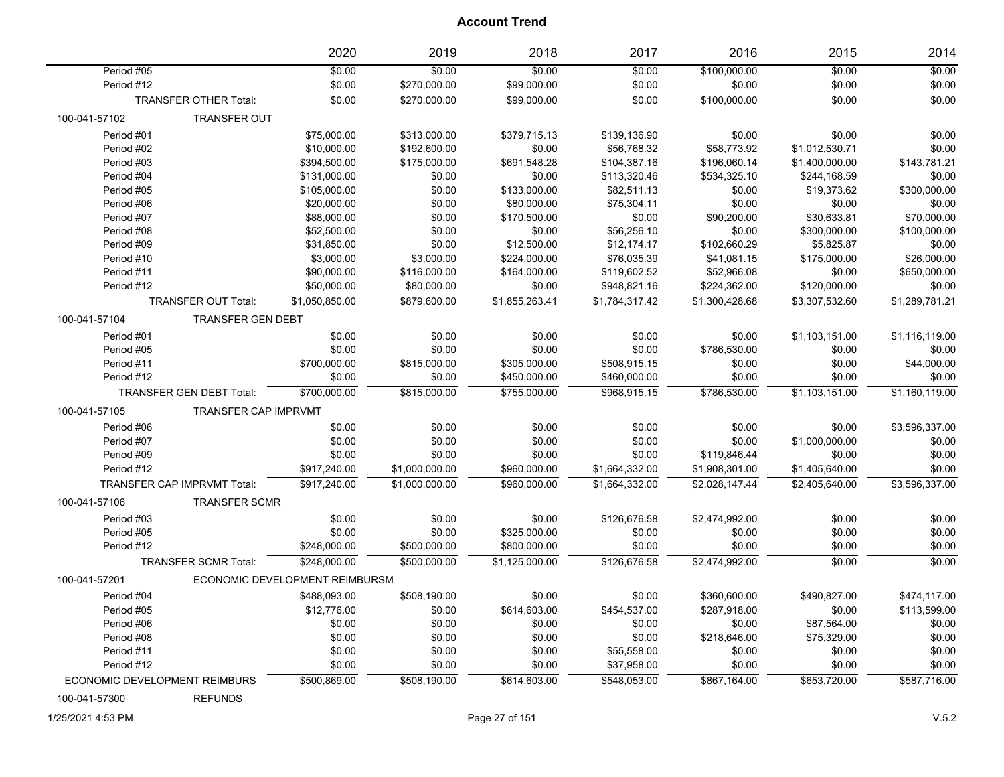|                               |                                 | 2020                           | 2019           | 2018           | 2017           | 2016           | 2015           | 2014           |
|-------------------------------|---------------------------------|--------------------------------|----------------|----------------|----------------|----------------|----------------|----------------|
| Period #05                    |                                 | \$0.00                         | \$0.00         | \$0.00         | \$0.00         | \$100,000.00   | \$0.00         | \$0.00         |
| Period #12                    |                                 | \$0.00                         | \$270,000.00   | \$99,000.00    | \$0.00         | \$0.00         | \$0.00         | \$0.00         |
|                               | TRANSFER OTHER Total:           | \$0.00                         | \$270,000.00   | \$99,000.00    | 50.00          | \$100,000.00   | \$0.00         | 50.00          |
| 100-041-57102                 | <b>TRANSFER OUT</b>             |                                |                |                |                |                |                |                |
| Period #01                    |                                 | \$75,000.00                    | \$313,000.00   | \$379,715.13   | \$139,136.90   | \$0.00         | \$0.00         | \$0.00         |
| Period #02                    |                                 | \$10,000.00                    | \$192,600.00   | \$0.00         | \$56,768.32    | \$58,773.92    | \$1,012,530.71 | \$0.00         |
| Period #03                    |                                 | \$394,500.00                   | \$175,000.00   | \$691,548.28   | \$104,387.16   | \$196,060.14   | \$1,400,000.00 | \$143,781.21   |
| Period #04                    |                                 | \$131,000.00                   | \$0.00         | \$0.00         | \$113,320.46   | \$534,325.10   | \$244,168.59   | \$0.00         |
| Period #05                    |                                 | \$105,000.00                   | \$0.00         | \$133,000.00   | \$82,511.13    | \$0.00         | \$19,373.62    | \$300,000.00   |
| Period #06                    |                                 | \$20,000.00                    | \$0.00         | \$80,000.00    | \$75,304.11    | \$0.00         | \$0.00         | \$0.00         |
| Period #07                    |                                 | \$88,000.00                    | \$0.00         | \$170,500.00   | \$0.00         | \$90,200.00    | \$30,633.81    | \$70,000.00    |
| Period #08                    |                                 | \$52,500.00                    | \$0.00         | \$0.00         | \$56,256.10    | \$0.00         | \$300,000.00   | \$100,000.00   |
| Period #09                    |                                 | \$31,850.00                    | \$0.00         | \$12,500.00    | \$12,174.17    | \$102,660.29   | \$5,825.87     | \$0.00         |
| Period #10                    |                                 | \$3,000.00                     | \$3,000.00     | \$224,000.00   | \$76,035.39    | \$41,081.15    | \$175,000.00   | \$26,000.00    |
| Period #11                    |                                 | \$90,000.00                    | \$116,000.00   | \$164,000.00   | \$119,602.52   | \$52,966.08    | \$0.00         | \$650,000.00   |
| Period #12                    |                                 | \$50,000.00                    | \$80,000.00    | \$0.00         | \$948,821.16   | \$224,362.00   | \$120,000.00   | \$0.00         |
|                               | <b>TRANSFER OUT Total:</b>      | \$1,050,850.00                 | \$879,600.00   | \$1,855,263.41 | \$1,784,317.42 | \$1,300,428.68 | \$3,307,532.60 | \$1,289,781.21 |
| 100-041-57104                 | <b>TRANSFER GEN DEBT</b>        |                                |                |                |                |                |                |                |
| Period #01                    |                                 | \$0.00                         | \$0.00         | \$0.00         | \$0.00         | \$0.00         | \$1,103,151.00 | \$1,116,119.00 |
| Period #05                    |                                 | \$0.00                         | \$0.00         | \$0.00         | \$0.00         | \$786,530.00   | \$0.00         | \$0.00         |
| Period #11                    |                                 | \$700,000.00                   | \$815,000.00   | \$305,000.00   | \$508,915.15   | \$0.00         | \$0.00         | \$44,000.00    |
| Period #12                    |                                 | \$0.00                         | \$0.00         | \$450,000.00   | \$460,000.00   | \$0.00         | \$0.00         | \$0.00         |
|                               | <b>TRANSFER GEN DEBT Total:</b> | \$700,000.00                   | \$815,000.00   | \$755,000.00   | \$968,915.15   | \$786,530.00   | \$1,103,151.00 | \$1,160,119.00 |
| 100-041-57105                 | <b>TRANSFER CAP IMPRVMT</b>     |                                |                |                |                |                |                |                |
| Period #06                    |                                 | \$0.00                         | \$0.00         | \$0.00         | \$0.00         | \$0.00         | \$0.00         | \$3,596,337.00 |
| Period #07                    |                                 | \$0.00                         | \$0.00         | \$0.00         | \$0.00         | \$0.00         | \$1,000,000.00 | \$0.00         |
| Period #09                    |                                 | \$0.00                         | \$0.00         | \$0.00         | \$0.00         | \$119,846.44   | \$0.00         | \$0.00         |
| Period #12                    |                                 | \$917,240.00                   | \$1,000,000.00 | \$960,000.00   | \$1,664,332.00 | \$1,908,301.00 | \$1,405,640.00 | \$0.00         |
|                               | TRANSFER CAP IMPRVMT Total:     | \$917,240.00                   | \$1,000,000.00 | \$960,000.00   | \$1,664,332.00 | \$2,028,147.44 | \$2,405,640.00 | \$3,596,337.00 |
| 100-041-57106                 | <b>TRANSFER SCMR</b>            |                                |                |                |                |                |                |                |
| Period #03                    |                                 | \$0.00                         | \$0.00         | \$0.00         | \$126,676.58   | \$2,474,992.00 | \$0.00         | \$0.00         |
| Period #05                    |                                 | \$0.00                         | \$0.00         | \$325,000.00   | \$0.00         | \$0.00         | \$0.00         | \$0.00         |
| Period #12                    |                                 | \$248,000.00                   | \$500,000.00   | \$800,000.00   | \$0.00         | \$0.00         | \$0.00         | \$0.00         |
|                               | <b>TRANSFER SCMR Total:</b>     | \$248,000.00                   | \$500,000.00   | \$1,125,000.00 | \$126,676.58   | \$2,474,992.00 | \$0.00         | \$0.00         |
| 100-041-57201                 |                                 | ECONOMIC DEVELOPMENT REIMBURSM |                |                |                |                |                |                |
| Period #04                    |                                 | \$488,093.00                   | \$508,190.00   | \$0.00         | \$0.00         | \$360,600.00   | \$490,827.00   | \$474,117.00   |
| Period #05                    |                                 | \$12,776.00                    | \$0.00         | \$614,603.00   | \$454,537.00   | \$287,918.00   | \$0.00         | \$113,599.00   |
| Period #06                    |                                 | \$0.00                         | \$0.00         | \$0.00         | \$0.00         | \$0.00         | \$87,564.00    | \$0.00         |
| Period #08                    |                                 | \$0.00                         | \$0.00         | \$0.00         | \$0.00         | \$218,646.00   | \$75,329.00    | \$0.00         |
| Period #11                    |                                 | \$0.00                         | \$0.00         | \$0.00         | \$55,558.00    | \$0.00         | \$0.00         | \$0.00         |
| Period #12                    |                                 | \$0.00                         | \$0.00         | \$0.00         | \$37,958.00    | \$0.00         | \$0.00         | \$0.00         |
| ECONOMIC DEVELOPMENT REIMBURS |                                 | \$500,869.00                   | \$508,190.00   | \$614,603.00   | \$548,053.00   | \$867,164.00   | \$653,720.00   | \$587,716.00   |
| 100-041-57300                 | <b>REFUNDS</b>                  |                                |                |                |                |                |                |                |

1/25/2021 4:53 PM Page 27 of 151 V.5.2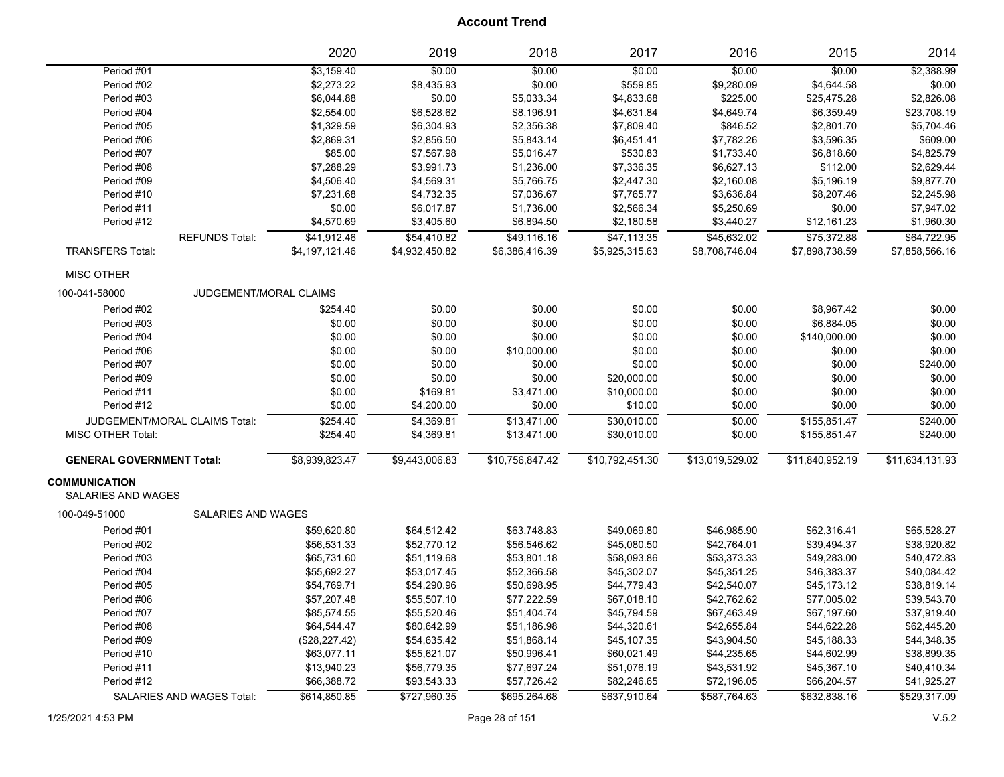|                                            |                               | 2020           | 2019           | 2018            | 2017            | 2016            | 2015            | 2014            |
|--------------------------------------------|-------------------------------|----------------|----------------|-----------------|-----------------|-----------------|-----------------|-----------------|
| Period #01                                 |                               | \$3,159.40     | \$0.00         | \$0.00          | \$0.00          | \$0.00          | \$0.00          | \$2,388.99      |
| Period #02                                 |                               | \$2,273.22     | \$8,435.93     | \$0.00          | \$559.85        | \$9,280.09      | \$4,644.58      | \$0.00          |
| Period #03                                 |                               | \$6,044.88     | \$0.00         | \$5,033.34      | \$4,833.68      | \$225.00        | \$25,475.28     | \$2,826.08      |
| Period #04                                 |                               | \$2,554.00     | \$6,528.62     | \$8,196.91      | \$4,631.84      | \$4,649.74      | \$6,359.49      | \$23,708.19     |
| Period #05                                 |                               | \$1,329.59     | \$6,304.93     | \$2,356.38      | \$7,809.40      | \$846.52        | \$2,801.70      | \$5,704.46      |
| Period #06                                 |                               | \$2,869.31     | \$2,856.50     | \$5,843.14      | \$6,451.41      | \$7,782.26      | \$3,596.35      | \$609.00        |
| Period #07                                 |                               | \$85.00        | \$7,567.98     | \$5,016.47      | \$530.83        | \$1,733.40      | \$6,818.60      | \$4,825.79      |
| Period #08                                 |                               | \$7,288.29     | \$3,991.73     | \$1,236.00      | \$7,336.35      | \$6,627.13      | \$112.00        | \$2,629.44      |
| Period #09                                 |                               | \$4,506.40     | \$4,569.31     | \$5,766.75      | \$2,447.30      | \$2,160.08      | \$5,196.19      | \$9,877.70      |
| Period #10                                 |                               | \$7,231.68     | \$4,732.35     | \$7,036.67      | \$7,765.77      | \$3,636.84      | \$8,207.46      | \$2,245.98      |
| Period #11                                 |                               | \$0.00         | \$6,017.87     | \$1,736.00      | \$2,566.34      | \$5,250.69      | \$0.00          | \$7,947.02      |
| Period #12                                 |                               | \$4,570.69     | \$3,405.60     | \$6,894.50      | \$2,180.58      | \$3,440.27      | \$12,161.23     | \$1,960.30      |
|                                            | <b>REFUNDS Total:</b>         | \$41,912.46    | \$54,410.82    | \$49,116.16     | \$47,113.35     | \$45,632.02     | \$75,372.88     | \$64,722.95     |
| <b>TRANSFERS Total:</b>                    |                               | \$4,197,121.46 | \$4,932,450.82 | \$6,386,416.39  | \$5,925,315.63  | \$8,708,746.04  | \$7,898,738.59  | \$7,858,566.16  |
| MISC OTHER                                 |                               |                |                |                 |                 |                 |                 |                 |
| 100-041-58000                              | <b>JUDGEMENT/MORAL CLAIMS</b> |                |                |                 |                 |                 |                 |                 |
| Period #02                                 |                               | \$254.40       | \$0.00         | \$0.00          | \$0.00          | \$0.00          | \$8,967.42      | \$0.00          |
| Period #03                                 |                               | \$0.00         | \$0.00         | \$0.00          | \$0.00          | \$0.00          | \$6,884.05      | \$0.00          |
| Period #04                                 |                               | \$0.00         | \$0.00         | \$0.00          | \$0.00          | \$0.00          | \$140,000.00    | \$0.00          |
| Period #06                                 |                               | \$0.00         | \$0.00         | \$10,000.00     | \$0.00          | \$0.00          | \$0.00          | \$0.00          |
| Period #07                                 |                               | \$0.00         | \$0.00         | \$0.00          | \$0.00          | \$0.00          | \$0.00          | \$240.00        |
| Period #09                                 |                               | \$0.00         | \$0.00         | \$0.00          | \$20,000.00     | \$0.00          | \$0.00          | \$0.00          |
| Period #11                                 |                               | \$0.00         | \$169.81       | \$3,471.00      | \$10,000.00     | \$0.00          | \$0.00          | \$0.00          |
| Period #12                                 |                               | \$0.00         | \$4,200.00     | \$0.00          | \$10.00         | \$0.00          | \$0.00          | \$0.00          |
|                                            | JUDGEMENT/MORAL CLAIMS Total: | \$254.40       | \$4,369.81     | \$13,471.00     | \$30,010.00     | \$0.00          | \$155,851.47    | \$240.00        |
| MISC OTHER Total:                          |                               | \$254.40       | \$4,369.81     | \$13,471.00     | \$30,010.00     | \$0.00          | \$155,851.47    | \$240.00        |
| <b>GENERAL GOVERNMENT Total:</b>           |                               | \$8,939,823.47 | \$9,443,006.83 | \$10,756,847.42 | \$10,792,451.30 | \$13,019,529.02 | \$11,840,952.19 | \$11,634,131.93 |
| <b>COMMUNICATION</b><br>SALARIES AND WAGES |                               |                |                |                 |                 |                 |                 |                 |
| 100-049-51000                              | <b>SALARIES AND WAGES</b>     |                |                |                 |                 |                 |                 |                 |
| Period #01                                 |                               | \$59,620.80    | \$64,512.42    | \$63,748.83     | \$49,069.80     | \$46,985.90     | \$62,316.41     | \$65,528.27     |
| Period #02                                 |                               | \$56,531.33    | \$52,770.12    | \$56,546.62     | \$45,080.50     | \$42,764.01     | \$39,494.37     | \$38,920.82     |
| Period #03                                 |                               | \$65,731.60    | \$51,119.68    | \$53,801.18     | \$58,093.86     | \$53,373.33     | \$49,283.00     | \$40,472.83     |
| Period #04                                 |                               | \$55,692.27    | \$53,017.45    | \$52,366.58     | \$45,302.07     | \$45,351.25     | \$46,383.37     | \$40,084.42     |
| Period #05                                 |                               | \$54,769.71    | \$54,290.96    | \$50,698.95     | \$44,779.43     | \$42,540.07     | \$45,173.12     | \$38,819.14     |
| Period #06                                 |                               | \$57,207.48    | \$55,507.10    | \$77,222.59     | \$67,018.10     | \$42,762.62     | \$77,005.02     | \$39,543.70     |
| Period #07                                 |                               | \$85,574.55    | \$55,520.46    | \$51,404.74     | \$45,794.59     | \$67,463.49     | \$67,197.60     | \$37,919.40     |
| Period #08                                 |                               | \$64,544.47    | \$80,642.99    | \$51,186.98     | \$44,320.61     | \$42,655.84     | \$44,622.28     | \$62,445.20     |
| Period #09                                 |                               | (\$28,227.42)  | \$54,635.42    | \$51,868.14     | \$45,107.35     | \$43,904.50     | \$45,188.33     | \$44,348.35     |
| Period #10                                 |                               | \$63,077.11    | \$55,621.07    | \$50,996.41     | \$60,021.49     | \$44,235.65     | \$44,602.99     | \$38,899.35     |
| Period #11                                 |                               | \$13,940.23    | \$56,779.35    | \$77,697.24     | \$51,076.19     | \$43,531.92     | \$45,367.10     | \$40,410.34     |
| Period #12                                 |                               | \$66,388.72    | \$93,543.33    | \$57,726.42     | \$82,246.65     | \$72,196.05     | \$66,204.57     | \$41,925.27     |
|                                            | SALARIES AND WAGES Total:     | \$614,850.85   | \$727,960.35   | \$695,264.68    | \$637,910.64    | \$587,764.63    | \$632,838.16    | \$529,317.09    |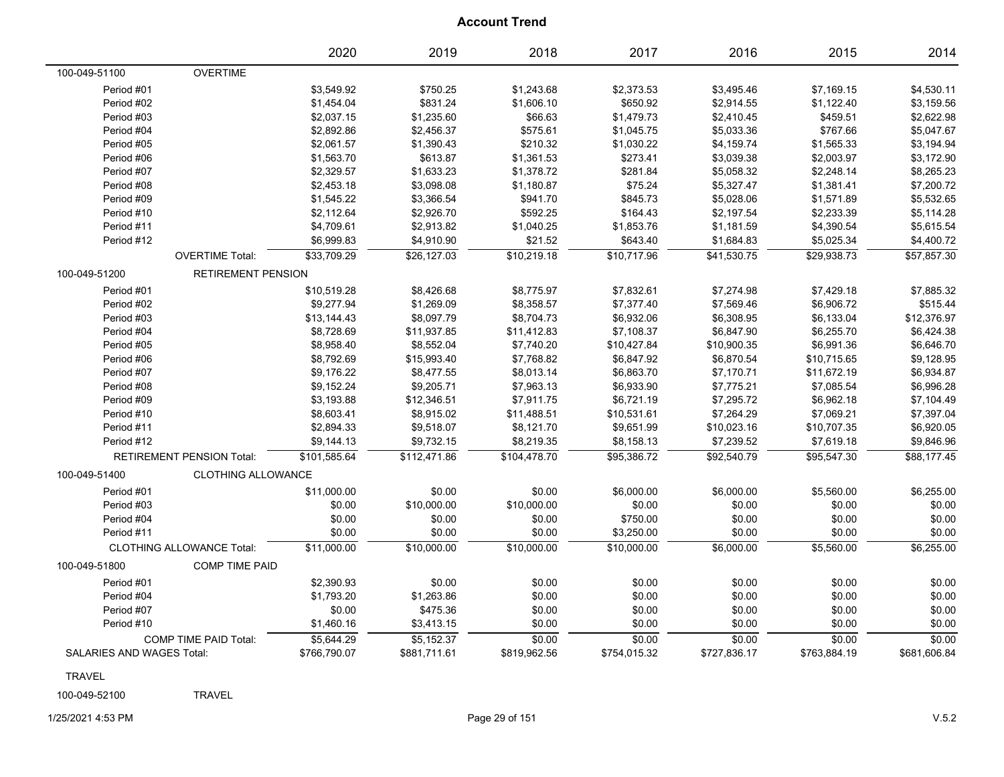|                                  |                                  | 2020         | 2019         | 2018         | 2017         | 2016         | 2015         | 2014         |
|----------------------------------|----------------------------------|--------------|--------------|--------------|--------------|--------------|--------------|--------------|
| 100-049-51100                    | <b>OVERTIME</b>                  |              |              |              |              |              |              |              |
| Period #01                       |                                  | \$3,549.92   | \$750.25     | \$1,243.68   | \$2,373.53   | \$3,495.46   | \$7,169.15   | \$4,530.11   |
| Period #02                       |                                  | \$1,454.04   | \$831.24     | \$1,606.10   | \$650.92     | \$2,914.55   | \$1,122.40   | \$3,159.56   |
| Period #03                       |                                  | \$2,037.15   | \$1,235.60   | \$66.63      | \$1,479.73   | \$2,410.45   | \$459.51     | \$2,622.98   |
| Period #04                       |                                  | \$2,892.86   | \$2,456.37   | \$575.61     | \$1,045.75   | \$5,033.36   | \$767.66     | \$5,047.67   |
| Period #05                       |                                  | \$2,061.57   | \$1,390.43   | \$210.32     | \$1,030.22   | \$4,159.74   | \$1,565.33   | \$3,194.94   |
| Period #06                       |                                  | \$1,563.70   | \$613.87     | \$1,361.53   | \$273.41     | \$3,039.38   | \$2,003.97   | \$3,172.90   |
| Period #07                       |                                  | \$2,329.57   | \$1,633.23   | \$1,378.72   | \$281.84     | \$5,058.32   | \$2,248.14   | \$8,265.23   |
| Period #08                       |                                  | \$2,453.18   | \$3,098.08   | \$1,180.87   | \$75.24      | \$5,327.47   | \$1,381.41   | \$7,200.72   |
| Period #09                       |                                  | \$1,545.22   | \$3,366.54   | \$941.70     | \$845.73     | \$5,028.06   | \$1,571.89   | \$5,532.65   |
| Period #10                       |                                  | \$2,112.64   | \$2,926.70   | \$592.25     | \$164.43     | \$2,197.54   | \$2,233.39   | \$5,114.28   |
| Period #11                       |                                  | \$4,709.61   | \$2,913.82   | \$1,040.25   | \$1,853.76   | \$1,181.59   | \$4,390.54   | \$5,615.54   |
| Period #12                       |                                  | \$6,999.83   | \$4,910.90   | \$21.52      | \$643.40     | \$1,684.83   | \$5,025.34   | \$4,400.72   |
|                                  | <b>OVERTIME Total:</b>           | \$33,709.29  | \$26,127.03  | \$10,219.18  | \$10,717.96  | \$41,530.75  | \$29,938.73  | \$57,857.30  |
| 100-049-51200                    | <b>RETIREMENT PENSION</b>        |              |              |              |              |              |              |              |
| Period #01                       |                                  | \$10,519.28  | \$8,426.68   | \$8,775.97   | \$7,832.61   | \$7,274.98   | \$7,429.18   | \$7,885.32   |
| Period #02                       |                                  | \$9,277.94   | \$1,269.09   | \$8,358.57   | \$7,377.40   | \$7,569.46   | \$6,906.72   | \$515.44     |
| Period #03                       |                                  | \$13,144.43  | \$8,097.79   | \$8,704.73   | \$6,932.06   | \$6,308.95   | \$6,133.04   | \$12,376.97  |
| Period #04                       |                                  | \$8,728.69   | \$11,937.85  | \$11,412.83  | \$7,108.37   | \$6,847.90   | \$6,255.70   | \$6,424.38   |
| Period #05                       |                                  | \$8,958.40   | \$8,552.04   | \$7,740.20   | \$10,427.84  | \$10,900.35  | \$6,991.36   | \$6,646.70   |
| Period #06                       |                                  | \$8,792.69   | \$15,993.40  | \$7,768.82   | \$6,847.92   | \$6,870.54   | \$10,715.65  | \$9,128.95   |
| Period #07                       |                                  | \$9,176.22   | \$8,477.55   | \$8,013.14   | \$6,863.70   | \$7,170.71   | \$11,672.19  | \$6,934.87   |
| Period #08                       |                                  | \$9,152.24   | \$9,205.71   | \$7,963.13   | \$6,933.90   | \$7,775.21   | \$7,085.54   | \$6,996.28   |
| Period #09                       |                                  | \$3,193.88   | \$12,346.51  | \$7,911.75   | \$6,721.19   | \$7,295.72   | \$6,962.18   | \$7,104.49   |
| Period #10                       |                                  | \$8,603.41   | \$8,915.02   | \$11,488.51  | \$10,531.61  | \$7,264.29   | \$7,069.21   | \$7,397.04   |
| Period #11                       |                                  | \$2,894.33   | \$9,518.07   | \$8,121.70   | \$9,651.99   | \$10,023.16  | \$10,707.35  | \$6,920.05   |
| Period #12                       |                                  | \$9,144.13   | \$9,732.15   | \$8,219.35   | \$8,158.13   | \$7,239.52   | \$7,619.18   | \$9,846.96   |
|                                  | <b>RETIREMENT PENSION Total:</b> | \$101,585.64 | \$112,471.86 | \$104,478.70 | \$95.386.72  | \$92,540.79  | \$95,547.30  | \$88,177.45  |
| 100-049-51400                    | <b>CLOTHING ALLOWANCE</b>        |              |              |              |              |              |              |              |
| Period #01                       |                                  | \$11,000.00  | \$0.00       | \$0.00       | \$6,000.00   | \$6,000.00   | \$5,560.00   | \$6,255.00   |
| Period #03                       |                                  | \$0.00       | \$10,000.00  | \$10,000.00  | \$0.00       | \$0.00       | \$0.00       | \$0.00       |
| Period #04                       |                                  | \$0.00       | \$0.00       | \$0.00       | \$750.00     | \$0.00       | \$0.00       | \$0.00       |
| Period #11                       |                                  | \$0.00       | \$0.00       | \$0.00       | \$3,250.00   | \$0.00       | \$0.00       | \$0.00       |
|                                  | <b>CLOTHING ALLOWANCE Total:</b> | \$11,000.00  | \$10,000.00  | \$10,000.00  | \$10,000.00  | \$6,000.00   | \$5,560.00   | \$6,255.00   |
| 100-049-51800                    | <b>COMP TIME PAID</b>            |              |              |              |              |              |              |              |
| Period #01                       |                                  | \$2,390.93   | \$0.00       | \$0.00       | \$0.00       | \$0.00       | \$0.00       | \$0.00       |
| Period #04                       |                                  | \$1,793.20   | \$1,263.86   | \$0.00       | \$0.00       | \$0.00       | \$0.00       | \$0.00       |
| Period #07                       |                                  | \$0.00       | \$475.36     | \$0.00       | \$0.00       | \$0.00       | \$0.00       | \$0.00       |
| Period #10                       |                                  | \$1,460.16   | \$3,413.15   | \$0.00       | \$0.00       | \$0.00       | \$0.00       | \$0.00       |
|                                  | <b>COMP TIME PAID Total:</b>     | \$5,644.29   | \$5,152.37   | \$0.00       | \$0.00       | \$0.00       | \$0.00       | \$0.00       |
| <b>SALARIES AND WAGES Total:</b> |                                  | \$766,790.07 | \$881,711.61 | \$819,962.56 | \$754,015.32 | \$727,836.17 | \$763,884.19 | \$681,606.84 |

TRAVEL

100-049-52100 TRAVEL

1/25/2021 4:53 PM Page 29 of 151 V.5.2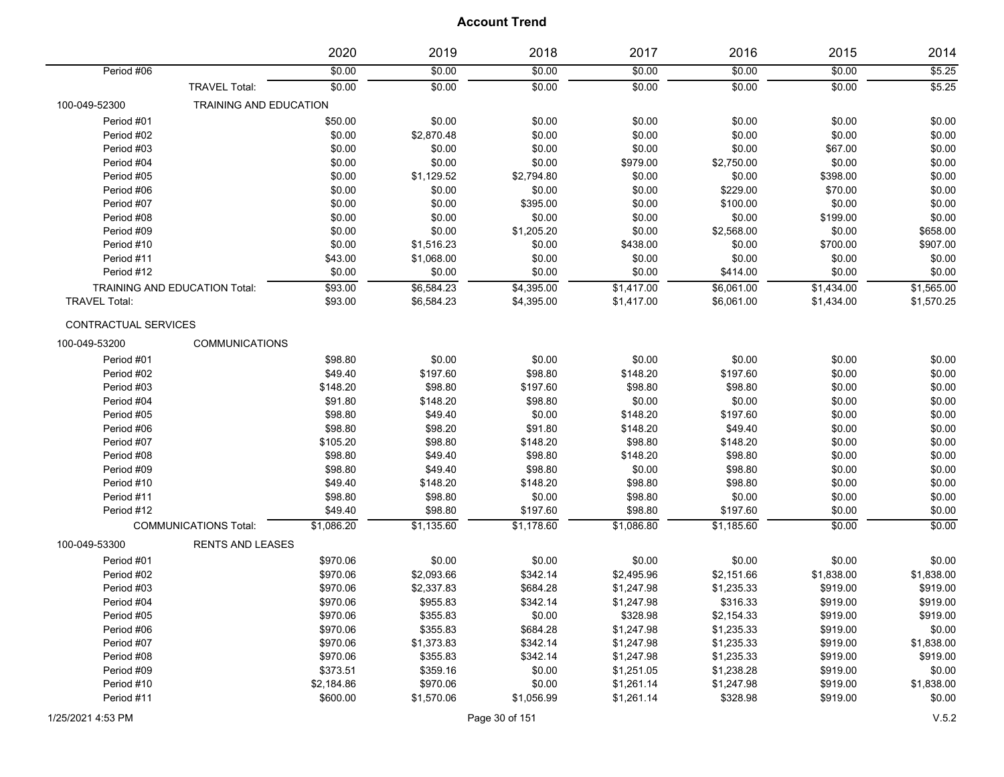|                      |                                      | 2020       | 2019       | 2018       | 2017       | 2016       | 2015       | 2014       |
|----------------------|--------------------------------------|------------|------------|------------|------------|------------|------------|------------|
| Period #06           |                                      | \$0.00     | \$0.00     | \$0.00     | \$0.00     | \$0.00     | \$0.00     | \$5.25     |
|                      | <b>TRAVEL Total:</b>                 | \$0.00     | \$0.00     | \$0.00     | \$0.00     | \$0.00     | \$0.00     | \$5.25     |
| 100-049-52300        | TRAINING AND EDUCATION               |            |            |            |            |            |            |            |
| Period #01           |                                      | \$50.00    | \$0.00     | \$0.00     | \$0.00     | \$0.00     | \$0.00     | \$0.00     |
| Period #02           |                                      | \$0.00     | \$2,870.48 | \$0.00     | \$0.00     | \$0.00     | \$0.00     | \$0.00     |
| Period #03           |                                      | \$0.00     | \$0.00     | \$0.00     | \$0.00     | \$0.00     | \$67.00    | \$0.00     |
| Period #04           |                                      | \$0.00     | \$0.00     | \$0.00     | \$979.00   | \$2,750.00 | \$0.00     | \$0.00     |
| Period #05           |                                      | \$0.00     | \$1,129.52 | \$2,794.80 | \$0.00     | \$0.00     | \$398.00   | \$0.00     |
| Period #06           |                                      | \$0.00     | \$0.00     | \$0.00     | \$0.00     | \$229.00   | \$70.00    | \$0.00     |
| Period #07           |                                      | \$0.00     | \$0.00     | \$395.00   | \$0.00     | \$100.00   | \$0.00     | \$0.00     |
| Period #08           |                                      | \$0.00     | \$0.00     | \$0.00     | \$0.00     | \$0.00     | \$199.00   | \$0.00     |
| Period #09           |                                      | \$0.00     | \$0.00     | \$1,205.20 | \$0.00     | \$2,568.00 | \$0.00     | \$658.00   |
| Period #10           |                                      | \$0.00     | \$1,516.23 | \$0.00     | \$438.00   | \$0.00     | \$700.00   | \$907.00   |
| Period #11           |                                      | \$43.00    | \$1,068.00 | \$0.00     | \$0.00     | \$0.00     | \$0.00     | \$0.00     |
| Period #12           |                                      | \$0.00     | \$0.00     | \$0.00     | \$0.00     | \$414.00   | \$0.00     | \$0.00     |
|                      | <b>TRAINING AND EDUCATION Total:</b> | \$93.00    | \$6,584.23 | \$4,395.00 | \$1,417.00 | \$6,061.00 | \$1,434.00 | \$1,565.00 |
| <b>TRAVEL Total:</b> |                                      | \$93.00    | \$6,584.23 | \$4,395.00 | \$1,417.00 | \$6,061.00 | \$1,434.00 | \$1,570.25 |
| CONTRACTUAL SERVICES |                                      |            |            |            |            |            |            |            |
|                      | <b>COMMUNICATIONS</b>                |            |            |            |            |            |            |            |
| 100-049-53200        |                                      |            |            |            |            |            |            |            |
| Period #01           |                                      | \$98.80    | \$0.00     | \$0.00     | \$0.00     | \$0.00     | \$0.00     | \$0.00     |
| Period #02           |                                      | \$49.40    | \$197.60   | \$98.80    | \$148.20   | \$197.60   | \$0.00     | \$0.00     |
| Period #03           |                                      | \$148.20   | \$98.80    | \$197.60   | \$98.80    | \$98.80    | \$0.00     | \$0.00     |
| Period #04           |                                      | \$91.80    | \$148.20   | \$98.80    | \$0.00     | \$0.00     | \$0.00     | \$0.00     |
| Period #05           |                                      | \$98.80    | \$49.40    | \$0.00     | \$148.20   | \$197.60   | \$0.00     | \$0.00     |
| Period #06           |                                      | \$98.80    | \$98.20    | \$91.80    | \$148.20   | \$49.40    | \$0.00     | \$0.00     |
| Period #07           |                                      | \$105.20   | \$98.80    | \$148.20   | \$98.80    | \$148.20   | \$0.00     | \$0.00     |
| Period #08           |                                      | \$98.80    | \$49.40    | \$98.80    | \$148.20   | \$98.80    | \$0.00     | \$0.00     |
| Period #09           |                                      | \$98.80    | \$49.40    | \$98.80    | \$0.00     | \$98.80    | \$0.00     | \$0.00     |
| Period #10           |                                      | \$49.40    | \$148.20   | \$148.20   | \$98.80    | \$98.80    | \$0.00     | \$0.00     |
| Period #11           |                                      | \$98.80    | \$98.80    | \$0.00     | \$98.80    | \$0.00     | \$0.00     | \$0.00     |
| Period #12           |                                      | \$49.40    | \$98.80    | \$197.60   | \$98.80    | \$197.60   | \$0.00     | \$0.00     |
|                      | <b>COMMUNICATIONS Total:</b>         | \$1,086.20 | \$1,135.60 | \$1,178.60 | \$1,086.80 | \$1,185.60 | \$0.00     | \$0.00     |
| 100-049-53300        | <b>RENTS AND LEASES</b>              |            |            |            |            |            |            |            |
| Period #01           |                                      | \$970.06   | \$0.00     | \$0.00     | \$0.00     | \$0.00     | \$0.00     | \$0.00     |
| Period #02           |                                      | \$970.06   | \$2,093.66 | \$342.14   | \$2,495.96 | \$2,151.66 | \$1,838.00 | \$1,838.00 |
| Period #03           |                                      | \$970.06   | \$2,337.83 | \$684.28   | \$1,247.98 | \$1,235.33 | \$919.00   | \$919.00   |
| Period #04           |                                      | \$970.06   | \$955.83   | \$342.14   | \$1,247.98 | \$316.33   | \$919.00   | \$919.00   |
| Period #05           |                                      | \$970.06   | \$355.83   | \$0.00     | \$328.98   | \$2,154.33 | \$919.00   | \$919.00   |
| Period #06           |                                      | \$970.06   | \$355.83   | \$684.28   | \$1,247.98 | \$1,235.33 | \$919.00   | \$0.00     |
| Period #07           |                                      | \$970.06   | \$1,373.83 | \$342.14   | \$1,247.98 | \$1,235.33 | \$919.00   | \$1,838.00 |
| Period #08           |                                      | \$970.06   | \$355.83   | \$342.14   | \$1,247.98 | \$1,235.33 | \$919.00   | \$919.00   |
| Period #09           |                                      | \$373.51   | \$359.16   | \$0.00     | \$1,251.05 | \$1,238.28 | \$919.00   | \$0.00     |
| Period #10           |                                      | \$2,184.86 | \$970.06   | \$0.00     | \$1,261.14 | \$1,247.98 | \$919.00   | \$1,838.00 |
| Period #11           |                                      | \$600.00   | \$1,570.06 | \$1,056.99 | \$1,261.14 | \$328.98   | \$919.00   | \$0.00     |
|                      |                                      |            |            |            |            |            |            |            |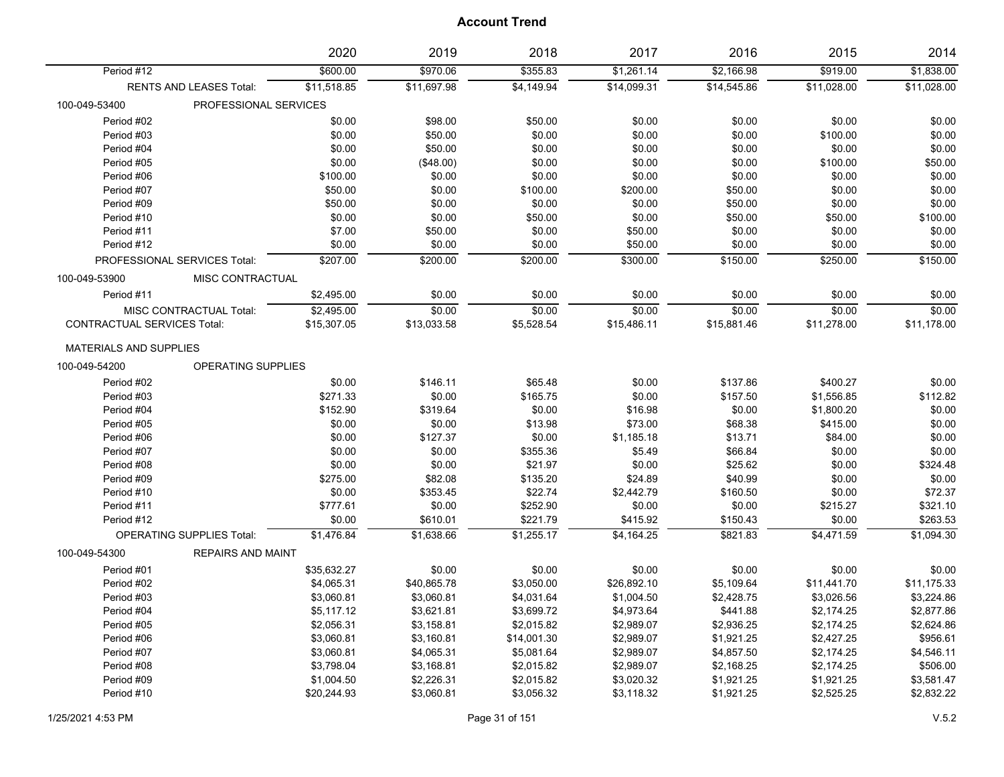| \$970.06<br>\$355.83<br>Period #12<br>\$600.00<br>\$1,261.14<br>\$2,166.98<br>\$919.00<br>\$1,838.00<br>\$11,518.85<br>\$11,697.98<br>\$4,149.94<br>\$14,099.31<br>\$14,545.86<br>\$11,028.00<br>RENTS AND LEASES Total:<br>\$11,028.00<br>100-049-53400<br>PROFESSIONAL SERVICES<br>Period #02<br>\$0.00<br>\$50.00<br>\$0.00<br>\$0.00<br>\$0.00<br>\$0.00<br>\$98.00<br>Period #03<br>\$0.00<br>\$50.00<br>\$0.00<br>\$0.00<br>\$0.00<br>\$100.00<br>\$0.00<br>\$50.00<br>\$0.00<br>\$0.00<br>Period #04<br>\$0.00<br>\$0.00<br>\$0.00<br>\$0.00<br>\$0.00<br>\$100.00<br>\$50.00<br>\$0.00<br>(\$48.00)<br>\$0.00<br>\$0.00<br>Period #05<br>\$0.00<br>\$100.00<br>\$0.00<br>\$0.00<br>\$0.00<br>\$0.00<br>\$0.00<br>Period #06<br>\$0.00<br>\$50.00<br>\$0.00<br>\$200.00<br>\$50.00<br>\$0.00<br>Period #07<br>\$100.00<br>\$50.00<br>\$0.00<br>\$50.00<br>\$0.00<br>\$0.00<br>Period #09<br>\$0.00<br>\$0.00<br>\$0.00<br>\$0.00<br>\$50.00<br>\$0.00<br>\$50.00<br>\$50.00<br>\$100.00<br>Period #10<br>\$7.00<br>\$50.00<br>\$0.00<br>\$50.00<br>\$0.00<br>\$0.00<br>\$0.00<br>Period #11<br>Period #12<br>\$0.00<br>\$0.00<br>\$0.00<br>\$50.00<br>\$0.00<br>\$0.00<br>\$0.00<br>\$207.00<br>\$200.00<br>\$300.00<br>\$150.00<br>\$250.00<br>\$150.00<br>PROFESSIONAL SERVICES Total:<br>\$200.00<br>100-049-53900<br>MISC CONTRACTUAL<br>Period #11<br>\$2,495.00<br>\$0.00<br>\$0.00<br>\$0.00<br>\$0.00<br>\$0.00<br>\$0.00<br><b>MISC CONTRACTUAL Total:</b><br>\$2,495.00<br>\$0.00<br>\$0.00<br>\$0.00<br>\$0.00<br>\$0.00<br>\$0.00<br><b>CONTRACTUAL SERVICES Total:</b><br>\$15,307.05<br>\$13,033.58<br>\$5,528.54<br>\$15,486.11<br>\$15,881.46<br>\$11,278.00<br>\$11,178.00<br><b>MATERIALS AND SUPPLIES</b><br><b>OPERATING SUPPLIES</b><br>100-049-54200<br>Period #02<br>\$0.00<br>\$146.11<br>\$65.48<br>\$0.00<br>\$137.86<br>\$400.27<br>\$0.00<br>\$271.33<br>\$0.00<br>\$112.82<br>Period #03<br>\$0.00<br>\$165.75<br>\$157.50<br>\$1,556.85<br>\$152.90<br>\$0.00<br>Period #04<br>\$319.64<br>\$0.00<br>\$16.98<br>\$0.00<br>\$1,800.20<br>\$0.00<br>\$0.00<br>\$68.38<br>\$0.00<br>\$13.98<br>\$73.00<br>\$415.00<br>Period #05<br>\$13.71<br>\$84.00<br>\$0.00<br>\$0.00<br>\$127.37<br>\$0.00<br>\$1,185.18<br>Period #06<br>\$0.00<br>\$0.00<br>\$0.00<br>\$355.36<br>\$5.49<br>\$66.84<br>\$0.00<br>Period #07<br>\$25.62<br>\$0.00<br>\$324.48<br>Period #08<br>\$0.00<br>\$0.00<br>\$21.97<br>\$0.00<br>\$40.99<br>\$0.00<br>\$0.00<br>Period #09<br>\$275.00<br>\$82.08<br>\$135.20<br>\$24.89<br>\$0.00<br>\$353.45<br>\$22.74<br>\$2,442.79<br>\$160.50<br>\$0.00<br>\$72.37<br>Period #10<br>\$252.90<br>\$321.10<br>\$777.61<br>\$0.00<br>\$0.00<br>\$0.00<br>\$215.27<br>Period #11<br>\$0.00<br>\$221.79<br>\$0.00<br>Period #12<br>\$610.01<br>\$415.92<br>\$150.43<br>\$263.53<br>\$1,255.17<br><b>OPERATING SUPPLIES Total:</b><br>\$1,476.84<br>\$1,638.66<br>\$4,164.25<br>\$821.83<br>\$4,471.59<br>\$1,094.30<br>100-049-54300<br><b>REPAIRS AND MAINT</b><br>Period #01<br>\$35,632.27<br>\$0.00<br>\$0.00<br>\$0.00<br>\$0.00<br>\$0.00<br>\$0.00<br>Period #02<br>\$4,065.31<br>\$40,865.78<br>\$3,050.00<br>\$26,892.10<br>\$5,109.64<br>\$11,441.70<br>\$11,175.33<br>\$3,060.81<br>\$4,031.64<br>\$1,004.50<br>\$2,428.75<br>\$3,026.56<br>\$3,224.86<br>Period #03<br>\$3,060.81<br>\$3,621.81<br>\$3,699.72<br>\$4,973.64<br>\$441.88<br>\$2,877.86<br>Period #04<br>\$5,117.12<br>\$2,174.25<br>\$2,056.31<br>\$3,158.81<br>\$2,015.82<br>\$2,989.07<br>\$2,936.25<br>\$2,174.25<br>\$2,624.86<br>Period #05<br>\$956.61<br>\$3,060.81<br>\$3,160.81<br>\$14,001.30<br>\$2,989.07<br>\$1,921.25<br>\$2,427.25<br>Period #06<br>Period #07<br>\$3,060.81<br>\$4,065.31<br>\$5,081.64<br>\$2,989.07<br>\$4,857.50<br>\$2,174.25<br>\$4,546.11 |  | 2020 | 2019 | 2018 | 2017 | 2016 | 2015 | 2014 |
|-------------------------------------------------------------------------------------------------------------------------------------------------------------------------------------------------------------------------------------------------------------------------------------------------------------------------------------------------------------------------------------------------------------------------------------------------------------------------------------------------------------------------------------------------------------------------------------------------------------------------------------------------------------------------------------------------------------------------------------------------------------------------------------------------------------------------------------------------------------------------------------------------------------------------------------------------------------------------------------------------------------------------------------------------------------------------------------------------------------------------------------------------------------------------------------------------------------------------------------------------------------------------------------------------------------------------------------------------------------------------------------------------------------------------------------------------------------------------------------------------------------------------------------------------------------------------------------------------------------------------------------------------------------------------------------------------------------------------------------------------------------------------------------------------------------------------------------------------------------------------------------------------------------------------------------------------------------------------------------------------------------------------------------------------------------------------------------------------------------------------------------------------------------------------------------------------------------------------------------------------------------------------------------------------------------------------------------------------------------------------------------------------------------------------------------------------------------------------------------------------------------------------------------------------------------------------------------------------------------------------------------------------------------------------------------------------------------------------------------------------------------------------------------------------------------------------------------------------------------------------------------------------------------------------------------------------------------------------------------------------------------------------------------------------------------------------------------------------------------------------------------------------------------------------------------------------------------------------------------------------------------------------------------------------------------------------------------------------------------------------------------------------------------------------------------------------------------------------------------------------------------------------------------------------------------------------------------------------------------------------------------------------------------------------------------------------------------------------------------------------------------------------------------------------------------|--|------|------|------|------|------|------|------|
|                                                                                                                                                                                                                                                                                                                                                                                                                                                                                                                                                                                                                                                                                                                                                                                                                                                                                                                                                                                                                                                                                                                                                                                                                                                                                                                                                                                                                                                                                                                                                                                                                                                                                                                                                                                                                                                                                                                                                                                                                                                                                                                                                                                                                                                                                                                                                                                                                                                                                                                                                                                                                                                                                                                                                                                                                                                                                                                                                                                                                                                                                                                                                                                                                                                                                                                                                                                                                                                                                                                                                                                                                                                                                                                                                                                                             |  |      |      |      |      |      |      |      |
|                                                                                                                                                                                                                                                                                                                                                                                                                                                                                                                                                                                                                                                                                                                                                                                                                                                                                                                                                                                                                                                                                                                                                                                                                                                                                                                                                                                                                                                                                                                                                                                                                                                                                                                                                                                                                                                                                                                                                                                                                                                                                                                                                                                                                                                                                                                                                                                                                                                                                                                                                                                                                                                                                                                                                                                                                                                                                                                                                                                                                                                                                                                                                                                                                                                                                                                                                                                                                                                                                                                                                                                                                                                                                                                                                                                                             |  |      |      |      |      |      |      |      |
|                                                                                                                                                                                                                                                                                                                                                                                                                                                                                                                                                                                                                                                                                                                                                                                                                                                                                                                                                                                                                                                                                                                                                                                                                                                                                                                                                                                                                                                                                                                                                                                                                                                                                                                                                                                                                                                                                                                                                                                                                                                                                                                                                                                                                                                                                                                                                                                                                                                                                                                                                                                                                                                                                                                                                                                                                                                                                                                                                                                                                                                                                                                                                                                                                                                                                                                                                                                                                                                                                                                                                                                                                                                                                                                                                                                                             |  |      |      |      |      |      |      |      |
|                                                                                                                                                                                                                                                                                                                                                                                                                                                                                                                                                                                                                                                                                                                                                                                                                                                                                                                                                                                                                                                                                                                                                                                                                                                                                                                                                                                                                                                                                                                                                                                                                                                                                                                                                                                                                                                                                                                                                                                                                                                                                                                                                                                                                                                                                                                                                                                                                                                                                                                                                                                                                                                                                                                                                                                                                                                                                                                                                                                                                                                                                                                                                                                                                                                                                                                                                                                                                                                                                                                                                                                                                                                                                                                                                                                                             |  |      |      |      |      |      |      |      |
|                                                                                                                                                                                                                                                                                                                                                                                                                                                                                                                                                                                                                                                                                                                                                                                                                                                                                                                                                                                                                                                                                                                                                                                                                                                                                                                                                                                                                                                                                                                                                                                                                                                                                                                                                                                                                                                                                                                                                                                                                                                                                                                                                                                                                                                                                                                                                                                                                                                                                                                                                                                                                                                                                                                                                                                                                                                                                                                                                                                                                                                                                                                                                                                                                                                                                                                                                                                                                                                                                                                                                                                                                                                                                                                                                                                                             |  |      |      |      |      |      |      |      |
|                                                                                                                                                                                                                                                                                                                                                                                                                                                                                                                                                                                                                                                                                                                                                                                                                                                                                                                                                                                                                                                                                                                                                                                                                                                                                                                                                                                                                                                                                                                                                                                                                                                                                                                                                                                                                                                                                                                                                                                                                                                                                                                                                                                                                                                                                                                                                                                                                                                                                                                                                                                                                                                                                                                                                                                                                                                                                                                                                                                                                                                                                                                                                                                                                                                                                                                                                                                                                                                                                                                                                                                                                                                                                                                                                                                                             |  |      |      |      |      |      |      |      |
|                                                                                                                                                                                                                                                                                                                                                                                                                                                                                                                                                                                                                                                                                                                                                                                                                                                                                                                                                                                                                                                                                                                                                                                                                                                                                                                                                                                                                                                                                                                                                                                                                                                                                                                                                                                                                                                                                                                                                                                                                                                                                                                                                                                                                                                                                                                                                                                                                                                                                                                                                                                                                                                                                                                                                                                                                                                                                                                                                                                                                                                                                                                                                                                                                                                                                                                                                                                                                                                                                                                                                                                                                                                                                                                                                                                                             |  |      |      |      |      |      |      |      |
|                                                                                                                                                                                                                                                                                                                                                                                                                                                                                                                                                                                                                                                                                                                                                                                                                                                                                                                                                                                                                                                                                                                                                                                                                                                                                                                                                                                                                                                                                                                                                                                                                                                                                                                                                                                                                                                                                                                                                                                                                                                                                                                                                                                                                                                                                                                                                                                                                                                                                                                                                                                                                                                                                                                                                                                                                                                                                                                                                                                                                                                                                                                                                                                                                                                                                                                                                                                                                                                                                                                                                                                                                                                                                                                                                                                                             |  |      |      |      |      |      |      |      |
|                                                                                                                                                                                                                                                                                                                                                                                                                                                                                                                                                                                                                                                                                                                                                                                                                                                                                                                                                                                                                                                                                                                                                                                                                                                                                                                                                                                                                                                                                                                                                                                                                                                                                                                                                                                                                                                                                                                                                                                                                                                                                                                                                                                                                                                                                                                                                                                                                                                                                                                                                                                                                                                                                                                                                                                                                                                                                                                                                                                                                                                                                                                                                                                                                                                                                                                                                                                                                                                                                                                                                                                                                                                                                                                                                                                                             |  |      |      |      |      |      |      |      |
|                                                                                                                                                                                                                                                                                                                                                                                                                                                                                                                                                                                                                                                                                                                                                                                                                                                                                                                                                                                                                                                                                                                                                                                                                                                                                                                                                                                                                                                                                                                                                                                                                                                                                                                                                                                                                                                                                                                                                                                                                                                                                                                                                                                                                                                                                                                                                                                                                                                                                                                                                                                                                                                                                                                                                                                                                                                                                                                                                                                                                                                                                                                                                                                                                                                                                                                                                                                                                                                                                                                                                                                                                                                                                                                                                                                                             |  |      |      |      |      |      |      |      |
|                                                                                                                                                                                                                                                                                                                                                                                                                                                                                                                                                                                                                                                                                                                                                                                                                                                                                                                                                                                                                                                                                                                                                                                                                                                                                                                                                                                                                                                                                                                                                                                                                                                                                                                                                                                                                                                                                                                                                                                                                                                                                                                                                                                                                                                                                                                                                                                                                                                                                                                                                                                                                                                                                                                                                                                                                                                                                                                                                                                                                                                                                                                                                                                                                                                                                                                                                                                                                                                                                                                                                                                                                                                                                                                                                                                                             |  |      |      |      |      |      |      |      |
|                                                                                                                                                                                                                                                                                                                                                                                                                                                                                                                                                                                                                                                                                                                                                                                                                                                                                                                                                                                                                                                                                                                                                                                                                                                                                                                                                                                                                                                                                                                                                                                                                                                                                                                                                                                                                                                                                                                                                                                                                                                                                                                                                                                                                                                                                                                                                                                                                                                                                                                                                                                                                                                                                                                                                                                                                                                                                                                                                                                                                                                                                                                                                                                                                                                                                                                                                                                                                                                                                                                                                                                                                                                                                                                                                                                                             |  |      |      |      |      |      |      |      |
|                                                                                                                                                                                                                                                                                                                                                                                                                                                                                                                                                                                                                                                                                                                                                                                                                                                                                                                                                                                                                                                                                                                                                                                                                                                                                                                                                                                                                                                                                                                                                                                                                                                                                                                                                                                                                                                                                                                                                                                                                                                                                                                                                                                                                                                                                                                                                                                                                                                                                                                                                                                                                                                                                                                                                                                                                                                                                                                                                                                                                                                                                                                                                                                                                                                                                                                                                                                                                                                                                                                                                                                                                                                                                                                                                                                                             |  |      |      |      |      |      |      |      |
|                                                                                                                                                                                                                                                                                                                                                                                                                                                                                                                                                                                                                                                                                                                                                                                                                                                                                                                                                                                                                                                                                                                                                                                                                                                                                                                                                                                                                                                                                                                                                                                                                                                                                                                                                                                                                                                                                                                                                                                                                                                                                                                                                                                                                                                                                                                                                                                                                                                                                                                                                                                                                                                                                                                                                                                                                                                                                                                                                                                                                                                                                                                                                                                                                                                                                                                                                                                                                                                                                                                                                                                                                                                                                                                                                                                                             |  |      |      |      |      |      |      |      |
|                                                                                                                                                                                                                                                                                                                                                                                                                                                                                                                                                                                                                                                                                                                                                                                                                                                                                                                                                                                                                                                                                                                                                                                                                                                                                                                                                                                                                                                                                                                                                                                                                                                                                                                                                                                                                                                                                                                                                                                                                                                                                                                                                                                                                                                                                                                                                                                                                                                                                                                                                                                                                                                                                                                                                                                                                                                                                                                                                                                                                                                                                                                                                                                                                                                                                                                                                                                                                                                                                                                                                                                                                                                                                                                                                                                                             |  |      |      |      |      |      |      |      |
|                                                                                                                                                                                                                                                                                                                                                                                                                                                                                                                                                                                                                                                                                                                                                                                                                                                                                                                                                                                                                                                                                                                                                                                                                                                                                                                                                                                                                                                                                                                                                                                                                                                                                                                                                                                                                                                                                                                                                                                                                                                                                                                                                                                                                                                                                                                                                                                                                                                                                                                                                                                                                                                                                                                                                                                                                                                                                                                                                                                                                                                                                                                                                                                                                                                                                                                                                                                                                                                                                                                                                                                                                                                                                                                                                                                                             |  |      |      |      |      |      |      |      |
|                                                                                                                                                                                                                                                                                                                                                                                                                                                                                                                                                                                                                                                                                                                                                                                                                                                                                                                                                                                                                                                                                                                                                                                                                                                                                                                                                                                                                                                                                                                                                                                                                                                                                                                                                                                                                                                                                                                                                                                                                                                                                                                                                                                                                                                                                                                                                                                                                                                                                                                                                                                                                                                                                                                                                                                                                                                                                                                                                                                                                                                                                                                                                                                                                                                                                                                                                                                                                                                                                                                                                                                                                                                                                                                                                                                                             |  |      |      |      |      |      |      |      |
|                                                                                                                                                                                                                                                                                                                                                                                                                                                                                                                                                                                                                                                                                                                                                                                                                                                                                                                                                                                                                                                                                                                                                                                                                                                                                                                                                                                                                                                                                                                                                                                                                                                                                                                                                                                                                                                                                                                                                                                                                                                                                                                                                                                                                                                                                                                                                                                                                                                                                                                                                                                                                                                                                                                                                                                                                                                                                                                                                                                                                                                                                                                                                                                                                                                                                                                                                                                                                                                                                                                                                                                                                                                                                                                                                                                                             |  |      |      |      |      |      |      |      |
|                                                                                                                                                                                                                                                                                                                                                                                                                                                                                                                                                                                                                                                                                                                                                                                                                                                                                                                                                                                                                                                                                                                                                                                                                                                                                                                                                                                                                                                                                                                                                                                                                                                                                                                                                                                                                                                                                                                                                                                                                                                                                                                                                                                                                                                                                                                                                                                                                                                                                                                                                                                                                                                                                                                                                                                                                                                                                                                                                                                                                                                                                                                                                                                                                                                                                                                                                                                                                                                                                                                                                                                                                                                                                                                                                                                                             |  |      |      |      |      |      |      |      |
|                                                                                                                                                                                                                                                                                                                                                                                                                                                                                                                                                                                                                                                                                                                                                                                                                                                                                                                                                                                                                                                                                                                                                                                                                                                                                                                                                                                                                                                                                                                                                                                                                                                                                                                                                                                                                                                                                                                                                                                                                                                                                                                                                                                                                                                                                                                                                                                                                                                                                                                                                                                                                                                                                                                                                                                                                                                                                                                                                                                                                                                                                                                                                                                                                                                                                                                                                                                                                                                                                                                                                                                                                                                                                                                                                                                                             |  |      |      |      |      |      |      |      |
|                                                                                                                                                                                                                                                                                                                                                                                                                                                                                                                                                                                                                                                                                                                                                                                                                                                                                                                                                                                                                                                                                                                                                                                                                                                                                                                                                                                                                                                                                                                                                                                                                                                                                                                                                                                                                                                                                                                                                                                                                                                                                                                                                                                                                                                                                                                                                                                                                                                                                                                                                                                                                                                                                                                                                                                                                                                                                                                                                                                                                                                                                                                                                                                                                                                                                                                                                                                                                                                                                                                                                                                                                                                                                                                                                                                                             |  |      |      |      |      |      |      |      |
|                                                                                                                                                                                                                                                                                                                                                                                                                                                                                                                                                                                                                                                                                                                                                                                                                                                                                                                                                                                                                                                                                                                                                                                                                                                                                                                                                                                                                                                                                                                                                                                                                                                                                                                                                                                                                                                                                                                                                                                                                                                                                                                                                                                                                                                                                                                                                                                                                                                                                                                                                                                                                                                                                                                                                                                                                                                                                                                                                                                                                                                                                                                                                                                                                                                                                                                                                                                                                                                                                                                                                                                                                                                                                                                                                                                                             |  |      |      |      |      |      |      |      |
|                                                                                                                                                                                                                                                                                                                                                                                                                                                                                                                                                                                                                                                                                                                                                                                                                                                                                                                                                                                                                                                                                                                                                                                                                                                                                                                                                                                                                                                                                                                                                                                                                                                                                                                                                                                                                                                                                                                                                                                                                                                                                                                                                                                                                                                                                                                                                                                                                                                                                                                                                                                                                                                                                                                                                                                                                                                                                                                                                                                                                                                                                                                                                                                                                                                                                                                                                                                                                                                                                                                                                                                                                                                                                                                                                                                                             |  |      |      |      |      |      |      |      |
|                                                                                                                                                                                                                                                                                                                                                                                                                                                                                                                                                                                                                                                                                                                                                                                                                                                                                                                                                                                                                                                                                                                                                                                                                                                                                                                                                                                                                                                                                                                                                                                                                                                                                                                                                                                                                                                                                                                                                                                                                                                                                                                                                                                                                                                                                                                                                                                                                                                                                                                                                                                                                                                                                                                                                                                                                                                                                                                                                                                                                                                                                                                                                                                                                                                                                                                                                                                                                                                                                                                                                                                                                                                                                                                                                                                                             |  |      |      |      |      |      |      |      |
|                                                                                                                                                                                                                                                                                                                                                                                                                                                                                                                                                                                                                                                                                                                                                                                                                                                                                                                                                                                                                                                                                                                                                                                                                                                                                                                                                                                                                                                                                                                                                                                                                                                                                                                                                                                                                                                                                                                                                                                                                                                                                                                                                                                                                                                                                                                                                                                                                                                                                                                                                                                                                                                                                                                                                                                                                                                                                                                                                                                                                                                                                                                                                                                                                                                                                                                                                                                                                                                                                                                                                                                                                                                                                                                                                                                                             |  |      |      |      |      |      |      |      |
|                                                                                                                                                                                                                                                                                                                                                                                                                                                                                                                                                                                                                                                                                                                                                                                                                                                                                                                                                                                                                                                                                                                                                                                                                                                                                                                                                                                                                                                                                                                                                                                                                                                                                                                                                                                                                                                                                                                                                                                                                                                                                                                                                                                                                                                                                                                                                                                                                                                                                                                                                                                                                                                                                                                                                                                                                                                                                                                                                                                                                                                                                                                                                                                                                                                                                                                                                                                                                                                                                                                                                                                                                                                                                                                                                                                                             |  |      |      |      |      |      |      |      |
|                                                                                                                                                                                                                                                                                                                                                                                                                                                                                                                                                                                                                                                                                                                                                                                                                                                                                                                                                                                                                                                                                                                                                                                                                                                                                                                                                                                                                                                                                                                                                                                                                                                                                                                                                                                                                                                                                                                                                                                                                                                                                                                                                                                                                                                                                                                                                                                                                                                                                                                                                                                                                                                                                                                                                                                                                                                                                                                                                                                                                                                                                                                                                                                                                                                                                                                                                                                                                                                                                                                                                                                                                                                                                                                                                                                                             |  |      |      |      |      |      |      |      |
|                                                                                                                                                                                                                                                                                                                                                                                                                                                                                                                                                                                                                                                                                                                                                                                                                                                                                                                                                                                                                                                                                                                                                                                                                                                                                                                                                                                                                                                                                                                                                                                                                                                                                                                                                                                                                                                                                                                                                                                                                                                                                                                                                                                                                                                                                                                                                                                                                                                                                                                                                                                                                                                                                                                                                                                                                                                                                                                                                                                                                                                                                                                                                                                                                                                                                                                                                                                                                                                                                                                                                                                                                                                                                                                                                                                                             |  |      |      |      |      |      |      |      |
|                                                                                                                                                                                                                                                                                                                                                                                                                                                                                                                                                                                                                                                                                                                                                                                                                                                                                                                                                                                                                                                                                                                                                                                                                                                                                                                                                                                                                                                                                                                                                                                                                                                                                                                                                                                                                                                                                                                                                                                                                                                                                                                                                                                                                                                                                                                                                                                                                                                                                                                                                                                                                                                                                                                                                                                                                                                                                                                                                                                                                                                                                                                                                                                                                                                                                                                                                                                                                                                                                                                                                                                                                                                                                                                                                                                                             |  |      |      |      |      |      |      |      |
|                                                                                                                                                                                                                                                                                                                                                                                                                                                                                                                                                                                                                                                                                                                                                                                                                                                                                                                                                                                                                                                                                                                                                                                                                                                                                                                                                                                                                                                                                                                                                                                                                                                                                                                                                                                                                                                                                                                                                                                                                                                                                                                                                                                                                                                                                                                                                                                                                                                                                                                                                                                                                                                                                                                                                                                                                                                                                                                                                                                                                                                                                                                                                                                                                                                                                                                                                                                                                                                                                                                                                                                                                                                                                                                                                                                                             |  |      |      |      |      |      |      |      |
|                                                                                                                                                                                                                                                                                                                                                                                                                                                                                                                                                                                                                                                                                                                                                                                                                                                                                                                                                                                                                                                                                                                                                                                                                                                                                                                                                                                                                                                                                                                                                                                                                                                                                                                                                                                                                                                                                                                                                                                                                                                                                                                                                                                                                                                                                                                                                                                                                                                                                                                                                                                                                                                                                                                                                                                                                                                                                                                                                                                                                                                                                                                                                                                                                                                                                                                                                                                                                                                                                                                                                                                                                                                                                                                                                                                                             |  |      |      |      |      |      |      |      |
|                                                                                                                                                                                                                                                                                                                                                                                                                                                                                                                                                                                                                                                                                                                                                                                                                                                                                                                                                                                                                                                                                                                                                                                                                                                                                                                                                                                                                                                                                                                                                                                                                                                                                                                                                                                                                                                                                                                                                                                                                                                                                                                                                                                                                                                                                                                                                                                                                                                                                                                                                                                                                                                                                                                                                                                                                                                                                                                                                                                                                                                                                                                                                                                                                                                                                                                                                                                                                                                                                                                                                                                                                                                                                                                                                                                                             |  |      |      |      |      |      |      |      |
|                                                                                                                                                                                                                                                                                                                                                                                                                                                                                                                                                                                                                                                                                                                                                                                                                                                                                                                                                                                                                                                                                                                                                                                                                                                                                                                                                                                                                                                                                                                                                                                                                                                                                                                                                                                                                                                                                                                                                                                                                                                                                                                                                                                                                                                                                                                                                                                                                                                                                                                                                                                                                                                                                                                                                                                                                                                                                                                                                                                                                                                                                                                                                                                                                                                                                                                                                                                                                                                                                                                                                                                                                                                                                                                                                                                                             |  |      |      |      |      |      |      |      |
|                                                                                                                                                                                                                                                                                                                                                                                                                                                                                                                                                                                                                                                                                                                                                                                                                                                                                                                                                                                                                                                                                                                                                                                                                                                                                                                                                                                                                                                                                                                                                                                                                                                                                                                                                                                                                                                                                                                                                                                                                                                                                                                                                                                                                                                                                                                                                                                                                                                                                                                                                                                                                                                                                                                                                                                                                                                                                                                                                                                                                                                                                                                                                                                                                                                                                                                                                                                                                                                                                                                                                                                                                                                                                                                                                                                                             |  |      |      |      |      |      |      |      |
|                                                                                                                                                                                                                                                                                                                                                                                                                                                                                                                                                                                                                                                                                                                                                                                                                                                                                                                                                                                                                                                                                                                                                                                                                                                                                                                                                                                                                                                                                                                                                                                                                                                                                                                                                                                                                                                                                                                                                                                                                                                                                                                                                                                                                                                                                                                                                                                                                                                                                                                                                                                                                                                                                                                                                                                                                                                                                                                                                                                                                                                                                                                                                                                                                                                                                                                                                                                                                                                                                                                                                                                                                                                                                                                                                                                                             |  |      |      |      |      |      |      |      |
|                                                                                                                                                                                                                                                                                                                                                                                                                                                                                                                                                                                                                                                                                                                                                                                                                                                                                                                                                                                                                                                                                                                                                                                                                                                                                                                                                                                                                                                                                                                                                                                                                                                                                                                                                                                                                                                                                                                                                                                                                                                                                                                                                                                                                                                                                                                                                                                                                                                                                                                                                                                                                                                                                                                                                                                                                                                                                                                                                                                                                                                                                                                                                                                                                                                                                                                                                                                                                                                                                                                                                                                                                                                                                                                                                                                                             |  |      |      |      |      |      |      |      |
|                                                                                                                                                                                                                                                                                                                                                                                                                                                                                                                                                                                                                                                                                                                                                                                                                                                                                                                                                                                                                                                                                                                                                                                                                                                                                                                                                                                                                                                                                                                                                                                                                                                                                                                                                                                                                                                                                                                                                                                                                                                                                                                                                                                                                                                                                                                                                                                                                                                                                                                                                                                                                                                                                                                                                                                                                                                                                                                                                                                                                                                                                                                                                                                                                                                                                                                                                                                                                                                                                                                                                                                                                                                                                                                                                                                                             |  |      |      |      |      |      |      |      |
|                                                                                                                                                                                                                                                                                                                                                                                                                                                                                                                                                                                                                                                                                                                                                                                                                                                                                                                                                                                                                                                                                                                                                                                                                                                                                                                                                                                                                                                                                                                                                                                                                                                                                                                                                                                                                                                                                                                                                                                                                                                                                                                                                                                                                                                                                                                                                                                                                                                                                                                                                                                                                                                                                                                                                                                                                                                                                                                                                                                                                                                                                                                                                                                                                                                                                                                                                                                                                                                                                                                                                                                                                                                                                                                                                                                                             |  |      |      |      |      |      |      |      |
|                                                                                                                                                                                                                                                                                                                                                                                                                                                                                                                                                                                                                                                                                                                                                                                                                                                                                                                                                                                                                                                                                                                                                                                                                                                                                                                                                                                                                                                                                                                                                                                                                                                                                                                                                                                                                                                                                                                                                                                                                                                                                                                                                                                                                                                                                                                                                                                                                                                                                                                                                                                                                                                                                                                                                                                                                                                                                                                                                                                                                                                                                                                                                                                                                                                                                                                                                                                                                                                                                                                                                                                                                                                                                                                                                                                                             |  |      |      |      |      |      |      |      |
|                                                                                                                                                                                                                                                                                                                                                                                                                                                                                                                                                                                                                                                                                                                                                                                                                                                                                                                                                                                                                                                                                                                                                                                                                                                                                                                                                                                                                                                                                                                                                                                                                                                                                                                                                                                                                                                                                                                                                                                                                                                                                                                                                                                                                                                                                                                                                                                                                                                                                                                                                                                                                                                                                                                                                                                                                                                                                                                                                                                                                                                                                                                                                                                                                                                                                                                                                                                                                                                                                                                                                                                                                                                                                                                                                                                                             |  |      |      |      |      |      |      |      |
| \$506.00<br>Period #08<br>\$3,798.04<br>\$3,168.81<br>\$2,015.82<br>\$2,989.07<br>\$2,168.25<br>\$2,174.25                                                                                                                                                                                                                                                                                                                                                                                                                                                                                                                                                                                                                                                                                                                                                                                                                                                                                                                                                                                                                                                                                                                                                                                                                                                                                                                                                                                                                                                                                                                                                                                                                                                                                                                                                                                                                                                                                                                                                                                                                                                                                                                                                                                                                                                                                                                                                                                                                                                                                                                                                                                                                                                                                                                                                                                                                                                                                                                                                                                                                                                                                                                                                                                                                                                                                                                                                                                                                                                                                                                                                                                                                                                                                                  |  |      |      |      |      |      |      |      |
| \$2,226.31<br>\$2,015.82<br>\$3,020.32<br>\$3,581.47<br>Period #09<br>\$1,004.50<br>\$1,921.25<br>\$1,921.25                                                                                                                                                                                                                                                                                                                                                                                                                                                                                                                                                                                                                                                                                                                                                                                                                                                                                                                                                                                                                                                                                                                                                                                                                                                                                                                                                                                                                                                                                                                                                                                                                                                                                                                                                                                                                                                                                                                                                                                                                                                                                                                                                                                                                                                                                                                                                                                                                                                                                                                                                                                                                                                                                                                                                                                                                                                                                                                                                                                                                                                                                                                                                                                                                                                                                                                                                                                                                                                                                                                                                                                                                                                                                                |  |      |      |      |      |      |      |      |
| \$20,244.93<br>\$3,060.81<br>\$3,056.32<br>\$3,118.32<br>\$1,921.25<br>\$2,525.25<br>\$2,832.22<br>Period #10                                                                                                                                                                                                                                                                                                                                                                                                                                                                                                                                                                                                                                                                                                                                                                                                                                                                                                                                                                                                                                                                                                                                                                                                                                                                                                                                                                                                                                                                                                                                                                                                                                                                                                                                                                                                                                                                                                                                                                                                                                                                                                                                                                                                                                                                                                                                                                                                                                                                                                                                                                                                                                                                                                                                                                                                                                                                                                                                                                                                                                                                                                                                                                                                                                                                                                                                                                                                                                                                                                                                                                                                                                                                                               |  |      |      |      |      |      |      |      |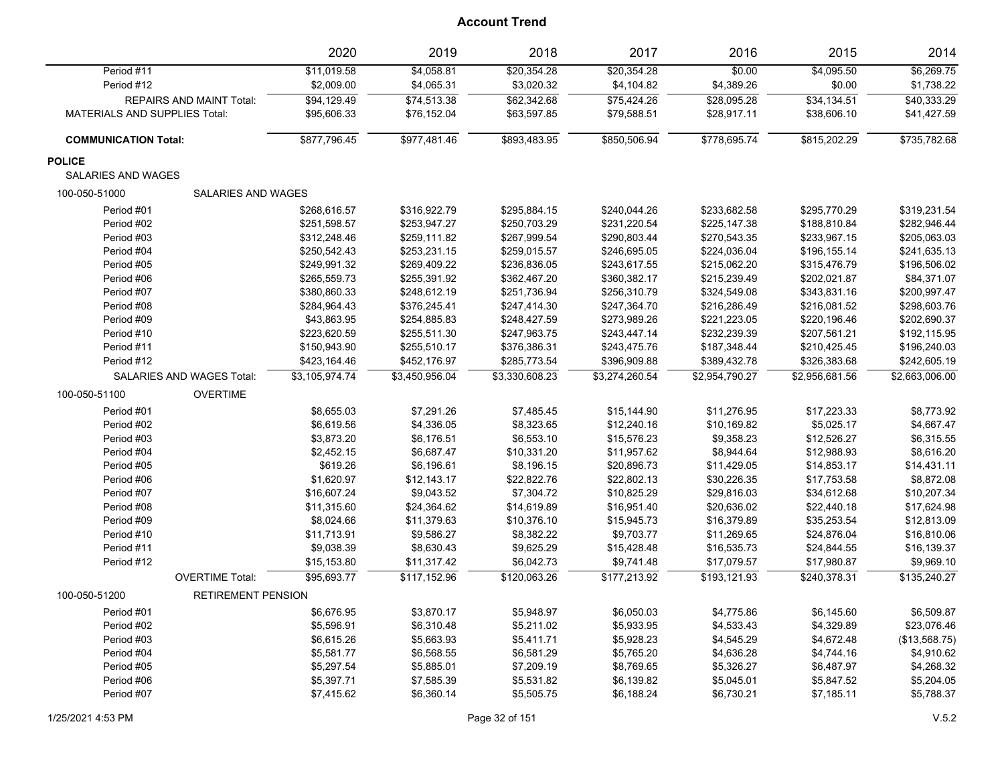|                                      |                                 | 2020           | 2019           | 2018           | 2017           | 2016           | 2015           | 2014           |
|--------------------------------------|---------------------------------|----------------|----------------|----------------|----------------|----------------|----------------|----------------|
| Period #11                           |                                 | \$11,019.58    | \$4,058.81     | \$20,354.28    | \$20,354.28    | \$0.00         | \$4,095.50     | \$6,269.75     |
| Period #12                           |                                 | \$2,009.00     | \$4,065.31     | \$3,020.32     | \$4,104.82     | \$4,389.26     | \$0.00         | \$1,738.22     |
|                                      | <b>REPAIRS AND MAINT Total:</b> | \$94,129.49    | \$74,513.38    | \$62,342.68    | \$75,424.26    | \$28,095.28    | \$34,134.51    | \$40,333.29    |
| <b>MATERIALS AND SUPPLIES Total:</b> |                                 | \$95,606.33    | \$76,152.04    | \$63,597.85    | \$79,588.51    | \$28,917.11    | \$38,606.10    | \$41,427.59    |
| <b>COMMUNICATION Total:</b>          |                                 | \$877,796.45   | \$977,481.46   | \$893,483.95   | \$850,506.94   | \$778,695.74   | \$815,202.29   | \$735,782.68   |
| <b>POLICE</b>                        |                                 |                |                |                |                |                |                |                |
| SALARIES AND WAGES                   |                                 |                |                |                |                |                |                |                |
| 100-050-51000                        | SALARIES AND WAGES              |                |                |                |                |                |                |                |
| Period #01                           |                                 | \$268,616.57   | \$316,922.79   | \$295,884.15   | \$240,044.26   | \$233,682.58   | \$295,770.29   | \$319,231.54   |
| Period #02                           |                                 | \$251,598.57   | \$253,947.27   | \$250,703.29   | \$231,220.54   | \$225,147.38   | \$188,810.84   | \$282,946.44   |
| Period #03                           |                                 | \$312,248.46   | \$259,111.82   | \$267,999.54   | \$290,803.44   | \$270,543.35   | \$233,967.15   | \$205,063.03   |
| Period #04                           |                                 | \$250,542.43   | \$253,231.15   | \$259,015.57   | \$246,695.05   | \$224,036.04   | \$196,155.14   | \$241,635.13   |
| Period #05                           |                                 | \$249,991.32   | \$269,409.22   | \$236,836.05   | \$243,617.55   | \$215,062.20   | \$315,476.79   | \$196,506.02   |
| Period #06                           |                                 | \$265,559.73   | \$255,391.92   | \$362,467.20   | \$360,382.17   | \$215,239.49   | \$202,021.87   | \$84,371.07    |
| Period #07                           |                                 | \$380,860.33   | \$248,612.19   | \$251,736.94   | \$256,310.79   | \$324,549.08   | \$343,831.16   | \$200,997.47   |
| Period #08                           |                                 | \$284,964.43   | \$376,245.41   | \$247,414.30   | \$247,364.70   | \$216,286.49   | \$216,081.52   | \$298,603.76   |
| Period #09                           |                                 | \$43,863.95    | \$254,885.83   | \$248,427.59   | \$273,989.26   | \$221,223.05   | \$220,196.46   | \$202,690.37   |
| Period #10                           |                                 | \$223,620.59   | \$255,511.30   | \$247,963.75   | \$243,447.14   | \$232,239.39   | \$207,561.21   | \$192,115.95   |
| Period #11                           |                                 | \$150,943.90   | \$255,510.17   | \$376,386.31   | \$243,475.76   | \$187,348.44   | \$210,425.45   | \$196,240.03   |
| Period #12                           |                                 | \$423,164.46   | \$452,176.97   | \$285,773.54   | \$396,909.88   | \$389,432.78   | \$326,383.68   | \$242,605.19   |
|                                      | SALARIES AND WAGES Total:       | \$3,105,974.74 | \$3,450,956.04 | \$3,330,608.23 | \$3,274,260.54 | \$2,954,790.27 | \$2,956,681.56 | \$2,663,006.00 |
| 100-050-51100                        | <b>OVERTIME</b>                 |                |                |                |                |                |                |                |
| Period #01                           |                                 | \$8,655.03     | \$7,291.26     | \$7,485.45     | \$15,144.90    | \$11,276.95    | \$17,223.33    | \$8,773.92     |
| Period #02                           |                                 | \$6,619.56     | \$4,336.05     | \$8,323.65     | \$12,240.16    | \$10,169.82    | \$5,025.17     | \$4,667.47     |
| Period #03                           |                                 | \$3,873.20     | \$6,176.51     | \$6,553.10     | \$15,576.23    | \$9,358.23     | \$12,526.27    | \$6,315.55     |
| Period #04                           |                                 | \$2,452.15     | \$6,687.47     | \$10,331.20    | \$11,957.62    | \$8,944.64     | \$12,988.93    | \$8,616.20     |
| Period #05                           |                                 | \$619.26       | \$6,196.61     | \$8,196.15     | \$20,896.73    | \$11,429.05    | \$14,853.17    | \$14,431.11    |
| Period #06                           |                                 | \$1,620.97     | \$12,143.17    | \$22,822.76    | \$22,802.13    | \$30,226.35    | \$17,753.58    | \$8,872.08     |
| Period #07                           |                                 | \$16,607.24    | \$9,043.52     | \$7,304.72     | \$10,825.29    | \$29,816.03    | \$34,612.68    | \$10,207.34    |
| Period #08                           |                                 | \$11,315.60    | \$24,364.62    | \$14,619.89    | \$16,951.40    | \$20,636.02    | \$22,440.18    | \$17,624.98    |
| Period #09                           |                                 | \$8,024.66     | \$11,379.63    | \$10,376.10    | \$15,945.73    | \$16,379.89    | \$35,253.54    | \$12,813.09    |
| Period #10                           |                                 | \$11,713.91    | \$9,586.27     | \$8,382.22     | \$9,703.77     | \$11,269.65    | \$24,876.04    | \$16,810.06    |
| Period #11                           |                                 | \$9,038.39     | \$8,630.43     | \$9,625.29     | \$15,428.48    | \$16,535.73    | \$24,844.55    | \$16,139.37    |
| Period #12                           |                                 | \$15,153.80    | \$11,317.42    | \$6,042.73     | \$9,741.48     | \$17,079.57    | \$17,980.87    | \$9,969.10     |
|                                      | <b>OVERTIME Total:</b>          | \$95,693.77    | \$117,152.96   | \$120,063.26   | \$177,213.92   | \$193,121.93   | \$240,378.31   | \$135,240.27   |
| 100-050-51200                        | <b>RETIREMENT PENSION</b>       |                |                |                |                |                |                |                |
|                                      |                                 |                |                |                |                |                |                |                |
| Period #01                           |                                 | \$6,676.95     | \$3,870.17     | \$5,948.97     | \$6,050.03     | \$4,775.86     | \$6,145.60     | \$6,509.87     |
| Period #02                           |                                 | \$5,596.91     | \$6,310.48     | \$5,211.02     | \$5,933.95     | \$4,533.43     | \$4,329.89     | \$23,076.46    |
| Period #03                           |                                 | \$6,615.26     | \$5,663.93     | \$5,411.71     | \$5,928.23     | \$4,545.29     | \$4,672.48     | (\$13,568.75)  |
| Period #04                           |                                 | \$5,581.77     | \$6,568.55     | \$6,581.29     | \$5,765.20     | \$4,636.28     | \$4,744.16     | \$4,910.62     |
| Period #05                           |                                 | \$5,297.54     | \$5,885.01     | \$7,209.19     | \$8,769.65     | \$5,326.27     | \$6,487.97     | \$4,268.32     |
| Period #06                           |                                 | \$5,397.71     | \$7,585.39     | \$5,531.82     | \$6,139.82     | \$5,045.01     | \$5,847.52     | \$5,204.05     |
| Period #07                           |                                 | \$7,415.62     | \$6,360.14     | \$5,505.75     | \$6,188.24     | \$6,730.21     | \$7,185.11     | \$5,788.37     |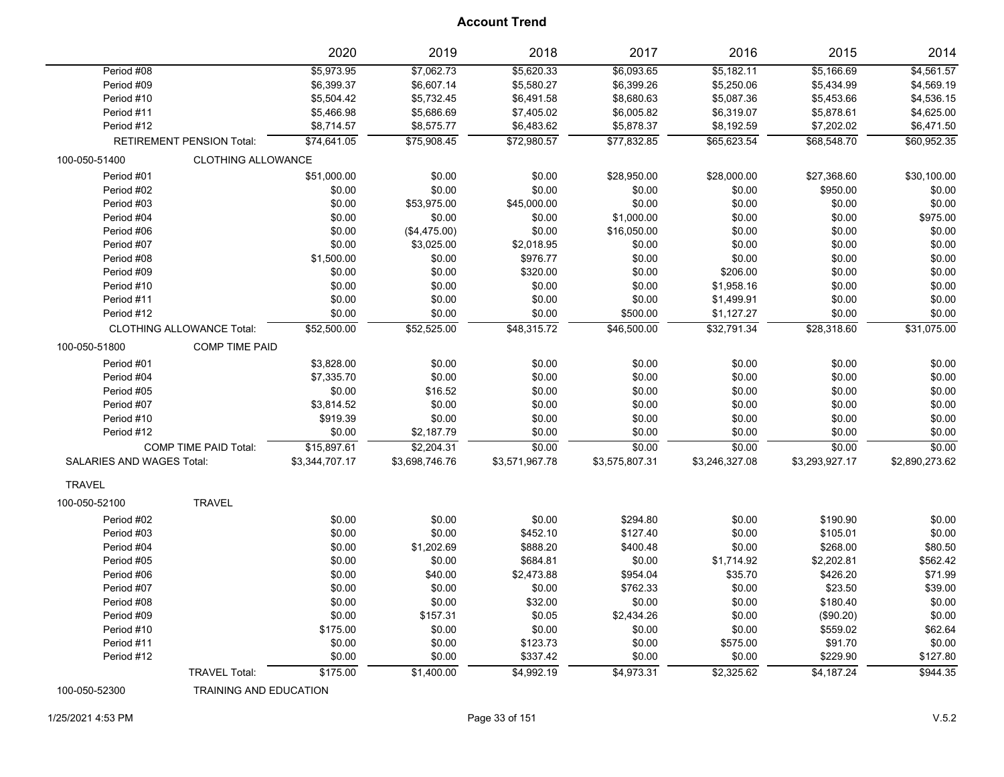|                           |                                  | 2020           | 2019           | 2018           | 2017           | 2016           | 2015           | 2014           |
|---------------------------|----------------------------------|----------------|----------------|----------------|----------------|----------------|----------------|----------------|
| Period #08                |                                  | \$5,973.95     | \$7,062.73     | \$5,620.33     | \$6,093.65     | \$5,182.11     | \$5,166.69     | \$4,561.57     |
| Period #09                |                                  | \$6,399.37     | \$6,607.14     | \$5,580.27     | \$6,399.26     | \$5,250.06     | \$5,434.99     | \$4,569.19     |
| Period #10                |                                  | \$5,504.42     | \$5,732.45     | \$6,491.58     | \$8,680.63     | \$5,087.36     | \$5,453.66     | \$4,536.15     |
| Period #11                |                                  | \$5,466.98     | \$5,686.69     | \$7,405.02     | \$6,005.82     | \$6,319.07     | \$5,878.61     | \$4,625.00     |
| Period #12                |                                  | \$8,714.57     | \$8,575.77     | \$6,483.62     | \$5,878.37     | \$8,192.59     | \$7,202.02     | \$6,471.50     |
|                           | <b>RETIREMENT PENSION Total:</b> | \$74,641.05    | \$75,908.45    | \$72,980.57    | \$77,832.85    | \$65,623.54    | \$68,548.70    | \$60,952.35    |
| 100-050-51400             | <b>CLOTHING ALLOWANCE</b>        |                |                |                |                |                |                |                |
| Period #01                |                                  | \$51,000.00    | \$0.00         | \$0.00         | \$28,950.00    | \$28,000.00    | \$27,368.60    | \$30,100.00    |
| Period #02                |                                  | \$0.00         | \$0.00         | \$0.00         | \$0.00         | \$0.00         | \$950.00       | \$0.00         |
| Period #03                |                                  | \$0.00         | \$53,975.00    | \$45,000.00    | \$0.00         | \$0.00         | \$0.00         | \$0.00         |
| Period #04                |                                  | \$0.00         | \$0.00         | \$0.00         | \$1,000.00     | \$0.00         | \$0.00         | \$975.00       |
| Period #06                |                                  | \$0.00         | (\$4,475.00)   | \$0.00         | \$16,050.00    | \$0.00         | \$0.00         | \$0.00         |
| Period #07                |                                  | \$0.00         | \$3,025.00     | \$2,018.95     | \$0.00         | \$0.00         | \$0.00         | \$0.00         |
| Period #08                |                                  | \$1,500.00     | \$0.00         | \$976.77       | \$0.00         | \$0.00         | \$0.00         | \$0.00         |
| Period #09                |                                  | \$0.00         | \$0.00         | \$320.00       | \$0.00         | \$206.00       | \$0.00         | \$0.00         |
| Period #10                |                                  | \$0.00         | \$0.00         | \$0.00         | \$0.00         | \$1,958.16     | \$0.00         | \$0.00         |
| Period #11                |                                  | \$0.00         | \$0.00         | \$0.00         | \$0.00         | \$1,499.91     | \$0.00         | \$0.00         |
| Period #12                |                                  | \$0.00         | \$0.00         | \$0.00         | \$500.00       | \$1,127.27     | \$0.00         | \$0.00         |
|                           | <b>CLOTHING ALLOWANCE Total:</b> | \$52,500.00    | \$52,525.00    | \$48,315.72    | \$46,500.00    | \$32,791.34    | \$28,318.60    | \$31,075.00    |
| 100-050-51800             | <b>COMP TIME PAID</b>            |                |                |                |                |                |                |                |
| Period #01                |                                  | \$3,828.00     | \$0.00         | \$0.00         | \$0.00         | \$0.00         | \$0.00         | \$0.00         |
| Period #04                |                                  | \$7,335.70     | \$0.00         | \$0.00         | \$0.00         | \$0.00         | \$0.00         | \$0.00         |
| Period #05                |                                  | \$0.00         | \$16.52        | \$0.00         | \$0.00         | \$0.00         | \$0.00         | \$0.00         |
| Period #07                |                                  | \$3,814.52     | \$0.00         | \$0.00         | \$0.00         | \$0.00         | \$0.00         | \$0.00         |
| Period #10                |                                  | \$919.39       | \$0.00         | \$0.00         | \$0.00         | \$0.00         | \$0.00         | \$0.00         |
| Period #12                |                                  | \$0.00         | \$2,187.79     | \$0.00         | \$0.00         | \$0.00         | \$0.00         | \$0.00         |
|                           | <b>COMP TIME PAID Total:</b>     | \$15,897.61    | \$2,204.31     | \$0.00         | \$0.00         | \$0.00         | \$0.00         | \$0.00         |
| SALARIES AND WAGES Total: |                                  | \$3,344,707.17 | \$3,698,746.76 | \$3,571,967.78 | \$3,575,807.31 | \$3,246,327.08 | \$3,293,927.17 | \$2,890,273.62 |
| <b>TRAVEL</b>             |                                  |                |                |                |                |                |                |                |
| 100-050-52100             | <b>TRAVEL</b>                    |                |                |                |                |                |                |                |
| Period #02                |                                  | \$0.00         | \$0.00         | \$0.00         | \$294.80       | \$0.00         | \$190.90       | \$0.00         |
| Period #03                |                                  | \$0.00         | \$0.00         | \$452.10       | \$127.40       | \$0.00         | \$105.01       | \$0.00         |
| Period #04                |                                  | \$0.00         | \$1,202.69     | \$888.20       | \$400.48       | \$0.00         | \$268.00       | \$80.50        |
| Period #05                |                                  | \$0.00         | \$0.00         | \$684.81       | \$0.00         | \$1,714.92     | \$2,202.81     | \$562.42       |
| Period #06                |                                  | \$0.00         | \$40.00        | \$2,473.88     | \$954.04       | \$35.70        | \$426.20       | \$71.99        |
| Period #07                |                                  | \$0.00         | \$0.00         | \$0.00         | \$762.33       | \$0.00         | \$23.50        | \$39.00        |
| Period #08                |                                  | \$0.00         | \$0.00         | \$32.00        | \$0.00         | \$0.00         | \$180.40       | \$0.00         |
| Period #09                |                                  | \$0.00         | \$157.31       | \$0.05         | \$2,434.26     | \$0.00         | (\$90.20)      | \$0.00         |
| Period #10                |                                  | \$175.00       | \$0.00         | \$0.00         | \$0.00         | \$0.00         | \$559.02       | \$62.64        |
| Period #11                |                                  | \$0.00         | \$0.00         | \$123.73       | \$0.00         | \$575.00       | \$91.70        | \$0.00         |
| Period #12                |                                  | \$0.00         | \$0.00         | \$337.42       | \$0.00         | \$0.00         | \$229.90       | \$127.80       |
|                           | <b>TRAVEL Total:</b>             | \$175.00       | \$1,400.00     | \$4,992.19     | \$4,973.31     | \$2,325.62     | \$4,187.24     | \$944.35       |

100-050-52300 TRAINING AND EDUCATION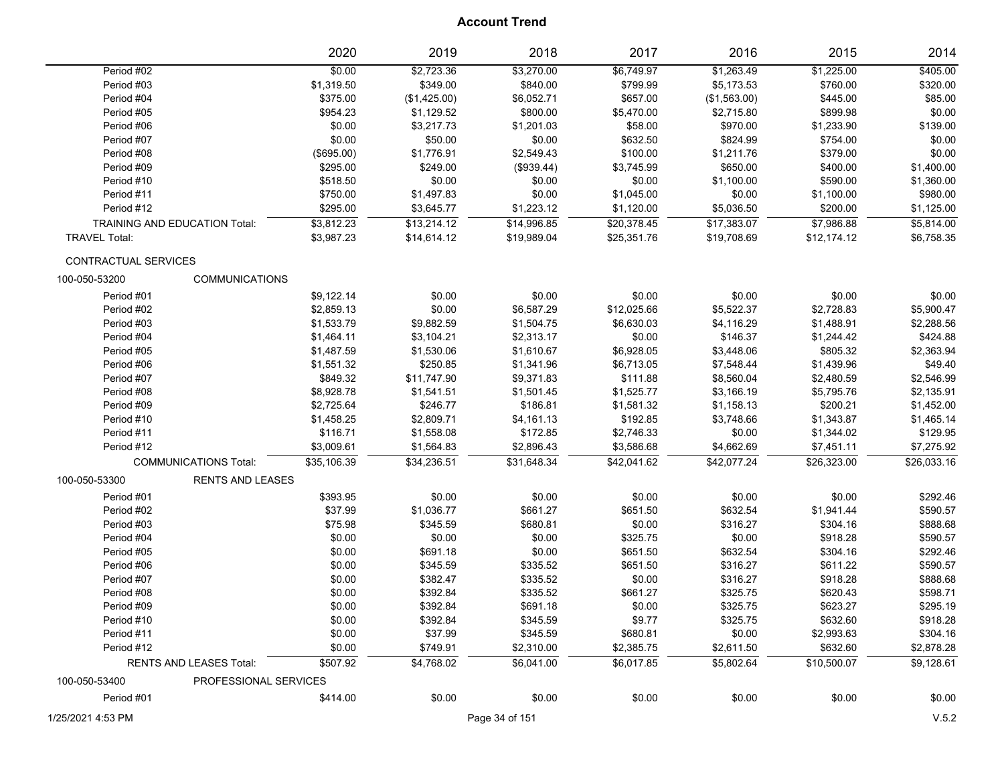|                      |                               | 2020        | 2019         | 2018           | 2017        | 2016         | 2015        | 2014        |
|----------------------|-------------------------------|-------------|--------------|----------------|-------------|--------------|-------------|-------------|
| Period #02           |                               | \$0.00      | \$2,723.36   | \$3,270.00     | \$6,749.97  | \$1,263.49   | \$1,225.00  | \$405.00    |
| Period #03           |                               | \$1,319.50  | \$349.00     | \$840.00       | \$799.99    | \$5,173.53   | \$760.00    | \$320.00    |
| Period #04           |                               | \$375.00    | (\$1,425.00) | \$6,052.71     | \$657.00    | (\$1,563.00) | \$445.00    | \$85.00     |
| Period #05           |                               | \$954.23    | \$1,129.52   | \$800.00       | \$5,470.00  | \$2,715.80   | \$899.98    | \$0.00      |
| Period #06           |                               | \$0.00      | \$3,217.73   | \$1,201.03     | \$58.00     | \$970.00     | \$1,233.90  | \$139.00    |
| Period #07           |                               | \$0.00      | \$50.00      | \$0.00         | \$632.50    | \$824.99     | \$754.00    | \$0.00      |
| Period #08           |                               | (\$695.00)  | \$1,776.91   | \$2,549.43     | \$100.00    | \$1,211.76   | \$379.00    | \$0.00      |
| Period #09           |                               | \$295.00    | \$249.00     | (\$939.44)     | \$3,745.99  | \$650.00     | \$400.00    | \$1,400.00  |
| Period #10           |                               | \$518.50    | \$0.00       | \$0.00         | \$0.00      | \$1,100.00   | \$590.00    | \$1,360.00  |
| Period #11           |                               | \$750.00    | \$1,497.83   | \$0.00         | \$1,045.00  | \$0.00       | \$1,100.00  | \$980.00    |
| Period #12           |                               | \$295.00    | \$3,645.77   | \$1,223.12     | \$1,120.00  | \$5,036.50   | \$200.00    | \$1,125.00  |
|                      | TRAINING AND EDUCATION Total: | \$3,812.23  | \$13,214.12  | \$14,996.85    | \$20,378.45 | \$17,383.07  | \$7,986.88  | \$5,814.00  |
| <b>TRAVEL Total:</b> |                               | \$3,987.23  | \$14,614.12  | \$19,989.04    | \$25,351.76 | \$19,708.69  | \$12,174.12 | \$6,758.35  |
| CONTRACTUAL SERVICES |                               |             |              |                |             |              |             |             |
| 100-050-53200        | <b>COMMUNICATIONS</b>         |             |              |                |             |              |             |             |
| Period #01           |                               | \$9,122.14  | \$0.00       | \$0.00         | \$0.00      | \$0.00       | \$0.00      | \$0.00      |
| Period #02           |                               | \$2,859.13  | \$0.00       | \$6,587.29     | \$12,025.66 | \$5,522.37   | \$2,728.83  | \$5,900.47  |
| Period #03           |                               | \$1,533.79  | \$9,882.59   | \$1,504.75     | \$6,630.03  | \$4,116.29   | \$1,488.91  | \$2,288.56  |
| Period #04           |                               | \$1,464.11  | \$3,104.21   | \$2,313.17     | \$0.00      | \$146.37     | \$1,244.42  | \$424.88    |
| Period #05           |                               | \$1,487.59  | \$1,530.06   | \$1,610.67     | \$6,928.05  | \$3,448.06   | \$805.32    | \$2,363.94  |
| Period #06           |                               | \$1,551.32  | \$250.85     | \$1,341.96     | \$6,713.05  | \$7,548.44   | \$1,439.96  | \$49.40     |
| Period #07           |                               | \$849.32    | \$11,747.90  | \$9,371.83     | \$111.88    | \$8,560.04   | \$2,480.59  | \$2,546.99  |
| Period #08           |                               | \$8,928.78  | \$1,541.51   | \$1,501.45     | \$1,525.77  | \$3,166.19   | \$5,795.76  | \$2,135.91  |
| Period #09           |                               | \$2,725.64  | \$246.77     | \$186.81       | \$1,581.32  | \$1,158.13   | \$200.21    | \$1,452.00  |
| Period #10           |                               | \$1,458.25  | \$2,809.71   | \$4,161.13     | \$192.85    | \$3,748.66   | \$1,343.87  | \$1,465.14  |
| Period #11           |                               | \$116.71    | \$1,558.08   | \$172.85       | \$2,746.33  | \$0.00       | \$1,344.02  | \$129.95    |
| Period #12           |                               | \$3,009.61  | \$1,564.83   | \$2,896.43     | \$3,586.68  | \$4,662.69   | \$7,451.11  | \$7,275.92  |
|                      | <b>COMMUNICATIONS Total:</b>  | \$35,106.39 | \$34,236.51  | \$31,648.34    | \$42,041.62 | \$42,077.24  | \$26,323.00 | \$26,033.16 |
| 100-050-53300        | <b>RENTS AND LEASES</b>       |             |              |                |             |              |             |             |
| Period #01           |                               | \$393.95    | \$0.00       | \$0.00         | \$0.00      | \$0.00       | \$0.00      | \$292.46    |
| Period #02           |                               | \$37.99     | \$1,036.77   | \$661.27       | \$651.50    | \$632.54     | \$1,941.44  | \$590.57    |
| Period #03           |                               | \$75.98     | \$345.59     | \$680.81       | \$0.00      | \$316.27     | \$304.16    | \$888.68    |
| Period #04           |                               | \$0.00      | \$0.00       | \$0.00         | \$325.75    | \$0.00       | \$918.28    | \$590.57    |
| Period #05           |                               | \$0.00      | \$691.18     | \$0.00         | \$651.50    | \$632.54     | \$304.16    | \$292.46    |
| Period #06           |                               | \$0.00      | \$345.59     | \$335.52       | \$651.50    | \$316.27     | \$611.22    | \$590.57    |
| Period #07           |                               | \$0.00      | \$382.47     | \$335.52       | \$0.00      | \$316.27     | \$918.28    | \$888.68    |
| Period #08           |                               | \$0.00      | \$392.84     | \$335.52       | \$661.27    | \$325.75     | \$620.43    | \$598.71    |
| Period #09           |                               | \$0.00      | \$392.84     | \$691.18       | \$0.00      | \$325.75     | \$623.27    | \$295.19    |
| Period #10           |                               | \$0.00      | \$392.84     | \$345.59       | \$9.77      | \$325.75     | \$632.60    | \$918.28    |
| Period #11           |                               | \$0.00      | \$37.99      | \$345.59       | \$680.81    | \$0.00       | \$2,993.63  | \$304.16    |
| Period #12           |                               | \$0.00      | \$749.91     | \$2,310.00     | \$2,385.75  | \$2,611.50   | \$632.60    | \$2,878.28  |
|                      | RENTS AND LEASES Total:       | \$507.92    | \$4,768.02   | \$6,041.00     | \$6,017.85  | \$5,802.64   | \$10,500.07 | \$9,128.61  |
| 100-050-53400        | PROFESSIONAL SERVICES         |             |              |                |             |              |             |             |
| Period #01           |                               | \$414.00    | \$0.00       | \$0.00         | \$0.00      | \$0.00       | \$0.00      | \$0.00      |
| 1/25/2021 4:53 PM    |                               |             |              | Page 34 of 151 |             |              |             | V.5.2       |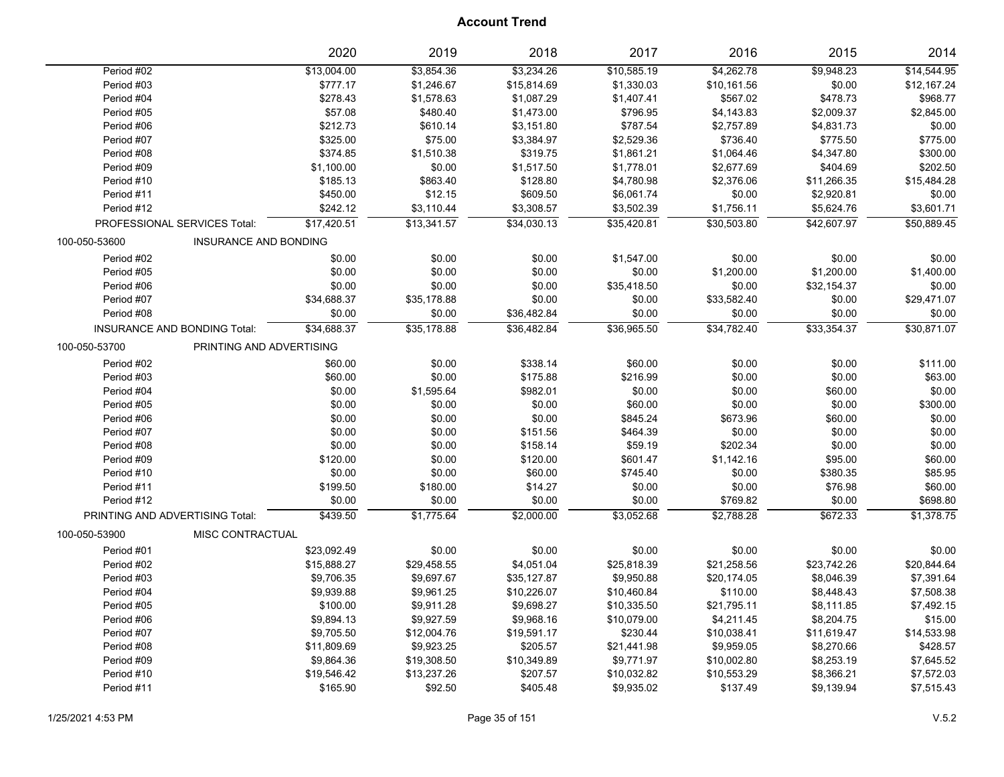|               |                                 | 2020        | 2019        | 2018        | 2017        | 2016        | 2015        | 2014        |
|---------------|---------------------------------|-------------|-------------|-------------|-------------|-------------|-------------|-------------|
| Period #02    |                                 | \$13,004.00 | \$3,854.36  | \$3,234.26  | \$10,585.19 | \$4,262.78  | \$9,948.23  | \$14,544.95 |
| Period #03    |                                 | \$777.17    | \$1,246.67  | \$15,814.69 | \$1,330.03  | \$10,161.56 | \$0.00      | \$12,167.24 |
| Period #04    |                                 | \$278.43    | \$1,578.63  | \$1,087.29  | \$1,407.41  | \$567.02    | \$478.73    | \$968.77    |
| Period #05    |                                 | \$57.08     | \$480.40    | \$1,473.00  | \$796.95    | \$4,143.83  | \$2,009.37  | \$2,845.00  |
| Period #06    |                                 | \$212.73    | \$610.14    | \$3,151.80  | \$787.54    | \$2,757.89  | \$4,831.73  | \$0.00      |
| Period #07    |                                 | \$325.00    | \$75.00     | \$3,384.97  | \$2,529.36  | \$736.40    | \$775.50    | \$775.00    |
| Period #08    |                                 | \$374.85    | \$1,510.38  | \$319.75    | \$1,861.21  | \$1,064.46  | \$4,347.80  | \$300.00    |
| Period #09    |                                 | \$1,100.00  | \$0.00      | \$1,517.50  | \$1,778.01  | \$2,677.69  | \$404.69    | \$202.50    |
| Period #10    |                                 | \$185.13    | \$863.40    | \$128.80    | \$4,780.98  | \$2,376.06  | \$11,266.35 | \$15,484.28 |
| Period #11    |                                 | \$450.00    | \$12.15     | \$609.50    | \$6,061.74  | \$0.00      | \$2,920.81  | \$0.00      |
| Period #12    |                                 | \$242.12    | \$3,110.44  | \$3,308.57  | \$3,502.39  | \$1,756.11  | \$5,624.76  | \$3,601.71  |
|               | PROFESSIONAL SERVICES Total:    | \$17,420.51 | \$13,341.57 | \$34,030.13 | \$35,420.81 | \$30,503.80 | \$42,607.97 | \$50,889.45 |
| 100-050-53600 | INSURANCE AND BONDING           |             |             |             |             |             |             |             |
| Period #02    |                                 | \$0.00      | \$0.00      | \$0.00      | \$1,547.00  | \$0.00      | \$0.00      | \$0.00      |
| Period #05    |                                 | \$0.00      | \$0.00      | \$0.00      | \$0.00      | \$1,200.00  | \$1,200.00  | \$1,400.00  |
| Period #06    |                                 | \$0.00      | \$0.00      | \$0.00      | \$35,418.50 | \$0.00      | \$32,154.37 | \$0.00      |
| Period #07    |                                 | \$34,688.37 | \$35,178.88 | \$0.00      | \$0.00      | \$33,582.40 | \$0.00      | \$29,471.07 |
| Period #08    |                                 | \$0.00      | \$0.00      | \$36,482.84 | \$0.00      | \$0.00      | \$0.00      | \$0.00      |
|               | INSURANCE AND BONDING Total:    | \$34,688.37 | \$35,178.88 | \$36,482.84 | \$36,965.50 | \$34,782.40 | \$33,354.37 | \$30,871.07 |
| 100-050-53700 | PRINTING AND ADVERTISING        |             |             |             |             |             |             |             |
| Period #02    |                                 | \$60.00     | \$0.00      | \$338.14    | \$60.00     | \$0.00      | \$0.00      | \$111.00    |
| Period #03    |                                 | \$60.00     | \$0.00      | \$175.88    | \$216.99    | \$0.00      | \$0.00      | \$63.00     |
| Period #04    |                                 | \$0.00      | \$1,595.64  | \$982.01    | \$0.00      | \$0.00      | \$60.00     | \$0.00      |
| Period #05    |                                 | \$0.00      | \$0.00      | \$0.00      | \$60.00     | \$0.00      | \$0.00      | \$300.00    |
| Period #06    |                                 | \$0.00      | \$0.00      | \$0.00      | \$845.24    | \$673.96    | \$60.00     | \$0.00      |
| Period #07    |                                 | \$0.00      | \$0.00      | \$151.56    | \$464.39    | \$0.00      | \$0.00      | \$0.00      |
| Period #08    |                                 | \$0.00      | \$0.00      | \$158.14    | \$59.19     | \$202.34    | \$0.00      | \$0.00      |
| Period #09    |                                 | \$120.00    | \$0.00      | \$120.00    | \$601.47    | \$1,142.16  | \$95.00     | \$60.00     |
| Period #10    |                                 | \$0.00      | \$0.00      | \$60.00     | \$745.40    | \$0.00      | \$380.35    | \$85.95     |
| Period #11    |                                 | \$199.50    | \$180.00    | \$14.27     | \$0.00      | \$0.00      | \$76.98     | \$60.00     |
| Period #12    |                                 | \$0.00      | \$0.00      | \$0.00      | \$0.00      | \$769.82    | \$0.00      | \$698.80    |
|               | PRINTING AND ADVERTISING Total: | \$439.50    | \$1,775.64  | \$2,000.00  | \$3,052.68  | \$2,788.28  | \$672.33    | \$1,378.75  |
| 100-050-53900 | MISC CONTRACTUAL                |             |             |             |             |             |             |             |
| Period #01    |                                 | \$23,092.49 | \$0.00      | \$0.00      | \$0.00      | \$0.00      | \$0.00      | \$0.00      |
| Period #02    |                                 | \$15,888.27 | \$29,458.55 | \$4,051.04  | \$25,818.39 | \$21,258.56 | \$23,742.26 | \$20,844.64 |
| Period #03    |                                 | \$9,706.35  | \$9,697.67  | \$35,127.87 | \$9,950.88  | \$20,174.05 | \$8,046.39  | \$7,391.64  |
| Period #04    |                                 | \$9,939.88  | \$9,961.25  | \$10,226.07 | \$10,460.84 | \$110.00    | \$8,448.43  | \$7,508.38  |
| Period #05    |                                 | \$100.00    | \$9,911.28  | \$9,698.27  | \$10,335.50 | \$21,795.11 | \$8,111.85  | \$7,492.15  |
| Period #06    |                                 | \$9,894.13  | \$9,927.59  | \$9,968.16  | \$10,079.00 | \$4,211.45  | \$8,204.75  | \$15.00     |
| Period #07    |                                 | \$9,705.50  | \$12,004.76 | \$19,591.17 | \$230.44    | \$10,038.41 | \$11,619.47 | \$14,533.98 |
| Period #08    |                                 | \$11,809.69 | \$9,923.25  | \$205.57    | \$21,441.98 | \$9,959.05  | \$8,270.66  | \$428.57    |
| Period #09    |                                 | \$9,864.36  | \$19,308.50 | \$10,349.89 | \$9,771.97  | \$10,002.80 | \$8,253.19  | \$7,645.52  |
| Period #10    |                                 | \$19,546.42 | \$13,237.26 | \$207.57    | \$10,032.82 | \$10,553.29 | \$8,366.21  | \$7,572.03  |
| Period #11    |                                 | \$165.90    | \$92.50     | \$405.48    | \$9,935.02  | \$137.49    | \$9,139.94  | \$7,515.43  |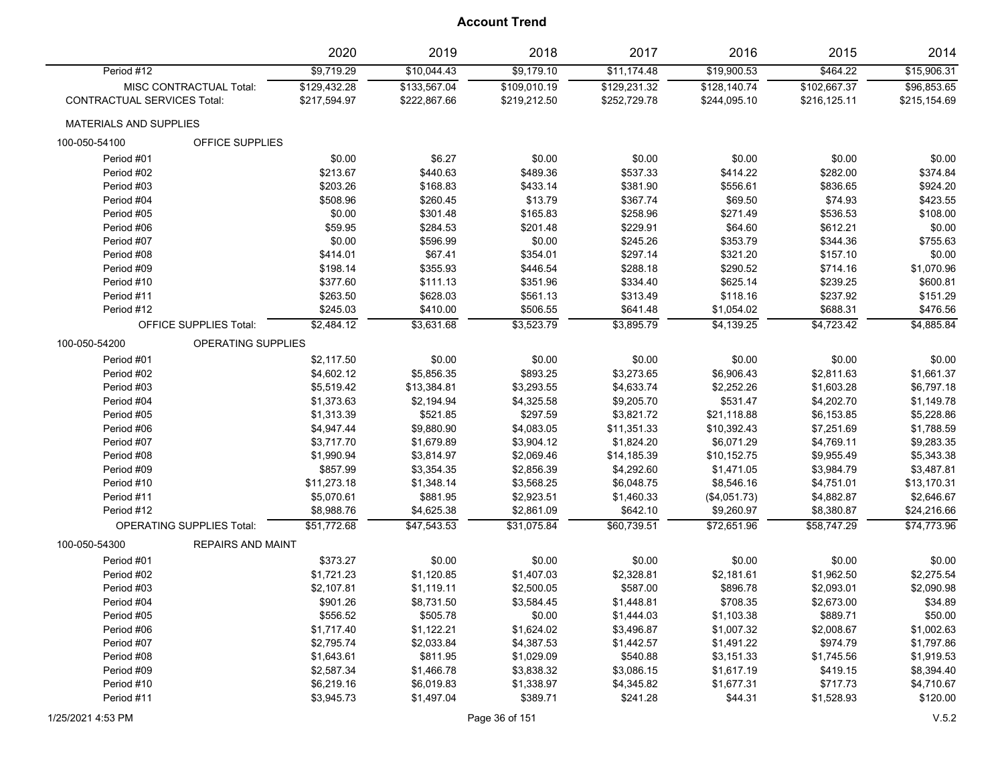| \$9,719.29<br>\$10,044.43<br>\$9,179.10<br>\$11,174.48<br>\$19,900.53<br>\$464.22<br>\$15,906.31<br>Period #12<br>\$129,432.28<br>\$133,567.04<br>\$129,231.32<br>\$128,140.74<br>\$102,667.37<br>MISC CONTRACTUAL Total:<br>\$109,010.19<br>\$96,853.65<br><b>CONTRACTUAL SERVICES Total:</b><br>\$217,594.97<br>\$252,729.78<br>\$244,095.10<br>\$216,125.11<br>\$215,154.69<br>\$222,867.66<br>\$219,212.50<br><b>MATERIALS AND SUPPLIES</b><br>100-050-54100<br>OFFICE SUPPLIES<br>Period #01<br>\$0.00<br>\$6.27<br>\$0.00<br>\$0.00<br>\$0.00<br>\$0.00<br>\$0.00<br>\$213.67<br>\$282.00<br>\$374.84<br>Period #02<br>\$440.63<br>\$489.36<br>\$537.33<br>\$414.22<br>\$203.26<br>\$924.20<br>\$168.83<br>\$433.14<br>\$381.90<br>\$556.61<br>\$836.65<br>Period #03<br>\$508.96<br>\$74.93<br>\$423.55<br>\$260.45<br>\$13.79<br>\$367.74<br>\$69.50<br>Period #04<br>\$0.00<br>Period #05<br>\$301.48<br>\$165.83<br>\$258.96<br>\$271.49<br>\$536.53<br>\$108.00<br>\$229.91<br>\$612.21<br>Period #06<br>\$59.95<br>\$284.53<br>\$201.48<br>\$64.60<br>\$0.00<br>\$755.63<br>Period #07<br>\$0.00<br>\$596.99<br>\$0.00<br>\$245.26<br>\$353.79<br>\$344.36<br>\$0.00<br>Period #08<br>\$414.01<br>\$67.41<br>\$354.01<br>\$297.14<br>\$321.20<br>\$157.10<br>\$1,070.96<br>Period #09<br>\$198.14<br>\$355.93<br>\$446.54<br>\$288.18<br>\$290.52<br>\$714.16<br>\$377.60<br>\$111.13<br>\$334.40<br>\$625.14<br>\$239.25<br>\$600.81<br>Period #10<br>\$351.96<br>\$263.50<br>\$237.92<br>\$151.29<br>Period #11<br>\$628.03<br>\$561.13<br>\$313.49<br>\$118.16<br>\$245.03<br>\$410.00<br>\$506.55<br>\$641.48<br>\$688.31<br>\$476.56<br>Period #12<br>\$1,054.02<br>\$3,523.79<br>\$2,484.12<br>\$3,631.68<br>\$3,895.79<br>\$4,139.25<br>\$4,723.42<br>\$4,885.84<br><b>OFFICE SUPPLIES Total:</b><br><b>OPERATING SUPPLIES</b><br>100-050-54200<br>\$0.00<br>\$0.00<br>\$0.00<br>\$0.00<br>Period #01<br>\$2,117.50<br>\$0.00<br>\$0.00<br>Period #02<br>\$4,602.12<br>\$5,856.35<br>\$893.25<br>\$3,273.65<br>\$6,906.43<br>\$2,811.63<br>\$1,661.37<br>\$5,519.42<br>\$13,384.81<br>\$3,293.55<br>\$4,633.74<br>\$2,252.26<br>\$6,797.18<br>Period #03<br>\$1,603.28<br>\$4,325.58<br>\$9,205.70<br>\$531.47<br>\$4,202.70<br>\$1,149.78<br>Period #04<br>\$1,373.63<br>\$2,194.94<br>\$521.85<br>\$297.59<br>\$5,228.86<br>Period #05<br>\$1,313.39<br>\$3,821.72<br>\$21,118.88<br>\$6,153.85<br>\$9,880.90<br>\$4,083.05<br>\$11,351.33<br>\$10,392.43<br>\$1,788.59<br>Period #06<br>\$4,947.44<br>\$7,251.69<br>\$3,717.70<br>\$1,679.89<br>\$3,904.12<br>\$1,824.20<br>\$6,071.29<br>\$4,769.11<br>\$9,283.35<br>Period #07<br>Period #08<br>\$1,990.94<br>\$3,814.97<br>\$2,069.46<br>\$14,185.39<br>\$10,152.75<br>\$5,343.38<br>\$9,955.49<br>Period #09<br>\$857.99<br>\$3,354.35<br>\$2,856.39<br>\$4,292.60<br>\$3,984.79<br>\$3,487.81<br>\$1,471.05<br>\$11,273.18<br>\$1,348.14<br>\$3,568.25<br>\$6,048.75<br>\$8,546.16<br>\$13,170.31<br>Period #10<br>\$4,751.01<br>\$5,070.61<br>\$881.95<br>\$2,923.51<br>\$1,460.33<br>\$2,646.67<br>Period #11<br>(\$4,051.73)<br>\$4,882.87<br>\$2,861.09<br>\$642.10<br>Period #12<br>\$8,988.76<br>\$4,625.38<br>\$9,260.97<br>\$8,380.87<br>\$24,216.66<br>\$51,772.68<br>\$60,739.51<br>\$72,651.96<br>\$58,747.29<br>\$74,773.96<br><b>OPERATING SUPPLIES Total:</b><br>\$47,543.53<br>\$31,075.84<br>100-050-54300<br><b>REPAIRS AND MAINT</b><br>Period #01<br>\$373.27<br>\$0.00<br>\$0.00<br>\$0.00<br>\$0.00<br>\$0.00<br>\$0.00<br>Period #02<br>\$1,721.23<br>\$1,120.85<br>\$1,407.03<br>\$2,328.81<br>\$2,181.61<br>\$1,962.50<br>\$2,275.54<br>\$587.00<br>Period #03<br>\$2,107.81<br>\$1,119.11<br>\$2,500.05<br>\$896.78<br>\$2,093.01<br>\$2,090.98<br>Period #04<br>\$901.26<br>\$8,731.50<br>\$3,584.45<br>\$1,448.81<br>\$708.35<br>\$2,673.00<br>\$34.89<br>\$1,444.03<br>\$50.00<br>Period #05<br>\$556.52<br>\$505.78<br>\$0.00<br>\$1,103.38<br>\$889.71<br>\$1,002.63<br>Period #06<br>\$1,717.40<br>\$1,122.21<br>\$1,624.02<br>\$3,496.87<br>\$1,007.32<br>\$2,008.67<br>\$2,033.84<br>\$1,797.86<br>Period #07<br>\$2,795.74<br>\$4,387.53<br>\$1,442.57<br>\$1,491.22<br>\$974.79<br>Period #08<br>\$1,643.61<br>\$811.95<br>\$1,029.09<br>\$540.88<br>\$3,151.33<br>\$1,745.56<br>\$1,919.53<br>Period #09<br>\$2,587.34<br>\$1,466.78<br>\$3,838.32<br>\$3,086.15<br>\$1,617.19<br>\$419.15<br>\$8,394.40<br>Period #10<br>\$6,219.16<br>\$6,019.83<br>\$1,338.97<br>\$4,345.82<br>\$717.73<br>\$4,710.67<br>\$1,677.31<br>\$389.71<br>Period #11<br>\$3,945.73<br>\$1,497.04<br>\$241.28<br>\$44.31<br>\$1,528.93<br>\$120.00 |  | 2020 | 2019 | 2018 | 2017 | 2016 | 2015 | 2014 |
|----------------------------------------------------------------------------------------------------------------------------------------------------------------------------------------------------------------------------------------------------------------------------------------------------------------------------------------------------------------------------------------------------------------------------------------------------------------------------------------------------------------------------------------------------------------------------------------------------------------------------------------------------------------------------------------------------------------------------------------------------------------------------------------------------------------------------------------------------------------------------------------------------------------------------------------------------------------------------------------------------------------------------------------------------------------------------------------------------------------------------------------------------------------------------------------------------------------------------------------------------------------------------------------------------------------------------------------------------------------------------------------------------------------------------------------------------------------------------------------------------------------------------------------------------------------------------------------------------------------------------------------------------------------------------------------------------------------------------------------------------------------------------------------------------------------------------------------------------------------------------------------------------------------------------------------------------------------------------------------------------------------------------------------------------------------------------------------------------------------------------------------------------------------------------------------------------------------------------------------------------------------------------------------------------------------------------------------------------------------------------------------------------------------------------------------------------------------------------------------------------------------------------------------------------------------------------------------------------------------------------------------------------------------------------------------------------------------------------------------------------------------------------------------------------------------------------------------------------------------------------------------------------------------------------------------------------------------------------------------------------------------------------------------------------------------------------------------------------------------------------------------------------------------------------------------------------------------------------------------------------------------------------------------------------------------------------------------------------------------------------------------------------------------------------------------------------------------------------------------------------------------------------------------------------------------------------------------------------------------------------------------------------------------------------------------------------------------------------------------------------------------------------------------------------------------------------------------------------------------------------------------------------------------------------------------------------------------------------------------------------------------------------------------------------------------------------------------------------------------------------------------------------------------------------------------------------------------------------------------------------------------------------------------------------------------------------------------------------------------------------------------------------------------------------------------------------------------------------------------------------------------------------------------------------------------------------------------------------------------------------------------------|--|------|------|------|------|------|------|------|
|                                                                                                                                                                                                                                                                                                                                                                                                                                                                                                                                                                                                                                                                                                                                                                                                                                                                                                                                                                                                                                                                                                                                                                                                                                                                                                                                                                                                                                                                                                                                                                                                                                                                                                                                                                                                                                                                                                                                                                                                                                                                                                                                                                                                                                                                                                                                                                                                                                                                                                                                                                                                                                                                                                                                                                                                                                                                                                                                                                                                                                                                                                                                                                                                                                                                                                                                                                                                                                                                                                                                                                                                                                                                                                                                                                                                                                                                                                                                                                                                                                                                                                                                                                                                                                                                                                                                                                                                                                                                                                                                                                                                                                              |  |      |      |      |      |      |      |      |
|                                                                                                                                                                                                                                                                                                                                                                                                                                                                                                                                                                                                                                                                                                                                                                                                                                                                                                                                                                                                                                                                                                                                                                                                                                                                                                                                                                                                                                                                                                                                                                                                                                                                                                                                                                                                                                                                                                                                                                                                                                                                                                                                                                                                                                                                                                                                                                                                                                                                                                                                                                                                                                                                                                                                                                                                                                                                                                                                                                                                                                                                                                                                                                                                                                                                                                                                                                                                                                                                                                                                                                                                                                                                                                                                                                                                                                                                                                                                                                                                                                                                                                                                                                                                                                                                                                                                                                                                                                                                                                                                                                                                                                              |  |      |      |      |      |      |      |      |
|                                                                                                                                                                                                                                                                                                                                                                                                                                                                                                                                                                                                                                                                                                                                                                                                                                                                                                                                                                                                                                                                                                                                                                                                                                                                                                                                                                                                                                                                                                                                                                                                                                                                                                                                                                                                                                                                                                                                                                                                                                                                                                                                                                                                                                                                                                                                                                                                                                                                                                                                                                                                                                                                                                                                                                                                                                                                                                                                                                                                                                                                                                                                                                                                                                                                                                                                                                                                                                                                                                                                                                                                                                                                                                                                                                                                                                                                                                                                                                                                                                                                                                                                                                                                                                                                                                                                                                                                                                                                                                                                                                                                                                              |  |      |      |      |      |      |      |      |
|                                                                                                                                                                                                                                                                                                                                                                                                                                                                                                                                                                                                                                                                                                                                                                                                                                                                                                                                                                                                                                                                                                                                                                                                                                                                                                                                                                                                                                                                                                                                                                                                                                                                                                                                                                                                                                                                                                                                                                                                                                                                                                                                                                                                                                                                                                                                                                                                                                                                                                                                                                                                                                                                                                                                                                                                                                                                                                                                                                                                                                                                                                                                                                                                                                                                                                                                                                                                                                                                                                                                                                                                                                                                                                                                                                                                                                                                                                                                                                                                                                                                                                                                                                                                                                                                                                                                                                                                                                                                                                                                                                                                                                              |  |      |      |      |      |      |      |      |
|                                                                                                                                                                                                                                                                                                                                                                                                                                                                                                                                                                                                                                                                                                                                                                                                                                                                                                                                                                                                                                                                                                                                                                                                                                                                                                                                                                                                                                                                                                                                                                                                                                                                                                                                                                                                                                                                                                                                                                                                                                                                                                                                                                                                                                                                                                                                                                                                                                                                                                                                                                                                                                                                                                                                                                                                                                                                                                                                                                                                                                                                                                                                                                                                                                                                                                                                                                                                                                                                                                                                                                                                                                                                                                                                                                                                                                                                                                                                                                                                                                                                                                                                                                                                                                                                                                                                                                                                                                                                                                                                                                                                                                              |  |      |      |      |      |      |      |      |
|                                                                                                                                                                                                                                                                                                                                                                                                                                                                                                                                                                                                                                                                                                                                                                                                                                                                                                                                                                                                                                                                                                                                                                                                                                                                                                                                                                                                                                                                                                                                                                                                                                                                                                                                                                                                                                                                                                                                                                                                                                                                                                                                                                                                                                                                                                                                                                                                                                                                                                                                                                                                                                                                                                                                                                                                                                                                                                                                                                                                                                                                                                                                                                                                                                                                                                                                                                                                                                                                                                                                                                                                                                                                                                                                                                                                                                                                                                                                                                                                                                                                                                                                                                                                                                                                                                                                                                                                                                                                                                                                                                                                                                              |  |      |      |      |      |      |      |      |
|                                                                                                                                                                                                                                                                                                                                                                                                                                                                                                                                                                                                                                                                                                                                                                                                                                                                                                                                                                                                                                                                                                                                                                                                                                                                                                                                                                                                                                                                                                                                                                                                                                                                                                                                                                                                                                                                                                                                                                                                                                                                                                                                                                                                                                                                                                                                                                                                                                                                                                                                                                                                                                                                                                                                                                                                                                                                                                                                                                                                                                                                                                                                                                                                                                                                                                                                                                                                                                                                                                                                                                                                                                                                                                                                                                                                                                                                                                                                                                                                                                                                                                                                                                                                                                                                                                                                                                                                                                                                                                                                                                                                                                              |  |      |      |      |      |      |      |      |
|                                                                                                                                                                                                                                                                                                                                                                                                                                                                                                                                                                                                                                                                                                                                                                                                                                                                                                                                                                                                                                                                                                                                                                                                                                                                                                                                                                                                                                                                                                                                                                                                                                                                                                                                                                                                                                                                                                                                                                                                                                                                                                                                                                                                                                                                                                                                                                                                                                                                                                                                                                                                                                                                                                                                                                                                                                                                                                                                                                                                                                                                                                                                                                                                                                                                                                                                                                                                                                                                                                                                                                                                                                                                                                                                                                                                                                                                                                                                                                                                                                                                                                                                                                                                                                                                                                                                                                                                                                                                                                                                                                                                                                              |  |      |      |      |      |      |      |      |
|                                                                                                                                                                                                                                                                                                                                                                                                                                                                                                                                                                                                                                                                                                                                                                                                                                                                                                                                                                                                                                                                                                                                                                                                                                                                                                                                                                                                                                                                                                                                                                                                                                                                                                                                                                                                                                                                                                                                                                                                                                                                                                                                                                                                                                                                                                                                                                                                                                                                                                                                                                                                                                                                                                                                                                                                                                                                                                                                                                                                                                                                                                                                                                                                                                                                                                                                                                                                                                                                                                                                                                                                                                                                                                                                                                                                                                                                                                                                                                                                                                                                                                                                                                                                                                                                                                                                                                                                                                                                                                                                                                                                                                              |  |      |      |      |      |      |      |      |
|                                                                                                                                                                                                                                                                                                                                                                                                                                                                                                                                                                                                                                                                                                                                                                                                                                                                                                                                                                                                                                                                                                                                                                                                                                                                                                                                                                                                                                                                                                                                                                                                                                                                                                                                                                                                                                                                                                                                                                                                                                                                                                                                                                                                                                                                                                                                                                                                                                                                                                                                                                                                                                                                                                                                                                                                                                                                                                                                                                                                                                                                                                                                                                                                                                                                                                                                                                                                                                                                                                                                                                                                                                                                                                                                                                                                                                                                                                                                                                                                                                                                                                                                                                                                                                                                                                                                                                                                                                                                                                                                                                                                                                              |  |      |      |      |      |      |      |      |
|                                                                                                                                                                                                                                                                                                                                                                                                                                                                                                                                                                                                                                                                                                                                                                                                                                                                                                                                                                                                                                                                                                                                                                                                                                                                                                                                                                                                                                                                                                                                                                                                                                                                                                                                                                                                                                                                                                                                                                                                                                                                                                                                                                                                                                                                                                                                                                                                                                                                                                                                                                                                                                                                                                                                                                                                                                                                                                                                                                                                                                                                                                                                                                                                                                                                                                                                                                                                                                                                                                                                                                                                                                                                                                                                                                                                                                                                                                                                                                                                                                                                                                                                                                                                                                                                                                                                                                                                                                                                                                                                                                                                                                              |  |      |      |      |      |      |      |      |
|                                                                                                                                                                                                                                                                                                                                                                                                                                                                                                                                                                                                                                                                                                                                                                                                                                                                                                                                                                                                                                                                                                                                                                                                                                                                                                                                                                                                                                                                                                                                                                                                                                                                                                                                                                                                                                                                                                                                                                                                                                                                                                                                                                                                                                                                                                                                                                                                                                                                                                                                                                                                                                                                                                                                                                                                                                                                                                                                                                                                                                                                                                                                                                                                                                                                                                                                                                                                                                                                                                                                                                                                                                                                                                                                                                                                                                                                                                                                                                                                                                                                                                                                                                                                                                                                                                                                                                                                                                                                                                                                                                                                                                              |  |      |      |      |      |      |      |      |
|                                                                                                                                                                                                                                                                                                                                                                                                                                                                                                                                                                                                                                                                                                                                                                                                                                                                                                                                                                                                                                                                                                                                                                                                                                                                                                                                                                                                                                                                                                                                                                                                                                                                                                                                                                                                                                                                                                                                                                                                                                                                                                                                                                                                                                                                                                                                                                                                                                                                                                                                                                                                                                                                                                                                                                                                                                                                                                                                                                                                                                                                                                                                                                                                                                                                                                                                                                                                                                                                                                                                                                                                                                                                                                                                                                                                                                                                                                                                                                                                                                                                                                                                                                                                                                                                                                                                                                                                                                                                                                                                                                                                                                              |  |      |      |      |      |      |      |      |
|                                                                                                                                                                                                                                                                                                                                                                                                                                                                                                                                                                                                                                                                                                                                                                                                                                                                                                                                                                                                                                                                                                                                                                                                                                                                                                                                                                                                                                                                                                                                                                                                                                                                                                                                                                                                                                                                                                                                                                                                                                                                                                                                                                                                                                                                                                                                                                                                                                                                                                                                                                                                                                                                                                                                                                                                                                                                                                                                                                                                                                                                                                                                                                                                                                                                                                                                                                                                                                                                                                                                                                                                                                                                                                                                                                                                                                                                                                                                                                                                                                                                                                                                                                                                                                                                                                                                                                                                                                                                                                                                                                                                                                              |  |      |      |      |      |      |      |      |
|                                                                                                                                                                                                                                                                                                                                                                                                                                                                                                                                                                                                                                                                                                                                                                                                                                                                                                                                                                                                                                                                                                                                                                                                                                                                                                                                                                                                                                                                                                                                                                                                                                                                                                                                                                                                                                                                                                                                                                                                                                                                                                                                                                                                                                                                                                                                                                                                                                                                                                                                                                                                                                                                                                                                                                                                                                                                                                                                                                                                                                                                                                                                                                                                                                                                                                                                                                                                                                                                                                                                                                                                                                                                                                                                                                                                                                                                                                                                                                                                                                                                                                                                                                                                                                                                                                                                                                                                                                                                                                                                                                                                                                              |  |      |      |      |      |      |      |      |
|                                                                                                                                                                                                                                                                                                                                                                                                                                                                                                                                                                                                                                                                                                                                                                                                                                                                                                                                                                                                                                                                                                                                                                                                                                                                                                                                                                                                                                                                                                                                                                                                                                                                                                                                                                                                                                                                                                                                                                                                                                                                                                                                                                                                                                                                                                                                                                                                                                                                                                                                                                                                                                                                                                                                                                                                                                                                                                                                                                                                                                                                                                                                                                                                                                                                                                                                                                                                                                                                                                                                                                                                                                                                                                                                                                                                                                                                                                                                                                                                                                                                                                                                                                                                                                                                                                                                                                                                                                                                                                                                                                                                                                              |  |      |      |      |      |      |      |      |
|                                                                                                                                                                                                                                                                                                                                                                                                                                                                                                                                                                                                                                                                                                                                                                                                                                                                                                                                                                                                                                                                                                                                                                                                                                                                                                                                                                                                                                                                                                                                                                                                                                                                                                                                                                                                                                                                                                                                                                                                                                                                                                                                                                                                                                                                                                                                                                                                                                                                                                                                                                                                                                                                                                                                                                                                                                                                                                                                                                                                                                                                                                                                                                                                                                                                                                                                                                                                                                                                                                                                                                                                                                                                                                                                                                                                                                                                                                                                                                                                                                                                                                                                                                                                                                                                                                                                                                                                                                                                                                                                                                                                                                              |  |      |      |      |      |      |      |      |
|                                                                                                                                                                                                                                                                                                                                                                                                                                                                                                                                                                                                                                                                                                                                                                                                                                                                                                                                                                                                                                                                                                                                                                                                                                                                                                                                                                                                                                                                                                                                                                                                                                                                                                                                                                                                                                                                                                                                                                                                                                                                                                                                                                                                                                                                                                                                                                                                                                                                                                                                                                                                                                                                                                                                                                                                                                                                                                                                                                                                                                                                                                                                                                                                                                                                                                                                                                                                                                                                                                                                                                                                                                                                                                                                                                                                                                                                                                                                                                                                                                                                                                                                                                                                                                                                                                                                                                                                                                                                                                                                                                                                                                              |  |      |      |      |      |      |      |      |
|                                                                                                                                                                                                                                                                                                                                                                                                                                                                                                                                                                                                                                                                                                                                                                                                                                                                                                                                                                                                                                                                                                                                                                                                                                                                                                                                                                                                                                                                                                                                                                                                                                                                                                                                                                                                                                                                                                                                                                                                                                                                                                                                                                                                                                                                                                                                                                                                                                                                                                                                                                                                                                                                                                                                                                                                                                                                                                                                                                                                                                                                                                                                                                                                                                                                                                                                                                                                                                                                                                                                                                                                                                                                                                                                                                                                                                                                                                                                                                                                                                                                                                                                                                                                                                                                                                                                                                                                                                                                                                                                                                                                                                              |  |      |      |      |      |      |      |      |
|                                                                                                                                                                                                                                                                                                                                                                                                                                                                                                                                                                                                                                                                                                                                                                                                                                                                                                                                                                                                                                                                                                                                                                                                                                                                                                                                                                                                                                                                                                                                                                                                                                                                                                                                                                                                                                                                                                                                                                                                                                                                                                                                                                                                                                                                                                                                                                                                                                                                                                                                                                                                                                                                                                                                                                                                                                                                                                                                                                                                                                                                                                                                                                                                                                                                                                                                                                                                                                                                                                                                                                                                                                                                                                                                                                                                                                                                                                                                                                                                                                                                                                                                                                                                                                                                                                                                                                                                                                                                                                                                                                                                                                              |  |      |      |      |      |      |      |      |
|                                                                                                                                                                                                                                                                                                                                                                                                                                                                                                                                                                                                                                                                                                                                                                                                                                                                                                                                                                                                                                                                                                                                                                                                                                                                                                                                                                                                                                                                                                                                                                                                                                                                                                                                                                                                                                                                                                                                                                                                                                                                                                                                                                                                                                                                                                                                                                                                                                                                                                                                                                                                                                                                                                                                                                                                                                                                                                                                                                                                                                                                                                                                                                                                                                                                                                                                                                                                                                                                                                                                                                                                                                                                                                                                                                                                                                                                                                                                                                                                                                                                                                                                                                                                                                                                                                                                                                                                                                                                                                                                                                                                                                              |  |      |      |      |      |      |      |      |
|                                                                                                                                                                                                                                                                                                                                                                                                                                                                                                                                                                                                                                                                                                                                                                                                                                                                                                                                                                                                                                                                                                                                                                                                                                                                                                                                                                                                                                                                                                                                                                                                                                                                                                                                                                                                                                                                                                                                                                                                                                                                                                                                                                                                                                                                                                                                                                                                                                                                                                                                                                                                                                                                                                                                                                                                                                                                                                                                                                                                                                                                                                                                                                                                                                                                                                                                                                                                                                                                                                                                                                                                                                                                                                                                                                                                                                                                                                                                                                                                                                                                                                                                                                                                                                                                                                                                                                                                                                                                                                                                                                                                                                              |  |      |      |      |      |      |      |      |
|                                                                                                                                                                                                                                                                                                                                                                                                                                                                                                                                                                                                                                                                                                                                                                                                                                                                                                                                                                                                                                                                                                                                                                                                                                                                                                                                                                                                                                                                                                                                                                                                                                                                                                                                                                                                                                                                                                                                                                                                                                                                                                                                                                                                                                                                                                                                                                                                                                                                                                                                                                                                                                                                                                                                                                                                                                                                                                                                                                                                                                                                                                                                                                                                                                                                                                                                                                                                                                                                                                                                                                                                                                                                                                                                                                                                                                                                                                                                                                                                                                                                                                                                                                                                                                                                                                                                                                                                                                                                                                                                                                                                                                              |  |      |      |      |      |      |      |      |
|                                                                                                                                                                                                                                                                                                                                                                                                                                                                                                                                                                                                                                                                                                                                                                                                                                                                                                                                                                                                                                                                                                                                                                                                                                                                                                                                                                                                                                                                                                                                                                                                                                                                                                                                                                                                                                                                                                                                                                                                                                                                                                                                                                                                                                                                                                                                                                                                                                                                                                                                                                                                                                                                                                                                                                                                                                                                                                                                                                                                                                                                                                                                                                                                                                                                                                                                                                                                                                                                                                                                                                                                                                                                                                                                                                                                                                                                                                                                                                                                                                                                                                                                                                                                                                                                                                                                                                                                                                                                                                                                                                                                                                              |  |      |      |      |      |      |      |      |
|                                                                                                                                                                                                                                                                                                                                                                                                                                                                                                                                                                                                                                                                                                                                                                                                                                                                                                                                                                                                                                                                                                                                                                                                                                                                                                                                                                                                                                                                                                                                                                                                                                                                                                                                                                                                                                                                                                                                                                                                                                                                                                                                                                                                                                                                                                                                                                                                                                                                                                                                                                                                                                                                                                                                                                                                                                                                                                                                                                                                                                                                                                                                                                                                                                                                                                                                                                                                                                                                                                                                                                                                                                                                                                                                                                                                                                                                                                                                                                                                                                                                                                                                                                                                                                                                                                                                                                                                                                                                                                                                                                                                                                              |  |      |      |      |      |      |      |      |
|                                                                                                                                                                                                                                                                                                                                                                                                                                                                                                                                                                                                                                                                                                                                                                                                                                                                                                                                                                                                                                                                                                                                                                                                                                                                                                                                                                                                                                                                                                                                                                                                                                                                                                                                                                                                                                                                                                                                                                                                                                                                                                                                                                                                                                                                                                                                                                                                                                                                                                                                                                                                                                                                                                                                                                                                                                                                                                                                                                                                                                                                                                                                                                                                                                                                                                                                                                                                                                                                                                                                                                                                                                                                                                                                                                                                                                                                                                                                                                                                                                                                                                                                                                                                                                                                                                                                                                                                                                                                                                                                                                                                                                              |  |      |      |      |      |      |      |      |
|                                                                                                                                                                                                                                                                                                                                                                                                                                                                                                                                                                                                                                                                                                                                                                                                                                                                                                                                                                                                                                                                                                                                                                                                                                                                                                                                                                                                                                                                                                                                                                                                                                                                                                                                                                                                                                                                                                                                                                                                                                                                                                                                                                                                                                                                                                                                                                                                                                                                                                                                                                                                                                                                                                                                                                                                                                                                                                                                                                                                                                                                                                                                                                                                                                                                                                                                                                                                                                                                                                                                                                                                                                                                                                                                                                                                                                                                                                                                                                                                                                                                                                                                                                                                                                                                                                                                                                                                                                                                                                                                                                                                                                              |  |      |      |      |      |      |      |      |
|                                                                                                                                                                                                                                                                                                                                                                                                                                                                                                                                                                                                                                                                                                                                                                                                                                                                                                                                                                                                                                                                                                                                                                                                                                                                                                                                                                                                                                                                                                                                                                                                                                                                                                                                                                                                                                                                                                                                                                                                                                                                                                                                                                                                                                                                                                                                                                                                                                                                                                                                                                                                                                                                                                                                                                                                                                                                                                                                                                                                                                                                                                                                                                                                                                                                                                                                                                                                                                                                                                                                                                                                                                                                                                                                                                                                                                                                                                                                                                                                                                                                                                                                                                                                                                                                                                                                                                                                                                                                                                                                                                                                                                              |  |      |      |      |      |      |      |      |
|                                                                                                                                                                                                                                                                                                                                                                                                                                                                                                                                                                                                                                                                                                                                                                                                                                                                                                                                                                                                                                                                                                                                                                                                                                                                                                                                                                                                                                                                                                                                                                                                                                                                                                                                                                                                                                                                                                                                                                                                                                                                                                                                                                                                                                                                                                                                                                                                                                                                                                                                                                                                                                                                                                                                                                                                                                                                                                                                                                                                                                                                                                                                                                                                                                                                                                                                                                                                                                                                                                                                                                                                                                                                                                                                                                                                                                                                                                                                                                                                                                                                                                                                                                                                                                                                                                                                                                                                                                                                                                                                                                                                                                              |  |      |      |      |      |      |      |      |
|                                                                                                                                                                                                                                                                                                                                                                                                                                                                                                                                                                                                                                                                                                                                                                                                                                                                                                                                                                                                                                                                                                                                                                                                                                                                                                                                                                                                                                                                                                                                                                                                                                                                                                                                                                                                                                                                                                                                                                                                                                                                                                                                                                                                                                                                                                                                                                                                                                                                                                                                                                                                                                                                                                                                                                                                                                                                                                                                                                                                                                                                                                                                                                                                                                                                                                                                                                                                                                                                                                                                                                                                                                                                                                                                                                                                                                                                                                                                                                                                                                                                                                                                                                                                                                                                                                                                                                                                                                                                                                                                                                                                                                              |  |      |      |      |      |      |      |      |
|                                                                                                                                                                                                                                                                                                                                                                                                                                                                                                                                                                                                                                                                                                                                                                                                                                                                                                                                                                                                                                                                                                                                                                                                                                                                                                                                                                                                                                                                                                                                                                                                                                                                                                                                                                                                                                                                                                                                                                                                                                                                                                                                                                                                                                                                                                                                                                                                                                                                                                                                                                                                                                                                                                                                                                                                                                                                                                                                                                                                                                                                                                                                                                                                                                                                                                                                                                                                                                                                                                                                                                                                                                                                                                                                                                                                                                                                                                                                                                                                                                                                                                                                                                                                                                                                                                                                                                                                                                                                                                                                                                                                                                              |  |      |      |      |      |      |      |      |
|                                                                                                                                                                                                                                                                                                                                                                                                                                                                                                                                                                                                                                                                                                                                                                                                                                                                                                                                                                                                                                                                                                                                                                                                                                                                                                                                                                                                                                                                                                                                                                                                                                                                                                                                                                                                                                                                                                                                                                                                                                                                                                                                                                                                                                                                                                                                                                                                                                                                                                                                                                                                                                                                                                                                                                                                                                                                                                                                                                                                                                                                                                                                                                                                                                                                                                                                                                                                                                                                                                                                                                                                                                                                                                                                                                                                                                                                                                                                                                                                                                                                                                                                                                                                                                                                                                                                                                                                                                                                                                                                                                                                                                              |  |      |      |      |      |      |      |      |
|                                                                                                                                                                                                                                                                                                                                                                                                                                                                                                                                                                                                                                                                                                                                                                                                                                                                                                                                                                                                                                                                                                                                                                                                                                                                                                                                                                                                                                                                                                                                                                                                                                                                                                                                                                                                                                                                                                                                                                                                                                                                                                                                                                                                                                                                                                                                                                                                                                                                                                                                                                                                                                                                                                                                                                                                                                                                                                                                                                                                                                                                                                                                                                                                                                                                                                                                                                                                                                                                                                                                                                                                                                                                                                                                                                                                                                                                                                                                                                                                                                                                                                                                                                                                                                                                                                                                                                                                                                                                                                                                                                                                                                              |  |      |      |      |      |      |      |      |
|                                                                                                                                                                                                                                                                                                                                                                                                                                                                                                                                                                                                                                                                                                                                                                                                                                                                                                                                                                                                                                                                                                                                                                                                                                                                                                                                                                                                                                                                                                                                                                                                                                                                                                                                                                                                                                                                                                                                                                                                                                                                                                                                                                                                                                                                                                                                                                                                                                                                                                                                                                                                                                                                                                                                                                                                                                                                                                                                                                                                                                                                                                                                                                                                                                                                                                                                                                                                                                                                                                                                                                                                                                                                                                                                                                                                                                                                                                                                                                                                                                                                                                                                                                                                                                                                                                                                                                                                                                                                                                                                                                                                                                              |  |      |      |      |      |      |      |      |
|                                                                                                                                                                                                                                                                                                                                                                                                                                                                                                                                                                                                                                                                                                                                                                                                                                                                                                                                                                                                                                                                                                                                                                                                                                                                                                                                                                                                                                                                                                                                                                                                                                                                                                                                                                                                                                                                                                                                                                                                                                                                                                                                                                                                                                                                                                                                                                                                                                                                                                                                                                                                                                                                                                                                                                                                                                                                                                                                                                                                                                                                                                                                                                                                                                                                                                                                                                                                                                                                                                                                                                                                                                                                                                                                                                                                                                                                                                                                                                                                                                                                                                                                                                                                                                                                                                                                                                                                                                                                                                                                                                                                                                              |  |      |      |      |      |      |      |      |
|                                                                                                                                                                                                                                                                                                                                                                                                                                                                                                                                                                                                                                                                                                                                                                                                                                                                                                                                                                                                                                                                                                                                                                                                                                                                                                                                                                                                                                                                                                                                                                                                                                                                                                                                                                                                                                                                                                                                                                                                                                                                                                                                                                                                                                                                                                                                                                                                                                                                                                                                                                                                                                                                                                                                                                                                                                                                                                                                                                                                                                                                                                                                                                                                                                                                                                                                                                                                                                                                                                                                                                                                                                                                                                                                                                                                                                                                                                                                                                                                                                                                                                                                                                                                                                                                                                                                                                                                                                                                                                                                                                                                                                              |  |      |      |      |      |      |      |      |
|                                                                                                                                                                                                                                                                                                                                                                                                                                                                                                                                                                                                                                                                                                                                                                                                                                                                                                                                                                                                                                                                                                                                                                                                                                                                                                                                                                                                                                                                                                                                                                                                                                                                                                                                                                                                                                                                                                                                                                                                                                                                                                                                                                                                                                                                                                                                                                                                                                                                                                                                                                                                                                                                                                                                                                                                                                                                                                                                                                                                                                                                                                                                                                                                                                                                                                                                                                                                                                                                                                                                                                                                                                                                                                                                                                                                                                                                                                                                                                                                                                                                                                                                                                                                                                                                                                                                                                                                                                                                                                                                                                                                                                              |  |      |      |      |      |      |      |      |
|                                                                                                                                                                                                                                                                                                                                                                                                                                                                                                                                                                                                                                                                                                                                                                                                                                                                                                                                                                                                                                                                                                                                                                                                                                                                                                                                                                                                                                                                                                                                                                                                                                                                                                                                                                                                                                                                                                                                                                                                                                                                                                                                                                                                                                                                                                                                                                                                                                                                                                                                                                                                                                                                                                                                                                                                                                                                                                                                                                                                                                                                                                                                                                                                                                                                                                                                                                                                                                                                                                                                                                                                                                                                                                                                                                                                                                                                                                                                                                                                                                                                                                                                                                                                                                                                                                                                                                                                                                                                                                                                                                                                                                              |  |      |      |      |      |      |      |      |
|                                                                                                                                                                                                                                                                                                                                                                                                                                                                                                                                                                                                                                                                                                                                                                                                                                                                                                                                                                                                                                                                                                                                                                                                                                                                                                                                                                                                                                                                                                                                                                                                                                                                                                                                                                                                                                                                                                                                                                                                                                                                                                                                                                                                                                                                                                                                                                                                                                                                                                                                                                                                                                                                                                                                                                                                                                                                                                                                                                                                                                                                                                                                                                                                                                                                                                                                                                                                                                                                                                                                                                                                                                                                                                                                                                                                                                                                                                                                                                                                                                                                                                                                                                                                                                                                                                                                                                                                                                                                                                                                                                                                                                              |  |      |      |      |      |      |      |      |
|                                                                                                                                                                                                                                                                                                                                                                                                                                                                                                                                                                                                                                                                                                                                                                                                                                                                                                                                                                                                                                                                                                                                                                                                                                                                                                                                                                                                                                                                                                                                                                                                                                                                                                                                                                                                                                                                                                                                                                                                                                                                                                                                                                                                                                                                                                                                                                                                                                                                                                                                                                                                                                                                                                                                                                                                                                                                                                                                                                                                                                                                                                                                                                                                                                                                                                                                                                                                                                                                                                                                                                                                                                                                                                                                                                                                                                                                                                                                                                                                                                                                                                                                                                                                                                                                                                                                                                                                                                                                                                                                                                                                                                              |  |      |      |      |      |      |      |      |
|                                                                                                                                                                                                                                                                                                                                                                                                                                                                                                                                                                                                                                                                                                                                                                                                                                                                                                                                                                                                                                                                                                                                                                                                                                                                                                                                                                                                                                                                                                                                                                                                                                                                                                                                                                                                                                                                                                                                                                                                                                                                                                                                                                                                                                                                                                                                                                                                                                                                                                                                                                                                                                                                                                                                                                                                                                                                                                                                                                                                                                                                                                                                                                                                                                                                                                                                                                                                                                                                                                                                                                                                                                                                                                                                                                                                                                                                                                                                                                                                                                                                                                                                                                                                                                                                                                                                                                                                                                                                                                                                                                                                                                              |  |      |      |      |      |      |      |      |
|                                                                                                                                                                                                                                                                                                                                                                                                                                                                                                                                                                                                                                                                                                                                                                                                                                                                                                                                                                                                                                                                                                                                                                                                                                                                                                                                                                                                                                                                                                                                                                                                                                                                                                                                                                                                                                                                                                                                                                                                                                                                                                                                                                                                                                                                                                                                                                                                                                                                                                                                                                                                                                                                                                                                                                                                                                                                                                                                                                                                                                                                                                                                                                                                                                                                                                                                                                                                                                                                                                                                                                                                                                                                                                                                                                                                                                                                                                                                                                                                                                                                                                                                                                                                                                                                                                                                                                                                                                                                                                                                                                                                                                              |  |      |      |      |      |      |      |      |
|                                                                                                                                                                                                                                                                                                                                                                                                                                                                                                                                                                                                                                                                                                                                                                                                                                                                                                                                                                                                                                                                                                                                                                                                                                                                                                                                                                                                                                                                                                                                                                                                                                                                                                                                                                                                                                                                                                                                                                                                                                                                                                                                                                                                                                                                                                                                                                                                                                                                                                                                                                                                                                                                                                                                                                                                                                                                                                                                                                                                                                                                                                                                                                                                                                                                                                                                                                                                                                                                                                                                                                                                                                                                                                                                                                                                                                                                                                                                                                                                                                                                                                                                                                                                                                                                                                                                                                                                                                                                                                                                                                                                                                              |  |      |      |      |      |      |      |      |
|                                                                                                                                                                                                                                                                                                                                                                                                                                                                                                                                                                                                                                                                                                                                                                                                                                                                                                                                                                                                                                                                                                                                                                                                                                                                                                                                                                                                                                                                                                                                                                                                                                                                                                                                                                                                                                                                                                                                                                                                                                                                                                                                                                                                                                                                                                                                                                                                                                                                                                                                                                                                                                                                                                                                                                                                                                                                                                                                                                                                                                                                                                                                                                                                                                                                                                                                                                                                                                                                                                                                                                                                                                                                                                                                                                                                                                                                                                                                                                                                                                                                                                                                                                                                                                                                                                                                                                                                                                                                                                                                                                                                                                              |  |      |      |      |      |      |      |      |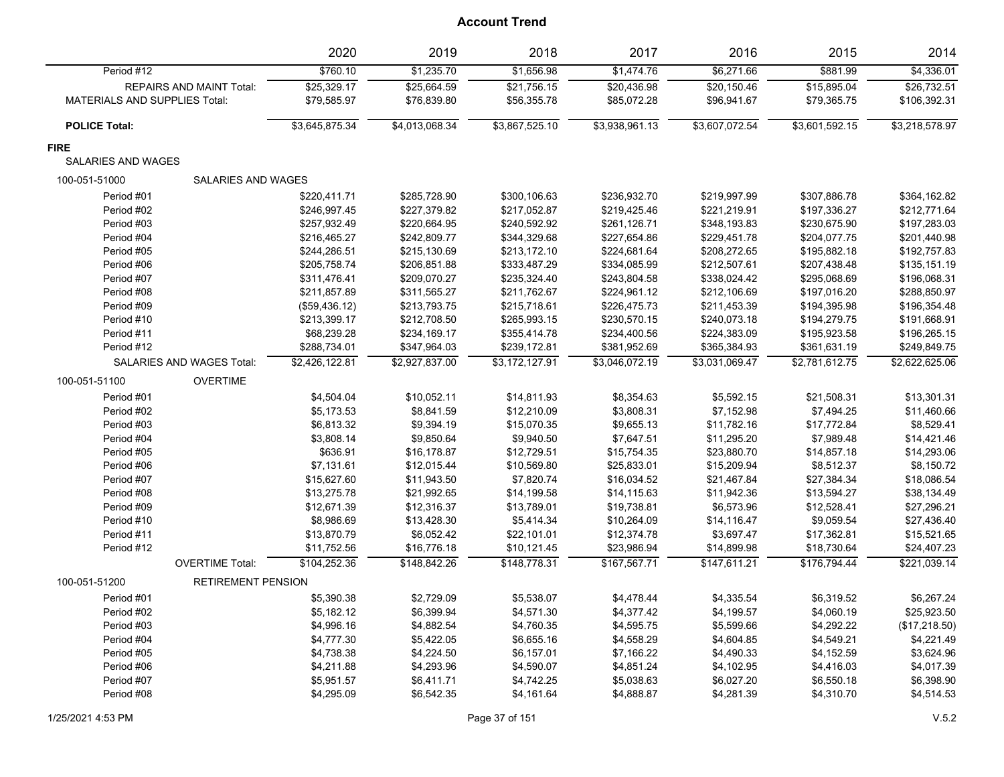|                                            | 2020           | 2019           | 2018           | 2017           | 2016           | 2015           | 2014           |
|--------------------------------------------|----------------|----------------|----------------|----------------|----------------|----------------|----------------|
| Period #12                                 | \$760.10       | \$1,235.70     | \$1,656.98     | \$1,474.76     | 56,271.66      | \$881.99       | \$4,336.01     |
| <b>REPAIRS AND MAINT Total:</b>            | \$25,329.17    | \$25,664.59    | \$21,756.15    | \$20,436.98    | \$20,150.46    | \$15,895.04    | \$26,732.51    |
| <b>MATERIALS AND SUPPLIES Total:</b>       | \$79,585.97    | \$76,839.80    | \$56,355.78    | \$85,072.28    | \$96,941.67    | \$79,365.75    | \$106,392.31   |
| <b>POLICE Total:</b>                       | \$3,645,875.34 | \$4,013,068.34 | \$3,867,525.10 | \$3,938,961.13 | \$3,607,072.54 | \$3,601,592.15 | \$3,218,578.97 |
| <b>FIRE</b>                                |                |                |                |                |                |                |                |
| <b>SALARIES AND WAGES</b>                  |                |                |                |                |                |                |                |
| 100-051-51000<br><b>SALARIES AND WAGES</b> |                |                |                |                |                |                |                |
| Period #01                                 | \$220,411.71   | \$285,728.90   | \$300,106.63   | \$236,932.70   | \$219,997.99   | \$307,886.78   | \$364,162.82   |
| Period #02                                 | \$246,997.45   | \$227,379.82   | \$217,052.87   | \$219,425.46   | \$221,219.91   | \$197,336.27   | \$212,771.64   |
| Period #03                                 | \$257,932.49   | \$220,664.95   | \$240,592.92   | \$261,126.71   | \$348,193.83   | \$230,675.90   | \$197,283.03   |
| Period #04                                 | \$216,465.27   | \$242,809.77   | \$344,329.68   | \$227,654.86   | \$229,451.78   | \$204,077.75   | \$201,440.98   |
| Period #05                                 | \$244,286.51   | \$215,130.69   | \$213,172.10   | \$224,681.64   | \$208,272.65   | \$195,882.18   | \$192,757.83   |
| Period #06                                 | \$205,758.74   | \$206,851.88   | \$333,487.29   | \$334,085.99   | \$212,507.61   | \$207,438.48   | \$135,151.19   |
| Period #07                                 | \$311,476.41   | \$209,070.27   | \$235,324.40   | \$243,804.58   | \$338,024.42   | \$295,068.69   | \$196,068.31   |
| Period #08                                 | \$211,857.89   | \$311,565.27   | \$211,762.67   | \$224,961.12   | \$212,106.69   | \$197,016.20   | \$288,850.97   |
| Period #09                                 | (\$59,436.12)  | \$213,793.75   | \$215,718.61   | \$226,475.73   | \$211,453.39   | \$194,395.98   | \$196,354.48   |
| Period #10                                 | \$213,399.17   | \$212,708.50   | \$265,993.15   | \$230,570.15   | \$240,073.18   | \$194,279.75   | \$191,668.91   |
| Period #11                                 | \$68,239.28    | \$234,169.17   | \$355,414.78   | \$234,400.56   | \$224,383.09   | \$195,923.58   | \$196,265.15   |
| Period #12                                 | \$288,734.01   | \$347,964.03   | \$239,172.81   | \$381,952.69   | \$365,384.93   | \$361,631.19   | \$249,849.75   |
| SALARIES AND WAGES Total:                  | \$2,426,122.81 | \$2,927,837.00 | \$3,172,127.91 | \$3,046,072.19 | \$3,031,069.47 | \$2,781,612.75 | \$2,622,625.06 |
| <b>OVERTIME</b><br>100-051-51100           |                |                |                |                |                |                |                |
| Period #01                                 | \$4,504.04     | \$10,052.11    | \$14,811.93    | \$8,354.63     | \$5,592.15     | \$21,508.31    | \$13,301.31    |
| Period #02                                 | \$5,173.53     | \$8,841.59     | \$12,210.09    | \$3,808.31     | \$7,152.98     | \$7,494.25     | \$11,460.66    |
| Period #03                                 | \$6,813.32     | \$9,394.19     | \$15,070.35    | \$9,655.13     | \$11,782.16    | \$17,772.84    | \$8,529.41     |
| Period #04                                 | \$3,808.14     | \$9,850.64     | \$9,940.50     | \$7,647.51     | \$11,295.20    | \$7,989.48     | \$14,421.46    |
| Period #05                                 | \$636.91       | \$16,178.87    | \$12,729.51    | \$15,754.35    | \$23,880.70    | \$14,857.18    | \$14,293.06    |
| Period #06                                 | \$7,131.61     | \$12,015.44    | \$10,569.80    | \$25,833.01    | \$15,209.94    | \$8,512.37     | \$8,150.72     |
| Period #07                                 | \$15,627.60    | \$11,943.50    | \$7,820.74     | \$16,034.52    | \$21,467.84    | \$27,384.34    | \$18,086.54    |
| Period #08                                 | \$13,275.78    | \$21,992.65    | \$14,199.58    | \$14,115.63    | \$11,942.36    | \$13,594.27    | \$38,134.49    |
| Period #09                                 | \$12,671.39    | \$12,316.37    | \$13,789.01    | \$19,738.81    | \$6,573.96     | \$12,528.41    | \$27,296.21    |
| Period #10                                 | \$8,986.69     | \$13,428.30    | \$5,414.34     | \$10,264.09    | \$14,116.47    | \$9,059.54     | \$27,436.40    |
| Period #11                                 | \$13,870.79    | \$6,052.42     | \$22,101.01    | \$12,374.78    | \$3,697.47     | \$17,362.81    | \$15,521.65    |
| Period #12                                 | \$11,752.56    | \$16,776.18    | \$10,121.45    | \$23,986.94    | \$14,899.98    | \$18,730.64    | \$24,407.23    |
| <b>OVERTIME Total:</b>                     | \$104,252.36   | \$148,842.26   | \$148.778.31   | \$167,567.71   | \$147,611.21   | \$176.794.44   | \$221,039.14   |
| 100-051-51200<br>RETIREMENT PENSION        |                |                |                |                |                |                |                |
| Period #01                                 | \$5,390.38     | \$2,729.09     | \$5,538.07     | \$4,478.44     | \$4,335.54     | \$6,319.52     | \$6,267.24     |
| Period #02                                 | \$5,182.12     | \$6,399.94     | \$4,571.30     | \$4,377.42     | \$4,199.57     | \$4,060.19     | \$25,923.50    |
| Period #03                                 | \$4,996.16     | \$4,882.54     | \$4,760.35     | \$4,595.75     | \$5,599.66     | \$4,292.22     | (\$17,218.50)  |
| Period #04                                 | \$4,777.30     | \$5,422.05     | \$6,655.16     | \$4,558.29     | \$4,604.85     | \$4,549.21     | \$4,221.49     |
| Period #05                                 | \$4,738.38     | \$4,224.50     | \$6,157.01     | \$7,166.22     | \$4,490.33     | \$4,152.59     | \$3,624.96     |
| Period #06                                 | \$4,211.88     | \$4,293.96     | \$4,590.07     | \$4,851.24     | \$4,102.95     | \$4,416.03     | \$4,017.39     |
| Period #07                                 | \$5,951.57     | \$6,411.71     | \$4,742.25     | \$5,038.63     | \$6,027.20     | \$6,550.18     | \$6,398.90     |
| Period #08                                 | \$4,295.09     | \$6,542.35     | \$4,161.64     | \$4,888.87     | \$4,281.39     | \$4,310.70     | \$4,514.53     |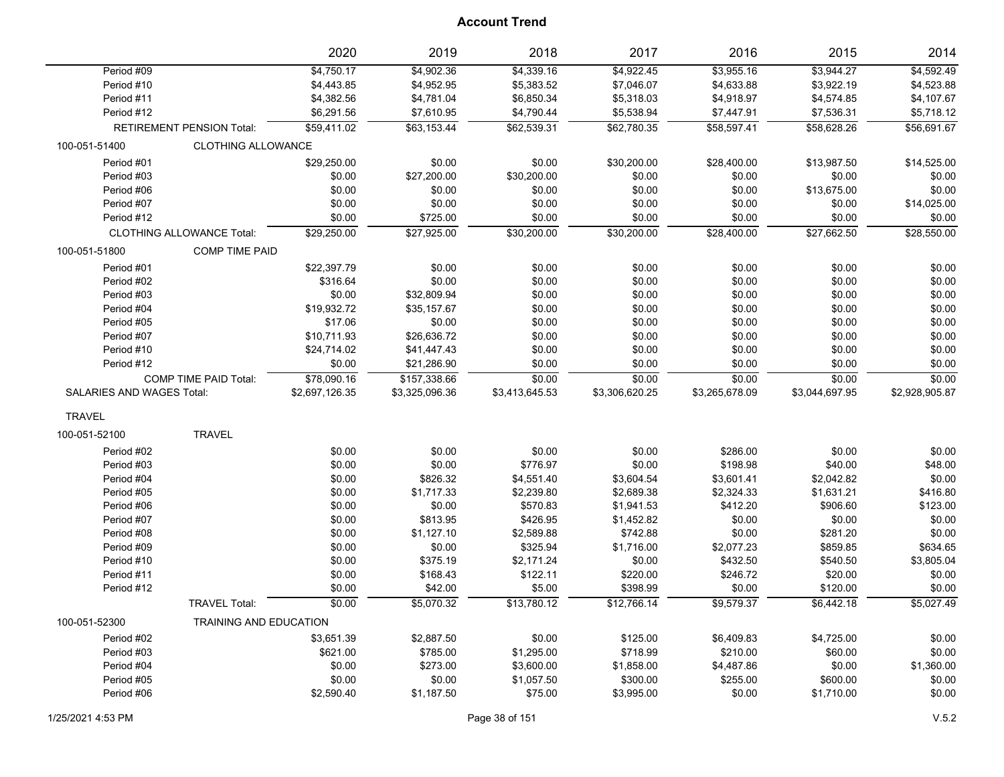|                           |                                  | 2020           | 2019           | 2018           | 2017           | 2016           | 2015           | 2014           |
|---------------------------|----------------------------------|----------------|----------------|----------------|----------------|----------------|----------------|----------------|
| Period #09                |                                  | \$4,750.17     | \$4,902.36     | \$4,339.16     | \$4,922.45     | \$3,955.16     | \$3,944.27     | \$4,592.49     |
| Period #10                |                                  | \$4,443.85     | \$4,952.95     | \$5,383.52     | \$7,046.07     | \$4,633.88     | \$3,922.19     | \$4,523.88     |
| Period #11                |                                  | \$4,382.56     | \$4,781.04     | \$6,850.34     | \$5,318.03     | \$4,918.97     | \$4,574.85     | \$4,107.67     |
| Period #12                |                                  | \$6,291.56     | \$7,610.95     | \$4,790.44     | \$5,538.94     | \$7,447.91     | \$7,536.31     | \$5,718.12     |
|                           | <b>RETIREMENT PENSION Total:</b> | \$59,411.02    | \$63,153.44    | \$62,539.31    | \$62,780.35    | \$58,597.41    | \$58,628.26    | \$56,691.67    |
| 100-051-51400             | CLOTHING ALLOWANCE               |                |                |                |                |                |                |                |
| Period #01                |                                  | \$29,250.00    | \$0.00         | \$0.00         | \$30,200.00    | \$28,400.00    | \$13,987.50    | \$14,525.00    |
| Period #03                |                                  | \$0.00         | \$27,200.00    | \$30,200.00    | \$0.00         | \$0.00         | \$0.00         | \$0.00         |
| Period #06                |                                  | \$0.00         | \$0.00         | \$0.00         | \$0.00         | \$0.00         | \$13,675.00    | \$0.00         |
| Period #07                |                                  | \$0.00         | \$0.00         | \$0.00         | \$0.00         | \$0.00         | \$0.00         | \$14,025.00    |
| Period #12                |                                  | \$0.00         | \$725.00       | \$0.00         | \$0.00         | \$0.00         | \$0.00         | \$0.00         |
|                           | <b>CLOTHING ALLOWANCE Total:</b> | \$29,250.00    | \$27,925.00    | \$30,200.00    | \$30,200.00    | \$28,400.00    | \$27,662.50    | \$28,550.00    |
| 100-051-51800             | COMP TIME PAID                   |                |                |                |                |                |                |                |
| Period #01                |                                  | \$22,397.79    | \$0.00         | \$0.00         | \$0.00         | \$0.00         | \$0.00         | \$0.00         |
| Period #02                |                                  | \$316.64       | \$0.00         | \$0.00         | \$0.00         | \$0.00         | \$0.00         | \$0.00         |
| Period #03                |                                  | \$0.00         | \$32,809.94    | \$0.00         | \$0.00         | \$0.00         | \$0.00         | \$0.00         |
| Period #04                |                                  | \$19,932.72    | \$35,157.67    | \$0.00         | \$0.00         | \$0.00         | \$0.00         | \$0.00         |
| Period #05                |                                  | \$17.06        | \$0.00         | \$0.00         | \$0.00         | \$0.00         | \$0.00         | \$0.00         |
| Period #07                |                                  | \$10,711.93    | \$26,636.72    | \$0.00         | \$0.00         | \$0.00         | \$0.00         | \$0.00         |
| Period #10                |                                  | \$24,714.02    | \$41,447.43    | \$0.00         | \$0.00         | \$0.00         | \$0.00         | \$0.00         |
| Period #12                |                                  | \$0.00         | \$21,286.90    | \$0.00         | \$0.00         | \$0.00         | \$0.00         | \$0.00         |
|                           | <b>COMP TIME PAID Total:</b>     | \$78,090.16    | \$157,338.66   | \$0.00         | 50.00          | \$0.00         | \$0.00         | \$0.00         |
| SALARIES AND WAGES Total: |                                  | \$2,697,126.35 | \$3,325,096.36 | \$3,413,645.53 | \$3,306,620.25 | \$3,265,678.09 | \$3,044,697.95 | \$2,928,905.87 |
| <b>TRAVEL</b>             |                                  |                |                |                |                |                |                |                |
| 100-051-52100             | <b>TRAVEL</b>                    |                |                |                |                |                |                |                |
| Period #02                |                                  | \$0.00         | \$0.00         | \$0.00         | \$0.00         | \$286.00       | \$0.00         | \$0.00         |
| Period #03                |                                  | \$0.00         | \$0.00         | \$776.97       | \$0.00         | \$198.98       | \$40.00        | \$48.00        |
| Period #04                |                                  | \$0.00         | \$826.32       | \$4,551.40     | \$3,604.54     | \$3,601.41     | \$2,042.82     | \$0.00         |
| Period #05                |                                  | \$0.00         | \$1,717.33     | \$2,239.80     | \$2,689.38     | \$2,324.33     | \$1,631.21     | \$416.80       |
| Period #06                |                                  | \$0.00         | \$0.00         | \$570.83       | \$1,941.53     | \$412.20       | \$906.60       | \$123.00       |
| Period #07                |                                  | \$0.00         | \$813.95       | \$426.95       | \$1,452.82     | \$0.00         | \$0.00         | \$0.00         |
| Period #08                |                                  | \$0.00         | \$1,127.10     | \$2,589.88     | \$742.88       | \$0.00         | \$281.20       | \$0.00         |
| Period #09                |                                  | \$0.00         | \$0.00         | \$325.94       | \$1,716.00     | \$2,077.23     | \$859.85       | \$634.65       |
| Period #10                |                                  | \$0.00         | \$375.19       | \$2,171.24     | \$0.00         | \$432.50       | \$540.50       | \$3,805.04     |
| Period #11                |                                  | \$0.00         | \$168.43       | \$122.11       | \$220.00       | \$246.72       | \$20.00        | \$0.00         |
| Period #12                |                                  | \$0.00         | \$42.00        | \$5.00         | \$398.99       | \$0.00         | \$120.00       | \$0.00         |
|                           | <b>TRAVEL Total:</b>             | \$0.00         | \$5,070.32     | \$13,780.12    | \$12,766.14    | \$9,579.37     | \$6,442.18     | \$5,027.49     |
| 100-051-52300             | TRAINING AND EDUCATION           |                |                |                |                |                |                |                |
| Period #02                |                                  | \$3,651.39     | \$2,887.50     | \$0.00         | \$125.00       | \$6,409.83     | \$4,725.00     | \$0.00         |
| Period #03                |                                  | \$621.00       | \$785.00       | \$1,295.00     | \$718.99       | \$210.00       | \$60.00        | \$0.00         |
| Period #04                |                                  | \$0.00         | \$273.00       | \$3,600.00     | \$1,858.00     | \$4,487.86     | \$0.00         | \$1,360.00     |
| Period #05                |                                  | \$0.00         | \$0.00         | \$1,057.50     | \$300.00       | \$255.00       | \$600.00       | \$0.00         |
| Period #06                |                                  | \$2,590.40     | \$1,187.50     | \$75.00        | \$3,995.00     | \$0.00         | \$1,710.00     | \$0.00         |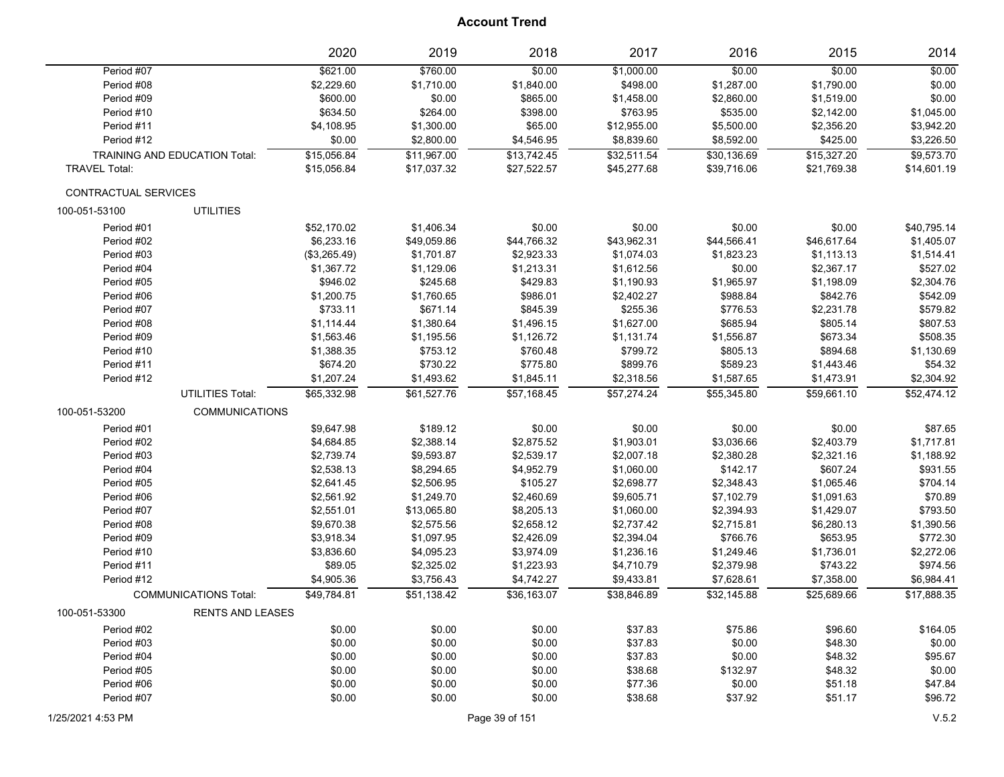|                                      | 2020                    | 2019        | 2018        | 2017        | 2016        | 2015        | 2014        |
|--------------------------------------|-------------------------|-------------|-------------|-------------|-------------|-------------|-------------|
| Period #07                           | \$621.00                | \$760.00    | \$0.00      | \$1,000.00  | \$0.00      | \$0.00      | \$0.00      |
| Period #08                           | \$2,229.60              | \$1,710.00  | \$1,840.00  | \$498.00    | \$1,287.00  | \$1,790.00  | \$0.00      |
| Period #09                           | \$600.00                | \$0.00      | \$865.00    | \$1,458.00  | \$2,860.00  | \$1,519.00  | \$0.00      |
| Period #10                           | \$634.50                | \$264.00    | \$398.00    | \$763.95    | \$535.00    | \$2,142.00  | \$1,045.00  |
| Period #11                           | \$4,108.95              | \$1,300.00  | \$65.00     | \$12,955.00 | \$5,500.00  | \$2,356.20  | \$3,942.20  |
| Period #12                           | \$0.00                  | \$2,800.00  | \$4,546.95  | \$8,839.60  | \$8,592.00  | \$425.00    | \$3,226.50  |
| <b>TRAINING AND EDUCATION Total:</b> | \$15,056.84             | \$11,967.00 | \$13,742.45 | \$32,511.54 | \$30,136.69 | \$15,327.20 | \$9,573.70  |
| <b>TRAVEL Total:</b>                 | \$15,056.84             | \$17,037.32 | \$27,522.57 | \$45,277.68 | \$39,716.06 | \$21,769.38 | \$14,601.19 |
| CONTRACTUAL SERVICES                 |                         |             |             |             |             |             |             |
| <b>UTILITIES</b><br>100-051-53100    |                         |             |             |             |             |             |             |
| Period #01                           | \$52,170.02             | \$1,406.34  | \$0.00      | \$0.00      | \$0.00      | \$0.00      | \$40,795.14 |
| Period #02                           | \$6,233.16              | \$49,059.86 | \$44,766.32 | \$43,962.31 | \$44,566.41 | \$46,617.64 | \$1,405.07  |
| Period #03                           | (\$3,265.49)            | \$1,701.87  | \$2,923.33  | \$1,074.03  | \$1,823.23  | \$1,113.13  | \$1,514.41  |
| Period #04                           | \$1,367.72              | \$1,129.06  | \$1,213.31  | \$1,612.56  | \$0.00      | \$2,367.17  | \$527.02    |
| Period #05                           | \$946.02                | \$245.68    | \$429.83    | \$1,190.93  | \$1,965.97  | \$1,198.09  | \$2,304.76  |
| Period #06                           | \$1,200.75              | \$1,760.65  | \$986.01    | \$2,402.27  | \$988.84    | \$842.76    | \$542.09    |
| Period #07                           | \$733.11                | \$671.14    | \$845.39    | \$255.36    | \$776.53    | \$2,231.78  | \$579.82    |
| Period #08                           | \$1,114.44              | \$1,380.64  | \$1,496.15  | \$1,627.00  | \$685.94    | \$805.14    | \$807.53    |
| Period #09                           | \$1,563.46              | \$1,195.56  | \$1,126.72  | \$1,131.74  | \$1,556.87  | \$673.34    | \$508.35    |
| Period #10                           | \$1,388.35              | \$753.12    | \$760.48    | \$799.72    | \$805.13    | \$894.68    | \$1,130.69  |
| Period #11                           | \$674.20                | \$730.22    | \$775.80    | \$899.76    | \$589.23    | \$1,443.46  | \$54.32     |
| Period #12                           | \$1,207.24              | \$1,493.62  | \$1,845.11  | \$2,318.56  | \$1,587.65  | \$1,473.91  | \$2,304.92  |
| <b>UTILITIES Total:</b>              | \$65,332.98             | \$61,527.76 | \$57,168.45 | \$57,274.24 | \$55,345.80 | \$59,661.10 | \$52,474.12 |
| 100-051-53200                        | <b>COMMUNICATIONS</b>   |             |             |             |             |             |             |
| Period #01                           | \$9,647.98              | \$189.12    | \$0.00      | \$0.00      | \$0.00      | \$0.00      | \$87.65     |
| Period #02                           | \$4,684.85              | \$2,388.14  | \$2,875.52  | \$1,903.01  | \$3,036.66  | \$2,403.79  | \$1,717.81  |
| Period #03                           | \$2,739.74              | \$9,593.87  | \$2,539.17  | \$2,007.18  | \$2,380.28  | \$2,321.16  | \$1,188.92  |
| Period #04                           | \$2,538.13              | \$8,294.65  | \$4,952.79  | \$1,060.00  | \$142.17    | \$607.24    | \$931.55    |
| Period #05                           | \$2,641.45              | \$2,506.95  | \$105.27    | \$2,698.77  | \$2,348.43  | \$1,065.46  | \$704.14    |
| Period #06                           | \$2,561.92              | \$1,249.70  | \$2,460.69  | \$9,605.71  | \$7,102.79  | \$1,091.63  | \$70.89     |
| Period #07                           | \$2,551.01              | \$13,065.80 | \$8,205.13  | \$1,060.00  | \$2,394.93  | \$1,429.07  | \$793.50    |
| Period #08                           | \$9,670.38              | \$2,575.56  | \$2,658.12  | \$2,737.42  | \$2,715.81  | \$6,280.13  | \$1,390.56  |
| Period #09                           | \$3,918.34              | \$1,097.95  | \$2,426.09  | \$2,394.04  | \$766.76    | \$653.95    | \$772.30    |
| Period #10                           | \$3,836.60              | \$4,095.23  | \$3,974.09  | \$1,236.16  | \$1,249.46  | \$1,736.01  | \$2,272.06  |
| Period #11                           | \$89.05                 | \$2,325.02  | \$1,223.93  | \$4,710.79  | \$2,379.98  | \$743.22    | \$974.56    |
| Period #12                           | \$4,905.36              | \$3,756.43  | \$4,742.27  | \$9,433.81  | \$7,628.61  | \$7,358.00  | \$6,984.41  |
| <b>COMMUNICATIONS Total:</b>         | \$49,784.81             | \$51,138.42 | \$36,163.07 | \$38.846.89 | \$32,145.88 | \$25,689.66 | \$17,888.35 |
| 100-051-53300                        | <b>RENTS AND LEASES</b> |             |             |             |             |             |             |
| Period #02                           | \$0.00                  | \$0.00      | \$0.00      | \$37.83     | \$75.86     | \$96.60     | \$164.05    |
| Period #03                           | \$0.00                  | \$0.00      | \$0.00      | \$37.83     | \$0.00      | \$48.30     | \$0.00      |
| Period #04                           | \$0.00                  | \$0.00      | \$0.00      | \$37.83     | \$0.00      | \$48.32     | \$95.67     |
| Period #05                           | \$0.00                  | \$0.00      | \$0.00      | \$38.68     | \$132.97    | \$48.32     | \$0.00      |
| Period #06                           | \$0.00                  | \$0.00      | \$0.00      | \$77.36     | \$0.00      | \$51.18     | \$47.84     |
| Period #07                           | \$0.00                  | \$0.00      | \$0.00      | \$38.68     | \$37.92     | \$51.17     | \$96.72     |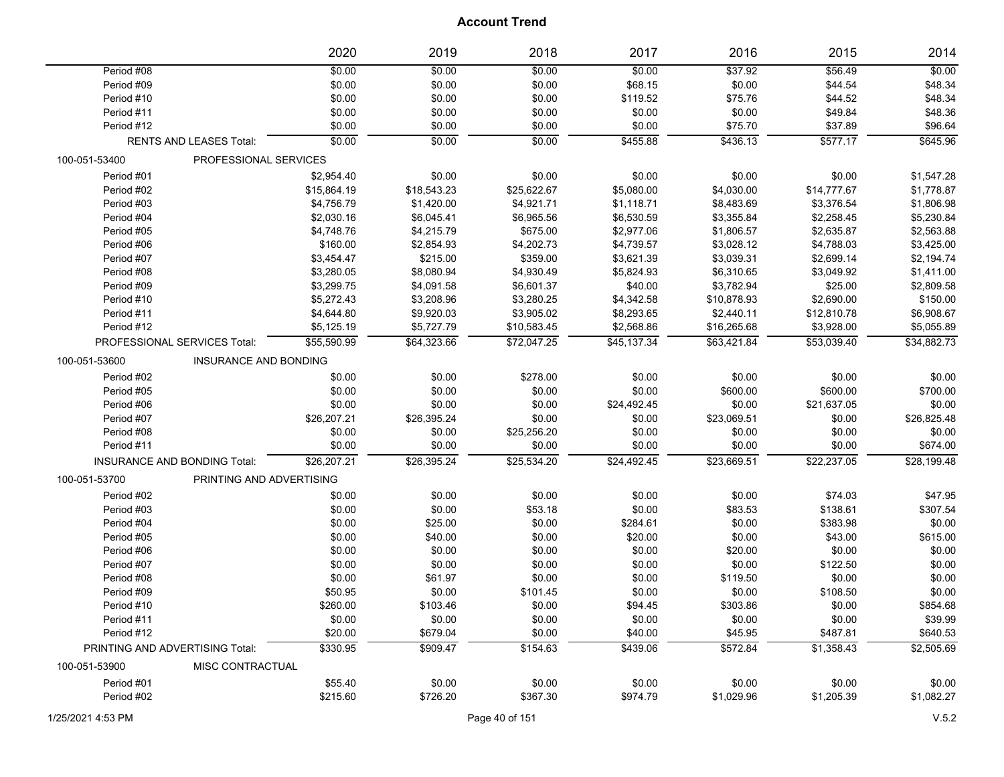|                                     |                                | 2020        | 2019        | 2018        | 2017        | 2016        | 2015        | 2014        |
|-------------------------------------|--------------------------------|-------------|-------------|-------------|-------------|-------------|-------------|-------------|
| Period #08                          |                                | \$0.00      | \$0.00      | \$0.00      | \$0.00      | \$37.92     | \$56.49     | \$0.00      |
| Period #09                          |                                | \$0.00      | \$0.00      | \$0.00      | \$68.15     | \$0.00      | \$44.54     | \$48.34     |
| Period #10                          |                                | \$0.00      | \$0.00      | \$0.00      | \$119.52    | \$75.76     | \$44.52     | \$48.34     |
| Period #11                          |                                | \$0.00      | \$0.00      | \$0.00      | \$0.00      | \$0.00      | \$49.84     | \$48.36     |
| Period #12                          |                                | \$0.00      | \$0.00      | \$0.00      | \$0.00      | \$75.70     | \$37.89     | \$96.64     |
|                                     | <b>RENTS AND LEASES Total:</b> | \$0.00      | \$0.00      | \$0.00      | \$455.88    | \$436.13    | \$577.17    | \$645.96    |
| 100-051-53400                       | PROFESSIONAL SERVICES          |             |             |             |             |             |             |             |
| Period #01                          |                                | \$2,954.40  | \$0.00      | \$0.00      | \$0.00      | \$0.00      | \$0.00      | \$1,547.28  |
| Period #02                          |                                | \$15,864.19 | \$18,543.23 | \$25,622.67 | \$5,080.00  | \$4,030.00  | \$14,777.67 | \$1,778.87  |
| Period #03                          |                                | \$4,756.79  | \$1,420.00  | \$4,921.71  | \$1,118.71  | \$8,483.69  | \$3,376.54  | \$1,806.98  |
| Period #04                          |                                | \$2,030.16  | \$6,045.41  | \$6,965.56  | \$6,530.59  | \$3,355.84  | \$2,258.45  | \$5,230.84  |
| Period #05                          |                                | \$4,748.76  | \$4,215.79  | \$675.00    | \$2,977.06  | \$1,806.57  | \$2,635.87  | \$2,563.88  |
| Period #06                          |                                | \$160.00    | \$2,854.93  | \$4,202.73  | \$4,739.57  | \$3,028.12  | \$4,788.03  | \$3,425.00  |
| Period #07                          |                                | \$3,454.47  | \$215.00    | \$359.00    | \$3,621.39  | \$3,039.31  | \$2,699.14  | \$2,194.74  |
| Period #08                          |                                | \$3,280.05  | \$8,080.94  | \$4,930.49  | \$5,824.93  | \$6,310.65  | \$3,049.92  | \$1,411.00  |
| Period #09                          |                                | \$3,299.75  | \$4,091.58  | \$6,601.37  | \$40.00     | \$3,782.94  | \$25.00     | \$2,809.58  |
| Period #10                          |                                | \$5,272.43  | \$3,208.96  | \$3,280.25  | \$4,342.58  | \$10,878.93 | \$2,690.00  | \$150.00    |
| Period #11                          |                                | \$4,644.80  | \$9,920.03  | \$3,905.02  | \$8,293.65  | \$2,440.11  | \$12,810.78 | \$6,908.67  |
| Period #12                          |                                | \$5,125.19  | \$5,727.79  | \$10,583.45 | \$2,568.86  | \$16,265.68 | \$3,928.00  | \$5,055.89  |
|                                     | PROFESSIONAL SERVICES Total:   | \$55,590.99 | \$64,323.66 | \$72,047.25 | \$45,137.34 | \$63,421.84 | \$53.039.40 | \$34,882.73 |
| 100-051-53600                       | <b>INSURANCE AND BONDING</b>   |             |             |             |             |             |             |             |
| Period #02                          |                                | \$0.00      | \$0.00      | \$278.00    | \$0.00      | \$0.00      | \$0.00      | \$0.00      |
| Period #05                          |                                | \$0.00      | \$0.00      | \$0.00      | \$0.00      | \$600.00    | \$600.00    | \$700.00    |
| Period #06                          |                                | \$0.00      | \$0.00      | \$0.00      | \$24,492.45 | \$0.00      | \$21,637.05 | \$0.00      |
| Period #07                          |                                | \$26,207.21 | \$26,395.24 | \$0.00      | \$0.00      | \$23,069.51 | \$0.00      | \$26,825.48 |
| Period #08                          |                                | \$0.00      | \$0.00      | \$25,256.20 | \$0.00      | \$0.00      | \$0.00      | \$0.00      |
| Period #11                          |                                | \$0.00      | \$0.00      | \$0.00      | \$0.00      | \$0.00      | \$0.00      | \$674.00    |
| <b>INSURANCE AND BONDING Total:</b> |                                | \$26,207.21 | \$26,395.24 | \$25,534.20 | \$24,492.45 | \$23,669.51 | \$22,237.05 | \$28,199.48 |
| 100-051-53700                       | PRINTING AND ADVERTISING       |             |             |             |             |             |             |             |
| Period #02                          |                                | \$0.00      | \$0.00      | \$0.00      | \$0.00      | \$0.00      | \$74.03     | \$47.95     |
| Period #03                          |                                | \$0.00      | \$0.00      | \$53.18     | \$0.00      | \$83.53     | \$138.61    | \$307.54    |
| Period #04                          |                                | \$0.00      | \$25.00     | \$0.00      | \$284.61    | \$0.00      | \$383.98    | \$0.00      |
| Period #05                          |                                | \$0.00      | \$40.00     | \$0.00      | \$20.00     | \$0.00      | \$43.00     | \$615.00    |
| Period #06                          |                                | \$0.00      | \$0.00      | \$0.00      | \$0.00      | \$20.00     | \$0.00      | \$0.00      |
| Period #07                          |                                | \$0.00      | \$0.00      | \$0.00      | \$0.00      | \$0.00      | \$122.50    | \$0.00      |
| Period #08                          |                                | \$0.00      | \$61.97     | \$0.00      | \$0.00      | \$119.50    | \$0.00      | \$0.00      |
| Period #09                          |                                | \$50.95     | \$0.00      | \$101.45    | \$0.00      | \$0.00      | \$108.50    | \$0.00      |
| Period #10                          |                                | \$260.00    | \$103.46    | \$0.00      | \$94.45     | \$303.86    | \$0.00      | \$854.68    |
| Period #11                          |                                | \$0.00      | \$0.00      | \$0.00      | \$0.00      | \$0.00      | \$0.00      | \$39.99     |
| Period #12                          |                                | \$20.00     | \$679.04    | \$0.00      | \$40.00     | \$45.95     | \$487.81    | \$640.53    |
| PRINTING AND ADVERTISING Total:     |                                | \$330.95    | \$909.47    | \$154.63    | \$439.06    | \$572.84    | \$1,358.43  | \$2,505.69  |
| 100-051-53900                       | MISC CONTRACTUAL               |             |             |             |             |             |             |             |
| Period #01                          |                                | \$55.40     | \$0.00      | \$0.00      | \$0.00      | \$0.00      | \$0.00      | \$0.00      |
| Period #02                          |                                | \$215.60    | \$726.20    | \$367.30    | \$974.79    | \$1,029.96  | \$1,205.39  | \$1,082.27  |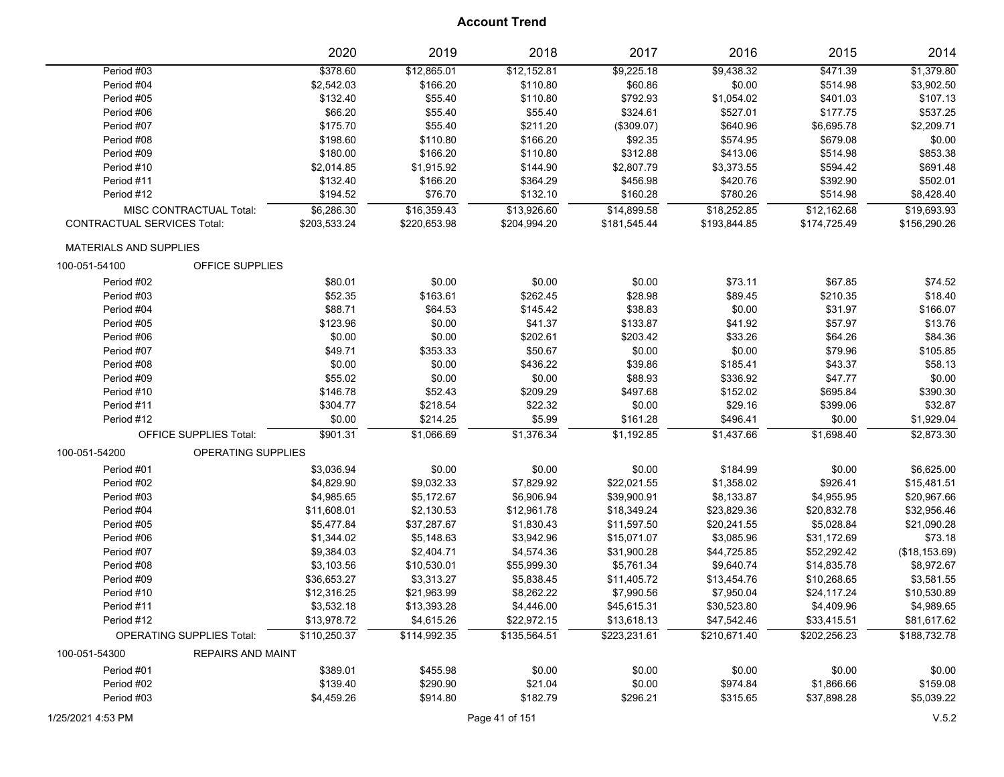|                                    |                                  | 2020         | 2019         | 2018         | 2017         | 2016         | 2015         | 2014           |
|------------------------------------|----------------------------------|--------------|--------------|--------------|--------------|--------------|--------------|----------------|
| Period #03                         |                                  | \$378.60     | \$12,865.01  | \$12,152.81  | \$9,225.18   | \$9,438.32   | \$471.39     | \$1,379.80     |
| Period #04                         |                                  | \$2,542.03   | \$166.20     | \$110.80     | \$60.86      | \$0.00       | \$514.98     | \$3,902.50     |
| Period #05                         |                                  | \$132.40     | \$55.40      | \$110.80     | \$792.93     | \$1,054.02   | \$401.03     | \$107.13       |
| Period #06                         |                                  | \$66.20      | \$55.40      | \$55.40      | \$324.61     | \$527.01     | \$177.75     | \$537.25       |
| Period #07                         |                                  | \$175.70     | \$55.40      | \$211.20     | (\$309.07)   | \$640.96     | \$6,695.78   | \$2,209.71     |
| Period #08                         |                                  | \$198.60     | \$110.80     | \$166.20     | \$92.35      | \$574.95     | \$679.08     | \$0.00         |
| Period #09                         |                                  | \$180.00     | \$166.20     | \$110.80     | \$312.88     | \$413.06     | \$514.98     | \$853.38       |
| Period #10                         |                                  | \$2,014.85   | \$1,915.92   | \$144.90     | \$2,807.79   | \$3,373.55   | \$594.42     | \$691.48       |
| Period #11                         |                                  | \$132.40     | \$166.20     | \$364.29     | \$456.98     | \$420.76     | \$392.90     | \$502.01       |
| Period #12                         |                                  | \$194.52     | \$76.70      | \$132.10     | \$160.28     | \$780.26     | \$514.98     | \$8,428.40     |
|                                    | MISC CONTRACTUAL Total:          | \$6,286.30   | \$16,359.43  | \$13,926.60  | \$14,899.58  | \$18,252.85  | \$12,162.68  | \$19,693.93    |
| <b>CONTRACTUAL SERVICES Total:</b> |                                  | \$203,533.24 | \$220,653.98 | \$204,994.20 | \$181,545.44 | \$193,844.85 | \$174,725.49 | \$156,290.26   |
| <b>MATERIALS AND SUPPLIES</b>      |                                  |              |              |              |              |              |              |                |
| 100-051-54100                      | OFFICE SUPPLIES                  |              |              |              |              |              |              |                |
| Period #02                         |                                  | \$80.01      | \$0.00       | \$0.00       | \$0.00       | \$73.11      | \$67.85      | \$74.52        |
| Period #03                         |                                  | \$52.35      | \$163.61     | \$262.45     | \$28.98      | \$89.45      | \$210.35     | \$18.40        |
| Period #04                         |                                  | \$88.71      | \$64.53      | \$145.42     | \$38.83      | \$0.00       | \$31.97      | \$166.07       |
| Period #05                         |                                  | \$123.96     | \$0.00       | \$41.37      | \$133.87     | \$41.92      | \$57.97      | \$13.76        |
| Period #06                         |                                  | \$0.00       | \$0.00       | \$202.61     | \$203.42     | \$33.26      | \$64.26      | \$84.36        |
| Period #07                         |                                  | \$49.71      | \$353.33     | \$50.67      | \$0.00       | \$0.00       | \$79.96      | \$105.85       |
| Period #08                         |                                  | \$0.00       | \$0.00       | \$436.22     | \$39.86      | \$185.41     | \$43.37      | \$58.13        |
| Period #09                         |                                  | \$55.02      | \$0.00       | \$0.00       | \$88.93      | \$336.92     | \$47.77      | \$0.00         |
| Period #10                         |                                  | \$146.78     | \$52.43      | \$209.29     | \$497.68     | \$152.02     | \$695.84     | \$390.30       |
| Period #11                         |                                  | \$304.77     | \$218.54     | \$22.32      | \$0.00       | \$29.16      | \$399.06     | \$32.87        |
| Period #12                         |                                  | \$0.00       | \$214.25     | \$5.99       | \$161.28     | \$496.41     | \$0.00       | \$1,929.04     |
|                                    | <b>OFFICE SUPPLIES Total:</b>    | \$901.31     | \$1,066.69   | \$1,376.34   | \$1,192.85   | \$1,437.66   | \$1,698.40   | \$2,873.30     |
| 100-051-54200                      | <b>OPERATING SUPPLIES</b>        |              |              |              |              |              |              |                |
| Period #01                         |                                  | \$3,036.94   | \$0.00       | \$0.00       | \$0.00       | \$184.99     | \$0.00       | \$6,625.00     |
| Period #02                         |                                  | \$4,829.90   | \$9,032.33   | \$7,829.92   | \$22,021.55  | \$1,358.02   | \$926.41     | \$15,481.51    |
| Period #03                         |                                  | \$4,985.65   | \$5,172.67   | \$6,906.94   | \$39,900.91  | \$8,133.87   | \$4,955.95   | \$20,967.66    |
| Period #04                         |                                  | \$11,608.01  | \$2,130.53   | \$12,961.78  | \$18,349.24  | \$23,829.36  | \$20,832.78  | \$32,956.46    |
| Period #05                         |                                  | \$5,477.84   | \$37,287.67  | \$1,830.43   | \$11,597.50  | \$20,241.55  | \$5,028.84   | \$21,090.28    |
| Period #06                         |                                  | \$1,344.02   | \$5,148.63   | \$3,942.96   | \$15,071.07  | \$3,085.96   | \$31,172.69  | \$73.18        |
| Period #07                         |                                  | \$9,384.03   | \$2,404.71   | \$4,574.36   | \$31,900.28  | \$44,725.85  | \$52,292.42  | (\$18, 153.69) |
| Period #08                         |                                  | \$3,103.56   | \$10,530.01  | \$55,999.30  | \$5,761.34   | \$9,640.74   | \$14,835.78  | \$8,972.67     |
| Period #09                         |                                  | \$36,653.27  | \$3,313.27   | \$5,838.45   | \$11,405.72  | \$13,454.76  | \$10,268.65  | \$3,581.55     |
| Period #10                         |                                  | \$12,316.25  | \$21,963.99  | \$8,262.22   | \$7,990.56   | \$7,950.04   | \$24,117.24  | \$10,530.89    |
| Period #11                         |                                  | \$3,532.18   | \$13,393.28  | \$4,446.00   | \$45,615.31  | \$30,523.80  | \$4,409.96   | \$4,989.65     |
| Period #12                         |                                  | \$13,978.72  | \$4,615.26   | \$22,972.15  | \$13,618.13  | \$47,542.46  | \$33,415.51  | \$81,617.62    |
|                                    | <b>OPERATING SUPPLIES Total:</b> | \$110,250.37 | \$114,992.35 | \$135,564.51 | \$223,231.61 | \$210,671.40 | \$202,256.23 | \$188,732.78   |
| 100-051-54300                      | <b>REPAIRS AND MAINT</b>         |              |              |              |              |              |              |                |
| Period #01                         |                                  | \$389.01     | \$455.98     | \$0.00       | \$0.00       | \$0.00       | \$0.00       | \$0.00         |
| Period #02                         |                                  | \$139.40     | \$290.90     | \$21.04      | \$0.00       | \$974.84     | \$1,866.66   | \$159.08       |
| Period #03                         |                                  | \$4,459.26   | \$914.80     | \$182.79     | \$296.21     | \$315.65     | \$37,898.28  | \$5,039.22     |
|                                    |                                  |              |              |              |              |              |              |                |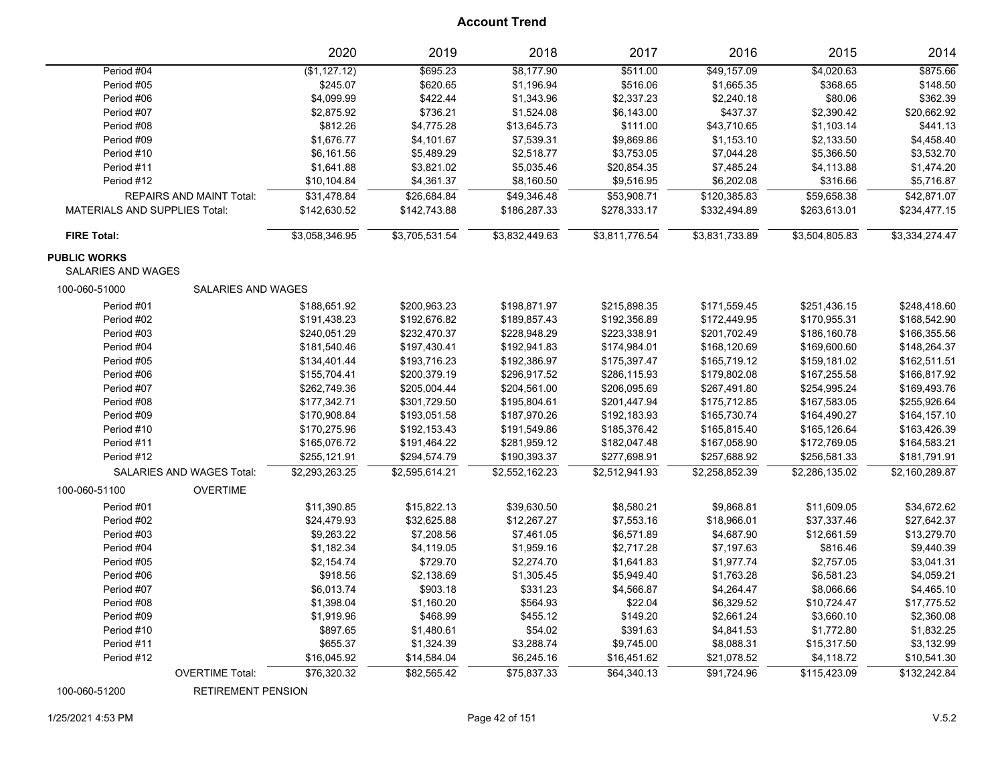|                                                  |                                 | 2020           | 2019           | 2018           | 2017           | 2016           | 2015           | 2014           |
|--------------------------------------------------|---------------------------------|----------------|----------------|----------------|----------------|----------------|----------------|----------------|
| Period #04                                       |                                 | (\$1,127.12)   | \$695.23       | \$8,177.90     | \$511.00       | \$49,157.09    | \$4,020.63     | \$875.66       |
| Period #05                                       |                                 | \$245.07       | \$620.65       | \$1,196.94     | \$516.06       | \$1,665.35     | \$368.65       | \$148.50       |
| Period #06                                       |                                 | \$4,099.99     | \$422.44       | \$1,343.96     | \$2,337.23     | \$2,240.18     | \$80.06        | \$362.39       |
| Period #07                                       |                                 | \$2,875.92     | \$736.21       | \$1,524.08     | \$6,143.00     | \$437.37       | \$2,390.42     | \$20,662.92    |
| Period #08                                       |                                 | \$812.26       | \$4,775.28     | \$13,645.73    | \$111.00       | \$43,710.65    | \$1,103.14     | \$441.13       |
| Period #09                                       |                                 | \$1,676.77     | \$4,101.67     | \$7,539.31     | \$9,869.86     | \$1,153.10     | \$2,133.50     | \$4,458.40     |
| Period #10                                       |                                 | \$6,161.56     | \$5,489.29     | \$2,518.77     | \$3,753.05     | \$7,044.28     | \$5,366.50     | \$3,532.70     |
| Period #11                                       |                                 | \$1,641.88     | \$3,821.02     | \$5,035.46     | \$20,854.35    | \$7,485.24     | \$4,113.88     | \$1,474.20     |
| Period #12                                       |                                 | \$10,104.84    | \$4,361.37     | \$8,160.50     | \$9,516.95     | \$6,202.08     | \$316.66       | \$5,716.87     |
|                                                  | <b>REPAIRS AND MAINT Total:</b> | \$31,478.84    | \$26,684.84    | \$49,346.48    | \$53,908.71    | \$120,385.83   | \$59,658.38    | \$42,871.07    |
| <b>MATERIALS AND SUPPLIES Total:</b>             |                                 | \$142,630.52   | \$142,743.88   | \$186,287.33   | \$278,333.17   | \$332,494.89   | \$263,613.01   | \$234,477.15   |
| <b>FIRE Total:</b>                               |                                 | \$3,058,346.95 | \$3,705,531.54 | \$3,832,449.63 | \$3,811,776.54 | \$3,831,733.89 | \$3,504,805.83 | \$3,334,274.47 |
| <b>PUBLIC WORKS</b><br><b>SALARIES AND WAGES</b> |                                 |                |                |                |                |                |                |                |
| 100-060-51000                                    | SALARIES AND WAGES              |                |                |                |                |                |                |                |
| Period #01                                       |                                 | \$188,651.92   | \$200,963.23   | \$198,871.97   | \$215,898.35   | \$171,559.45   | \$251,436.15   | \$248,418.60   |
| Period #02                                       |                                 | \$191,438.23   | \$192,676.82   | \$189,857.43   | \$192,356.89   | \$172,449.95   | \$170,955.31   | \$168,542.90   |
| Period #03                                       |                                 | \$240,051.29   | \$232,470.37   | \$228,948.29   | \$223,338.91   | \$201,702.49   | \$186,160.78   | \$166,355.56   |
| Period #04                                       |                                 | \$181,540.46   | \$197,430.41   | \$192,941.83   | \$174,984.01   | \$168,120.69   | \$169,600.60   | \$148,264.37   |
| Period #05                                       |                                 | \$134,401.44   | \$193,716.23   | \$192,386.97   | \$175,397.47   | \$165,719.12   | \$159,181.02   | \$162,511.51   |
| Period #06                                       |                                 | \$155,704.41   | \$200,379.19   | \$296,917.52   | \$286,115.93   | \$179,802.08   | \$167,255.58   | \$166,817.92   |
| Period #07                                       |                                 | \$262,749.36   | \$205,004.44   | \$204,561.00   | \$206,095.69   | \$267,491.80   | \$254,995.24   | \$169,493.76   |
| Period #08                                       |                                 | \$177,342.71   | \$301,729.50   | \$195,804.61   | \$201,447.94   | \$175,712.85   | \$167,583.05   | \$255,926.64   |
| Period #09                                       |                                 | \$170,908.84   | \$193,051.58   | \$187,970.26   | \$192,183.93   | \$165,730.74   | \$164,490.27   | \$164,157.10   |
| Period #10                                       |                                 | \$170,275.96   | \$192,153.43   | \$191,549.86   | \$185,376.42   | \$165,815.40   | \$165,126.64   | \$163,426.39   |
| Period #11                                       |                                 | \$165,076.72   | \$191,464.22   | \$281,959.12   | \$182,047.48   | \$167,058.90   | \$172,769.05   | \$164,583.21   |
| Period #12                                       |                                 | \$255,121.91   | \$294,574.79   | \$190,393.37   | \$277,698.91   | \$257,688.92   | \$256,581.33   | \$181,791.91   |
|                                                  | SALARIES AND WAGES Total:       | \$2,293,263.25 | \$2,595,614.21 | \$2,552,162.23 | \$2,512,941.93 | \$2,258,852.39 | \$2,286,135.02 | \$2,160,289.87 |
| 100-060-51100                                    | <b>OVERTIME</b>                 |                |                |                |                |                |                |                |
| Period #01                                       |                                 | \$11,390.85    | \$15,822.13    | \$39,630.50    | \$8,580.21     | \$9,868.81     | \$11,609.05    | \$34,672.62    |
| Period #02                                       |                                 | \$24,479.93    | \$32,625.88    | \$12,267.27    | \$7,553.16     | \$18,966.01    | \$37,337.46    | \$27,642.37    |
| Period #03                                       |                                 | \$9,263.22     | \$7,208.56     | \$7,461.05     | \$6,571.89     | \$4,687.90     | \$12,661.59    | \$13,279.70    |
| Period #04                                       |                                 | \$1,182.34     | \$4,119.05     | \$1,959.16     | \$2,717.28     | \$7,197.63     | \$816.46       | \$9,440.39     |
| Period #05                                       |                                 | \$2,154.74     | \$729.70       | \$2,274.70     | \$1,641.83     | \$1,977.74     | \$2,757.05     | \$3,041.31     |
| Period #06                                       |                                 | \$918.56       | \$2,138.69     | \$1,305.45     | \$5,949.40     | \$1,763.28     | \$6,581.23     | \$4,059.21     |
| Period #07                                       |                                 | \$6,013.74     | \$903.18       | \$331.23       | \$4,566.87     | \$4,264.47     | \$8,066.66     | \$4,465.10     |
| Period #08                                       |                                 | \$1,398.04     | \$1,160.20     | \$564.93       | \$22.04        | \$6,329.52     | \$10,724.47    | \$17,775.52    |
| Period #09                                       |                                 | \$1,919.96     | \$468.99       | \$455.12       | \$149.20       | \$2,661.24     | \$3,660.10     | \$2,360.08     |
| Period #10                                       |                                 | \$897.65       | \$1,480.61     | \$54.02        | \$391.63       | \$4,841.53     | \$1,772.80     | \$1,832.25     |
| Period #11                                       |                                 | \$655.37       | \$1,324.39     | \$3,288.74     | \$9,745.00     | \$8,088.31     | \$15,317.50    | \$3,132.99     |
| Period #12                                       |                                 | \$16,045.92    | \$14,584.04    | \$6,245.16     | \$16,451.62    | \$21,078.52    | \$4,118.72     | \$10,541.30    |
|                                                  | <b>OVERTIME Total:</b>          | \$76,320.32    | \$82.565.42    | \$75,837.33    | \$64,340.13    | \$91,724.96    | \$115,423.09   | \$132,242.84   |

100-060-51200 RETIREMENT PENSION

#### 1/25/2021 4:53 PM Page 42 of 151 V.5.2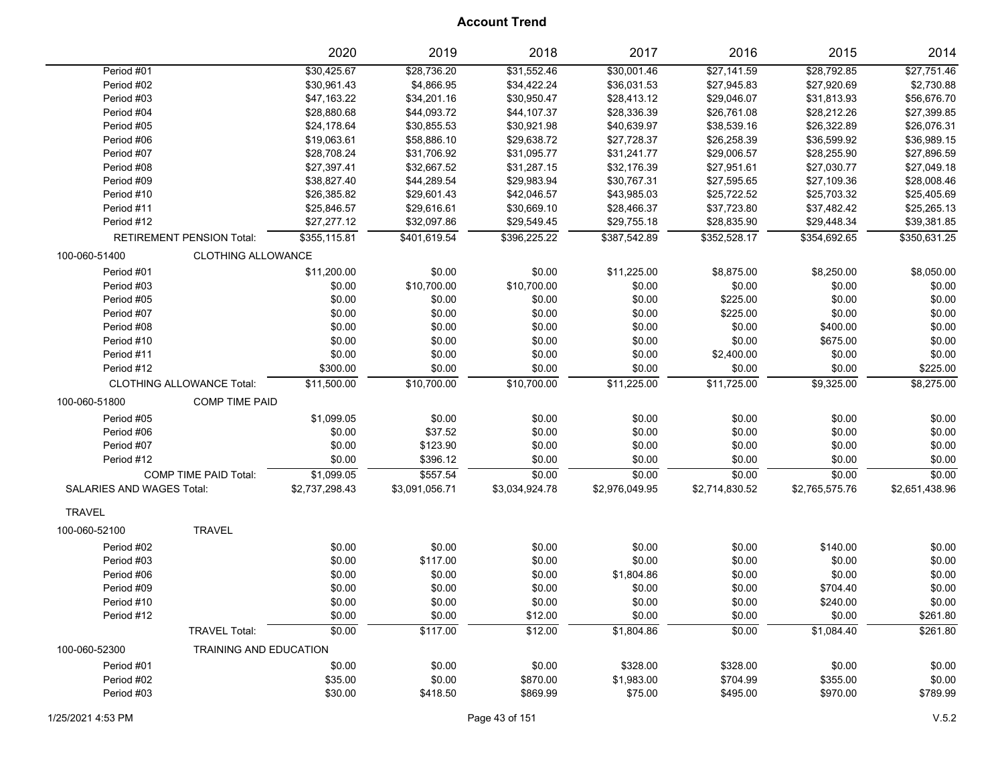|                                  |                                  | 2020           | 2019           | 2018           | 2017           | 2016           | 2015           | 2014           |
|----------------------------------|----------------------------------|----------------|----------------|----------------|----------------|----------------|----------------|----------------|
| Period #01                       |                                  | \$30,425.67    | \$28,736.20    | \$31,552.46    | \$30,001.46    | \$27,141.59    | \$28,792.85    | \$27,751.46    |
| Period #02                       |                                  | \$30,961.43    | \$4,866.95     | \$34,422.24    | \$36,031.53    | \$27,945.83    | \$27,920.69    | \$2,730.88     |
| Period #03                       |                                  | \$47,163.22    | \$34,201.16    | \$30,950.47    | \$28,413.12    | \$29,046.07    | \$31,813.93    | \$56,676.70    |
| Period #04                       |                                  | \$28,880.68    | \$44,093.72    | \$44,107.37    | \$28,336.39    | \$26,761.08    | \$28,212.26    | \$27,399.85    |
| Period #05                       |                                  | \$24,178.64    | \$30,855.53    | \$30,921.98    | \$40,639.97    | \$38,539.16    | \$26,322.89    | \$26,076.31    |
| Period #06                       |                                  | \$19,063.61    | \$58,886.10    | \$29,638.72    | \$27,728.37    | \$26,258.39    | \$36,599.92    | \$36,989.15    |
| Period #07                       |                                  | \$28,708.24    | \$31,706.92    | \$31,095.77    | \$31,241.77    | \$29,006.57    | \$28,255.90    | \$27,896.59    |
| Period #08                       |                                  | \$27,397.41    | \$32,667.52    | \$31,287.15    | \$32,176.39    | \$27,951.61    | \$27,030.77    | \$27,049.18    |
| Period #09                       |                                  | \$38,827.40    | \$44,289.54    | \$29,983.94    | \$30,767.31    | \$27,595.65    | \$27,109.36    | \$28,008.46    |
| Period #10                       |                                  | \$26,385.82    | \$29,601.43    | \$42,046.57    | \$43,985.03    | \$25,722.52    | \$25,703.32    | \$25,405.69    |
| Period #11                       |                                  | \$25,846.57    | \$29,616.61    | \$30,669.10    | \$28,466.37    | \$37,723.80    | \$37,482.42    | \$25,265.13    |
| Period #12                       |                                  | \$27,277.12    | \$32,097.86    | \$29,549.45    | \$29,755.18    | \$28,835.90    | \$29,448.34    | \$39,381.85    |
|                                  | RETIREMENT PENSION Total:        | \$355,115.81   | \$401,619.54   | \$396,225.22   | \$387,542.89   | \$352,528.17   | \$354,692.65   | \$350,631.25   |
| 100-060-51400                    | <b>CLOTHING ALLOWANCE</b>        |                |                |                |                |                |                |                |
| Period #01                       |                                  | \$11,200.00    | \$0.00         | \$0.00         | \$11,225.00    | \$8,875.00     | \$8,250.00     | \$8,050.00     |
| Period #03                       |                                  | \$0.00         | \$10,700.00    | \$10,700.00    | \$0.00         | \$0.00         | \$0.00         | \$0.00         |
| Period #05                       |                                  | \$0.00         | \$0.00         | \$0.00         | \$0.00         | \$225.00       | \$0.00         | \$0.00         |
| Period #07                       |                                  | \$0.00         | \$0.00         | \$0.00         | \$0.00         | \$225.00       | \$0.00         | \$0.00         |
| Period #08                       |                                  | \$0.00         | \$0.00         | \$0.00         | \$0.00         | \$0.00         | \$400.00       | \$0.00         |
| Period #10                       |                                  | \$0.00         | \$0.00         | \$0.00         | \$0.00         | \$0.00         | \$675.00       | \$0.00         |
| Period #11                       |                                  | \$0.00         | \$0.00         | \$0.00         | \$0.00         | \$2,400.00     | \$0.00         | \$0.00         |
| Period #12                       |                                  | \$300.00       | \$0.00         | \$0.00         | \$0.00         | \$0.00         | \$0.00         | \$225.00       |
|                                  | <b>CLOTHING ALLOWANCE Total:</b> | \$11,500.00    | \$10,700.00    | \$10,700.00    | \$11,225.00    | \$11,725.00    | \$9,325.00     | \$8,275.00     |
| 100-060-51800                    | <b>COMP TIME PAID</b>            |                |                |                |                |                |                |                |
| Period #05                       |                                  | \$1,099.05     | \$0.00         | \$0.00         | \$0.00         | \$0.00         | \$0.00         | \$0.00         |
| Period #06                       |                                  | \$0.00         | \$37.52        | \$0.00         | \$0.00         | \$0.00         | \$0.00         | \$0.00         |
| Period #07                       |                                  | \$0.00         | \$123.90       | \$0.00         | \$0.00         | \$0.00         | \$0.00         | \$0.00         |
| Period #12                       |                                  | \$0.00         | \$396.12       | \$0.00         | \$0.00         | \$0.00         | \$0.00         | \$0.00         |
|                                  | <b>COMP TIME PAID Total:</b>     | \$1,099.05     | \$557.54       | \$0.00         | \$0.00         | \$0.00         | \$0.00         | \$0.00         |
| <b>SALARIES AND WAGES Total:</b> |                                  | \$2,737,298.43 | \$3,091,056.71 | \$3,034,924.78 | \$2,976,049.95 | \$2,714,830.52 | \$2,765,575.76 | \$2,651,438.96 |
| <b>TRAVEL</b>                    |                                  |                |                |                |                |                |                |                |
| 100-060-52100                    | <b>TRAVEL</b>                    |                |                |                |                |                |                |                |
| Period #02                       |                                  | \$0.00         | \$0.00         | \$0.00         | \$0.00         | \$0.00         | \$140.00       | \$0.00         |
| Period #03                       |                                  | \$0.00         | \$117.00       | \$0.00         | \$0.00         | \$0.00         | \$0.00         | \$0.00         |
| Period #06                       |                                  | \$0.00         | \$0.00         | \$0.00         | \$1,804.86     | \$0.00         | \$0.00         | \$0.00         |
| Period #09                       |                                  | \$0.00         | \$0.00         | \$0.00         | \$0.00         | \$0.00         | \$704.40       | \$0.00         |
| Period #10                       |                                  | \$0.00         | \$0.00         | \$0.00         | \$0.00         | \$0.00         | \$240.00       | \$0.00         |
| Period #12                       |                                  | \$0.00         | \$0.00         | \$12.00        | \$0.00         | \$0.00         | \$0.00         | \$261.80       |
|                                  | <b>TRAVEL Total:</b>             | \$0.00         | \$117.00       | \$12.00        | \$1,804.86     | \$0.00         | \$1,084.40     | \$261.80       |
| 100-060-52300                    | <b>TRAINING AND EDUCATION</b>    |                |                |                |                |                |                |                |
| Period #01                       |                                  | \$0.00         | \$0.00         | \$0.00         | \$328.00       | \$328.00       | \$0.00         | \$0.00         |
| Period #02                       |                                  | \$35.00        | \$0.00         | \$870.00       | \$1,983.00     | \$704.99       | \$355.00       | \$0.00         |
| Period #03                       |                                  | \$30.00        | \$418.50       | \$869.99       | \$75.00        | \$495.00       | \$970.00       | \$789.99       |
|                                  |                                  |                |                |                |                |                |                |                |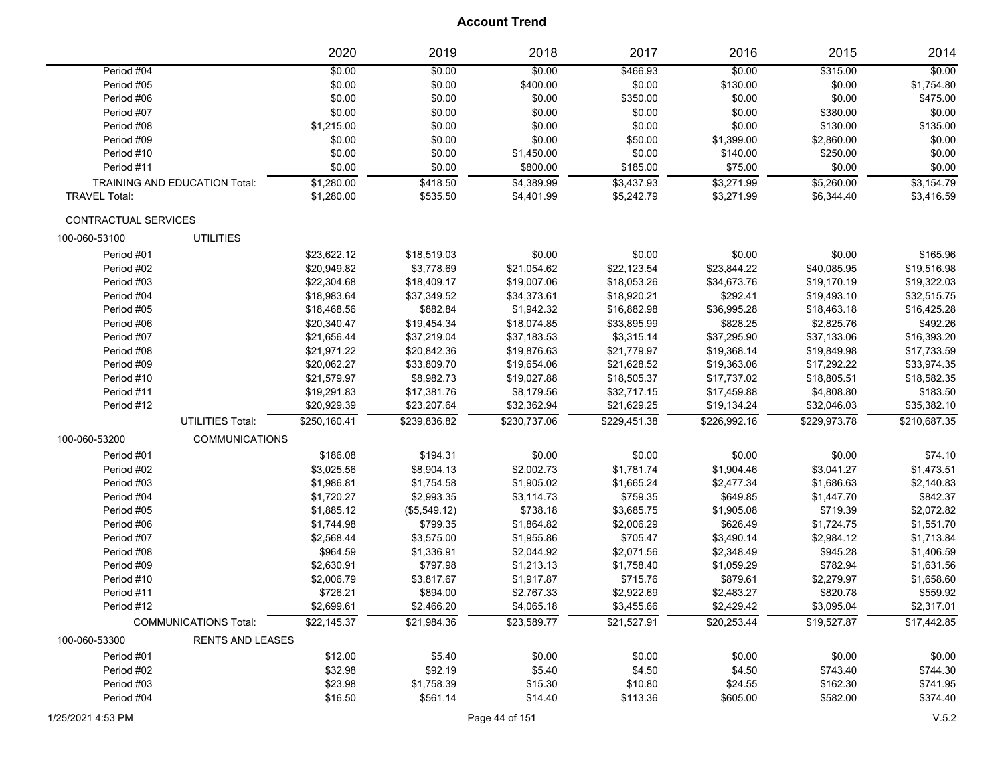|                      |                               | 2020         | 2019         | 2018         | 2017         | 2016         | 2015         | 2014         |
|----------------------|-------------------------------|--------------|--------------|--------------|--------------|--------------|--------------|--------------|
| Period #04           |                               | \$0.00       | \$0.00       | \$0.00       | \$466.93     | \$0.00       | \$315.00     | \$0.00       |
| Period #05           |                               | \$0.00       | \$0.00       | \$400.00     | \$0.00       | \$130.00     | \$0.00       | \$1,754.80   |
| Period #06           |                               | \$0.00       | \$0.00       | \$0.00       | \$350.00     | \$0.00       | \$0.00       | \$475.00     |
| Period #07           |                               | \$0.00       | \$0.00       | \$0.00       | \$0.00       | \$0.00       | \$380.00     | \$0.00       |
| Period #08           |                               | \$1,215.00   | \$0.00       | \$0.00       | \$0.00       | \$0.00       | \$130.00     | \$135.00     |
| Period #09           |                               | \$0.00       | \$0.00       | \$0.00       | \$50.00      | \$1,399.00   | \$2,860.00   | \$0.00       |
| Period #10           |                               | \$0.00       | \$0.00       | \$1,450.00   | \$0.00       | \$140.00     | \$250.00     | \$0.00       |
| Period #11           |                               | \$0.00       | \$0.00       | \$800.00     | \$185.00     | \$75.00      | \$0.00       | \$0.00       |
|                      | TRAINING AND EDUCATION Total: | \$1,280.00   | \$418.50     | \$4,389.99   | \$3,437.93   | \$3,271.99   | \$5,260.00   | \$3,154.79   |
| <b>TRAVEL Total:</b> |                               | \$1,280.00   | \$535.50     | \$4,401.99   | \$5,242.79   | \$3,271.99   | \$6,344.40   | \$3,416.59   |
| CONTRACTUAL SERVICES |                               |              |              |              |              |              |              |              |
| 100-060-53100        | <b>UTILITIES</b>              |              |              |              |              |              |              |              |
| Period #01           |                               | \$23,622.12  | \$18,519.03  | \$0.00       | \$0.00       | \$0.00       | \$0.00       | \$165.96     |
| Period #02           |                               | \$20,949.82  | \$3,778.69   | \$21,054.62  | \$22,123.54  | \$23,844.22  | \$40,085.95  | \$19,516.98  |
| Period #03           |                               | \$22,304.68  | \$18,409.17  | \$19,007.06  | \$18,053.26  | \$34,673.76  | \$19,170.19  | \$19,322.03  |
| Period #04           |                               | \$18,983.64  | \$37,349.52  | \$34,373.61  | \$18,920.21  | \$292.41     | \$19,493.10  | \$32,515.75  |
| Period #05           |                               | \$18,468.56  | \$882.84     | \$1,942.32   | \$16,882.98  | \$36,995.28  | \$18,463.18  | \$16,425.28  |
| Period #06           |                               | \$20,340.47  | \$19,454.34  | \$18,074.85  | \$33,895.99  | \$828.25     | \$2,825.76   | \$492.26     |
| Period #07           |                               | \$21,656.44  | \$37,219.04  | \$37,183.53  | \$3,315.14   | \$37,295.90  | \$37,133.06  | \$16,393.20  |
| Period #08           |                               | \$21,971.22  | \$20,842.36  | \$19,876.63  | \$21,779.97  | \$19,368.14  | \$19,849.98  | \$17,733.59  |
| Period #09           |                               | \$20,062.27  | \$33,809.70  | \$19,654.06  | \$21,628.52  | \$19,363.06  | \$17,292.22  | \$33,974.35  |
| Period #10           |                               | \$21,579.97  | \$8,982.73   | \$19,027.88  | \$18,505.37  | \$17,737.02  | \$18,805.51  | \$18,582.35  |
| Period #11           |                               | \$19,291.83  | \$17,381.76  | \$8,179.56   | \$32,717.15  | \$17,459.88  | \$4,808.80   | \$183.50     |
| Period #12           |                               | \$20,929.39  | \$23,207.64  | \$32,362.94  | \$21,629.25  | \$19,134.24  | \$32,046.03  | \$35,382.10  |
|                      | <b>UTILITIES Total:</b>       | \$250,160.41 | \$239,836.82 | \$230,737.06 | \$229,451.38 | \$226,992.16 | \$229,973.78 | \$210,687.35 |
| 100-060-53200        | <b>COMMUNICATIONS</b>         |              |              |              |              |              |              |              |
| Period #01           |                               | \$186.08     | \$194.31     | \$0.00       | \$0.00       | \$0.00       | \$0.00       | \$74.10      |
| Period #02           |                               | \$3,025.56   | \$8,904.13   | \$2,002.73   | \$1,781.74   | \$1,904.46   | \$3,041.27   | \$1,473.51   |
| Period #03           |                               | \$1,986.81   | \$1,754.58   | \$1,905.02   | \$1,665.24   | \$2,477.34   | \$1,686.63   | \$2,140.83   |
| Period #04           |                               | \$1,720.27   | \$2,993.35   | \$3,114.73   | \$759.35     | \$649.85     | \$1,447.70   | \$842.37     |
| Period #05           |                               | \$1,885.12   | (\$5,549.12) | \$738.18     | \$3,685.75   | \$1,905.08   | \$719.39     | \$2,072.82   |
| Period #06           |                               | \$1,744.98   | \$799.35     | \$1,864.82   | \$2,006.29   | \$626.49     | \$1,724.75   | \$1,551.70   |
| Period #07           |                               | \$2,568.44   | \$3,575.00   | \$1,955.86   | \$705.47     | \$3,490.14   | \$2,984.12   | \$1,713.84   |
| Period #08           |                               | \$964.59     | \$1,336.91   | \$2,044.92   | \$2,071.56   | \$2,348.49   | \$945.28     | \$1,406.59   |
| Period #09           |                               | \$2,630.91   | \$797.98     | \$1,213.13   | \$1,758.40   | \$1,059.29   | \$782.94     | \$1,631.56   |
| Period #10           |                               | \$2,006.79   | \$3,817.67   | \$1,917.87   | \$715.76     | \$879.61     | \$2,279.97   | \$1,658.60   |
| Period #11           |                               | \$726.21     | \$894.00     | \$2,767.33   | \$2,922.69   | \$2,483.27   | \$820.78     | \$559.92     |
| Period #12           |                               | \$2,699.61   | \$2,466.20   | \$4,065.18   | \$3,455.66   | \$2,429.42   | \$3,095.04   | \$2,317.01   |
|                      | <b>COMMUNICATIONS Total:</b>  | \$22,145.37  | \$21,984.36  | \$23,589.77  | \$21,527.91  | \$20,253.44  | \$19,527.87  | \$17,442.85  |
| 100-060-53300        | <b>RENTS AND LEASES</b>       |              |              |              |              |              |              |              |
| Period #01           |                               | \$12.00      | \$5.40       | \$0.00       | \$0.00       | \$0.00       | \$0.00       | \$0.00       |
| Period #02           |                               | \$32.98      | \$92.19      | \$5.40       | \$4.50       | \$4.50       | \$743.40     | \$744.30     |
| Period #03           |                               | \$23.98      | \$1,758.39   | \$15.30      | \$10.80      | \$24.55      | \$162.30     | \$741.95     |
| Period #04           |                               | \$16.50      | \$561.14     | \$14.40      | \$113.36     | \$605.00     | \$582.00     | \$374.40     |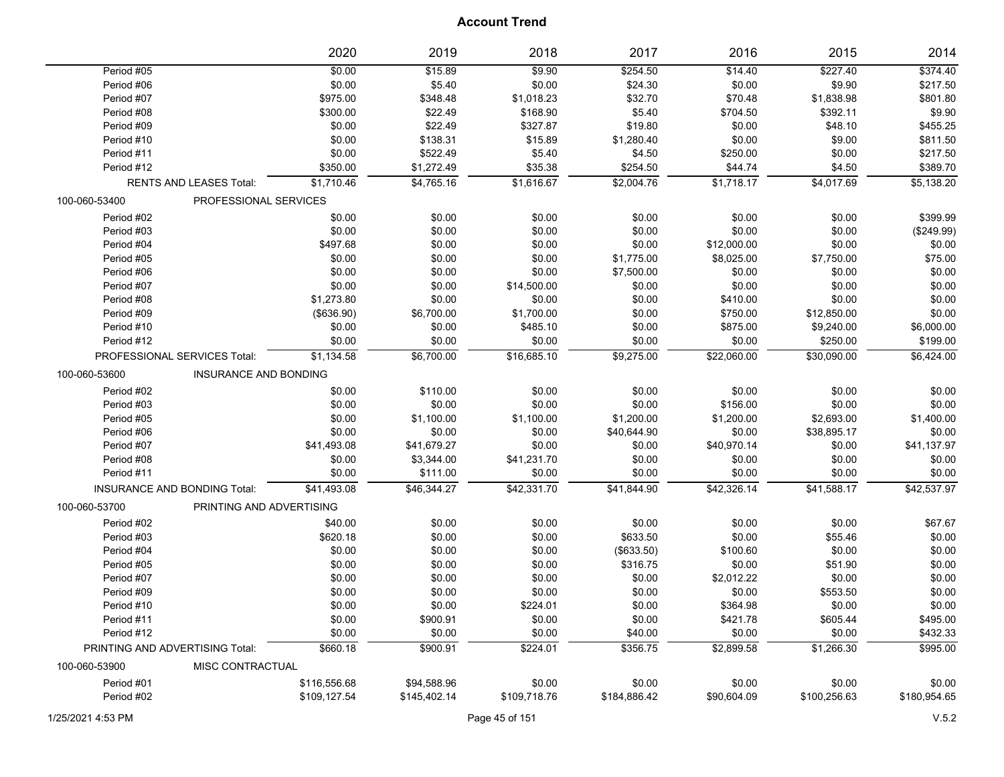|               |                                     | 2020         | 2019         | 2018         | 2017         | 2016        | 2015         | 2014         |
|---------------|-------------------------------------|--------------|--------------|--------------|--------------|-------------|--------------|--------------|
| Period #05    |                                     | \$0.00       | \$15.89      | \$9.90       | \$254.50     | \$14.40     | \$227.40     | \$374.40     |
| Period #06    |                                     | \$0.00       | \$5.40       | \$0.00       | \$24.30      | \$0.00      | \$9.90       | \$217.50     |
| Period #07    |                                     | \$975.00     | \$348.48     | \$1,018.23   | \$32.70      | \$70.48     | \$1,838.98   | \$801.80     |
| Period #08    |                                     | \$300.00     | \$22.49      | \$168.90     | \$5.40       | \$704.50    | \$392.11     | \$9.90       |
| Period #09    |                                     | \$0.00       | \$22.49      | \$327.87     | \$19.80      | \$0.00      | \$48.10      | \$455.25     |
| Period #10    |                                     | \$0.00       | \$138.31     | \$15.89      | \$1,280.40   | \$0.00      | \$9.00       | \$811.50     |
| Period #11    |                                     | \$0.00       | \$522.49     | \$5.40       | \$4.50       | \$250.00    | \$0.00       | \$217.50     |
| Period #12    |                                     | \$350.00     | \$1,272.49   | \$35.38      | \$254.50     | \$44.74     | \$4.50       | \$389.70     |
|               | <b>RENTS AND LEASES Total:</b>      | \$1,710.46   | \$4,765.16   | \$1,616.67   | \$2,004.76   | \$1,718.17  | \$4,017.69   | \$5,138.20   |
| 100-060-53400 | PROFESSIONAL SERVICES               |              |              |              |              |             |              |              |
| Period #02    |                                     | \$0.00       | \$0.00       | \$0.00       | \$0.00       | \$0.00      | \$0.00       | \$399.99     |
| Period #03    |                                     | \$0.00       | \$0.00       | \$0.00       | \$0.00       | \$0.00      | \$0.00       | (\$249.99)   |
| Period #04    |                                     | \$497.68     | \$0.00       | \$0.00       | \$0.00       | \$12,000.00 | \$0.00       | \$0.00       |
| Period #05    |                                     | \$0.00       | \$0.00       | \$0.00       | \$1,775.00   | \$8,025.00  | \$7,750.00   | \$75.00      |
| Period #06    |                                     | \$0.00       | \$0.00       | \$0.00       | \$7,500.00   | \$0.00      | \$0.00       | \$0.00       |
| Period #07    |                                     | \$0.00       | \$0.00       | \$14,500.00  | \$0.00       | \$0.00      | \$0.00       | \$0.00       |
| Period #08    |                                     | \$1,273.80   | \$0.00       | \$0.00       | \$0.00       | \$410.00    | \$0.00       | \$0.00       |
| Period #09    |                                     | (\$636.90)   | \$6,700.00   | \$1,700.00   | \$0.00       | \$750.00    | \$12,850.00  | \$0.00       |
| Period #10    |                                     | \$0.00       | \$0.00       | \$485.10     | \$0.00       | \$875.00    | \$9,240.00   | \$6,000.00   |
| Period #12    |                                     | \$0.00       | \$0.00       | \$0.00       | \$0.00       | \$0.00      | \$250.00     | \$199.00     |
|               | PROFESSIONAL SERVICES Total:        | \$1,134.58   | \$6,700.00   | \$16,685.10  | \$9,275.00   | \$22,060.00 | \$30,090.00  | \$6,424.00   |
| 100-060-53600 | <b>INSURANCE AND BONDING</b>        |              |              |              |              |             |              |              |
| Period #02    |                                     | \$0.00       | \$110.00     | \$0.00       | \$0.00       | \$0.00      | \$0.00       | \$0.00       |
| Period #03    |                                     | \$0.00       | \$0.00       | \$0.00       | \$0.00       | \$156.00    | \$0.00       | \$0.00       |
| Period #05    |                                     | \$0.00       | \$1,100.00   | \$1,100.00   | \$1,200.00   | \$1,200.00  | \$2,693.00   | \$1,400.00   |
| Period #06    |                                     | \$0.00       | \$0.00       | \$0.00       | \$40,644.90  | \$0.00      | \$38,895.17  | \$0.00       |
| Period #07    |                                     | \$41,493.08  | \$41,679.27  | \$0.00       | \$0.00       | \$40,970.14 | \$0.00       | \$41,137.97  |
| Period #08    |                                     | \$0.00       | \$3,344.00   | \$41,231.70  | \$0.00       | \$0.00      | \$0.00       | \$0.00       |
| Period #11    |                                     | \$0.00       | \$111.00     | \$0.00       | \$0.00       | \$0.00      | \$0.00       | \$0.00       |
|               | <b>INSURANCE AND BONDING Total:</b> | \$41,493.08  | \$46,344.27  | \$42,331.70  | \$41,844.90  | \$42,326.14 | \$41,588.17  | \$42,537.97  |
| 100-060-53700 | PRINTING AND ADVERTISING            |              |              |              |              |             |              |              |
| Period #02    |                                     | \$40.00      | \$0.00       | \$0.00       | \$0.00       | \$0.00      | \$0.00       | \$67.67      |
| Period #03    |                                     | \$620.18     | \$0.00       | \$0.00       | \$633.50     | \$0.00      | \$55.46      | \$0.00       |
| Period #04    |                                     | \$0.00       | \$0.00       | \$0.00       | (\$633.50)   | \$100.60    | \$0.00       | \$0.00       |
| Period #05    |                                     | \$0.00       | \$0.00       | \$0.00       | \$316.75     | \$0.00      | \$51.90      | \$0.00       |
| Period #07    |                                     | \$0.00       | \$0.00       | \$0.00       | \$0.00       | \$2,012.22  | \$0.00       | \$0.00       |
| Period #09    |                                     | \$0.00       | \$0.00       | \$0.00       | \$0.00       | \$0.00      | \$553.50     | \$0.00       |
| Period #10    |                                     | \$0.00       | \$0.00       | \$224.01     | \$0.00       | \$364.98    | \$0.00       | \$0.00       |
| Period #11    |                                     | \$0.00       | \$900.91     | \$0.00       | \$0.00       | \$421.78    | \$605.44     | \$495.00     |
| Period #12    |                                     | \$0.00       | \$0.00       | \$0.00       | \$40.00      | \$0.00      | \$0.00       | \$432.33     |
|               | PRINTING AND ADVERTISING Total:     | \$660.18     | \$900.91     | \$224.01     | \$356.75     | \$2,899.58  | \$1,266.30   | \$995.00     |
| 100-060-53900 | MISC CONTRACTUAL                    |              |              |              |              |             |              |              |
| Period #01    |                                     | \$116,556.68 | \$94,588.96  | \$0.00       | \$0.00       | \$0.00      | \$0.00       | \$0.00       |
| Period #02    |                                     | \$109,127.54 | \$145,402.14 | \$109,718.76 | \$184,886.42 | \$90,604.09 | \$100,256.63 | \$180,954.65 |
|               |                                     |              |              |              |              |             |              |              |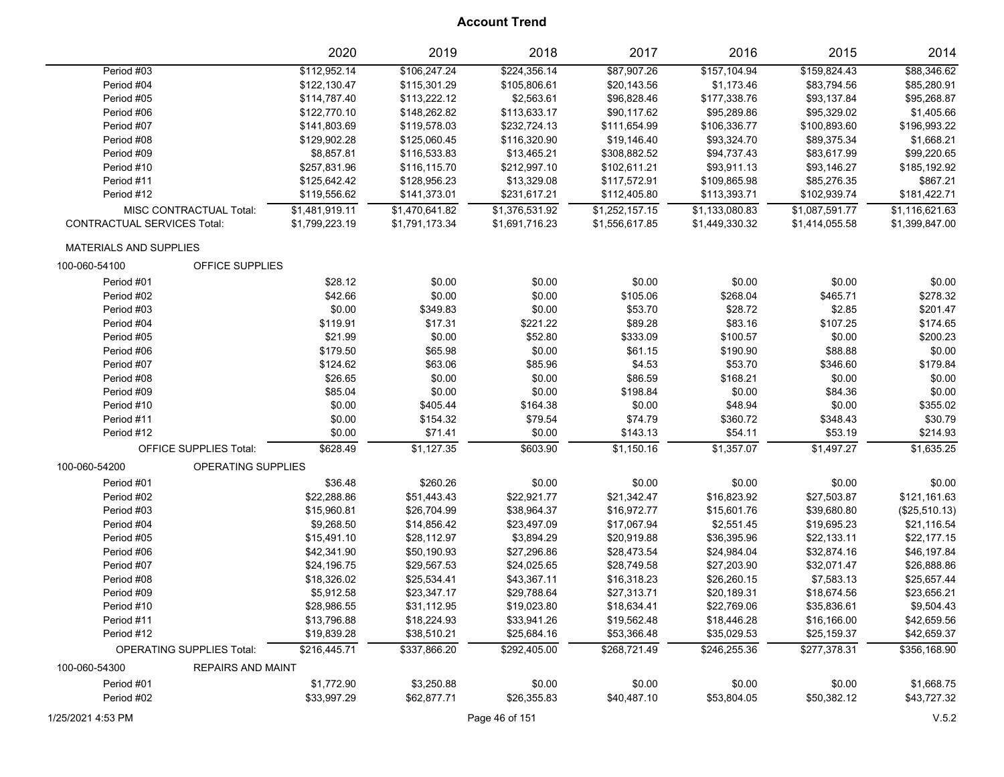|                                    |                                  | 2020           | 2019           | 2018           | 2017           | 2016           | 2015           | 2014           |
|------------------------------------|----------------------------------|----------------|----------------|----------------|----------------|----------------|----------------|----------------|
| Period #03                         |                                  | \$112,952.14   | \$106,247.24   | \$224,356.14   | \$87,907.26    | \$157,104.94   | \$159,824.43   | \$88,346.62    |
| Period #04                         |                                  | \$122,130.47   | \$115,301.29   | \$105,806.61   | \$20,143.56    | \$1,173.46     | \$83,794.56    | \$85,280.91    |
| Period #05                         |                                  | \$114,787.40   | \$113,222.12   | \$2,563.61     | \$96,828.46    | \$177,338.76   | \$93,137.84    | \$95,268.87    |
| Period #06                         |                                  | \$122,770.10   | \$148,262.82   | \$113,633.17   | \$90,117.62    | \$95,289.86    | \$95,329.02    | \$1,405.66     |
| Period #07                         |                                  | \$141,803.69   | \$119,578.03   | \$232,724.13   | \$111,654.99   | \$106,336.77   | \$100,893.60   | \$196,993.22   |
| Period #08                         |                                  | \$129,902.28   | \$125,060.45   | \$116,320.90   | \$19,146.40    | \$93,324.70    | \$89,375.34    | \$1,668.21     |
| Period #09                         |                                  | \$8,857.81     | \$116,533.83   | \$13,465.21    | \$308,882.52   | \$94,737.43    | \$83,617.99    | \$99,220.65    |
| Period #10                         |                                  | \$257,831.96   | \$116,115.70   | \$212,997.10   | \$102,611.21   | \$93,911.13    | \$93,146.27    | \$185,192.92   |
| Period #11                         |                                  | \$125,642.42   | \$128,956.23   | \$13,329.08    | \$117,572.91   | \$109,865.98   | \$85,276.35    | \$867.21       |
| Period #12                         |                                  | \$119,556.62   | \$141,373.01   | \$231,617.21   | \$112,405.80   | \$113,393.71   | \$102,939.74   | \$181,422.71   |
|                                    | MISC CONTRACTUAL Total:          | \$1,481,919.11 | \$1,470,641.82 | \$1,376,531.92 | \$1,252,157.15 | \$1,133,080.83 | \$1,087,591.77 | \$1,116,621.63 |
| <b>CONTRACTUAL SERVICES Total:</b> |                                  | \$1,799,223.19 | \$1,791,173.34 | \$1,691,716.23 | \$1,556,617.85 | \$1,449,330.32 | \$1,414,055.58 | \$1,399,847.00 |
| <b>MATERIALS AND SUPPLIES</b>      |                                  |                |                |                |                |                |                |                |
| 100-060-54100                      | OFFICE SUPPLIES                  |                |                |                |                |                |                |                |
| Period #01                         |                                  | \$28.12        | \$0.00         | \$0.00         | \$0.00         | \$0.00         | \$0.00         | \$0.00         |
| Period #02                         |                                  | \$42.66        | \$0.00         | \$0.00         | \$105.06       | \$268.04       | \$465.71       | \$278.32       |
| Period #03                         |                                  | \$0.00         | \$349.83       | \$0.00         | \$53.70        | \$28.72        | \$2.85         | \$201.47       |
| Period #04                         |                                  | \$119.91       | \$17.31        | \$221.22       | \$89.28        | \$83.16        | \$107.25       | \$174.65       |
| Period #05                         |                                  | \$21.99        | \$0.00         | \$52.80        | \$333.09       | \$100.57       | \$0.00         | \$200.23       |
| Period #06                         |                                  | \$179.50       | \$65.98        | \$0.00         | \$61.15        | \$190.90       | \$88.88        | \$0.00         |
| Period #07                         |                                  | \$124.62       | \$63.06        | \$85.96        | \$4.53         | \$53.70        | \$346.60       | \$179.84       |
| Period #08                         |                                  | \$26.65        | \$0.00         | \$0.00         | \$86.59        | \$168.21       | \$0.00         | \$0.00         |
| Period #09                         |                                  | \$85.04        | \$0.00         | \$0.00         | \$198.84       | \$0.00         | \$84.36        | \$0.00         |
| Period #10                         |                                  | \$0.00         | \$405.44       | \$164.38       | \$0.00         | \$48.94        | \$0.00         | \$355.02       |
| Period #11                         |                                  | \$0.00         | \$154.32       | \$79.54        | \$74.79        | \$360.72       | \$348.43       | \$30.79        |
| Period #12                         |                                  | \$0.00         | \$71.41        | \$0.00         | \$143.13       | \$54.11        | \$53.19        | \$214.93       |
|                                    | <b>OFFICE SUPPLIES Total:</b>    | \$628.49       | \$1,127.35     | \$603.90       | \$1,150.16     | \$1,357.07     | \$1,497.27     | \$1,635.25     |
| 100-060-54200                      | OPERATING SUPPLIES               |                |                |                |                |                |                |                |
| Period #01                         |                                  | \$36.48        | \$260.26       | \$0.00         | \$0.00         | \$0.00         | \$0.00         | \$0.00         |
| Period #02                         |                                  | \$22,288.86    | \$51,443.43    | \$22,921.77    | \$21,342.47    | \$16,823.92    | \$27,503.87    | \$121,161.63   |
| Period #03                         |                                  | \$15,960.81    | \$26,704.99    | \$38,964.37    | \$16,972.77    | \$15,601.76    | \$39,680.80    | (\$25,510.13)  |
| Period #04                         |                                  | \$9,268.50     | \$14,856.42    | \$23,497.09    | \$17,067.94    | \$2,551.45     | \$19,695.23    | \$21,116.54    |
| Period #05                         |                                  | \$15,491.10    | \$28,112.97    | \$3,894.29     | \$20,919.88    | \$36,395.96    | \$22,133.11    | \$22,177.15    |
| Period #06                         |                                  | \$42,341.90    | \$50,190.93    | \$27,296.86    | \$28,473.54    | \$24,984.04    | \$32,874.16    | \$46,197.84    |
| Period #07                         |                                  | \$24,196.75    | \$29,567.53    | \$24,025.65    | \$28,749.58    | \$27,203.90    | \$32,071.47    | \$26,888.86    |
| Period #08                         |                                  | \$18,326.02    | \$25,534.41    | \$43,367.11    | \$16,318.23    | \$26,260.15    | \$7,583.13     | \$25,657.44    |
| Period #09                         |                                  | \$5,912.58     | \$23,347.17    | \$29,788.64    | \$27,313.71    | \$20,189.31    | \$18,674.56    | \$23,656.21    |
| Period #10                         |                                  | \$28,986.55    | \$31,112.95    | \$19,023.80    | \$18,634.41    | \$22,769.06    | \$35,836.61    | \$9,504.43     |
| Period #11                         |                                  | \$13,796.88    | \$18,224.93    | \$33,941.26    | \$19,562.48    | \$18,446.28    | \$16,166.00    | \$42,659.56    |
| Period #12                         |                                  | \$19,839.28    | \$38,510.21    | \$25,684.16    | \$53,366.48    | \$35,029.53    | \$25,159.37    | \$42,659.37    |
|                                    | <b>OPERATING SUPPLIES Total:</b> | \$216,445.71   | \$337,866.20   | \$292,405.00   | \$268,721.49   | \$246,255.36   | \$277,378.31   | \$356,168.90   |
| 100-060-54300                      | <b>REPAIRS AND MAINT</b>         |                |                |                |                |                |                |                |
| Period #01                         |                                  | \$1,772.90     | \$3,250.88     | \$0.00         | \$0.00         | \$0.00         | \$0.00         | \$1,668.75     |
| Period #02                         |                                  | \$33,997.29    | \$62,877.71    | \$26,355.83    | \$40,487.10    | \$53,804.05    | \$50,382.12    | \$43,727.32    |
|                                    |                                  |                |                |                |                |                |                |                |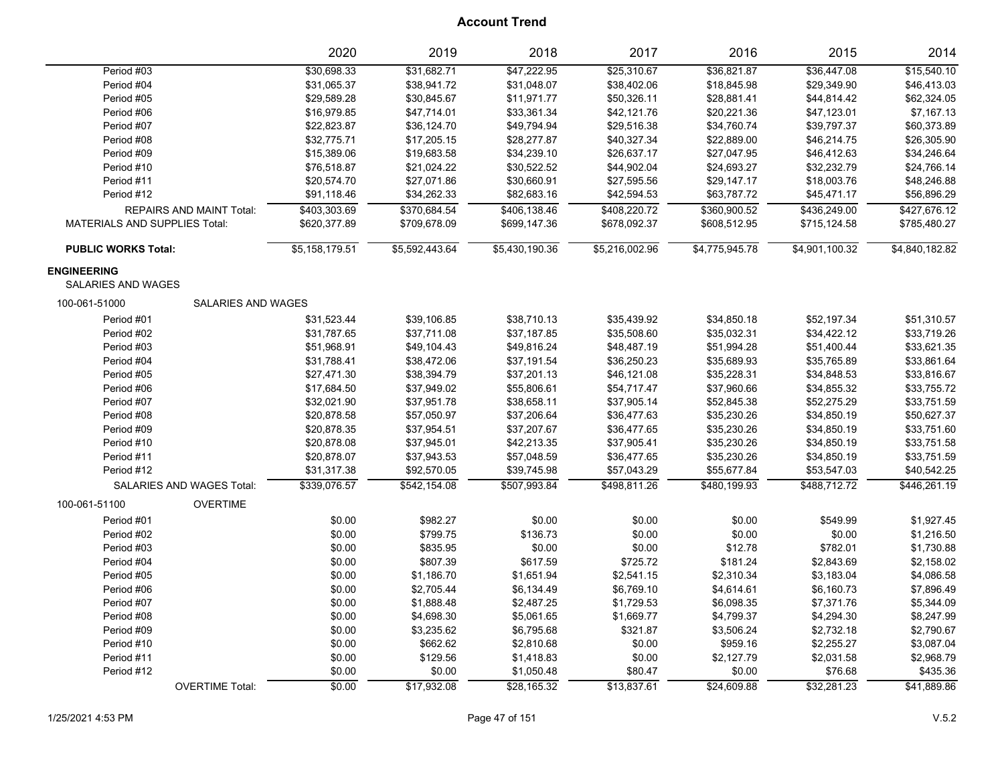|                                                 |                           | 2020           | 2019           | 2018           | 2017           | 2016           | 2015           | 2014           |
|-------------------------------------------------|---------------------------|----------------|----------------|----------------|----------------|----------------|----------------|----------------|
| Period #03                                      |                           | \$30,698.33    | \$31,682.71    | \$47,222.95    | \$25,310.67    | \$36,821.87    | \$36,447.08    | \$15,540.10    |
| Period #04                                      |                           | \$31,065.37    | \$38,941.72    | \$31,048.07    | \$38,402.06    | \$18,845.98    | \$29,349.90    | \$46,413.03    |
| Period #05                                      |                           | \$29,589.28    | \$30,845.67    | \$11,971.77    | \$50,326.11    | \$28,881.41    | \$44,814.42    | \$62,324.05    |
| Period #06                                      |                           | \$16,979.85    | \$47,714.01    | \$33,361.34    | \$42,121.76    | \$20,221.36    | \$47,123.01    | \$7,167.13     |
| Period #07                                      |                           | \$22,823.87    | \$36,124.70    | \$49,794.94    | \$29,516.38    | \$34,760.74    | \$39,797.37    | \$60,373.89    |
| Period #08                                      |                           | \$32,775.71    | \$17,205.15    | \$28,277.87    | \$40,327.34    | \$22,889.00    | \$46,214.75    | \$26,305.90    |
| Period #09                                      |                           | \$15,389.06    | \$19,683.58    | \$34,239.10    | \$26,637.17    | \$27,047.95    | \$46,412.63    | \$34,246.64    |
| Period #10                                      |                           | \$76,518.87    | \$21,024.22    | \$30,522.52    | \$44,902.04    | \$24,693.27    | \$32,232.79    | \$24,766.14    |
| Period #11                                      |                           | \$20,574.70    | \$27,071.86    | \$30,660.91    | \$27,595.56    | \$29,147.17    | \$18,003.76    | \$48,246.88    |
| Period #12                                      |                           | \$91,118.46    | \$34,262.33    | \$82,683.16    | \$42,594.53    | \$63,787.72    | \$45,471.17    | \$56,896.29    |
|                                                 | REPAIRS AND MAINT Total:  | \$403,303.69   | \$370,684.54   | \$406,138.46   | \$408,220.72   | \$360,900.52   | \$436,249.00   | \$427,676.12   |
| <b>MATERIALS AND SUPPLIES Total:</b>            |                           | \$620,377.89   | \$709,678.09   | \$699,147.36   | \$678,092.37   | \$608,512.95   | \$715,124.58   | \$785,480.27   |
| <b>PUBLIC WORKS Total:</b>                      |                           | \$5,158,179.51 | \$5,592,443.64 | \$5,430,190.36 | \$5,216,002.96 | \$4,775,945.78 | \$4,901,100.32 | \$4,840,182.82 |
| <b>ENGINEERING</b><br><b>SALARIES AND WAGES</b> |                           |                |                |                |                |                |                |                |
| 100-061-51000                                   | SALARIES AND WAGES        |                |                |                |                |                |                |                |
| Period #01                                      |                           | \$31,523.44    | \$39,106.85    | \$38,710.13    | \$35,439.92    | \$34,850.18    | \$52,197.34    | \$51,310.57    |
| Period #02                                      |                           | \$31,787.65    | \$37,711.08    | \$37,187.85    | \$35,508.60    | \$35,032.31    | \$34,422.12    | \$33,719.26    |
| Period #03                                      |                           | \$51,968.91    | \$49,104.43    | \$49,816.24    | \$48,487.19    | \$51,994.28    | \$51,400.44    | \$33,621.35    |
| Period #04                                      |                           | \$31,788.41    | \$38,472.06    | \$37,191.54    | \$36,250.23    | \$35,689.93    | \$35,765.89    | \$33,861.64    |
| Period #05                                      |                           | \$27,471.30    | \$38,394.79    | \$37,201.13    | \$46,121.08    | \$35,228.31    | \$34,848.53    | \$33,816.67    |
| Period #06                                      |                           | \$17,684.50    | \$37,949.02    | \$55,806.61    | \$54,717.47    | \$37,960.66    | \$34,855.32    | \$33,755.72    |
| Period #07                                      |                           | \$32,021.90    | \$37,951.78    | \$38,658.11    | \$37,905.14    | \$52,845.38    | \$52,275.29    | \$33,751.59    |
| Period #08                                      |                           | \$20,878.58    | \$57,050.97    | \$37,206.64    | \$36,477.63    | \$35,230.26    | \$34,850.19    | \$50,627.37    |
| Period #09                                      |                           | \$20,878.35    | \$37,954.51    | \$37,207.67    | \$36,477.65    | \$35,230.26    | \$34,850.19    | \$33,751.60    |
| Period #10                                      |                           | \$20,878.08    | \$37,945.01    | \$42,213.35    | \$37,905.41    | \$35,230.26    | \$34,850.19    | \$33,751.58    |
| Period #11                                      |                           | \$20,878.07    | \$37,943.53    | \$57,048.59    | \$36,477.65    | \$35,230.26    | \$34,850.19    | \$33,751.59    |
| Period #12                                      |                           | \$31,317.38    | \$92,570.05    | \$39,745.98    | \$57,043.29    | \$55,677.84    | \$53,547.03    | \$40,542.25    |
|                                                 | SALARIES AND WAGES Total: | \$339.076.57   | \$542.154.08   | \$507.993.84   | \$498.811.26   | \$480.199.93   | \$488.712.72   | \$446,261.19   |
| 100-061-51100                                   | <b>OVERTIME</b>           |                |                |                |                |                |                |                |
| Period #01                                      |                           | \$0.00         | \$982.27       | \$0.00         | \$0.00         | \$0.00         | \$549.99       | \$1,927.45     |
| Period #02                                      |                           | \$0.00         | \$799.75       | \$136.73       | \$0.00         | \$0.00         | \$0.00         | \$1,216.50     |
| Period #03                                      |                           | \$0.00         | \$835.95       | \$0.00         | \$0.00         | \$12.78        | \$782.01       | \$1,730.88     |
| Period #04                                      |                           | \$0.00         | \$807.39       | \$617.59       | \$725.72       | \$181.24       | \$2,843.69     | \$2,158.02     |
| Period #05                                      |                           | \$0.00         | \$1,186.70     | \$1,651.94     | \$2,541.15     | \$2,310.34     | \$3,183.04     | \$4,086.58     |
| Period #06                                      |                           | \$0.00         | \$2,705.44     | \$6,134.49     | \$6,769.10     | \$4,614.61     | \$6,160.73     | \$7,896.49     |
| Period #07                                      |                           | \$0.00         | \$1,888.48     | \$2,487.25     | \$1,729.53     | \$6,098.35     | \$7,371.76     | \$5,344.09     |
| Period #08                                      |                           | \$0.00         | \$4,698.30     | \$5,061.65     | \$1,669.77     | \$4,799.37     | \$4,294.30     | \$8,247.99     |
| Period #09                                      |                           | \$0.00         | \$3,235.62     | \$6,795.68     | \$321.87       | \$3,506.24     | \$2,732.18     | \$2,790.67     |
| Period #10                                      |                           | \$0.00         | \$662.62       | \$2,810.68     | \$0.00         | \$959.16       | \$2,255.27     | \$3,087.04     |
| Period #11                                      |                           | \$0.00         | \$129.56       | \$1,418.83     | \$0.00         | \$2,127.79     | \$2,031.58     | \$2,968.79     |
| Period #12                                      |                           | \$0.00         | \$0.00         | \$1,050.48     | \$80.47        | \$0.00         | \$76.68        | \$435.36       |
|                                                 | <b>OVERTIME Total:</b>    | \$0.00         | \$17,932.08    | \$28,165.32    | \$13,837.61    | \$24,609.88    | \$32,281.23    | \$41,889.86    |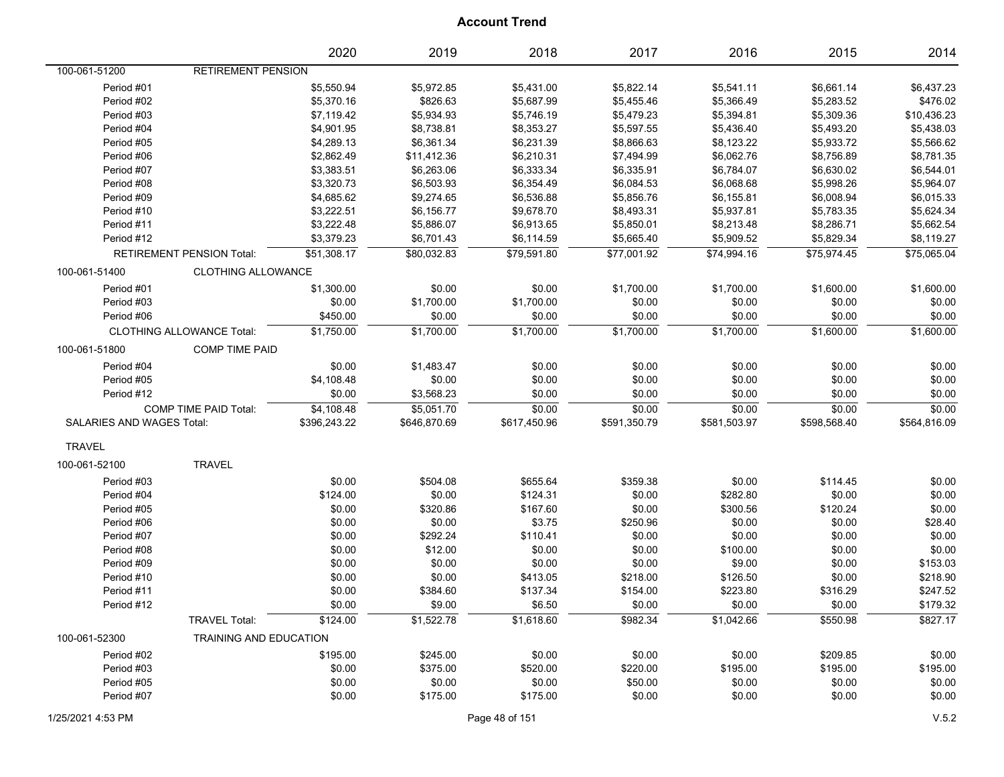| 2020<br>2019<br>2018<br>2017<br>2016                                                                             | 2015         | 2014         |
|------------------------------------------------------------------------------------------------------------------|--------------|--------------|
| RETIREMENT PENSION<br>100-061-51200                                                                              |              |              |
| Period #01<br>\$5,550.94<br>\$5,972.85<br>\$5,431.00<br>\$5,822.14<br>\$5,541.11                                 | \$6,661.14   | \$6,437.23   |
| \$5,370.16<br>\$826.63<br>\$5,687.99<br>\$5,455.46<br>\$5,366.49<br>Period #02                                   | \$5,283.52   | \$476.02     |
| \$5,934.93<br>Period #03<br>\$7,119.42<br>\$5,746.19<br>\$5,479.23<br>\$5,394.81                                 | \$5,309.36   | \$10,436.23  |
| \$4,901.95<br>\$8,738.81<br>\$8,353.27<br>Period #04<br>\$5,597.55<br>\$5,436.40                                 | \$5,493.20   | \$5,438.03   |
| Period #05<br>\$4,289.13<br>\$6,361.34<br>\$6,231.39<br>\$8,866.63<br>\$8,123.22                                 | \$5,933.72   | \$5,566.62   |
| \$2,862.49<br>\$11,412.36<br>\$6,210.31<br>\$7,494.99<br>\$6,062.76<br>Period #06                                | \$8,756.89   | \$8,781.35   |
| Period #07<br>\$3,383.51<br>\$6,263.06<br>\$6,333.34<br>\$6,335.91<br>\$6,784.07                                 | \$6,630.02   | \$6,544.01   |
| \$3,320.73<br>\$6,354.49<br>Period #08<br>\$6,503.93<br>\$6,084.53<br>\$6,068.68                                 | \$5,998.26   | \$5,964.07   |
| \$4,685.62<br>Period #09<br>\$9,274.65<br>\$6,536.88<br>\$5,856.76<br>\$6,155.81                                 | \$6,008.94   | \$6,015.33   |
| \$3,222.51<br>Period #10<br>\$6,156.77<br>\$9,678.70<br>\$8,493.31<br>\$5,937.81                                 | \$5,783.35   | \$5,624.34   |
| \$3,222.48<br>Period #11<br>\$5,886.07<br>\$6,913.65<br>\$5,850.01<br>\$8,213.48                                 | \$8,286.71   | \$5,662.54   |
| \$3,379.23<br>Period #12<br>\$6,701.43<br>\$6,114.59<br>\$5,665.40<br>\$5,909.52                                 | \$5,829.34   | \$8,119.27   |
| \$51,308.17<br>\$80,032.83<br>\$79,591.80<br>\$77,001.92<br>\$74.994.16<br><b>RETIREMENT PENSION Total:</b>      | \$75,974.45  | \$75,065.04  |
| <b>CLOTHING ALLOWANCE</b><br>100-061-51400                                                                       |              |              |
| \$1,300.00<br>\$1,700.00<br>Period #01<br>\$0.00<br>\$0.00<br>\$1,700.00                                         | \$1,600.00   | \$1,600.00   |
| Period #03<br>\$0.00<br>\$1,700.00<br>\$1,700.00<br>\$0.00<br>\$0.00                                             | \$0.00       | \$0.00       |
| \$450.00<br>\$0.00<br>\$0.00<br>Period #06<br>\$0.00<br>\$0.00                                                   | \$0.00       | \$0.00       |
| \$1,700.00<br>\$1,700.00<br><b>CLOTHING ALLOWANCE Total:</b><br>\$1.750.00<br>\$1,700.00<br>\$1,700.00           | \$1,600.00   | \$1,600.00   |
| 100-061-51800<br><b>COMP TIME PAID</b>                                                                           |              |              |
| \$0.00<br>\$0.00<br>\$0.00<br>Period #04<br>\$0.00<br>\$1,483.47                                                 | \$0.00       | \$0.00       |
| \$0.00<br>\$0.00<br>Period #05<br>\$4,108.48<br>\$0.00<br>\$0.00                                                 | \$0.00       | \$0.00       |
| Period #12<br>\$0.00<br>\$0.00<br>\$0.00<br>\$3,568.23<br>\$0.00                                                 | \$0.00       | \$0.00       |
| \$0.00<br>\$0.00<br><b>COMP TIME PAID Total:</b><br>\$4,108.48<br>\$5,051.70<br>\$0.00                           | \$0.00       | \$0.00       |
| <b>SALARIES AND WAGES Total:</b><br>\$617,450.96<br>\$591,350.79<br>\$581,503.97<br>\$396,243.22<br>\$646,870.69 | \$598,568.40 | \$564,816.09 |
| <b>TRAVEL</b>                                                                                                    |              |              |
| <b>TRAVEL</b><br>100-061-52100                                                                                   |              |              |
| \$0.00<br>\$504.08<br>\$655.64<br>\$359.38<br>\$0.00<br>Period #03                                               | \$114.45     | \$0.00       |
| \$0.00<br>\$124.31<br>\$0.00<br>\$282.80<br>Period #04<br>\$124.00                                               | \$0.00       | \$0.00       |
| Period #05<br>\$0.00<br>\$320.86<br>\$167.60<br>\$0.00<br>\$300.56                                               | \$120.24     | \$0.00       |
| \$0.00<br>\$3.75<br>\$250.96<br>Period #06<br>\$0.00<br>\$0.00                                                   | \$0.00       | \$28.40      |
| \$0.00<br>\$292.24<br>\$110.41<br>\$0.00<br>\$0.00<br>Period #07                                                 | \$0.00       | \$0.00       |
| \$0.00<br>\$12.00<br>\$0.00<br>\$100.00<br>Period #08<br>\$0.00                                                  | \$0.00       | \$0.00       |
| Period #09<br>\$0.00<br>\$0.00<br>\$0.00<br>\$0.00<br>\$9.00                                                     | \$0.00       | \$153.03     |
| Period #10<br>\$0.00<br>\$0.00<br>\$413.05<br>\$218.00<br>\$126.50                                               | \$0.00       | \$218.90     |
| \$137.34<br>\$223.80<br>Period #11<br>\$0.00<br>\$384.60<br>\$154.00                                             | \$316.29     | \$247.52     |
| \$0.00<br>\$9.00<br>\$6.50<br>\$0.00<br>\$0.00<br>Period #12                                                     | \$0.00       | \$179.32     |
| \$1,522.78<br>\$982.34<br>\$1,042.66<br>\$124.00<br>\$1,618.60<br><b>TRAVEL Total:</b>                           | \$550.98     | \$827.17     |
|                                                                                                                  |              |              |
| 100-061-52300<br>TRAINING AND EDUCATION                                                                          |              |              |
| Period #02<br>\$195.00<br>\$245.00<br>\$0.00<br>\$0.00<br>\$0.00                                                 | \$209.85     | \$0.00       |
| Period #03<br>\$0.00<br>\$375.00<br>\$520.00<br>\$220.00<br>\$195.00                                             | \$195.00     | \$195.00     |
| Period #05<br>\$0.00<br>\$0.00<br>\$0.00<br>\$50.00<br>\$0.00                                                    | \$0.00       | \$0.00       |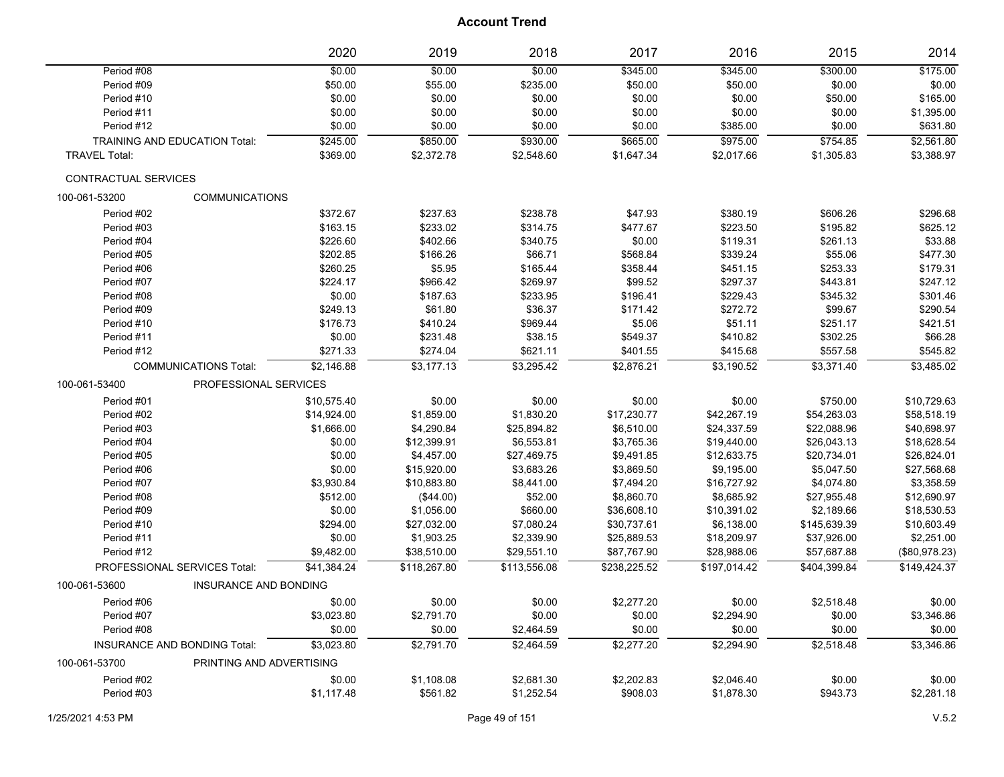|                      |                                     | 2020        | 2019         | 2018         | 2017         | 2016         | 2015         | 2014          |
|----------------------|-------------------------------------|-------------|--------------|--------------|--------------|--------------|--------------|---------------|
| Period #08           |                                     | \$0.00      | \$0.00       | \$0.00       | \$345.00     | \$345.00     | \$300.00     | \$175.00      |
| Period #09           |                                     | \$50.00     | \$55.00      | \$235.00     | \$50.00      | \$50.00      | \$0.00       | \$0.00        |
| Period #10           |                                     | \$0.00      | \$0.00       | \$0.00       | \$0.00       | \$0.00       | \$50.00      | \$165.00      |
| Period #11           |                                     | \$0.00      | \$0.00       | \$0.00       | \$0.00       | \$0.00       | \$0.00       | \$1,395.00    |
| Period #12           |                                     | \$0.00      | \$0.00       | \$0.00       | \$0.00       | \$385.00     | \$0.00       | \$631.80      |
|                      | TRAINING AND EDUCATION Total:       | \$245.00    | \$850.00     | \$930.00     | \$665.00     | \$975.00     | \$754.85     | \$2,561.80    |
| <b>TRAVEL Total:</b> |                                     | \$369.00    | \$2,372.78   | \$2,548.60   | \$1,647.34   | \$2,017.66   | \$1,305.83   | \$3,388.97    |
| CONTRACTUAL SERVICES |                                     |             |              |              |              |              |              |               |
| 100-061-53200        | <b>COMMUNICATIONS</b>               |             |              |              |              |              |              |               |
| Period #02           |                                     | \$372.67    | \$237.63     | \$238.78     | \$47.93      | \$380.19     | \$606.26     | \$296.68      |
| Period #03           |                                     | \$163.15    | \$233.02     | \$314.75     | \$477.67     | \$223.50     | \$195.82     | \$625.12      |
| Period #04           |                                     | \$226.60    | \$402.66     | \$340.75     | \$0.00       | \$119.31     | \$261.13     | \$33.88       |
| Period #05           |                                     | \$202.85    | \$166.26     | \$66.71      | \$568.84     | \$339.24     | \$55.06      | \$477.30      |
| Period #06           |                                     | \$260.25    | \$5.95       | \$165.44     | \$358.44     | \$451.15     | \$253.33     | \$179.31      |
| Period #07           |                                     | \$224.17    | \$966.42     | \$269.97     | \$99.52      | \$297.37     | \$443.81     | \$247.12      |
| Period #08           |                                     | \$0.00      | \$187.63     | \$233.95     | \$196.41     | \$229.43     | \$345.32     | \$301.46      |
| Period #09           |                                     | \$249.13    | \$61.80      | \$36.37      | \$171.42     | \$272.72     | \$99.67      | \$290.54      |
| Period #10           |                                     | \$176.73    | \$410.24     | \$969.44     | \$5.06       | \$51.11      | \$251.17     | \$421.51      |
| Period #11           |                                     | \$0.00      | \$231.48     | \$38.15      | \$549.37     | \$410.82     | \$302.25     | \$66.28       |
| Period #12           |                                     | \$271.33    | \$274.04     | \$621.11     | \$401.55     | \$415.68     | \$557.58     | \$545.82      |
|                      | <b>COMMUNICATIONS Total:</b>        | \$2,146.88  | \$3.177.13   | \$3,295.42   | \$2.876.21   | \$3.190.52   | \$3.371.40   | \$3,485.02    |
| 100-061-53400        | PROFESSIONAL SERVICES               |             |              |              |              |              |              |               |
| Period #01           |                                     | \$10,575.40 | \$0.00       | \$0.00       | \$0.00       | \$0.00       | \$750.00     | \$10,729.63   |
| Period #02           |                                     | \$14,924.00 | \$1,859.00   | \$1,830.20   | \$17,230.77  | \$42,267.19  | \$54,263.03  | \$58,518.19   |
| Period #03           |                                     | \$1,666.00  | \$4,290.84   | \$25,894.82  | \$6,510.00   | \$24,337.59  | \$22,088.96  | \$40,698.97   |
| Period #04           |                                     | \$0.00      | \$12,399.91  | \$6,553.81   | \$3,765.36   | \$19,440.00  | \$26,043.13  | \$18,628.54   |
| Period #05           |                                     | \$0.00      | \$4,457.00   | \$27,469.75  | \$9,491.85   | \$12,633.75  | \$20,734.01  | \$26,824.01   |
| Period #06           |                                     | \$0.00      | \$15,920.00  | \$3,683.26   | \$3,869.50   | \$9,195.00   | \$5,047.50   | \$27,568.68   |
| Period #07           |                                     | \$3,930.84  | \$10,883.80  | \$8,441.00   | \$7,494.20   | \$16,727.92  | \$4,074.80   | \$3,358.59    |
| Period #08           |                                     | \$512.00    | (\$44.00)    | \$52.00      | \$8,860.70   | \$8,685.92   | \$27,955.48  | \$12,690.97   |
| Period #09           |                                     | \$0.00      | \$1,056.00   | \$660.00     | \$36,608.10  | \$10,391.02  | \$2,189.66   | \$18,530.53   |
| Period #10           |                                     | \$294.00    | \$27,032.00  | \$7,080.24   | \$30,737.61  | \$6,138.00   | \$145,639.39 | \$10,603.49   |
| Period #11           |                                     | \$0.00      | \$1,903.25   | \$2,339.90   | \$25,889.53  | \$18,209.97  | \$37,926.00  | \$2,251.00    |
| Period #12           |                                     | \$9,482.00  | \$38,510.00  | \$29,551.10  | \$87,767.90  | \$28,988.06  | \$57,687.88  | (\$80,978.23) |
|                      | PROFESSIONAL SERVICES Total:        | \$41,384.24 | \$118,267.80 | \$113,556.08 | \$238,225.52 | \$197,014.42 | \$404,399.84 | \$149,424.37  |
| 100-061-53600        | <b>INSURANCE AND BONDING</b>        |             |              |              |              |              |              |               |
| Period #06           |                                     | \$0.00      | \$0.00       | \$0.00       | \$2,277.20   | \$0.00       | \$2,518.48   | \$0.00        |
| Period #07           |                                     | \$3,023.80  | \$2,791.70   | \$0.00       | \$0.00       | \$2,294.90   | \$0.00       | \$3,346.86    |
| Period #08           |                                     | \$0.00      | \$0.00       | \$2,464.59   | \$0.00       | \$0.00       | \$0.00       | \$0.00        |
|                      | <b>INSURANCE AND BONDING Total:</b> | \$3,023.80  | \$2,791.70   | \$2,464.59   | \$2,277.20   | \$2,294.90   | \$2,518.48   | \$3,346.86    |
| 100-061-53700        | PRINTING AND ADVERTISING            |             |              |              |              |              |              |               |
| Period #02           |                                     | \$0.00      | \$1,108.08   | \$2,681.30   | \$2,202.83   | \$2,046.40   | \$0.00       | \$0.00        |
| Period #03           |                                     | \$1,117.48  | \$561.82     | \$1,252.54   | \$908.03     | \$1,878.30   | \$943.73     | \$2,281.18    |
|                      |                                     |             |              |              |              |              |              |               |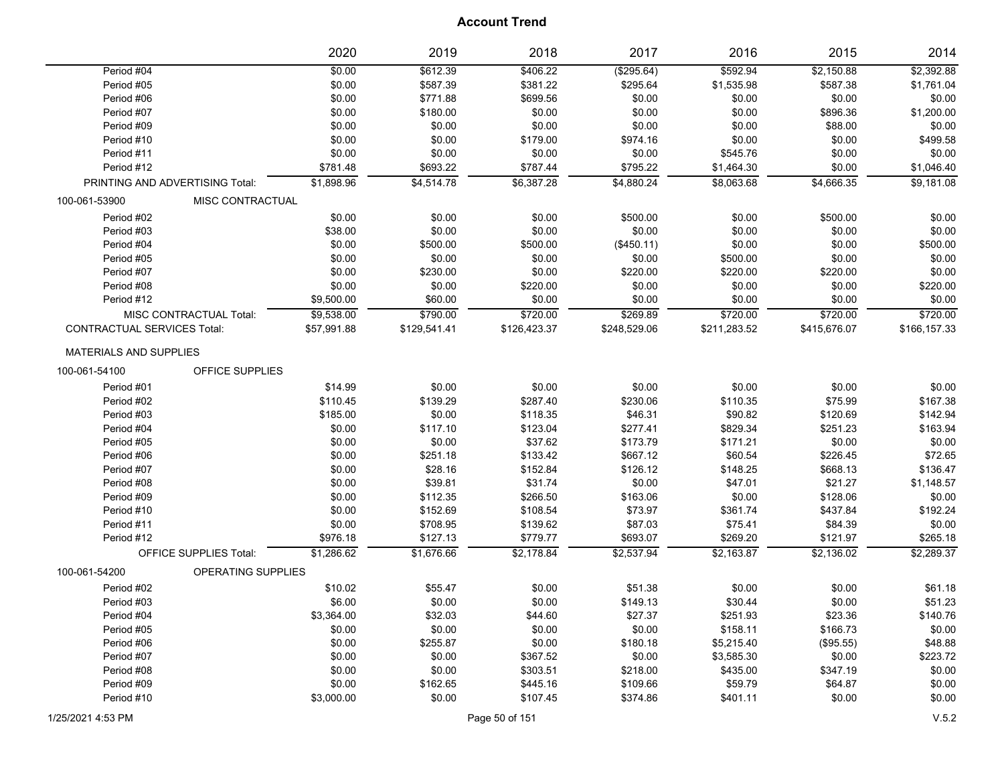|                                    |                                 | 2020        | 2019         | 2018         | 2017          | 2016         | 2015         | 2014         |
|------------------------------------|---------------------------------|-------------|--------------|--------------|---------------|--------------|--------------|--------------|
| Period #04                         |                                 | \$0.00      | \$612.39     | \$406.22     | $($ \$295.64) | \$592.94     | \$2,150.88   | \$2,392.88   |
| Period #05                         |                                 | \$0.00      | \$587.39     | \$381.22     | \$295.64      | \$1,535.98   | \$587.38     | \$1,761.04   |
| Period #06                         |                                 | \$0.00      | \$771.88     | \$699.56     | \$0.00        | \$0.00       | \$0.00       | \$0.00       |
| Period #07                         |                                 | \$0.00      | \$180.00     | \$0.00       | \$0.00        | \$0.00       | \$896.36     | \$1,200.00   |
| Period #09                         |                                 | \$0.00      | \$0.00       | \$0.00       | \$0.00        | \$0.00       | \$88.00      | \$0.00       |
| Period #10                         |                                 | \$0.00      | \$0.00       | \$179.00     | \$974.16      | \$0.00       | \$0.00       | \$499.58     |
| Period #11                         |                                 | \$0.00      | \$0.00       | \$0.00       | \$0.00        | \$545.76     | \$0.00       | \$0.00       |
| Period #12                         |                                 | \$781.48    | \$693.22     | \$787.44     | \$795.22      | \$1,464.30   | \$0.00       | \$1,046.40   |
|                                    | PRINTING AND ADVERTISING Total: | \$1,898.96  | \$4,514.78   | \$6,387.28   | \$4,880.24    | \$8,063.68   | \$4,666.35   | \$9,181.08   |
| 100-061-53900                      | MISC CONTRACTUAL                |             |              |              |               |              |              |              |
| Period #02                         |                                 | \$0.00      | \$0.00       | \$0.00       | \$500.00      | \$0.00       | \$500.00     | \$0.00       |
| Period #03                         |                                 | \$38.00     | \$0.00       | \$0.00       | \$0.00        | \$0.00       | \$0.00       | \$0.00       |
| Period #04                         |                                 | \$0.00      | \$500.00     | \$500.00     | (\$450.11)    | \$0.00       | \$0.00       | \$500.00     |
| Period #05                         |                                 | \$0.00      | \$0.00       | \$0.00       | \$0.00        | \$500.00     | \$0.00       | \$0.00       |
| Period #07                         |                                 | \$0.00      | \$230.00     | \$0.00       | \$220.00      | \$220.00     | \$220.00     | \$0.00       |
| Period #08                         |                                 | \$0.00      | \$0.00       | \$220.00     | \$0.00        | \$0.00       | \$0.00       | \$220.00     |
| Period #12                         |                                 | \$9,500.00  | \$60.00      | \$0.00       | \$0.00        | \$0.00       | \$0.00       | \$0.00       |
|                                    | MISC CONTRACTUAL Total:         | \$9,538.00  | \$790.00     | \$720.00     | \$269.89      | \$720.00     | \$720.00     | \$720.00     |
| <b>CONTRACTUAL SERVICES Total:</b> |                                 | \$57,991.88 | \$129,541.41 | \$126,423.37 | \$248,529.06  | \$211,283.52 | \$415,676.07 | \$166,157.33 |
| <b>MATERIALS AND SUPPLIES</b>      |                                 |             |              |              |               |              |              |              |
| 100-061-54100                      | OFFICE SUPPLIES                 |             |              |              |               |              |              |              |
| Period #01                         |                                 | \$14.99     | \$0.00       | \$0.00       | \$0.00        | \$0.00       | \$0.00       | \$0.00       |
| Period #02                         |                                 | \$110.45    | \$139.29     | \$287.40     | \$230.06      | \$110.35     | \$75.99      | \$167.38     |
| Period #03                         |                                 | \$185.00    | \$0.00       | \$118.35     | \$46.31       | \$90.82      | \$120.69     | \$142.94     |
| Period #04                         |                                 | \$0.00      | \$117.10     | \$123.04     | \$277.41      | \$829.34     | \$251.23     | \$163.94     |
| Period #05                         |                                 | \$0.00      | \$0.00       | \$37.62      | \$173.79      | \$171.21     | \$0.00       | \$0.00       |
| Period #06                         |                                 | \$0.00      | \$251.18     | \$133.42     | \$667.12      | \$60.54      | \$226.45     | \$72.65      |
| Period #07                         |                                 | \$0.00      | \$28.16      | \$152.84     | \$126.12      | \$148.25     | \$668.13     | \$136.47     |
| Period #08                         |                                 | \$0.00      | \$39.81      | \$31.74      | \$0.00        | \$47.01      | \$21.27      | \$1,148.57   |
| Period #09                         |                                 | \$0.00      | \$112.35     | \$266.50     | \$163.06      | \$0.00       | \$128.06     | \$0.00       |
| Period #10                         |                                 | \$0.00      | \$152.69     | \$108.54     | \$73.97       | \$361.74     | \$437.84     | \$192.24     |
| Period #11                         |                                 | \$0.00      | \$708.95     | \$139.62     | \$87.03       | \$75.41      | \$84.39      | \$0.00       |
| Period #12                         |                                 | \$976.18    | \$127.13     | \$779.77     | \$693.07      | \$269.20     | \$121.97     | \$265.18     |
|                                    | <b>OFFICE SUPPLIES Total:</b>   | \$1,286.62  | \$1,676.66   | \$2,178.84   | \$2,537.94    | \$2,163.87   | \$2,136.02   | \$2,289.37   |
| 100-061-54200                      | <b>OPERATING SUPPLIES</b>       |             |              |              |               |              |              |              |
| Period #02                         |                                 | \$10.02     | \$55.47      | \$0.00       | \$51.38       | \$0.00       | \$0.00       | \$61.18      |
| Period #03                         |                                 | \$6.00      | \$0.00       | \$0.00       | \$149.13      | \$30.44      | \$0.00       | \$51.23      |
| Period #04                         |                                 | \$3,364.00  | \$32.03      | \$44.60      | \$27.37       | \$251.93     | \$23.36      | \$140.76     |
| Period #05                         |                                 | \$0.00      | \$0.00       | \$0.00       | \$0.00        | \$158.11     | \$166.73     | \$0.00       |
| Period #06                         |                                 | \$0.00      | \$255.87     | \$0.00       | \$180.18      | \$5,215.40   | (\$95.55)    | \$48.88      |
| Period #07                         |                                 | \$0.00      | \$0.00       | \$367.52     | \$0.00        | \$3,585.30   | \$0.00       | \$223.72     |
| Period #08                         |                                 | \$0.00      | \$0.00       | \$303.51     | \$218.00      | \$435.00     | \$347.19     | \$0.00       |
| Period #09                         |                                 | \$0.00      | \$162.65     | \$445.16     | \$109.66      | \$59.79      | \$64.87      | \$0.00       |
| Period #10                         |                                 | \$3,000.00  | \$0.00       | \$107.45     | \$374.86      | \$401.11     | \$0.00       | \$0.00       |
|                                    |                                 |             |              |              |               |              |              |              |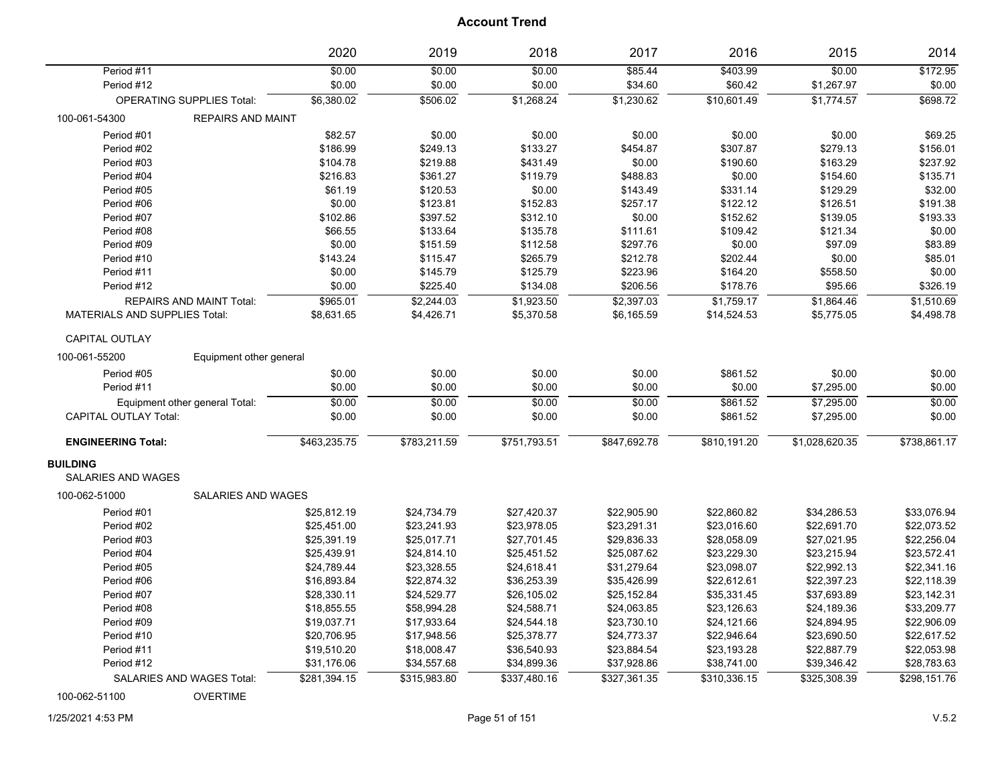|                                      |                                  | 2020         | 2019         | 2018         | 2017         | 2016         | 2015           | 2014         |
|--------------------------------------|----------------------------------|--------------|--------------|--------------|--------------|--------------|----------------|--------------|
| Period #11                           |                                  | \$0.00       | \$0.00       | \$0.00       | \$85.44      | \$403.99     | \$0.00         | \$172.95     |
| Period #12                           |                                  | \$0.00       | \$0.00       | \$0.00       | \$34.60      | \$60.42      | \$1,267.97     | \$0.00       |
|                                      | <b>OPERATING SUPPLIES Total:</b> | \$6,380.02   | \$506.02     | \$1,268.24   | \$1,230.62   | \$10,601.49  | \$1,774.57     | \$698.72     |
| 100-061-54300                        | <b>REPAIRS AND MAINT</b>         |              |              |              |              |              |                |              |
| Period #01                           |                                  | \$82.57      | \$0.00       | \$0.00       | \$0.00       | \$0.00       | \$0.00         | \$69.25      |
| Period #02                           |                                  | \$186.99     | \$249.13     | \$133.27     | \$454.87     | \$307.87     | \$279.13       | \$156.01     |
| Period #03                           |                                  | \$104.78     | \$219.88     | \$431.49     | \$0.00       | \$190.60     | \$163.29       | \$237.92     |
| Period #04                           |                                  | \$216.83     | \$361.27     | \$119.79     | \$488.83     | \$0.00       | \$154.60       | \$135.71     |
| Period #05                           |                                  | \$61.19      | \$120.53     | \$0.00       | \$143.49     | \$331.14     | \$129.29       | \$32.00      |
| Period #06                           |                                  | \$0.00       | \$123.81     | \$152.83     | \$257.17     | \$122.12     | \$126.51       | \$191.38     |
| Period #07                           |                                  | \$102.86     | \$397.52     | \$312.10     | \$0.00       | \$152.62     | \$139.05       | \$193.33     |
| Period #08                           |                                  | \$66.55      | \$133.64     | \$135.78     | \$111.61     | \$109.42     | \$121.34       | \$0.00       |
| Period #09                           |                                  | \$0.00       | \$151.59     | \$112.58     | \$297.76     | \$0.00       | \$97.09        | \$83.89      |
| Period #10                           |                                  | \$143.24     | \$115.47     | \$265.79     | \$212.78     | \$202.44     | \$0.00         | \$85.01      |
| Period #11                           |                                  | \$0.00       | \$145.79     | \$125.79     | \$223.96     | \$164.20     | \$558.50       | \$0.00       |
| Period #12                           |                                  | \$0.00       | \$225.40     | \$134.08     | \$206.56     | \$178.76     | \$95.66        | \$326.19     |
|                                      | <b>REPAIRS AND MAINT Total:</b>  | \$965.01     | \$2,244.03   | \$1,923.50   | \$2,397.03   | \$1,759.17   | \$1,864.46     | \$1,510.69   |
| <b>MATERIALS AND SUPPLIES Total:</b> |                                  | \$8,631.65   | \$4,426.71   | \$5,370.58   | \$6,165.59   | \$14,524.53  | \$5,775.05     | \$4,498.78   |
| <b>CAPITAL OUTLAY</b>                |                                  |              |              |              |              |              |                |              |
| 100-061-55200                        | Equipment other general          |              |              |              |              |              |                |              |
| Period #05                           |                                  | \$0.00       | \$0.00       | \$0.00       | \$0.00       | \$861.52     | \$0.00         | \$0.00       |
| Period #11                           |                                  | \$0.00       | \$0.00       | \$0.00       | \$0.00       | \$0.00       | \$7,295.00     | \$0.00       |
|                                      | Equipment other general Total:   | \$0.00       | \$0.00       | \$0.00       | \$0.00       | \$861.52     | \$7,295.00     | \$0.00       |
| <b>CAPITAL OUTLAY Total:</b>         |                                  | \$0.00       | \$0.00       | \$0.00       | \$0.00       | \$861.52     | \$7,295.00     | \$0.00       |
| <b>ENGINEERING Total:</b>            |                                  | \$463,235.75 | \$783,211.59 | \$751,793.51 | \$847,692.78 | \$810,191.20 | \$1,028,620.35 | \$738,861.17 |
| <b>BUILDING</b>                      |                                  |              |              |              |              |              |                |              |
| <b>SALARIES AND WAGES</b>            |                                  |              |              |              |              |              |                |              |
| 100-062-51000                        | <b>SALARIES AND WAGES</b>        |              |              |              |              |              |                |              |
| Period #01                           |                                  | \$25,812.19  | \$24,734.79  | \$27,420.37  | \$22,905.90  | \$22,860.82  | \$34,286.53    | \$33,076.94  |
| Period #02                           |                                  | \$25,451.00  | \$23,241.93  | \$23,978.05  | \$23,291.31  | \$23,016.60  | \$22,691.70    | \$22,073.52  |
| Period #03                           |                                  | \$25,391.19  | \$25,017.71  | \$27,701.45  | \$29,836.33  | \$28,058.09  | \$27,021.95    | \$22,256.04  |
| Period #04                           |                                  | \$25,439.91  | \$24,814.10  | \$25,451.52  | \$25,087.62  | \$23,229.30  | \$23,215.94    | \$23,572.41  |
| Period #05                           |                                  | \$24,789.44  | \$23,328.55  | \$24,618.41  | \$31,279.64  | \$23,098.07  | \$22,992.13    | \$22,341.16  |
| Period #06                           |                                  | \$16,893.84  | \$22,874.32  | \$36,253.39  | \$35,426.99  | \$22,612.61  | \$22,397.23    | \$22,118.39  |
| Period #07                           |                                  | \$28,330.11  | \$24,529.77  | \$26,105.02  | \$25,152.84  | \$35,331.45  | \$37,693.89    | \$23,142.31  |
| Period #08                           |                                  | \$18,855.55  | \$58,994.28  | \$24,588.71  | \$24,063.85  | \$23,126.63  | \$24,189.36    | \$33,209.77  |
| Period #09                           |                                  | \$19,037.71  | \$17,933.64  | \$24,544.18  | \$23,730.10  | \$24,121.66  | \$24,894.95    | \$22,906.09  |
| Period #10                           |                                  | \$20,706.95  | \$17,948.56  | \$25,378.77  | \$24,773.37  | \$22,946.64  | \$23,690.50    | \$22,617.52  |
| Period #11                           |                                  | \$19,510.20  | \$18,008.47  | \$36,540.93  | \$23,884.54  | \$23,193.28  | \$22,887.79    | \$22,053.98  |
| Period #12                           |                                  | \$31,176.06  | \$34,557.68  | \$34,899.36  | \$37,928.86  | \$38,741.00  | \$39,346.42    | \$28,783.63  |
|                                      | SALARIES AND WAGES Total:        | \$281,394.15 | \$315,983.80 | \$337,480.16 | \$327,361.35 | \$310,336.15 | \$325,308.39   | \$298,151.76 |
|                                      |                                  |              |              |              |              |              |                |              |

100-062-51100 OVERTIME

1/25/2021 4:53 PM Page 51 of 151 V.5.2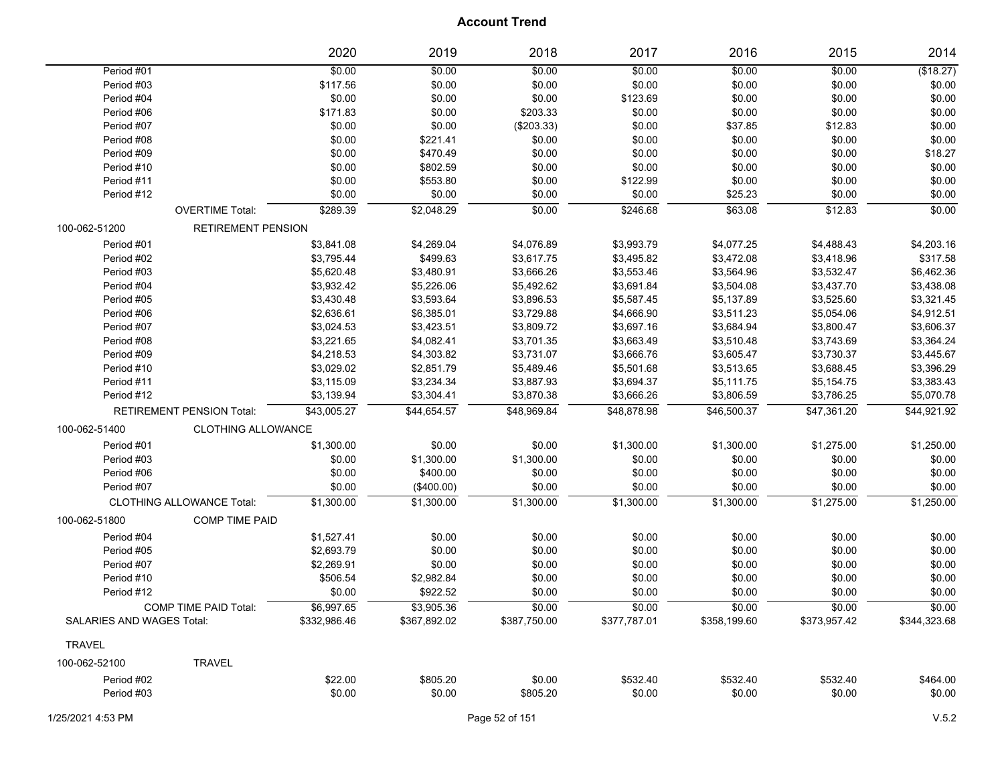|                           |                                  | 2020         | 2019         | 2018         | 2017         | 2016         | 2015         | 2014         |
|---------------------------|----------------------------------|--------------|--------------|--------------|--------------|--------------|--------------|--------------|
| Period #01                |                                  | \$0.00       | \$0.00       | \$0.00       | \$0.00       | \$0.00       | \$0.00       | (\$18.27)    |
| Period #03                |                                  | \$117.56     | \$0.00       | \$0.00       | \$0.00       | \$0.00       | \$0.00       | \$0.00       |
| Period #04                |                                  | \$0.00       | \$0.00       | \$0.00       | \$123.69     | \$0.00       | \$0.00       | \$0.00       |
| Period #06                |                                  | \$171.83     | \$0.00       | \$203.33     | \$0.00       | \$0.00       | \$0.00       | \$0.00       |
| Period #07                |                                  | \$0.00       | \$0.00       | (\$203.33)   | \$0.00       | \$37.85      | \$12.83      | \$0.00       |
| Period #08                |                                  | \$0.00       | \$221.41     | \$0.00       | \$0.00       | \$0.00       | \$0.00       | \$0.00       |
| Period #09                |                                  | \$0.00       | \$470.49     | \$0.00       | \$0.00       | \$0.00       | \$0.00       | \$18.27      |
| Period #10                |                                  | \$0.00       | \$802.59     | \$0.00       | \$0.00       | \$0.00       | \$0.00       | \$0.00       |
| Period #11                |                                  | \$0.00       | \$553.80     | \$0.00       | \$122.99     | \$0.00       | \$0.00       | \$0.00       |
| Period #12                |                                  | \$0.00       | \$0.00       | \$0.00       | \$0.00       | \$25.23      | \$0.00       | \$0.00       |
|                           | <b>OVERTIME Total:</b>           | \$289.39     | \$2,048.29   | \$0.00       | \$246.68     | \$63.08      | \$12.83      | \$0.00       |
| 100-062-51200             | <b>RETIREMENT PENSION</b>        |              |              |              |              |              |              |              |
| Period #01                |                                  | \$3,841.08   | \$4,269.04   | \$4,076.89   | \$3,993.79   | \$4,077.25   | \$4,488.43   | \$4,203.16   |
| Period #02                |                                  | \$3,795.44   | \$499.63     | \$3,617.75   | \$3,495.82   | \$3,472.08   | \$3,418.96   | \$317.58     |
| Period #03                |                                  | \$5,620.48   | \$3,480.91   | \$3,666.26   | \$3,553.46   | \$3,564.96   | \$3,532.47   | \$6,462.36   |
| Period #04                |                                  | \$3,932.42   | \$5,226.06   | \$5,492.62   | \$3,691.84   | \$3,504.08   | \$3,437.70   | \$3,438.08   |
| Period #05                |                                  | \$3,430.48   | \$3,593.64   | \$3,896.53   | \$5,587.45   | \$5,137.89   | \$3,525.60   | \$3,321.45   |
| Period #06                |                                  | \$2,636.61   | \$6,385.01   | \$3,729.88   | \$4,666.90   | \$3,511.23   | \$5,054.06   | \$4,912.51   |
| Period #07                |                                  | \$3,024.53   | \$3,423.51   | \$3,809.72   | \$3,697.16   | \$3,684.94   | \$3,800.47   | \$3,606.37   |
| Period #08                |                                  | \$3,221.65   | \$4,082.41   | \$3,701.35   | \$3,663.49   | \$3,510.48   | \$3,743.69   | \$3,364.24   |
| Period #09                |                                  | \$4,218.53   | \$4,303.82   | \$3,731.07   | \$3,666.76   | \$3,605.47   | \$3,730.37   | \$3,445.67   |
| Period #10                |                                  | \$3,029.02   | \$2,851.79   | \$5,489.46   | \$5,501.68   | \$3,513.65   | \$3,688.45   | \$3,396.29   |
| Period #11                |                                  | \$3,115.09   | \$3,234.34   | \$3,887.93   | \$3,694.37   | \$5,111.75   | \$5,154.75   | \$3,383.43   |
| Period #12                |                                  | \$3,139.94   | \$3,304.41   | \$3,870.38   | \$3,666.26   | \$3,806.59   | \$3,786.25   | \$5,070.78   |
|                           | <b>RETIREMENT PENSION Total:</b> | \$43,005.27  | \$44,654.57  | \$48,969.84  | \$48,878.98  | \$46,500.37  | \$47,361.20  | \$44,921.92  |
| 100-062-51400             | <b>CLOTHING ALLOWANCE</b>        |              |              |              |              |              |              |              |
| Period #01                |                                  | \$1,300.00   | \$0.00       | \$0.00       | \$1,300.00   | \$1,300.00   | \$1,275.00   | \$1,250.00   |
| Period #03                |                                  | \$0.00       | \$1,300.00   | \$1,300.00   | \$0.00       | \$0.00       | \$0.00       | \$0.00       |
| Period #06                |                                  | \$0.00       | \$400.00     | \$0.00       | \$0.00       | \$0.00       | \$0.00       | \$0.00       |
| Period #07                |                                  | \$0.00       | (\$400.00)   | \$0.00       | \$0.00       | \$0.00       | \$0.00       | \$0.00       |
|                           | <b>CLOTHING ALLOWANCE Total:</b> | \$1,300.00   | \$1,300.00   | \$1,300.00   | \$1,300.00   | \$1,300.00   | \$1,275.00   | \$1,250.00   |
| 100-062-51800             | <b>COMP TIME PAID</b>            |              |              |              |              |              |              |              |
| Period #04                |                                  | \$1,527.41   | \$0.00       | \$0.00       | \$0.00       | \$0.00       | \$0.00       | \$0.00       |
| Period #05                |                                  | \$2,693.79   | \$0.00       | \$0.00       | \$0.00       | \$0.00       | \$0.00       | \$0.00       |
| Period #07                |                                  | \$2,269.91   | \$0.00       | \$0.00       | \$0.00       | \$0.00       | \$0.00       | \$0.00       |
| Period #10                |                                  | \$506.54     | \$2,982.84   | \$0.00       | \$0.00       | \$0.00       | \$0.00       | \$0.00       |
| Period #12                |                                  | \$0.00       | \$922.52     | \$0.00       | \$0.00       | \$0.00       | \$0.00       | \$0.00       |
|                           | <b>COMP TIME PAID Total:</b>     | \$6,997.65   | \$3,905.36   | \$0.00       | \$0.00       | \$0.00       | \$0.00       | \$0.00       |
| SALARIES AND WAGES Total: |                                  | \$332,986.46 | \$367,892.02 | \$387,750.00 | \$377,787.01 | \$358,199.60 | \$373,957.42 | \$344,323.68 |
| <b>TRAVEL</b>             |                                  |              |              |              |              |              |              |              |
| 100-062-52100             | <b>TRAVEL</b>                    |              |              |              |              |              |              |              |
| Period #02                |                                  | \$22.00      | \$805.20     | \$0.00       | \$532.40     | \$532.40     | \$532.40     | \$464.00     |
| Period #03                |                                  | \$0.00       | \$0.00       | \$805.20     | \$0.00       | \$0.00       | \$0.00       | \$0.00       |
|                           |                                  |              |              |              |              |              |              |              |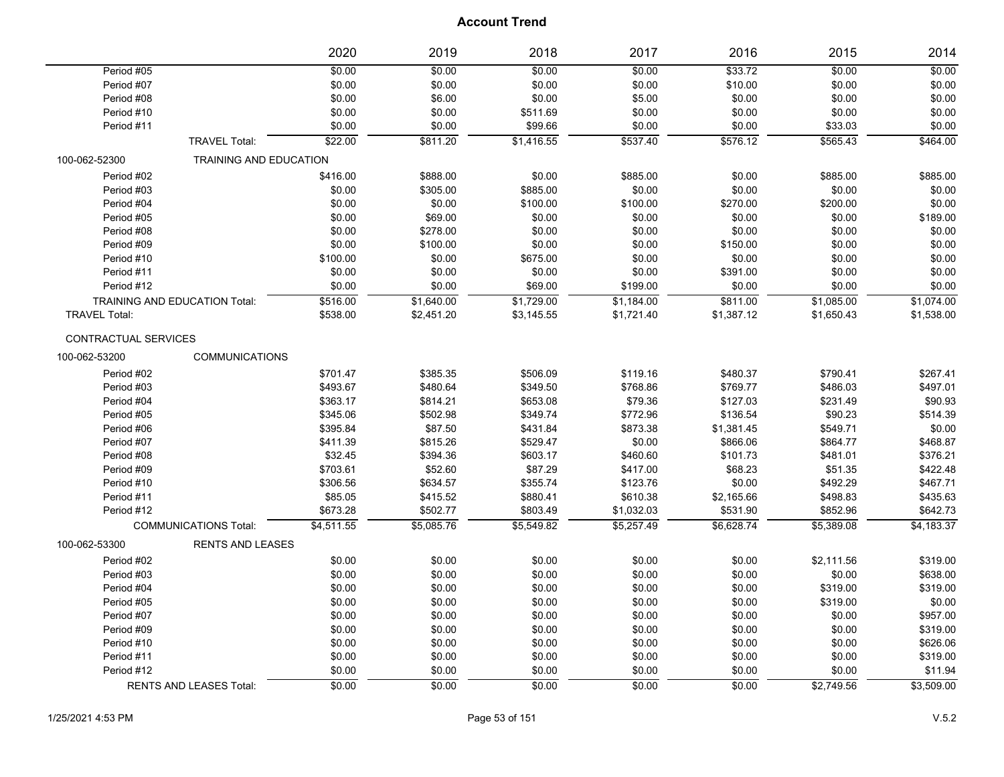| 50.00<br>$\sqrt{$0.00}$<br>\$0.00<br>\$33.72<br>\$0.00<br>\$0.00<br>Period #05<br>\$0.00<br>\$0.00<br>\$0.00<br>\$0.00<br>\$0.00<br>\$10.00<br>\$0.00<br>\$0.00<br>Period #07<br>Period #08<br>\$0.00<br>\$5.00<br>\$0.00<br>\$0.00<br>\$0.00<br>\$6.00<br>\$0.00<br>\$0.00<br>\$0.00<br>\$0.00<br>\$0.00<br>\$0.00<br>\$0.00<br>Period #10<br>\$511.69<br>\$0.00<br>\$0.00<br>\$0.00<br>\$99.66<br>\$0.00<br>\$0.00<br>\$33.03<br>Period #11<br>\$565.43<br>\$22.00<br>\$811.20<br>\$1,416.55<br>\$537.40<br>\$576.12<br>\$464.00<br><b>TRAVEL Total:</b><br>100-062-52300<br>TRAINING AND EDUCATION<br>Period #02<br>\$416.00<br>\$888.00<br>\$0.00<br>\$885.00<br>\$0.00<br>\$885.00<br>\$885.00<br>Period #03<br>\$0.00<br>\$305.00<br>\$885.00<br>\$0.00<br>\$0.00<br>\$0.00<br>\$0.00<br>\$0.00<br>\$200.00<br>\$0.00<br>Period #04<br>\$0.00<br>\$100.00<br>\$100.00<br>\$270.00<br>\$0.00<br>\$69.00<br>\$0.00<br>\$0.00<br>\$0.00<br>\$189.00<br>Period #05<br>\$0.00<br>\$0.00<br>\$0.00<br>\$278.00<br>\$0.00<br>\$0.00<br>\$0.00<br>\$0.00<br>Period #08<br>\$0.00<br>\$0.00<br>\$0.00<br>\$0.00<br>Period #09<br>\$100.00<br>\$0.00<br>\$150.00<br>\$0.00<br>\$100.00<br>\$0.00<br>\$675.00<br>\$0.00<br>\$0.00<br>\$0.00<br>Period #10<br>\$0.00<br>Period #11<br>\$0.00<br>\$0.00<br>\$0.00<br>\$0.00<br>\$391.00<br>\$0.00<br>Period #12<br>\$0.00<br>\$0.00<br>\$69.00<br>\$199.00<br>\$0.00<br>\$0.00<br>\$0.00<br>\$516.00<br>\$1,640.00<br>\$1,729.00<br>\$1,074.00<br>\$1,184.00<br>\$811.00<br>\$1,085.00<br><b>TRAINING AND EDUCATION Total:</b><br><b>TRAVEL Total:</b><br>\$538.00<br>\$2,451.20<br>\$3,145.55<br>\$1,721.40<br>\$1,387.12<br>\$1,650.43<br>\$1,538.00<br>CONTRACTUAL SERVICES<br><b>COMMUNICATIONS</b><br>100-062-53200<br>Period #02<br>\$701.47<br>\$385.35<br>\$506.09<br>\$119.16<br>\$480.37<br>\$790.41<br>\$267.41<br>\$493.67<br>\$480.64<br>\$349.50<br>\$768.86<br>\$769.77<br>\$486.03<br>\$497.01<br>Period #03<br>\$363.17<br>\$814.21<br>\$653.08<br>\$231.49<br>\$90.93<br>Period #04<br>\$79.36<br>\$127.03<br>\$345.06<br>\$502.98<br>\$349.74<br>\$772.96<br>\$136.54<br>\$90.23<br>\$514.39<br>Period #05<br>\$395.84<br>\$87.50<br>\$873.38<br>\$549.71<br>\$0.00<br>\$431.84<br>\$1,381.45<br>Period #06<br>\$411.39<br>\$815.26<br>\$529.47<br>\$0.00<br>\$866.06<br>\$864.77<br>\$468.87<br>Period #07<br>\$32.45<br>\$394.36<br>\$603.17<br>\$481.01<br>\$376.21<br>Period #08<br>\$460.60<br>\$101.73<br>\$703.61<br>\$52.60<br>\$87.29<br>\$68.23<br>\$51.35<br>\$422.48<br>Period #09<br>\$417.00<br>\$306.56<br>\$634.57<br>\$355.74<br>\$123.76<br>\$0.00<br>\$492.29<br>\$467.71<br>Period #10<br>\$85.05<br>\$435.63<br>Period #11<br>\$415.52<br>\$880.41<br>\$610.38<br>\$2,165.66<br>\$498.83<br>\$502.77<br>Period #12<br>\$673.28<br>\$803.49<br>\$1,032.03<br>\$531.90<br>\$852.96<br>\$642.73<br>\$4,511.55<br>\$5,085.76<br>\$5,549.82<br>\$5,257.49<br><b>COMMUNICATIONS Total:</b><br>\$6,628.74<br>\$5,389.08<br>\$4,183.37<br>100-062-53300<br><b>RENTS AND LEASES</b><br>\$0.00<br>\$0.00<br>\$0.00<br>Period #02<br>\$0.00<br>\$0.00<br>\$2,111.56<br>\$319.00<br>\$0.00<br>\$0.00<br>\$0.00<br>\$0.00<br>\$0.00<br>\$0.00<br>\$638.00<br>Period #03<br>\$0.00<br>\$0.00<br>\$319.00<br>Period #04<br>\$0.00<br>\$0.00<br>\$0.00<br>\$319.00<br>\$0.00<br>\$0.00<br>\$0.00<br>\$0.00<br>\$0.00<br>\$319.00<br>\$0.00<br>Period #05<br>\$0.00<br>\$0.00<br>\$0.00<br>\$0.00<br>\$957.00<br>Period #07<br>\$0.00<br>\$0.00<br>\$319.00<br>Period #09<br>\$0.00<br>\$0.00<br>\$0.00<br>\$0.00<br>\$0.00<br>\$0.00<br>\$0.00<br>\$0.00<br>\$0.00<br>\$0.00<br>\$626.06<br>Period #10<br>\$0.00<br>\$0.00<br>\$0.00<br>\$0.00<br>\$0.00<br>Period #11<br>\$0.00<br>\$0.00<br>\$0.00<br>\$319.00<br>\$0.00<br>\$0.00<br>\$0.00<br>\$0.00<br>\$0.00<br>\$11.94<br>Period #12<br>\$0.00<br><b>RENTS AND LEASES Total:</b> |  | 2020   | 2019   | 2018   | 2017  | 2016              | 2015       | 2014       |
|----------------------------------------------------------------------------------------------------------------------------------------------------------------------------------------------------------------------------------------------------------------------------------------------------------------------------------------------------------------------------------------------------------------------------------------------------------------------------------------------------------------------------------------------------------------------------------------------------------------------------------------------------------------------------------------------------------------------------------------------------------------------------------------------------------------------------------------------------------------------------------------------------------------------------------------------------------------------------------------------------------------------------------------------------------------------------------------------------------------------------------------------------------------------------------------------------------------------------------------------------------------------------------------------------------------------------------------------------------------------------------------------------------------------------------------------------------------------------------------------------------------------------------------------------------------------------------------------------------------------------------------------------------------------------------------------------------------------------------------------------------------------------------------------------------------------------------------------------------------------------------------------------------------------------------------------------------------------------------------------------------------------------------------------------------------------------------------------------------------------------------------------------------------------------------------------------------------------------------------------------------------------------------------------------------------------------------------------------------------------------------------------------------------------------------------------------------------------------------------------------------------------------------------------------------------------------------------------------------------------------------------------------------------------------------------------------------------------------------------------------------------------------------------------------------------------------------------------------------------------------------------------------------------------------------------------------------------------------------------------------------------------------------------------------------------------------------------------------------------------------------------------------------------------------------------------------------------------------------------------------------------------------------------------------------------------------------------------------------------------------------------------------------------------------------------------------------------------------------------------------------------------------------------------------------------------------------------------------------------------------------------------------------------------------------------------------------------------------------------------------------------------------------------------------------------------------------------------------------------------------------------------------------|--|--------|--------|--------|-------|-------------------|------------|------------|
|                                                                                                                                                                                                                                                                                                                                                                                                                                                                                                                                                                                                                                                                                                                                                                                                                                                                                                                                                                                                                                                                                                                                                                                                                                                                                                                                                                                                                                                                                                                                                                                                                                                                                                                                                                                                                                                                                                                                                                                                                                                                                                                                                                                                                                                                                                                                                                                                                                                                                                                                                                                                                                                                                                                                                                                                                                                                                                                                                                                                                                                                                                                                                                                                                                                                                                                                                                                                                                                                                                                                                                                                                                                                                                                                                                                                                                                                                                          |  |        |        |        |       |                   |            |            |
|                                                                                                                                                                                                                                                                                                                                                                                                                                                                                                                                                                                                                                                                                                                                                                                                                                                                                                                                                                                                                                                                                                                                                                                                                                                                                                                                                                                                                                                                                                                                                                                                                                                                                                                                                                                                                                                                                                                                                                                                                                                                                                                                                                                                                                                                                                                                                                                                                                                                                                                                                                                                                                                                                                                                                                                                                                                                                                                                                                                                                                                                                                                                                                                                                                                                                                                                                                                                                                                                                                                                                                                                                                                                                                                                                                                                                                                                                                          |  |        |        |        |       |                   |            |            |
|                                                                                                                                                                                                                                                                                                                                                                                                                                                                                                                                                                                                                                                                                                                                                                                                                                                                                                                                                                                                                                                                                                                                                                                                                                                                                                                                                                                                                                                                                                                                                                                                                                                                                                                                                                                                                                                                                                                                                                                                                                                                                                                                                                                                                                                                                                                                                                                                                                                                                                                                                                                                                                                                                                                                                                                                                                                                                                                                                                                                                                                                                                                                                                                                                                                                                                                                                                                                                                                                                                                                                                                                                                                                                                                                                                                                                                                                                                          |  |        |        |        |       |                   |            |            |
|                                                                                                                                                                                                                                                                                                                                                                                                                                                                                                                                                                                                                                                                                                                                                                                                                                                                                                                                                                                                                                                                                                                                                                                                                                                                                                                                                                                                                                                                                                                                                                                                                                                                                                                                                                                                                                                                                                                                                                                                                                                                                                                                                                                                                                                                                                                                                                                                                                                                                                                                                                                                                                                                                                                                                                                                                                                                                                                                                                                                                                                                                                                                                                                                                                                                                                                                                                                                                                                                                                                                                                                                                                                                                                                                                                                                                                                                                                          |  |        |        |        |       |                   |            |            |
|                                                                                                                                                                                                                                                                                                                                                                                                                                                                                                                                                                                                                                                                                                                                                                                                                                                                                                                                                                                                                                                                                                                                                                                                                                                                                                                                                                                                                                                                                                                                                                                                                                                                                                                                                                                                                                                                                                                                                                                                                                                                                                                                                                                                                                                                                                                                                                                                                                                                                                                                                                                                                                                                                                                                                                                                                                                                                                                                                                                                                                                                                                                                                                                                                                                                                                                                                                                                                                                                                                                                                                                                                                                                                                                                                                                                                                                                                                          |  |        |        |        |       |                   |            |            |
|                                                                                                                                                                                                                                                                                                                                                                                                                                                                                                                                                                                                                                                                                                                                                                                                                                                                                                                                                                                                                                                                                                                                                                                                                                                                                                                                                                                                                                                                                                                                                                                                                                                                                                                                                                                                                                                                                                                                                                                                                                                                                                                                                                                                                                                                                                                                                                                                                                                                                                                                                                                                                                                                                                                                                                                                                                                                                                                                                                                                                                                                                                                                                                                                                                                                                                                                                                                                                                                                                                                                                                                                                                                                                                                                                                                                                                                                                                          |  |        |        |        |       |                   |            |            |
|                                                                                                                                                                                                                                                                                                                                                                                                                                                                                                                                                                                                                                                                                                                                                                                                                                                                                                                                                                                                                                                                                                                                                                                                                                                                                                                                                                                                                                                                                                                                                                                                                                                                                                                                                                                                                                                                                                                                                                                                                                                                                                                                                                                                                                                                                                                                                                                                                                                                                                                                                                                                                                                                                                                                                                                                                                                                                                                                                                                                                                                                                                                                                                                                                                                                                                                                                                                                                                                                                                                                                                                                                                                                                                                                                                                                                                                                                                          |  |        |        |        |       |                   |            |            |
|                                                                                                                                                                                                                                                                                                                                                                                                                                                                                                                                                                                                                                                                                                                                                                                                                                                                                                                                                                                                                                                                                                                                                                                                                                                                                                                                                                                                                                                                                                                                                                                                                                                                                                                                                                                                                                                                                                                                                                                                                                                                                                                                                                                                                                                                                                                                                                                                                                                                                                                                                                                                                                                                                                                                                                                                                                                                                                                                                                                                                                                                                                                                                                                                                                                                                                                                                                                                                                                                                                                                                                                                                                                                                                                                                                                                                                                                                                          |  |        |        |        |       |                   |            |            |
|                                                                                                                                                                                                                                                                                                                                                                                                                                                                                                                                                                                                                                                                                                                                                                                                                                                                                                                                                                                                                                                                                                                                                                                                                                                                                                                                                                                                                                                                                                                                                                                                                                                                                                                                                                                                                                                                                                                                                                                                                                                                                                                                                                                                                                                                                                                                                                                                                                                                                                                                                                                                                                                                                                                                                                                                                                                                                                                                                                                                                                                                                                                                                                                                                                                                                                                                                                                                                                                                                                                                                                                                                                                                                                                                                                                                                                                                                                          |  |        |        |        |       |                   |            |            |
|                                                                                                                                                                                                                                                                                                                                                                                                                                                                                                                                                                                                                                                                                                                                                                                                                                                                                                                                                                                                                                                                                                                                                                                                                                                                                                                                                                                                                                                                                                                                                                                                                                                                                                                                                                                                                                                                                                                                                                                                                                                                                                                                                                                                                                                                                                                                                                                                                                                                                                                                                                                                                                                                                                                                                                                                                                                                                                                                                                                                                                                                                                                                                                                                                                                                                                                                                                                                                                                                                                                                                                                                                                                                                                                                                                                                                                                                                                          |  |        |        |        |       |                   |            |            |
|                                                                                                                                                                                                                                                                                                                                                                                                                                                                                                                                                                                                                                                                                                                                                                                                                                                                                                                                                                                                                                                                                                                                                                                                                                                                                                                                                                                                                                                                                                                                                                                                                                                                                                                                                                                                                                                                                                                                                                                                                                                                                                                                                                                                                                                                                                                                                                                                                                                                                                                                                                                                                                                                                                                                                                                                                                                                                                                                                                                                                                                                                                                                                                                                                                                                                                                                                                                                                                                                                                                                                                                                                                                                                                                                                                                                                                                                                                          |  |        |        |        |       |                   |            |            |
|                                                                                                                                                                                                                                                                                                                                                                                                                                                                                                                                                                                                                                                                                                                                                                                                                                                                                                                                                                                                                                                                                                                                                                                                                                                                                                                                                                                                                                                                                                                                                                                                                                                                                                                                                                                                                                                                                                                                                                                                                                                                                                                                                                                                                                                                                                                                                                                                                                                                                                                                                                                                                                                                                                                                                                                                                                                                                                                                                                                                                                                                                                                                                                                                                                                                                                                                                                                                                                                                                                                                                                                                                                                                                                                                                                                                                                                                                                          |  |        |        |        |       |                   |            |            |
|                                                                                                                                                                                                                                                                                                                                                                                                                                                                                                                                                                                                                                                                                                                                                                                                                                                                                                                                                                                                                                                                                                                                                                                                                                                                                                                                                                                                                                                                                                                                                                                                                                                                                                                                                                                                                                                                                                                                                                                                                                                                                                                                                                                                                                                                                                                                                                                                                                                                                                                                                                                                                                                                                                                                                                                                                                                                                                                                                                                                                                                                                                                                                                                                                                                                                                                                                                                                                                                                                                                                                                                                                                                                                                                                                                                                                                                                                                          |  |        |        |        |       |                   |            |            |
|                                                                                                                                                                                                                                                                                                                                                                                                                                                                                                                                                                                                                                                                                                                                                                                                                                                                                                                                                                                                                                                                                                                                                                                                                                                                                                                                                                                                                                                                                                                                                                                                                                                                                                                                                                                                                                                                                                                                                                                                                                                                                                                                                                                                                                                                                                                                                                                                                                                                                                                                                                                                                                                                                                                                                                                                                                                                                                                                                                                                                                                                                                                                                                                                                                                                                                                                                                                                                                                                                                                                                                                                                                                                                                                                                                                                                                                                                                          |  |        |        |        |       |                   |            |            |
|                                                                                                                                                                                                                                                                                                                                                                                                                                                                                                                                                                                                                                                                                                                                                                                                                                                                                                                                                                                                                                                                                                                                                                                                                                                                                                                                                                                                                                                                                                                                                                                                                                                                                                                                                                                                                                                                                                                                                                                                                                                                                                                                                                                                                                                                                                                                                                                                                                                                                                                                                                                                                                                                                                                                                                                                                                                                                                                                                                                                                                                                                                                                                                                                                                                                                                                                                                                                                                                                                                                                                                                                                                                                                                                                                                                                                                                                                                          |  |        |        |        |       |                   |            |            |
|                                                                                                                                                                                                                                                                                                                                                                                                                                                                                                                                                                                                                                                                                                                                                                                                                                                                                                                                                                                                                                                                                                                                                                                                                                                                                                                                                                                                                                                                                                                                                                                                                                                                                                                                                                                                                                                                                                                                                                                                                                                                                                                                                                                                                                                                                                                                                                                                                                                                                                                                                                                                                                                                                                                                                                                                                                                                                                                                                                                                                                                                                                                                                                                                                                                                                                                                                                                                                                                                                                                                                                                                                                                                                                                                                                                                                                                                                                          |  |        |        |        |       |                   |            |            |
|                                                                                                                                                                                                                                                                                                                                                                                                                                                                                                                                                                                                                                                                                                                                                                                                                                                                                                                                                                                                                                                                                                                                                                                                                                                                                                                                                                                                                                                                                                                                                                                                                                                                                                                                                                                                                                                                                                                                                                                                                                                                                                                                                                                                                                                                                                                                                                                                                                                                                                                                                                                                                                                                                                                                                                                                                                                                                                                                                                                                                                                                                                                                                                                                                                                                                                                                                                                                                                                                                                                                                                                                                                                                                                                                                                                                                                                                                                          |  |        |        |        |       |                   |            |            |
|                                                                                                                                                                                                                                                                                                                                                                                                                                                                                                                                                                                                                                                                                                                                                                                                                                                                                                                                                                                                                                                                                                                                                                                                                                                                                                                                                                                                                                                                                                                                                                                                                                                                                                                                                                                                                                                                                                                                                                                                                                                                                                                                                                                                                                                                                                                                                                                                                                                                                                                                                                                                                                                                                                                                                                                                                                                                                                                                                                                                                                                                                                                                                                                                                                                                                                                                                                                                                                                                                                                                                                                                                                                                                                                                                                                                                                                                                                          |  |        |        |        |       |                   |            |            |
|                                                                                                                                                                                                                                                                                                                                                                                                                                                                                                                                                                                                                                                                                                                                                                                                                                                                                                                                                                                                                                                                                                                                                                                                                                                                                                                                                                                                                                                                                                                                                                                                                                                                                                                                                                                                                                                                                                                                                                                                                                                                                                                                                                                                                                                                                                                                                                                                                                                                                                                                                                                                                                                                                                                                                                                                                                                                                                                                                                                                                                                                                                                                                                                                                                                                                                                                                                                                                                                                                                                                                                                                                                                                                                                                                                                                                                                                                                          |  |        |        |        |       |                   |            |            |
|                                                                                                                                                                                                                                                                                                                                                                                                                                                                                                                                                                                                                                                                                                                                                                                                                                                                                                                                                                                                                                                                                                                                                                                                                                                                                                                                                                                                                                                                                                                                                                                                                                                                                                                                                                                                                                                                                                                                                                                                                                                                                                                                                                                                                                                                                                                                                                                                                                                                                                                                                                                                                                                                                                                                                                                                                                                                                                                                                                                                                                                                                                                                                                                                                                                                                                                                                                                                                                                                                                                                                                                                                                                                                                                                                                                                                                                                                                          |  |        |        |        |       |                   |            |            |
|                                                                                                                                                                                                                                                                                                                                                                                                                                                                                                                                                                                                                                                                                                                                                                                                                                                                                                                                                                                                                                                                                                                                                                                                                                                                                                                                                                                                                                                                                                                                                                                                                                                                                                                                                                                                                                                                                                                                                                                                                                                                                                                                                                                                                                                                                                                                                                                                                                                                                                                                                                                                                                                                                                                                                                                                                                                                                                                                                                                                                                                                                                                                                                                                                                                                                                                                                                                                                                                                                                                                                                                                                                                                                                                                                                                                                                                                                                          |  |        |        |        |       |                   |            |            |
|                                                                                                                                                                                                                                                                                                                                                                                                                                                                                                                                                                                                                                                                                                                                                                                                                                                                                                                                                                                                                                                                                                                                                                                                                                                                                                                                                                                                                                                                                                                                                                                                                                                                                                                                                                                                                                                                                                                                                                                                                                                                                                                                                                                                                                                                                                                                                                                                                                                                                                                                                                                                                                                                                                                                                                                                                                                                                                                                                                                                                                                                                                                                                                                                                                                                                                                                                                                                                                                                                                                                                                                                                                                                                                                                                                                                                                                                                                          |  |        |        |        |       |                   |            |            |
|                                                                                                                                                                                                                                                                                                                                                                                                                                                                                                                                                                                                                                                                                                                                                                                                                                                                                                                                                                                                                                                                                                                                                                                                                                                                                                                                                                                                                                                                                                                                                                                                                                                                                                                                                                                                                                                                                                                                                                                                                                                                                                                                                                                                                                                                                                                                                                                                                                                                                                                                                                                                                                                                                                                                                                                                                                                                                                                                                                                                                                                                                                                                                                                                                                                                                                                                                                                                                                                                                                                                                                                                                                                                                                                                                                                                                                                                                                          |  |        |        |        |       |                   |            |            |
|                                                                                                                                                                                                                                                                                                                                                                                                                                                                                                                                                                                                                                                                                                                                                                                                                                                                                                                                                                                                                                                                                                                                                                                                                                                                                                                                                                                                                                                                                                                                                                                                                                                                                                                                                                                                                                                                                                                                                                                                                                                                                                                                                                                                                                                                                                                                                                                                                                                                                                                                                                                                                                                                                                                                                                                                                                                                                                                                                                                                                                                                                                                                                                                                                                                                                                                                                                                                                                                                                                                                                                                                                                                                                                                                                                                                                                                                                                          |  |        |        |        |       |                   |            |            |
|                                                                                                                                                                                                                                                                                                                                                                                                                                                                                                                                                                                                                                                                                                                                                                                                                                                                                                                                                                                                                                                                                                                                                                                                                                                                                                                                                                                                                                                                                                                                                                                                                                                                                                                                                                                                                                                                                                                                                                                                                                                                                                                                                                                                                                                                                                                                                                                                                                                                                                                                                                                                                                                                                                                                                                                                                                                                                                                                                                                                                                                                                                                                                                                                                                                                                                                                                                                                                                                                                                                                                                                                                                                                                                                                                                                                                                                                                                          |  |        |        |        |       |                   |            |            |
|                                                                                                                                                                                                                                                                                                                                                                                                                                                                                                                                                                                                                                                                                                                                                                                                                                                                                                                                                                                                                                                                                                                                                                                                                                                                                                                                                                                                                                                                                                                                                                                                                                                                                                                                                                                                                                                                                                                                                                                                                                                                                                                                                                                                                                                                                                                                                                                                                                                                                                                                                                                                                                                                                                                                                                                                                                                                                                                                                                                                                                                                                                                                                                                                                                                                                                                                                                                                                                                                                                                                                                                                                                                                                                                                                                                                                                                                                                          |  |        |        |        |       |                   |            |            |
|                                                                                                                                                                                                                                                                                                                                                                                                                                                                                                                                                                                                                                                                                                                                                                                                                                                                                                                                                                                                                                                                                                                                                                                                                                                                                                                                                                                                                                                                                                                                                                                                                                                                                                                                                                                                                                                                                                                                                                                                                                                                                                                                                                                                                                                                                                                                                                                                                                                                                                                                                                                                                                                                                                                                                                                                                                                                                                                                                                                                                                                                                                                                                                                                                                                                                                                                                                                                                                                                                                                                                                                                                                                                                                                                                                                                                                                                                                          |  |        |        |        |       |                   |            |            |
|                                                                                                                                                                                                                                                                                                                                                                                                                                                                                                                                                                                                                                                                                                                                                                                                                                                                                                                                                                                                                                                                                                                                                                                                                                                                                                                                                                                                                                                                                                                                                                                                                                                                                                                                                                                                                                                                                                                                                                                                                                                                                                                                                                                                                                                                                                                                                                                                                                                                                                                                                                                                                                                                                                                                                                                                                                                                                                                                                                                                                                                                                                                                                                                                                                                                                                                                                                                                                                                                                                                                                                                                                                                                                                                                                                                                                                                                                                          |  |        |        |        |       |                   |            |            |
|                                                                                                                                                                                                                                                                                                                                                                                                                                                                                                                                                                                                                                                                                                                                                                                                                                                                                                                                                                                                                                                                                                                                                                                                                                                                                                                                                                                                                                                                                                                                                                                                                                                                                                                                                                                                                                                                                                                                                                                                                                                                                                                                                                                                                                                                                                                                                                                                                                                                                                                                                                                                                                                                                                                                                                                                                                                                                                                                                                                                                                                                                                                                                                                                                                                                                                                                                                                                                                                                                                                                                                                                                                                                                                                                                                                                                                                                                                          |  |        |        |        |       |                   |            |            |
|                                                                                                                                                                                                                                                                                                                                                                                                                                                                                                                                                                                                                                                                                                                                                                                                                                                                                                                                                                                                                                                                                                                                                                                                                                                                                                                                                                                                                                                                                                                                                                                                                                                                                                                                                                                                                                                                                                                                                                                                                                                                                                                                                                                                                                                                                                                                                                                                                                                                                                                                                                                                                                                                                                                                                                                                                                                                                                                                                                                                                                                                                                                                                                                                                                                                                                                                                                                                                                                                                                                                                                                                                                                                                                                                                                                                                                                                                                          |  |        |        |        |       |                   |            |            |
|                                                                                                                                                                                                                                                                                                                                                                                                                                                                                                                                                                                                                                                                                                                                                                                                                                                                                                                                                                                                                                                                                                                                                                                                                                                                                                                                                                                                                                                                                                                                                                                                                                                                                                                                                                                                                                                                                                                                                                                                                                                                                                                                                                                                                                                                                                                                                                                                                                                                                                                                                                                                                                                                                                                                                                                                                                                                                                                                                                                                                                                                                                                                                                                                                                                                                                                                                                                                                                                                                                                                                                                                                                                                                                                                                                                                                                                                                                          |  |        |        |        |       |                   |            |            |
|                                                                                                                                                                                                                                                                                                                                                                                                                                                                                                                                                                                                                                                                                                                                                                                                                                                                                                                                                                                                                                                                                                                                                                                                                                                                                                                                                                                                                                                                                                                                                                                                                                                                                                                                                                                                                                                                                                                                                                                                                                                                                                                                                                                                                                                                                                                                                                                                                                                                                                                                                                                                                                                                                                                                                                                                                                                                                                                                                                                                                                                                                                                                                                                                                                                                                                                                                                                                                                                                                                                                                                                                                                                                                                                                                                                                                                                                                                          |  |        |        |        |       |                   |            |            |
|                                                                                                                                                                                                                                                                                                                                                                                                                                                                                                                                                                                                                                                                                                                                                                                                                                                                                                                                                                                                                                                                                                                                                                                                                                                                                                                                                                                                                                                                                                                                                                                                                                                                                                                                                                                                                                                                                                                                                                                                                                                                                                                                                                                                                                                                                                                                                                                                                                                                                                                                                                                                                                                                                                                                                                                                                                                                                                                                                                                                                                                                                                                                                                                                                                                                                                                                                                                                                                                                                                                                                                                                                                                                                                                                                                                                                                                                                                          |  |        |        |        |       |                   |            |            |
|                                                                                                                                                                                                                                                                                                                                                                                                                                                                                                                                                                                                                                                                                                                                                                                                                                                                                                                                                                                                                                                                                                                                                                                                                                                                                                                                                                                                                                                                                                                                                                                                                                                                                                                                                                                                                                                                                                                                                                                                                                                                                                                                                                                                                                                                                                                                                                                                                                                                                                                                                                                                                                                                                                                                                                                                                                                                                                                                                                                                                                                                                                                                                                                                                                                                                                                                                                                                                                                                                                                                                                                                                                                                                                                                                                                                                                                                                                          |  |        |        |        |       |                   |            |            |
|                                                                                                                                                                                                                                                                                                                                                                                                                                                                                                                                                                                                                                                                                                                                                                                                                                                                                                                                                                                                                                                                                                                                                                                                                                                                                                                                                                                                                                                                                                                                                                                                                                                                                                                                                                                                                                                                                                                                                                                                                                                                                                                                                                                                                                                                                                                                                                                                                                                                                                                                                                                                                                                                                                                                                                                                                                                                                                                                                                                                                                                                                                                                                                                                                                                                                                                                                                                                                                                                                                                                                                                                                                                                                                                                                                                                                                                                                                          |  |        |        |        |       |                   |            |            |
|                                                                                                                                                                                                                                                                                                                                                                                                                                                                                                                                                                                                                                                                                                                                                                                                                                                                                                                                                                                                                                                                                                                                                                                                                                                                                                                                                                                                                                                                                                                                                                                                                                                                                                                                                                                                                                                                                                                                                                                                                                                                                                                                                                                                                                                                                                                                                                                                                                                                                                                                                                                                                                                                                                                                                                                                                                                                                                                                                                                                                                                                                                                                                                                                                                                                                                                                                                                                                                                                                                                                                                                                                                                                                                                                                                                                                                                                                                          |  |        |        |        |       |                   |            |            |
|                                                                                                                                                                                                                                                                                                                                                                                                                                                                                                                                                                                                                                                                                                                                                                                                                                                                                                                                                                                                                                                                                                                                                                                                                                                                                                                                                                                                                                                                                                                                                                                                                                                                                                                                                                                                                                                                                                                                                                                                                                                                                                                                                                                                                                                                                                                                                                                                                                                                                                                                                                                                                                                                                                                                                                                                                                                                                                                                                                                                                                                                                                                                                                                                                                                                                                                                                                                                                                                                                                                                                                                                                                                                                                                                                                                                                                                                                                          |  |        |        |        |       |                   |            |            |
|                                                                                                                                                                                                                                                                                                                                                                                                                                                                                                                                                                                                                                                                                                                                                                                                                                                                                                                                                                                                                                                                                                                                                                                                                                                                                                                                                                                                                                                                                                                                                                                                                                                                                                                                                                                                                                                                                                                                                                                                                                                                                                                                                                                                                                                                                                                                                                                                                                                                                                                                                                                                                                                                                                                                                                                                                                                                                                                                                                                                                                                                                                                                                                                                                                                                                                                                                                                                                                                                                                                                                                                                                                                                                                                                                                                                                                                                                                          |  |        |        |        |       |                   |            |            |
|                                                                                                                                                                                                                                                                                                                                                                                                                                                                                                                                                                                                                                                                                                                                                                                                                                                                                                                                                                                                                                                                                                                                                                                                                                                                                                                                                                                                                                                                                                                                                                                                                                                                                                                                                                                                                                                                                                                                                                                                                                                                                                                                                                                                                                                                                                                                                                                                                                                                                                                                                                                                                                                                                                                                                                                                                                                                                                                                                                                                                                                                                                                                                                                                                                                                                                                                                                                                                                                                                                                                                                                                                                                                                                                                                                                                                                                                                                          |  |        |        |        |       |                   |            |            |
|                                                                                                                                                                                                                                                                                                                                                                                                                                                                                                                                                                                                                                                                                                                                                                                                                                                                                                                                                                                                                                                                                                                                                                                                                                                                                                                                                                                                                                                                                                                                                                                                                                                                                                                                                                                                                                                                                                                                                                                                                                                                                                                                                                                                                                                                                                                                                                                                                                                                                                                                                                                                                                                                                                                                                                                                                                                                                                                                                                                                                                                                                                                                                                                                                                                                                                                                                                                                                                                                                                                                                                                                                                                                                                                                                                                                                                                                                                          |  |        |        |        |       |                   |            |            |
|                                                                                                                                                                                                                                                                                                                                                                                                                                                                                                                                                                                                                                                                                                                                                                                                                                                                                                                                                                                                                                                                                                                                                                                                                                                                                                                                                                                                                                                                                                                                                                                                                                                                                                                                                                                                                                                                                                                                                                                                                                                                                                                                                                                                                                                                                                                                                                                                                                                                                                                                                                                                                                                                                                                                                                                                                                                                                                                                                                                                                                                                                                                                                                                                                                                                                                                                                                                                                                                                                                                                                                                                                                                                                                                                                                                                                                                                                                          |  |        |        |        |       |                   |            |            |
|                                                                                                                                                                                                                                                                                                                                                                                                                                                                                                                                                                                                                                                                                                                                                                                                                                                                                                                                                                                                                                                                                                                                                                                                                                                                                                                                                                                                                                                                                                                                                                                                                                                                                                                                                                                                                                                                                                                                                                                                                                                                                                                                                                                                                                                                                                                                                                                                                                                                                                                                                                                                                                                                                                                                                                                                                                                                                                                                                                                                                                                                                                                                                                                                                                                                                                                                                                                                                                                                                                                                                                                                                                                                                                                                                                                                                                                                                                          |  |        |        |        |       |                   |            |            |
|                                                                                                                                                                                                                                                                                                                                                                                                                                                                                                                                                                                                                                                                                                                                                                                                                                                                                                                                                                                                                                                                                                                                                                                                                                                                                                                                                                                                                                                                                                                                                                                                                                                                                                                                                                                                                                                                                                                                                                                                                                                                                                                                                                                                                                                                                                                                                                                                                                                                                                                                                                                                                                                                                                                                                                                                                                                                                                                                                                                                                                                                                                                                                                                                                                                                                                                                                                                                                                                                                                                                                                                                                                                                                                                                                                                                                                                                                                          |  | \$0.00 | \$0.00 | \$0.00 | 50.00 | $\frac{1}{60.00}$ | \$2,749.56 | \$3,509.00 |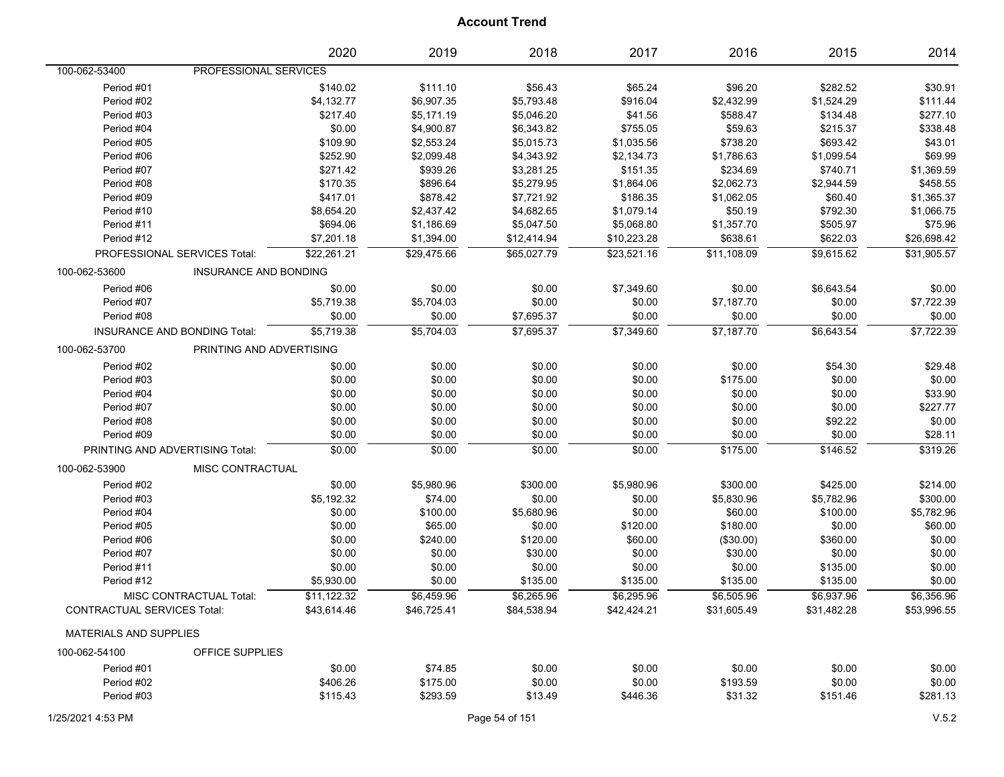|                                    |                                 | 2020        | 2019        | 2018        | 2017        | 2016        | 2015        | 2014        |
|------------------------------------|---------------------------------|-------------|-------------|-------------|-------------|-------------|-------------|-------------|
| 100-062-53400                      | PROFESSIONAL SERVICES           |             |             |             |             |             |             |             |
| Period #01                         |                                 | \$140.02    | \$111.10    | \$56.43     | \$65.24     | \$96.20     | \$282.52    | \$30.91     |
| Period #02                         |                                 | \$4,132.77  | \$6,907.35  | \$5,793.48  | \$916.04    | \$2,432.99  | \$1,524.29  | \$111.44    |
| Period #03                         |                                 | \$217.40    | \$5,171.19  | \$5,046.20  | \$41.56     | \$588.47    | \$134.48    | \$277.10    |
| Period #04                         |                                 | \$0.00      | \$4,900.87  | \$6,343.82  | \$755.05    | \$59.63     | \$215.37    | \$338.48    |
| Period #05                         |                                 | \$109.90    | \$2,553.24  | \$5,015.73  | \$1,035.56  | \$738.20    | \$693.42    | \$43.01     |
| Period #06                         |                                 | \$252.90    | \$2,099.48  | \$4,343.92  | \$2,134.73  | \$1,786.63  | \$1,099.54  | \$69.99     |
| Period #07                         |                                 | \$271.42    | \$939.26    | \$3,281.25  | \$151.35    | \$234.69    | \$740.71    | \$1,369.59  |
| Period #08                         |                                 | \$170.35    | \$896.64    | \$5,279.95  | \$1,864.06  | \$2,062.73  | \$2,944.59  | \$458.55    |
| Period #09                         |                                 | \$417.01    | \$878.42    | \$7,721.92  | \$186.35    | \$1,062.05  | \$60.40     | \$1,365.37  |
| Period #10                         |                                 | \$8,654.20  | \$2,437.42  | \$4,682.65  | \$1,079.14  | \$50.19     | \$792.30    | \$1,066.75  |
| Period #11                         |                                 | \$694.06    | \$1,186.69  | \$5,047.50  | \$5,068.80  | \$1,357.70  | \$505.97    | \$75.96     |
| Period #12                         |                                 | \$7,201.18  | \$1,394.00  | \$12,414.94 | \$10,223.28 | \$638.61    | \$622.03    | \$26,698.42 |
|                                    | PROFESSIONAL SERVICES Total:    | \$22,261.21 | \$29,475.66 | \$65,027.79 | \$23,521.16 | \$11,108.09 | \$9,615.62  | \$31,905.57 |
| 100-062-53600                      | INSURANCE AND BONDING           |             |             |             |             |             |             |             |
| Period #06                         |                                 | \$0.00      | \$0.00      | \$0.00      | \$7,349.60  | \$0.00      | \$6,643.54  | \$0.00      |
| Period #07                         |                                 | \$5,719.38  | \$5,704.03  | \$0.00      | \$0.00      | \$7,187.70  | \$0.00      | \$7,722.39  |
| Period #08                         |                                 | \$0.00      | \$0.00      | \$7,695.37  | \$0.00      | \$0.00      | \$0.00      | \$0.00      |
|                                    | INSURANCE AND BONDING Total:    | \$5,719.38  | \$5,704.03  | \$7,695.37  | \$7,349.60  | \$7,187.70  | \$6,643.54  | \$7,722.39  |
| 100-062-53700                      | PRINTING AND ADVERTISING        |             |             |             |             |             |             |             |
| Period #02                         |                                 | \$0.00      | \$0.00      | \$0.00      | \$0.00      | \$0.00      | \$54.30     | \$29.48     |
| Period #03                         |                                 | \$0.00      | \$0.00      | \$0.00      | \$0.00      | \$175.00    | \$0.00      | \$0.00      |
| Period #04                         |                                 | \$0.00      | \$0.00      | \$0.00      | \$0.00      | \$0.00      | \$0.00      | \$33.90     |
| Period #07                         |                                 | \$0.00      | \$0.00      | \$0.00      | \$0.00      | \$0.00      | \$0.00      | \$227.77    |
| Period #08                         |                                 | \$0.00      | \$0.00      | \$0.00      | \$0.00      | \$0.00      | \$92.22     | \$0.00      |
| Period #09                         |                                 | \$0.00      | \$0.00      | \$0.00      | \$0.00      | \$0.00      | \$0.00      | \$28.11     |
|                                    | PRINTING AND ADVERTISING Total: | \$0.00      | \$0.00      | \$0.00      | \$0.00      | \$175.00    | \$146.52    | \$319.26    |
| 100-062-53900                      | MISC CONTRACTUAL                |             |             |             |             |             |             |             |
| Period #02                         |                                 | \$0.00      | \$5,980.96  | \$300.00    | \$5,980.96  | \$300.00    | \$425.00    | \$214.00    |
| Period #03                         |                                 | \$5,192.32  | \$74.00     | \$0.00      | \$0.00      | \$5,830.96  | \$5,782.96  | \$300.00    |
| Period #04                         |                                 | \$0.00      | \$100.00    | \$5,680.96  | \$0.00      | \$60.00     | \$100.00    | \$5,782.96  |
| Period #05                         |                                 | \$0.00      | \$65.00     | \$0.00      | \$120.00    | \$180.00    | \$0.00      | \$60.00     |
| Period #06                         |                                 | \$0.00      | \$240.00    | \$120.00    | \$60.00     | $(\$30.00)$ | \$360.00    | \$0.00      |
| Period #07                         |                                 | \$0.00      | \$0.00      | \$30.00     | \$0.00      | \$30.00     | \$0.00      | \$0.00      |
| Period #11                         |                                 | \$0.00      | \$0.00      | \$0.00      | \$0.00      | \$0.00      | \$135.00    | \$0.00      |
| Period #12                         |                                 | \$5,930.00  | \$0.00      | \$135.00    | \$135.00    | \$135.00    | \$135.00    | \$0.00      |
|                                    | MISC CONTRACTUAL Total:         | \$11,122.32 | \$6,459.96  | \$6.265.96  | \$6,295.96  | \$6.505.96  | \$6,937.96  | \$6,356.96  |
| <b>CONTRACTUAL SERVICES Total:</b> |                                 | \$43,614.46 | \$46,725.41 | \$84,538.94 | \$42,424.21 | \$31,605.49 | \$31,482.28 | \$53,996.55 |
| <b>MATERIALS AND SUPPLIES</b>      |                                 |             |             |             |             |             |             |             |
| 100-062-54100                      | OFFICE SUPPLIES                 |             |             |             |             |             |             |             |
| Period #01                         |                                 | \$0.00      | \$74.85     | \$0.00      | \$0.00      | \$0.00      | \$0.00      | \$0.00      |
| Period #02                         |                                 | \$406.26    | \$175.00    | \$0.00      | \$0.00      | \$193.59    | \$0.00      | \$0.00      |
| Period #03                         |                                 | \$115.43    | \$293.59    | \$13.49     | \$446.36    | \$31.32     | \$151.46    | \$281.13    |
|                                    |                                 |             |             |             |             |             |             |             |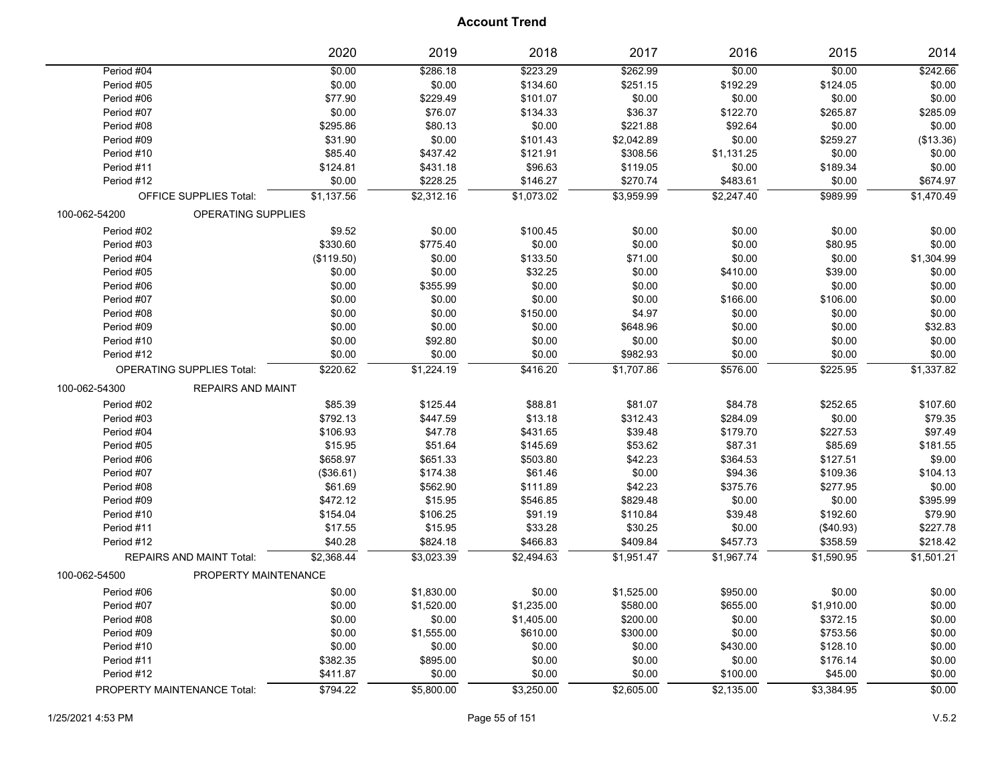|                                            | 2020       | 2019       | 2018       | 2017       | 2016       | 2015       | 2014       |
|--------------------------------------------|------------|------------|------------|------------|------------|------------|------------|
| Period #04                                 | \$0.00     | \$286.18   | \$223.29   | 3262.99    | \$0.00     | \$0.00     | \$242.66   |
| Period #05                                 | \$0.00     | \$0.00     | \$134.60   | \$251.15   | \$192.29   | \$124.05   | \$0.00     |
| Period #06                                 | \$77.90    | \$229.49   | \$101.07   | \$0.00     | \$0.00     | \$0.00     | \$0.00     |
| Period #07                                 | \$0.00     | \$76.07    | \$134.33   | \$36.37    | \$122.70   | \$265.87   | \$285.09   |
| Period #08                                 | \$295.86   | \$80.13    | \$0.00     | \$221.88   | \$92.64    | \$0.00     | \$0.00     |
| Period #09                                 | \$31.90    | \$0.00     | \$101.43   | \$2,042.89 | \$0.00     | \$259.27   | (\$13.36)  |
| Period #10                                 | \$85.40    | \$437.42   | \$121.91   | \$308.56   | \$1,131.25 | \$0.00     | \$0.00     |
| Period #11                                 | \$124.81   | \$431.18   | \$96.63    | \$119.05   | \$0.00     | \$189.34   | \$0.00     |
| Period #12                                 | \$0.00     | \$228.25   | \$146.27   | \$270.74   | \$483.61   | \$0.00     | \$674.97   |
| <b>OFFICE SUPPLIES Total:</b>              | \$1,137.56 | \$2,312.16 | \$1,073.02 | \$3,959.99 | \$2,247.40 | \$989.99   | \$1,470.49 |
| <b>OPERATING SUPPLIES</b><br>100-062-54200 |            |            |            |            |            |            |            |
| Period #02                                 | \$9.52     | \$0.00     | \$100.45   | \$0.00     | \$0.00     | \$0.00     | \$0.00     |
| Period #03                                 | \$330.60   | \$775.40   | \$0.00     | \$0.00     | \$0.00     | \$80.95    | \$0.00     |
| Period #04                                 | (\$119.50) | \$0.00     | \$133.50   | \$71.00    | \$0.00     | \$0.00     | \$1,304.99 |
| Period #05                                 | \$0.00     | \$0.00     | \$32.25    | \$0.00     | \$410.00   | \$39.00    | \$0.00     |
| Period #06                                 | \$0.00     | \$355.99   | \$0.00     | \$0.00     | \$0.00     | \$0.00     | \$0.00     |
| Period #07                                 | \$0.00     | \$0.00     | \$0.00     | \$0.00     | \$166.00   | \$106.00   | \$0.00     |
| Period #08                                 | \$0.00     | \$0.00     | \$150.00   | \$4.97     | \$0.00     | \$0.00     | \$0.00     |
| Period #09                                 | \$0.00     | \$0.00     | \$0.00     | \$648.96   | \$0.00     | \$0.00     | \$32.83    |
| Period #10                                 | \$0.00     | \$92.80    | \$0.00     | \$0.00     | \$0.00     | \$0.00     | \$0.00     |
| Period #12                                 | \$0.00     | \$0.00     | \$0.00     | \$982.93   | \$0.00     | \$0.00     | \$0.00     |
| <b>OPERATING SUPPLIES Total:</b>           | \$220.62   | \$1,224.19 | \$416.20   | \$1,707.86 | \$576.00   | \$225.95   | \$1,337.82 |
| <b>REPAIRS AND MAINT</b><br>100-062-54300  |            |            |            |            |            |            |            |
| Period #02                                 | \$85.39    | \$125.44   | \$88.81    | \$81.07    | \$84.78    | \$252.65   | \$107.60   |
| Period #03                                 | \$792.13   | \$447.59   | \$13.18    | \$312.43   | \$284.09   | \$0.00     | \$79.35    |
| Period #04                                 | \$106.93   | \$47.78    | \$431.65   | \$39.48    | \$179.70   | \$227.53   | \$97.49    |
| Period #05                                 | \$15.95    | \$51.64    | \$145.69   | \$53.62    | \$87.31    | \$85.69    | \$181.55   |
| Period #06                                 | \$658.97   | \$651.33   | \$503.80   | \$42.23    | \$364.53   | \$127.51   | \$9.00     |
| Period #07                                 | (\$36.61)  | \$174.38   | \$61.46    | \$0.00     | \$94.36    | \$109.36   | \$104.13   |
| Period #08                                 | \$61.69    | \$562.90   | \$111.89   | \$42.23    | \$375.76   | \$277.95   | \$0.00     |
| Period #09                                 | \$472.12   | \$15.95    | \$546.85   | \$829.48   | \$0.00     | \$0.00     | \$395.99   |
| Period #10                                 | \$154.04   | \$106.25   | \$91.19    | \$110.84   | \$39.48    | \$192.60   | \$79.90    |
| Period #11                                 | \$17.55    | \$15.95    | \$33.28    | \$30.25    | \$0.00     | (\$40.93)  | \$227.78   |
| Period #12                                 | \$40.28    | \$824.18   | \$466.83   | \$409.84   | \$457.73   | \$358.59   | \$218.42   |
| <b>REPAIRS AND MAINT Total:</b>            | \$2,368.44 | \$3,023.39 | \$2,494.63 | \$1,951.47 | \$1,967.74 | \$1,590.95 | \$1,501.21 |
| PROPERTY MAINTENANCE<br>100-062-54500      |            |            |            |            |            |            |            |
| Period #06                                 | \$0.00     | \$1,830.00 | \$0.00     | \$1,525.00 | \$950.00   | \$0.00     | \$0.00     |
| Period #07                                 | \$0.00     | \$1,520.00 | \$1,235.00 | \$580.00   | \$655.00   | \$1,910.00 | \$0.00     |
| Period #08                                 | \$0.00     | \$0.00     | \$1,405.00 | \$200.00   | \$0.00     | \$372.15   | \$0.00     |
| Period #09                                 | \$0.00     | \$1,555.00 | \$610.00   | \$300.00   | \$0.00     | \$753.56   | \$0.00     |
| Period #10                                 | \$0.00     | \$0.00     | \$0.00     | \$0.00     | \$430.00   | \$128.10   | \$0.00     |
| Period #11                                 | \$382.35   | \$895.00   | \$0.00     | \$0.00     | \$0.00     | \$176.14   | \$0.00     |
| Period #12                                 | \$411.87   | \$0.00     | \$0.00     | \$0.00     | \$100.00   | \$45.00    | \$0.00     |
| PROPERTY MAINTENANCE Total:                | \$794.22   | \$5,800.00 | \$3,250.00 | \$2,605.00 | \$2,135.00 | \$3,384.95 | \$0.00     |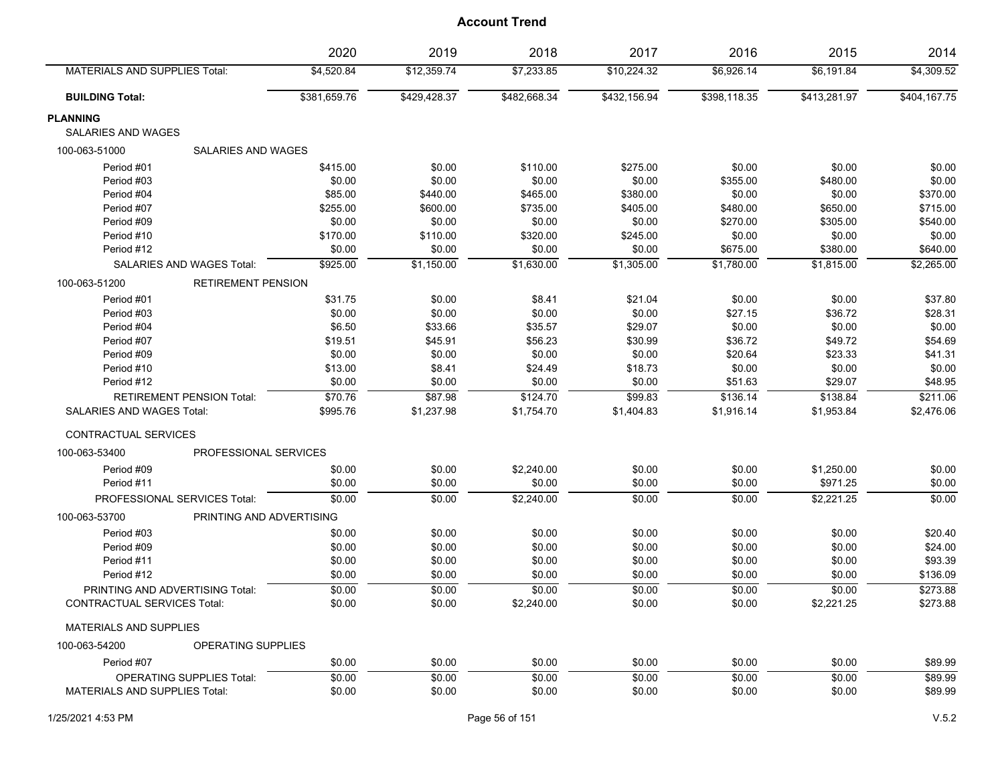|                                            | 2020         | 2019         | 2018         | 2017         | 2016         | 2015         | 2014         |
|--------------------------------------------|--------------|--------------|--------------|--------------|--------------|--------------|--------------|
| <b>MATERIALS AND SUPPLIES Total:</b>       | \$4,520.84   | \$12,359.74  | \$7,233.85   | \$10,224.32  | \$6,926.14   | \$6,191.84   | \$4,309.52   |
| <b>BUILDING Total:</b>                     | \$381,659.76 | \$429,428.37 | \$482,668.34 | \$432,156.94 | \$398,118.35 | \$413,281.97 | \$404,167.75 |
| <b>PLANNING</b>                            |              |              |              |              |              |              |              |
| <b>SALARIES AND WAGES</b>                  |              |              |              |              |              |              |              |
| 100-063-51000<br><b>SALARIES AND WAGES</b> |              |              |              |              |              |              |              |
| Period #01                                 | \$415.00     | \$0.00       | \$110.00     | \$275.00     | \$0.00       | \$0.00       | \$0.00       |
| Period #03                                 | \$0.00       | \$0.00       | \$0.00       | \$0.00       | \$355.00     | \$480.00     | \$0.00       |
| Period #04                                 | \$85.00      | \$440.00     | \$465.00     | \$380.00     | \$0.00       | \$0.00       | \$370.00     |
| Period #07                                 | \$255.00     | \$600.00     | \$735.00     | \$405.00     | \$480.00     | \$650.00     | \$715.00     |
| Period #09                                 | \$0.00       | \$0.00       | \$0.00       | \$0.00       | \$270.00     | \$305.00     | \$540.00     |
| Period #10                                 | \$170.00     | \$110.00     | \$320.00     | \$245.00     | \$0.00       | \$0.00       | \$0.00       |
| Period #12                                 | \$0.00       | \$0.00       | \$0.00       | \$0.00       | \$675.00     | \$380.00     | \$640.00     |
| <b>SALARIES AND WAGES Total:</b>           | \$925.00     | \$1.150.00   | \$1.630.00   | \$1.305.00   | \$1.780.00   | \$1.815.00   | \$2,265.00   |
| 100-063-51200<br><b>RETIREMENT PENSION</b> |              |              |              |              |              |              |              |
| Period #01                                 | \$31.75      | \$0.00       | \$8.41       | \$21.04      | \$0.00       | \$0.00       | \$37.80      |
| Period #03                                 | \$0.00       | \$0.00       | \$0.00       | \$0.00       | \$27.15      | \$36.72      | \$28.31      |
| Period #04                                 | \$6.50       | \$33.66      | \$35.57      | \$29.07      | \$0.00       | \$0.00       | \$0.00       |
| Period #07                                 | \$19.51      | \$45.91      | \$56.23      | \$30.99      | \$36.72      | \$49.72      | \$54.69      |
| Period #09                                 | \$0.00       | \$0.00       | \$0.00       | \$0.00       | \$20.64      | \$23.33      | \$41.31      |
| Period #10                                 | \$13.00      | \$8.41       | \$24.49      | \$18.73      | \$0.00       | \$0.00       | \$0.00       |
| Period #12                                 | \$0.00       | \$0.00       | \$0.00       | \$0.00       | \$51.63      | \$29.07      | \$48.95      |
| <b>RETIREMENT PENSION Total:</b>           | \$70.76      | \$87.98      | \$124.70     | \$99.83      | \$136.14     | \$138.84     | \$211.06     |
| SALARIES AND WAGES Total:                  | \$995.76     | \$1,237.98   | \$1,754.70   | \$1,404.83   | \$1,916.14   | \$1,953.84   | \$2,476.06   |
| <b>CONTRACTUAL SERVICES</b>                |              |              |              |              |              |              |              |
| PROFESSIONAL SERVICES<br>100-063-53400     |              |              |              |              |              |              |              |
| Period #09                                 | \$0.00       | \$0.00       | \$2,240.00   | \$0.00       | \$0.00       | \$1.250.00   | \$0.00       |
| Period #11                                 | \$0.00       | \$0.00       | \$0.00       | \$0.00       | \$0.00       | \$971.25     | \$0.00       |
| PROFESSIONAL SERVICES Total:               | \$0.00       | \$0.00       | \$2,240.00   | \$0.00       | \$0.00       | \$2,221.25   | \$0.00       |
| 100-063-53700<br>PRINTING AND ADVERTISING  |              |              |              |              |              |              |              |
| Period #03                                 | \$0.00       | \$0.00       | \$0.00       | \$0.00       | \$0.00       | \$0.00       | \$20.40      |
| Period #09                                 | \$0.00       | \$0.00       | \$0.00       | \$0.00       | \$0.00       | \$0.00       | \$24.00      |
| Period #11                                 | \$0.00       | \$0.00       | \$0.00       | \$0.00       | \$0.00       | \$0.00       | \$93.39      |
| Period #12                                 | \$0.00       | \$0.00       | \$0.00       | \$0.00       | \$0.00       | \$0.00       | \$136.09     |
| PRINTING AND ADVERTISING Total:            | \$0.00       | \$0.00       | \$0.00       | \$0.00       | \$0.00       | \$0.00       | \$273.88     |
| <b>CONTRACTUAL SERVICES Total:</b>         | \$0.00       | \$0.00       | \$2,240.00   | \$0.00       | \$0.00       | \$2,221.25   | \$273.88     |
| <b>MATERIALS AND SUPPLIES</b>              |              |              |              |              |              |              |              |
| OPERATING SUPPLIES<br>100-063-54200        |              |              |              |              |              |              |              |
| Period #07                                 | \$0.00       | \$0.00       | \$0.00       | \$0.00       | \$0.00       | \$0.00       | \$89.99      |
| <b>OPERATING SUPPLIES Total:</b>           | \$0.00       | \$0.00       | \$0.00       | \$0.00       | \$0.00       | \$0.00       | \$89.99      |
| <b>MATERIALS AND SUPPLIES Total:</b>       | \$0.00       | \$0.00       | \$0.00       | \$0.00       | \$0.00       | \$0.00       | \$89.99      |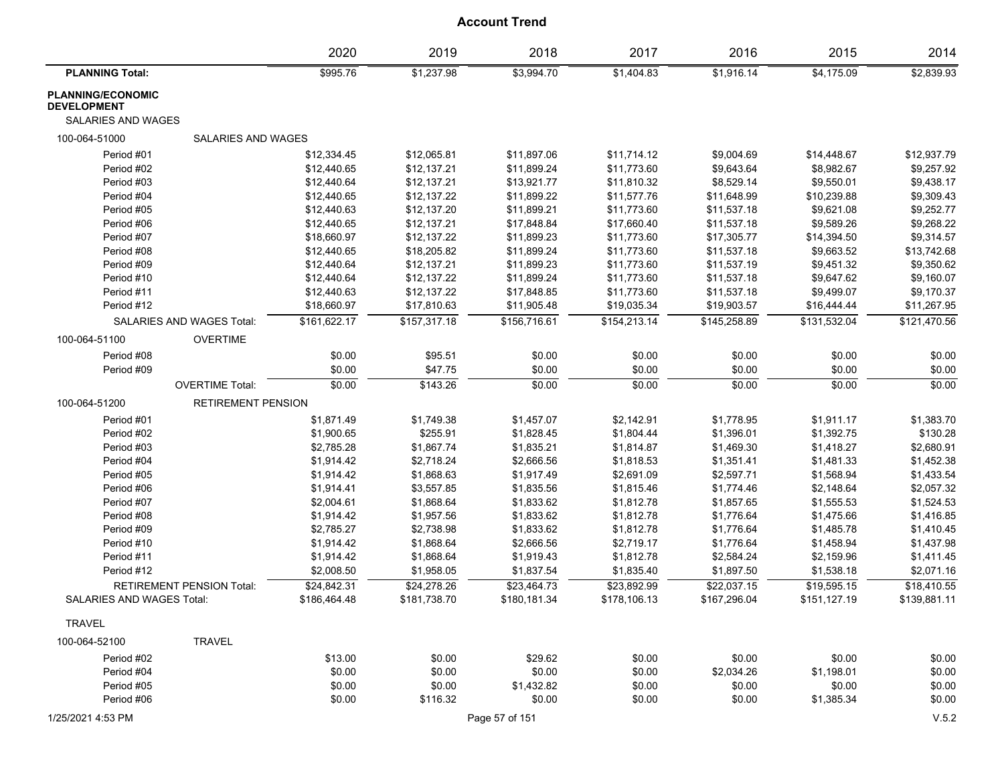| \$995.76<br>\$3,994.70<br>\$4,175.09<br>\$2,839.93<br><b>PLANNING Total:</b><br>\$1,237.98<br>\$1,404.83<br>\$1,916.14<br><b>PLANNING/ECONOMIC</b><br><b>DEVELOPMENT</b><br><b>SALARIES AND WAGES</b><br>100-064-51000<br>SALARIES AND WAGES<br>\$11,897.06<br>\$11,714.12<br>\$9,004.69<br>\$12,937.79<br>Period #01<br>\$12,334.45<br>\$12,065.81<br>\$14,448.67<br>Period #02<br>\$12,137.21<br>\$11,899.24<br>\$9,643.64<br>\$8,982.67<br>\$9,257.92<br>\$12,440.65<br>\$11,773.60<br>\$11,810.32<br>\$8,529.14<br>\$9,550.01<br>\$9,438.17<br>Period #03<br>\$12,440.64<br>\$12,137.21<br>\$13,921.77<br>Period #04<br>\$11,648.99<br>\$10,239.88<br>\$9,309.43<br>\$12,440.65<br>\$12,137.22<br>\$11,899.22<br>\$11,577.76<br>\$11,899.21<br>\$11,773.60<br>\$11,537.18<br>\$9,621.08<br>\$9,252.77<br>Period #05<br>\$12,440.63<br>\$12,137.20<br>\$9,268.22<br>Period #06<br>\$12,137.21<br>\$17,848.84<br>\$17,660.40<br>\$11,537.18<br>\$9,589.26<br>\$12,440.65<br>\$11,773.60<br>\$9,314.57<br>Period #07<br>\$18,660.97<br>\$12,137.22<br>\$11,899.23<br>\$17,305.77<br>\$14,394.50<br>\$11,773.60<br>\$9,663.52<br>\$13,742.68<br>Period #08<br>\$12,440.65<br>\$18,205.82<br>\$11,899.24<br>\$11,537.18<br>Period #09<br>\$11,899.23<br>\$11,773.60<br>\$9,350.62<br>\$12,440.64<br>\$12,137.21<br>\$11,537.19<br>\$9,451.32<br>Period #10<br>\$11,899.24<br>\$11,773.60<br>\$11,537.18<br>\$9,647.62<br>\$9,160.07<br>\$12,440.64<br>\$12,137.22<br>\$9,170.37<br>Period #11<br>\$12,137.22<br>\$17,848.85<br>\$11,773.60<br>\$11,537.18<br>\$9,499.07<br>\$12,440.63<br>\$11,267.95<br>Period #12<br>\$18,660.97<br>\$17,810.63<br>\$11,905.48<br>\$19,035.34<br>\$19,903.57<br>\$16,444.44<br>\$161,622.17<br>\$157,317.18<br>\$154,213.14<br>\$145,258.89<br>SALARIES AND WAGES Total:<br>\$156,716.61<br>\$131,532.04<br>\$121,470.56<br><b>OVERTIME</b><br>100-064-51100<br>Period #08<br>\$0.00<br>\$95.51<br>\$0.00<br>\$0.00<br>\$0.00<br>\$0.00<br>\$0.00<br>Period #09<br>\$0.00<br>\$47.75<br>\$0.00<br>\$0.00<br>\$0.00<br>\$0.00<br>\$0.00<br>\$0.00<br>\$143.26<br>\$0.00<br>\$0.00<br>\$0.00<br>\$0.00<br>\$0.00<br><b>OVERTIME Total:</b><br><b>RETIREMENT PENSION</b><br>100-064-51200<br>\$1,457.07<br>\$2,142.91<br>Period #01<br>\$1,871.49<br>\$1,749.38<br>\$1,778.95<br>\$1,911.17<br>\$1,383.70<br>\$255.91<br>\$1,828.45<br>\$1,804.44<br>Period #02<br>\$1,900.65<br>\$1,396.01<br>\$1,392.75<br>\$130.28<br>\$1,867.74<br>\$1,835.21<br>\$1,469.30<br>\$2,680.91<br>Period #03<br>\$2,785.28<br>\$1,814.87<br>\$1,418.27<br>Period #04<br>\$2,718.24<br>\$2,666.56<br>\$1,818.53<br>\$1,452.38<br>\$1,914.42<br>\$1,351.41<br>\$1,481.33<br>\$1,917.49<br>Period #05<br>\$1,868.63<br>\$2,691.09<br>\$2,597.71<br>\$1,568.94<br>\$1,433.54<br>\$1,914.42<br>\$3,557.85<br>\$1,835.56<br>\$2,057.32<br>Period #06<br>\$1,914.41<br>\$1,815.46<br>\$1,774.46<br>\$2,148.64<br>\$1,868.64<br>\$1,833.62<br>\$1,812.78<br>\$1,524.53<br>Period #07<br>\$2,004.61<br>\$1,857.65<br>\$1,555.53<br>\$1,957.56<br>\$1,833.62<br>\$1,812.78<br>\$1,416.85<br>Period #08<br>\$1,914.42<br>\$1,776.64<br>\$1,475.66<br>\$2,785.27<br>\$2,738.98<br>\$1,833.62<br>\$1,812.78<br>\$1,410.45<br>Period #09<br>\$1,776.64<br>\$1,485.78<br>\$1,868.64<br>\$2,666.56<br>\$2,719.17<br>\$1,776.64<br>\$1,437.98<br>Period #10<br>\$1,914.42<br>\$1,458.94<br>Period #11<br>\$1,868.64<br>\$1,919.43<br>\$1,812.78<br>\$1,411.45<br>\$1,914.42<br>\$2,584.24<br>\$2,159.96<br>\$2,071.16<br>Period #12<br>\$2,008.50<br>\$1,958.05<br>\$1,837.54<br>\$1,835.40<br>\$1,897.50<br>\$1,538.18<br><b>RETIREMENT PENSION Total:</b><br>\$24,842.31<br>\$24,278.26<br>\$23,464.73<br>\$23,892.99<br>\$22,037.15<br>\$19,595.15<br>\$18,410.55<br><b>SALARIES AND WAGES Total:</b><br>\$186,464.48<br>\$181,738.70<br>\$180,181.34<br>\$178,106.13<br>\$167,296.04<br>\$151,127.19<br>\$139,881.11<br><b>TRAVEL</b><br>100-064-52100<br><b>TRAVEL</b><br>\$29.62<br>\$0.00<br>\$0.00<br>\$0.00<br>Period #02<br>\$13.00<br>\$0.00<br>\$0.00<br>Period #04<br>\$0.00<br>\$0.00<br>\$0.00<br>\$0.00<br>\$2,034.26<br>\$1,198.01<br>\$0.00<br>Period #05<br>\$0.00<br>\$0.00<br>\$1,432.82<br>\$0.00<br>\$0.00<br>\$0.00<br>\$0.00<br>\$0.00<br>Period #06<br>\$116.32<br>\$0.00<br>\$0.00<br>\$0.00<br>\$1,385.34<br>\$0.00<br>Page 57 of 151<br>V.5.2<br>1/25/2021 4:53 PM |  | 2020 | 2019 | 2018 | 2017 | 2016 | 2015 | 2014 |
|---------------------------------------------------------------------------------------------------------------------------------------------------------------------------------------------------------------------------------------------------------------------------------------------------------------------------------------------------------------------------------------------------------------------------------------------------------------------------------------------------------------------------------------------------------------------------------------------------------------------------------------------------------------------------------------------------------------------------------------------------------------------------------------------------------------------------------------------------------------------------------------------------------------------------------------------------------------------------------------------------------------------------------------------------------------------------------------------------------------------------------------------------------------------------------------------------------------------------------------------------------------------------------------------------------------------------------------------------------------------------------------------------------------------------------------------------------------------------------------------------------------------------------------------------------------------------------------------------------------------------------------------------------------------------------------------------------------------------------------------------------------------------------------------------------------------------------------------------------------------------------------------------------------------------------------------------------------------------------------------------------------------------------------------------------------------------------------------------------------------------------------------------------------------------------------------------------------------------------------------------------------------------------------------------------------------------------------------------------------------------------------------------------------------------------------------------------------------------------------------------------------------------------------------------------------------------------------------------------------------------------------------------------------------------------------------------------------------------------------------------------------------------------------------------------------------------------------------------------------------------------------------------------------------------------------------------------------------------------------------------------------------------------------------------------------------------------------------------------------------------------------------------------------------------------------------------------------------------------------------------------------------------------------------------------------------------------------------------------------------------------------------------------------------------------------------------------------------------------------------------------------------------------------------------------------------------------------------------------------------------------------------------------------------------------------------------------------------------------------------------------------------------------------------------------------------------------------------------------------------------------------------------------------------------------------------------------------------------------------------------------------------------------------------------------------------------------------------------------------------------------------------------------------------------------------------------------------------------------------------------------------------------------------------------------------------------------------------------------------------------------------------|--|------|------|------|------|------|------|------|
|                                                                                                                                                                                                                                                                                                                                                                                                                                                                                                                                                                                                                                                                                                                                                                                                                                                                                                                                                                                                                                                                                                                                                                                                                                                                                                                                                                                                                                                                                                                                                                                                                                                                                                                                                                                                                                                                                                                                                                                                                                                                                                                                                                                                                                                                                                                                                                                                                                                                                                                                                                                                                                                                                                                                                                                                                                                                                                                                                                                                                                                                                                                                                                                                                                                                                                                                                                                                                                                                                                                                                                                                                                                                                                                                                                                                                                                                                                                                                                                                                                                                                                                                                                                                                                                                                                                                                                                             |  |      |      |      |      |      |      |      |
|                                                                                                                                                                                                                                                                                                                                                                                                                                                                                                                                                                                                                                                                                                                                                                                                                                                                                                                                                                                                                                                                                                                                                                                                                                                                                                                                                                                                                                                                                                                                                                                                                                                                                                                                                                                                                                                                                                                                                                                                                                                                                                                                                                                                                                                                                                                                                                                                                                                                                                                                                                                                                                                                                                                                                                                                                                                                                                                                                                                                                                                                                                                                                                                                                                                                                                                                                                                                                                                                                                                                                                                                                                                                                                                                                                                                                                                                                                                                                                                                                                                                                                                                                                                                                                                                                                                                                                                             |  |      |      |      |      |      |      |      |
|                                                                                                                                                                                                                                                                                                                                                                                                                                                                                                                                                                                                                                                                                                                                                                                                                                                                                                                                                                                                                                                                                                                                                                                                                                                                                                                                                                                                                                                                                                                                                                                                                                                                                                                                                                                                                                                                                                                                                                                                                                                                                                                                                                                                                                                                                                                                                                                                                                                                                                                                                                                                                                                                                                                                                                                                                                                                                                                                                                                                                                                                                                                                                                                                                                                                                                                                                                                                                                                                                                                                                                                                                                                                                                                                                                                                                                                                                                                                                                                                                                                                                                                                                                                                                                                                                                                                                                                             |  |      |      |      |      |      |      |      |
|                                                                                                                                                                                                                                                                                                                                                                                                                                                                                                                                                                                                                                                                                                                                                                                                                                                                                                                                                                                                                                                                                                                                                                                                                                                                                                                                                                                                                                                                                                                                                                                                                                                                                                                                                                                                                                                                                                                                                                                                                                                                                                                                                                                                                                                                                                                                                                                                                                                                                                                                                                                                                                                                                                                                                                                                                                                                                                                                                                                                                                                                                                                                                                                                                                                                                                                                                                                                                                                                                                                                                                                                                                                                                                                                                                                                                                                                                                                                                                                                                                                                                                                                                                                                                                                                                                                                                                                             |  |      |      |      |      |      |      |      |
|                                                                                                                                                                                                                                                                                                                                                                                                                                                                                                                                                                                                                                                                                                                                                                                                                                                                                                                                                                                                                                                                                                                                                                                                                                                                                                                                                                                                                                                                                                                                                                                                                                                                                                                                                                                                                                                                                                                                                                                                                                                                                                                                                                                                                                                                                                                                                                                                                                                                                                                                                                                                                                                                                                                                                                                                                                                                                                                                                                                                                                                                                                                                                                                                                                                                                                                                                                                                                                                                                                                                                                                                                                                                                                                                                                                                                                                                                                                                                                                                                                                                                                                                                                                                                                                                                                                                                                                             |  |      |      |      |      |      |      |      |
|                                                                                                                                                                                                                                                                                                                                                                                                                                                                                                                                                                                                                                                                                                                                                                                                                                                                                                                                                                                                                                                                                                                                                                                                                                                                                                                                                                                                                                                                                                                                                                                                                                                                                                                                                                                                                                                                                                                                                                                                                                                                                                                                                                                                                                                                                                                                                                                                                                                                                                                                                                                                                                                                                                                                                                                                                                                                                                                                                                                                                                                                                                                                                                                                                                                                                                                                                                                                                                                                                                                                                                                                                                                                                                                                                                                                                                                                                                                                                                                                                                                                                                                                                                                                                                                                                                                                                                                             |  |      |      |      |      |      |      |      |
|                                                                                                                                                                                                                                                                                                                                                                                                                                                                                                                                                                                                                                                                                                                                                                                                                                                                                                                                                                                                                                                                                                                                                                                                                                                                                                                                                                                                                                                                                                                                                                                                                                                                                                                                                                                                                                                                                                                                                                                                                                                                                                                                                                                                                                                                                                                                                                                                                                                                                                                                                                                                                                                                                                                                                                                                                                                                                                                                                                                                                                                                                                                                                                                                                                                                                                                                                                                                                                                                                                                                                                                                                                                                                                                                                                                                                                                                                                                                                                                                                                                                                                                                                                                                                                                                                                                                                                                             |  |      |      |      |      |      |      |      |
|                                                                                                                                                                                                                                                                                                                                                                                                                                                                                                                                                                                                                                                                                                                                                                                                                                                                                                                                                                                                                                                                                                                                                                                                                                                                                                                                                                                                                                                                                                                                                                                                                                                                                                                                                                                                                                                                                                                                                                                                                                                                                                                                                                                                                                                                                                                                                                                                                                                                                                                                                                                                                                                                                                                                                                                                                                                                                                                                                                                                                                                                                                                                                                                                                                                                                                                                                                                                                                                                                                                                                                                                                                                                                                                                                                                                                                                                                                                                                                                                                                                                                                                                                                                                                                                                                                                                                                                             |  |      |      |      |      |      |      |      |
|                                                                                                                                                                                                                                                                                                                                                                                                                                                                                                                                                                                                                                                                                                                                                                                                                                                                                                                                                                                                                                                                                                                                                                                                                                                                                                                                                                                                                                                                                                                                                                                                                                                                                                                                                                                                                                                                                                                                                                                                                                                                                                                                                                                                                                                                                                                                                                                                                                                                                                                                                                                                                                                                                                                                                                                                                                                                                                                                                                                                                                                                                                                                                                                                                                                                                                                                                                                                                                                                                                                                                                                                                                                                                                                                                                                                                                                                                                                                                                                                                                                                                                                                                                                                                                                                                                                                                                                             |  |      |      |      |      |      |      |      |
|                                                                                                                                                                                                                                                                                                                                                                                                                                                                                                                                                                                                                                                                                                                                                                                                                                                                                                                                                                                                                                                                                                                                                                                                                                                                                                                                                                                                                                                                                                                                                                                                                                                                                                                                                                                                                                                                                                                                                                                                                                                                                                                                                                                                                                                                                                                                                                                                                                                                                                                                                                                                                                                                                                                                                                                                                                                                                                                                                                                                                                                                                                                                                                                                                                                                                                                                                                                                                                                                                                                                                                                                                                                                                                                                                                                                                                                                                                                                                                                                                                                                                                                                                                                                                                                                                                                                                                                             |  |      |      |      |      |      |      |      |
|                                                                                                                                                                                                                                                                                                                                                                                                                                                                                                                                                                                                                                                                                                                                                                                                                                                                                                                                                                                                                                                                                                                                                                                                                                                                                                                                                                                                                                                                                                                                                                                                                                                                                                                                                                                                                                                                                                                                                                                                                                                                                                                                                                                                                                                                                                                                                                                                                                                                                                                                                                                                                                                                                                                                                                                                                                                                                                                                                                                                                                                                                                                                                                                                                                                                                                                                                                                                                                                                                                                                                                                                                                                                                                                                                                                                                                                                                                                                                                                                                                                                                                                                                                                                                                                                                                                                                                                             |  |      |      |      |      |      |      |      |
|                                                                                                                                                                                                                                                                                                                                                                                                                                                                                                                                                                                                                                                                                                                                                                                                                                                                                                                                                                                                                                                                                                                                                                                                                                                                                                                                                                                                                                                                                                                                                                                                                                                                                                                                                                                                                                                                                                                                                                                                                                                                                                                                                                                                                                                                                                                                                                                                                                                                                                                                                                                                                                                                                                                                                                                                                                                                                                                                                                                                                                                                                                                                                                                                                                                                                                                                                                                                                                                                                                                                                                                                                                                                                                                                                                                                                                                                                                                                                                                                                                                                                                                                                                                                                                                                                                                                                                                             |  |      |      |      |      |      |      |      |
|                                                                                                                                                                                                                                                                                                                                                                                                                                                                                                                                                                                                                                                                                                                                                                                                                                                                                                                                                                                                                                                                                                                                                                                                                                                                                                                                                                                                                                                                                                                                                                                                                                                                                                                                                                                                                                                                                                                                                                                                                                                                                                                                                                                                                                                                                                                                                                                                                                                                                                                                                                                                                                                                                                                                                                                                                                                                                                                                                                                                                                                                                                                                                                                                                                                                                                                                                                                                                                                                                                                                                                                                                                                                                                                                                                                                                                                                                                                                                                                                                                                                                                                                                                                                                                                                                                                                                                                             |  |      |      |      |      |      |      |      |
|                                                                                                                                                                                                                                                                                                                                                                                                                                                                                                                                                                                                                                                                                                                                                                                                                                                                                                                                                                                                                                                                                                                                                                                                                                                                                                                                                                                                                                                                                                                                                                                                                                                                                                                                                                                                                                                                                                                                                                                                                                                                                                                                                                                                                                                                                                                                                                                                                                                                                                                                                                                                                                                                                                                                                                                                                                                                                                                                                                                                                                                                                                                                                                                                                                                                                                                                                                                                                                                                                                                                                                                                                                                                                                                                                                                                                                                                                                                                                                                                                                                                                                                                                                                                                                                                                                                                                                                             |  |      |      |      |      |      |      |      |
|                                                                                                                                                                                                                                                                                                                                                                                                                                                                                                                                                                                                                                                                                                                                                                                                                                                                                                                                                                                                                                                                                                                                                                                                                                                                                                                                                                                                                                                                                                                                                                                                                                                                                                                                                                                                                                                                                                                                                                                                                                                                                                                                                                                                                                                                                                                                                                                                                                                                                                                                                                                                                                                                                                                                                                                                                                                                                                                                                                                                                                                                                                                                                                                                                                                                                                                                                                                                                                                                                                                                                                                                                                                                                                                                                                                                                                                                                                                                                                                                                                                                                                                                                                                                                                                                                                                                                                                             |  |      |      |      |      |      |      |      |
|                                                                                                                                                                                                                                                                                                                                                                                                                                                                                                                                                                                                                                                                                                                                                                                                                                                                                                                                                                                                                                                                                                                                                                                                                                                                                                                                                                                                                                                                                                                                                                                                                                                                                                                                                                                                                                                                                                                                                                                                                                                                                                                                                                                                                                                                                                                                                                                                                                                                                                                                                                                                                                                                                                                                                                                                                                                                                                                                                                                                                                                                                                                                                                                                                                                                                                                                                                                                                                                                                                                                                                                                                                                                                                                                                                                                                                                                                                                                                                                                                                                                                                                                                                                                                                                                                                                                                                                             |  |      |      |      |      |      |      |      |
|                                                                                                                                                                                                                                                                                                                                                                                                                                                                                                                                                                                                                                                                                                                                                                                                                                                                                                                                                                                                                                                                                                                                                                                                                                                                                                                                                                                                                                                                                                                                                                                                                                                                                                                                                                                                                                                                                                                                                                                                                                                                                                                                                                                                                                                                                                                                                                                                                                                                                                                                                                                                                                                                                                                                                                                                                                                                                                                                                                                                                                                                                                                                                                                                                                                                                                                                                                                                                                                                                                                                                                                                                                                                                                                                                                                                                                                                                                                                                                                                                                                                                                                                                                                                                                                                                                                                                                                             |  |      |      |      |      |      |      |      |
|                                                                                                                                                                                                                                                                                                                                                                                                                                                                                                                                                                                                                                                                                                                                                                                                                                                                                                                                                                                                                                                                                                                                                                                                                                                                                                                                                                                                                                                                                                                                                                                                                                                                                                                                                                                                                                                                                                                                                                                                                                                                                                                                                                                                                                                                                                                                                                                                                                                                                                                                                                                                                                                                                                                                                                                                                                                                                                                                                                                                                                                                                                                                                                                                                                                                                                                                                                                                                                                                                                                                                                                                                                                                                                                                                                                                                                                                                                                                                                                                                                                                                                                                                                                                                                                                                                                                                                                             |  |      |      |      |      |      |      |      |
|                                                                                                                                                                                                                                                                                                                                                                                                                                                                                                                                                                                                                                                                                                                                                                                                                                                                                                                                                                                                                                                                                                                                                                                                                                                                                                                                                                                                                                                                                                                                                                                                                                                                                                                                                                                                                                                                                                                                                                                                                                                                                                                                                                                                                                                                                                                                                                                                                                                                                                                                                                                                                                                                                                                                                                                                                                                                                                                                                                                                                                                                                                                                                                                                                                                                                                                                                                                                                                                                                                                                                                                                                                                                                                                                                                                                                                                                                                                                                                                                                                                                                                                                                                                                                                                                                                                                                                                             |  |      |      |      |      |      |      |      |
|                                                                                                                                                                                                                                                                                                                                                                                                                                                                                                                                                                                                                                                                                                                                                                                                                                                                                                                                                                                                                                                                                                                                                                                                                                                                                                                                                                                                                                                                                                                                                                                                                                                                                                                                                                                                                                                                                                                                                                                                                                                                                                                                                                                                                                                                                                                                                                                                                                                                                                                                                                                                                                                                                                                                                                                                                                                                                                                                                                                                                                                                                                                                                                                                                                                                                                                                                                                                                                                                                                                                                                                                                                                                                                                                                                                                                                                                                                                                                                                                                                                                                                                                                                                                                                                                                                                                                                                             |  |      |      |      |      |      |      |      |
|                                                                                                                                                                                                                                                                                                                                                                                                                                                                                                                                                                                                                                                                                                                                                                                                                                                                                                                                                                                                                                                                                                                                                                                                                                                                                                                                                                                                                                                                                                                                                                                                                                                                                                                                                                                                                                                                                                                                                                                                                                                                                                                                                                                                                                                                                                                                                                                                                                                                                                                                                                                                                                                                                                                                                                                                                                                                                                                                                                                                                                                                                                                                                                                                                                                                                                                                                                                                                                                                                                                                                                                                                                                                                                                                                                                                                                                                                                                                                                                                                                                                                                                                                                                                                                                                                                                                                                                             |  |      |      |      |      |      |      |      |
|                                                                                                                                                                                                                                                                                                                                                                                                                                                                                                                                                                                                                                                                                                                                                                                                                                                                                                                                                                                                                                                                                                                                                                                                                                                                                                                                                                                                                                                                                                                                                                                                                                                                                                                                                                                                                                                                                                                                                                                                                                                                                                                                                                                                                                                                                                                                                                                                                                                                                                                                                                                                                                                                                                                                                                                                                                                                                                                                                                                                                                                                                                                                                                                                                                                                                                                                                                                                                                                                                                                                                                                                                                                                                                                                                                                                                                                                                                                                                                                                                                                                                                                                                                                                                                                                                                                                                                                             |  |      |      |      |      |      |      |      |
|                                                                                                                                                                                                                                                                                                                                                                                                                                                                                                                                                                                                                                                                                                                                                                                                                                                                                                                                                                                                                                                                                                                                                                                                                                                                                                                                                                                                                                                                                                                                                                                                                                                                                                                                                                                                                                                                                                                                                                                                                                                                                                                                                                                                                                                                                                                                                                                                                                                                                                                                                                                                                                                                                                                                                                                                                                                                                                                                                                                                                                                                                                                                                                                                                                                                                                                                                                                                                                                                                                                                                                                                                                                                                                                                                                                                                                                                                                                                                                                                                                                                                                                                                                                                                                                                                                                                                                                             |  |      |      |      |      |      |      |      |
|                                                                                                                                                                                                                                                                                                                                                                                                                                                                                                                                                                                                                                                                                                                                                                                                                                                                                                                                                                                                                                                                                                                                                                                                                                                                                                                                                                                                                                                                                                                                                                                                                                                                                                                                                                                                                                                                                                                                                                                                                                                                                                                                                                                                                                                                                                                                                                                                                                                                                                                                                                                                                                                                                                                                                                                                                                                                                                                                                                                                                                                                                                                                                                                                                                                                                                                                                                                                                                                                                                                                                                                                                                                                                                                                                                                                                                                                                                                                                                                                                                                                                                                                                                                                                                                                                                                                                                                             |  |      |      |      |      |      |      |      |
|                                                                                                                                                                                                                                                                                                                                                                                                                                                                                                                                                                                                                                                                                                                                                                                                                                                                                                                                                                                                                                                                                                                                                                                                                                                                                                                                                                                                                                                                                                                                                                                                                                                                                                                                                                                                                                                                                                                                                                                                                                                                                                                                                                                                                                                                                                                                                                                                                                                                                                                                                                                                                                                                                                                                                                                                                                                                                                                                                                                                                                                                                                                                                                                                                                                                                                                                                                                                                                                                                                                                                                                                                                                                                                                                                                                                                                                                                                                                                                                                                                                                                                                                                                                                                                                                                                                                                                                             |  |      |      |      |      |      |      |      |
|                                                                                                                                                                                                                                                                                                                                                                                                                                                                                                                                                                                                                                                                                                                                                                                                                                                                                                                                                                                                                                                                                                                                                                                                                                                                                                                                                                                                                                                                                                                                                                                                                                                                                                                                                                                                                                                                                                                                                                                                                                                                                                                                                                                                                                                                                                                                                                                                                                                                                                                                                                                                                                                                                                                                                                                                                                                                                                                                                                                                                                                                                                                                                                                                                                                                                                                                                                                                                                                                                                                                                                                                                                                                                                                                                                                                                                                                                                                                                                                                                                                                                                                                                                                                                                                                                                                                                                                             |  |      |      |      |      |      |      |      |
|                                                                                                                                                                                                                                                                                                                                                                                                                                                                                                                                                                                                                                                                                                                                                                                                                                                                                                                                                                                                                                                                                                                                                                                                                                                                                                                                                                                                                                                                                                                                                                                                                                                                                                                                                                                                                                                                                                                                                                                                                                                                                                                                                                                                                                                                                                                                                                                                                                                                                                                                                                                                                                                                                                                                                                                                                                                                                                                                                                                                                                                                                                                                                                                                                                                                                                                                                                                                                                                                                                                                                                                                                                                                                                                                                                                                                                                                                                                                                                                                                                                                                                                                                                                                                                                                                                                                                                                             |  |      |      |      |      |      |      |      |
|                                                                                                                                                                                                                                                                                                                                                                                                                                                                                                                                                                                                                                                                                                                                                                                                                                                                                                                                                                                                                                                                                                                                                                                                                                                                                                                                                                                                                                                                                                                                                                                                                                                                                                                                                                                                                                                                                                                                                                                                                                                                                                                                                                                                                                                                                                                                                                                                                                                                                                                                                                                                                                                                                                                                                                                                                                                                                                                                                                                                                                                                                                                                                                                                                                                                                                                                                                                                                                                                                                                                                                                                                                                                                                                                                                                                                                                                                                                                                                                                                                                                                                                                                                                                                                                                                                                                                                                             |  |      |      |      |      |      |      |      |
|                                                                                                                                                                                                                                                                                                                                                                                                                                                                                                                                                                                                                                                                                                                                                                                                                                                                                                                                                                                                                                                                                                                                                                                                                                                                                                                                                                                                                                                                                                                                                                                                                                                                                                                                                                                                                                                                                                                                                                                                                                                                                                                                                                                                                                                                                                                                                                                                                                                                                                                                                                                                                                                                                                                                                                                                                                                                                                                                                                                                                                                                                                                                                                                                                                                                                                                                                                                                                                                                                                                                                                                                                                                                                                                                                                                                                                                                                                                                                                                                                                                                                                                                                                                                                                                                                                                                                                                             |  |      |      |      |      |      |      |      |
|                                                                                                                                                                                                                                                                                                                                                                                                                                                                                                                                                                                                                                                                                                                                                                                                                                                                                                                                                                                                                                                                                                                                                                                                                                                                                                                                                                                                                                                                                                                                                                                                                                                                                                                                                                                                                                                                                                                                                                                                                                                                                                                                                                                                                                                                                                                                                                                                                                                                                                                                                                                                                                                                                                                                                                                                                                                                                                                                                                                                                                                                                                                                                                                                                                                                                                                                                                                                                                                                                                                                                                                                                                                                                                                                                                                                                                                                                                                                                                                                                                                                                                                                                                                                                                                                                                                                                                                             |  |      |      |      |      |      |      |      |
|                                                                                                                                                                                                                                                                                                                                                                                                                                                                                                                                                                                                                                                                                                                                                                                                                                                                                                                                                                                                                                                                                                                                                                                                                                                                                                                                                                                                                                                                                                                                                                                                                                                                                                                                                                                                                                                                                                                                                                                                                                                                                                                                                                                                                                                                                                                                                                                                                                                                                                                                                                                                                                                                                                                                                                                                                                                                                                                                                                                                                                                                                                                                                                                                                                                                                                                                                                                                                                                                                                                                                                                                                                                                                                                                                                                                                                                                                                                                                                                                                                                                                                                                                                                                                                                                                                                                                                                             |  |      |      |      |      |      |      |      |
|                                                                                                                                                                                                                                                                                                                                                                                                                                                                                                                                                                                                                                                                                                                                                                                                                                                                                                                                                                                                                                                                                                                                                                                                                                                                                                                                                                                                                                                                                                                                                                                                                                                                                                                                                                                                                                                                                                                                                                                                                                                                                                                                                                                                                                                                                                                                                                                                                                                                                                                                                                                                                                                                                                                                                                                                                                                                                                                                                                                                                                                                                                                                                                                                                                                                                                                                                                                                                                                                                                                                                                                                                                                                                                                                                                                                                                                                                                                                                                                                                                                                                                                                                                                                                                                                                                                                                                                             |  |      |      |      |      |      |      |      |
|                                                                                                                                                                                                                                                                                                                                                                                                                                                                                                                                                                                                                                                                                                                                                                                                                                                                                                                                                                                                                                                                                                                                                                                                                                                                                                                                                                                                                                                                                                                                                                                                                                                                                                                                                                                                                                                                                                                                                                                                                                                                                                                                                                                                                                                                                                                                                                                                                                                                                                                                                                                                                                                                                                                                                                                                                                                                                                                                                                                                                                                                                                                                                                                                                                                                                                                                                                                                                                                                                                                                                                                                                                                                                                                                                                                                                                                                                                                                                                                                                                                                                                                                                                                                                                                                                                                                                                                             |  |      |      |      |      |      |      |      |
|                                                                                                                                                                                                                                                                                                                                                                                                                                                                                                                                                                                                                                                                                                                                                                                                                                                                                                                                                                                                                                                                                                                                                                                                                                                                                                                                                                                                                                                                                                                                                                                                                                                                                                                                                                                                                                                                                                                                                                                                                                                                                                                                                                                                                                                                                                                                                                                                                                                                                                                                                                                                                                                                                                                                                                                                                                                                                                                                                                                                                                                                                                                                                                                                                                                                                                                                                                                                                                                                                                                                                                                                                                                                                                                                                                                                                                                                                                                                                                                                                                                                                                                                                                                                                                                                                                                                                                                             |  |      |      |      |      |      |      |      |
|                                                                                                                                                                                                                                                                                                                                                                                                                                                                                                                                                                                                                                                                                                                                                                                                                                                                                                                                                                                                                                                                                                                                                                                                                                                                                                                                                                                                                                                                                                                                                                                                                                                                                                                                                                                                                                                                                                                                                                                                                                                                                                                                                                                                                                                                                                                                                                                                                                                                                                                                                                                                                                                                                                                                                                                                                                                                                                                                                                                                                                                                                                                                                                                                                                                                                                                                                                                                                                                                                                                                                                                                                                                                                                                                                                                                                                                                                                                                                                                                                                                                                                                                                                                                                                                                                                                                                                                             |  |      |      |      |      |      |      |      |
|                                                                                                                                                                                                                                                                                                                                                                                                                                                                                                                                                                                                                                                                                                                                                                                                                                                                                                                                                                                                                                                                                                                                                                                                                                                                                                                                                                                                                                                                                                                                                                                                                                                                                                                                                                                                                                                                                                                                                                                                                                                                                                                                                                                                                                                                                                                                                                                                                                                                                                                                                                                                                                                                                                                                                                                                                                                                                                                                                                                                                                                                                                                                                                                                                                                                                                                                                                                                                                                                                                                                                                                                                                                                                                                                                                                                                                                                                                                                                                                                                                                                                                                                                                                                                                                                                                                                                                                             |  |      |      |      |      |      |      |      |
|                                                                                                                                                                                                                                                                                                                                                                                                                                                                                                                                                                                                                                                                                                                                                                                                                                                                                                                                                                                                                                                                                                                                                                                                                                                                                                                                                                                                                                                                                                                                                                                                                                                                                                                                                                                                                                                                                                                                                                                                                                                                                                                                                                                                                                                                                                                                                                                                                                                                                                                                                                                                                                                                                                                                                                                                                                                                                                                                                                                                                                                                                                                                                                                                                                                                                                                                                                                                                                                                                                                                                                                                                                                                                                                                                                                                                                                                                                                                                                                                                                                                                                                                                                                                                                                                                                                                                                                             |  |      |      |      |      |      |      |      |
|                                                                                                                                                                                                                                                                                                                                                                                                                                                                                                                                                                                                                                                                                                                                                                                                                                                                                                                                                                                                                                                                                                                                                                                                                                                                                                                                                                                                                                                                                                                                                                                                                                                                                                                                                                                                                                                                                                                                                                                                                                                                                                                                                                                                                                                                                                                                                                                                                                                                                                                                                                                                                                                                                                                                                                                                                                                                                                                                                                                                                                                                                                                                                                                                                                                                                                                                                                                                                                                                                                                                                                                                                                                                                                                                                                                                                                                                                                                                                                                                                                                                                                                                                                                                                                                                                                                                                                                             |  |      |      |      |      |      |      |      |
|                                                                                                                                                                                                                                                                                                                                                                                                                                                                                                                                                                                                                                                                                                                                                                                                                                                                                                                                                                                                                                                                                                                                                                                                                                                                                                                                                                                                                                                                                                                                                                                                                                                                                                                                                                                                                                                                                                                                                                                                                                                                                                                                                                                                                                                                                                                                                                                                                                                                                                                                                                                                                                                                                                                                                                                                                                                                                                                                                                                                                                                                                                                                                                                                                                                                                                                                                                                                                                                                                                                                                                                                                                                                                                                                                                                                                                                                                                                                                                                                                                                                                                                                                                                                                                                                                                                                                                                             |  |      |      |      |      |      |      |      |
|                                                                                                                                                                                                                                                                                                                                                                                                                                                                                                                                                                                                                                                                                                                                                                                                                                                                                                                                                                                                                                                                                                                                                                                                                                                                                                                                                                                                                                                                                                                                                                                                                                                                                                                                                                                                                                                                                                                                                                                                                                                                                                                                                                                                                                                                                                                                                                                                                                                                                                                                                                                                                                                                                                                                                                                                                                                                                                                                                                                                                                                                                                                                                                                                                                                                                                                                                                                                                                                                                                                                                                                                                                                                                                                                                                                                                                                                                                                                                                                                                                                                                                                                                                                                                                                                                                                                                                                             |  |      |      |      |      |      |      |      |
|                                                                                                                                                                                                                                                                                                                                                                                                                                                                                                                                                                                                                                                                                                                                                                                                                                                                                                                                                                                                                                                                                                                                                                                                                                                                                                                                                                                                                                                                                                                                                                                                                                                                                                                                                                                                                                                                                                                                                                                                                                                                                                                                                                                                                                                                                                                                                                                                                                                                                                                                                                                                                                                                                                                                                                                                                                                                                                                                                                                                                                                                                                                                                                                                                                                                                                                                                                                                                                                                                                                                                                                                                                                                                                                                                                                                                                                                                                                                                                                                                                                                                                                                                                                                                                                                                                                                                                                             |  |      |      |      |      |      |      |      |
|                                                                                                                                                                                                                                                                                                                                                                                                                                                                                                                                                                                                                                                                                                                                                                                                                                                                                                                                                                                                                                                                                                                                                                                                                                                                                                                                                                                                                                                                                                                                                                                                                                                                                                                                                                                                                                                                                                                                                                                                                                                                                                                                                                                                                                                                                                                                                                                                                                                                                                                                                                                                                                                                                                                                                                                                                                                                                                                                                                                                                                                                                                                                                                                                                                                                                                                                                                                                                                                                                                                                                                                                                                                                                                                                                                                                                                                                                                                                                                                                                                                                                                                                                                                                                                                                                                                                                                                             |  |      |      |      |      |      |      |      |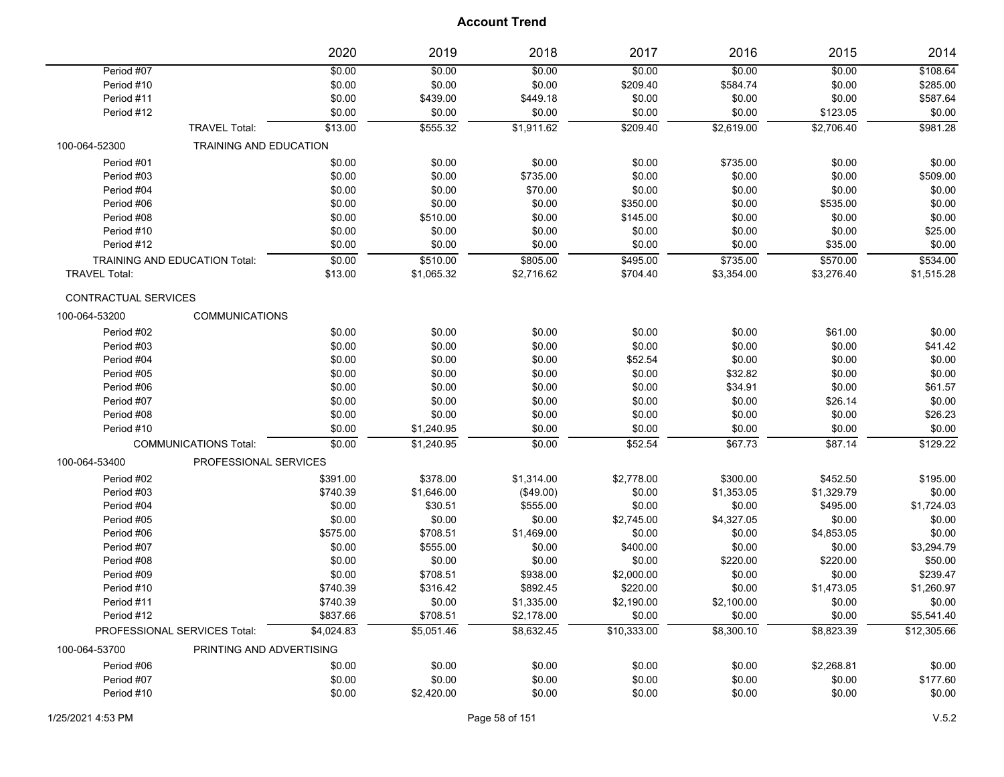|                      |                                      | 2020       | 2019       | 2018       | 2017        | 2016       | 2015       | 2014        |
|----------------------|--------------------------------------|------------|------------|------------|-------------|------------|------------|-------------|
| Period #07           |                                      | \$0.00     | \$0.00     | \$0.00     | \$0.00      | \$0.00     | \$0.00     | \$108.64    |
| Period #10           |                                      | \$0.00     | \$0.00     | \$0.00     | \$209.40    | \$584.74   | \$0.00     | \$285.00    |
| Period #11           |                                      | \$0.00     | \$439.00   | \$449.18   | \$0.00      | \$0.00     | \$0.00     | \$587.64    |
| Period #12           |                                      | \$0.00     | \$0.00     | \$0.00     | \$0.00      | \$0.00     | \$123.05   | \$0.00      |
|                      | <b>TRAVEL Total:</b>                 | \$13.00    | \$555.32   | \$1,911.62 | \$209.40    | \$2,619.00 | \$2,706.40 | \$981.28    |
| 100-064-52300        | TRAINING AND EDUCATION               |            |            |            |             |            |            |             |
| Period #01           |                                      | \$0.00     | \$0.00     | \$0.00     | \$0.00      | \$735.00   | \$0.00     | \$0.00      |
| Period #03           |                                      | \$0.00     | \$0.00     | \$735.00   | \$0.00      | \$0.00     | \$0.00     | \$509.00    |
| Period #04           |                                      | \$0.00     | \$0.00     | \$70.00    | \$0.00      | \$0.00     | \$0.00     | \$0.00      |
| Period #06           |                                      | \$0.00     | \$0.00     | \$0.00     | \$350.00    | \$0.00     | \$535.00   | \$0.00      |
| Period #08           |                                      | \$0.00     | \$510.00   | \$0.00     | \$145.00    | \$0.00     | \$0.00     | \$0.00      |
| Period #10           |                                      | \$0.00     | \$0.00     | \$0.00     | \$0.00      | \$0.00     | \$0.00     | \$25.00     |
| Period #12           |                                      | \$0.00     | \$0.00     | \$0.00     | \$0.00      | \$0.00     | \$35.00    | \$0.00      |
|                      | <b>TRAINING AND EDUCATION Total:</b> | \$0.00     | \$510.00   | \$805.00   | \$495.00    | \$735.00   | \$570.00   | \$534.00    |
| <b>TRAVEL Total:</b> |                                      | \$13.00    | \$1,065.32 | \$2,716.62 | \$704.40    | \$3,354.00 | \$3,276.40 | \$1,515.28  |
| CONTRACTUAL SERVICES |                                      |            |            |            |             |            |            |             |
| 100-064-53200        | <b>COMMUNICATIONS</b>                |            |            |            |             |            |            |             |
| Period #02           |                                      | \$0.00     | \$0.00     | \$0.00     | \$0.00      | \$0.00     | \$61.00    | \$0.00      |
| Period #03           |                                      | \$0.00     | \$0.00     | \$0.00     | \$0.00      | \$0.00     | \$0.00     | \$41.42     |
| Period #04           |                                      | \$0.00     | \$0.00     | \$0.00     | \$52.54     | \$0.00     | \$0.00     | \$0.00      |
| Period #05           |                                      | \$0.00     | \$0.00     | \$0.00     | \$0.00      | \$32.82    | \$0.00     | \$0.00      |
| Period #06           |                                      | \$0.00     | \$0.00     | \$0.00     | \$0.00      | \$34.91    | \$0.00     | \$61.57     |
| Period #07           |                                      | \$0.00     | \$0.00     | \$0.00     | \$0.00      | \$0.00     | \$26.14    | \$0.00      |
| Period #08           |                                      | \$0.00     | \$0.00     | \$0.00     | \$0.00      | \$0.00     | \$0.00     | \$26.23     |
| Period #10           |                                      | \$0.00     | \$1,240.95 | \$0.00     | \$0.00      | \$0.00     | \$0.00     | \$0.00      |
|                      | <b>COMMUNICATIONS Total:</b>         | \$0.00     | \$1.240.95 | \$0.00     | \$52.54     | \$67.73    | \$87.14    | \$129.22    |
| 100-064-53400        | PROFESSIONAL SERVICES                |            |            |            |             |            |            |             |
| Period #02           |                                      | \$391.00   | \$378.00   | \$1,314.00 | \$2,778.00  | \$300.00   | \$452.50   | \$195.00    |
| Period #03           |                                      | \$740.39   | \$1,646.00 | (\$49.00)  | \$0.00      | \$1,353.05 | \$1,329.79 | \$0.00      |
| Period #04           |                                      | \$0.00     | \$30.51    | \$555.00   | \$0.00      | \$0.00     | \$495.00   | \$1,724.03  |
| Period #05           |                                      | \$0.00     | \$0.00     | \$0.00     | \$2,745.00  | \$4,327.05 | \$0.00     | \$0.00      |
| Period #06           |                                      | \$575.00   | \$708.51   | \$1,469.00 | \$0.00      | \$0.00     | \$4,853.05 | \$0.00      |
| Period #07           |                                      | \$0.00     | \$555.00   | \$0.00     | \$400.00    | \$0.00     | \$0.00     | \$3,294.79  |
| Period #08           |                                      | \$0.00     | \$0.00     | \$0.00     | \$0.00      | \$220.00   | \$220.00   | \$50.00     |
| Period #09           |                                      | \$0.00     | \$708.51   | \$938.00   | \$2,000.00  | \$0.00     | \$0.00     | \$239.47    |
| Period #10           |                                      | \$740.39   | \$316.42   | \$892.45   | \$220.00    | \$0.00     | \$1,473.05 | \$1,260.97  |
| Period #11           |                                      | \$740.39   | \$0.00     | \$1,335.00 | \$2,190.00  | \$2,100.00 | \$0.00     | \$0.00      |
| Period #12           |                                      | \$837.66   | \$708.51   | \$2,178.00 | \$0.00      | \$0.00     | \$0.00     | \$5,541.40  |
|                      | PROFESSIONAL SERVICES Total:         | \$4,024.83 | \$5,051.46 | \$8,632.45 | \$10,333.00 | \$8,300.10 | \$8,823.39 | \$12,305.66 |
| 100-064-53700        | PRINTING AND ADVERTISING             |            |            |            |             |            |            |             |
| Period #06           |                                      | \$0.00     | \$0.00     | \$0.00     | \$0.00      | \$0.00     | \$2,268.81 | \$0.00      |
| Period #07           |                                      | \$0.00     | \$0.00     | \$0.00     | \$0.00      | \$0.00     | \$0.00     | \$177.60    |
| Period #10           |                                      | \$0.00     | \$2,420.00 | \$0.00     | \$0.00      | \$0.00     | \$0.00     | \$0.00      |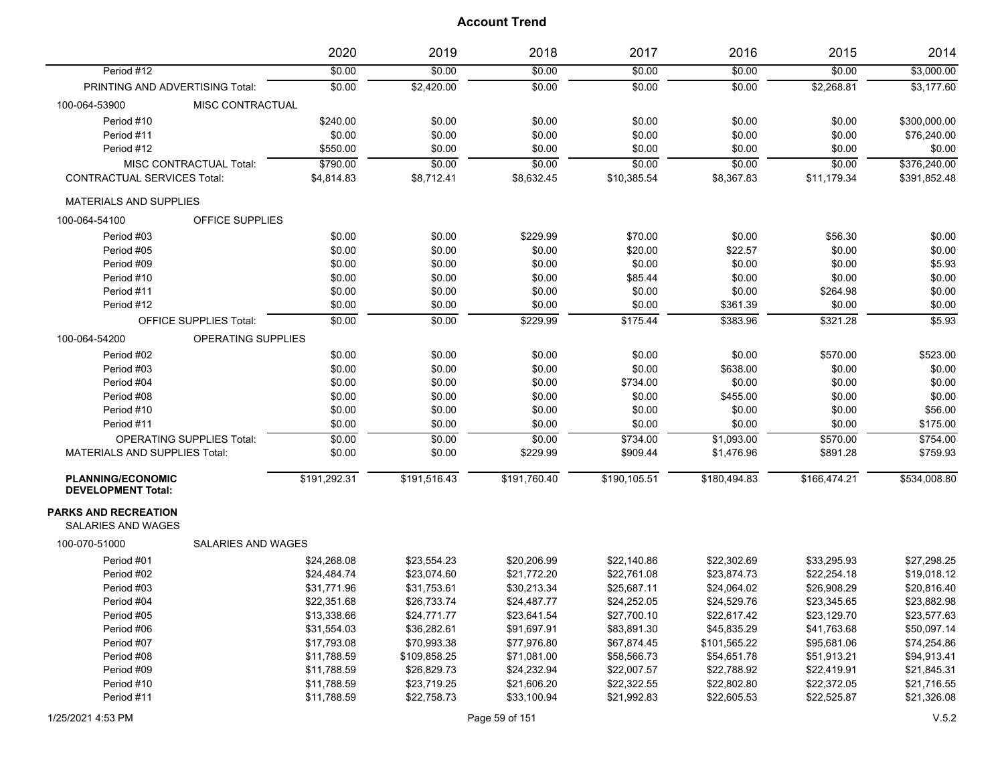|                                                          |                                  | 2020         | 2019         | 2018         | 2017         | 2016         | 2015         | 2014         |
|----------------------------------------------------------|----------------------------------|--------------|--------------|--------------|--------------|--------------|--------------|--------------|
| Period #12                                               |                                  | \$0.00       | \$0.00       | \$0.00       | \$0.00       | \$0.00       | \$0.00       | \$3,000.00   |
|                                                          | PRINTING AND ADVERTISING Total:  | \$0.00       | \$2,420.00   | \$0.00       | \$0.00       | \$0.00       | \$2,268.81   | \$3.177.60   |
| 100-064-53900                                            | MISC CONTRACTUAL                 |              |              |              |              |              |              |              |
| Period #10                                               |                                  | \$240.00     | \$0.00       | \$0.00       | \$0.00       | \$0.00       | \$0.00       | \$300,000.00 |
| Period #11                                               |                                  | \$0.00       | \$0.00       | \$0.00       | \$0.00       | \$0.00       | \$0.00       | \$76,240.00  |
| Period #12                                               |                                  | \$550.00     | \$0.00       | \$0.00       | \$0.00       | \$0.00       | \$0.00       | \$0.00       |
|                                                          | MISC CONTRACTUAL Total:          | \$790.00     | \$0.00       | \$0.00       | \$0.00       | \$0.00       | \$0.00       | \$376,240.00 |
| <b>CONTRACTUAL SERVICES Total:</b>                       |                                  | \$4,814.83   | \$8,712.41   | \$8,632.45   | \$10,385.54  | \$8,367.83   | \$11,179.34  | \$391,852.48 |
| <b>MATERIALS AND SUPPLIES</b>                            |                                  |              |              |              |              |              |              |              |
| 100-064-54100                                            | <b>OFFICE SUPPLIES</b>           |              |              |              |              |              |              |              |
| Period #03                                               |                                  | \$0.00       | \$0.00       | \$229.99     | \$70.00      | \$0.00       | \$56.30      | \$0.00       |
| Period #05                                               |                                  | \$0.00       | \$0.00       | \$0.00       | \$20.00      | \$22.57      | \$0.00       | \$0.00       |
| Period #09                                               |                                  | \$0.00       | \$0.00       | \$0.00       | \$0.00       | \$0.00       | \$0.00       | \$5.93       |
| Period #10                                               |                                  | \$0.00       | \$0.00       | \$0.00       | \$85.44      | \$0.00       | \$0.00       | \$0.00       |
| Period #11                                               |                                  | \$0.00       | \$0.00       | \$0.00       | \$0.00       | \$0.00       | \$264.98     | \$0.00       |
| Period #12                                               |                                  | \$0.00       | \$0.00       | \$0.00       | \$0.00       | \$361.39     | \$0.00       | \$0.00       |
|                                                          | <b>OFFICE SUPPLIES Total:</b>    | \$0.00       | \$0.00       | \$229.99     | \$175.44     | \$383.96     | \$321.28     | \$5.93       |
| 100-064-54200                                            | OPERATING SUPPLIES               |              |              |              |              |              |              |              |
| Period #02                                               |                                  | \$0.00       | \$0.00       | \$0.00       | \$0.00       | \$0.00       | \$570.00     | \$523.00     |
| Period #03                                               |                                  | \$0.00       | \$0.00       | \$0.00       | \$0.00       | \$638.00     | \$0.00       | \$0.00       |
| Period #04                                               |                                  | \$0.00       | \$0.00       | \$0.00       | \$734.00     | \$0.00       | \$0.00       | \$0.00       |
| Period #08                                               |                                  | \$0.00       | \$0.00       | \$0.00       | \$0.00       | \$455.00     | \$0.00       | \$0.00       |
| Period #10                                               |                                  | \$0.00       | \$0.00       | \$0.00       | \$0.00       | \$0.00       | \$0.00       | \$56.00      |
| Period #11                                               |                                  | \$0.00       | \$0.00       | \$0.00       | \$0.00       | \$0.00       | \$0.00       | \$175.00     |
|                                                          | <b>OPERATING SUPPLIES Total:</b> | \$0.00       | \$0.00       | \$0.00       | \$734.00     | \$1,093.00   | \$570.00     | \$754.00     |
| <b>MATERIALS AND SUPPLIES Total:</b>                     |                                  | \$0.00       | \$0.00       | \$229.99     | \$909.44     | \$1,476.96   | \$891.28     | \$759.93     |
| <b>PLANNING/ECONOMIC</b><br><b>DEVELOPMENT Total:</b>    |                                  | \$191.292.31 | \$191,516.43 | \$191.760.40 | \$190.105.51 | \$180.494.83 | \$166,474.21 | \$534.008.80 |
| <b>PARKS AND RECREATION</b><br><b>SALARIES AND WAGES</b> |                                  |              |              |              |              |              |              |              |
| 100-070-51000                                            | <b>SALARIES AND WAGES</b>        |              |              |              |              |              |              |              |
| Period #01                                               |                                  | \$24,268.08  | \$23,554.23  | \$20,206.99  | \$22,140.86  | \$22,302.69  | \$33,295.93  | \$27,298.25  |
| Period #02                                               |                                  | \$24,484.74  | \$23,074.60  | \$21,772.20  | \$22,761.08  | \$23,874.73  | \$22,254.18  | \$19,018.12  |
| Period #03                                               |                                  | \$31,771.96  | \$31,753.61  | \$30,213.34  | \$25,687.11  | \$24,064.02  | \$26,908.29  | \$20,816.40  |
| Period #04                                               |                                  | \$22,351.68  | \$26,733.74  | \$24,487.77  | \$24,252.05  | \$24,529.76  | \$23,345.65  | \$23,882.98  |
| Period #05                                               |                                  | \$13,338.66  | \$24,771.77  | \$23,641.54  | \$27,700.10  | \$22,617.42  | \$23,129.70  | \$23,577.63  |
| Period #06                                               |                                  | \$31,554.03  | \$36,282.61  | \$91,697.91  | \$83,891.30  | \$45,835.29  | \$41,763.68  | \$50,097.14  |
| Period #07                                               |                                  | \$17,793.08  | \$70,993.38  | \$77,976.80  | \$67,874.45  | \$101,565.22 | \$95,681.06  | \$74,254.86  |
| Period #08                                               |                                  | \$11,788.59  | \$109,858.25 | \$71,081.00  | \$58,566.73  | \$54,651.78  | \$51,913.21  | \$94,913.41  |
| Period #09                                               |                                  | \$11,788.59  | \$26,829.73  | \$24,232.94  | \$22,007.57  | \$22,788.92  | \$22,419.91  | \$21,845.31  |
| Period #10                                               |                                  | \$11,788.59  | \$23,719.25  | \$21,606.20  | \$22,322.55  | \$22,802.80  | \$22,372.05  | \$21,716.55  |
| Period #11                                               |                                  | \$11,788.59  | \$22,758.73  | \$33,100.94  | \$21,992.83  | \$22,605.53  | \$22,525.87  | \$21,326.08  |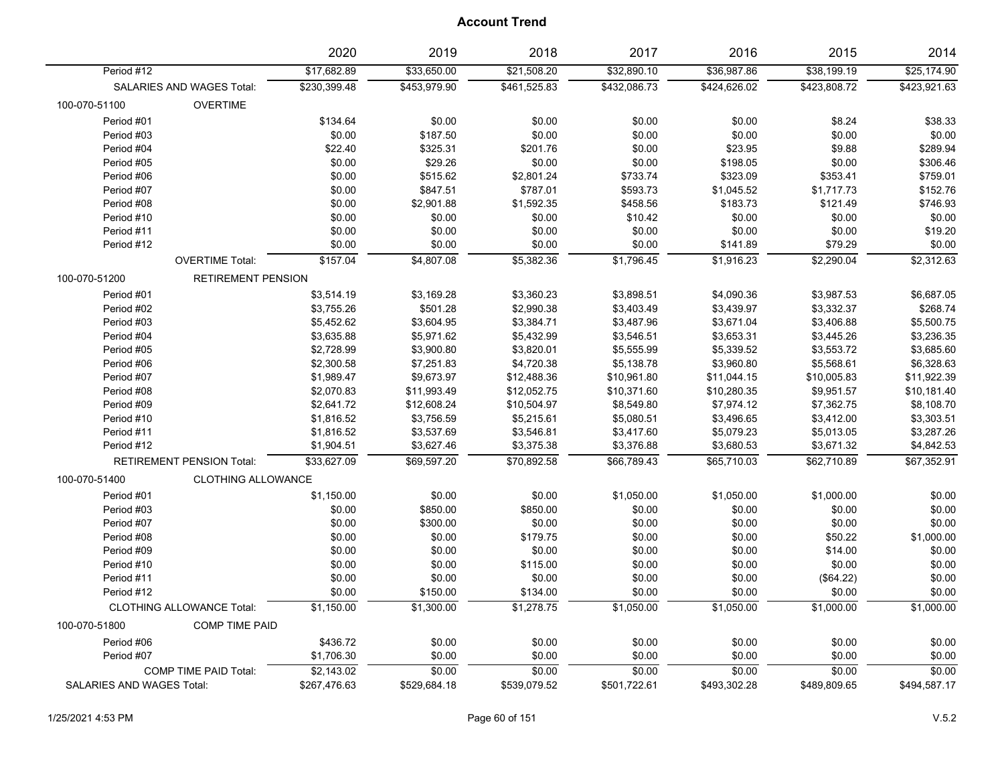|                           |                                  | 2020         | 2019         | 2018         | 2017         | 2016         | 2015         | 2014         |
|---------------------------|----------------------------------|--------------|--------------|--------------|--------------|--------------|--------------|--------------|
| Period #12                |                                  | \$17,682.89  | \$33,650.00  | \$21,508.20  | \$32,890.10  | \$36,987.86  | \$38,199.19  | \$25,174.90  |
|                           | <b>SALARIES AND WAGES Total:</b> | \$230,399.48 | \$453,979.90 | \$461,525.83 | \$432,086.73 | \$424,626.02 | \$423,808.72 | \$423,921.63 |
| 100-070-51100             | <b>OVERTIME</b>                  |              |              |              |              |              |              |              |
| Period #01                |                                  | \$134.64     | \$0.00       | \$0.00       | \$0.00       | \$0.00       | \$8.24       | \$38.33      |
| Period #03                |                                  | \$0.00       | \$187.50     | \$0.00       | \$0.00       | \$0.00       | \$0.00       | \$0.00       |
| Period #04                |                                  | \$22.40      | \$325.31     | \$201.76     | \$0.00       | \$23.95      | \$9.88       | \$289.94     |
| Period #05                |                                  | \$0.00       | \$29.26      | \$0.00       | \$0.00       | \$198.05     | \$0.00       | \$306.46     |
| Period #06                |                                  | \$0.00       | \$515.62     | \$2,801.24   | \$733.74     | \$323.09     | \$353.41     | \$759.01     |
| Period #07                |                                  | \$0.00       | \$847.51     | \$787.01     | \$593.73     | \$1,045.52   | \$1,717.73   | \$152.76     |
| Period #08                |                                  | \$0.00       | \$2,901.88   | \$1,592.35   | \$458.56     | \$183.73     | \$121.49     | \$746.93     |
| Period #10                |                                  | \$0.00       | \$0.00       | \$0.00       | \$10.42      | \$0.00       | \$0.00       | \$0.00       |
| Period #11                |                                  | \$0.00       | \$0.00       | \$0.00       | \$0.00       | \$0.00       | \$0.00       | \$19.20      |
| Period #12                |                                  | \$0.00       | \$0.00       | \$0.00       | \$0.00       | \$141.89     | \$79.29      | \$0.00       |
|                           | <b>OVERTIME Total:</b>           | \$157.04     | \$4,807.08   | \$5,382.36   | \$1,796.45   | \$1,916.23   | \$2,290.04   | \$2,312.63   |
| 100-070-51200             | <b>RETIREMENT PENSION</b>        |              |              |              |              |              |              |              |
| Period #01                |                                  | \$3,514.19   | \$3,169.28   | \$3,360.23   | \$3,898.51   | \$4,090.36   | \$3,987.53   | \$6,687.05   |
| Period #02                |                                  | \$3,755.26   | \$501.28     | \$2,990.38   | \$3,403.49   | \$3,439.97   | \$3,332.37   | \$268.74     |
| Period #03                |                                  | \$5,452.62   | \$3,604.95   | \$3,384.71   | \$3,487.96   | \$3,671.04   | \$3,406.88   | \$5,500.75   |
| Period #04                |                                  | \$3,635.88   | \$5,971.62   | \$5,432.99   | \$3,546.51   | \$3,653.31   | \$3,445.26   | \$3,236.35   |
| Period #05                |                                  | \$2,728.99   | \$3,900.80   | \$3,820.01   | \$5,555.99   | \$5,339.52   | \$3,553.72   | \$3,685.60   |
| Period #06                |                                  | \$2,300.58   | \$7,251.83   | \$4,720.38   | \$5,138.78   | \$3,960.80   | \$5,568.61   | \$6,328.63   |
| Period #07                |                                  | \$1,989.47   | \$9,673.97   | \$12,488.36  | \$10,961.80  | \$11,044.15  | \$10,005.83  | \$11,922.39  |
| Period #08                |                                  | \$2,070.83   | \$11,993.49  | \$12,052.75  | \$10,371.60  | \$10,280.35  | \$9,951.57   | \$10,181.40  |
| Period #09                |                                  | \$2,641.72   | \$12,608.24  | \$10,504.97  | \$8,549.80   | \$7,974.12   | \$7,362.75   | \$8,108.70   |
| Period #10                |                                  | \$1,816.52   | \$3,756.59   | \$5,215.61   | \$5,080.51   | \$3,496.65   | \$3,412.00   | \$3,303.51   |
| Period #11                |                                  | \$1,816.52   | \$3,537.69   | \$3,546.81   | \$3,417.60   | \$5,079.23   | \$5,013.05   | \$3,287.26   |
| Period #12                |                                  | \$1,904.51   | \$3,627.46   | \$3,375.38   | \$3,376.88   | \$3,680.53   | \$3,671.32   | \$4,842.53   |
|                           | <b>RETIREMENT PENSION Total:</b> | \$33,627.09  | \$69,597.20  | \$70,892.58  | \$66,789.43  | \$65,710.03  | \$62,710.89  | \$67,352.91  |
| 100-070-51400             | <b>CLOTHING ALLOWANCE</b>        |              |              |              |              |              |              |              |
| Period #01                |                                  | \$1,150.00   | \$0.00       | \$0.00       | \$1,050.00   | \$1,050.00   | \$1,000.00   | \$0.00       |
| Period #03                |                                  | \$0.00       | \$850.00     | \$850.00     | \$0.00       | \$0.00       | \$0.00       | \$0.00       |
| Period #07                |                                  | \$0.00       | \$300.00     | \$0.00       | \$0.00       | \$0.00       | \$0.00       | \$0.00       |
| Period #08                |                                  | \$0.00       | \$0.00       | \$179.75     | \$0.00       | \$0.00       | \$50.22      | \$1,000.00   |
| Period #09                |                                  | \$0.00       | \$0.00       | \$0.00       | \$0.00       | \$0.00       | \$14.00      | \$0.00       |
| Period #10                |                                  | \$0.00       | \$0.00       | \$115.00     | \$0.00       | \$0.00       | \$0.00       | \$0.00       |
| Period #11                |                                  | \$0.00       | \$0.00       | \$0.00       | \$0.00       | \$0.00       | (\$64.22)    | \$0.00       |
| Period #12                |                                  | \$0.00       | \$150.00     | \$134.00     | \$0.00       | \$0.00       | \$0.00       | \$0.00       |
|                           | <b>CLOTHING ALLOWANCE Total:</b> | \$1,150.00   | \$1,300.00   | \$1,278.75   | \$1,050.00   | \$1,050.00   | \$1,000.00   | \$1,000.00   |
| 100-070-51800             | <b>COMP TIME PAID</b>            |              |              |              |              |              |              |              |
| Period #06                |                                  | \$436.72     | \$0.00       | \$0.00       | \$0.00       | \$0.00       | \$0.00       | \$0.00       |
| Period #07                |                                  | \$1,706.30   | \$0.00       | \$0.00       | \$0.00       | \$0.00       | \$0.00       | \$0.00       |
|                           | COMP TIME PAID Total:            | \$2,143.02   | \$0.00       | \$0.00       | \$0.00       | \$0.00       | \$0.00       | \$0.00       |
| SALARIES AND WAGES Total: |                                  | \$267,476.63 | \$529,684.18 | \$539,079.52 | \$501,722.61 | \$493,302.28 | \$489,809.65 | \$494,587.17 |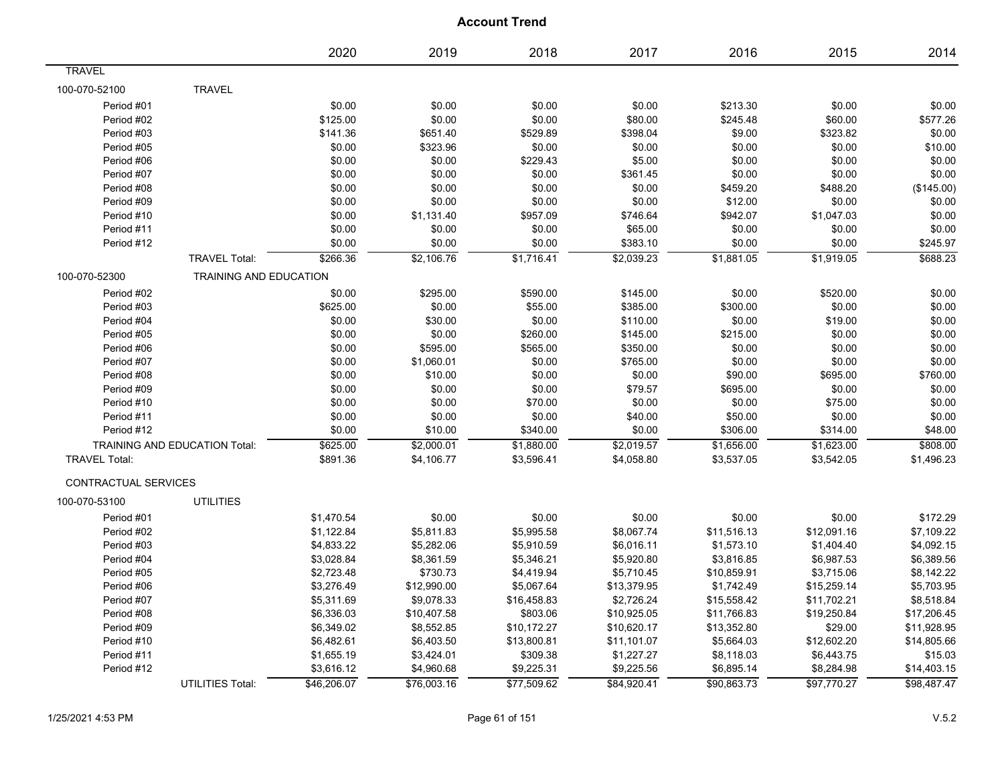|                             |                               | 2020        | 2019        | 2018        | 2017        | 2016        | 2015        | 2014        |
|-----------------------------|-------------------------------|-------------|-------------|-------------|-------------|-------------|-------------|-------------|
| <b>TRAVEL</b>               |                               |             |             |             |             |             |             |             |
| 100-070-52100               | <b>TRAVEL</b>                 |             |             |             |             |             |             |             |
| Period #01                  |                               | \$0.00      | \$0.00      | \$0.00      | \$0.00      | \$213.30    | \$0.00      | \$0.00      |
| Period #02                  |                               | \$125.00    | \$0.00      | \$0.00      | \$80.00     | \$245.48    | \$60.00     | \$577.26    |
| Period #03                  |                               | \$141.36    | \$651.40    | \$529.89    | \$398.04    | \$9.00      | \$323.82    | \$0.00      |
| Period #05                  |                               | \$0.00      | \$323.96    | \$0.00      | \$0.00      | \$0.00      | \$0.00      | \$10.00     |
| Period #06                  |                               | \$0.00      | \$0.00      | \$229.43    | \$5.00      | \$0.00      | \$0.00      | \$0.00      |
| Period #07                  |                               | \$0.00      | \$0.00      | \$0.00      | \$361.45    | \$0.00      | \$0.00      | \$0.00      |
| Period #08                  |                               | \$0.00      | \$0.00      | \$0.00      | \$0.00      | \$459.20    | \$488.20    | (\$145.00)  |
| Period #09                  |                               | \$0.00      | \$0.00      | \$0.00      | \$0.00      | \$12.00     | \$0.00      | \$0.00      |
| Period #10                  |                               | \$0.00      | \$1,131.40  | \$957.09    | \$746.64    | \$942.07    | \$1,047.03  | \$0.00      |
| Period #11                  |                               | \$0.00      | \$0.00      | \$0.00      | \$65.00     | \$0.00      | \$0.00      | \$0.00      |
| Period #12                  |                               | \$0.00      | \$0.00      | \$0.00      | \$383.10    | \$0.00      | \$0.00      | \$245.97    |
|                             | <b>TRAVEL Total:</b>          | \$266.36    | \$2,106.76  | \$1,716.41  | \$2,039.23  | \$1,881.05  | \$1,919.05  | \$688.23    |
| 100-070-52300               | TRAINING AND EDUCATION        |             |             |             |             |             |             |             |
| Period #02                  |                               | \$0.00      | \$295.00    | \$590.00    | \$145.00    | \$0.00      | \$520.00    | \$0.00      |
| Period #03                  |                               | \$625.00    | \$0.00      | \$55.00     | \$385.00    | \$300.00    | \$0.00      | \$0.00      |
| Period #04                  |                               | \$0.00      | \$30.00     | \$0.00      | \$110.00    | \$0.00      | \$19.00     | \$0.00      |
| Period #05                  |                               | \$0.00      | \$0.00      | \$260.00    | \$145.00    | \$215.00    | \$0.00      | \$0.00      |
| Period #06                  |                               | \$0.00      | \$595.00    | \$565.00    | \$350.00    | \$0.00      | \$0.00      | \$0.00      |
| Period #07                  |                               | \$0.00      | \$1,060.01  | \$0.00      | \$765.00    | \$0.00      | \$0.00      | \$0.00      |
| Period #08                  |                               | \$0.00      | \$10.00     | \$0.00      | \$0.00      | \$90.00     | \$695.00    | \$760.00    |
| Period #09                  |                               | \$0.00      | \$0.00      | \$0.00      | \$79.57     | \$695.00    | \$0.00      | \$0.00      |
| Period #10                  |                               | \$0.00      | \$0.00      | \$70.00     | \$0.00      | \$0.00      | \$75.00     | \$0.00      |
| Period #11                  |                               | \$0.00      | \$0.00      | \$0.00      | \$40.00     | \$50.00     | \$0.00      | \$0.00      |
| Period #12                  |                               | \$0.00      | \$10.00     | \$340.00    | \$0.00      | \$306.00    | \$314.00    | \$48.00     |
|                             | TRAINING AND EDUCATION Total: | \$625.00    | \$2,000.01  | \$1,880.00  | \$2,019.57  | \$1,656.00  | \$1,623.00  | \$808.00    |
| <b>TRAVEL Total:</b>        |                               | \$891.36    | \$4,106.77  | \$3,596.41  | \$4,058.80  | \$3,537.05  | \$3,542.05  | \$1,496.23  |
| <b>CONTRACTUAL SERVICES</b> |                               |             |             |             |             |             |             |             |
| 100-070-53100               | <b>UTILITIES</b>              |             |             |             |             |             |             |             |
| Period #01                  |                               | \$1,470.54  | \$0.00      | \$0.00      | \$0.00      | \$0.00      | \$0.00      | \$172.29    |
| Period #02                  |                               | \$1,122.84  | \$5,811.83  | \$5,995.58  | \$8,067.74  | \$11,516.13 | \$12,091.16 | \$7,109.22  |
| Period #03                  |                               | \$4,833.22  | \$5,282.06  | \$5,910.59  | \$6,016.11  | \$1,573.10  | \$1,404.40  | \$4,092.15  |
| Period #04                  |                               | \$3,028.84  | \$8,361.59  | \$5,346.21  | \$5,920.80  | \$3,816.85  | \$6,987.53  | \$6,389.56  |
| Period #05                  |                               | \$2,723.48  | \$730.73    | \$4,419.94  | \$5,710.45  | \$10,859.91 | \$3,715.06  | \$8,142.22  |
| Period #06                  |                               | \$3,276.49  | \$12,990.00 | \$5,067.64  | \$13,379.95 | \$1,742.49  | \$15,259.14 | \$5,703.95  |
| Period #07                  |                               | \$5,311.69  | \$9,078.33  | \$16,458.83 | \$2,726.24  | \$15,558.42 | \$11,702.21 | \$8,518.84  |
| Period #08                  |                               | \$6,336.03  | \$10,407.58 | \$803.06    | \$10,925.05 | \$11,766.83 | \$19,250.84 | \$17,206.45 |
| Period #09                  |                               | \$6,349.02  | \$8,552.85  | \$10,172.27 | \$10,620.17 | \$13,352.80 | \$29.00     | \$11,928.95 |
| Period #10                  |                               | \$6,482.61  | \$6,403.50  | \$13,800.81 | \$11,101.07 | \$5,664.03  | \$12,602.20 | \$14,805.66 |
| Period #11                  |                               | \$1,655.19  | \$3,424.01  | \$309.38    | \$1,227.27  | \$8,118.03  | \$6,443.75  | \$15.03     |
| Period #12                  |                               | \$3,616.12  | \$4,960.68  | \$9,225.31  | \$9,225.56  | \$6,895.14  | \$8,284.98  | \$14,403.15 |
|                             | UTILITIES Total:              | \$46,206.07 | \$76,003.16 | \$77,509.62 | \$84,920.41 | \$90,863.73 | \$97,770.27 | \$98,487.47 |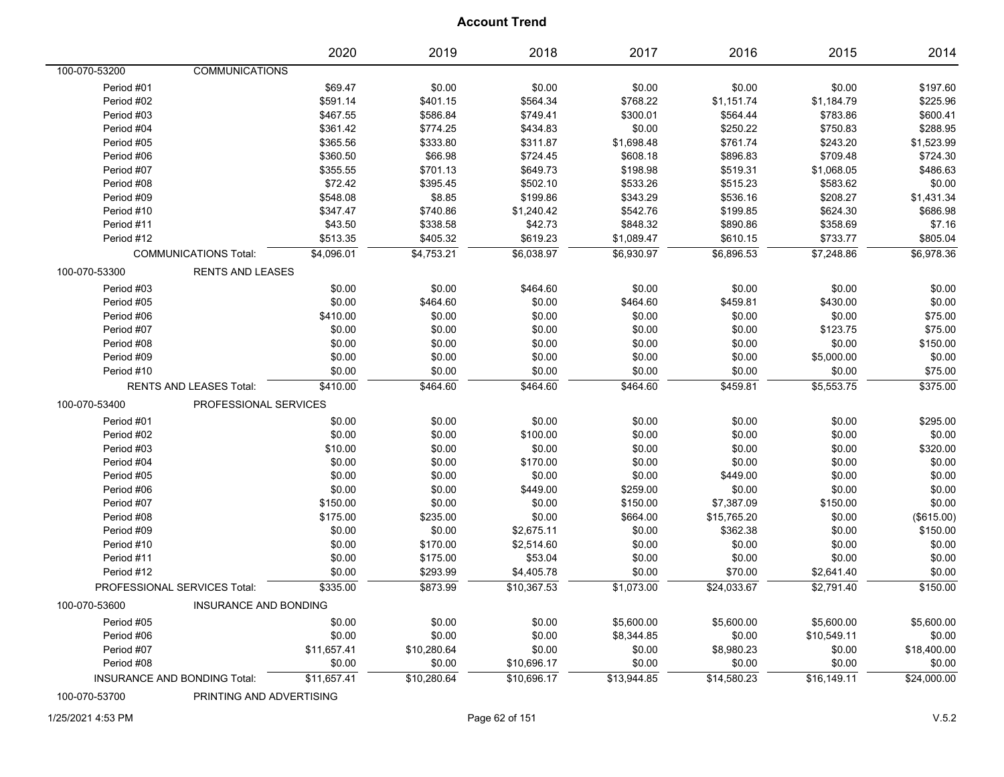|               |                                | 2020        | 2019        | 2018        | 2017        | 2016        | 2015        | 2014        |
|---------------|--------------------------------|-------------|-------------|-------------|-------------|-------------|-------------|-------------|
| 100-070-53200 | <b>COMMUNICATIONS</b>          |             |             |             |             |             |             |             |
| Period #01    |                                | \$69.47     | \$0.00      | \$0.00      | \$0.00      | \$0.00      | \$0.00      | \$197.60    |
| Period #02    |                                | \$591.14    | \$401.15    | \$564.34    | \$768.22    | \$1,151.74  | \$1,184.79  | \$225.96    |
| Period #03    |                                | \$467.55    | \$586.84    | \$749.41    | \$300.01    | \$564.44    | \$783.86    | \$600.41    |
| Period #04    |                                | \$361.42    | \$774.25    | \$434.83    | \$0.00      | \$250.22    | \$750.83    | \$288.95    |
| Period #05    |                                | \$365.56    | \$333.80    | \$311.87    | \$1,698.48  | \$761.74    | \$243.20    | \$1,523.99  |
| Period #06    |                                | \$360.50    | \$66.98     | \$724.45    | \$608.18    | \$896.83    | \$709.48    | \$724.30    |
| Period #07    |                                | \$355.55    | \$701.13    | \$649.73    | \$198.98    | \$519.31    | \$1,068.05  | \$486.63    |
| Period #08    |                                | \$72.42     | \$395.45    | \$502.10    | \$533.26    | \$515.23    | \$583.62    | \$0.00      |
| Period #09    |                                | \$548.08    | \$8.85      | \$199.86    | \$343.29    | \$536.16    | \$208.27    | \$1,431.34  |
| Period #10    |                                | \$347.47    | \$740.86    | \$1,240.42  | \$542.76    | \$199.85    | \$624.30    | \$686.98    |
| Period #11    |                                | \$43.50     | \$338.58    | \$42.73     | \$848.32    | \$890.86    | \$358.69    | \$7.16      |
| Period #12    |                                | \$513.35    | \$405.32    | \$619.23    | \$1,089.47  | \$610.15    | \$733.77    | \$805.04    |
|               | <b>COMMUNICATIONS Total:</b>   | \$4,096.01  | \$4,753.21  | \$6,038.97  | \$6,930.97  | \$6,896.53  | \$7,248.86  | \$6,978.36  |
| 100-070-53300 | <b>RENTS AND LEASES</b>        |             |             |             |             |             |             |             |
| Period #03    |                                | \$0.00      | \$0.00      | \$464.60    | \$0.00      | \$0.00      | \$0.00      | \$0.00      |
| Period #05    |                                | \$0.00      | \$464.60    | \$0.00      | \$464.60    | \$459.81    | \$430.00    | \$0.00      |
| Period #06    |                                | \$410.00    | \$0.00      | \$0.00      | \$0.00      | \$0.00      | \$0.00      | \$75.00     |
| Period #07    |                                | \$0.00      | \$0.00      | \$0.00      | \$0.00      | \$0.00      | \$123.75    | \$75.00     |
| Period #08    |                                | \$0.00      | \$0.00      | \$0.00      | \$0.00      | \$0.00      | \$0.00      | \$150.00    |
| Period #09    |                                | \$0.00      | \$0.00      | \$0.00      | \$0.00      | \$0.00      | \$5,000.00  | \$0.00      |
| Period #10    |                                | \$0.00      | \$0.00      | \$0.00      | \$0.00      | \$0.00      | \$0.00      | \$75.00     |
|               | <b>RENTS AND LEASES Total:</b> | \$410.00    | \$464.60    | \$464.60    | \$464.60    | \$459.81    | \$5,553.75  | \$375.00    |
| 100-070-53400 | PROFESSIONAL SERVICES          |             |             |             |             |             |             |             |
| Period #01    |                                | \$0.00      | \$0.00      | \$0.00      | \$0.00      | \$0.00      | \$0.00      | \$295.00    |
| Period #02    |                                | \$0.00      | \$0.00      | \$100.00    | \$0.00      | \$0.00      | \$0.00      | \$0.00      |
| Period #03    |                                | \$10.00     | \$0.00      | \$0.00      | \$0.00      | \$0.00      | \$0.00      | \$320.00    |
| Period #04    |                                | \$0.00      | \$0.00      | \$170.00    | \$0.00      | \$0.00      | \$0.00      | \$0.00      |
| Period #05    |                                | \$0.00      | \$0.00      | \$0.00      | \$0.00      | \$449.00    | \$0.00      | \$0.00      |
| Period #06    |                                | \$0.00      | \$0.00      | \$449.00    | \$259.00    | \$0.00      | \$0.00      | \$0.00      |
| Period #07    |                                | \$150.00    | \$0.00      | \$0.00      | \$150.00    | \$7,387.09  | \$150.00    | \$0.00      |
| Period #08    |                                | \$175.00    | \$235.00    | \$0.00      | \$664.00    | \$15,765.20 | \$0.00      | (\$615.00)  |
| Period #09    |                                | \$0.00      | \$0.00      | \$2,675.11  | \$0.00      | \$362.38    | \$0.00      | \$150.00    |
| Period #10    |                                | \$0.00      | \$170.00    | \$2,514.60  | \$0.00      | \$0.00      | \$0.00      | \$0.00      |
| Period #11    |                                | \$0.00      | \$175.00    | \$53.04     | \$0.00      | \$0.00      | \$0.00      | \$0.00      |
| Period #12    |                                | \$0.00      | \$293.99    | \$4,405.78  | \$0.00      | \$70.00     | \$2,641.40  | \$0.00      |
|               | PROFESSIONAL SERVICES Total:   | \$335.00    | \$873.99    | \$10,367.53 | \$1,073.00  | \$24,033.67 | \$2,791.40  | \$150.00    |
| 100-070-53600 | <b>INSURANCE AND BONDING</b>   |             |             |             |             |             |             |             |
| Period #05    |                                | \$0.00      | \$0.00      | \$0.00      | \$5,600.00  | \$5,600.00  | \$5,600.00  | \$5,600.00  |
| Period #06    |                                | \$0.00      | \$0.00      | \$0.00      | \$8,344.85  | \$0.00      | \$10,549.11 | \$0.00      |
| Period #07    |                                | \$11,657.41 | \$10,280.64 | \$0.00      | \$0.00      | \$8,980.23  | \$0.00      | \$18,400.00 |
| Period #08    |                                | \$0.00      | \$0.00      | \$10,696.17 | \$0.00      | \$0.00      | \$0.00      | \$0.00      |
|               | INSURANCE AND BONDING Total:   | \$11,657.41 | \$10,280.64 | \$10,696.17 | \$13,944.85 | \$14,580.23 | \$16,149.11 | \$24,000.00 |

100-070-53700 PRINTING AND ADVERTISING

1/25/2021 4:53 PM Page 62 of 151 V.5.2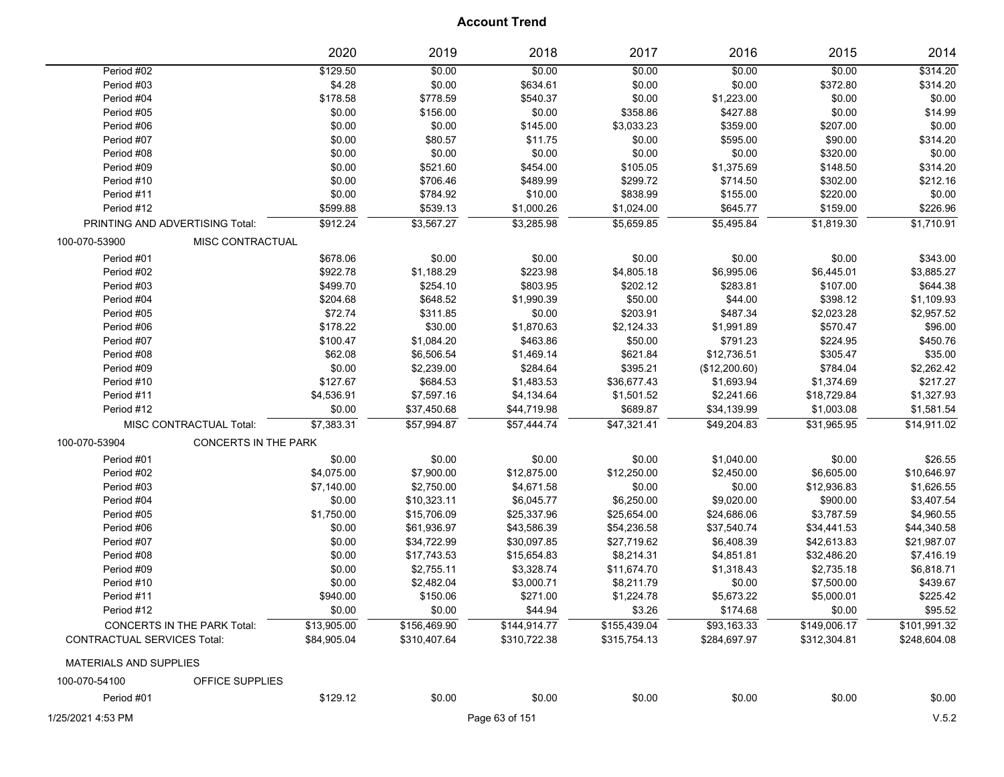|                                              | 2020        | 2019         | 2018           | 2017         | 2016          | 2015         | 2014         |
|----------------------------------------------|-------------|--------------|----------------|--------------|---------------|--------------|--------------|
| Period #02                                   | \$129.50    | \$0.00       | \$0.00         | \$0.00       | \$0.00        | \$0.00       | \$314.20     |
| Period #03                                   | \$4.28      | \$0.00       | \$634.61       | \$0.00       | \$0.00        | \$372.80     | \$314.20     |
| Period #04                                   | \$178.58    | \$778.59     | \$540.37       | \$0.00       | \$1,223.00    | \$0.00       | \$0.00       |
| Period #05                                   | \$0.00      | \$156.00     | \$0.00         | \$358.86     | \$427.88      | \$0.00       | \$14.99      |
| Period #06                                   | \$0.00      | \$0.00       | \$145.00       | \$3,033.23   | \$359.00      | \$207.00     | \$0.00       |
| Period #07                                   | \$0.00      | \$80.57      | \$11.75        | \$0.00       | \$595.00      | \$90.00      | \$314.20     |
| Period #08                                   | \$0.00      | \$0.00       | \$0.00         | \$0.00       | \$0.00        | \$320.00     | \$0.00       |
| Period #09                                   | \$0.00      | \$521.60     | \$454.00       | \$105.05     | \$1,375.69    | \$148.50     | \$314.20     |
| Period #10                                   | \$0.00      | \$706.46     | \$489.99       | \$299.72     | \$714.50      | \$302.00     | \$212.16     |
| Period #11                                   | \$0.00      | \$784.92     | \$10.00        | \$838.99     | \$155.00      | \$220.00     | \$0.00       |
| Period #12                                   | \$599.88    | \$539.13     | \$1,000.26     | \$1,024.00   | \$645.77      | \$159.00     | \$226.96     |
| PRINTING AND ADVERTISING Total:              | \$912.24    | \$3,567.27   | \$3,285.98     | \$5,659.85   | \$5,495.84    | \$1,819.30   | \$1,710.91   |
| 100-070-53900<br>MISC CONTRACTUAL            |             |              |                |              |               |              |              |
| Period #01                                   | \$678.06    | \$0.00       | \$0.00         | \$0.00       | \$0.00        | \$0.00       | \$343.00     |
| Period #02                                   | \$922.78    | \$1,188.29   | \$223.98       | \$4,805.18   | \$6,995.06    | \$6,445.01   | \$3,885.27   |
| Period #03                                   | \$499.70    | \$254.10     | \$803.95       | \$202.12     | \$283.81      | \$107.00     | \$644.38     |
| Period #04                                   | \$204.68    | \$648.52     | \$1,990.39     | \$50.00      | \$44.00       | \$398.12     | \$1,109.93   |
| Period #05                                   | \$72.74     | \$311.85     | \$0.00         | \$203.91     | \$487.34      | \$2,023.28   | \$2,957.52   |
| Period #06                                   | \$178.22    | \$30.00      | \$1,870.63     | \$2,124.33   | \$1,991.89    | \$570.47     | \$96.00      |
| Period #07                                   | \$100.47    | \$1,084.20   | \$463.86       | \$50.00      | \$791.23      | \$224.95     | \$450.76     |
| Period #08                                   | \$62.08     | \$6,506.54   | \$1,469.14     | \$621.84     | \$12,736.51   | \$305.47     | \$35.00      |
| Period #09                                   | \$0.00      | \$2,239.00   | \$284.64       | \$395.21     | (\$12,200.60) | \$784.04     | \$2,262.42   |
| Period #10                                   | \$127.67    | \$684.53     | \$1,483.53     | \$36,677.43  | \$1,693.94    | \$1,374.69   | \$217.27     |
| Period #11                                   | \$4,536.91  | \$7,597.16   | \$4,134.64     | \$1,501.52   | \$2,241.66    | \$18,729.84  | \$1,327.93   |
| Period #12                                   | \$0.00      | \$37,450.68  | \$44,719.98    | \$689.87     | \$34,139.99   | \$1,003.08   | \$1,581.54   |
| MISC CONTRACTUAL Total:                      | \$7,383.31  | \$57,994.87  | \$57,444.74    | \$47,321.41  | \$49,204.83   | \$31,965.95  | \$14,911.02  |
| <b>CONCERTS IN THE PARK</b><br>100-070-53904 |             |              |                |              |               |              |              |
| Period #01                                   | \$0.00      | \$0.00       | \$0.00         | \$0.00       | \$1,040.00    | \$0.00       | \$26.55      |
| Period #02                                   | \$4,075.00  | \$7,900.00   | \$12,875.00    | \$12,250.00  | \$2,450.00    | \$6,605.00   | \$10,646.97  |
| Period #03                                   | \$7,140.00  | \$2,750.00   | \$4,671.58     | \$0.00       | \$0.00        | \$12,936.83  | \$1,626.55   |
| Period #04                                   | \$0.00      | \$10,323.11  | \$6,045.77     | \$6,250.00   | \$9,020.00    | \$900.00     | \$3,407.54   |
| Period #05                                   | \$1,750.00  | \$15,706.09  | \$25,337.96    | \$25,654.00  | \$24,686.06   | \$3,787.59   | \$4,960.55   |
| Period #06                                   | \$0.00      | \$61,936.97  | \$43,586.39    | \$54,236.58  | \$37,540.74   | \$34,441.53  | \$44,340.58  |
| Period #07                                   | \$0.00      | \$34,722.99  | \$30,097.85    | \$27,719.62  | \$6,408.39    | \$42,613.83  | \$21,987.07  |
| Period #08                                   | \$0.00      | \$17,743.53  | \$15,654.83    | \$8,214.31   | \$4,851.81    | \$32,486.20  | \$7,416.19   |
| Period #09                                   | \$0.00      | \$2,755.11   | \$3,328.74     | \$11,674.70  | \$1,318.43    | \$2,735.18   | \$6,818.71   |
| Period #10                                   | \$0.00      | \$2,482.04   | \$3,000.71     | \$8,211.79   | \$0.00        | \$7,500.00   | \$439.67     |
| Period #11                                   | \$940.00    | \$150.06     | \$271.00       | \$1,224.78   | \$5,673.22    | \$5,000.01   | \$225.42     |
| Period #12                                   | \$0.00      | \$0.00       | \$44.94        | \$3.26       | \$174.68      | \$0.00       | \$95.52      |
| CONCERTS IN THE PARK Total:                  | \$13,905.00 | \$156,469.90 | \$144,914.77   | \$155,439.04 | \$93,163.33   | \$149,006.17 | \$101,991.32 |
| <b>CONTRACTUAL SERVICES Total:</b>           | \$84,905.04 | \$310,407.64 | \$310,722.38   | \$315,754.13 | \$284,697.97  | \$312,304.81 | \$248,604.08 |
| MATERIALS AND SUPPLIES                       |             |              |                |              |               |              |              |
| 100-070-54100<br>OFFICE SUPPLIES             |             |              |                |              |               |              |              |
| Period #01                                   | \$129.12    | \$0.00       | \$0.00         | \$0.00       | \$0.00        | \$0.00       | \$0.00       |
| 1/25/2021 4:53 PM                            |             |              | Page 63 of 151 |              |               |              | V.5.2        |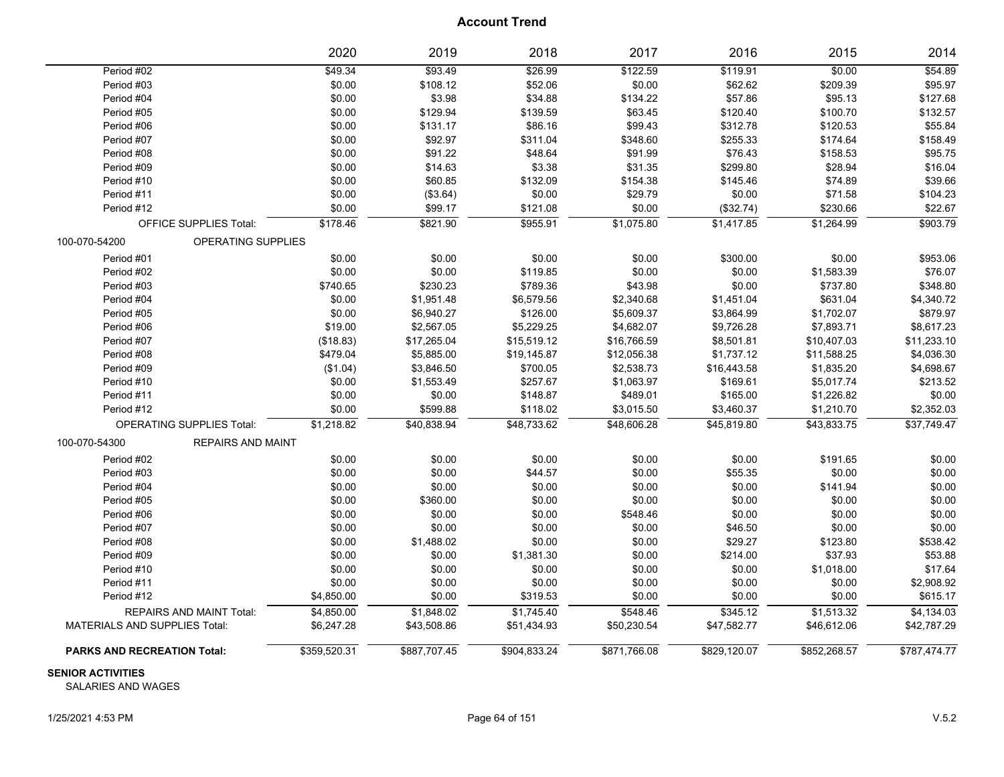|                                            | 2020         | 2019         | 2018         | 2017         | 2016         | 2015         | 2014         |
|--------------------------------------------|--------------|--------------|--------------|--------------|--------------|--------------|--------------|
| Period #02                                 | \$49.34      | \$93.49      | \$26.99      | \$122.59     | \$119.91     | \$0.00       | \$54.89      |
| Period #03                                 | \$0.00       | \$108.12     | \$52.06      | \$0.00       | \$62.62      | \$209.39     | \$95.97      |
| Period #04                                 | \$0.00       | \$3.98       | \$34.88      | \$134.22     | \$57.86      | \$95.13      | \$127.68     |
| Period #05                                 | \$0.00       | \$129.94     | \$139.59     | \$63.45      | \$120.40     | \$100.70     | \$132.57     |
| Period #06                                 | \$0.00       | \$131.17     | \$86.16      | \$99.43      | \$312.78     | \$120.53     | \$55.84      |
| Period #07                                 | \$0.00       | \$92.97      | \$311.04     | \$348.60     | \$255.33     | \$174.64     | \$158.49     |
| Period #08                                 | \$0.00       | \$91.22      | \$48.64      | \$91.99      | \$76.43      | \$158.53     | \$95.75      |
| Period #09                                 | \$0.00       | \$14.63      | \$3.38       | \$31.35      | \$299.80     | \$28.94      | \$16.04      |
| Period #10                                 | \$0.00       | \$60.85      | \$132.09     | \$154.38     | \$145.46     | \$74.89      | \$39.66      |
| Period #11                                 | \$0.00       | (\$3.64)     | \$0.00       | \$29.79      | \$0.00       | \$71.58      | \$104.23     |
| Period #12                                 | \$0.00       | \$99.17      | \$121.08     | \$0.00       | (\$32.74)    | \$230.66     | \$22.67      |
| <b>OFFICE SUPPLIES Total:</b>              | \$178.46     | \$821.90     | \$955.91     | \$1,075.80   | \$1,417.85   | \$1,264.99   | \$903.79     |
| <b>OPERATING SUPPLIES</b><br>100-070-54200 |              |              |              |              |              |              |              |
| Period #01                                 | \$0.00       | \$0.00       | \$0.00       | \$0.00       | \$300.00     | \$0.00       | \$953.06     |
| Period #02                                 | \$0.00       | \$0.00       | \$119.85     | \$0.00       | \$0.00       | \$1,583.39   | \$76.07      |
| Period #03                                 | \$740.65     | \$230.23     | \$789.36     | \$43.98      | \$0.00       | \$737.80     | \$348.80     |
| Period #04                                 | \$0.00       | \$1,951.48   | \$6,579.56   | \$2,340.68   | \$1,451.04   | \$631.04     | \$4,340.72   |
| Period #05                                 | \$0.00       | \$6,940.27   | \$126.00     | \$5,609.37   | \$3,864.99   | \$1,702.07   | \$879.97     |
| Period #06                                 | \$19.00      | \$2,567.05   | \$5,229.25   | \$4,682.07   | \$9,726.28   | \$7,893.71   | \$8,617.23   |
| Period #07                                 | (\$18.83)    | \$17,265.04  | \$15,519.12  | \$16,766.59  | \$8,501.81   | \$10,407.03  | \$11,233.10  |
| Period #08                                 | \$479.04     | \$5,885.00   | \$19,145.87  | \$12,056.38  | \$1,737.12   | \$11,588.25  | \$4,036.30   |
| Period #09                                 | (\$1.04)     | \$3,846.50   | \$700.05     | \$2,538.73   | \$16,443.58  | \$1,835.20   | \$4,698.67   |
| Period #10                                 | \$0.00       | \$1,553.49   | \$257.67     | \$1,063.97   | \$169.61     | \$5,017.74   | \$213.52     |
| Period #11                                 | \$0.00       | \$0.00       | \$148.87     | \$489.01     | \$165.00     | \$1,226.82   | \$0.00       |
| Period #12                                 | \$0.00       | \$599.88     | \$118.02     | \$3,015.50   | \$3,460.37   | \$1,210.70   | \$2,352.03   |
| OPERATING SUPPLIES Total:                  | \$1,218.82   | \$40,838.94  | \$48,733.62  | \$48,606.28  | \$45,819.80  | \$43,833.75  | \$37,749.47  |
| 100-070-54300<br><b>REPAIRS AND MAINT</b>  |              |              |              |              |              |              |              |
| Period #02                                 | \$0.00       | \$0.00       | \$0.00       | \$0.00       | \$0.00       | \$191.65     | \$0.00       |
| Period #03                                 | \$0.00       | \$0.00       | \$44.57      | \$0.00       | \$55.35      | \$0.00       | \$0.00       |
| Period #04                                 | \$0.00       | \$0.00       | \$0.00       | \$0.00       | \$0.00       | \$141.94     | \$0.00       |
| Period #05                                 | \$0.00       | \$360.00     | \$0.00       | \$0.00       | \$0.00       | \$0.00       | \$0.00       |
| Period #06                                 | \$0.00       | \$0.00       | \$0.00       | \$548.46     | \$0.00       | \$0.00       | \$0.00       |
| Period #07                                 | \$0.00       | \$0.00       | \$0.00       | \$0.00       | \$46.50      | \$0.00       | \$0.00       |
| Period #08                                 | \$0.00       | \$1,488.02   | \$0.00       | \$0.00       | \$29.27      | \$123.80     | \$538.42     |
| Period #09                                 | \$0.00       | \$0.00       | \$1,381.30   | \$0.00       | \$214.00     | \$37.93      | \$53.88      |
| Period #10                                 | \$0.00       | \$0.00       | \$0.00       | \$0.00       | \$0.00       | \$1,018.00   | \$17.64      |
| Period #11                                 | \$0.00       | \$0.00       | \$0.00       | \$0.00       | \$0.00       | \$0.00       | \$2,908.92   |
| Period #12                                 | \$4,850.00   | \$0.00       | \$319.53     | \$0.00       | \$0.00       | \$0.00       | \$615.17     |
| <b>REPAIRS AND MAINT Total:</b>            | \$4,850.00   | \$1,848.02   | \$1,745.40   | \$548.46     | \$345.12     | \$1,513.32   | \$4,134.03   |
| <b>MATERIALS AND SUPPLIES Total:</b>       | \$6,247.28   | \$43,508.86  | \$51,434.93  | \$50,230.54  | \$47,582.77  | \$46,612.06  | \$42,787.29  |
| <b>PARKS AND RECREATION Total:</b>         | \$359,520.31 | \$887,707.45 | \$904,833.24 | \$871,766.08 | \$829,120.07 | \$852,268.57 | \$787,474.77 |

### **SENIOR ACTIVITIES**

SALARIES AND WAGES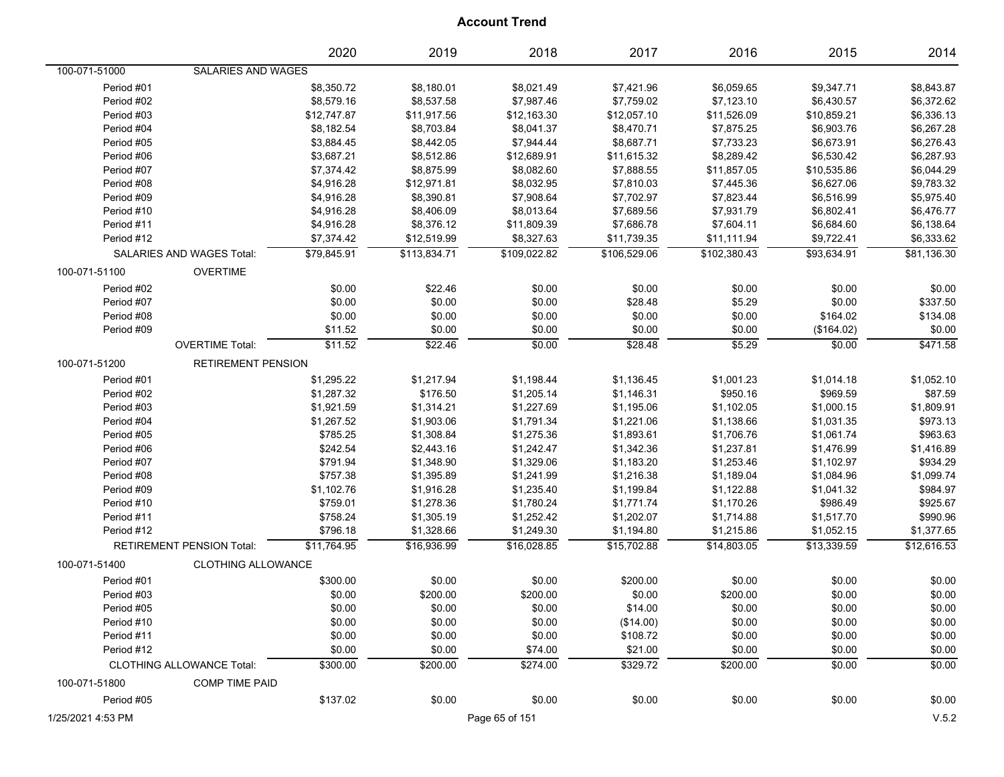|                   |                                  | 2020        | 2019         | 2018           | 2017         | 2016         | 2015        | 2014        |
|-------------------|----------------------------------|-------------|--------------|----------------|--------------|--------------|-------------|-------------|
| 100-071-51000     | SALARIES AND WAGES               |             |              |                |              |              |             |             |
| Period #01        |                                  | \$8,350.72  | \$8,180.01   | \$8,021.49     | \$7,421.96   | \$6,059.65   | \$9,347.71  | \$8,843.87  |
| Period #02        |                                  | \$8,579.16  | \$8,537.58   | \$7,987.46     | \$7,759.02   | \$7,123.10   | \$6,430.57  | \$6,372.62  |
| Period #03        |                                  | \$12,747.87 | \$11,917.56  | \$12,163.30    | \$12,057.10  | \$11,526.09  | \$10,859.21 | \$6,336.13  |
| Period #04        |                                  | \$8,182.54  | \$8,703.84   | \$8,041.37     | \$8,470.71   | \$7,875.25   | \$6,903.76  | \$6,267.28  |
| Period #05        |                                  | \$3,884.45  | \$8,442.05   | \$7,944.44     | \$8,687.71   | \$7,733.23   | \$6,673.91  | \$6,276.43  |
| Period #06        |                                  | \$3,687.21  | \$8,512.86   | \$12,689.91    | \$11,615.32  | \$8,289.42   | \$6,530.42  | \$6,287.93  |
| Period #07        |                                  | \$7,374.42  | \$8,875.99   | \$8,082.60     | \$7,888.55   | \$11,857.05  | \$10,535.86 | \$6,044.29  |
| Period #08        |                                  | \$4,916.28  | \$12,971.81  | \$8,032.95     | \$7,810.03   | \$7,445.36   | \$6,627.06  | \$9,783.32  |
| Period #09        |                                  | \$4,916.28  | \$8,390.81   | \$7,908.64     | \$7,702.97   | \$7,823.44   | \$6,516.99  | \$5,975.40  |
| Period #10        |                                  | \$4,916.28  | \$8,406.09   | \$8,013.64     | \$7,689.56   | \$7,931.79   | \$6,802.41  | \$6,476.77  |
| Period #11        |                                  | \$4,916.28  | \$8,376.12   | \$11,809.39    | \$7,686.78   | \$7,604.11   | \$6,684.60  | \$6,138.64  |
| Period #12        |                                  | \$7,374.42  | \$12,519.99  | \$8,327.63     | \$11,739.35  | \$11,111.94  | \$9,722.41  | \$6,333.62  |
|                   | SALARIES AND WAGES Total:        | \$79,845.91 | \$113,834.71 | \$109,022.82   | \$106,529.06 | \$102,380.43 | \$93,634.91 | \$81,136.30 |
| 100-071-51100     | <b>OVERTIME</b>                  |             |              |                |              |              |             |             |
| Period #02        |                                  | \$0.00      | \$22.46      | \$0.00         | \$0.00       | \$0.00       | \$0.00      | \$0.00      |
| Period #07        |                                  | \$0.00      | \$0.00       | \$0.00         | \$28.48      | \$5.29       | \$0.00      | \$337.50    |
| Period #08        |                                  | \$0.00      | \$0.00       | \$0.00         | \$0.00       | \$0.00       | \$164.02    | \$134.08    |
| Period #09        |                                  | \$11.52     | \$0.00       | \$0.00         | \$0.00       | \$0.00       | (\$164.02)  | \$0.00      |
|                   | <b>OVERTIME Total:</b>           | \$11.52     | \$22.46      | \$0.00         | \$28.48      | \$5.29       | \$0.00      | \$471.58    |
| 100-071-51200     | RETIREMENT PENSION               |             |              |                |              |              |             |             |
| Period #01        |                                  | \$1,295.22  | \$1,217.94   | \$1,198.44     | \$1,136.45   | \$1,001.23   | \$1,014.18  | \$1,052.10  |
| Period #02        |                                  | \$1,287.32  | \$176.50     | \$1,205.14     | \$1,146.31   | \$950.16     | \$969.59    | \$87.59     |
| Period #03        |                                  | \$1,921.59  | \$1,314.21   | \$1,227.69     | \$1,195.06   | \$1,102.05   | \$1,000.15  | \$1,809.91  |
| Period #04        |                                  | \$1,267.52  | \$1,903.06   | \$1,791.34     | \$1,221.06   | \$1,138.66   | \$1,031.35  | \$973.13    |
| Period #05        |                                  | \$785.25    | \$1,308.84   | \$1,275.36     | \$1,893.61   | \$1,706.76   | \$1,061.74  | \$963.63    |
| Period #06        |                                  | \$242.54    | \$2,443.16   | \$1,242.47     | \$1,342.36   | \$1,237.81   | \$1,476.99  | \$1,416.89  |
| Period #07        |                                  | \$791.94    | \$1,348.90   | \$1,329.06     | \$1,183.20   | \$1,253.46   | \$1,102.97  | \$934.29    |
| Period #08        |                                  | \$757.38    | \$1,395.89   | \$1,241.99     | \$1,216.38   | \$1,189.04   | \$1,084.96  | \$1,099.74  |
| Period #09        |                                  | \$1,102.76  | \$1,916.28   | \$1,235.40     | \$1,199.84   | \$1,122.88   | \$1,041.32  | \$984.97    |
| Period #10        |                                  | \$759.01    | \$1,278.36   | \$1,780.24     | \$1,771.74   | \$1,170.26   | \$986.49    | \$925.67    |
| Period #11        |                                  | \$758.24    | \$1,305.19   | \$1,252.42     | \$1,202.07   | \$1,714.88   | \$1,517.70  | \$990.96    |
| Period #12        |                                  | \$796.18    | \$1,328.66   | \$1,249.30     | \$1,194.80   | \$1,215.86   | \$1,052.15  | \$1,377.65  |
|                   | <b>RETIREMENT PENSION Total:</b> | \$11,764.95 | \$16,936.99  | \$16,028.85    | \$15,702.88  | \$14,803.05  | \$13,339.59 | \$12,616.53 |
| 100-071-51400     | <b>CLOTHING ALLOWANCE</b>        |             |              |                |              |              |             |             |
| Period #01        |                                  | \$300.00    | \$0.00       | \$0.00         | \$200.00     | \$0.00       | \$0.00      | \$0.00      |
| Period #03        |                                  | \$0.00      | \$200.00     | \$200.00       | \$0.00       | \$200.00     | \$0.00      | \$0.00      |
| Period #05        |                                  | \$0.00      | \$0.00       | \$0.00         | \$14.00      | \$0.00       | \$0.00      | \$0.00      |
| Period #10        |                                  | \$0.00      | \$0.00       | \$0.00         | (\$14.00)    | \$0.00       | \$0.00      | \$0.00      |
| Period #11        |                                  | \$0.00      | \$0.00       | \$0.00         | \$108.72     | \$0.00       | \$0.00      | \$0.00      |
| Period #12        |                                  | \$0.00      | \$0.00       | \$74.00        | \$21.00      | \$0.00       | \$0.00      | \$0.00      |
|                   | <b>CLOTHING ALLOWANCE Total:</b> | \$300.00    | \$200.00     | \$274.00       | \$329.72     | \$200.00     | \$0.00      | \$0.00      |
| 100-071-51800     | <b>COMP TIME PAID</b>            |             |              |                |              |              |             |             |
| Period #05        |                                  | \$137.02    | \$0.00       | \$0.00         | \$0.00       | \$0.00       | \$0.00      | \$0.00      |
| 1/25/2021 4:53 PM |                                  |             |              | Page 65 of 151 |              |              |             | V.5.2       |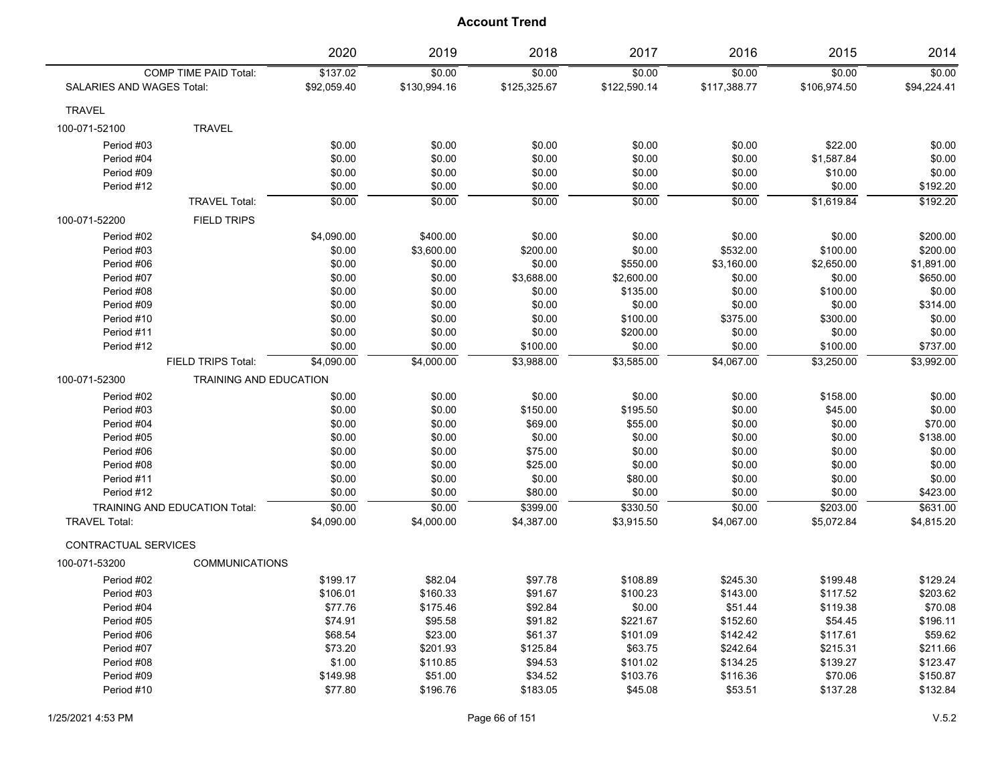|                                      |                               | 2020        | 2019         | 2018         | 2017         | 2016         | 2015         | 2014        |
|--------------------------------------|-------------------------------|-------------|--------------|--------------|--------------|--------------|--------------|-------------|
|                                      | COMP TIME PAID Total:         | \$137.02    | \$0.00       | \$0.00       | \$0.00       | \$0.00       | \$0.00       | \$0.00      |
| SALARIES AND WAGES Total:            |                               | \$92,059.40 | \$130,994.16 | \$125,325.67 | \$122,590.14 | \$117,388.77 | \$106,974.50 | \$94,224.41 |
| <b>TRAVEL</b>                        |                               |             |              |              |              |              |              |             |
| 100-071-52100                        | <b>TRAVEL</b>                 |             |              |              |              |              |              |             |
| Period #03                           |                               | \$0.00      | \$0.00       | \$0.00       | \$0.00       | \$0.00       | \$22.00      | \$0.00      |
| Period #04                           |                               | \$0.00      | \$0.00       | \$0.00       | \$0.00       | \$0.00       | \$1,587.84   | \$0.00      |
| Period #09                           |                               | \$0.00      | \$0.00       | \$0.00       | \$0.00       | \$0.00       | \$10.00      | \$0.00      |
| Period #12                           |                               | \$0.00      | \$0.00       | \$0.00       | \$0.00       | \$0.00       | \$0.00       | \$192.20    |
|                                      | <b>TRAVEL Total:</b>          | \$0.00      | \$0.00       | \$0.00       | \$0.00       | \$0.00       | \$1,619.84   | \$192.20    |
| 100-071-52200                        | <b>FIELD TRIPS</b>            |             |              |              |              |              |              |             |
| Period #02                           |                               | \$4,090.00  | \$400.00     | \$0.00       | \$0.00       | \$0.00       | \$0.00       | \$200.00    |
| Period #03                           |                               | \$0.00      | \$3,600.00   | \$200.00     | \$0.00       | \$532.00     | \$100.00     | \$200.00    |
| Period #06                           |                               | \$0.00      | \$0.00       | \$0.00       | \$550.00     | \$3,160.00   | \$2,650.00   | \$1,891.00  |
| Period #07                           |                               | \$0.00      | \$0.00       | \$3,688.00   | \$2,600.00   | \$0.00       | \$0.00       | \$650.00    |
| Period #08                           |                               | \$0.00      | \$0.00       | \$0.00       | \$135.00     | \$0.00       | \$100.00     | \$0.00      |
| Period #09                           |                               | \$0.00      | \$0.00       | \$0.00       | \$0.00       | \$0.00       | \$0.00       | \$314.00    |
| Period #10                           |                               | \$0.00      | \$0.00       | \$0.00       | \$100.00     | \$375.00     | \$300.00     | \$0.00      |
| Period #11                           |                               | \$0.00      | \$0.00       | \$0.00       | \$200.00     | \$0.00       | \$0.00       | \$0.00      |
| Period #12                           |                               | \$0.00      | \$0.00       | \$100.00     | \$0.00       | \$0.00       | \$100.00     | \$737.00    |
|                                      | FIELD TRIPS Total:            | \$4,090.00  | \$4,000.00   | \$3,988.00   | \$3,585.00   | \$4,067.00   | \$3,250.00   | \$3,992.00  |
| 100-071-52300                        | <b>TRAINING AND EDUCATION</b> |             |              |              |              |              |              |             |
| Period #02                           |                               | \$0.00      | \$0.00       | \$0.00       | \$0.00       | \$0.00       | \$158.00     | \$0.00      |
| Period #03                           |                               | \$0.00      | \$0.00       | \$150.00     | \$195.50     | \$0.00       | \$45.00      | \$0.00      |
| Period #04                           |                               | \$0.00      | \$0.00       | \$69.00      | \$55.00      | \$0.00       | \$0.00       | \$70.00     |
| Period #05                           |                               | \$0.00      | \$0.00       | \$0.00       | \$0.00       | \$0.00       | \$0.00       | \$138.00    |
| Period #06                           |                               | \$0.00      | \$0.00       | \$75.00      | \$0.00       | \$0.00       | \$0.00       | \$0.00      |
| Period #08                           |                               | \$0.00      | \$0.00       | \$25.00      | \$0.00       | \$0.00       | \$0.00       | \$0.00      |
| Period #11                           |                               | \$0.00      | \$0.00       | \$0.00       | \$80.00      | \$0.00       | \$0.00       | \$0.00      |
| Period #12                           |                               | \$0.00      | \$0.00       | \$80.00      | \$0.00       | \$0.00       | \$0.00       | \$423.00    |
| <b>TRAINING AND EDUCATION Total:</b> |                               | \$0.00      | \$0.00       | \$399.00     | \$330.50     | \$0.00       | \$203.00     | \$631.00    |
| <b>TRAVEL Total:</b>                 |                               | \$4,090.00  | \$4,000.00   | \$4,387.00   | \$3,915.50   | \$4,067.00   | \$5,072.84   | \$4,815.20  |
| CONTRACTUAL SERVICES                 |                               |             |              |              |              |              |              |             |
| 100-071-53200                        | COMMUNICATIONS                |             |              |              |              |              |              |             |
| Period #02                           |                               | \$199.17    | \$82.04      | \$97.78      | \$108.89     | \$245.30     | \$199.48     | \$129.24    |
| Period #03                           |                               | \$106.01    | \$160.33     | \$91.67      | \$100.23     | \$143.00     | \$117.52     | \$203.62    |
| Period #04                           |                               | \$77.76     | \$175.46     | \$92.84      | \$0.00       | \$51.44      | \$119.38     | \$70.08     |
| Period #05                           |                               | \$74.91     | \$95.58      | \$91.82      | \$221.67     | \$152.60     | \$54.45      | \$196.11    |
| Period #06                           |                               | \$68.54     | \$23.00      | \$61.37      | \$101.09     | \$142.42     | \$117.61     | \$59.62     |
| Period #07                           |                               | \$73.20     | \$201.93     | \$125.84     | \$63.75      | \$242.64     | \$215.31     | \$211.66    |
| Period #08                           |                               | \$1.00      | \$110.85     | \$94.53      | \$101.02     | \$134.25     | \$139.27     | \$123.47    |
| Period #09                           |                               | \$149.98    | \$51.00      | \$34.52      | \$103.76     | \$116.36     | \$70.06      | \$150.87    |
| Period #10                           |                               | \$77.80     | \$196.76     | \$183.05     | \$45.08      | \$53.51      | \$137.28     | \$132.84    |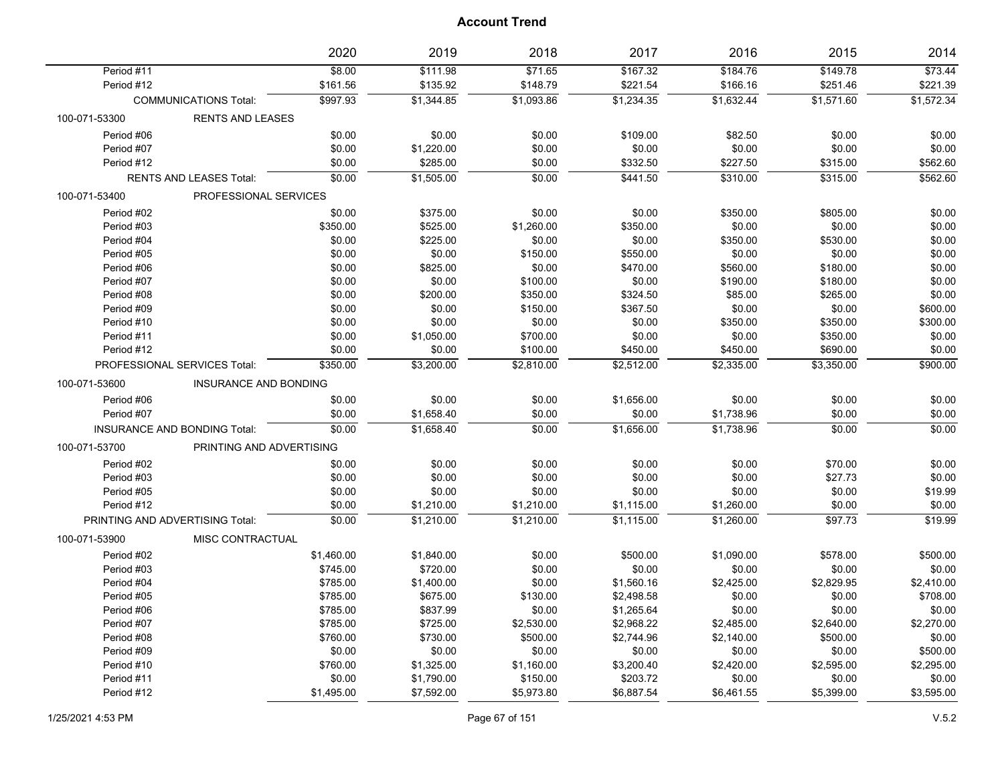|               |                                     | 2020       | 2019       | 2018       | 2017       | 2016       | 2015       | 2014       |
|---------------|-------------------------------------|------------|------------|------------|------------|------------|------------|------------|
| Period #11    |                                     | \$8.00     | \$111.98   | \$71.65    | \$167.32   | \$184.76   | \$149.78   | \$73.44    |
| Period #12    |                                     | \$161.56   | \$135.92   | \$148.79   | \$221.54   | \$166.16   | \$251.46   | \$221.39   |
|               | <b>COMMUNICATIONS Total:</b>        | \$997.93   | \$1,344.85 | \$1,093.86 | \$1,234.35 | \$1,632.44 | \$1,571.60 | \$1,572.34 |
| 100-071-53300 | <b>RENTS AND LEASES</b>             |            |            |            |            |            |            |            |
| Period #06    |                                     | \$0.00     | \$0.00     | \$0.00     | \$109.00   | \$82.50    | \$0.00     | \$0.00     |
| Period #07    |                                     | \$0.00     | \$1,220.00 | \$0.00     | \$0.00     | \$0.00     | \$0.00     | \$0.00     |
| Period #12    |                                     | \$0.00     | \$285.00   | \$0.00     | \$332.50   | \$227.50   | \$315.00   | \$562.60   |
|               | <b>RENTS AND LEASES Total:</b>      | \$0.00     | \$1,505.00 | \$0.00     | \$441.50   | \$310.00   | \$315.00   | \$562.60   |
| 100-071-53400 | PROFESSIONAL SERVICES               |            |            |            |            |            |            |            |
| Period #02    |                                     | \$0.00     | \$375.00   | \$0.00     | \$0.00     | \$350.00   | \$805.00   | \$0.00     |
| Period #03    |                                     | \$350.00   | \$525.00   | \$1,260.00 | \$350.00   | \$0.00     | \$0.00     | \$0.00     |
| Period #04    |                                     | \$0.00     | \$225.00   | \$0.00     | \$0.00     | \$350.00   | \$530.00   | \$0.00     |
| Period #05    |                                     | \$0.00     | \$0.00     | \$150.00   | \$550.00   | \$0.00     | \$0.00     | \$0.00     |
| Period #06    |                                     | \$0.00     | \$825.00   | \$0.00     | \$470.00   | \$560.00   | \$180.00   | \$0.00     |
| Period #07    |                                     | \$0.00     | \$0.00     | \$100.00   | \$0.00     | \$190.00   | \$180.00   | \$0.00     |
| Period #08    |                                     | \$0.00     | \$200.00   | \$350.00   | \$324.50   | \$85.00    | \$265.00   | \$0.00     |
| Period #09    |                                     | \$0.00     | \$0.00     | \$150.00   | \$367.50   | \$0.00     | \$0.00     | \$600.00   |
| Period #10    |                                     | \$0.00     | \$0.00     | \$0.00     | \$0.00     | \$350.00   | \$350.00   | \$300.00   |
| Period #11    |                                     | \$0.00     | \$1,050.00 | \$700.00   | \$0.00     | \$0.00     | \$350.00   | \$0.00     |
| Period #12    |                                     | \$0.00     | \$0.00     | \$100.00   | \$450.00   | \$450.00   | \$690.00   | \$0.00     |
|               | PROFESSIONAL SERVICES Total:        | \$350.00   | \$3,200.00 | \$2,810.00 | \$2,512.00 | \$2,335.00 | \$3,350.00 | \$900.00   |
| 100-071-53600 | <b>INSURANCE AND BONDING</b>        |            |            |            |            |            |            |            |
| Period #06    |                                     | \$0.00     | \$0.00     | \$0.00     | \$1,656.00 | \$0.00     | \$0.00     | \$0.00     |
| Period #07    |                                     | \$0.00     | \$1,658.40 | \$0.00     | \$0.00     | \$1,738.96 | \$0.00     | \$0.00     |
|               | <b>INSURANCE AND BONDING Total:</b> | \$0.00     | \$1,658.40 | \$0.00     | \$1,656.00 | \$1.738.96 | \$0.00     | \$0.00     |
| 100-071-53700 | PRINTING AND ADVERTISING            |            |            |            |            |            |            |            |
| Period #02    |                                     | \$0.00     | \$0.00     | \$0.00     | \$0.00     | \$0.00     | \$70.00    | \$0.00     |
| Period #03    |                                     | \$0.00     | \$0.00     | \$0.00     | \$0.00     | \$0.00     | \$27.73    | \$0.00     |
| Period #05    |                                     | \$0.00     | \$0.00     | \$0.00     | \$0.00     | \$0.00     | \$0.00     | \$19.99    |
| Period #12    |                                     | \$0.00     | \$1,210.00 | \$1,210.00 | \$1,115.00 | \$1,260.00 | \$0.00     | \$0.00     |
|               | PRINTING AND ADVERTISING Total:     | \$0.00     | \$1,210.00 | \$1,210.00 | \$1,115.00 | \$1,260.00 | \$97.73    | \$19.99    |
| 100-071-53900 | MISC CONTRACTUAL                    |            |            |            |            |            |            |            |
| Period #02    |                                     | \$1,460.00 | \$1,840.00 | \$0.00     | \$500.00   | \$1,090.00 | \$578.00   | \$500.00   |
| Period #03    |                                     | \$745.00   | \$720.00   | \$0.00     | \$0.00     | \$0.00     | \$0.00     | \$0.00     |
| Period #04    |                                     | \$785.00   | \$1,400.00 | \$0.00     | \$1,560.16 | \$2,425.00 | \$2,829.95 | \$2,410.00 |
| Period #05    |                                     | \$785.00   | \$675.00   | \$130.00   | \$2,498.58 | \$0.00     | \$0.00     | \$708.00   |
| Period #06    |                                     | \$785.00   | \$837.99   | \$0.00     | \$1,265.64 | \$0.00     | \$0.00     | \$0.00     |
| Period #07    |                                     | \$785.00   | \$725.00   | \$2,530.00 | \$2,968.22 | \$2,485.00 | \$2,640.00 | \$2,270.00 |
| Period #08    |                                     | \$760.00   | \$730.00   | \$500.00   | \$2,744.96 | \$2,140.00 | \$500.00   | \$0.00     |
| Period #09    |                                     | \$0.00     | \$0.00     | \$0.00     | \$0.00     | \$0.00     | \$0.00     | \$500.00   |
| Period #10    |                                     | \$760.00   | \$1,325.00 | \$1,160.00 | \$3,200.40 | \$2,420.00 | \$2,595.00 | \$2,295.00 |
| Period #11    |                                     | \$0.00     | \$1,790.00 | \$150.00   | \$203.72   | \$0.00     | \$0.00     | \$0.00     |
| Period #12    |                                     | \$1,495.00 | \$7,592.00 | \$5,973.80 | \$6,887.54 | \$6,461.55 | \$5,399.00 | \$3,595.00 |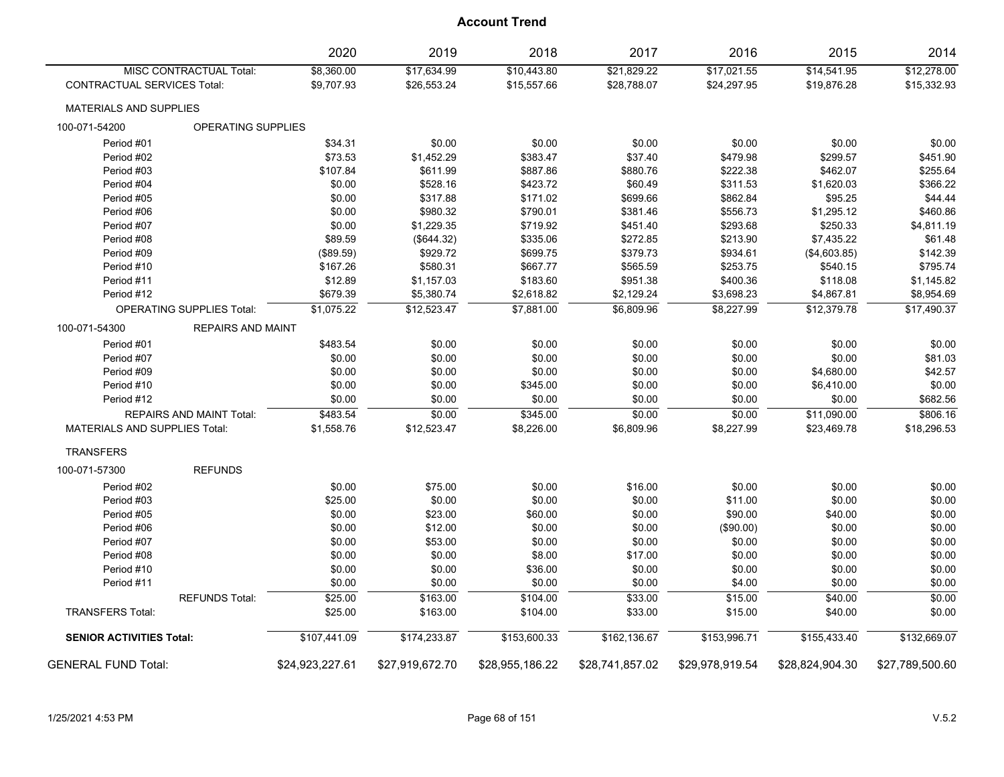|                                      |                                  | 2020            | 2019            | 2018            | 2017            | 2016            | 2015            | 2014            |
|--------------------------------------|----------------------------------|-----------------|-----------------|-----------------|-----------------|-----------------|-----------------|-----------------|
|                                      | <b>MISC CONTRACTUAL Total:</b>   | \$8,360.00      | \$17,634.99     | \$10,443.80     | \$21,829.22     | \$17,021.55     | \$14,541.95     | \$12,278.00     |
| <b>CONTRACTUAL SERVICES Total:</b>   |                                  | \$9,707.93      | \$26,553.24     | \$15,557.66     | \$28,788.07     | \$24,297.95     | \$19,876.28     | \$15,332.93     |
| <b>MATERIALS AND SUPPLIES</b>        |                                  |                 |                 |                 |                 |                 |                 |                 |
| 100-071-54200                        | OPERATING SUPPLIES               |                 |                 |                 |                 |                 |                 |                 |
| Period #01                           |                                  | \$34.31         | \$0.00          | \$0.00          | \$0.00          | \$0.00          | \$0.00          | \$0.00          |
| Period #02                           |                                  | \$73.53         | \$1,452.29      | \$383.47        | \$37.40         | \$479.98        | \$299.57        | \$451.90        |
| Period #03                           |                                  | \$107.84        | \$611.99        | \$887.86        | \$880.76        | \$222.38        | \$462.07        | \$255.64        |
| Period #04                           |                                  | \$0.00          | \$528.16        | \$423.72        | \$60.49         | \$311.53        | \$1,620.03      | \$366.22        |
| Period #05                           |                                  | \$0.00          | \$317.88        | \$171.02        | \$699.66        | \$862.84        | \$95.25         | \$44.44         |
| Period #06                           |                                  | \$0.00          | \$980.32        | \$790.01        | \$381.46        | \$556.73        | \$1,295.12      | \$460.86        |
| Period #07                           |                                  | \$0.00          | \$1,229.35      | \$719.92        | \$451.40        | \$293.68        | \$250.33        | \$4,811.19      |
| Period #08                           |                                  | \$89.59         | (\$644.32)      | \$335.06        | \$272.85        | \$213.90        | \$7,435.22      | \$61.48         |
| Period #09                           |                                  | (\$89.59)       | \$929.72        | \$699.75        | \$379.73        | \$934.61        | (\$4,603.85)    | \$142.39        |
| Period #10                           |                                  | \$167.26        | \$580.31        | \$667.77        | \$565.59        | \$253.75        | \$540.15        | \$795.74        |
| Period #11                           |                                  | \$12.89         | \$1,157.03      | \$183.60        | \$951.38        | \$400.36        | \$118.08        | \$1,145.82      |
| Period #12                           |                                  | \$679.39        | \$5,380.74      | \$2,618.82      | \$2,129.24      | \$3,698.23      | \$4,867.81      | \$8,954.69      |
|                                      | <b>OPERATING SUPPLIES Total:</b> | \$1,075.22      | \$12,523.47     | \$7,881.00      | \$6,809.96      | \$8,227.99      | \$12,379.78     | \$17,490.37     |
| 100-071-54300                        | <b>REPAIRS AND MAINT</b>         |                 |                 |                 |                 |                 |                 |                 |
| Period #01                           |                                  | \$483.54        | \$0.00          | \$0.00          | \$0.00          | \$0.00          | \$0.00          | \$0.00          |
| Period #07                           |                                  | \$0.00          | \$0.00          | \$0.00          | \$0.00          | \$0.00          | \$0.00          | \$81.03         |
| Period #09                           |                                  | \$0.00          | \$0.00          | \$0.00          | \$0.00          | \$0.00          | \$4,680.00      | \$42.57         |
| Period #10                           |                                  | \$0.00          | \$0.00          | \$345.00        | \$0.00          | \$0.00          | \$6,410.00      | \$0.00          |
| Period #12                           |                                  | \$0.00          | \$0.00          | \$0.00          | \$0.00          | \$0.00          | \$0.00          | \$682.56        |
|                                      | <b>REPAIRS AND MAINT Total:</b>  | \$483.54        | \$0.00          | \$345.00        | \$0.00          | \$0.00          | \$11,090.00     | \$806.16        |
| <b>MATERIALS AND SUPPLIES Total:</b> |                                  | \$1,558.76      | \$12,523.47     | \$8,226.00      | \$6,809.96      | \$8,227.99      | \$23,469.78     | \$18,296.53     |
| <b>TRANSFERS</b>                     |                                  |                 |                 |                 |                 |                 |                 |                 |
| 100-071-57300                        | <b>REFUNDS</b>                   |                 |                 |                 |                 |                 |                 |                 |
| Period #02                           |                                  | \$0.00          | \$75.00         | \$0.00          | \$16.00         | \$0.00          | \$0.00          | \$0.00          |
| Period #03                           |                                  | \$25.00         | \$0.00          | \$0.00          | \$0.00          | \$11.00         | \$0.00          | \$0.00          |
| Period #05                           |                                  | \$0.00          | \$23.00         | \$60.00         | \$0.00          | \$90.00         | \$40.00         | \$0.00          |
| Period #06                           |                                  | \$0.00          | \$12.00         | \$0.00          | \$0.00          | (\$90.00)       | \$0.00          | \$0.00          |
| Period #07                           |                                  | \$0.00          | \$53.00         | \$0.00          | \$0.00          | \$0.00          | \$0.00          | \$0.00          |
| Period #08                           |                                  | \$0.00          | \$0.00          | \$8.00          | \$17.00         | \$0.00          | \$0.00          | \$0.00          |
| Period #10                           |                                  | \$0.00          | \$0.00          | \$36.00         | \$0.00          | \$0.00          | \$0.00          | \$0.00          |
| Period #11                           |                                  | \$0.00          | \$0.00          | \$0.00          | \$0.00          | \$4.00          | \$0.00          | \$0.00          |
|                                      | <b>REFUNDS Total:</b>            | \$25.00         | \$163.00        | \$104.00        | \$33.00         | \$15.00         | \$40.00         | \$0.00          |
| <b>TRANSFERS Total:</b>              |                                  | \$25.00         | \$163.00        | \$104.00        | \$33.00         | \$15.00         | \$40.00         | \$0.00          |
| <b>SENIOR ACTIVITIES Total:</b>      |                                  | \$107,441.09    | \$174,233.87    | \$153,600.33    | \$162,136.67    | \$153,996.71    | \$155,433.40    | \$132,669.07    |
|                                      |                                  |                 |                 |                 |                 |                 |                 |                 |
| <b>GENERAL FUND Total:</b>           |                                  | \$24,923,227.61 | \$27,919,672.70 | \$28,955,186.22 | \$28,741,857.02 | \$29,978,919.54 | \$28,824,904.30 | \$27,789,500.60 |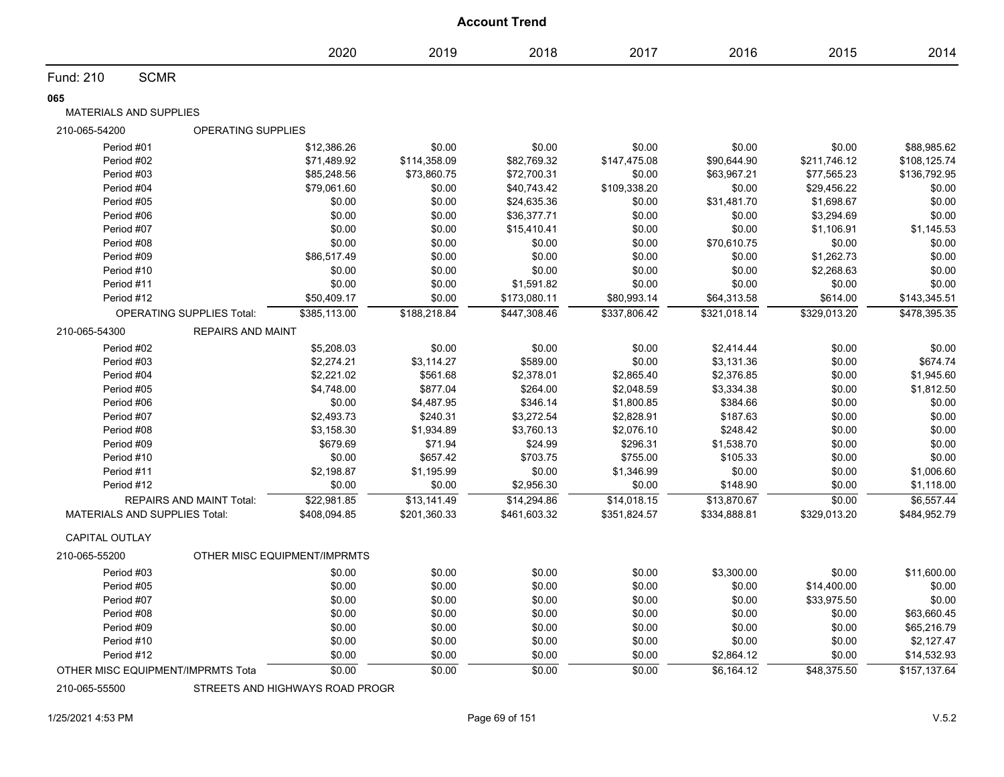|                                      |                                 |                              |              | <b>Account Trend</b> |              |              |              |              |
|--------------------------------------|---------------------------------|------------------------------|--------------|----------------------|--------------|--------------|--------------|--------------|
|                                      |                                 | 2020                         | 2019         | 2018                 | 2017         | 2016         | 2015         | 2014         |
| <b>SCMR</b><br><b>Fund: 210</b>      |                                 |                              |              |                      |              |              |              |              |
| 065                                  |                                 |                              |              |                      |              |              |              |              |
| <b>MATERIALS AND SUPPLIES</b>        |                                 |                              |              |                      |              |              |              |              |
| 210-065-54200                        | <b>OPERATING SUPPLIES</b>       |                              |              |                      |              |              |              |              |
| Period #01                           |                                 | \$12,386.26                  | \$0.00       | \$0.00               | \$0.00       | \$0.00       | \$0.00       | \$88,985.62  |
| Period #02                           |                                 | \$71,489.92                  | \$114,358.09 | \$82,769.32          | \$147,475.08 | \$90,644.90  | \$211,746.12 | \$108,125.74 |
| Period #03                           |                                 | \$85,248.56                  | \$73,860.75  | \$72,700.31          | \$0.00       | \$63,967.21  | \$77,565.23  | \$136,792.95 |
| Period #04                           |                                 | \$79,061.60                  | \$0.00       | \$40,743.42          | \$109,338.20 | \$0.00       | \$29,456.22  | \$0.00       |
| Period #05                           |                                 | \$0.00                       | \$0.00       | \$24,635.36          | \$0.00       | \$31,481.70  | \$1,698.67   | \$0.00       |
| Period #06                           |                                 | \$0.00                       | \$0.00       | \$36,377.71          | \$0.00       | \$0.00       | \$3,294.69   | \$0.00       |
| Period #07                           |                                 | \$0.00                       | \$0.00       | \$15,410.41          | \$0.00       | \$0.00       | \$1,106.91   | \$1,145.53   |
| Period #08                           |                                 | \$0.00                       | \$0.00       | \$0.00               | \$0.00       | \$70,610.75  | \$0.00       | \$0.00       |
| Period #09                           |                                 | \$86,517.49                  | \$0.00       | \$0.00               | \$0.00       | \$0.00       | \$1,262.73   | \$0.00       |
| Period #10                           |                                 | \$0.00                       | \$0.00       | \$0.00               | \$0.00       | \$0.00       | \$2,268.63   | \$0.00       |
| Period #11                           |                                 | \$0.00                       | \$0.00       | \$1,591.82           | \$0.00       | \$0.00       | \$0.00       | \$0.00       |
| Period #12                           |                                 | \$50,409.17                  | \$0.00       | \$173,080.11         | \$80,993.14  | \$64,313.58  | \$614.00     | \$143,345.51 |
| OPERATING SUPPLIES Total:            |                                 | \$385,113.00                 | \$188,218.84 | \$447.308.46         | \$337,806.42 | \$321,018.14 | \$329,013.20 | \$478,395.35 |
| 210-065-54300                        | <b>REPAIRS AND MAINT</b>        |                              |              |                      |              |              |              |              |
| Period #02                           |                                 | \$5,208.03                   | \$0.00       | \$0.00               | \$0.00       | \$2,414.44   | \$0.00       | \$0.00       |
| Period #03                           |                                 | \$2,274.21                   | \$3,114.27   | \$589.00             | \$0.00       | \$3,131.36   | \$0.00       | \$674.74     |
| Period #04                           |                                 | \$2,221.02                   | \$561.68     | \$2,378.01           | \$2,865.40   | \$2,376.85   | \$0.00       | \$1,945.60   |
| Period #05                           |                                 | \$4,748.00                   | \$877.04     | \$264.00             | \$2,048.59   | \$3,334.38   | \$0.00       | \$1,812.50   |
| Period #06                           |                                 | \$0.00                       | \$4,487.95   | \$346.14             | \$1,800.85   | \$384.66     | \$0.00       | \$0.00       |
| Period #07                           |                                 | \$2,493.73                   | \$240.31     | \$3,272.54           | \$2,828.91   | \$187.63     | \$0.00       | \$0.00       |
| Period #08                           |                                 | \$3,158.30                   | \$1,934.89   | \$3,760.13           | \$2,076.10   | \$248.42     | \$0.00       | \$0.00       |
| Period #09                           |                                 | \$679.69                     | \$71.94      | \$24.99              | \$296.31     | \$1,538.70   | \$0.00       | \$0.00       |
| Period #10                           |                                 | \$0.00                       | \$657.42     | \$703.75             | \$755.00     | \$105.33     | \$0.00       | \$0.00       |
| Period #11                           |                                 | \$2,198.87                   | \$1,195.99   | \$0.00               | \$1,346.99   | \$0.00       | \$0.00       | \$1,006.60   |
| Period #12                           |                                 | \$0.00                       | \$0.00       | \$2,956.30           | \$0.00       | \$148.90     | \$0.00       | \$1,118.00   |
|                                      | <b>REPAIRS AND MAINT Total:</b> | \$22,981.85                  | \$13,141.49  | \$14,294.86          | \$14,018.15  | \$13,870.67  | \$0.00       | \$6,557.44   |
| <b>MATERIALS AND SUPPLIES Total:</b> |                                 | \$408,094.85                 | \$201,360.33 | \$461,603.32         | \$351,824.57 | \$334,888.81 | \$329,013.20 | \$484,952.79 |
| <b>CAPITAL OUTLAY</b>                |                                 |                              |              |                      |              |              |              |              |
| 210-065-55200                        |                                 | OTHER MISC EQUIPMENT/IMPRMTS |              |                      |              |              |              |              |
| Period #03                           |                                 | \$0.00                       | \$0.00       | \$0.00               | \$0.00       | \$3,300.00   | \$0.00       | \$11,600.00  |
| Period #05                           |                                 | \$0.00                       | \$0.00       | \$0.00               | \$0.00       | \$0.00       | \$14,400.00  | \$0.00       |
| Period #07                           |                                 | \$0.00                       | \$0.00       | \$0.00               | \$0.00       | \$0.00       | \$33,975.50  | \$0.00       |
| Period #08                           |                                 | \$0.00                       | \$0.00       | \$0.00               | \$0.00       | \$0.00       | \$0.00       | \$63,660.45  |
| Period #09                           |                                 | \$0.00                       | \$0.00       | \$0.00               | \$0.00       | \$0.00       | \$0.00       | \$65,216.79  |
| Period #10                           |                                 | \$0.00                       | \$0.00       | \$0.00               | \$0.00       | \$0.00       | \$0.00       | \$2,127.47   |
| Period #12                           |                                 | \$0.00                       | \$0.00       | \$0.00               | \$0.00       | \$2,864.12   | \$0.00       | \$14,532.93  |
| OTHER MISC EQUIPMENT/IMPRMTS Tota    |                                 | \$0.00                       | \$0.00       | \$0.00               | \$0.00       | \$6,164.12   | \$48,375.50  | \$157,137.64 |

210-065-55500 STREETS AND HIGHWAYS ROAD PROGR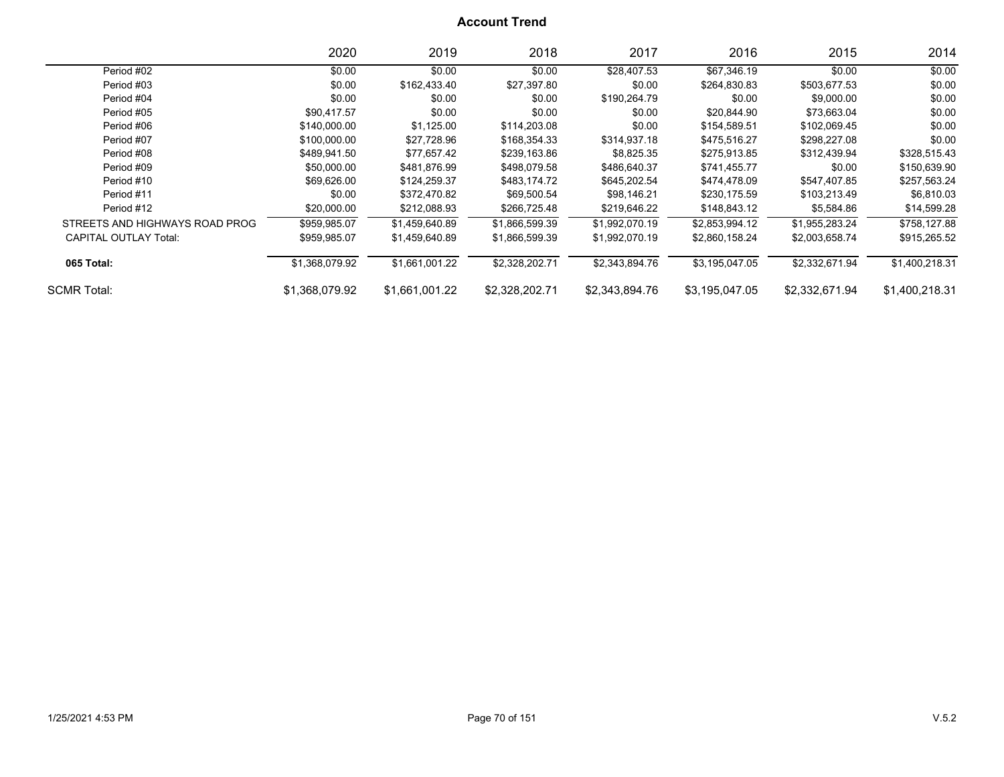|                                | 2020           | 2019           | 2018           | 2017           | 2016           | 2015           | 2014           |
|--------------------------------|----------------|----------------|----------------|----------------|----------------|----------------|----------------|
| Period #02                     | \$0.00         | \$0.00         | \$0.00         | \$28,407.53    | \$67,346.19    | \$0.00         | \$0.00         |
| Period #03                     | \$0.00         | \$162,433.40   | \$27,397.80    | \$0.00         | \$264,830.83   | \$503,677.53   | \$0.00         |
| Period #04                     | \$0.00         | \$0.00         | \$0.00         | \$190,264.79   | \$0.00         | \$9,000.00     | \$0.00         |
| Period #05                     | \$90.417.57    | \$0.00         | \$0.00         | \$0.00         | \$20,844.90    | \$73.663.04    | \$0.00         |
| Period #06                     | \$140,000.00   | \$1,125.00     | \$114,203.08   | \$0.00         | \$154,589.51   | \$102,069.45   | \$0.00         |
| Period #07                     | \$100,000.00   | \$27,728.96    | \$168,354.33   | \$314,937.18   | \$475,516.27   | \$298,227.08   | \$0.00         |
| Period #08                     | \$489,941.50   | \$77,657.42    | \$239,163.86   | \$8,825.35     | \$275,913.85   | \$312,439.94   | \$328,515.43   |
| Period #09                     | \$50,000.00    | \$481.876.99   | \$498,079.58   | \$486,640.37   | \$741,455.77   | \$0.00         | \$150,639.90   |
| Period #10                     | \$69,626.00    | \$124,259.37   | \$483,174.72   | \$645,202.54   | \$474,478.09   | \$547,407.85   | \$257,563.24   |
| Period #11                     | \$0.00         | \$372,470.82   | \$69,500.54    | \$98.146.21    | \$230,175.59   | \$103.213.49   | \$6,810.03     |
| Period #12                     | \$20,000.00    | \$212,088.93   | \$266,725.48   | \$219,646.22   | \$148,843.12   | \$5,584.86     | \$14,599.28    |
| STREETS AND HIGHWAYS ROAD PROG | \$959.985.07   | \$1.459.640.89 | \$1.866.599.39 | \$1.992.070.19 | \$2,853,994.12 | \$1.955.283.24 | \$758,127.88   |
| <b>CAPITAL OUTLAY Total:</b>   | \$959,985.07   | \$1,459,640.89 | \$1,866,599.39 | \$1,992,070.19 | \$2,860,158.24 | \$2,003,658.74 | \$915,265.52   |
| 065 Total:                     | \$1,368,079.92 | \$1,661,001.22 | \$2,328,202.71 | \$2,343,894.76 | \$3,195,047.05 | \$2,332,671.94 | \$1,400,218.31 |
| <b>SCMR Total:</b>             | \$1,368,079.92 | \$1,661,001.22 | \$2,328,202.71 | \$2,343,894.76 | \$3,195,047.05 | \$2,332,671.94 | \$1,400,218.31 |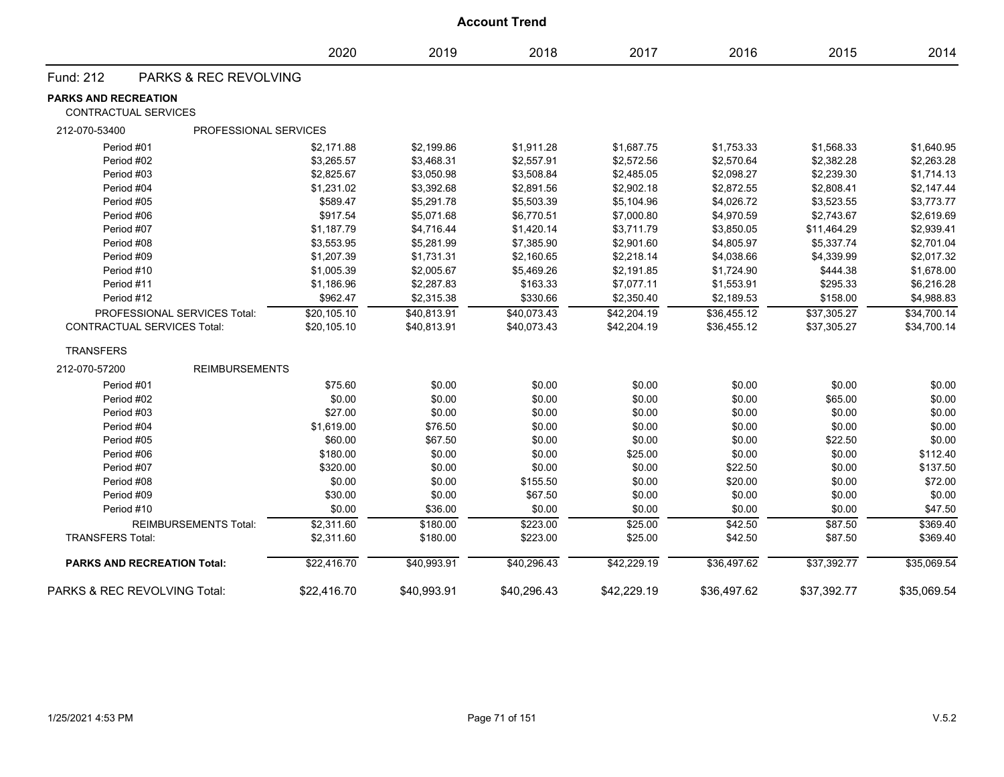|                                                            |             |             | <b>Account Trend</b> |             |             |             |             |
|------------------------------------------------------------|-------------|-------------|----------------------|-------------|-------------|-------------|-------------|
|                                                            | 2020        | 2019        | 2018                 | 2017        | 2016        | 2015        | 2014        |
| Fund: 212<br><b>PARKS &amp; REC REVOLVING</b>              |             |             |                      |             |             |             |             |
| <b>PARKS AND RECREATION</b><br><b>CONTRACTUAL SERVICES</b> |             |             |                      |             |             |             |             |
| 212-070-53400<br>PROFESSIONAL SERVICES                     |             |             |                      |             |             |             |             |
| Period #01                                                 | \$2,171.88  | \$2,199.86  | \$1,911.28           | \$1,687.75  | \$1,753.33  | \$1,568.33  | \$1,640.95  |
| Period #02                                                 | \$3,265.57  | \$3,468.31  | \$2,557.91           | \$2,572.56  | \$2,570.64  | \$2,382.28  | \$2,263.28  |
| Period #03                                                 | \$2,825.67  | \$3,050.98  | \$3,508.84           | \$2,485.05  | \$2,098.27  | \$2,239.30  | \$1,714.13  |
| Period #04                                                 | \$1,231.02  | \$3,392.68  | \$2,891.56           | \$2,902.18  | \$2,872.55  | \$2,808.41  | \$2,147.44  |
| Period #05                                                 | \$589.47    | \$5,291.78  | \$5,503.39           | \$5,104.96  | \$4,026.72  | \$3,523.55  | \$3,773.77  |
| Period #06                                                 | \$917.54    | \$5,071.68  | \$6,770.51           | \$7,000.80  | \$4,970.59  | \$2,743.67  | \$2,619.69  |
| Period #07                                                 | \$1,187.79  | \$4,716.44  | \$1,420.14           | \$3,711.79  | \$3,850.05  | \$11,464.29 | \$2,939.41  |
| Period #08                                                 | \$3,553.95  | \$5,281.99  | \$7,385.90           | \$2,901.60  | \$4,805.97  | \$5,337.74  | \$2,701.04  |
| Period #09                                                 | \$1,207.39  | \$1,731.31  | \$2,160.65           | \$2,218.14  | \$4,038.66  | \$4,339.99  | \$2,017.32  |
| Period #10                                                 | \$1,005.39  | \$2,005.67  | \$5,469.26           | \$2,191.85  | \$1,724.90  | \$444.38    | \$1,678.00  |
| Period #11                                                 | \$1,186.96  | \$2,287.83  | \$163.33             | \$7,077.11  | \$1,553.91  | \$295.33    | \$6,216.28  |
| Period #12                                                 | \$962.47    | \$2,315.38  | \$330.66             | \$2,350.40  | \$2,189.53  | \$158.00    | \$4,988.83  |
| PROFESSIONAL SERVICES Total:                               | \$20,105.10 | \$40,813.91 | \$40,073.43          | \$42,204.19 | \$36,455.12 | \$37,305.27 | \$34,700.14 |
| <b>CONTRACTUAL SERVICES Total:</b>                         | \$20,105.10 | \$40,813.91 | \$40,073.43          | \$42,204.19 | \$36,455.12 | \$37,305.27 | \$34,700.14 |
| <b>TRANSFERS</b>                                           |             |             |                      |             |             |             |             |
| <b>REIMBURSEMENTS</b><br>212-070-57200                     |             |             |                      |             |             |             |             |
| Period #01                                                 | \$75.60     | \$0.00      | \$0.00               | \$0.00      | \$0.00      | \$0.00      | \$0.00      |
| Period #02                                                 | \$0.00      | \$0.00      | \$0.00               | \$0.00      | \$0.00      | \$65.00     | \$0.00      |
| Period #03                                                 | \$27.00     | \$0.00      | \$0.00               | \$0.00      | \$0.00      | \$0.00      | \$0.00      |
| Period #04                                                 | \$1,619.00  | \$76.50     | \$0.00               | \$0.00      | \$0.00      | \$0.00      | \$0.00      |
| Period #05                                                 | \$60.00     | \$67.50     | \$0.00               | \$0.00      | \$0.00      | \$22.50     | \$0.00      |
| Period #06                                                 | \$180.00    | \$0.00      | \$0.00               | \$25.00     | \$0.00      | \$0.00      | \$112.40    |
| Period #07                                                 | \$320.00    | \$0.00      | \$0.00               | \$0.00      | \$22.50     | \$0.00      | \$137.50    |
| Period #08                                                 | \$0.00      | \$0.00      | \$155.50             | \$0.00      | \$20.00     | \$0.00      | \$72.00     |
| Period #09                                                 | \$30.00     | \$0.00      | \$67.50              | \$0.00      | \$0.00      | \$0.00      | \$0.00      |
| Period #10                                                 | \$0.00      | \$36.00     | \$0.00               | \$0.00      | \$0.00      | \$0.00      | \$47.50     |
| <b>REIMBURSEMENTS Total:</b>                               | \$2,311.60  | \$180.00    | \$223.00             | \$25.00     | \$42.50     | \$87.50     | \$369.40    |
| <b>TRANSFERS Total:</b>                                    | \$2,311.60  | \$180.00    | \$223.00             | \$25.00     | \$42.50     | \$87.50     | \$369.40    |
| <b>PARKS AND RECREATION Total:</b>                         | \$22,416.70 | \$40,993.91 | \$40,296.43          | \$42,229.19 | \$36,497.62 | \$37,392.77 | \$35,069.54 |
| PARKS & REC REVOLVING Total:                               | \$22,416.70 | \$40,993.91 | \$40,296.43          | \$42,229.19 | \$36,497.62 | \$37,392.77 | \$35,069.54 |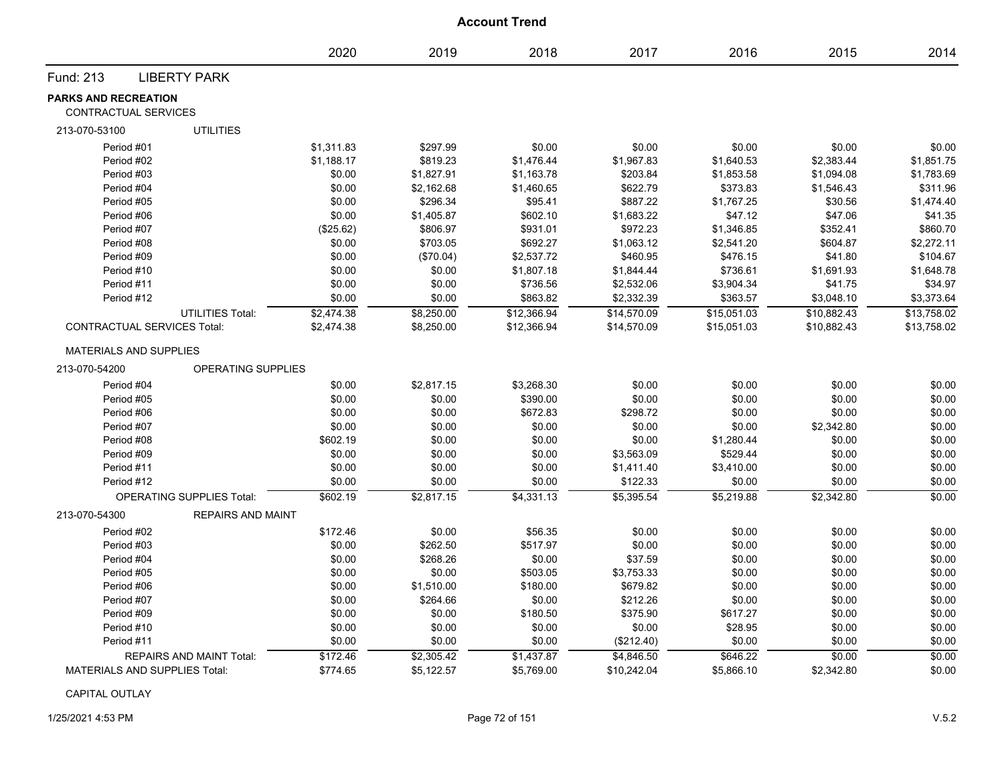| <b>Account Trend</b>                                |                                  |            |            |             |             |             |             |             |  |
|-----------------------------------------------------|----------------------------------|------------|------------|-------------|-------------|-------------|-------------|-------------|--|
|                                                     |                                  | 2020       | 2019       | 2018        | 2017        | 2016        | 2015        | 2014        |  |
| Fund: 213                                           | <b>LIBERTY PARK</b>              |            |            |             |             |             |             |             |  |
| <b>PARKS AND RECREATION</b><br>CONTRACTUAL SERVICES |                                  |            |            |             |             |             |             |             |  |
| 213-070-53100                                       | <b>UTILITIES</b>                 |            |            |             |             |             |             |             |  |
| Period #01                                          |                                  | \$1,311.83 | \$297.99   | \$0.00      | \$0.00      | \$0.00      | \$0.00      | \$0.00      |  |
| Period #02                                          |                                  | \$1,188.17 | \$819.23   | \$1,476.44  | \$1,967.83  | \$1,640.53  | \$2,383.44  | \$1,851.75  |  |
| Period #03                                          |                                  | \$0.00     | \$1,827.91 | \$1,163.78  | \$203.84    | \$1,853.58  | \$1,094.08  | \$1,783.69  |  |
| Period #04                                          |                                  | \$0.00     | \$2,162.68 | \$1,460.65  | \$622.79    | \$373.83    | \$1,546.43  | \$311.96    |  |
| Period #05                                          |                                  | \$0.00     | \$296.34   | \$95.41     | \$887.22    | \$1,767.25  | \$30.56     | \$1,474.40  |  |
| Period #06                                          |                                  | \$0.00     | \$1,405.87 | \$602.10    | \$1,683.22  | \$47.12     | \$47.06     | \$41.35     |  |
| Period #07                                          |                                  | (\$25.62)  | \$806.97   | \$931.01    | \$972.23    | \$1,346.85  | \$352.41    | \$860.70    |  |
| Period #08                                          |                                  | \$0.00     | \$703.05   | \$692.27    | \$1,063.12  | \$2,541.20  | \$604.87    | \$2,272.11  |  |
| Period #09                                          |                                  | \$0.00     | (\$70.04)  | \$2,537.72  | \$460.95    | \$476.15    | \$41.80     | \$104.67    |  |
| Period #10                                          |                                  | \$0.00     | \$0.00     | \$1,807.18  | \$1,844.44  | \$736.61    | \$1,691.93  | \$1,648.78  |  |
| Period #11                                          |                                  | \$0.00     | \$0.00     | \$736.56    | \$2,532.06  | \$3,904.34  | \$41.75     | \$34.97     |  |
| Period #12                                          |                                  | \$0.00     | \$0.00     | \$863.82    | \$2,332.39  | \$363.57    | \$3,048.10  | \$3,373.64  |  |
|                                                     | <b>UTILITIES Total:</b>          | \$2,474.38 | \$8,250.00 | \$12,366.94 | \$14,570.09 | \$15,051.03 | \$10,882.43 | \$13,758.02 |  |
| <b>CONTRACTUAL SERVICES Total:</b>                  |                                  | \$2,474.38 | \$8,250.00 | \$12,366.94 | \$14,570.09 | \$15,051.03 | \$10,882.43 | \$13,758.02 |  |
| <b>MATERIALS AND SUPPLIES</b>                       |                                  |            |            |             |             |             |             |             |  |
| 213-070-54200                                       | OPERATING SUPPLIES               |            |            |             |             |             |             |             |  |
| Period #04                                          |                                  | \$0.00     | \$2,817.15 | \$3,268.30  | \$0.00      | \$0.00      | \$0.00      | \$0.00      |  |
| Period #05                                          |                                  | \$0.00     | \$0.00     | \$390.00    | \$0.00      | \$0.00      | \$0.00      | \$0.00      |  |
| Period #06                                          |                                  | \$0.00     | \$0.00     | \$672.83    | \$298.72    | \$0.00      | \$0.00      | \$0.00      |  |
| Period #07                                          |                                  | \$0.00     | \$0.00     | \$0.00      | \$0.00      | \$0.00      | \$2,342.80  | \$0.00      |  |
| Period #08                                          |                                  | \$602.19   | \$0.00     | \$0.00      | \$0.00      | \$1,280.44  | \$0.00      | \$0.00      |  |
| Period #09                                          |                                  | \$0.00     | \$0.00     | \$0.00      | \$3,563.09  | \$529.44    | \$0.00      | \$0.00      |  |
| Period #11                                          |                                  | \$0.00     | \$0.00     | \$0.00      | \$1,411.40  | \$3,410.00  | \$0.00      | \$0.00      |  |
| Period #12                                          |                                  | \$0.00     | \$0.00     | \$0.00      | \$122.33    | \$0.00      | \$0.00      | \$0.00      |  |
|                                                     | <b>OPERATING SUPPLIES Total:</b> | \$602.19   | \$2,817.15 | \$4,331.13  | \$5.395.54  | \$5,219.88  | \$2,342.80  | \$0.00      |  |
| 213-070-54300                                       | <b>REPAIRS AND MAINT</b>         |            |            |             |             |             |             |             |  |
| Period #02                                          |                                  | \$172.46   | \$0.00     | \$56.35     | \$0.00      | \$0.00      | \$0.00      | \$0.00      |  |
| Period #03                                          |                                  | \$0.00     | \$262.50   | \$517.97    | \$0.00      | \$0.00      | \$0.00      | \$0.00      |  |
| Period #04                                          |                                  | \$0.00     | \$268.26   | \$0.00      | \$37.59     | \$0.00      | \$0.00      | \$0.00      |  |
| Period #05                                          |                                  | \$0.00     | \$0.00     | \$503.05    | \$3,753.33  | \$0.00      | \$0.00      | \$0.00      |  |
| Period #06                                          |                                  | \$0.00     | \$1,510.00 | \$180.00    | \$679.82    | \$0.00      | \$0.00      | \$0.00      |  |
| Period #07                                          |                                  | \$0.00     | \$264.66   | \$0.00      | \$212.26    | \$0.00      | \$0.00      | \$0.00      |  |
| Period #09                                          |                                  | \$0.00     | \$0.00     | \$180.50    | \$375.90    | \$617.27    | \$0.00      | \$0.00      |  |
| Period #10                                          |                                  | \$0.00     | \$0.00     | \$0.00      | \$0.00      | \$28.95     | \$0.00      | \$0.00      |  |
| Period #11                                          |                                  | \$0.00     | \$0.00     | \$0.00      | (\$212.40)  | \$0.00      | \$0.00      | \$0.00      |  |
|                                                     | REPAIRS AND MAINT Total:         | \$172.46   | \$2,305.42 | \$1,437.87  | \$4,846.50  | \$646.22    | \$0.00      | \$0.00      |  |
| <b>MATERIALS AND SUPPLIES Total:</b>                |                                  | \$774.65   | \$5,122.57 | \$5,769.00  | \$10,242.04 | \$5,866.10  | \$2,342.80  | \$0.00      |  |

CAPITAL OUTLAY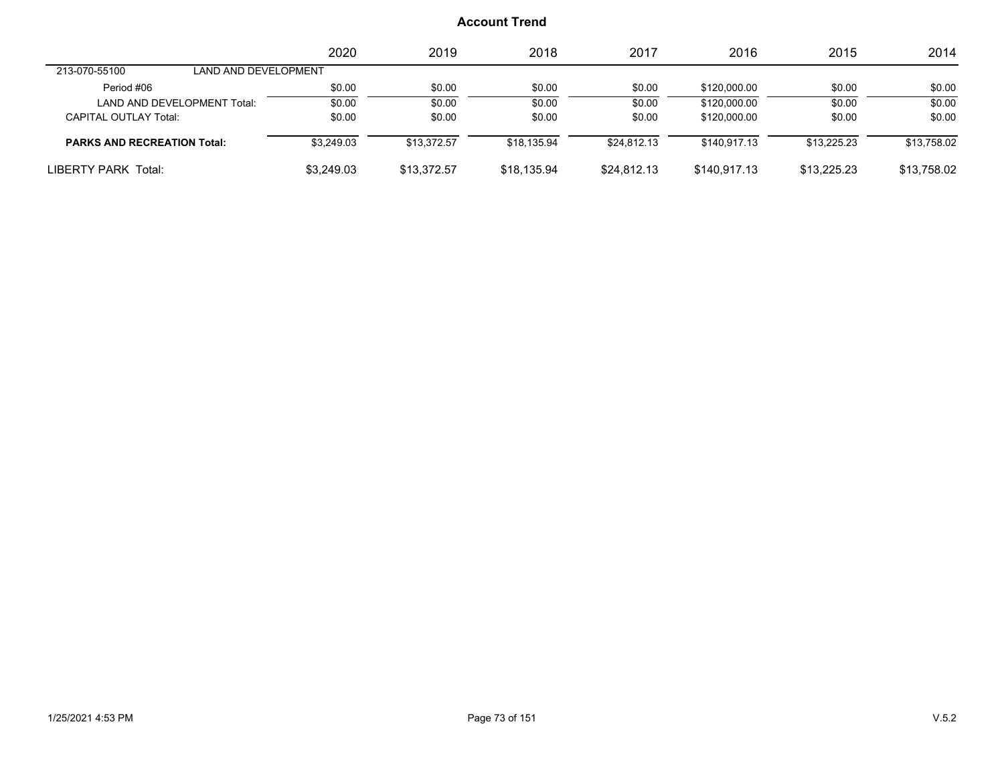|                                    |                             | 2020       | 2019        | 2018        | 2017        | 2016         | 2015        | 2014        |
|------------------------------------|-----------------------------|------------|-------------|-------------|-------------|--------------|-------------|-------------|
| 213-070-55100                      | <b>LAND AND DEVELOPMENT</b> |            |             |             |             |              |             |             |
| Period #06                         |                             | \$0.00     | \$0.00      | \$0.00      | \$0.00      | \$120,000.00 | \$0.00      | \$0.00      |
|                                    | LAND AND DEVELOPMENT Total: | \$0.00     | \$0.00      | \$0.00      | \$0.00      | \$120,000.00 | \$0.00      | \$0.00      |
| CAPITAL OUTLAY Total:              |                             | \$0.00     | \$0.00      | \$0.00      | \$0.00      | \$120,000.00 | \$0.00      | \$0.00      |
| <b>PARKS AND RECREATION Total:</b> |                             | \$3,249.03 | \$13.372.57 | \$18.135.94 | \$24.812.13 | \$140.917.13 | \$13,225.23 | \$13,758.02 |
| LIBERTY PARK Total:                |                             | \$3,249.03 | \$13.372.57 | \$18,135.94 | \$24,812.13 | \$140.917.13 | \$13,225.23 | \$13,758.02 |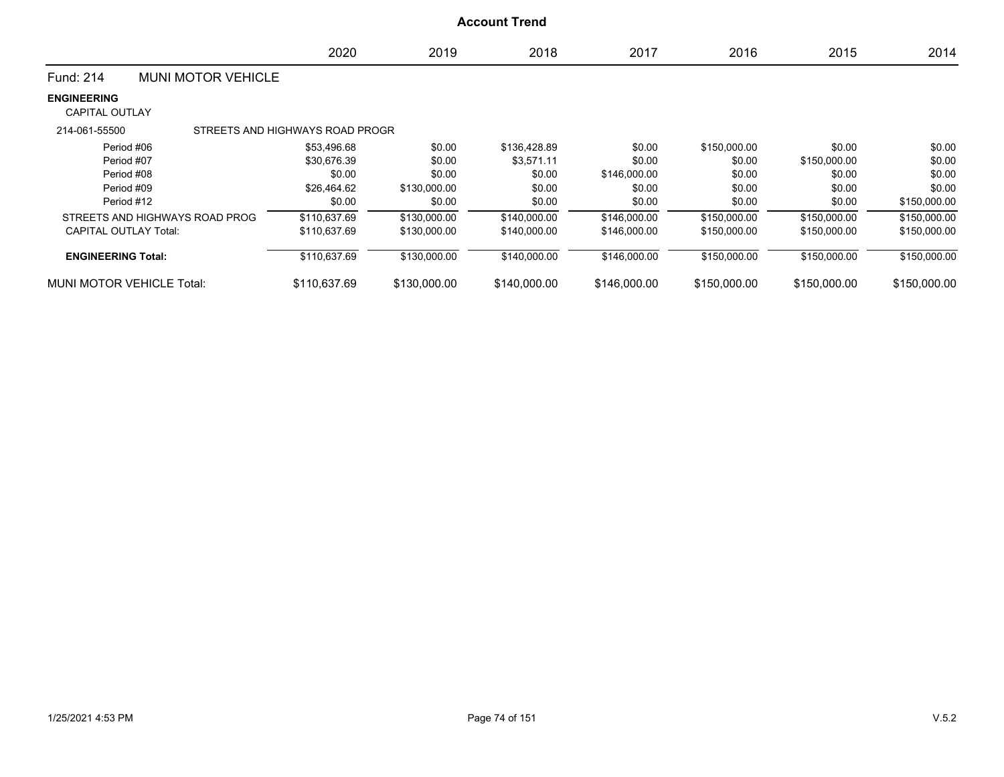|                                      |                                | 2020                            | 2019         | 2018         | 2017         | 2016         | 2015         | 2014         |
|--------------------------------------|--------------------------------|---------------------------------|--------------|--------------|--------------|--------------|--------------|--------------|
| <b>Fund: 214</b>                     | <b>MUNI MOTOR VEHICLE</b>      |                                 |              |              |              |              |              |              |
| <b>ENGINEERING</b><br>CAPITAL OUTLAY |                                |                                 |              |              |              |              |              |              |
| 214-061-55500                        |                                | STREETS AND HIGHWAYS ROAD PROGR |              |              |              |              |              |              |
| Period #06                           |                                | \$53,496.68                     | \$0.00       | \$136,428.89 | \$0.00       | \$150,000.00 | \$0.00       | \$0.00       |
| Period #07                           |                                | \$30,676.39                     | \$0.00       | \$3,571.11   | \$0.00       | \$0.00       | \$150,000.00 | \$0.00       |
| Period #08                           |                                | \$0.00                          | \$0.00       | \$0.00       | \$146,000.00 | \$0.00       | \$0.00       | \$0.00       |
| Period #09                           |                                | \$26,464.62                     | \$130,000.00 | \$0.00       | \$0.00       | \$0.00       | \$0.00       | \$0.00       |
| Period #12                           |                                | \$0.00                          | \$0.00       | \$0.00       | \$0.00       | \$0.00       | \$0.00       | \$150,000.00 |
|                                      | STREETS AND HIGHWAYS ROAD PROG | \$110,637.69                    | \$130,000.00 | \$140,000.00 | \$146,000.00 | \$150,000.00 | \$150,000.00 | \$150,000.00 |
| <b>CAPITAL OUTLAY Total:</b>         |                                | \$110,637.69                    | \$130,000.00 | \$140,000.00 | \$146,000.00 | \$150,000.00 | \$150,000.00 | \$150,000.00 |
| <b>ENGINEERING Total:</b>            |                                | \$110,637.69                    | \$130,000.00 | \$140,000.00 | \$146,000.00 | \$150,000.00 | \$150,000.00 | \$150,000.00 |
| <b>MUNI MOTOR VEHICLE Total:</b>     |                                | \$110.637.69                    | \$130,000.00 | \$140,000.00 | \$146,000.00 | \$150,000.00 | \$150,000.00 | \$150,000.00 |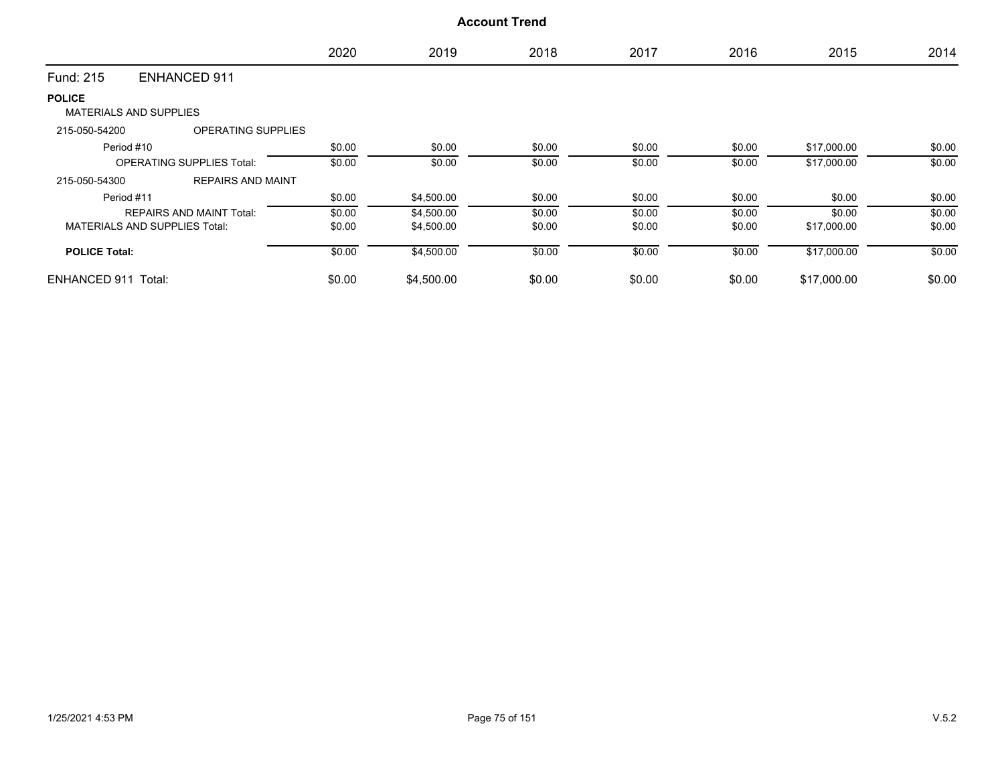|                            |                                      | 2020   | 2019       | 2018   | 2017   | 2016   | 2015        | 2014   |
|----------------------------|--------------------------------------|--------|------------|--------|--------|--------|-------------|--------|
| Fund: 215                  | <b>ENHANCED 911</b>                  |        |            |        |        |        |             |        |
| <b>POLICE</b>              |                                      |        |            |        |        |        |             |        |
|                            | <b>MATERIALS AND SUPPLIES</b>        |        |            |        |        |        |             |        |
| 215-050-54200              | <b>OPERATING SUPPLIES</b>            |        |            |        |        |        |             |        |
| Period #10                 |                                      | \$0.00 | \$0.00     | \$0.00 | \$0.00 | \$0.00 | \$17,000.00 | \$0.00 |
|                            | <b>OPERATING SUPPLIES Total:</b>     | \$0.00 | \$0.00     | \$0.00 | \$0.00 | \$0.00 | \$17,000.00 | \$0.00 |
| 215-050-54300              | <b>REPAIRS AND MAINT</b>             |        |            |        |        |        |             |        |
| Period #11                 |                                      | \$0.00 | \$4,500.00 | \$0.00 | \$0.00 | \$0.00 | \$0.00      | \$0.00 |
|                            | <b>REPAIRS AND MAINT Total:</b>      | \$0.00 | \$4,500.00 | \$0.00 | \$0.00 | \$0.00 | \$0.00      | \$0.00 |
|                            | <b>MATERIALS AND SUPPLIES Total:</b> | \$0.00 | \$4,500.00 | \$0.00 | \$0.00 | \$0.00 | \$17,000.00 | \$0.00 |
| <b>POLICE Total:</b>       |                                      | \$0.00 | \$4,500.00 | \$0.00 | \$0.00 | \$0.00 | \$17,000.00 | \$0.00 |
| <b>ENHANCED 911 Total:</b> |                                      | \$0.00 | \$4,500.00 | \$0.00 | \$0.00 | \$0.00 | \$17,000.00 | \$0.00 |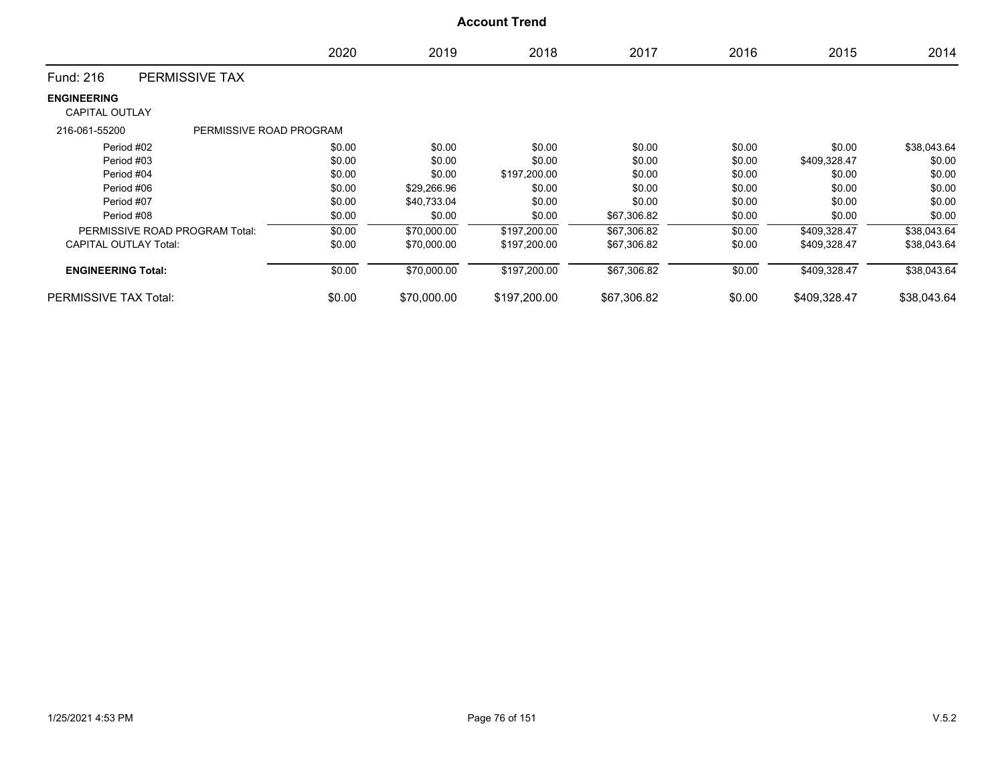|                                             |                                |        |             | <b>Account Trend</b> |             |        |              |             |
|---------------------------------------------|--------------------------------|--------|-------------|----------------------|-------------|--------|--------------|-------------|
|                                             |                                | 2020   | 2019        | 2018                 | 2017        | 2016   | 2015         | 2014        |
| Fund: 216                                   | PERMISSIVE TAX                 |        |             |                      |             |        |              |             |
| <b>ENGINEERING</b><br><b>CAPITAL OUTLAY</b> |                                |        |             |                      |             |        |              |             |
| 216-061-55200                               | PERMISSIVE ROAD PROGRAM        |        |             |                      |             |        |              |             |
| Period #02                                  |                                | \$0.00 | \$0.00      | \$0.00               | \$0.00      | \$0.00 | \$0.00       | \$38,043.64 |
| Period #03                                  |                                | \$0.00 | \$0.00      | \$0.00               | \$0.00      | \$0.00 | \$409,328.47 | \$0.00      |
| Period #04                                  |                                | \$0.00 | \$0.00      | \$197,200.00         | \$0.00      | \$0.00 | \$0.00       | \$0.00      |
| Period #06                                  |                                | \$0.00 | \$29,266.96 | \$0.00               | \$0.00      | \$0.00 | \$0.00       | \$0.00      |
| Period #07                                  |                                | \$0.00 | \$40,733.04 | \$0.00               | \$0.00      | \$0.00 | \$0.00       | \$0.00      |
| Period #08                                  |                                | \$0.00 | \$0.00      | \$0.00               | \$67,306.82 | \$0.00 | \$0.00       | \$0.00      |
|                                             | PERMISSIVE ROAD PROGRAM Total: | \$0.00 | \$70,000.00 | \$197,200.00         | \$67,306.82 | \$0.00 | \$409,328.47 | \$38,043.64 |
| <b>CAPITAL OUTLAY Total:</b>                |                                | \$0.00 | \$70,000.00 | \$197,200.00         | \$67,306.82 | \$0.00 | \$409,328.47 | \$38,043.64 |
| <b>ENGINEERING Total:</b>                   |                                | \$0.00 | \$70,000.00 | \$197,200.00         | \$67,306.82 | \$0.00 | \$409,328.47 | \$38,043.64 |
| PERMISSIVE TAX Total:                       |                                | \$0.00 | \$70,000.00 | \$197,200.00         | \$67,306.82 | \$0.00 | \$409,328.47 | \$38,043.64 |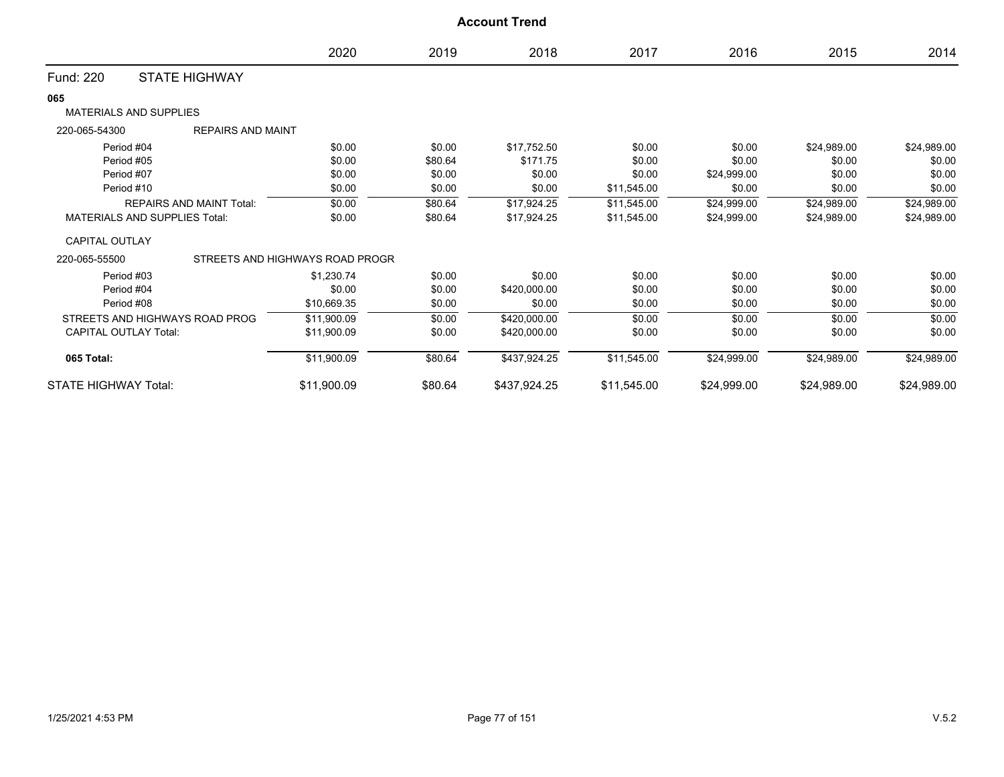|                                           |                                 |         | <b>Account Trend</b> |             |             |             |             |
|-------------------------------------------|---------------------------------|---------|----------------------|-------------|-------------|-------------|-------------|
|                                           | 2020                            | 2019    | 2018                 | 2017        | 2016        | 2015        | 2014        |
| <b>STATE HIGHWAY</b><br><b>Fund: 220</b>  |                                 |         |                      |             |             |             |             |
| 065<br><b>MATERIALS AND SUPPLIES</b>      |                                 |         |                      |             |             |             |             |
| <b>REPAIRS AND MAINT</b><br>220-065-54300 |                                 |         |                      |             |             |             |             |
| Period #04                                | \$0.00                          | \$0.00  | \$17,752.50          | \$0.00      | \$0.00      | \$24,989.00 | \$24,989.00 |
| Period #05                                | \$0.00                          | \$80.64 | \$171.75             | \$0.00      | \$0.00      | \$0.00      | \$0.00      |
| Period #07                                | \$0.00                          | \$0.00  | \$0.00               | \$0.00      | \$24,999.00 | \$0.00      | \$0.00      |
| Period #10                                | \$0.00                          | \$0.00  | \$0.00               | \$11,545.00 | \$0.00      | \$0.00      | \$0.00      |
| <b>REPAIRS AND MAINT Total:</b>           | \$0.00                          | \$80.64 | \$17,924.25          | \$11,545.00 | \$24,999.00 | \$24,989.00 | \$24,989.00 |
| <b>MATERIALS AND SUPPLIES Total:</b>      | \$0.00                          | \$80.64 | \$17,924.25          | \$11,545.00 | \$24,999.00 | \$24,989.00 | \$24,989.00 |
| <b>CAPITAL OUTLAY</b>                     |                                 |         |                      |             |             |             |             |
| 220-065-55500                             | STREETS AND HIGHWAYS ROAD PROGR |         |                      |             |             |             |             |
| Period #03                                | \$1,230.74                      | \$0.00  | \$0.00               | \$0.00      | \$0.00      | \$0.00      | \$0.00      |
| Period #04                                | \$0.00                          | \$0.00  | \$420,000.00         | \$0.00      | \$0.00      | \$0.00      | \$0.00      |
| Period #08                                | \$10,669.35                     | \$0.00  | \$0.00               | \$0.00      | \$0.00      | \$0.00      | \$0.00      |
| STREETS AND HIGHWAYS ROAD PROG            | \$11,900.09                     | \$0.00  | \$420,000.00         | \$0.00      | \$0.00      | \$0.00      | \$0.00      |
| <b>CAPITAL OUTLAY Total:</b>              | \$11,900.09                     | \$0.00  | \$420,000.00         | \$0.00      | \$0.00      | \$0.00      | \$0.00      |
| 065 Total:                                | \$11,900.09                     | \$80.64 | \$437,924.25         | \$11,545.00 | \$24,999.00 | \$24,989.00 | \$24,989.00 |
| <b>STATE HIGHWAY Total:</b>               | \$11,900.09                     | \$80.64 | \$437,924.25         | \$11,545.00 | \$24,999.00 | \$24,989.00 | \$24,989.00 |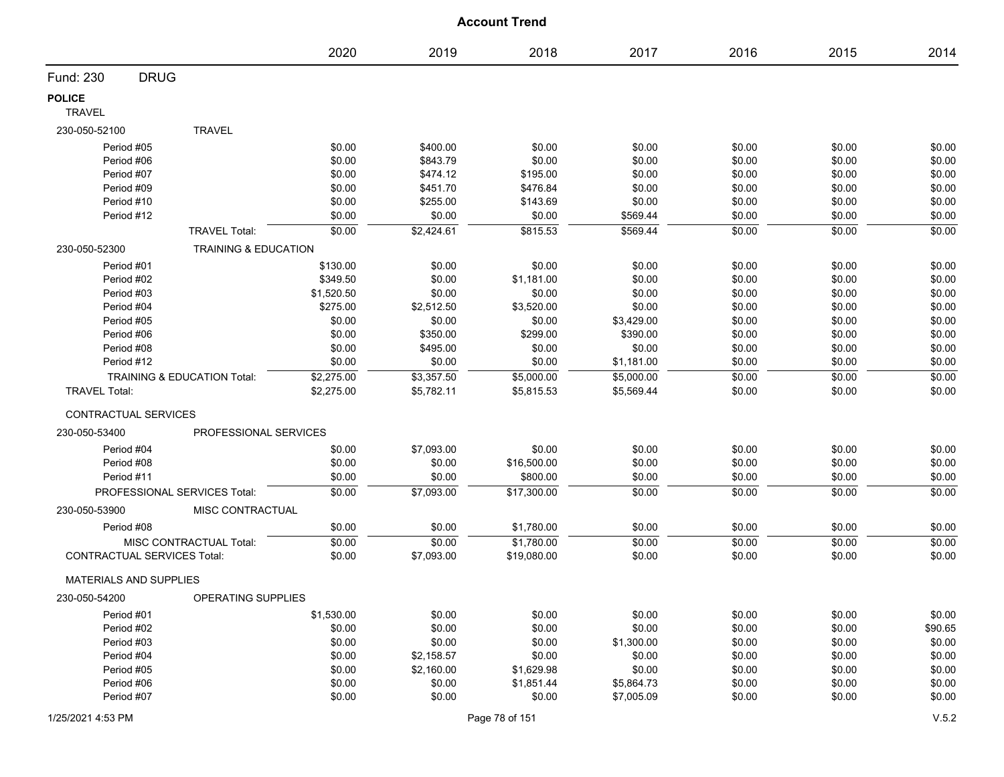|                                    |                                        | 2020       | 2019       | 2018        | 2017       | 2016   | 2015   | 2014    |
|------------------------------------|----------------------------------------|------------|------------|-------------|------------|--------|--------|---------|
| <b>DRUG</b><br>Fund: 230           |                                        |            |            |             |            |        |        |         |
| <b>POLICE</b>                      |                                        |            |            |             |            |        |        |         |
| <b>TRAVEL</b>                      |                                        |            |            |             |            |        |        |         |
| 230-050-52100                      | <b>TRAVEL</b>                          |            |            |             |            |        |        |         |
| Period #05                         |                                        | \$0.00     | \$400.00   | \$0.00      | \$0.00     | \$0.00 | \$0.00 | \$0.00  |
| Period #06                         |                                        | \$0.00     | \$843.79   | \$0.00      | \$0.00     | \$0.00 | \$0.00 | \$0.00  |
| Period #07                         |                                        | \$0.00     | \$474.12   | \$195.00    | \$0.00     | \$0.00 | \$0.00 | \$0.00  |
| Period #09                         |                                        | \$0.00     | \$451.70   | \$476.84    | \$0.00     | \$0.00 | \$0.00 | \$0.00  |
| Period #10                         |                                        | \$0.00     | \$255.00   | \$143.69    | \$0.00     | \$0.00 | \$0.00 | \$0.00  |
| Period #12                         |                                        | \$0.00     | \$0.00     | \$0.00      | \$569.44   | \$0.00 | \$0.00 | \$0.00  |
|                                    | <b>TRAVEL Total:</b>                   | \$0.00     | \$2,424.61 | \$815.53    | \$569.44   | \$0.00 | \$0.00 | \$0.00  |
| 230-050-52300                      | <b>TRAINING &amp; EDUCATION</b>        |            |            |             |            |        |        |         |
| Period #01                         |                                        | \$130.00   | \$0.00     | \$0.00      | \$0.00     | \$0.00 | \$0.00 | \$0.00  |
| Period #02                         |                                        | \$349.50   | \$0.00     | \$1,181.00  | \$0.00     | \$0.00 | \$0.00 | \$0.00  |
| Period #03                         |                                        | \$1,520.50 | \$0.00     | \$0.00      | \$0.00     | \$0.00 | \$0.00 | \$0.00  |
| Period #04                         |                                        | \$275.00   | \$2,512.50 | \$3,520.00  | \$0.00     | \$0.00 | \$0.00 | \$0.00  |
| Period #05                         |                                        | \$0.00     | \$0.00     | \$0.00      | \$3,429.00 | \$0.00 | \$0.00 | \$0.00  |
| Period #06                         |                                        | \$0.00     | \$350.00   | \$299.00    | \$390.00   | \$0.00 | \$0.00 | \$0.00  |
| Period #08                         |                                        | \$0.00     | \$495.00   | \$0.00      | \$0.00     | \$0.00 | \$0.00 | \$0.00  |
| Period #12                         |                                        | \$0.00     | \$0.00     | \$0.00      | \$1,181.00 | \$0.00 | \$0.00 | \$0.00  |
|                                    | <b>TRAINING &amp; EDUCATION Total:</b> | \$2,275.00 | \$3,357.50 | \$5,000.00  | \$5,000.00 | \$0.00 | \$0.00 | \$0.00  |
| <b>TRAVEL Total:</b>               |                                        | \$2,275.00 | \$5,782.11 | \$5,815.53  | \$5,569.44 | \$0.00 | \$0.00 | \$0.00  |
| <b>CONTRACTUAL SERVICES</b>        |                                        |            |            |             |            |        |        |         |
| 230-050-53400                      | PROFESSIONAL SERVICES                  |            |            |             |            |        |        |         |
| Period #04                         |                                        | \$0.00     | \$7,093.00 | \$0.00      | \$0.00     | \$0.00 | \$0.00 | \$0.00  |
| Period #08                         |                                        | \$0.00     | \$0.00     | \$16,500.00 | \$0.00     | \$0.00 | \$0.00 | \$0.00  |
| Period #11                         |                                        | \$0.00     | \$0.00     | \$800.00    | \$0.00     | \$0.00 | \$0.00 | \$0.00  |
|                                    | PROFESSIONAL SERVICES Total:           | \$0.00     | \$7,093.00 | \$17,300.00 | \$0.00     | \$0.00 | \$0.00 | \$0.00  |
| 230-050-53900                      | MISC CONTRACTUAL                       |            |            |             |            |        |        |         |
| Period #08                         |                                        | \$0.00     | \$0.00     | \$1,780.00  | \$0.00     | \$0.00 | \$0.00 | \$0.00  |
|                                    | MISC CONTRACTUAL Total:                | \$0.00     | \$0.00     | \$1,780.00  | \$0.00     | \$0.00 | \$0.00 | \$0.00  |
| <b>CONTRACTUAL SERVICES Total:</b> |                                        | \$0.00     | \$7,093.00 | \$19,080.00 | \$0.00     | \$0.00 | \$0.00 | \$0.00  |
| <b>MATERIALS AND SUPPLIES</b>      |                                        |            |            |             |            |        |        |         |
| 230-050-54200                      | OPERATING SUPPLIES                     |            |            |             |            |        |        |         |
| Period #01                         |                                        | \$1,530.00 | \$0.00     | \$0.00      | \$0.00     | \$0.00 | \$0.00 | \$0.00  |
| Period #02                         |                                        | \$0.00     | \$0.00     | \$0.00      | \$0.00     | \$0.00 | \$0.00 | \$90.65 |
| Period #03                         |                                        | \$0.00     | \$0.00     | \$0.00      | \$1,300.00 | \$0.00 | \$0.00 | \$0.00  |
| Period #04                         |                                        | \$0.00     | \$2,158.57 | \$0.00      | \$0.00     | \$0.00 | \$0.00 | \$0.00  |
| Period #05                         |                                        | \$0.00     | \$2,160.00 | \$1,629.98  | \$0.00     | \$0.00 | \$0.00 | \$0.00  |
| Period #06                         |                                        | \$0.00     | \$0.00     | \$1,851.44  | \$5,864.73 | \$0.00 | \$0.00 | \$0.00  |
| Period #07                         |                                        | \$0.00     | \$0.00     | \$0.00      | \$7,005.09 | \$0.00 | \$0.00 | \$0.00  |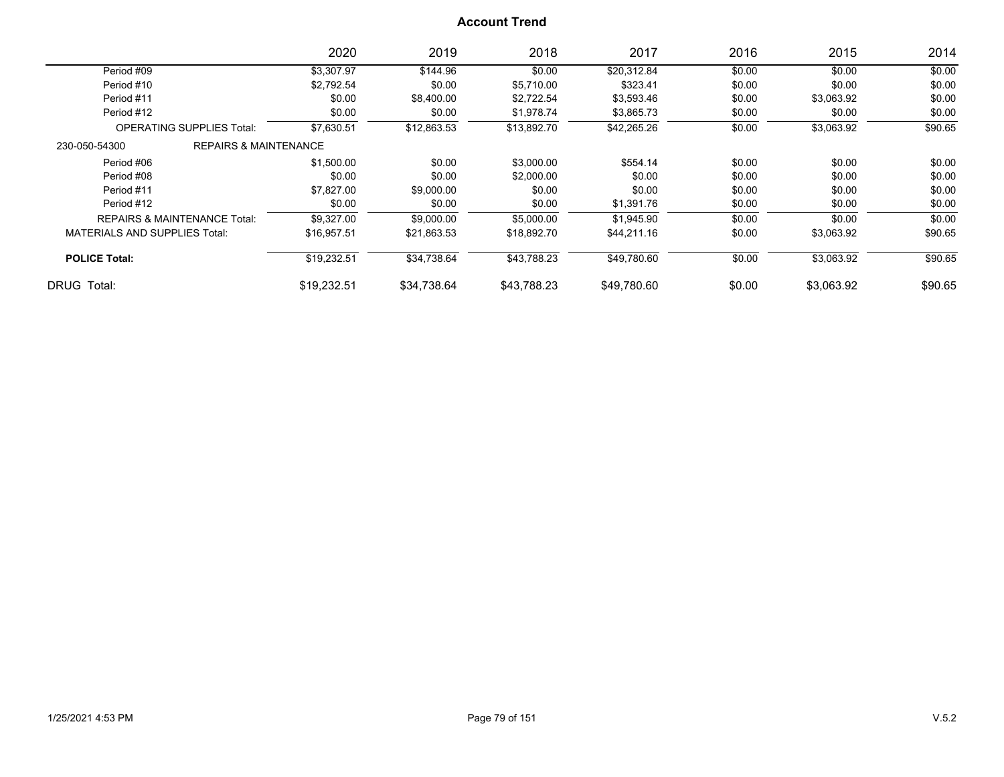|                                         |                                  | 2020        | 2019        | 2018        | 2017        | 2016   | 2015       | 2014    |
|-----------------------------------------|----------------------------------|-------------|-------------|-------------|-------------|--------|------------|---------|
| Period #09                              |                                  | \$3,307.97  | \$144.96    | \$0.00      | \$20.312.84 | \$0.00 | \$0.00     | \$0.00  |
| Period #10                              |                                  | \$2,792.54  | \$0.00      | \$5,710.00  | \$323.41    | \$0.00 | \$0.00     | \$0.00  |
| Period #11                              |                                  | \$0.00      | \$8,400.00  | \$2,722.54  | \$3,593.46  | \$0.00 | \$3,063.92 | \$0.00  |
| Period #12                              |                                  | \$0.00      | \$0.00      | \$1,978.74  | \$3,865.73  | \$0.00 | \$0.00     | \$0.00  |
| <b>OPERATING SUPPLIES Total:</b>        |                                  | \$7.630.51  | \$12,863.53 | \$13,892.70 | \$42,265.26 | \$0.00 | \$3,063.92 | \$90.65 |
| 230-050-54300                           | <b>REPAIRS &amp; MAINTENANCE</b> |             |             |             |             |        |            |         |
| Period #06                              |                                  | \$1,500.00  | \$0.00      | \$3,000.00  | \$554.14    | \$0.00 | \$0.00     | \$0.00  |
| Period #08                              |                                  | \$0.00      | \$0.00      | \$2,000.00  | \$0.00      | \$0.00 | \$0.00     | \$0.00  |
| Period #11                              |                                  | \$7.827.00  | \$9,000.00  | \$0.00      | \$0.00      | \$0.00 | \$0.00     | \$0.00  |
| Period #12                              |                                  | \$0.00      | \$0.00      | \$0.00      | \$1,391.76  | \$0.00 | \$0.00     | \$0.00  |
| <b>REPAIRS &amp; MAINTENANCE Total:</b> |                                  | \$9.327.00  | \$9,000.00  | \$5,000.00  | \$1.945.90  | \$0.00 | \$0.00     | \$0.00  |
| <b>MATERIALS AND SUPPLIES Total:</b>    |                                  | \$16,957.51 | \$21,863.53 | \$18,892.70 | \$44,211.16 | \$0.00 | \$3,063.92 | \$90.65 |
| <b>POLICE Total:</b>                    |                                  | \$19,232.51 | \$34,738.64 | \$43.788.23 | \$49.780.60 | \$0.00 | \$3,063.92 | \$90.65 |
| DRUG Total:                             |                                  | \$19,232.51 | \$34.738.64 | \$43,788.23 | \$49,780.60 | \$0.00 | \$3,063.92 | \$90.65 |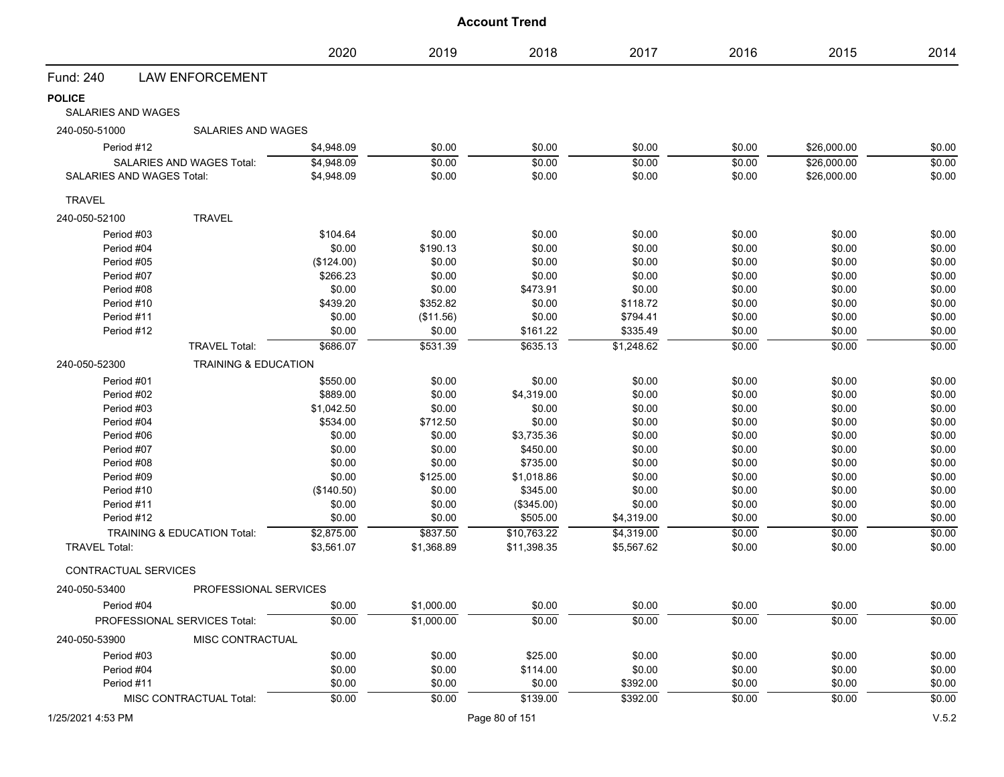|                                                  | 2020       | 2019       | 2018        | 2017       | 2016   | 2015        | 2014   |
|--------------------------------------------------|------------|------------|-------------|------------|--------|-------------|--------|
| <b>LAW ENFORCEMENT</b><br>Fund: 240              |            |            |             |            |        |             |        |
| <b>POLICE</b>                                    |            |            |             |            |        |             |        |
| SALARIES AND WAGES                               |            |            |             |            |        |             |        |
| 240-050-51000<br><b>SALARIES AND WAGES</b>       |            |            |             |            |        |             |        |
| Period #12                                       | \$4,948.09 | \$0.00     | \$0.00      | \$0.00     | \$0.00 | \$26,000.00 | \$0.00 |
| SALARIES AND WAGES Total:                        | \$4,948.09 | \$0.00     | \$0.00      | \$0.00     | \$0.00 | \$26,000.00 | \$0.00 |
| <b>SALARIES AND WAGES Total:</b>                 | \$4,948.09 | \$0.00     | \$0.00      | \$0.00     | \$0.00 | \$26,000.00 | \$0.00 |
| <b>TRAVEL</b>                                    |            |            |             |            |        |             |        |
| <b>TRAVEL</b><br>240-050-52100                   |            |            |             |            |        |             |        |
| Period #03                                       | \$104.64   | \$0.00     | \$0.00      | \$0.00     | \$0.00 | \$0.00      | \$0.00 |
| Period #04                                       | \$0.00     | \$190.13   | \$0.00      | \$0.00     | \$0.00 | \$0.00      | \$0.00 |
| Period #05                                       | (\$124.00) | \$0.00     | \$0.00      | \$0.00     | \$0.00 | \$0.00      | \$0.00 |
| Period #07                                       | \$266.23   | \$0.00     | \$0.00      | \$0.00     | \$0.00 | \$0.00      | \$0.00 |
| Period #08                                       | \$0.00     | \$0.00     | \$473.91    | \$0.00     | \$0.00 | \$0.00      | \$0.00 |
| Period #10                                       | \$439.20   | \$352.82   | \$0.00      | \$118.72   | \$0.00 | \$0.00      | \$0.00 |
| Period #11                                       | \$0.00     | (\$11.56)  | \$0.00      | \$794.41   | \$0.00 | \$0.00      | \$0.00 |
| Period #12                                       | \$0.00     | \$0.00     | \$161.22    | \$335.49   | \$0.00 | \$0.00      | \$0.00 |
| <b>TRAVEL Total:</b>                             | \$686.07   | \$531.39   | \$635.13    | \$1,248.62 | \$0.00 | \$0.00      | \$0.00 |
| 240-050-52300<br><b>TRAINING &amp; EDUCATION</b> |            |            |             |            |        |             |        |
| Period #01                                       | \$550.00   | \$0.00     | \$0.00      | \$0.00     | \$0.00 | \$0.00      | \$0.00 |
| Period #02                                       | \$889.00   | \$0.00     | \$4,319.00  | \$0.00     | \$0.00 | \$0.00      | \$0.00 |
| Period #03                                       | \$1,042.50 | \$0.00     | \$0.00      | \$0.00     | \$0.00 | \$0.00      | \$0.00 |
| Period #04                                       | \$534.00   | \$712.50   | \$0.00      | \$0.00     | \$0.00 | \$0.00      | \$0.00 |
| Period #06                                       | \$0.00     | \$0.00     | \$3,735.36  | \$0.00     | \$0.00 | \$0.00      | \$0.00 |
| Period #07                                       | \$0.00     | \$0.00     | \$450.00    | \$0.00     | \$0.00 | \$0.00      | \$0.00 |
| Period #08                                       | \$0.00     | \$0.00     | \$735.00    | \$0.00     | \$0.00 | \$0.00      | \$0.00 |
| Period #09                                       | \$0.00     | \$125.00   | \$1,018.86  | \$0.00     | \$0.00 | \$0.00      | \$0.00 |
| Period #10                                       | (\$140.50) | \$0.00     | \$345.00    | \$0.00     | \$0.00 | \$0.00      | \$0.00 |
| Period #11                                       | \$0.00     | \$0.00     | (\$345.00)  | \$0.00     | \$0.00 | \$0.00      | \$0.00 |
| Period #12                                       | \$0.00     | \$0.00     | \$505.00    | \$4,319.00 | \$0.00 | \$0.00      | \$0.00 |
| <b>TRAINING &amp; EDUCATION Total:</b>           | \$2,875.00 | \$837.50   | \$10,763.22 | \$4,319.00 | \$0.00 | \$0.00      | \$0.00 |
| <b>TRAVEL Total:</b>                             | \$3,561.07 | \$1,368.89 | \$11,398.35 | \$5,567.62 | \$0.00 | \$0.00      | \$0.00 |
| CONTRACTUAL SERVICES                             |            |            |             |            |        |             |        |
| PROFESSIONAL SERVICES<br>240-050-53400           |            |            |             |            |        |             |        |
| Period #04                                       | \$0.00     | \$1,000.00 | \$0.00      | \$0.00     | \$0.00 | \$0.00      | \$0.00 |
| PROFESSIONAL SERVICES Total:                     | \$0.00     | \$1,000.00 | \$0.00      | \$0.00     | \$0.00 | \$0.00      | \$0.00 |
| 240-050-53900<br>MISC CONTRACTUAL                |            |            |             |            |        |             |        |
| Period #03                                       | \$0.00     | \$0.00     | \$25.00     | \$0.00     | \$0.00 | \$0.00      | \$0.00 |
| Period #04                                       | \$0.00     | \$0.00     | \$114.00    | \$0.00     | \$0.00 | \$0.00      | \$0.00 |
| Period #11                                       | \$0.00     | \$0.00     | \$0.00      | \$392.00   | \$0.00 | \$0.00      | \$0.00 |
| <b>MISC CONTRACTUAL Total:</b>                   | \$0.00     | \$0.00     | \$139.00    | \$392.00   | \$0.00 | \$0.00      | \$0.00 |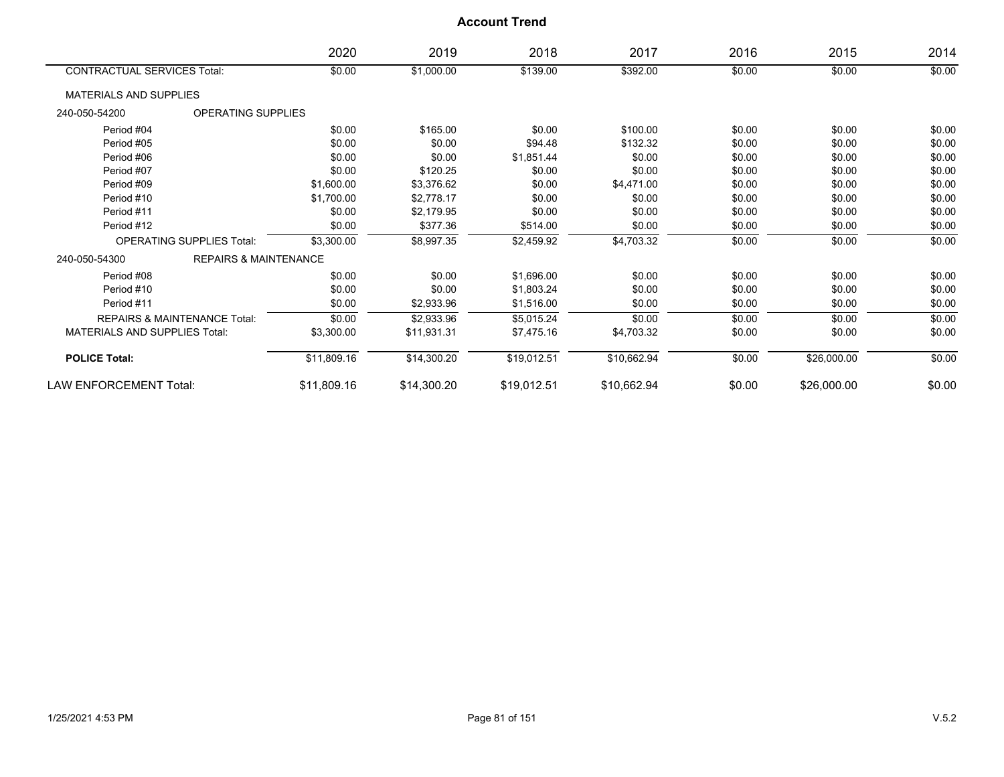|                                      |                                         | 2020        | 2019        | 2018        | 2017        | 2016   | 2015        | 2014   |
|--------------------------------------|-----------------------------------------|-------------|-------------|-------------|-------------|--------|-------------|--------|
| <b>CONTRACTUAL SERVICES Total:</b>   |                                         | \$0.00      | \$1,000.00  | \$139.00    | \$392.00    | \$0.00 | \$0.00      | \$0.00 |
| <b>MATERIALS AND SUPPLIES</b>        |                                         |             |             |             |             |        |             |        |
| 240-050-54200                        | <b>OPERATING SUPPLIES</b>               |             |             |             |             |        |             |        |
| Period #04                           |                                         | \$0.00      | \$165.00    | \$0.00      | \$100.00    | \$0.00 | \$0.00      | \$0.00 |
| Period #05                           |                                         | \$0.00      | \$0.00      | \$94.48     | \$132.32    | \$0.00 | \$0.00      | \$0.00 |
| Period #06                           |                                         | \$0.00      | \$0.00      | \$1,851.44  | \$0.00      | \$0.00 | \$0.00      | \$0.00 |
| Period #07                           |                                         | \$0.00      | \$120.25    | \$0.00      | \$0.00      | \$0.00 | \$0.00      | \$0.00 |
| Period #09                           |                                         | \$1,600.00  | \$3,376.62  | \$0.00      | \$4,471.00  | \$0.00 | \$0.00      | \$0.00 |
| Period #10                           |                                         | \$1,700.00  | \$2,778.17  | \$0.00      | \$0.00      | \$0.00 | \$0.00      | \$0.00 |
| Period #11                           |                                         | \$0.00      | \$2,179.95  | \$0.00      | \$0.00      | \$0.00 | \$0.00      | \$0.00 |
| Period #12                           |                                         | \$0.00      | \$377.36    | \$514.00    | \$0.00      | \$0.00 | \$0.00      | \$0.00 |
|                                      | <b>OPERATING SUPPLIES Total:</b>        | \$3,300.00  | \$8,997.35  | \$2,459.92  | \$4,703.32  | \$0.00 | \$0.00      | \$0.00 |
| 240-050-54300                        | <b>REPAIRS &amp; MAINTENANCE</b>        |             |             |             |             |        |             |        |
| Period #08                           |                                         | \$0.00      | \$0.00      | \$1,696.00  | \$0.00      | \$0.00 | \$0.00      | \$0.00 |
| Period #10                           |                                         | \$0.00      | \$0.00      | \$1,803.24  | \$0.00      | \$0.00 | \$0.00      | \$0.00 |
| Period #11                           |                                         | \$0.00      | \$2,933.96  | \$1,516.00  | \$0.00      | \$0.00 | \$0.00      | \$0.00 |
|                                      | <b>REPAIRS &amp; MAINTENANCE Total:</b> | \$0.00      | \$2,933.96  | \$5,015.24  | \$0.00      | \$0.00 | \$0.00      | \$0.00 |
| <b>MATERIALS AND SUPPLIES Total:</b> |                                         | \$3,300.00  | \$11,931.31 | \$7,475.16  | \$4,703.32  | \$0.00 | \$0.00      | \$0.00 |
| <b>POLICE Total:</b>                 |                                         | \$11,809.16 | \$14,300.20 | \$19,012.51 | \$10,662.94 | \$0.00 | \$26,000.00 | \$0.00 |
| LAW ENFORCEMENT Total:               |                                         | \$11,809.16 | \$14,300.20 | \$19,012.51 | \$10,662.94 | \$0.00 | \$26,000.00 | \$0.00 |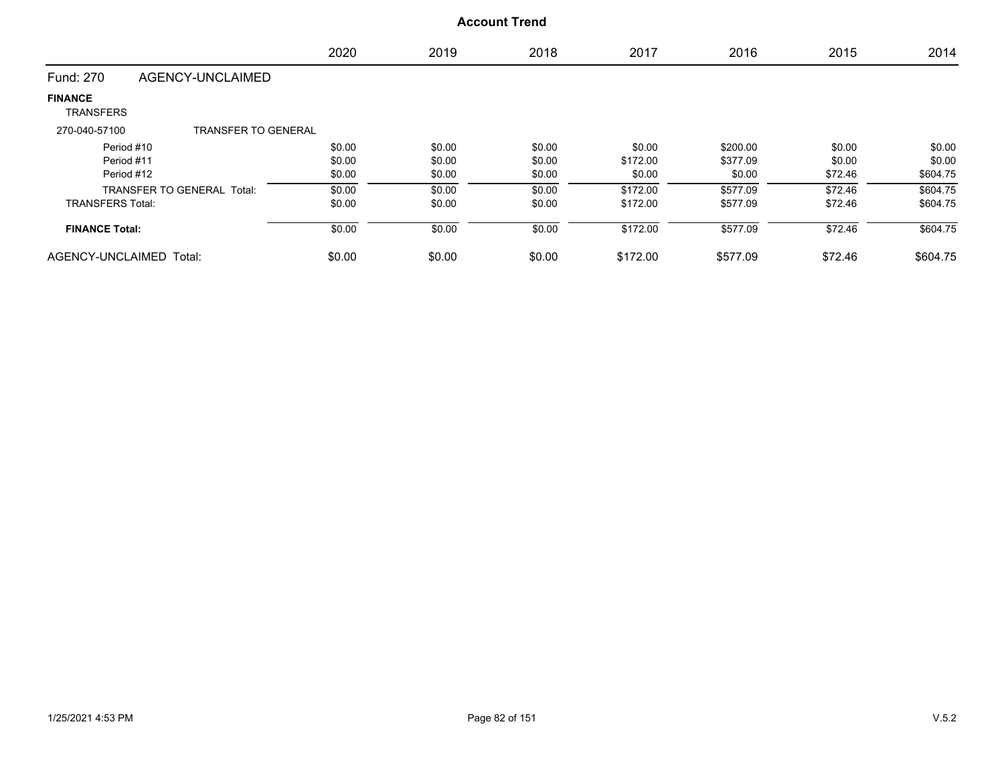|                                    |                                   | 2020   | 2019   | 2018   | 2017     | 2016     | 2015    | 2014     |
|------------------------------------|-----------------------------------|--------|--------|--------|----------|----------|---------|----------|
| Fund: 270                          | AGENCY-UNCLAIMED                  |        |        |        |          |          |         |          |
| <b>FINANCE</b><br><b>TRANSFERS</b> |                                   |        |        |        |          |          |         |          |
| 270-040-57100                      | <b>TRANSFER TO GENERAL</b>        |        |        |        |          |          |         |          |
| Period #10                         |                                   | \$0.00 | \$0.00 | \$0.00 | \$0.00   | \$200.00 | \$0.00  | \$0.00   |
| Period #11                         |                                   | \$0.00 | \$0.00 | \$0.00 | \$172.00 | \$377.09 | \$0.00  | \$0.00   |
| Period #12                         |                                   | \$0.00 | \$0.00 | \$0.00 | \$0.00   | \$0.00   | \$72.46 | \$604.75 |
|                                    | <b>TRANSFER TO GENERAL Total:</b> | \$0.00 | \$0.00 | \$0.00 | \$172.00 | \$577.09 | \$72.46 | \$604.75 |
| <b>TRANSFERS Total:</b>            |                                   | \$0.00 | \$0.00 | \$0.00 | \$172.00 | \$577.09 | \$72.46 | \$604.75 |
| <b>FINANCE Total:</b>              |                                   | \$0.00 | \$0.00 | \$0.00 | \$172.00 | \$577.09 | \$72.46 | \$604.75 |
| AGENCY-UNCLAIMED Total:            |                                   | \$0.00 | \$0.00 | \$0.00 | \$172.00 | \$577.09 | \$72.46 | \$604.75 |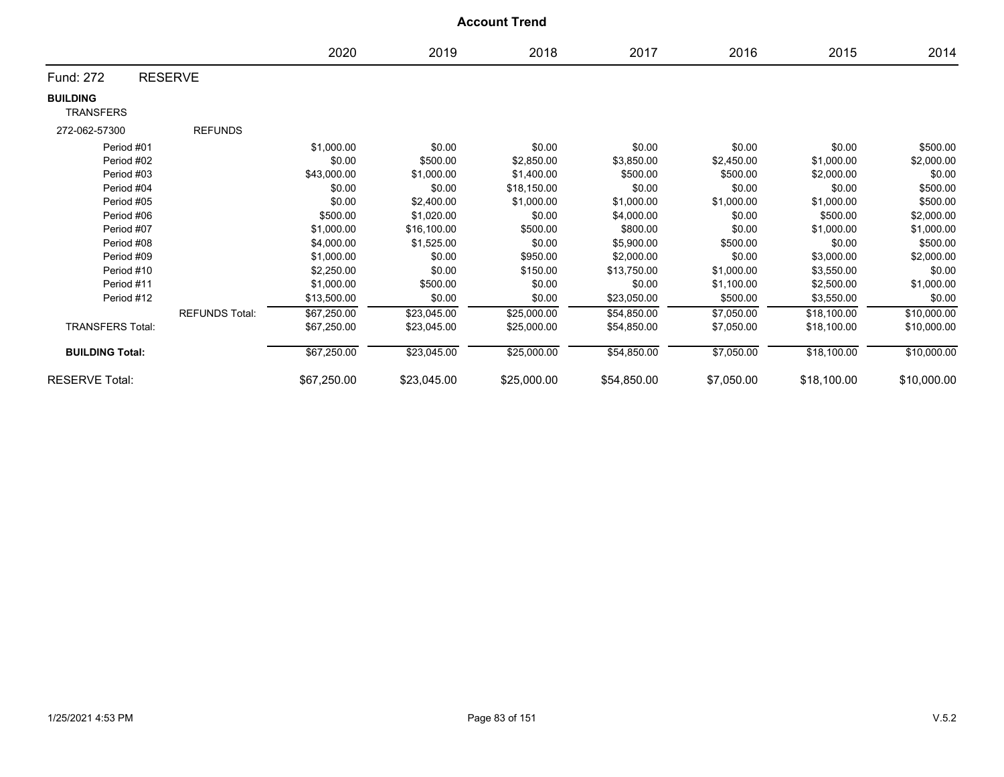|                                     |                       |             |             | <b>Account Trend</b> |             |            |             |             |
|-------------------------------------|-----------------------|-------------|-------------|----------------------|-------------|------------|-------------|-------------|
|                                     |                       | 2020        | 2019        | 2018                 | 2017        | 2016       | 2015        | 2014        |
| Fund: 272                           | <b>RESERVE</b>        |             |             |                      |             |            |             |             |
| <b>BUILDING</b><br><b>TRANSFERS</b> |                       |             |             |                      |             |            |             |             |
| 272-062-57300                       | <b>REFUNDS</b>        |             |             |                      |             |            |             |             |
| Period #01                          |                       | \$1,000.00  | \$0.00      | \$0.00               | \$0.00      | \$0.00     | \$0.00      | \$500.00    |
| Period #02                          |                       | \$0.00      | \$500.00    | \$2,850.00           | \$3,850.00  | \$2,450.00 | \$1,000.00  | \$2,000.00  |
| Period #03                          |                       | \$43,000.00 | \$1,000.00  | \$1,400.00           | \$500.00    | \$500.00   | \$2,000.00  | \$0.00      |
| Period #04                          |                       | \$0.00      | \$0.00      | \$18,150.00          | \$0.00      | \$0.00     | \$0.00      | \$500.00    |
| Period #05                          |                       | \$0.00      | \$2,400.00  | \$1,000.00           | \$1,000.00  | \$1,000.00 | \$1,000.00  | \$500.00    |
| Period #06                          |                       | \$500.00    | \$1,020.00  | \$0.00               | \$4,000.00  | \$0.00     | \$500.00    | \$2,000.00  |
| Period #07                          |                       | \$1,000.00  | \$16,100.00 | \$500.00             | \$800.00    | \$0.00     | \$1,000.00  | \$1,000.00  |
| Period #08                          |                       | \$4,000.00  | \$1,525.00  | \$0.00               | \$5,900.00  | \$500.00   | \$0.00      | \$500.00    |
| Period #09                          |                       | \$1,000.00  | \$0.00      | \$950.00             | \$2,000.00  | \$0.00     | \$3,000.00  | \$2,000.00  |
| Period #10                          |                       | \$2,250.00  | \$0.00      | \$150.00             | \$13,750.00 | \$1,000.00 | \$3,550.00  | \$0.00      |
| Period #11                          |                       | \$1,000.00  | \$500.00    | \$0.00               | \$0.00      | \$1,100.00 | \$2,500.00  | \$1,000.00  |
| Period #12                          |                       | \$13,500.00 | \$0.00      | \$0.00               | \$23,050.00 | \$500.00   | \$3,550.00  | \$0.00      |
|                                     | <b>REFUNDS Total:</b> | \$67,250.00 | \$23,045.00 | \$25,000.00          | \$54,850.00 | \$7,050.00 | \$18,100.00 | \$10,000.00 |
| <b>TRANSFERS Total:</b>             |                       | \$67,250.00 | \$23,045.00 | \$25,000.00          | \$54,850.00 | \$7,050.00 | \$18,100.00 | \$10,000.00 |
| <b>BUILDING Total:</b>              |                       | \$67,250.00 | \$23,045.00 | \$25,000.00          | \$54,850.00 | \$7,050.00 | \$18,100.00 | \$10,000.00 |
| <b>RESERVE Total:</b>               |                       | \$67,250.00 | \$23,045.00 | \$25,000.00          | \$54,850.00 | \$7,050.00 | \$18,100.00 | \$10,000.00 |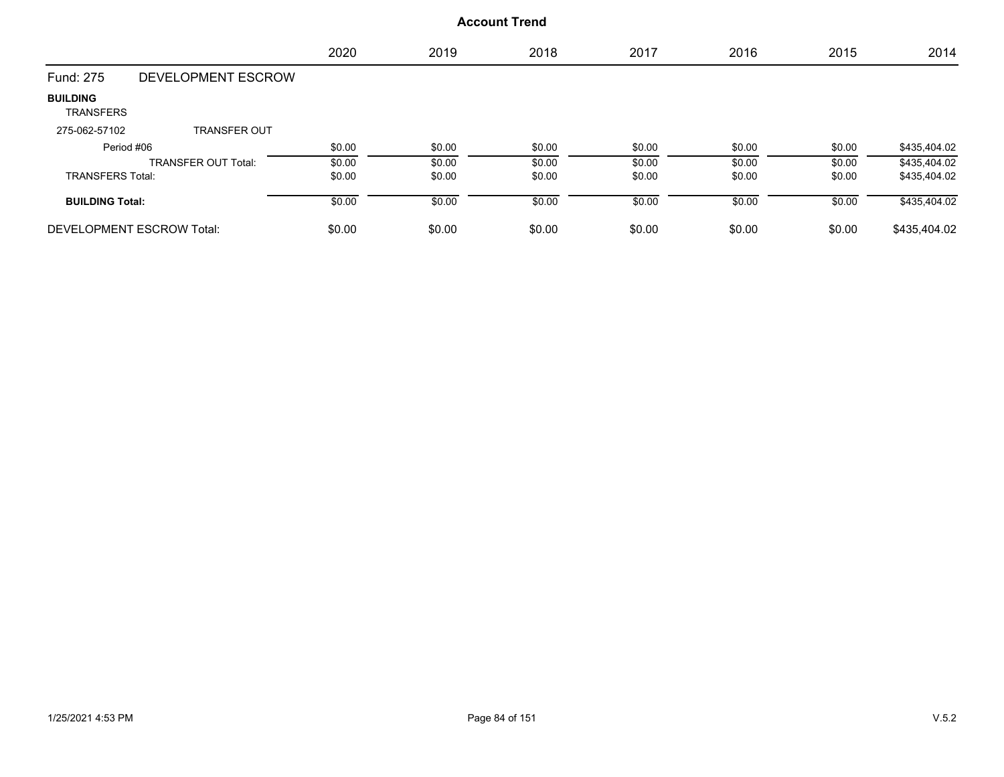|                                     |                            | 2020   | 2019   | 2018   | 2017   | 2016   | 2015   | 2014         |
|-------------------------------------|----------------------------|--------|--------|--------|--------|--------|--------|--------------|
| Fund: 275                           | DEVELOPMENT ESCROW         |        |        |        |        |        |        |              |
| <b>BUILDING</b><br><b>TRANSFERS</b> |                            |        |        |        |        |        |        |              |
| 275-062-57102                       | <b>TRANSFER OUT</b>        |        |        |        |        |        |        |              |
| Period #06                          |                            | \$0.00 | \$0.00 | \$0.00 | \$0.00 | \$0.00 | \$0.00 | \$435,404.02 |
|                                     | <b>TRANSFER OUT Total:</b> | \$0.00 | \$0.00 | \$0.00 | \$0.00 | \$0.00 | \$0.00 | \$435,404.02 |
| <b>TRANSFERS Total:</b>             |                            | \$0.00 | \$0.00 | \$0.00 | \$0.00 | \$0.00 | \$0.00 | \$435,404.02 |
| <b>BUILDING Total:</b>              |                            | \$0.00 | \$0.00 | \$0.00 | \$0.00 | \$0.00 | \$0.00 | \$435,404.02 |
|                                     | DEVELOPMENT ESCROW Total:  | \$0.00 | \$0.00 | \$0.00 | \$0.00 | \$0.00 | \$0.00 | \$435,404.02 |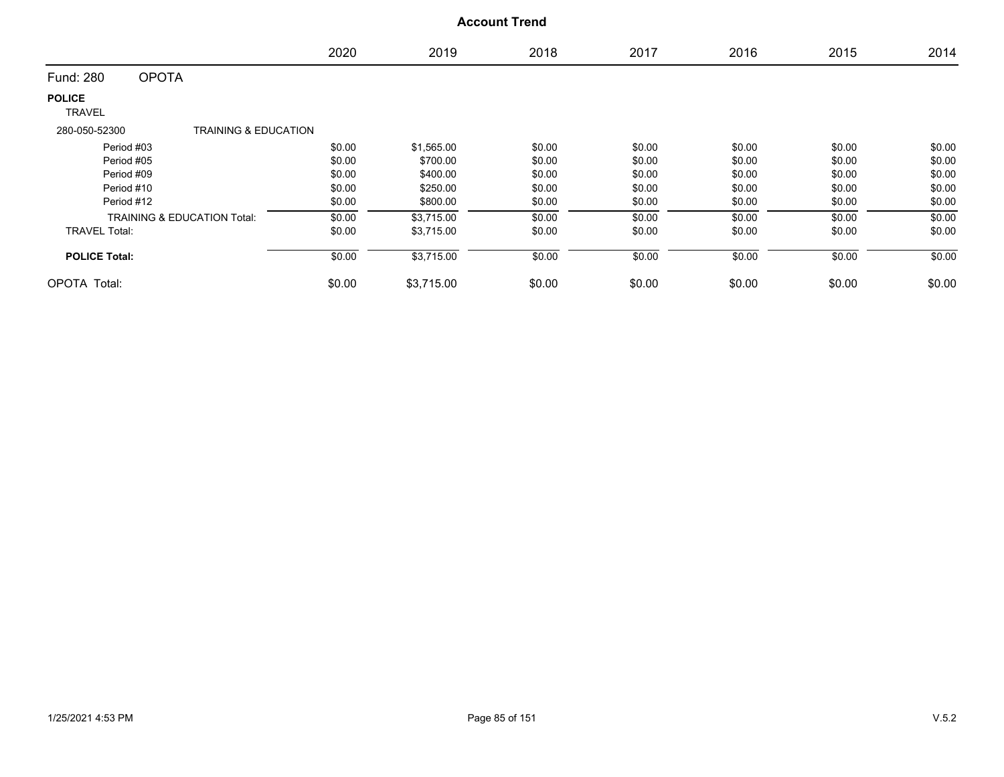|                                |                                        | 2020   | 2019       | 2018   | 2017   | 2016   | 2015   | 2014   |
|--------------------------------|----------------------------------------|--------|------------|--------|--------|--------|--------|--------|
| Fund: 280                      | <b>OPOTA</b>                           |        |            |        |        |        |        |        |
| <b>POLICE</b><br><b>TRAVEL</b> |                                        |        |            |        |        |        |        |        |
| 280-050-52300                  | <b>TRAINING &amp; EDUCATION</b>        |        |            |        |        |        |        |        |
| Period #03                     |                                        | \$0.00 | \$1,565.00 | \$0.00 | \$0.00 | \$0.00 | \$0.00 | \$0.00 |
| Period #05                     |                                        | \$0.00 | \$700.00   | \$0.00 | \$0.00 | \$0.00 | \$0.00 | \$0.00 |
| Period #09                     |                                        | \$0.00 | \$400.00   | \$0.00 | \$0.00 | \$0.00 | \$0.00 | \$0.00 |
| Period #10                     |                                        | \$0.00 | \$250.00   | \$0.00 | \$0.00 | \$0.00 | \$0.00 | \$0.00 |
|                                | Period #12                             | \$0.00 | \$800.00   | \$0.00 | \$0.00 | \$0.00 | \$0.00 | \$0.00 |
|                                | <b>TRAINING &amp; EDUCATION Total:</b> | \$0.00 | \$3,715.00 | \$0.00 | \$0.00 | \$0.00 | \$0.00 | \$0.00 |
| <b>TRAVEL Total:</b>           |                                        | \$0.00 | \$3,715.00 | \$0.00 | \$0.00 | \$0.00 | \$0.00 | \$0.00 |
| <b>POLICE Total:</b>           |                                        | \$0.00 | \$3,715.00 | \$0.00 | \$0.00 | \$0.00 | \$0.00 | \$0.00 |
| OPOTA Total:                   |                                        | \$0.00 | \$3,715.00 | \$0.00 | \$0.00 | \$0.00 | \$0.00 | \$0.00 |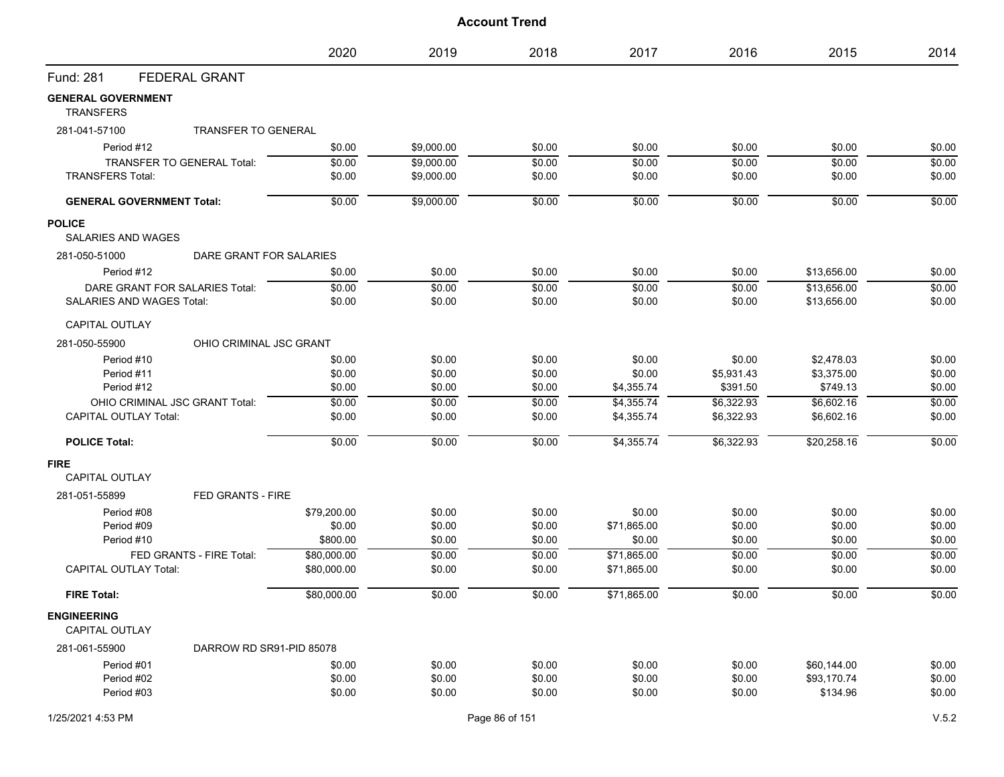|                                               |                            | 2020        | 2019       | 2018   | 2017        | 2016       | 2015        | 2014   |
|-----------------------------------------------|----------------------------|-------------|------------|--------|-------------|------------|-------------|--------|
| Fund: 281                                     | <b>FEDERAL GRANT</b>       |             |            |        |             |            |             |        |
| <b>GENERAL GOVERNMENT</b><br><b>TRANSFERS</b> |                            |             |            |        |             |            |             |        |
| 281-041-57100                                 | <b>TRANSFER TO GENERAL</b> |             |            |        |             |            |             |        |
| Period #12                                    |                            | \$0.00      | \$9,000.00 | \$0.00 | \$0.00      | \$0.00     | \$0.00      | \$0.00 |
| <b>TRANSFER TO GENERAL Total:</b>             |                            | \$0.00      | \$9,000.00 | \$0.00 | \$0.00      | \$0.00     | \$0.00      | \$0.00 |
| <b>TRANSFERS Total:</b>                       |                            | \$0.00      | \$9,000.00 | \$0.00 | \$0.00      | \$0.00     | \$0.00      | \$0.00 |
| <b>GENERAL GOVERNMENT Total:</b>              |                            | \$0.00      | \$9,000.00 | \$0.00 | \$0.00      | \$0.00     | \$0.00      | \$0.00 |
| <b>POLICE</b><br><b>SALARIES AND WAGES</b>    |                            |             |            |        |             |            |             |        |
| 281-050-51000                                 | DARE GRANT FOR SALARIES    |             |            |        |             |            |             |        |
| Period #12                                    |                            | \$0.00      | \$0.00     | \$0.00 | \$0.00      | \$0.00     | \$13,656.00 | \$0.00 |
| DARE GRANT FOR SALARIES Total:                |                            | \$0.00      | \$0.00     | \$0.00 | \$0.00      | \$0.00     | \$13,656.00 | \$0.00 |
| SALARIES AND WAGES Total:                     |                            | \$0.00      | \$0.00     | \$0.00 | \$0.00      | \$0.00     | \$13,656.00 | \$0.00 |
| CAPITAL OUTLAY                                |                            |             |            |        |             |            |             |        |
| 281-050-55900                                 | OHIO CRIMINAL JSC GRANT    |             |            |        |             |            |             |        |
| Period #10                                    |                            | \$0.00      | \$0.00     | \$0.00 | \$0.00      | \$0.00     | \$2,478.03  | \$0.00 |
| Period #11                                    |                            | \$0.00      | \$0.00     | \$0.00 | \$0.00      | \$5,931.43 | \$3,375.00  | \$0.00 |
| Period #12                                    |                            | \$0.00      | \$0.00     | \$0.00 | \$4,355.74  | \$391.50   | \$749.13    | \$0.00 |
| OHIO CRIMINAL JSC GRANT Total:                |                            | \$0.00      | \$0.00     | \$0.00 | \$4,355.74  | \$6,322.93 | \$6,602.16  | \$0.00 |
| <b>CAPITAL OUTLAY Total:</b>                  |                            | \$0.00      | \$0.00     | \$0.00 | \$4,355.74  | \$6,322.93 | \$6,602.16  | \$0.00 |
| <b>POLICE Total:</b>                          |                            | \$0.00      | \$0.00     | \$0.00 | \$4,355.74  | \$6,322.93 | \$20,258.16 | \$0.00 |
| <b>FIRE</b>                                   |                            |             |            |        |             |            |             |        |
| CAPITAL OUTLAY                                |                            |             |            |        |             |            |             |        |
| 281-051-55899                                 | FED GRANTS - FIRE          |             |            |        |             |            |             |        |
| Period #08                                    |                            | \$79,200.00 | \$0.00     | \$0.00 | \$0.00      | \$0.00     | \$0.00      | \$0.00 |
| Period #09                                    |                            | \$0.00      | \$0.00     | \$0.00 | \$71,865.00 | \$0.00     | \$0.00      | \$0.00 |
| Period #10                                    |                            | \$800.00    | \$0.00     | \$0.00 | \$0.00      | \$0.00     | \$0.00      | \$0.00 |
|                                               | FED GRANTS - FIRE Total:   | \$80,000.00 | \$0.00     | \$0.00 | \$71,865.00 | \$0.00     | \$0.00      | \$0.00 |
| <b>CAPITAL OUTLAY Total:</b>                  |                            | \$80,000.00 | \$0.00     | \$0.00 | \$71,865.00 | \$0.00     | \$0.00      | \$0.00 |
| <b>FIRE Total:</b>                            |                            | \$80,000.00 | \$0.00     | \$0.00 | \$71,865.00 | \$0.00     | \$0.00      | \$0.00 |
| <b>ENGINEERING</b><br><b>CAPITAL OUTLAY</b>   |                            |             |            |        |             |            |             |        |
| 281-061-55900                                 | DARROW RD SR91-PID 85078   |             |            |        |             |            |             |        |
| Period #01                                    |                            | \$0.00      | \$0.00     | \$0.00 | \$0.00      | \$0.00     | \$60,144.00 | \$0.00 |
| Period #02                                    |                            | \$0.00      | \$0.00     | \$0.00 | \$0.00      | \$0.00     | \$93,170.74 | \$0.00 |
| Period #03                                    |                            | \$0.00      | \$0.00     | \$0.00 | \$0.00      | \$0.00     | \$134.96    | \$0.00 |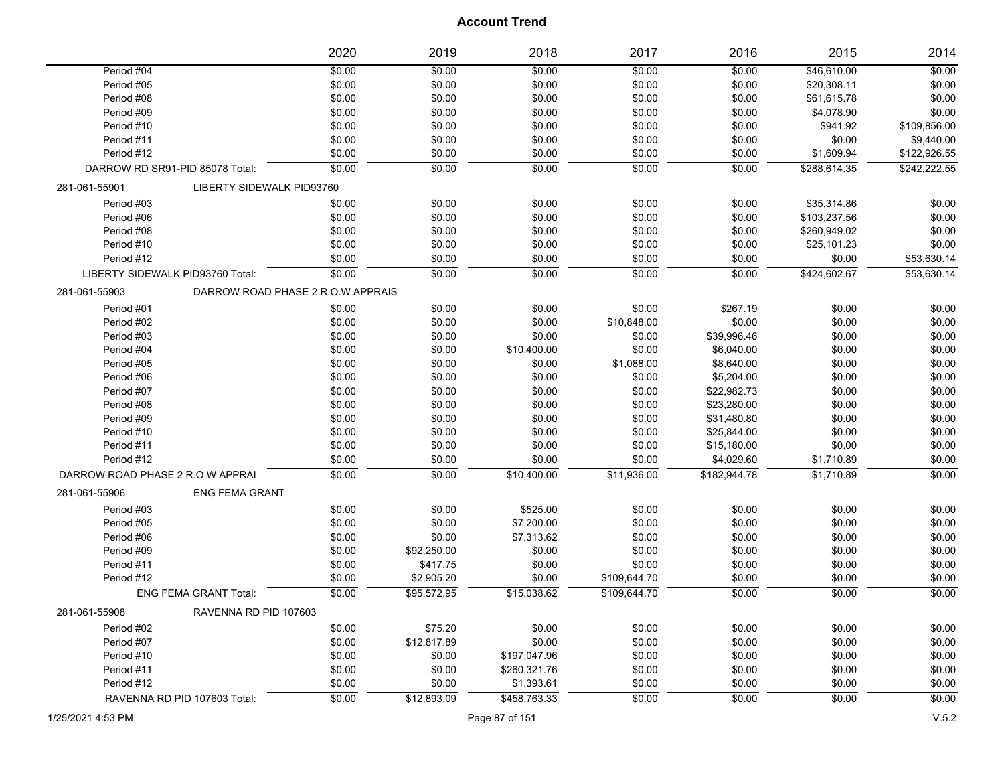|                                  |                                   | 2020   | 2019        | 2018         | 2017         | 2016         | 2015         | 2014         |
|----------------------------------|-----------------------------------|--------|-------------|--------------|--------------|--------------|--------------|--------------|
| Period #04                       |                                   | \$0.00 | \$0.00      | \$0.00       | \$0.00       | \$0.00       | \$46,610.00  | \$0.00       |
| Period #05                       |                                   | \$0.00 | \$0.00      | \$0.00       | \$0.00       | \$0.00       | \$20,308.11  | \$0.00       |
| Period #08                       |                                   | \$0.00 | \$0.00      | \$0.00       | \$0.00       | \$0.00       | \$61,615.78  | \$0.00       |
| Period #09                       |                                   | \$0.00 | \$0.00      | \$0.00       | \$0.00       | \$0.00       | \$4,078.90   | \$0.00       |
| Period #10                       |                                   | \$0.00 | \$0.00      | \$0.00       | \$0.00       | \$0.00       | \$941.92     | \$109,856.00 |
| Period #11                       |                                   | \$0.00 | \$0.00      | \$0.00       | \$0.00       | \$0.00       | \$0.00       | \$9,440.00   |
| Period #12                       |                                   | \$0.00 | \$0.00      | \$0.00       | \$0.00       | \$0.00       | \$1,609.94   | \$122,926.55 |
|                                  | DARROW RD SR91-PID 85078 Total:   | \$0.00 | \$0.00      | \$0.00       | \$0.00       | \$0.00       | \$288,614.35 | \$242,222.55 |
| 281-061-55901                    | LIBERTY SIDEWALK PID93760         |        |             |              |              |              |              |              |
| Period #03                       |                                   | \$0.00 | \$0.00      | \$0.00       | \$0.00       | \$0.00       | \$35,314.86  | \$0.00       |
| Period #06                       |                                   | \$0.00 | \$0.00      | \$0.00       | \$0.00       | \$0.00       | \$103,237.56 | \$0.00       |
| Period #08                       |                                   | \$0.00 | \$0.00      | \$0.00       | \$0.00       | \$0.00       | \$260,949.02 | \$0.00       |
| Period #10                       |                                   | \$0.00 | \$0.00      | \$0.00       | \$0.00       | \$0.00       | \$25,101.23  | \$0.00       |
| Period #12                       |                                   | \$0.00 | \$0.00      | \$0.00       | \$0.00       | \$0.00       | \$0.00       | \$53,630.14  |
|                                  | LIBERTY SIDEWALK PID93760 Total:  | \$0.00 | \$0.00      | \$0.00       | \$0.00       | \$0.00       | \$424,602.67 | \$53,630.14  |
| 281-061-55903                    | DARROW ROAD PHASE 2 R.O.W APPRAIS |        |             |              |              |              |              |              |
| Period #01                       |                                   | \$0.00 | \$0.00      | \$0.00       | \$0.00       | \$267.19     | \$0.00       | \$0.00       |
| Period #02                       |                                   | \$0.00 | \$0.00      | \$0.00       | \$10,848.00  | \$0.00       | \$0.00       | \$0.00       |
| Period #03                       |                                   | \$0.00 | \$0.00      | \$0.00       | \$0.00       | \$39,996.46  | \$0.00       | \$0.00       |
| Period #04                       |                                   | \$0.00 | \$0.00      | \$10,400.00  | \$0.00       | \$6,040.00   | \$0.00       | \$0.00       |
| Period #05                       |                                   | \$0.00 | \$0.00      | \$0.00       | \$1,088.00   | \$8,640.00   | \$0.00       | \$0.00       |
| Period #06                       |                                   | \$0.00 | \$0.00      | \$0.00       | \$0.00       | \$5,204.00   | \$0.00       | \$0.00       |
| Period #07                       |                                   | \$0.00 | \$0.00      | \$0.00       | \$0.00       | \$22.982.73  | \$0.00       | \$0.00       |
| Period #08                       |                                   | \$0.00 | \$0.00      | \$0.00       | \$0.00       | \$23,280.00  | \$0.00       | \$0.00       |
| Period #09                       |                                   | \$0.00 | \$0.00      | \$0.00       | \$0.00       | \$31,480.80  | \$0.00       | \$0.00       |
| Period #10                       |                                   | \$0.00 | \$0.00      | \$0.00       | \$0.00       | \$25,844.00  | \$0.00       | \$0.00       |
| Period #11                       |                                   | \$0.00 | \$0.00      | \$0.00       | \$0.00       | \$15,180.00  | \$0.00       | \$0.00       |
| Period #12                       |                                   | \$0.00 | \$0.00      | \$0.00       | \$0.00       | \$4,029.60   | \$1,710.89   | \$0.00       |
| DARROW ROAD PHASE 2 R.O.W APPRAI |                                   | \$0.00 | \$0.00      | \$10,400.00  | \$11,936.00  | \$182,944.78 | \$1,710.89   | \$0.00       |
| 281-061-55906                    | <b>ENG FEMA GRANT</b>             |        |             |              |              |              |              |              |
| Period #03                       |                                   | \$0.00 | \$0.00      | \$525.00     | \$0.00       | \$0.00       | \$0.00       | \$0.00       |
| Period #05                       |                                   | \$0.00 | \$0.00      | \$7,200.00   | \$0.00       | \$0.00       | \$0.00       | \$0.00       |
| Period #06                       |                                   | \$0.00 | \$0.00      | \$7,313.62   | \$0.00       | \$0.00       | \$0.00       | \$0.00       |
| Period #09                       |                                   | \$0.00 | \$92,250.00 | \$0.00       | \$0.00       | \$0.00       | \$0.00       | \$0.00       |
| Period #11                       |                                   | \$0.00 | \$417.75    | \$0.00       | \$0.00       | \$0.00       | \$0.00       | \$0.00       |
| Period #12                       |                                   | \$0.00 | \$2,905.20  | \$0.00       | \$109,644.70 | \$0.00       | \$0.00       | \$0.00       |
|                                  | <b>ENG FEMA GRANT Total:</b>      | \$0.00 | \$95,572.95 | \$15,038.62  | \$109,644.70 | \$0.00       | \$0.00       | \$0.00       |
| 281-061-55908                    | RAVENNA RD PID 107603             |        |             |              |              |              |              |              |
| Period #02                       |                                   | \$0.00 | \$75.20     | \$0.00       | \$0.00       | \$0.00       | \$0.00       | \$0.00       |
| Period #07                       |                                   | \$0.00 | \$12,817.89 | \$0.00       | \$0.00       | \$0.00       | \$0.00       | \$0.00       |
| Period #10                       |                                   | \$0.00 | \$0.00      | \$197,047.96 | \$0.00       | \$0.00       | \$0.00       | \$0.00       |
| Period #11                       |                                   | \$0.00 | \$0.00      | \$260,321.76 | \$0.00       | \$0.00       | \$0.00       | \$0.00       |
| Period #12                       |                                   | \$0.00 | \$0.00      | \$1,393.61   | \$0.00       | \$0.00       | \$0.00       | \$0.00       |
|                                  | RAVENNA RD PID 107603 Total:      | \$0.00 | \$12,893.09 | \$458,763.33 | \$0.00       | \$0.00       | \$0.00       | \$0.00       |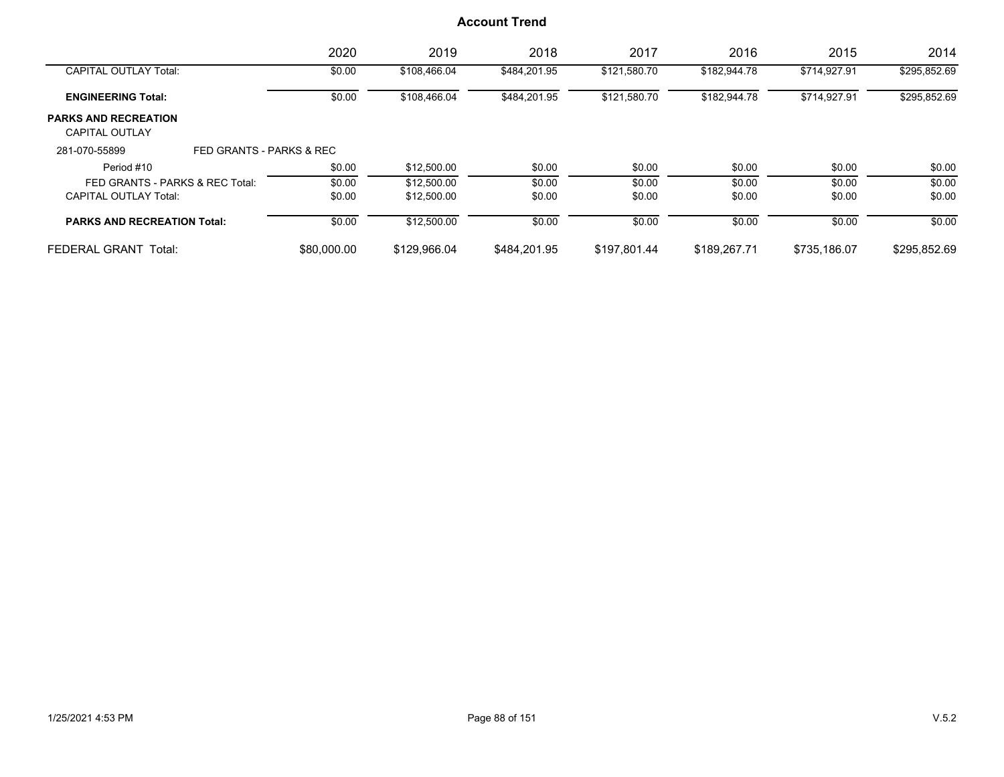|                                               |                          | 2020        | 2019         | 2018         | 2017         | 2016         | 2015         | 2014         |
|-----------------------------------------------|--------------------------|-------------|--------------|--------------|--------------|--------------|--------------|--------------|
| <b>CAPITAL OUTLAY Total:</b>                  |                          | \$0.00      | \$108,466.04 | \$484,201.95 | \$121,580.70 | \$182,944.78 | \$714.927.91 | \$295,852.69 |
| <b>ENGINEERING Total:</b>                     |                          | \$0.00      | \$108,466.04 | \$484,201.95 | \$121,580.70 | \$182,944.78 | \$714,927.91 | \$295,852.69 |
| <b>PARKS AND RECREATION</b><br>CAPITAL OUTLAY |                          |             |              |              |              |              |              |              |
| 281-070-55899                                 | FED GRANTS - PARKS & REC |             |              |              |              |              |              |              |
| Period #10                                    |                          | \$0.00      | \$12,500.00  | \$0.00       | \$0.00       | \$0.00       | \$0.00       | \$0.00       |
| FED GRANTS - PARKS & REC Total:               |                          | \$0.00      | \$12,500.00  | \$0.00       | \$0.00       | \$0.00       | \$0.00       | \$0.00       |
| CAPITAL OUTLAY Total:                         |                          | \$0.00      | \$12,500.00  | \$0.00       | \$0.00       | \$0.00       | \$0.00       | \$0.00       |
| <b>PARKS AND RECREATION Total:</b>            |                          | \$0.00      | \$12,500.00  | \$0.00       | \$0.00       | \$0.00       | \$0.00       | \$0.00       |
| FEDERAL GRANT Total:                          |                          | \$80,000,00 | \$129,966.04 | \$484.201.95 | \$197.801.44 | \$189,267.71 | \$735,186.07 | \$295.852.69 |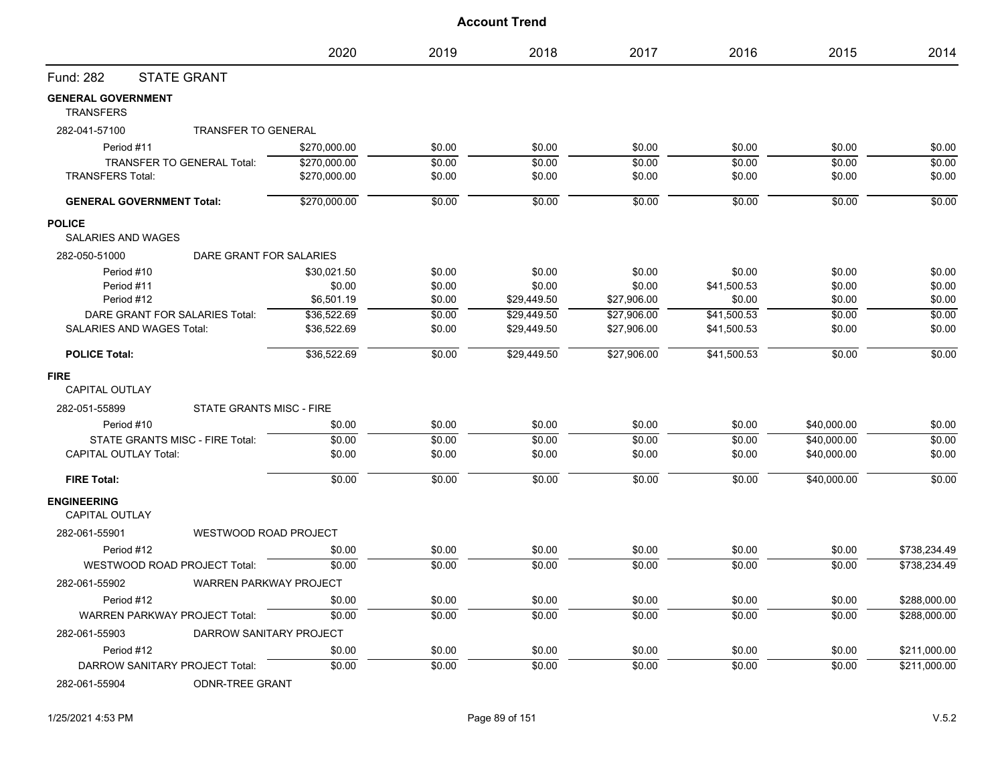|                                               |                                       | 2020         | 2019   | 2018        | 2017        | 2016        | 2015        | 2014         |
|-----------------------------------------------|---------------------------------------|--------------|--------|-------------|-------------|-------------|-------------|--------------|
| <b>Fund: 282</b>                              | <b>STATE GRANT</b>                    |              |        |             |             |             |             |              |
| <b>GENERAL GOVERNMENT</b><br><b>TRANSFERS</b> |                                       |              |        |             |             |             |             |              |
| 282-041-57100                                 | <b>TRANSFER TO GENERAL</b>            |              |        |             |             |             |             |              |
|                                               | Period #11                            | \$270,000.00 | \$0.00 | \$0.00      | \$0.00      | \$0.00      | \$0.00      | \$0.00       |
|                                               | <b>TRANSFER TO GENERAL Total:</b>     | \$270,000.00 | \$0.00 | \$0.00      | \$0.00      | \$0.00      | \$0.00      | \$0.00       |
| <b>TRANSFERS Total:</b>                       |                                       | \$270,000.00 | \$0.00 | \$0.00      | \$0.00      | \$0.00      | \$0.00      | \$0.00       |
|                                               | <b>GENERAL GOVERNMENT Total:</b>      | \$270,000.00 | \$0.00 | \$0.00      | \$0.00      | \$0.00      | \$0.00      | \$0.00       |
| <b>POLICE</b><br><b>SALARIES AND WAGES</b>    |                                       |              |        |             |             |             |             |              |
| 282-050-51000                                 | DARE GRANT FOR SALARIES               |              |        |             |             |             |             |              |
|                                               | Period #10                            | \$30,021.50  | \$0.00 | \$0.00      | \$0.00      | \$0.00      | \$0.00      | \$0.00       |
| Period #11                                    |                                       | \$0.00       | \$0.00 | \$0.00      | \$0.00      | \$41,500.53 | \$0.00      | \$0.00       |
|                                               | Period #12                            | \$6,501.19   | \$0.00 | \$29,449.50 | \$27,906.00 | \$0.00      | \$0.00      | \$0.00       |
|                                               | DARE GRANT FOR SALARIES Total:        | \$36,522.69  | \$0.00 | \$29,449.50 | \$27,906.00 | \$41,500.53 | \$0.00      | \$0.00       |
|                                               | <b>SALARIES AND WAGES Total:</b>      | \$36,522.69  | \$0.00 | \$29,449.50 | \$27,906.00 | \$41,500.53 | \$0.00      | \$0.00       |
| <b>POLICE Total:</b>                          |                                       | \$36,522.69  | \$0.00 | \$29.449.50 | \$27.906.00 | \$41,500.53 | \$0.00      | \$0.00       |
| <b>FIRE</b><br>CAPITAL OUTLAY                 |                                       |              |        |             |             |             |             |              |
| 282-051-55899                                 | <b>STATE GRANTS MISC - FIRE</b>       |              |        |             |             |             |             |              |
|                                               | Period #10                            | \$0.00       | \$0.00 | \$0.00      | \$0.00      | \$0.00      | \$40,000.00 | \$0.00       |
|                                               | STATE GRANTS MISC - FIRE Total:       | \$0.00       | \$0.00 | \$0.00      | \$0.00      | \$0.00      | \$40,000.00 | \$0.00       |
| <b>CAPITAL OUTLAY Total:</b>                  |                                       | \$0.00       | \$0.00 | \$0.00      | \$0.00      | \$0.00      | \$40,000.00 | \$0.00       |
| <b>FIRE Total:</b>                            |                                       | \$0.00       | \$0.00 | \$0.00      | \$0.00      | \$0.00      | \$40,000.00 | \$0.00       |
| <b>ENGINEERING</b><br>CAPITAL OUTLAY          |                                       |              |        |             |             |             |             |              |
| 282-061-55901                                 | WESTWOOD ROAD PROJECT                 |              |        |             |             |             |             |              |
|                                               | Period #12                            | \$0.00       | \$0.00 | \$0.00      | \$0.00      | \$0.00      | \$0.00      | \$738,234.49 |
|                                               | WESTWOOD ROAD PROJECT Total:          | \$0.00       | \$0.00 | \$0.00      | \$0.00      | \$0.00      | \$0.00      | \$738.234.49 |
| 282-061-55902                                 | <b>WARREN PARKWAY PROJECT</b>         |              |        |             |             |             |             |              |
|                                               | Period #12                            | \$0.00       | \$0.00 | \$0.00      | \$0.00      | \$0.00      | \$0.00      | \$288,000.00 |
|                                               | <b>WARREN PARKWAY PROJECT Total:</b>  | \$0.00       | \$0.00 | \$0.00      | \$0.00      | \$0.00      | \$0.00      | \$288,000.00 |
| 282-061-55903                                 | DARROW SANITARY PROJECT               |              |        |             |             |             |             |              |
|                                               | Period #12                            | \$0.00       | \$0.00 | \$0.00      | \$0.00      | \$0.00      | \$0.00      | \$211,000.00 |
|                                               | <b>DARROW SANITARY PROJECT Total:</b> | \$0.00       | \$0.00 | \$0.00      | \$0.00      | \$0.00      | \$0.00      | \$211.000.00 |
| 282-061-55904                                 | ODNR-TREE GRANT                       |              |        |             |             |             |             |              |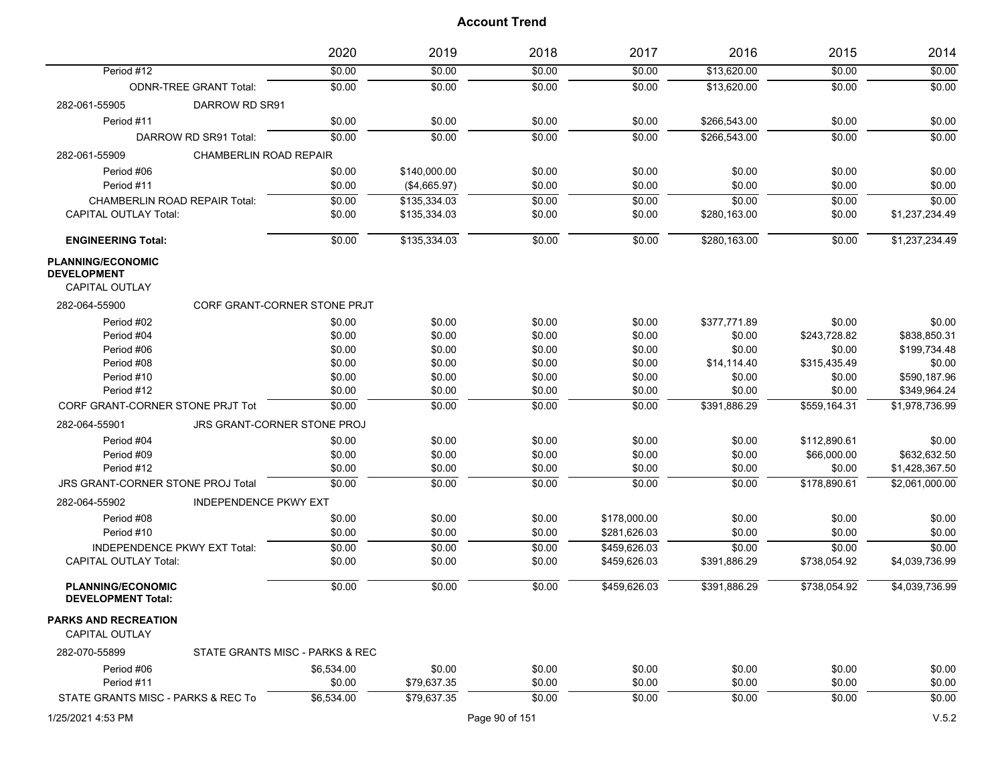|                                                       | 2020                            | 2019         | 2018           | 2017         | 2016         | 2015         | 2014           |
|-------------------------------------------------------|---------------------------------|--------------|----------------|--------------|--------------|--------------|----------------|
| Period #12                                            | \$0.00                          | \$0.00       | \$0.00         | \$0.00       | \$13,620.00  | \$0.00       | \$0.00         |
| <b>ODNR-TREE GRANT Total:</b>                         | \$0.00                          | \$0.00       | \$0.00         | \$0.00       | \$13,620.00  | \$0.00       | \$0.00         |
| DARROW RD SR91<br>282-061-55905                       |                                 |              |                |              |              |              |                |
| Period #11                                            | \$0.00                          | \$0.00       | \$0.00         | \$0.00       | \$266,543.00 | \$0.00       | \$0.00         |
| DARROW RD SR91 Total:                                 | \$0.00                          | \$0.00       | \$0.00         | \$0.00       | \$266,543.00 | \$0.00       | \$0.00         |
| 282-061-55909                                         | CHAMBERLIN ROAD REPAIR          |              |                |              |              |              |                |
| Period #06                                            | \$0.00                          | \$140,000.00 | \$0.00         | \$0.00       | \$0.00       | \$0.00       | \$0.00         |
| Period #11                                            | \$0.00                          | (\$4,665.97) | \$0.00         | \$0.00       | \$0.00       | \$0.00       | \$0.00         |
| <b>CHAMBERLIN ROAD REPAIR Total:</b>                  | \$0.00                          | \$135,334.03 | \$0.00         | \$0.00       | \$0.00       | \$0.00       | \$0.00         |
| <b>CAPITAL OUTLAY Total:</b>                          | \$0.00                          | \$135,334.03 | \$0.00         | \$0.00       | \$280,163.00 | \$0.00       | \$1,237,234.49 |
| <b>ENGINEERING Total:</b>                             | \$0.00                          | \$135,334.03 | \$0.00         | \$0.00       | \$280,163.00 | \$0.00       | \$1,237,234.49 |
| <b>PLANNING/ECONOMIC</b>                              |                                 |              |                |              |              |              |                |
| <b>DEVELOPMENT</b>                                    |                                 |              |                |              |              |              |                |
| CAPITAL OUTLAY                                        |                                 |              |                |              |              |              |                |
| 282-064-55900                                         | CORF GRANT-CORNER STONE PRJT    |              |                |              |              |              |                |
| Period #02                                            | \$0.00                          | \$0.00       | \$0.00         | \$0.00       | \$377,771.89 | \$0.00       | \$0.00         |
| Period #04                                            | \$0.00                          | \$0.00       | \$0.00         | \$0.00       | \$0.00       | \$243,728.82 | \$838,850.31   |
| Period #06                                            | \$0.00                          | \$0.00       | \$0.00         | \$0.00       | \$0.00       | \$0.00       | \$199,734.48   |
| Period #08                                            | \$0.00                          | \$0.00       | \$0.00         | \$0.00       | \$14,114.40  | \$315,435.49 | \$0.00         |
| Period #10                                            | \$0.00                          | \$0.00       | \$0.00         | \$0.00       | \$0.00       | \$0.00       | \$590,187.96   |
| Period #12                                            | \$0.00                          | \$0.00       | \$0.00         | \$0.00       | \$0.00       | \$0.00       | \$349.964.24   |
| CORF GRANT-CORNER STONE PRJT Tot                      | \$0.00                          | \$0.00       | \$0.00         | \$0.00       | \$391.886.29 | \$559,164.31 | \$1.978.736.99 |
| 282-064-55901                                         | JRS GRANT-CORNER STONE PROJ     |              |                |              |              |              |                |
| Period #04                                            | \$0.00                          | \$0.00       | \$0.00         | \$0.00       | \$0.00       | \$112,890.61 | \$0.00         |
| Period #09                                            | \$0.00                          | \$0.00       | \$0.00         | \$0.00       | \$0.00       | \$66,000.00  | \$632,632.50   |
| Period #12                                            | \$0.00                          | \$0.00       | \$0.00         | \$0.00       | \$0.00       | \$0.00       | \$1,428,367.50 |
| JRS GRANT-CORNER STONE PROJ Total                     | \$0.00                          | \$0.00       | \$0.00         | \$0.00       | \$0.00       | \$178,890.61 | \$2,061,000.00 |
| 282-064-55902                                         | INDEPENDENCE PKWY EXT           |              |                |              |              |              |                |
| Period #08                                            | \$0.00                          | \$0.00       | \$0.00         | \$178,000.00 | \$0.00       | \$0.00       | \$0.00         |
| Period #10                                            | \$0.00                          | \$0.00       | \$0.00         | \$281,626.03 | \$0.00       | \$0.00       | \$0.00         |
| <b>INDEPENDENCE PKWY EXT Total:</b>                   | \$0.00                          | \$0.00       | \$0.00         | \$459,626.03 | \$0.00       | \$0.00       | \$0.00         |
| <b>CAPITAL OUTLAY Total:</b>                          | \$0.00                          | \$0.00       | \$0.00         | \$459,626.03 | \$391,886.29 | \$738,054.92 | \$4,039,736.99 |
| <b>PLANNING/ECONOMIC</b><br><b>DEVELOPMENT Total:</b> | \$0.00                          | \$0.00       | \$0.00         | \$459,626.03 | \$391,886.29 | \$738,054.92 | \$4,039,736.99 |
| <b>PARKS AND RECREATION</b><br><b>CAPITAL OUTLAY</b>  |                                 |              |                |              |              |              |                |
| 282-070-55899                                         | STATE GRANTS MISC - PARKS & REC |              |                |              |              |              |                |
| Period #06                                            | \$6,534.00                      | \$0.00       | \$0.00         | \$0.00       | \$0.00       | \$0.00       | \$0.00         |
| Period #11                                            | \$0.00                          | \$79,637.35  | \$0.00         | \$0.00       | \$0.00       | \$0.00       | \$0.00         |
| STATE GRANTS MISC - PARKS & REC To                    | \$6,534.00                      | \$79,637.35  | \$0.00         | \$0.00       | \$0.00       | \$0.00       | \$0.00         |
| 1/25/2021 4:53 PM                                     |                                 |              | Page 90 of 151 |              |              |              | V.5.2          |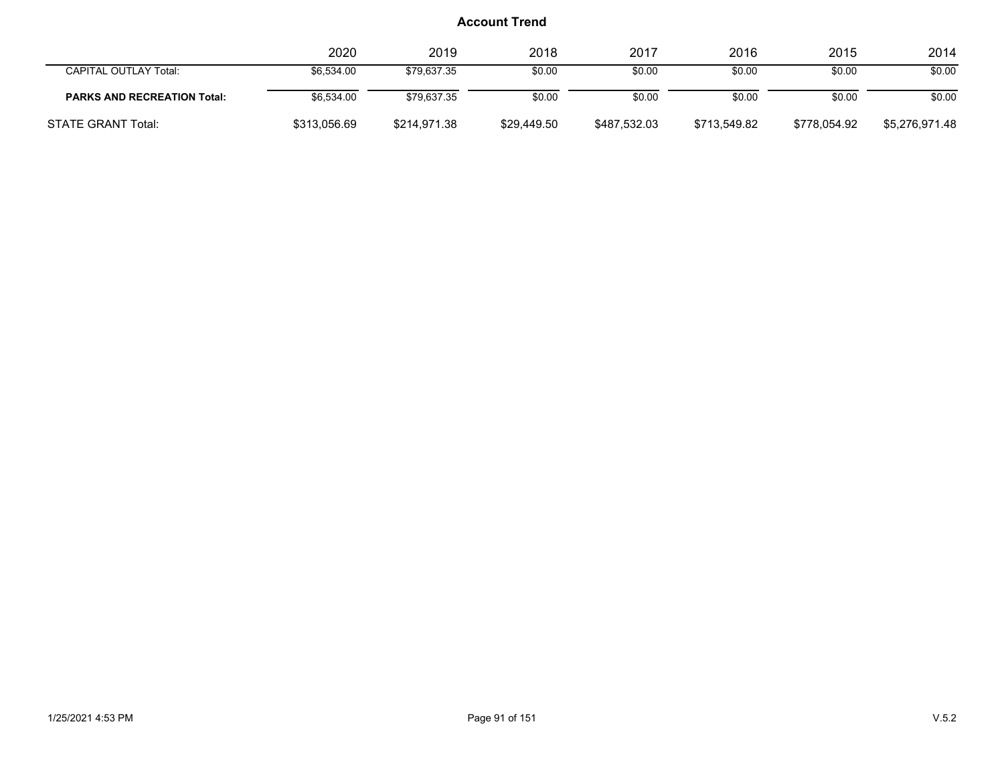|                                    | 2020         | 2019         | 2018        | 2017         | 2016         | 2015         | 2014           |
|------------------------------------|--------------|--------------|-------------|--------------|--------------|--------------|----------------|
| <b>CAPITAL OUTLAY Total:</b>       | \$6,534.00   | \$79.637.35  | \$0.00      | \$0.00       | \$0.00       | \$0.00       | \$0.00         |
| <b>PARKS AND RECREATION Total:</b> | \$6.534.00   | \$79.637.35  | \$0.00      | \$0.00       | \$0.00       | \$0.00       | \$0.00         |
| <b>STATE GRANT Total:</b>          | \$313,056.69 | \$214.971.38 | \$29,449.50 | \$487,532.03 | \$713,549.82 | \$778.054.92 | \$5.276.971.48 |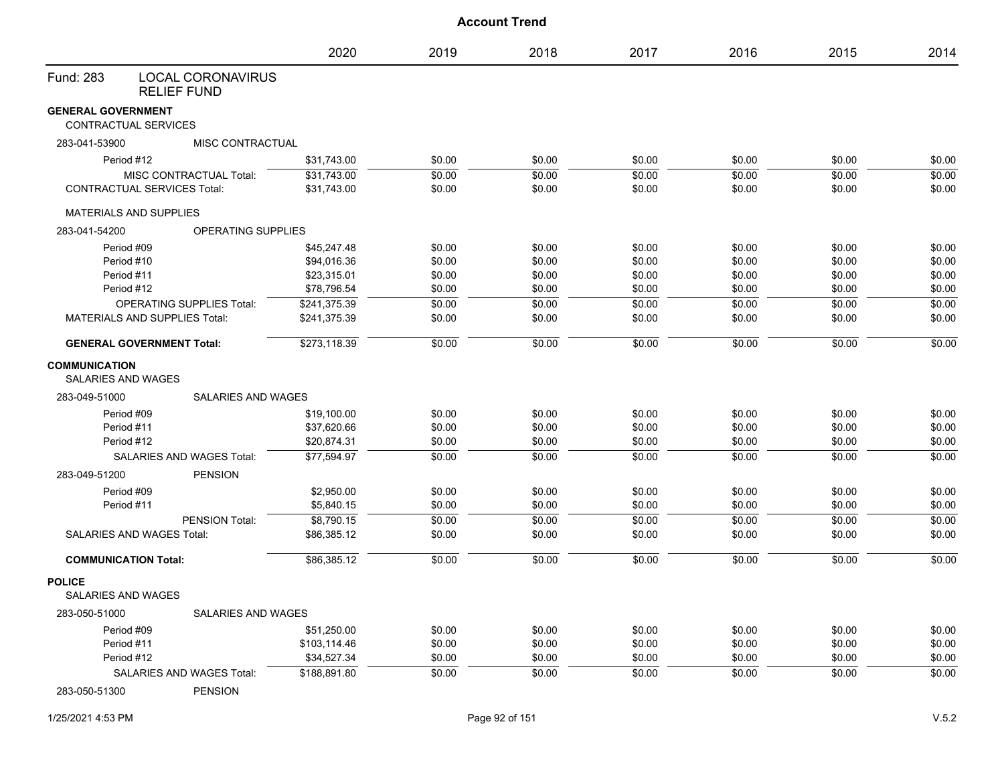|                           |                                                | 2020         | 2019   | 2018   | 2017   | 2016   | 2015   | 2014   |
|---------------------------|------------------------------------------------|--------------|--------|--------|--------|--------|--------|--------|
| Fund: 283                 | <b>LOCAL CORONAVIRUS</b><br><b>RELIEF FUND</b> |              |        |        |        |        |        |        |
| <b>GENERAL GOVERNMENT</b> | CONTRACTUAL SERVICES                           |              |        |        |        |        |        |        |
| 283-041-53900             | MISC CONTRACTUAL                               |              |        |        |        |        |        |        |
|                           | Period #12                                     | \$31,743.00  | \$0.00 | \$0.00 | \$0.00 | \$0.00 | \$0.00 | \$0.00 |
|                           | MISC CONTRACTUAL Total:                        | \$31,743.00  | \$0.00 | \$0.00 | \$0.00 | \$0.00 | \$0.00 | \$0.00 |
|                           | <b>CONTRACTUAL SERVICES Total:</b>             | \$31,743.00  | \$0.00 | \$0.00 | \$0.00 | \$0.00 | \$0.00 | \$0.00 |
|                           | <b>MATERIALS AND SUPPLIES</b>                  |              |        |        |        |        |        |        |
| 283-041-54200             | <b>OPERATING SUPPLIES</b>                      |              |        |        |        |        |        |        |
|                           | Period #09                                     | \$45,247.48  | \$0.00 | \$0.00 | \$0.00 | \$0.00 | \$0.00 | \$0.00 |
|                           | Period #10                                     | \$94,016.36  | \$0.00 | \$0.00 | \$0.00 | \$0.00 | \$0.00 | \$0.00 |
|                           | Period #11                                     | \$23,315.01  | \$0.00 | \$0.00 | \$0.00 | \$0.00 | \$0.00 | \$0.00 |
|                           | Period #12                                     | \$78,796.54  | \$0.00 | \$0.00 | \$0.00 | \$0.00 | \$0.00 | \$0.00 |
|                           | <b>OPERATING SUPPLIES Total:</b>               | \$241,375.39 | \$0.00 | \$0.00 | \$0.00 | \$0.00 | \$0.00 | \$0.00 |
|                           | <b>MATERIALS AND SUPPLIES Total:</b>           | \$241,375.39 | \$0.00 | \$0.00 | \$0.00 | \$0.00 | \$0.00 | \$0.00 |
|                           | <b>GENERAL GOVERNMENT Total:</b>               | \$273,118.39 | \$0.00 | \$0.00 | \$0.00 | \$0.00 | \$0.00 | \$0.00 |
| <b>COMMUNICATION</b>      | SALARIES AND WAGES                             |              |        |        |        |        |        |        |
| 283-049-51000             | SALARIES AND WAGES                             |              |        |        |        |        |        |        |
|                           | Period #09                                     | \$19,100.00  | \$0.00 | \$0.00 | \$0.00 | \$0.00 | \$0.00 | \$0.00 |
|                           | Period #11                                     | \$37,620.66  | \$0.00 | \$0.00 | \$0.00 | \$0.00 | \$0.00 | \$0.00 |
|                           | Period #12                                     | \$20,874.31  | \$0.00 | \$0.00 | \$0.00 | \$0.00 | \$0.00 | \$0.00 |
|                           | SALARIES AND WAGES Total:                      | \$77,594.97  | \$0.00 | \$0.00 | \$0.00 | \$0.00 | \$0.00 | \$0.00 |
| 283-049-51200             | <b>PENSION</b>                                 |              |        |        |        |        |        |        |
|                           | Period #09                                     | \$2,950.00   | \$0.00 | \$0.00 | \$0.00 | \$0.00 | \$0.00 | \$0.00 |
|                           | Period #11                                     | \$5,840.15   | \$0.00 | \$0.00 | \$0.00 | \$0.00 | \$0.00 | \$0.00 |
|                           | PENSION Total:                                 | \$8,790.15   | \$0.00 | \$0.00 | \$0.00 | \$0.00 | \$0.00 | \$0.00 |
|                           | SALARIES AND WAGES Total:                      | \$86,385.12  | \$0.00 | \$0.00 | \$0.00 | \$0.00 | \$0.00 | \$0.00 |
|                           | <b>COMMUNICATION Total:</b>                    | \$86,385.12  | \$0.00 | \$0.00 | \$0.00 | \$0.00 | \$0.00 | \$0.00 |
| <b>POLICE</b>             | SALARIES AND WAGES                             |              |        |        |        |        |        |        |
| 283-050-51000             | SALARIES AND WAGES                             |              |        |        |        |        |        |        |
|                           | Period #09                                     | \$51,250.00  | \$0.00 | \$0.00 | \$0.00 | \$0.00 | \$0.00 | \$0.00 |
|                           | Period #11                                     | \$103,114.46 | \$0.00 | \$0.00 | \$0.00 | \$0.00 | \$0.00 | \$0.00 |
|                           | Period #12                                     | \$34,527.34  | \$0.00 | \$0.00 | \$0.00 | \$0.00 | \$0.00 | \$0.00 |
|                           | SALARIES AND WAGES Total:                      | \$188,891.80 | \$0.00 | \$0.00 | \$0.00 | \$0.00 | \$0.00 | \$0.00 |
| 283-050-51300             | <b>PENSION</b>                                 |              |        |        |        |        |        |        |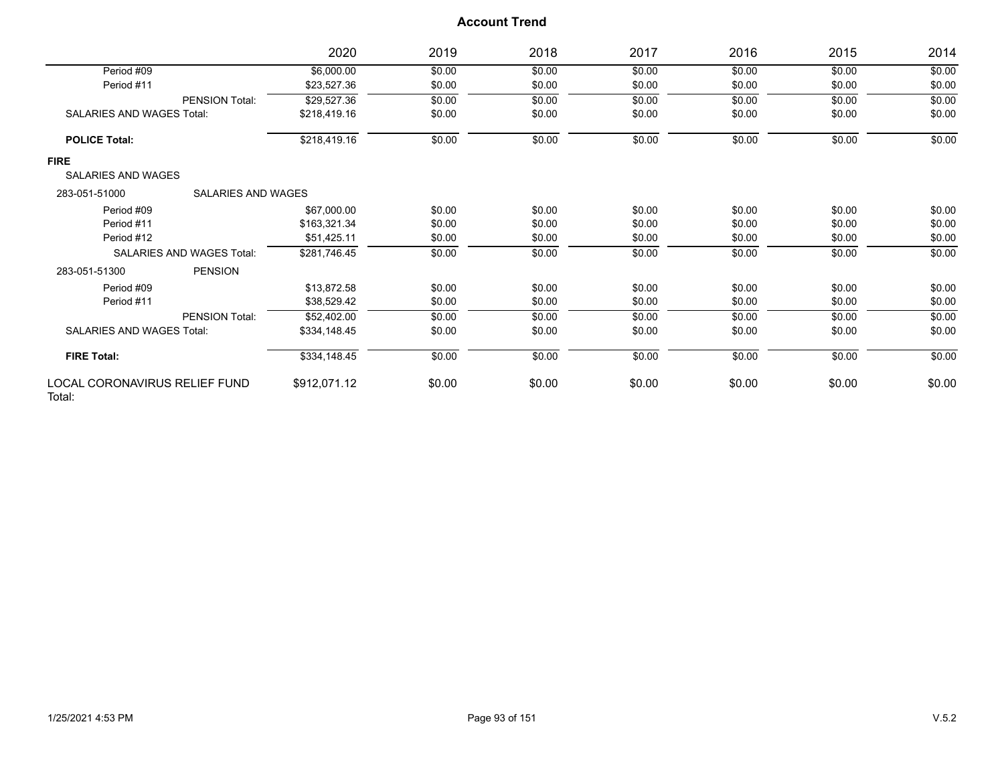|                                            | 2020         | 2019   | 2018   | 2017   | 2016   | 2015   | 2014   |
|--------------------------------------------|--------------|--------|--------|--------|--------|--------|--------|
| Period #09                                 | \$6,000.00   | \$0.00 | \$0.00 | \$0.00 | \$0.00 | \$0.00 | \$0.00 |
| Period #11                                 | \$23,527.36  | \$0.00 | \$0.00 | \$0.00 | \$0.00 | \$0.00 | \$0.00 |
| <b>PENSION Total:</b>                      | \$29,527.36  | \$0.00 | \$0.00 | \$0.00 | \$0.00 | \$0.00 | \$0.00 |
| <b>SALARIES AND WAGES Total:</b>           | \$218,419.16 | \$0.00 | \$0.00 | \$0.00 | \$0.00 | \$0.00 | \$0.00 |
| <b>POLICE Total:</b>                       | \$218,419.16 | \$0.00 | \$0.00 | \$0.00 | \$0.00 | \$0.00 | \$0.00 |
| <b>FIRE</b>                                |              |        |        |        |        |        |        |
| <b>SALARIES AND WAGES</b>                  |              |        |        |        |        |        |        |
| <b>SALARIES AND WAGES</b><br>283-051-51000 |              |        |        |        |        |        |        |
| Period #09                                 | \$67,000.00  | \$0.00 | \$0.00 | \$0.00 | \$0.00 | \$0.00 | \$0.00 |
| Period #11                                 | \$163.321.34 | \$0.00 | \$0.00 | \$0.00 | \$0.00 | \$0.00 | \$0.00 |
| Period #12                                 | \$51,425.11  | \$0.00 | \$0.00 | \$0.00 | \$0.00 | \$0.00 | \$0.00 |
| <b>SALARIES AND WAGES Total:</b>           | \$281,746.45 | \$0.00 | \$0.00 | \$0.00 | \$0.00 | \$0.00 | \$0.00 |
| 283-051-51300<br><b>PENSION</b>            |              |        |        |        |        |        |        |
| Period #09                                 | \$13,872.58  | \$0.00 | \$0.00 | \$0.00 | \$0.00 | \$0.00 | \$0.00 |
| Period #11                                 | \$38,529.42  | \$0.00 | \$0.00 | \$0.00 | \$0.00 | \$0.00 | \$0.00 |
| PENSION Total:                             | \$52,402.00  | \$0.00 | \$0.00 | \$0.00 | \$0.00 | \$0.00 | \$0.00 |
| <b>SALARIES AND WAGES Total:</b>           | \$334,148.45 | \$0.00 | \$0.00 | \$0.00 | \$0.00 | \$0.00 | \$0.00 |
| <b>FIRE Total:</b>                         | \$334,148.45 | \$0.00 | \$0.00 | \$0.00 | \$0.00 | \$0.00 | \$0.00 |
| LOCAL CORONAVIRUS RELIEF FUND<br>Total:    | \$912,071.12 | \$0.00 | \$0.00 | \$0.00 | \$0.00 | \$0.00 | \$0.00 |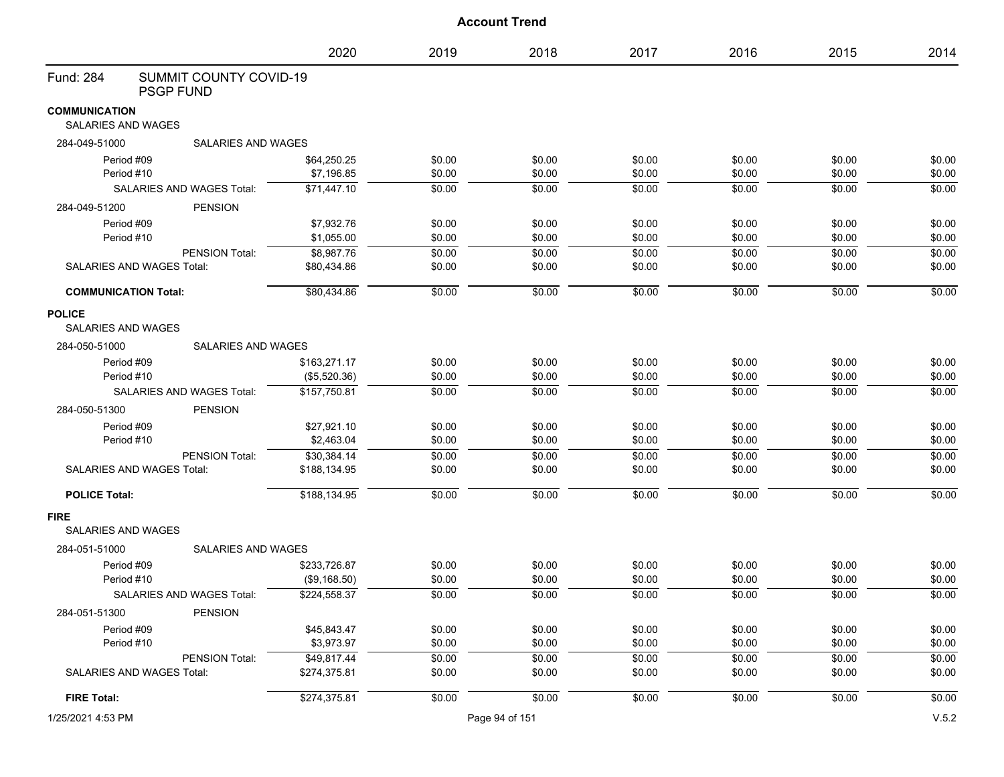| <b>Account Trend</b> |  |
|----------------------|--|
|----------------------|--|

|                                                   |                                                   | 2020         | 2019   | 2018           | 2017   | 2016   | 2015   | 2014   |
|---------------------------------------------------|---------------------------------------------------|--------------|--------|----------------|--------|--------|--------|--------|
| Fund: 284                                         | <b>SUMMIT COUNTY COVID-19</b><br><b>PSGP FUND</b> |              |        |                |        |        |        |        |
| <b>COMMUNICATION</b><br><b>SALARIES AND WAGES</b> |                                                   |              |        |                |        |        |        |        |
| 284-049-51000                                     | <b>SALARIES AND WAGES</b>                         |              |        |                |        |        |        |        |
| Period #09                                        |                                                   | \$64,250.25  | \$0.00 | \$0.00         | \$0.00 | \$0.00 | \$0.00 | \$0.00 |
| Period #10                                        |                                                   | \$7,196.85   | \$0.00 | \$0.00         | \$0.00 | \$0.00 | \$0.00 | \$0.00 |
|                                                   | SALARIES AND WAGES Total:                         | \$71,447.10  | \$0.00 | \$0.00         | \$0.00 | \$0.00 | \$0.00 | \$0.00 |
| 284-049-51200                                     | <b>PENSION</b>                                    |              |        |                |        |        |        |        |
| Period #09                                        |                                                   | \$7,932.76   | \$0.00 | \$0.00         | \$0.00 | \$0.00 | \$0.00 | \$0.00 |
| Period #10                                        |                                                   | \$1,055.00   | \$0.00 | \$0.00         | \$0.00 | \$0.00 | \$0.00 | \$0.00 |
|                                                   | PENSION Total:                                    | \$8,987.76   | \$0.00 | \$0.00         | \$0.00 | \$0.00 | \$0.00 | \$0.00 |
|                                                   | SALARIES AND WAGES Total:                         | \$80,434.86  | \$0.00 | \$0.00         | \$0.00 | \$0.00 | \$0.00 | \$0.00 |
| <b>COMMUNICATION Total:</b>                       |                                                   | \$80,434.86  | \$0.00 | \$0.00         | \$0.00 | \$0.00 | \$0.00 | \$0.00 |
| <b>POLICE</b><br>SALARIES AND WAGES               |                                                   |              |        |                |        |        |        |        |
| 284-050-51000                                     | <b>SALARIES AND WAGES</b>                         |              |        |                |        |        |        |        |
| Period #09                                        |                                                   | \$163,271.17 | \$0.00 | \$0.00         | \$0.00 | \$0.00 | \$0.00 | \$0.00 |
| Period #10                                        |                                                   | (\$5,520.36) | \$0.00 | \$0.00         | \$0.00 | \$0.00 | \$0.00 | \$0.00 |
|                                                   | <b>SALARIES AND WAGES Total:</b>                  | \$157,750.81 | \$0.00 | \$0.00         | \$0.00 | \$0.00 | \$0.00 | \$0.00 |
| 284-050-51300                                     | <b>PENSION</b>                                    |              |        |                |        |        |        |        |
| Period #09                                        |                                                   | \$27,921.10  | \$0.00 | \$0.00         | \$0.00 | \$0.00 | \$0.00 | \$0.00 |
| Period #10                                        |                                                   | \$2,463.04   | \$0.00 | \$0.00         | \$0.00 | \$0.00 | \$0.00 | \$0.00 |
|                                                   | PENSION Total:                                    | \$30,384.14  | \$0.00 | \$0.00         | \$0.00 | \$0.00 | \$0.00 | \$0.00 |
|                                                   | SALARIES AND WAGES Total:                         | \$188,134.95 | \$0.00 | \$0.00         | \$0.00 | \$0.00 | \$0.00 | \$0.00 |
| <b>POLICE Total:</b>                              |                                                   | \$188,134.95 | \$0.00 | \$0.00         | \$0.00 | \$0.00 | \$0.00 | \$0.00 |
| <b>FIRE</b>                                       |                                                   |              |        |                |        |        |        |        |
| <b>SALARIES AND WAGES</b>                         |                                                   |              |        |                |        |        |        |        |
| 284-051-51000                                     | SALARIES AND WAGES                                |              |        |                |        |        |        |        |
| Period #09                                        |                                                   | \$233,726.87 | \$0.00 | \$0.00         | \$0.00 | \$0.00 | \$0.00 | \$0.00 |
| Period #10                                        |                                                   | (\$9,168.50) | \$0.00 | \$0.00         | \$0.00 | \$0.00 | \$0.00 | \$0.00 |
|                                                   | <b>SALARIES AND WAGES Total:</b>                  | \$224,558.37 | \$0.00 | \$0.00         | \$0.00 | \$0.00 | \$0.00 | \$0.00 |
| 284-051-51300                                     | PENSION                                           |              |        |                |        |        |        |        |
| Period #09                                        |                                                   | \$45,843.47  | \$0.00 | \$0.00         | \$0.00 | \$0.00 | \$0.00 | \$0.00 |
| Period #10                                        |                                                   | \$3,973.97   | \$0.00 | \$0.00         | \$0.00 | \$0.00 | \$0.00 | \$0.00 |
|                                                   | PENSION Total:                                    | \$49,817.44  | \$0.00 | \$0.00         | \$0.00 | \$0.00 | \$0.00 | \$0.00 |
|                                                   | SALARIES AND WAGES Total:                         | \$274,375.81 | \$0.00 | \$0.00         | \$0.00 | \$0.00 | \$0.00 | \$0.00 |
| <b>FIRE Total:</b>                                |                                                   | \$274,375.81 | \$0.00 | \$0.00         | \$0.00 | \$0.00 | \$0.00 | \$0.00 |
| 1/25/2021 4:53 PM                                 |                                                   |              |        | Page 94 of 151 |        |        |        | V.5.2  |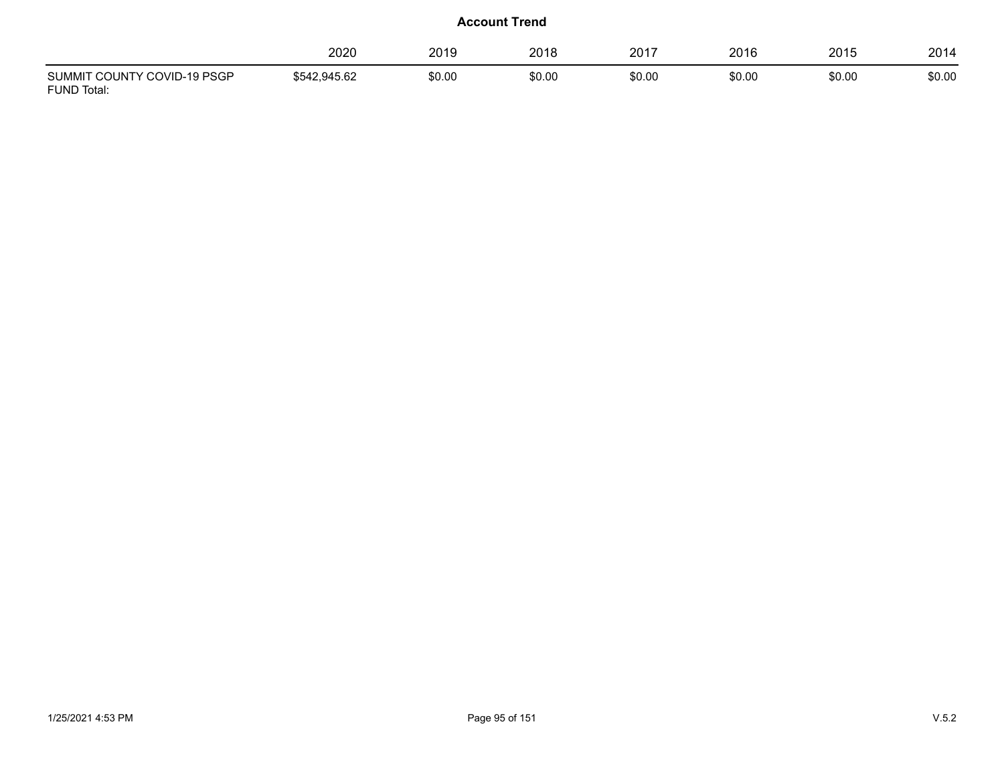|                                                   | 2020         | 2019   | 2018   | 2017   | 2016   | 2015   | 2014   |
|---------------------------------------------------|--------------|--------|--------|--------|--------|--------|--------|
| SUMMIT COUNTY COVID-19 PSGP<br><b>FUND Total:</b> | \$542.945.62 | \$0.00 | \$0.00 | \$0.00 | \$0.00 | \$0.00 | \$0.00 |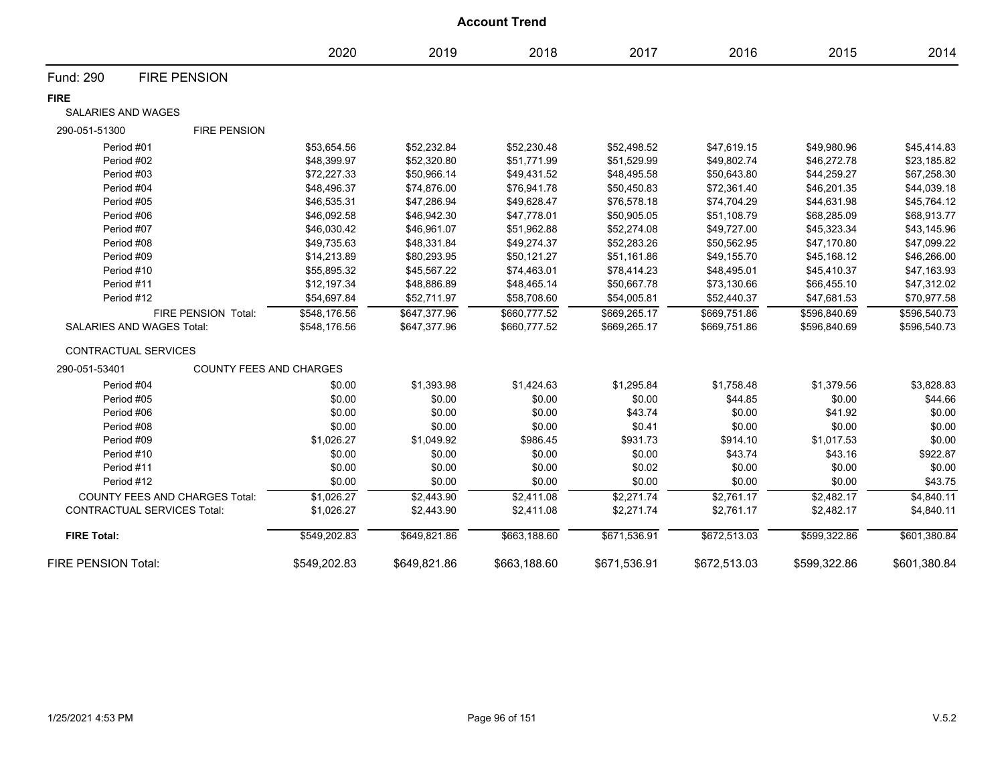| <b>Account Trend</b> |                                       |              |              |              |              |              |              |              |
|----------------------|---------------------------------------|--------------|--------------|--------------|--------------|--------------|--------------|--------------|
|                      |                                       | 2020         | 2019         | 2018         | 2017         | 2016         | 2015         | 2014         |
| Fund: 290            | <b>FIRE PENSION</b>                   |              |              |              |              |              |              |              |
| <b>FIRE</b>          |                                       |              |              |              |              |              |              |              |
| SALARIES AND WAGES   |                                       |              |              |              |              |              |              |              |
| 290-051-51300        | <b>FIRE PENSION</b>                   |              |              |              |              |              |              |              |
| Period #01           |                                       | \$53,654.56  | \$52,232.84  | \$52,230.48  | \$52,498.52  | \$47,619.15  | \$49,980.96  | \$45,414.83  |
| Period #02           |                                       | \$48,399.97  | \$52,320.80  | \$51,771.99  | \$51,529.99  | \$49,802.74  | \$46,272.78  | \$23,185.82  |
| Period #03           |                                       | \$72,227.33  | \$50,966.14  | \$49,431.52  | \$48,495.58  | \$50,643.80  | \$44,259.27  | \$67,258.30  |
| Period #04           |                                       | \$48,496.37  | \$74,876.00  | \$76,941.78  | \$50,450.83  | \$72,361.40  | \$46,201.35  | \$44,039.18  |
| Period #05           |                                       | \$46,535.31  | \$47,286.94  | \$49,628.47  | \$76,578.18  | \$74,704.29  | \$44,631.98  | \$45,764.12  |
| Period #06           |                                       | \$46,092.58  | \$46,942.30  | \$47,778.01  | \$50,905.05  | \$51,108.79  | \$68,285.09  | \$68,913.77  |
| Period #07           |                                       | \$46,030.42  | \$46,961.07  | \$51,962.88  | \$52,274.08  | \$49,727.00  | \$45,323.34  | \$43,145.96  |
| Period #08           |                                       | \$49,735.63  | \$48,331.84  | \$49,274.37  | \$52,283.26  | \$50,562.95  | \$47,170.80  | \$47,099.22  |
| Period #09           |                                       | \$14,213.89  | \$80,293.95  | \$50,121.27  | \$51,161.86  | \$49,155.70  | \$45,168.12  | \$46,266.00  |
| Period #10           |                                       | \$55,895.32  | \$45,567.22  | \$74,463.01  | \$78,414.23  | \$48,495.01  | \$45,410.37  | \$47,163.93  |
| Period #11           |                                       | \$12,197.34  | \$48,886.89  | \$48,465.14  | \$50,667.78  | \$73,130.66  | \$66,455.10  | \$47,312.02  |
| Period #12           |                                       | \$54,697.84  | \$52,711.97  | \$58,708.60  | \$54,005.81  | \$52,440.37  | \$47,681.53  | \$70,977.58  |
|                      | FIRE PENSION Total:                   | \$548.176.56 | \$647.377.96 | \$660.777.52 | \$669,265.17 | \$669,751.86 | \$596,840.69 | \$596,540.73 |
|                      | SALARIES AND WAGES Total:             | \$548,176.56 | \$647,377.96 | \$660,777.52 | \$669,265.17 | \$669,751.86 | \$596,840.69 | \$596,540.73 |
|                      | CONTRACTUAL SERVICES                  |              |              |              |              |              |              |              |
| 290-051-53401        | <b>COUNTY FEES AND CHARGES</b>        |              |              |              |              |              |              |              |
| Period #04           |                                       | \$0.00       | \$1,393.98   | \$1,424.63   | \$1,295.84   | \$1,758.48   | \$1,379.56   | \$3,828.83   |
| Period #05           |                                       | \$0.00       | \$0.00       | \$0.00       | \$0.00       | \$44.85      | \$0.00       | \$44.66      |
| Period #06           |                                       | \$0.00       | \$0.00       | \$0.00       | \$43.74      | \$0.00       | \$41.92      | \$0.00       |
| Period #08           |                                       | \$0.00       | \$0.00       | \$0.00       | \$0.41       | \$0.00       | \$0.00       | \$0.00       |
| Period #09           |                                       | \$1,026.27   | \$1,049.92   | \$986.45     | \$931.73     | \$914.10     | \$1,017.53   | \$0.00       |
| Period #10           |                                       | \$0.00       | \$0.00       | \$0.00       | \$0.00       | \$43.74      | \$43.16      | \$922.87     |
| Period #11           |                                       | \$0.00       | \$0.00       | \$0.00       | \$0.02       | \$0.00       | \$0.00       | \$0.00       |
| Period #12           |                                       | \$0.00       | \$0.00       | \$0.00       | \$0.00       | \$0.00       | \$0.00       | \$43.75      |
|                      | <b>COUNTY FEES AND CHARGES Total:</b> | \$1,026.27   | \$2,443.90   | \$2,411.08   | \$2,271.74   | \$2,761.17   | \$2,482.17   | \$4,840.11   |
|                      | <b>CONTRACTUAL SERVICES Total:</b>    | \$1,026.27   | \$2,443.90   | \$2,411.08   | \$2,271.74   | \$2,761.17   | \$2,482.17   | \$4,840.11   |
| <b>FIRE Total:</b>   |                                       | \$549,202.83 | \$649,821.86 | \$663,188.60 | \$671,536.91 | \$672,513.03 | \$599,322.86 | \$601,380.84 |
| FIRE PENSION Total:  |                                       | \$549,202.83 | \$649,821.86 | \$663,188.60 | \$671,536.91 | \$672,513.03 | \$599,322.86 | \$601,380.84 |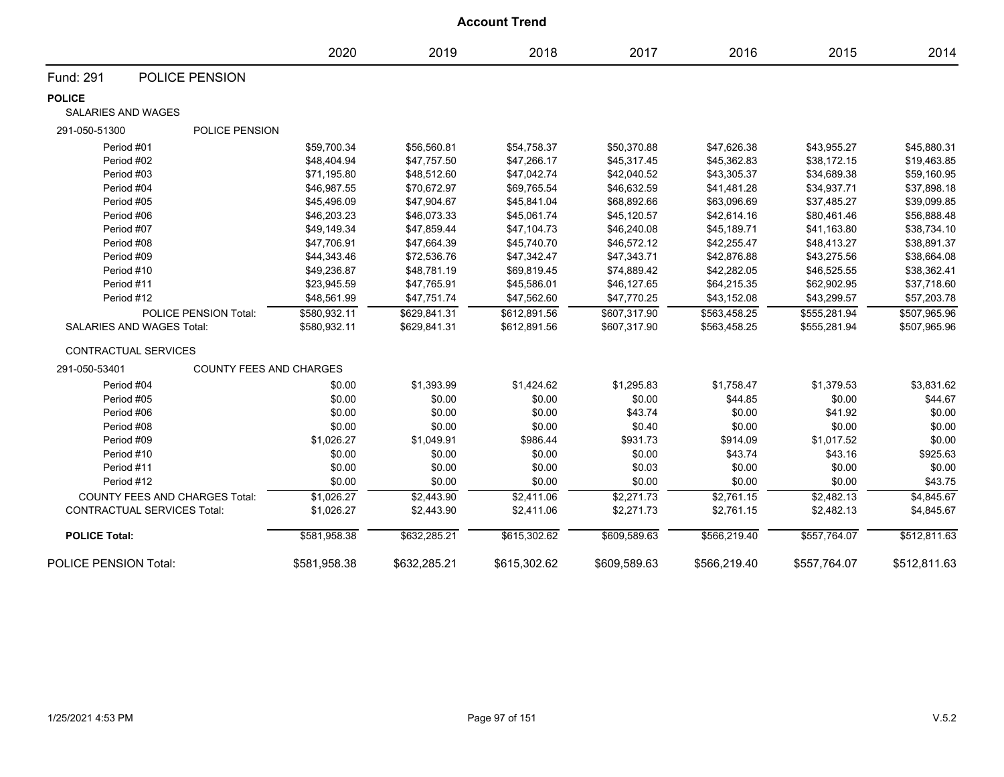| <b>Account Trend</b>               |                                       |              |              |              |              |              |              |              |
|------------------------------------|---------------------------------------|--------------|--------------|--------------|--------------|--------------|--------------|--------------|
|                                    |                                       | 2020         | 2019         | 2018         | 2017         | 2016         | 2015         | 2014         |
| <b>Fund: 291</b>                   | POLICE PENSION                        |              |              |              |              |              |              |              |
| <b>POLICE</b>                      |                                       |              |              |              |              |              |              |              |
| <b>SALARIES AND WAGES</b>          |                                       |              |              |              |              |              |              |              |
| 291-050-51300                      | POLICE PENSION                        |              |              |              |              |              |              |              |
| Period #01                         |                                       | \$59,700.34  | \$56,560.81  | \$54,758.37  | \$50,370.88  | \$47,626.38  | \$43,955.27  | \$45,880.31  |
| Period #02                         |                                       | \$48,404.94  | \$47,757.50  | \$47,266.17  | \$45,317.45  | \$45,362.83  | \$38,172.15  | \$19,463.85  |
| Period #03                         |                                       | \$71,195.80  | \$48,512.60  | \$47,042.74  | \$42,040.52  | \$43,305.37  | \$34,689.38  | \$59,160.95  |
| Period #04                         |                                       | \$46,987.55  | \$70,672.97  | \$69,765.54  | \$46,632.59  | \$41,481.28  | \$34,937.71  | \$37,898.18  |
| Period #05                         |                                       | \$45,496.09  | \$47,904.67  | \$45,841.04  | \$68,892.66  | \$63,096.69  | \$37,485.27  | \$39,099.85  |
| Period #06                         |                                       | \$46,203.23  | \$46,073.33  | \$45,061.74  | \$45,120.57  | \$42,614.16  | \$80,461.46  | \$56,888.48  |
| Period #07                         |                                       | \$49,149.34  | \$47,859.44  | \$47,104.73  | \$46,240.08  | \$45,189.71  | \$41,163.80  | \$38,734.10  |
| Period #08                         |                                       | \$47,706.91  | \$47,664.39  | \$45,740.70  | \$46,572.12  | \$42,255.47  | \$48,413.27  | \$38,891.37  |
| Period #09                         |                                       | \$44,343.46  | \$72,536.76  | \$47,342.47  | \$47,343.71  | \$42,876.88  | \$43,275.56  | \$38,664.08  |
| Period #10                         |                                       | \$49,236.87  | \$48,781.19  | \$69,819.45  | \$74,889.42  | \$42,282.05  | \$46,525.55  | \$38,362.41  |
| Period #11                         |                                       | \$23,945.59  | \$47,765.91  | \$45,586.01  | \$46,127.65  | \$64,215.35  | \$62,902.95  | \$37,718.60  |
| Period #12                         |                                       | \$48,561.99  | \$47,751.74  | \$47,562.60  | \$47,770.25  | \$43,152.08  | \$43,299.57  | \$57,203.78  |
|                                    | POLICE PENSION Total:                 | \$580,932.11 | \$629,841.31 | \$612,891.56 | \$607,317.90 | \$563,458.25 | \$555,281.94 | \$507,965.96 |
| <b>SALARIES AND WAGES Total:</b>   |                                       | \$580,932.11 | \$629,841.31 | \$612,891.56 | \$607,317.90 | \$563,458.25 | \$555,281.94 | \$507,965.96 |
| CONTRACTUAL SERVICES               |                                       |              |              |              |              |              |              |              |
| 291-050-53401                      | <b>COUNTY FEES AND CHARGES</b>        |              |              |              |              |              |              |              |
| Period #04                         |                                       | \$0.00       | \$1,393.99   | \$1,424.62   | \$1,295.83   | \$1,758.47   | \$1,379.53   | \$3,831.62   |
| Period #05                         |                                       | \$0.00       | \$0.00       | \$0.00       | \$0.00       | \$44.85      | \$0.00       | \$44.67      |
| Period #06                         |                                       | \$0.00       | \$0.00       | \$0.00       | \$43.74      | \$0.00       | \$41.92      | \$0.00       |
| Period #08                         |                                       | \$0.00       | \$0.00       | \$0.00       | \$0.40       | \$0.00       | \$0.00       | \$0.00       |
| Period #09                         |                                       | \$1,026.27   | \$1,049.91   | \$986.44     | \$931.73     | \$914.09     | \$1,017.52   | \$0.00       |
| Period #10                         |                                       | \$0.00       | \$0.00       | \$0.00       | \$0.00       | \$43.74      | \$43.16      | \$925.63     |
| Period #11                         |                                       | \$0.00       | \$0.00       | \$0.00       | \$0.03       | \$0.00       | \$0.00       | \$0.00       |
| Period #12                         |                                       | \$0.00       | \$0.00       | \$0.00       | \$0.00       | \$0.00       | \$0.00       | \$43.75      |
|                                    | <b>COUNTY FEES AND CHARGES Total:</b> | \$1,026.27   | \$2,443.90   | \$2,411.06   | \$2,271.73   | \$2,761.15   | \$2,482.13   | \$4,845.67   |
| <b>CONTRACTUAL SERVICES Total:</b> |                                       | \$1,026.27   | \$2,443.90   | \$2,411.06   | \$2,271.73   | \$2,761.15   | \$2,482.13   | \$4,845.67   |
| <b>POLICE Total:</b>               |                                       | \$581,958.38 | \$632,285.21 | \$615,302.62 | \$609,589.63 | \$566,219.40 | \$557,764.07 | \$512,811.63 |
| POLICE PENSION Total:              |                                       | \$581,958.38 | \$632,285.21 | \$615,302.62 | \$609,589.63 | \$566,219.40 | \$557,764.07 | \$512,811.63 |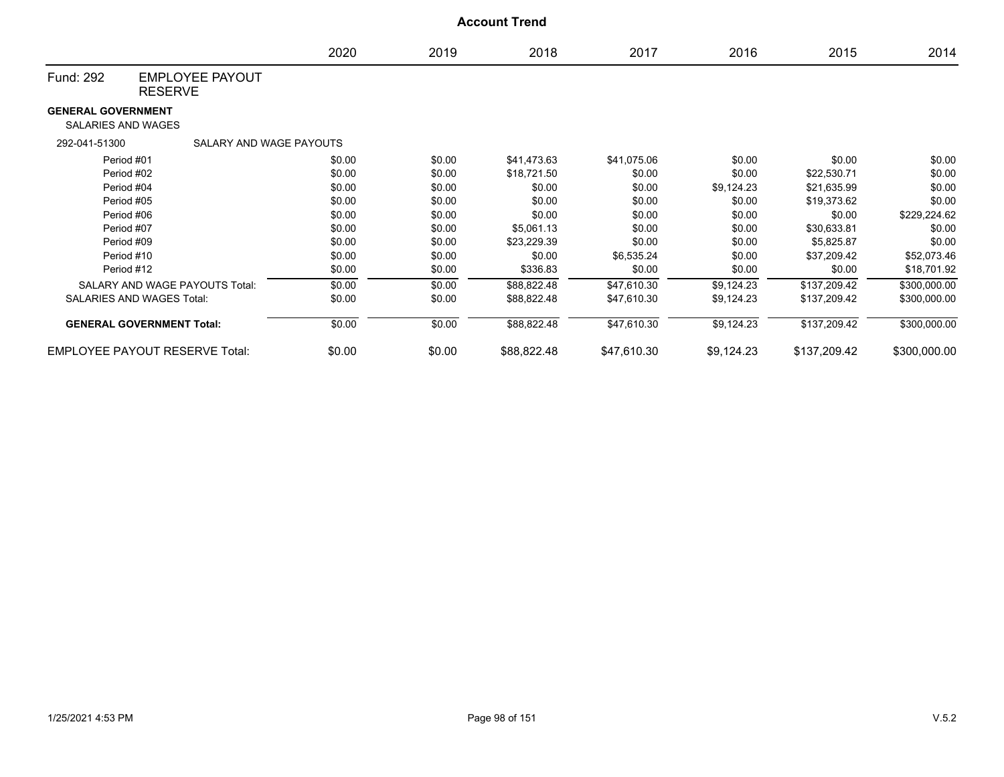|                                                        |                                          |        |        | <b>Account Trend</b> |             |            |              |              |
|--------------------------------------------------------|------------------------------------------|--------|--------|----------------------|-------------|------------|--------------|--------------|
|                                                        |                                          | 2020   | 2019   | 2018                 | 2017        | 2016       | 2015         | 2014         |
| Fund: 292                                              | <b>EMPLOYEE PAYOUT</b><br><b>RESERVE</b> |        |        |                      |             |            |              |              |
| <b>GENERAL GOVERNMENT</b><br><b>SALARIES AND WAGES</b> |                                          |        |        |                      |             |            |              |              |
| 292-041-51300                                          | SALARY AND WAGE PAYOUTS                  |        |        |                      |             |            |              |              |
| Period #01                                             |                                          | \$0.00 | \$0.00 | \$41,473.63          | \$41,075.06 | \$0.00     | \$0.00       | \$0.00       |
| Period #02                                             |                                          | \$0.00 | \$0.00 | \$18,721.50          | \$0.00      | \$0.00     | \$22,530.71  | \$0.00       |
| Period #04                                             |                                          | \$0.00 | \$0.00 | \$0.00               | \$0.00      | \$9,124.23 | \$21,635.99  | \$0.00       |
|                                                        | Period #05                               | \$0.00 | \$0.00 | \$0.00               | \$0.00      | \$0.00     | \$19,373.62  | \$0.00       |
| Period #06                                             |                                          | \$0.00 | \$0.00 | \$0.00               | \$0.00      | \$0.00     | \$0.00       | \$229,224.62 |
| Period #07                                             |                                          | \$0.00 | \$0.00 | \$5,061.13           | \$0.00      | \$0.00     | \$30,633.81  | \$0.00       |
| Period #09                                             |                                          | \$0.00 | \$0.00 | \$23,229.39          | \$0.00      | \$0.00     | \$5,825.87   | \$0.00       |
| Period #10                                             |                                          | \$0.00 | \$0.00 | \$0.00               | \$6,535.24  | \$0.00     | \$37,209.42  | \$52,073.46  |
| Period #12                                             |                                          | \$0.00 | \$0.00 | \$336.83             | \$0.00      | \$0.00     | \$0.00       | \$18,701.92  |
|                                                        | <b>SALARY AND WAGE PAYOUTS Total:</b>    | \$0.00 | \$0.00 | \$88,822.48          | \$47,610.30 | \$9,124.23 | \$137,209.42 | \$300,000.00 |
|                                                        | <b>SALARIES AND WAGES Total:</b>         | \$0.00 | \$0.00 | \$88,822.48          | \$47,610.30 | \$9,124.23 | \$137,209.42 | \$300,000.00 |
|                                                        | <b>GENERAL GOVERNMENT Total:</b>         | \$0.00 | \$0.00 | \$88,822.48          | \$47,610.30 | \$9,124.23 | \$137,209.42 | \$300,000.00 |
|                                                        | <b>EMPLOYEE PAYOUT RESERVE Total:</b>    | \$0.00 | \$0.00 | \$88,822.48          | \$47,610.30 | \$9,124.23 | \$137,209.42 | \$300,000.00 |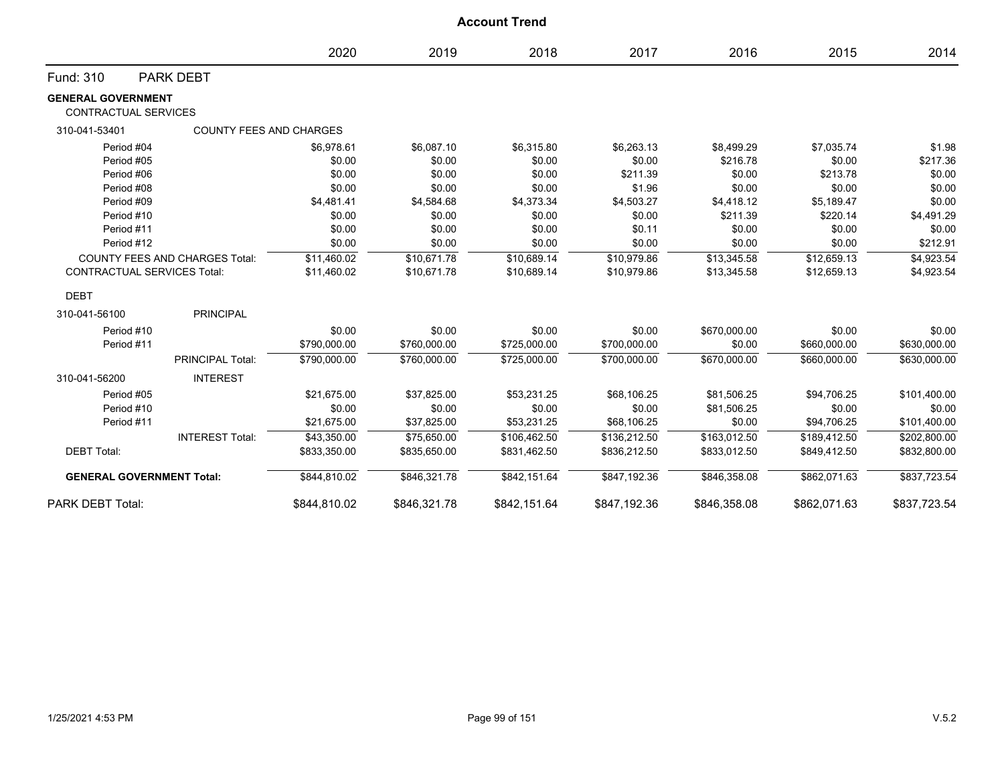|                                                   |                                       |              |              | <b>Account Trend</b> |              |              |              |              |
|---------------------------------------------------|---------------------------------------|--------------|--------------|----------------------|--------------|--------------|--------------|--------------|
|                                                   |                                       | 2020         | 2019         | 2018                 | 2017         | 2016         | 2015         | 2014         |
| Fund: 310                                         | <b>PARK DEBT</b>                      |              |              |                      |              |              |              |              |
| <b>GENERAL GOVERNMENT</b><br>CONTRACTUAL SERVICES |                                       |              |              |                      |              |              |              |              |
| 310-041-53401                                     | <b>COUNTY FEES AND CHARGES</b>        |              |              |                      |              |              |              |              |
| Period #04                                        |                                       | \$6,978.61   | \$6,087.10   | \$6,315.80           | \$6,263.13   | \$8,499.29   | \$7,035.74   | \$1.98       |
| Period #05                                        |                                       | \$0.00       | \$0.00       | \$0.00               | \$0.00       | \$216.78     | \$0.00       | \$217.36     |
| Period #06                                        |                                       | \$0.00       | \$0.00       | \$0.00               | \$211.39     | \$0.00       | \$213.78     | \$0.00       |
| Period #08                                        |                                       | \$0.00       | \$0.00       | \$0.00               | \$1.96       | \$0.00       | \$0.00       | \$0.00       |
| Period #09                                        |                                       | \$4,481.41   | \$4,584.68   | \$4,373.34           | \$4,503.27   | \$4,418.12   | \$5,189.47   | \$0.00       |
| Period #10                                        |                                       | \$0.00       | \$0.00       | \$0.00               | \$0.00       | \$211.39     | \$220.14     | \$4,491.29   |
| Period #11                                        |                                       | \$0.00       | \$0.00       | \$0.00               | \$0.11       | \$0.00       | \$0.00       | \$0.00       |
| Period #12                                        |                                       | \$0.00       | \$0.00       | \$0.00               | \$0.00       | \$0.00       | \$0.00       | \$212.91     |
|                                                   | <b>COUNTY FEES AND CHARGES Total:</b> | \$11,460.02  | \$10,671.78  | \$10,689.14          | \$10,979.86  | \$13,345.58  | \$12,659.13  | \$4,923.54   |
| <b>CONTRACTUAL SERVICES Total:</b>                |                                       | \$11,460.02  | \$10,671.78  | \$10,689.14          | \$10,979.86  | \$13,345.58  | \$12,659.13  | \$4,923.54   |
| <b>DEBT</b>                                       |                                       |              |              |                      |              |              |              |              |
| 310-041-56100                                     | <b>PRINCIPAL</b>                      |              |              |                      |              |              |              |              |
| Period #10                                        |                                       | \$0.00       | \$0.00       | \$0.00               | \$0.00       | \$670,000.00 | \$0.00       | \$0.00       |
| Period #11                                        |                                       | \$790,000.00 | \$760,000.00 | \$725,000.00         | \$700,000.00 | \$0.00       | \$660,000.00 | \$630,000.00 |
|                                                   | <b>PRINCIPAL Total:</b>               | \$790,000.00 | \$760,000.00 | \$725,000.00         | \$700,000.00 | \$670,000.00 | \$660,000.00 | \$630,000.00 |
| 310-041-56200                                     | <b>INTEREST</b>                       |              |              |                      |              |              |              |              |
| Period #05                                        |                                       | \$21,675.00  | \$37,825.00  | \$53,231.25          | \$68,106.25  | \$81,506.25  | \$94,706.25  | \$101,400.00 |
| Period #10                                        |                                       | \$0.00       | \$0.00       | \$0.00               | \$0.00       | \$81,506.25  | \$0.00       | \$0.00       |
| Period #11                                        |                                       | \$21,675.00  | \$37,825.00  | \$53,231.25          | \$68,106.25  | \$0.00       | \$94,706.25  | \$101,400.00 |
|                                                   | <b>INTEREST Total:</b>                | \$43,350.00  | \$75,650.00  | \$106,462.50         | \$136,212.50 | \$163,012.50 | \$189,412.50 | \$202,800.00 |
| <b>DEBT Total:</b>                                |                                       | \$833,350.00 | \$835,650.00 | \$831,462.50         | \$836,212.50 | \$833,012.50 | \$849,412.50 | \$832,800.00 |
| <b>GENERAL GOVERNMENT Total:</b>                  |                                       | \$844,810.02 | \$846,321.78 | \$842,151.64         | \$847,192.36 | \$846,358.08 | \$862,071.63 | \$837,723.54 |
| <b>PARK DEBT Total:</b>                           |                                       | \$844.810.02 | \$846.321.78 | \$842,151.64         | \$847,192.36 | \$846,358,08 | \$862,071.63 | \$837.723.54 |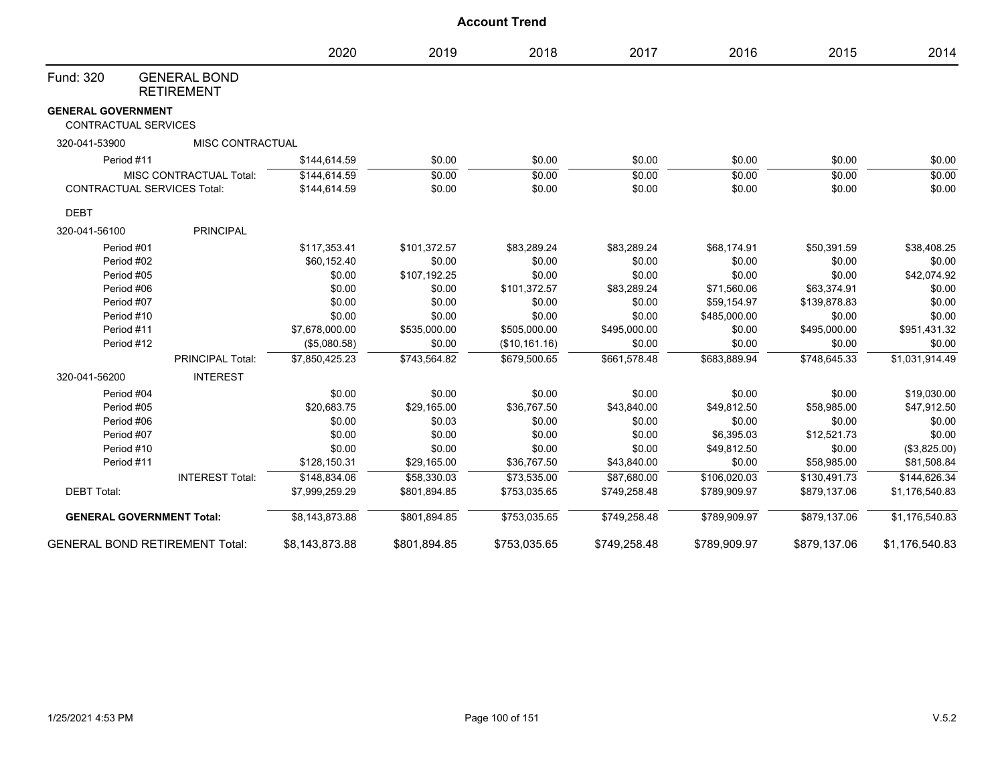|                                                          |                                                               |                              |                  | <b>Account Trend</b> |                  |                  |                  |                  |
|----------------------------------------------------------|---------------------------------------------------------------|------------------------------|------------------|----------------------|------------------|------------------|------------------|------------------|
|                                                          |                                                               | 2020                         | 2019             | 2018                 | 2017             | 2016             | 2015             | 2014             |
| Fund: 320                                                | <b>GENERAL BOND</b><br><b>RETIREMENT</b>                      |                              |                  |                      |                  |                  |                  |                  |
| <b>GENERAL GOVERNMENT</b><br><b>CONTRACTUAL SERVICES</b> |                                                               |                              |                  |                      |                  |                  |                  |                  |
| 320-041-53900                                            | MISC CONTRACTUAL                                              |                              |                  |                      |                  |                  |                  |                  |
| Period #11                                               |                                                               | \$144,614.59                 | \$0.00           | \$0.00               | \$0.00           | \$0.00           | \$0.00           | \$0.00           |
|                                                          | MISC CONTRACTUAL Total:<br><b>CONTRACTUAL SERVICES Total:</b> | \$144,614.59<br>\$144,614.59 | \$0.00<br>\$0.00 | \$0.00<br>\$0.00     | \$0.00<br>\$0.00 | \$0.00<br>\$0.00 | \$0.00<br>\$0.00 | \$0.00<br>\$0.00 |
| <b>DEBT</b>                                              |                                                               |                              |                  |                      |                  |                  |                  |                  |
| 320-041-56100                                            | <b>PRINCIPAL</b>                                              |                              |                  |                      |                  |                  |                  |                  |
| Period #01                                               |                                                               | \$117,353.41                 | \$101,372.57     | \$83,289.24          | \$83,289.24      | \$68,174.91      | \$50,391.59      | \$38,408.25      |
| Period #02                                               |                                                               | \$60,152.40                  | \$0.00           | \$0.00               | \$0.00           | \$0.00           | \$0.00           | \$0.00           |
| Period #05                                               |                                                               | \$0.00                       | \$107,192.25     | \$0.00               | \$0.00           | \$0.00           | \$0.00           | \$42,074.92      |
| Period #06                                               |                                                               | \$0.00                       | \$0.00           | \$101,372.57         | \$83,289.24      | \$71,560.06      | \$63,374.91      | \$0.00           |
| Period #07                                               |                                                               | \$0.00                       | \$0.00           | \$0.00               | \$0.00           | \$59,154.97      | \$139,878.83     | \$0.00           |
| Period #10                                               |                                                               | \$0.00                       | \$0.00           | \$0.00               | \$0.00           | \$485,000.00     | \$0.00           | \$0.00           |
| Period #11                                               |                                                               | \$7,678,000.00               | \$535,000.00     | \$505,000.00         | \$495,000.00     | \$0.00           | \$495,000.00     | \$951,431.32     |
| Period #12                                               |                                                               | (\$5,080.58)                 | \$0.00           | (\$10,161.16)        | \$0.00           | \$0.00           | \$0.00           | \$0.00           |
|                                                          | PRINCIPAL Total:                                              | \$7,850,425.23               | \$743,564.82     | \$679,500.65         | \$661,578.48     | \$683,889.94     | \$748,645.33     | \$1,031,914.49   |
| 320-041-56200                                            | <b>INTEREST</b>                                               |                              |                  |                      |                  |                  |                  |                  |
| Period #04                                               |                                                               | \$0.00                       | \$0.00           | \$0.00               | \$0.00           | \$0.00           | \$0.00           | \$19,030.00      |
| Period #05                                               |                                                               | \$20,683.75                  | \$29,165.00      | \$36,767.50          | \$43,840.00      | \$49,812.50      | \$58,985.00      | \$47,912.50      |
| Period #06                                               |                                                               | \$0.00                       | \$0.03           | \$0.00               | \$0.00           | \$0.00           | \$0.00           | \$0.00           |
| Period #07                                               |                                                               | \$0.00                       | \$0.00           | \$0.00               | \$0.00           | \$6,395.03       | \$12,521.73      | \$0.00           |
| Period #10                                               |                                                               | \$0.00                       | \$0.00           | \$0.00               | \$0.00           | \$49,812.50      | \$0.00           | (\$3,825.00)     |
| Period #11                                               |                                                               | \$128,150.31                 | \$29,165.00      | \$36,767.50          | \$43,840.00      | \$0.00           | \$58,985.00      | \$81,508.84      |
|                                                          | <b>INTEREST Total:</b>                                        | \$148.834.06                 | \$58,330.03      | \$73,535.00          | \$87.680.00      | \$106,020.03     | \$130,491.73     | \$144.626.34     |
| <b>DEBT Total:</b>                                       |                                                               | \$7,999,259.29               | \$801,894.85     | \$753,035.65         | \$749,258.48     | \$789,909.97     | \$879,137.06     | \$1,176,540.83   |
|                                                          | <b>GENERAL GOVERNMENT Total:</b>                              | \$8,143,873.88               | \$801,894.85     | \$753,035.65         | \$749,258.48     | \$789,909.97     | \$879,137.06     | \$1,176,540.83   |
|                                                          | <b>GENERAL BOND RETIREMENT Total:</b>                         | \$8,143,873.88               | \$801,894.85     | \$753,035.65         | \$749,258.48     | \$789,909.97     | \$879,137.06     | \$1,176,540.83   |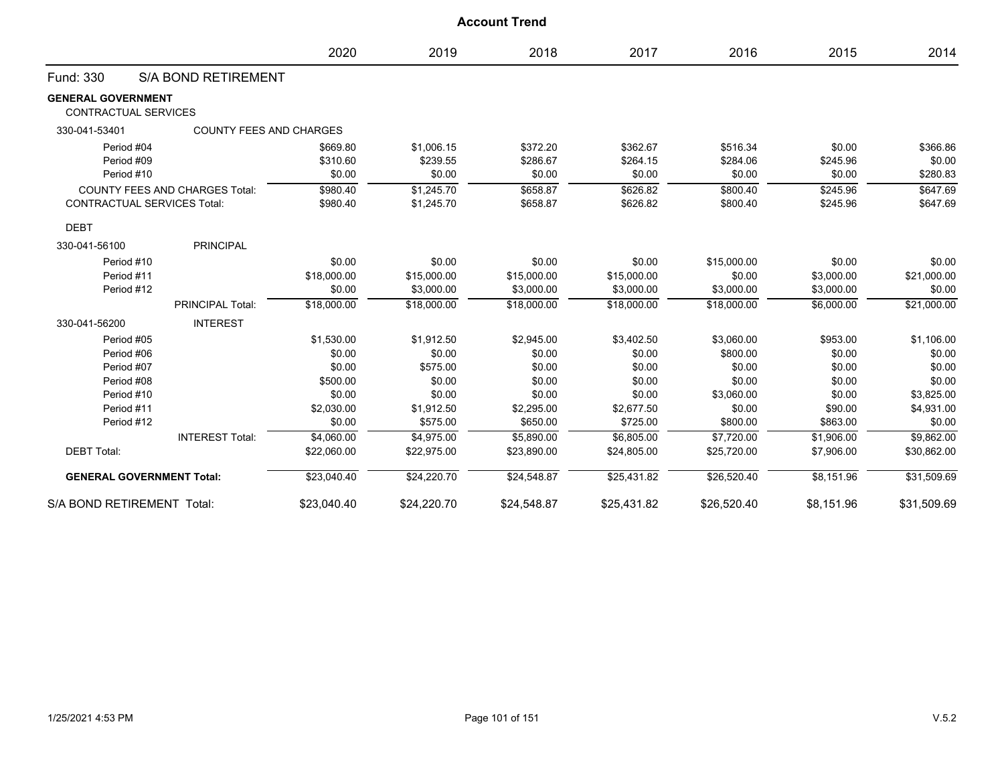|                                                          |                                                                                                                                                                                                                                 |                                |                                  | <b>Account Trend</b>           |                                |                                |                              |                                            |
|----------------------------------------------------------|---------------------------------------------------------------------------------------------------------------------------------------------------------------------------------------------------------------------------------|--------------------------------|----------------------------------|--------------------------------|--------------------------------|--------------------------------|------------------------------|--------------------------------------------|
|                                                          |                                                                                                                                                                                                                                 | 2020                           | 2019                             | 2018                           | 2017                           | 2016                           | 2015                         | 2014                                       |
| Fund: 330                                                | <b>S/A BOND RETIREMENT</b>                                                                                                                                                                                                      |                                |                                  |                                |                                |                                |                              |                                            |
| <b>GENERAL GOVERNMENT</b><br><b>CONTRACTUAL SERVICES</b> |                                                                                                                                                                                                                                 |                                |                                  |                                |                                |                                |                              |                                            |
| 330-041-53401                                            | <b>COUNTY FEES AND CHARGES</b>                                                                                                                                                                                                  |                                |                                  |                                |                                |                                |                              |                                            |
| Period #04<br>Period #09<br>Period #10                   |                                                                                                                                                                                                                                 | \$669.80<br>\$310.60<br>\$0.00 | \$1,006.15<br>\$239.55<br>\$0.00 | \$372.20<br>\$286.67<br>\$0.00 | \$362.67<br>\$264.15<br>\$0.00 | \$516.34<br>\$284.06<br>\$0.00 | \$0.00<br>\$245.96<br>\$0.00 | \$366.86<br>\$0.00<br>\$280.83<br>\$647.69 |
|                                                          | \$980.40<br>\$1,245.70<br>\$658.87<br>\$245.96<br><b>COUNTY FEES AND CHARGES Total:</b><br>\$626.82<br>\$800.40<br><b>CONTRACTUAL SERVICES Total:</b><br>\$980.40<br>\$1,245.70<br>\$658.87<br>\$626.82<br>\$800.40<br>\$245.96 |                                | \$647.69                         |                                |                                |                                |                              |                                            |
| <b>DEBT</b>                                              |                                                                                                                                                                                                                                 |                                |                                  |                                |                                |                                |                              |                                            |
| 330-041-56100                                            | <b>PRINCIPAL</b>                                                                                                                                                                                                                |                                |                                  |                                |                                |                                |                              |                                            |
| Period #10                                               |                                                                                                                                                                                                                                 | \$0.00                         | \$0.00                           | \$0.00                         | \$0.00                         | \$15,000.00                    | \$0.00                       | \$0.00                                     |
| Period #11                                               |                                                                                                                                                                                                                                 | \$18,000.00                    | \$15,000.00                      | \$15,000.00                    | \$15,000.00                    | \$0.00                         | \$3,000.00                   | \$21,000.00                                |
| Period #12                                               |                                                                                                                                                                                                                                 | \$0.00                         | \$3,000.00                       | \$3,000.00                     | \$3,000.00                     | \$3,000.00                     | \$3,000.00                   | \$0.00                                     |
|                                                          | PRINCIPAL Total:                                                                                                                                                                                                                | \$18,000.00                    | \$18,000.00                      | \$18,000.00                    | \$18,000.00                    | \$18,000.00                    | \$6,000.00                   | \$21,000.00                                |
| 330-041-56200                                            | <b>INTEREST</b>                                                                                                                                                                                                                 |                                |                                  |                                |                                |                                |                              |                                            |
| Period #05                                               |                                                                                                                                                                                                                                 | \$1,530.00                     | \$1,912.50                       | \$2,945.00                     | \$3,402.50                     | \$3,060.00                     | \$953.00                     | \$1,106.00                                 |
| Period #06                                               |                                                                                                                                                                                                                                 | \$0.00                         | \$0.00                           | \$0.00                         | \$0.00                         | \$800.00                       | \$0.00                       | \$0.00                                     |
| Period #07                                               |                                                                                                                                                                                                                                 | \$0.00                         | \$575.00                         | \$0.00                         | \$0.00                         | \$0.00                         | \$0.00                       | \$0.00                                     |
| Period #08                                               |                                                                                                                                                                                                                                 | \$500.00                       | \$0.00                           | \$0.00                         | \$0.00                         | \$0.00                         | \$0.00                       | \$0.00                                     |
| Period #10                                               |                                                                                                                                                                                                                                 | \$0.00                         | \$0.00                           | \$0.00                         | \$0.00                         | \$3,060.00                     | \$0.00                       | \$3,825.00                                 |
| Period #11                                               |                                                                                                                                                                                                                                 | \$2,030.00                     | \$1,912.50                       | \$2,295.00                     | \$2,677.50                     | \$0.00                         | \$90.00                      | \$4,931.00                                 |
| Period #12                                               |                                                                                                                                                                                                                                 | \$0.00                         | \$575.00                         | \$650.00                       | \$725.00                       | \$800.00                       | \$863.00                     | \$0.00                                     |
|                                                          | <b>INTEREST Total:</b>                                                                                                                                                                                                          | \$4,060.00                     | \$4,975.00                       | \$5,890.00                     | \$6,805.00                     | \$7,720.00                     | \$1,906.00                   | \$9,862.00                                 |
| <b>DEBT Total:</b>                                       |                                                                                                                                                                                                                                 | \$22,060.00                    | \$22,975.00                      | \$23,890.00                    | \$24,805.00                    | \$25,720.00                    | \$7,906.00                   | \$30,862.00                                |
| <b>GENERAL GOVERNMENT Total:</b>                         |                                                                                                                                                                                                                                 | \$23,040.40                    | \$24,220.70                      | \$24,548.87                    | \$25,431.82                    | \$26,520.40                    | \$8,151.96                   | \$31,509.69                                |
| S/A BOND RETIREMENT Total:                               |                                                                                                                                                                                                                                 | \$23.040.40                    | \$24.220.70                      | \$24.548.87                    | \$25.431.82                    | \$26.520.40                    | \$8,151.96                   | \$31.509.69                                |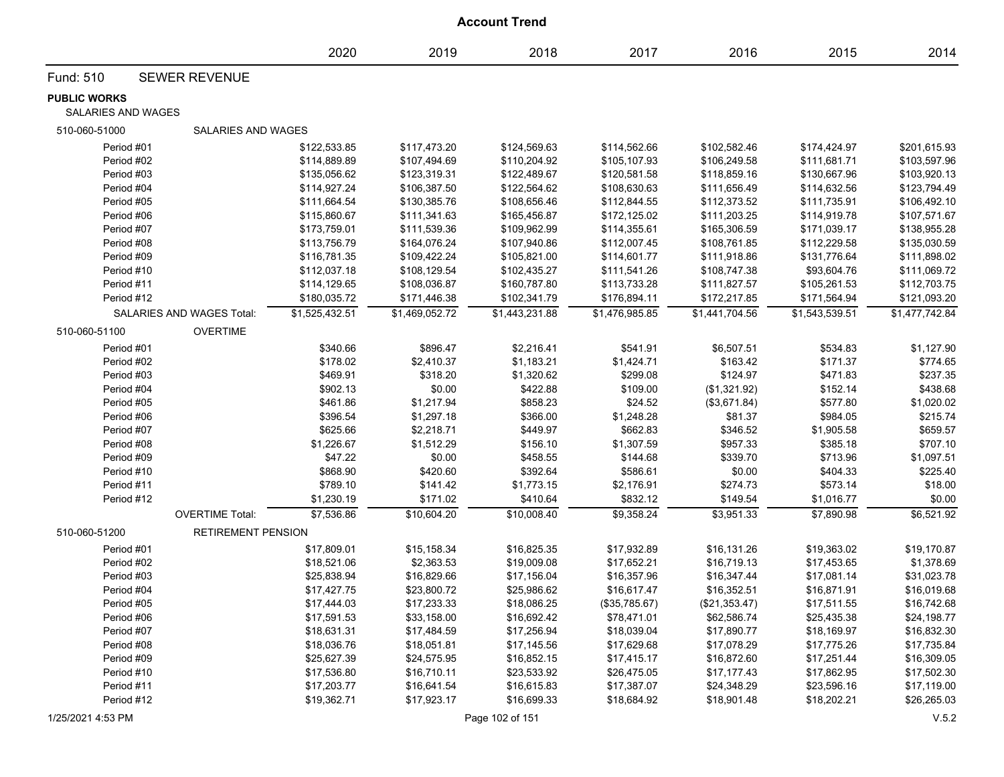| <b>Account Trend</b>                             |                                  |                |                |                |                |                |                |                |  |  |
|--------------------------------------------------|----------------------------------|----------------|----------------|----------------|----------------|----------------|----------------|----------------|--|--|
|                                                  |                                  | 2020           | 2019           | 2018           | 2017           | 2016           | 2015           | 2014           |  |  |
| Fund: 510                                        | <b>SEWER REVENUE</b>             |                |                |                |                |                |                |                |  |  |
| <b>PUBLIC WORKS</b><br><b>SALARIES AND WAGES</b> |                                  |                |                |                |                |                |                |                |  |  |
| 510-060-51000                                    | SALARIES AND WAGES               |                |                |                |                |                |                |                |  |  |
| Period #01                                       |                                  | \$122,533.85   | \$117,473.20   | \$124,569.63   | \$114,562.66   | \$102,582.46   | \$174,424.97   | \$201,615.93   |  |  |
| Period #02                                       |                                  | \$114,889.89   | \$107,494.69   | \$110,204.92   | \$105,107.93   | \$106,249.58   | \$111,681.71   | \$103,597.96   |  |  |
| Period #03                                       |                                  | \$135,056.62   | \$123,319.31   | \$122,489.67   | \$120,581.58   | \$118,859.16   | \$130,667.96   | \$103,920.13   |  |  |
| Period #04                                       |                                  | \$114,927.24   | \$106,387.50   | \$122,564.62   | \$108,630.63   | \$111,656.49   | \$114,632.56   | \$123,794.49   |  |  |
| Period #05                                       |                                  | \$111,664.54   | \$130,385.76   | \$108,656.46   | \$112,844.55   | \$112,373.52   | \$111,735.91   | \$106,492.10   |  |  |
| Period #06                                       |                                  | \$115,860.67   | \$111,341.63   | \$165,456.87   | \$172,125.02   | \$111,203.25   | \$114,919.78   | \$107,571.67   |  |  |
| Period #07                                       |                                  | \$173,759.01   | \$111,539.36   | \$109,962.99   | \$114,355.61   | \$165,306.59   | \$171,039.17   | \$138,955.28   |  |  |
| Period #08                                       |                                  | \$113,756.79   | \$164,076.24   | \$107,940.86   | \$112,007.45   | \$108,761.85   | \$112,229.58   | \$135,030.59   |  |  |
| Period #09                                       |                                  | \$116,781.35   | \$109,422.24   | \$105,821.00   | \$114,601.77   | \$111,918.86   | \$131,776.64   | \$111,898.02   |  |  |
| Period #10                                       |                                  | \$112,037.18   | \$108,129.54   | \$102,435.27   | \$111,541.26   | \$108,747.38   | \$93,604.76    | \$111,069.72   |  |  |
| Period #11                                       |                                  | \$114,129.65   | \$108,036.87   | \$160,787.80   | \$113,733.28   | \$111,827.57   | \$105,261.53   | \$112,703.75   |  |  |
| Period #12                                       |                                  | \$180,035.72   | \$171,446.38   | \$102,341.79   | \$176,894.11   | \$172,217.85   | \$171,564.94   | \$121,093.20   |  |  |
|                                                  | <b>SALARIES AND WAGES Total:</b> | \$1,525,432.51 | \$1,469,052.72 | \$1,443,231.88 | \$1,476,985.85 | \$1,441,704.56 | \$1,543,539.51 | \$1,477,742.84 |  |  |
| 510-060-51100                                    | <b>OVERTIME</b>                  |                |                |                |                |                |                |                |  |  |
| Period #01                                       |                                  | \$340.66       | \$896.47       | \$2,216.41     | \$541.91       | \$6,507.51     | \$534.83       | \$1,127.90     |  |  |
| Period #02                                       |                                  | \$178.02       | \$2,410.37     | \$1,183.21     | \$1,424.71     | \$163.42       | \$171.37       | \$774.65       |  |  |
| Period #03                                       |                                  | \$469.91       | \$318.20       | \$1,320.62     | \$299.08       | \$124.97       | \$471.83       | \$237.35       |  |  |
| Period #04                                       |                                  | \$902.13       | \$0.00         | \$422.88       | \$109.00       | (\$1,321.92)   | \$152.14       | \$438.68       |  |  |
| Period #05                                       |                                  | \$461.86       | \$1,217.94     | \$858.23       | \$24.52        | (\$3,671.84)   | \$577.80       | \$1,020.02     |  |  |
| Period #06                                       |                                  | \$396.54       | \$1,297.18     | \$366.00       | \$1,248.28     | \$81.37        | \$984.05       | \$215.74       |  |  |
| Period #07                                       |                                  | \$625.66       | \$2,218.71     | \$449.97       | \$662.83       | \$346.52       | \$1,905.58     | \$659.57       |  |  |
| Period #08                                       |                                  | \$1,226.67     | \$1,512.29     | \$156.10       | \$1,307.59     | \$957.33       | \$385.18       | \$707.10       |  |  |
| Period #09                                       |                                  | \$47.22        | \$0.00         | \$458.55       | \$144.68       | \$339.70       | \$713.96       | \$1,097.51     |  |  |
| Period #10                                       |                                  | \$868.90       | \$420.60       | \$392.64       | \$586.61       | \$0.00         | \$404.33       | \$225.40       |  |  |
| Period #11                                       |                                  | \$789.10       | \$141.42       | \$1,773.15     | \$2,176.91     | \$274.73       | \$573.14       | \$18.00        |  |  |
| Period #12                                       |                                  | \$1,230.19     | \$171.02       | \$410.64       | \$832.12       | \$149.54       | \$1,016.77     | \$0.00         |  |  |
|                                                  | <b>OVERTIME Total:</b>           | \$7,536.86     | \$10,604.20    | \$10,008.40    | \$9,358.24     | \$3,951.33     | \$7,890.98     | \$6,521.92     |  |  |
| 510-060-51200                                    | <b>RETIREMENT PENSION</b>        |                |                |                |                |                |                |                |  |  |
| Period #01                                       |                                  | \$17,809.01    | \$15,158.34    | \$16,825.35    | \$17,932.89    | \$16,131.26    | \$19,363.02    | \$19,170.87    |  |  |
| Period #02                                       |                                  | \$18,521.06    | \$2,363.53     | \$19,009.08    | \$17,652.21    | \$16,719.13    | \$17,453.65    | \$1,378.69     |  |  |
| Period #03                                       |                                  | \$25,838.94    | \$16,829.66    | \$17,156.04    | \$16,357.96    | \$16,347.44    | \$17,081.14    | \$31,023.78    |  |  |
| Period #04                                       |                                  | \$17,427.75    | \$23,800.72    | \$25,986.62    | \$16,617.47    | \$16,352.51    | \$16,871.91    | \$16,019.68    |  |  |
| Period #05                                       |                                  | \$17,444.03    | \$17,233.33    | \$18,086.25    | (\$35,785.67)  | (\$21,353.47)  | \$17,511.55    | \$16,742.68    |  |  |
| Period #06                                       |                                  | \$17,591.53    | \$33,158.00    | \$16,692.42    | \$78,471.01    | \$62,586.74    | \$25,435.38    | \$24,198.77    |  |  |
| Period #07                                       |                                  | \$18,631.31    | \$17,484.59    | \$17,256.94    | \$18,039.04    | \$17,890.77    | \$18,169.97    | \$16,832.30    |  |  |
| Period #08                                       |                                  | \$18,036.76    | \$18,051.81    | \$17,145.56    | \$17,629.68    | \$17,078.29    | \$17,775.26    | \$17,735.84    |  |  |
| Period #09                                       |                                  | \$25,627.39    | \$24,575.95    | \$16,852.15    | \$17,415.17    | \$16,872.60    | \$17,251.44    | \$16,309.05    |  |  |
| Period #10                                       |                                  | \$17,536.80    | \$16,710.11    | \$23,533.92    | \$26,475.05    | \$17,177.43    | \$17,862.95    | \$17,502.30    |  |  |
| Period #11                                       |                                  | \$17,203.77    | \$16,641.54    | \$16,615.83    | \$17,387.07    | \$24,348.29    | \$23,596.16    | \$17,119.00    |  |  |
| Period #12                                       |                                  | \$19,362.71    | \$17,923.17    | \$16,699.33    | \$18,684.92    | \$18,901.48    | \$18,202.21    | \$26,265.03    |  |  |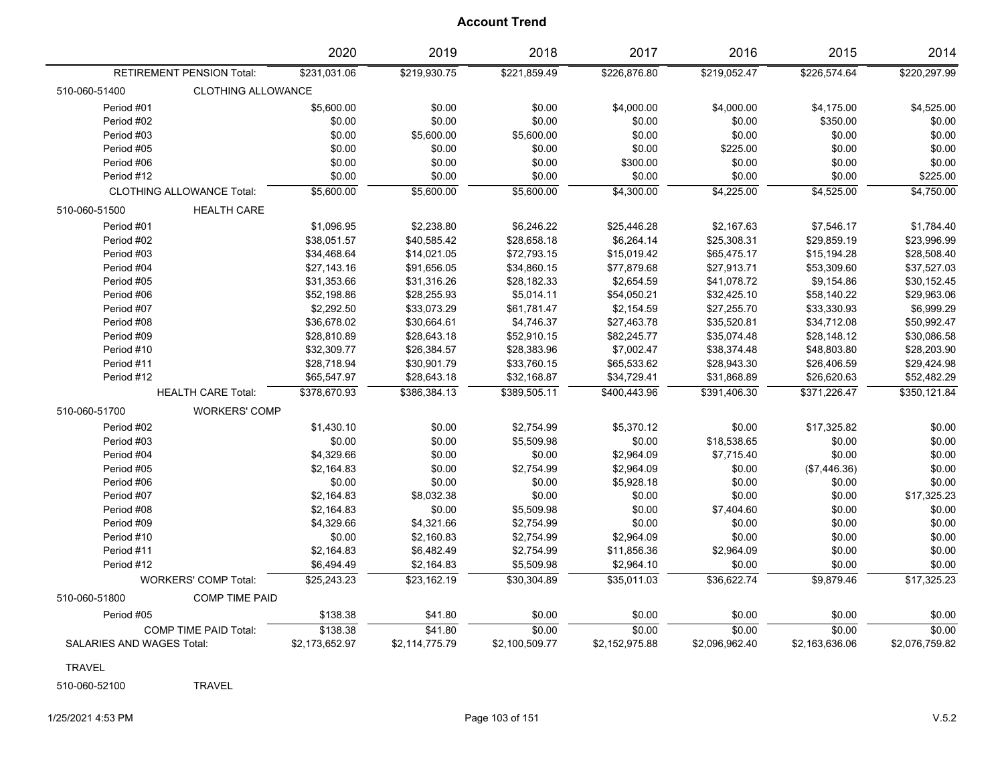|                                                           |                                  | 2020                       | 2019                      | 2018                     | 2017                     | 2016                     | 2015                     | 2014                     |
|-----------------------------------------------------------|----------------------------------|----------------------------|---------------------------|--------------------------|--------------------------|--------------------------|--------------------------|--------------------------|
|                                                           | <b>RETIREMENT PENSION Total:</b> | \$231,031.06               | \$219,930.75              | \$221,859.49             | \$226,876.80             | \$219,052.47             | \$226,574.64             | \$220,297.99             |
| 510-060-51400                                             | <b>CLOTHING ALLOWANCE</b>        |                            |                           |                          |                          |                          |                          |                          |
| Period #01                                                |                                  | \$5,600.00                 | \$0.00                    | \$0.00                   | \$4,000.00               | \$4,000.00               | \$4,175.00               | \$4,525.00               |
| Period #02                                                |                                  | \$0.00                     | \$0.00                    | \$0.00                   | \$0.00                   | \$0.00                   | \$350.00                 | \$0.00                   |
| Period #03                                                |                                  | \$0.00                     | \$5,600.00                | \$5,600.00               | \$0.00                   | \$0.00                   | \$0.00                   | \$0.00                   |
| Period #05                                                |                                  | \$0.00                     | \$0.00                    | \$0.00                   | \$0.00                   | \$225.00                 | \$0.00                   | \$0.00                   |
| Period #06                                                |                                  | \$0.00                     | \$0.00                    | \$0.00                   | \$300.00                 | \$0.00                   | \$0.00                   | \$0.00                   |
| Period #12                                                |                                  | \$0.00                     | \$0.00                    | \$0.00                   | \$0.00                   | \$0.00                   | \$0.00                   | \$225.00                 |
|                                                           | <b>CLOTHING ALLOWANCE Total:</b> | \$5,600.00                 | \$5,600.00                | \$5,600.00               | \$4,300.00               | \$4,225.00               | \$4,525.00               | \$4,750.00               |
| 510-060-51500                                             | <b>HEALTH CARE</b>               |                            |                           |                          |                          |                          |                          |                          |
| Period #01                                                |                                  | \$1,096.95                 | \$2,238.80                | \$6,246.22               | \$25,446.28              | \$2,167.63               | \$7,546.17               | \$1,784.40               |
| Period #02                                                |                                  | \$38,051.57                | \$40,585.42               | \$28,658.18              | \$6,264.14               | \$25,308.31              | \$29,859.19              | \$23,996.99              |
| Period #03                                                |                                  | \$34,468.64                | \$14,021.05               | \$72,793.15              | \$15,019.42              | \$65,475.17              | \$15,194.28              | \$28,508.40              |
| Period #04                                                |                                  | \$27,143.16                | \$91,656.05               | \$34,860.15              | \$77,879.68              | \$27,913.71              | \$53,309.60              | \$37,527.03              |
| Period #05                                                |                                  | \$31,353.66                | \$31,316.26               | \$28,182.33              | \$2,654.59               | \$41,078.72              | \$9,154.86               | \$30,152.45              |
| Period #06                                                |                                  | \$52,198.86                | \$28,255.93               | \$5,014.11               | \$54,050.21              | \$32,425.10              | \$58,140.22              | \$29,963.06              |
| Period #07                                                |                                  | \$2,292.50                 | \$33,073.29               | \$61,781.47              | \$2,154.59               | \$27,255.70              | \$33,330.93              | \$6,999.29               |
| Period #08                                                |                                  | \$36,678.02                | \$30,664.61               | \$4,746.37               | \$27,463.78              | \$35,520.81              | \$34,712.08              | \$50,992.47              |
| Period #09                                                |                                  | \$28,810.89                | \$28,643.18               | \$52,910.15              | \$82,245.77              | \$35,074.48              | \$28,148.12              | \$30,086.58              |
| Period #10                                                |                                  | \$32,309.77                | \$26,384.57               | \$28,383.96              | \$7,002.47               | \$38,374.48              | \$48,803.80              | \$28,203.90              |
| Period #11                                                |                                  | \$28,718.94                | \$30,901.79               | \$33,760.15              | \$65,533.62              | \$28,943.30              | \$26,406.59              | \$29,424.98              |
| Period #12                                                |                                  | \$65,547.97                | \$28,643.18               | \$32,168.87              | \$34,729.41              | \$31,868.89              | \$26,620.63              | \$52,482.29              |
|                                                           | <b>HEALTH CARE Total:</b>        | \$378.670.93               | \$386,384.13              | \$389.505.11             | \$400,443.96             | \$391,406.30             | \$371,226.47             | \$350,121.84             |
| 510-060-51700                                             | <b>WORKERS' COMP</b>             |                            |                           |                          |                          |                          |                          |                          |
| Period #02                                                |                                  | \$1,430.10                 | \$0.00                    | \$2,754.99               | \$5,370.12               | \$0.00                   | \$17,325.82              | \$0.00                   |
| Period #03                                                |                                  | \$0.00                     | \$0.00                    | \$5,509.98               | \$0.00                   | \$18,538.65              | \$0.00                   | \$0.00                   |
| Period #04                                                |                                  | \$4,329.66                 | \$0.00                    | \$0.00                   | \$2,964.09               | \$7,715.40               | \$0.00                   | \$0.00                   |
| Period #05                                                |                                  | \$2,164.83                 | \$0.00                    | \$2,754.99               | \$2,964.09               | \$0.00                   | (\$7,446.36)             | \$0.00                   |
| Period #06                                                |                                  | \$0.00                     | \$0.00                    | \$0.00                   | \$5,928.18               | \$0.00                   | \$0.00                   | \$0.00                   |
| Period #07                                                |                                  | \$2,164.83                 | \$8,032.38                | \$0.00                   | \$0.00                   | \$0.00                   | \$0.00                   | \$17,325.23              |
| Period #08                                                |                                  | \$2,164.83                 | \$0.00                    | \$5,509.98               | \$0.00                   | \$7,404.60               | \$0.00                   | \$0.00                   |
| Period #09                                                |                                  | \$4,329.66                 | \$4,321.66                | \$2,754.99               | \$0.00                   | \$0.00                   | \$0.00                   | \$0.00                   |
| Period #10                                                |                                  | \$0.00                     | \$2,160.83                | \$2,754.99               | \$2,964.09               | \$0.00                   | \$0.00                   | \$0.00                   |
| Period #11                                                |                                  | \$2,164.83                 | \$6,482.49                | \$2,754.99               | \$11,856.36              | \$2,964.09               | \$0.00                   | \$0.00                   |
| Period #12                                                |                                  | \$6,494.49                 | \$2,164.83                | \$5,509.98               | \$2,964.10               | \$0.00                   | \$0.00                   | \$0.00                   |
|                                                           | <b>WORKERS' COMP Total:</b>      | \$25,243.23                | \$23,162.19               | \$30,304.89              | \$35,011.03              | \$36,622.74              | \$9,879.46               | \$17,325.23              |
| 510-060-51800                                             | <b>COMP TIME PAID</b>            |                            |                           |                          |                          |                          |                          |                          |
| Period #05                                                |                                  | \$138.38                   | \$41.80                   | \$0.00                   | \$0.00                   | \$0.00                   | \$0.00                   | \$0.00                   |
| COMP TIME PAID Total:<br><b>SALARIES AND WAGES Total:</b> |                                  | \$138.38<br>\$2,173,652.97 | \$41.80<br>\$2,114,775.79 | \$0.00<br>\$2,100,509.77 | \$0.00<br>\$2,152,975.88 | \$0.00<br>\$2,096,962.40 | \$0.00<br>\$2,163,636.06 | \$0.00<br>\$2,076,759.82 |

TRAVEL

510-060-52100 TRAVEL

1/25/2021 4:53 PM Page 103 of 151 V.5.2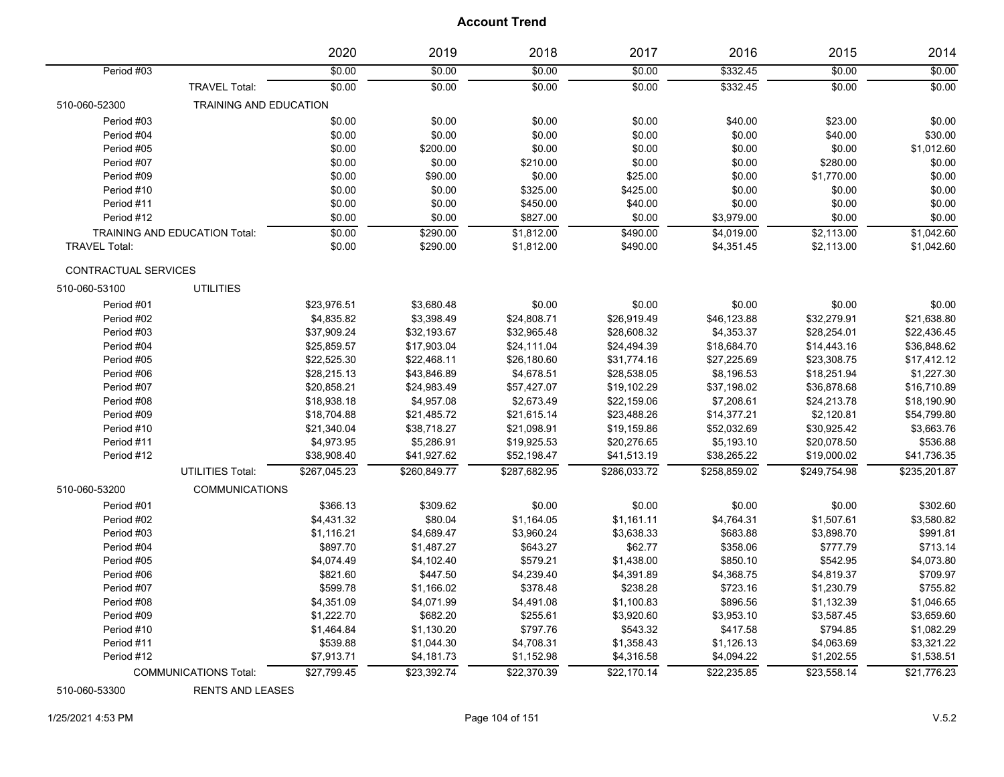|                      |                                      | 2020         | 2019           | 2018         | 2017         | 2016         | 2015                                                                                                                                                                                                                                                                                                                                                                                                                                                     | 2014         |
|----------------------|--------------------------------------|--------------|----------------|--------------|--------------|--------------|----------------------------------------------------------------------------------------------------------------------------------------------------------------------------------------------------------------------------------------------------------------------------------------------------------------------------------------------------------------------------------------------------------------------------------------------------------|--------------|
| Period #03           |                                      | \$0.00       | $\sqrt{$0.00}$ | \$0.00       | \$0.00       | \$332.45     | \$0.00<br>\$0.00<br>\$23.00<br>\$40.00<br>\$0.00<br>\$280.00<br>\$1,770.00<br>\$0.00<br>\$0.00<br>\$0.00<br>\$2,113.00<br>\$2,113.00<br>\$0.00<br>\$32,279.91<br>\$28,254.01<br>\$14,443.16<br>\$23,308.75<br>\$18,251.94<br>\$36,878.68<br>\$24,213.78<br>\$2,120.81<br>\$30,925.42<br>\$20,078.50<br>\$19,000.02<br>\$249,754.98<br>\$0.00<br>\$1,507.61<br>\$3,898.70<br>\$777.79<br>\$542.95<br>\$4,819.37<br>\$1,230.79<br>\$1,132.39<br>\$3,587.45 | \$0.00       |
|                      | <b>TRAVEL Total:</b>                 | \$0.00       | \$0.00         | \$0.00       | \$0.00       | \$332.45     |                                                                                                                                                                                                                                                                                                                                                                                                                                                          | \$0.00       |
| 510-060-52300        | <b>TRAINING AND EDUCATION</b>        |              |                |              |              |              |                                                                                                                                                                                                                                                                                                                                                                                                                                                          |              |
| Period #03           |                                      | \$0.00       | \$0.00         | \$0.00       | \$0.00       | \$40.00      |                                                                                                                                                                                                                                                                                                                                                                                                                                                          | \$0.00       |
| Period #04           |                                      | \$0.00       | \$0.00         | \$0.00       | \$0.00       | \$0.00       |                                                                                                                                                                                                                                                                                                                                                                                                                                                          | \$30.00      |
| Period #05           |                                      | \$0.00       | \$200.00       | \$0.00       | \$0.00       | \$0.00       |                                                                                                                                                                                                                                                                                                                                                                                                                                                          | \$1,012.60   |
| Period #07           |                                      | \$0.00       | \$0.00         | \$210.00     | \$0.00       | \$0.00       |                                                                                                                                                                                                                                                                                                                                                                                                                                                          | \$0.00       |
| Period #09           |                                      | \$0.00       | \$90.00        | \$0.00       | \$25.00      | \$0.00       |                                                                                                                                                                                                                                                                                                                                                                                                                                                          | \$0.00       |
| Period #10           |                                      | \$0.00       | \$0.00         | \$325.00     | \$425.00     | \$0.00       |                                                                                                                                                                                                                                                                                                                                                                                                                                                          | \$0.00       |
| Period #11           |                                      | \$0.00       | \$0.00         | \$450.00     | \$40.00      | \$0.00       |                                                                                                                                                                                                                                                                                                                                                                                                                                                          | \$0.00       |
| Period #12           |                                      | \$0.00       | \$0.00         | \$827.00     | \$0.00       | \$3,979.00   |                                                                                                                                                                                                                                                                                                                                                                                                                                                          | \$0.00       |
|                      | <b>TRAINING AND EDUCATION Total:</b> | \$0.00       | \$290.00       | \$1,812.00   | \$490.00     | \$4,019.00   |                                                                                                                                                                                                                                                                                                                                                                                                                                                          | \$1,042.60   |
| <b>TRAVEL Total:</b> |                                      | \$0.00       | \$290.00       | \$1,812.00   | \$490.00     | \$4,351.45   |                                                                                                                                                                                                                                                                                                                                                                                                                                                          | \$1,042.60   |
| CONTRACTUAL SERVICES |                                      |              |                |              |              |              |                                                                                                                                                                                                                                                                                                                                                                                                                                                          |              |
| 510-060-53100        | <b>UTILITIES</b>                     |              |                |              |              |              |                                                                                                                                                                                                                                                                                                                                                                                                                                                          |              |
| Period #01           |                                      | \$23,976.51  | \$3,680.48     | \$0.00       | \$0.00       | \$0.00       |                                                                                                                                                                                                                                                                                                                                                                                                                                                          | \$0.00       |
| Period #02           |                                      | \$4,835.82   | \$3,398.49     | \$24,808.71  | \$26,919.49  | \$46,123.88  |                                                                                                                                                                                                                                                                                                                                                                                                                                                          | \$21,638.80  |
| Period #03           |                                      | \$37,909.24  | \$32,193.67    | \$32,965.48  | \$28,608.32  | \$4,353.37   |                                                                                                                                                                                                                                                                                                                                                                                                                                                          | \$22,436.45  |
| Period #04           |                                      | \$25,859.57  | \$17,903.04    | \$24,111.04  | \$24,494.39  | \$18,684.70  |                                                                                                                                                                                                                                                                                                                                                                                                                                                          | \$36,848.62  |
| Period #05           |                                      | \$22,525.30  | \$22,468.11    | \$26,180.60  | \$31,774.16  | \$27,225.69  |                                                                                                                                                                                                                                                                                                                                                                                                                                                          | \$17,412.12  |
| Period #06           |                                      | \$28,215.13  | \$43,846.89    | \$4,678.51   | \$28,538.05  | \$8,196.53   |                                                                                                                                                                                                                                                                                                                                                                                                                                                          | \$1,227.30   |
| Period #07           |                                      | \$20,858.21  | \$24,983.49    | \$57,427.07  | \$19,102.29  | \$37,198.02  |                                                                                                                                                                                                                                                                                                                                                                                                                                                          | \$16,710.89  |
| Period #08           |                                      | \$18,938.18  | \$4,957.08     | \$2,673.49   | \$22,159.06  | \$7,208.61   |                                                                                                                                                                                                                                                                                                                                                                                                                                                          | \$18,190.90  |
| Period #09           |                                      | \$18,704.88  | \$21,485.72    | \$21,615.14  | \$23,488.26  | \$14,377.21  |                                                                                                                                                                                                                                                                                                                                                                                                                                                          | \$54,799.80  |
| Period #10           |                                      | \$21,340.04  | \$38,718.27    | \$21,098.91  | \$19,159.86  | \$52,032.69  |                                                                                                                                                                                                                                                                                                                                                                                                                                                          | \$3,663.76   |
| Period #11           |                                      | \$4,973.95   | \$5,286.91     | \$19,925.53  | \$20,276.65  | \$5,193.10   |                                                                                                                                                                                                                                                                                                                                                                                                                                                          | \$536.88     |
| Period #12           |                                      | \$38,908.40  | \$41,927.62    | \$52,198.47  | \$41,513.19  | \$38,265.22  |                                                                                                                                                                                                                                                                                                                                                                                                                                                          | \$41,736.35  |
|                      | <b>UTILITIES Total:</b>              | \$267,045.23 | \$260,849.77   | \$287,682.95 | \$286,033.72 | \$258,859.02 |                                                                                                                                                                                                                                                                                                                                                                                                                                                          | \$235,201.87 |
| 510-060-53200        | <b>COMMUNICATIONS</b>                |              |                |              |              |              |                                                                                                                                                                                                                                                                                                                                                                                                                                                          |              |
| Period #01           |                                      | \$366.13     | \$309.62       | \$0.00       | \$0.00       | \$0.00       |                                                                                                                                                                                                                                                                                                                                                                                                                                                          | \$302.60     |
| Period #02           |                                      | \$4,431.32   | \$80.04        | \$1,164.05   | \$1,161.11   | \$4,764.31   |                                                                                                                                                                                                                                                                                                                                                                                                                                                          | \$3,580.82   |
| Period #03           |                                      | \$1,116.21   | \$4,689.47     | \$3,960.24   | \$3,638.33   | \$683.88     |                                                                                                                                                                                                                                                                                                                                                                                                                                                          | \$991.81     |
| Period #04           |                                      | \$897.70     | \$1,487.27     | \$643.27     | \$62.77      | \$358.06     |                                                                                                                                                                                                                                                                                                                                                                                                                                                          | \$713.14     |
| Period #05           |                                      | \$4,074.49   | \$4,102.40     | \$579.21     | \$1,438.00   | \$850.10     |                                                                                                                                                                                                                                                                                                                                                                                                                                                          | \$4,073.80   |
| Period #06           |                                      | \$821.60     | \$447.50       | \$4,239.40   | \$4,391.89   | \$4,368.75   |                                                                                                                                                                                                                                                                                                                                                                                                                                                          | \$709.97     |
| Period #07           |                                      | \$599.78     | \$1,166.02     | \$378.48     | \$238.28     | \$723.16     |                                                                                                                                                                                                                                                                                                                                                                                                                                                          | \$755.82     |
| Period #08           |                                      | \$4,351.09   | \$4,071.99     | \$4,491.08   | \$1,100.83   | \$896.56     |                                                                                                                                                                                                                                                                                                                                                                                                                                                          | \$1,046.65   |
| Period #09           |                                      | \$1,222.70   | \$682.20       | \$255.61     | \$3,920.60   | \$3,953.10   |                                                                                                                                                                                                                                                                                                                                                                                                                                                          | \$3,659.60   |
| Period #10           |                                      | \$1,464.84   | \$1,130.20     | \$797.76     | \$543.32     | \$417.58     | \$794.85                                                                                                                                                                                                                                                                                                                                                                                                                                                 | \$1,082.29   |
| Period #11           |                                      | \$539.88     | \$1,044.30     | \$4,708.31   | \$1,358.43   | \$1,126.13   | \$4,063.69                                                                                                                                                                                                                                                                                                                                                                                                                                               | \$3,321.22   |
| Period #12           |                                      | \$7,913.71   | \$4,181.73     | \$1,152.98   | \$4,316.58   | \$4,094.22   | \$1,202.55                                                                                                                                                                                                                                                                                                                                                                                                                                               | \$1,538.51   |
|                      | <b>COMMUNICATIONS Total:</b>         | \$27,799.45  | \$23,392.74    | \$22,370.39  | \$22,170.14  | \$22,235.85  | \$23,558.14                                                                                                                                                                                                                                                                                                                                                                                                                                              | \$21,776.23  |

510-060-53300 RENTS AND LEASES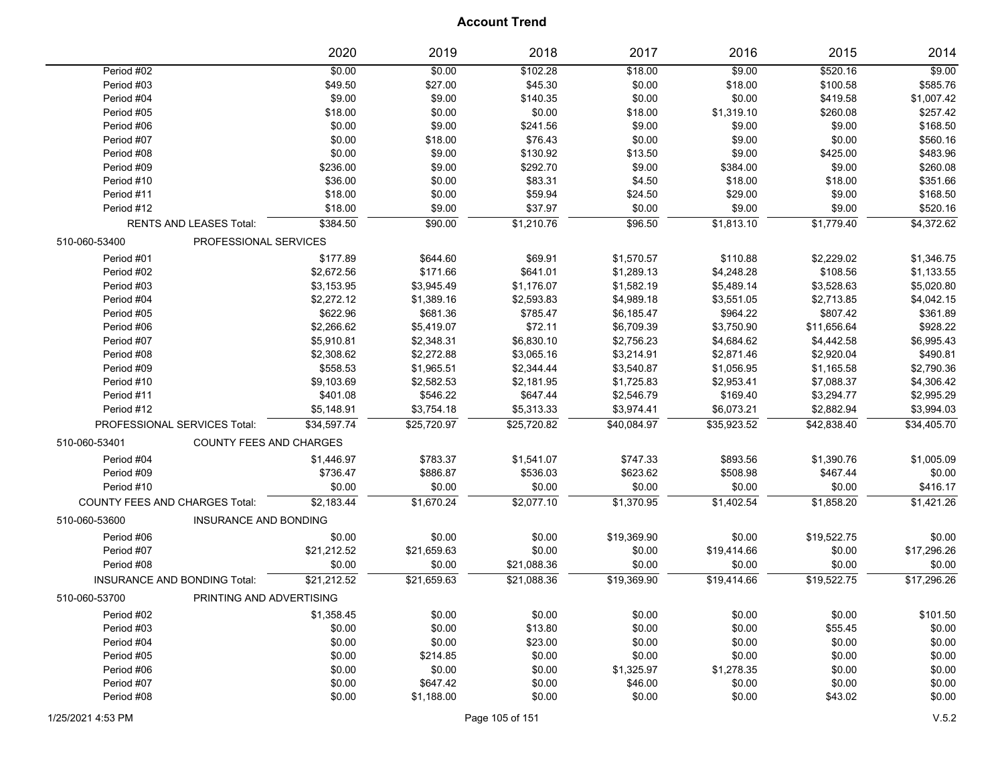|               |                                       | 2020        | 2019        | 2018        | 2017        | 2016        | 2015        | 2014        |
|---------------|---------------------------------------|-------------|-------------|-------------|-------------|-------------|-------------|-------------|
| Period #02    |                                       | \$0.00      | \$0.00      | \$102.28    | \$18.00     | \$9.00      | \$520.16    | \$9.00      |
| Period #03    |                                       | \$49.50     | \$27.00     | \$45.30     | \$0.00      | \$18.00     | \$100.58    | \$585.76    |
| Period #04    |                                       | \$9.00      | \$9.00      | \$140.35    | \$0.00      | \$0.00      | \$419.58    | \$1,007.42  |
| Period #05    |                                       | \$18.00     | \$0.00      | \$0.00      | \$18.00     | \$1,319.10  | \$260.08    | \$257.42    |
| Period #06    |                                       | \$0.00      | \$9.00      | \$241.56    | \$9.00      | \$9.00      | \$9.00      | \$168.50    |
| Period #07    |                                       | \$0.00      | \$18.00     | \$76.43     | \$0.00      | \$9.00      | \$0.00      | \$560.16    |
| Period #08    |                                       | \$0.00      | \$9.00      | \$130.92    | \$13.50     | \$9.00      | \$425.00    | \$483.96    |
| Period #09    |                                       | \$236.00    | \$9.00      | \$292.70    | \$9.00      | \$384.00    | \$9.00      | \$260.08    |
| Period #10    |                                       | \$36.00     | \$0.00      | \$83.31     | \$4.50      | \$18.00     | \$18.00     | \$351.66    |
| Period #11    |                                       | \$18.00     | \$0.00      | \$59.94     | \$24.50     | \$29.00     | \$9.00      | \$168.50    |
| Period #12    |                                       | \$18.00     | \$9.00      | \$37.97     | \$0.00      | \$9.00      | \$9.00      | \$520.16    |
|               | <b>RENTS AND LEASES Total:</b>        | \$384.50    | \$90.00     | \$1,210.76  | \$96.50     | \$1,813.10  | \$1.779.40  | \$4,372.62  |
| 510-060-53400 | PROFESSIONAL SERVICES                 |             |             |             |             |             |             |             |
| Period #01    |                                       | \$177.89    | \$644.60    | \$69.91     | \$1,570.57  | \$110.88    | \$2,229.02  | \$1,346.75  |
| Period #02    |                                       | \$2,672.56  | \$171.66    | \$641.01    | \$1,289.13  | \$4,248.28  | \$108.56    | \$1,133.55  |
| Period #03    |                                       | \$3,153.95  | \$3,945.49  | \$1,176.07  | \$1,582.19  | \$5,489.14  | \$3,528.63  | \$5,020.80  |
| Period #04    |                                       | \$2,272.12  | \$1,389.16  | \$2,593.83  | \$4,989.18  | \$3,551.05  | \$2,713.85  | \$4,042.15  |
| Period #05    |                                       | \$622.96    | \$681.36    | \$785.47    | \$6,185.47  | \$964.22    | \$807.42    | \$361.89    |
| Period #06    |                                       | \$2,266.62  | \$5,419.07  | \$72.11     | \$6,709.39  | \$3,750.90  | \$11,656.64 | \$928.22    |
| Period #07    |                                       | \$5,910.81  | \$2,348.31  | \$6,830.10  | \$2,756.23  | \$4,684.62  | \$4,442.58  | \$6,995.43  |
| Period #08    |                                       | \$2,308.62  | \$2,272.88  | \$3,065.16  | \$3,214.91  | \$2,871.46  | \$2,920.04  | \$490.81    |
| Period #09    |                                       | \$558.53    | \$1,965.51  | \$2,344.44  | \$3,540.87  | \$1,056.95  | \$1,165.58  | \$2,790.36  |
| Period #10    |                                       | \$9,103.69  | \$2,582.53  | \$2,181.95  | \$1,725.83  | \$2,953.41  | \$7,088.37  | \$4,306.42  |
| Period #11    |                                       | \$401.08    | \$546.22    | \$647.44    | \$2,546.79  | \$169.40    | \$3,294.77  | \$2,995.29  |
| Period #12    |                                       | \$5,148.91  | \$3,754.18  | \$5,313.33  | \$3,974.41  | \$6,073.21  | \$2,882.94  | \$3,994.03  |
|               | PROFESSIONAL SERVICES Total:          | \$34,597.74 | \$25,720.97 | \$25,720.82 | \$40,084.97 | \$35,923.52 | \$42,838.40 | \$34,405.70 |
| 510-060-53401 | <b>COUNTY FEES AND CHARGES</b>        |             |             |             |             |             |             |             |
| Period #04    |                                       | \$1,446.97  | \$783.37    | \$1,541.07  | \$747.33    | \$893.56    | \$1,390.76  | \$1,005.09  |
| Period #09    |                                       | \$736.47    | \$886.87    | \$536.03    | \$623.62    | \$508.98    | \$467.44    | \$0.00      |
| Period #10    |                                       | \$0.00      | \$0.00      | \$0.00      | \$0.00      | \$0.00      | \$0.00      | \$416.17    |
|               | <b>COUNTY FEES AND CHARGES Total:</b> | \$2,183.44  | \$1,670.24  | \$2,077.10  | \$1,370.95  | \$1,402.54  | \$1,858.20  | \$1,421.26  |
| 510-060-53600 | INSURANCE AND BONDING                 |             |             |             |             |             |             |             |
| Period #06    |                                       | \$0.00      | \$0.00      | \$0.00      | \$19,369.90 | \$0.00      | \$19,522.75 | \$0.00      |
| Period #07    |                                       | \$21,212.52 | \$21,659.63 | \$0.00      | \$0.00      | \$19,414.66 | \$0.00      | \$17,296.26 |
| Period #08    |                                       | \$0.00      | \$0.00      | \$21,088.36 | \$0.00      | \$0.00      | \$0.00      | \$0.00      |
|               | INSURANCE AND BONDING Total:          | \$21,212.52 | \$21,659.63 | \$21,088.36 | \$19,369.90 | \$19,414.66 | \$19,522.75 | \$17,296.26 |
| 510-060-53700 | PRINTING AND ADVERTISING              |             |             |             |             |             |             |             |
| Period #02    |                                       | \$1,358.45  | \$0.00      | \$0.00      | \$0.00      | \$0.00      | \$0.00      | \$101.50    |
| Period #03    |                                       | \$0.00      | \$0.00      | \$13.80     | \$0.00      | \$0.00      | \$55.45     | \$0.00      |
| Period #04    |                                       | \$0.00      | \$0.00      | \$23.00     | \$0.00      | \$0.00      | \$0.00      | \$0.00      |
| Period #05    |                                       | \$0.00      | \$214.85    | \$0.00      | \$0.00      | \$0.00      | \$0.00      | \$0.00      |
| Period #06    |                                       | \$0.00      | \$0.00      | \$0.00      | \$1,325.97  | \$1,278.35  | \$0.00      | \$0.00      |
| Period #07    |                                       | \$0.00      | \$647.42    | \$0.00      | \$46.00     | \$0.00      | \$0.00      | \$0.00      |
| Period #08    |                                       | \$0.00      | \$1,188.00  | \$0.00      | \$0.00      | \$0.00      | \$43.02     | \$0.00      |
|               |                                       |             |             |             |             |             |             |             |

1/25/2021 4:53 PM Page 105 of 151 V.5.2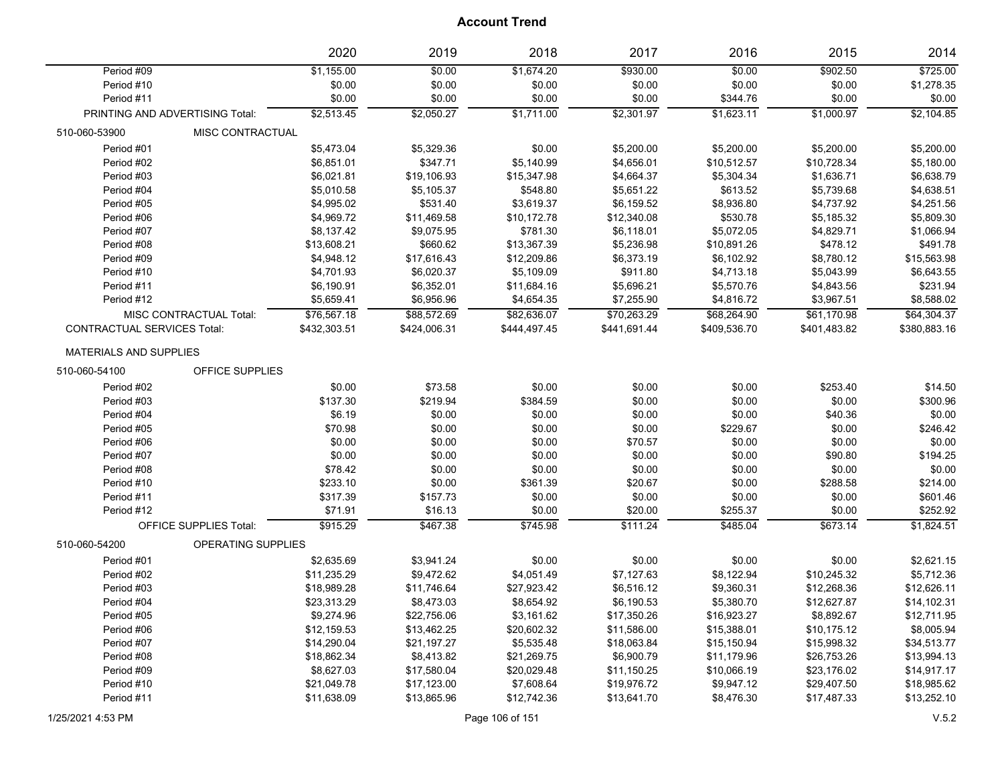|                                    |                                                                                                                                                                                                                                                                                                                                                                                                                                                                                                                                                                                                                                                                                                                                                                                                                                                                                                                                                                                                                                                                                                                                                                                                                                                                                                                                                                                                                                                                                                                                                                                                                                                                                                                                                                                                                                                                                                                                                                                                                                                                                                                                                                                                                                                       | 2020        | 2019        | 2018        | 2017        | 2016        | 2015        | 2014         |
|------------------------------------|-------------------------------------------------------------------------------------------------------------------------------------------------------------------------------------------------------------------------------------------------------------------------------------------------------------------------------------------------------------------------------------------------------------------------------------------------------------------------------------------------------------------------------------------------------------------------------------------------------------------------------------------------------------------------------------------------------------------------------------------------------------------------------------------------------------------------------------------------------------------------------------------------------------------------------------------------------------------------------------------------------------------------------------------------------------------------------------------------------------------------------------------------------------------------------------------------------------------------------------------------------------------------------------------------------------------------------------------------------------------------------------------------------------------------------------------------------------------------------------------------------------------------------------------------------------------------------------------------------------------------------------------------------------------------------------------------------------------------------------------------------------------------------------------------------------------------------------------------------------------------------------------------------------------------------------------------------------------------------------------------------------------------------------------------------------------------------------------------------------------------------------------------------------------------------------------------------------------------------------------------------|-------------|-------------|-------------|-------------|-------------|-------------|--------------|
| Period #09                         |                                                                                                                                                                                                                                                                                                                                                                                                                                                                                                                                                                                                                                                                                                                                                                                                                                                                                                                                                                                                                                                                                                                                                                                                                                                                                                                                                                                                                                                                                                                                                                                                                                                                                                                                                                                                                                                                                                                                                                                                                                                                                                                                                                                                                                                       |             | \$0.00      |             | \$930.00    | \$0.00      |             | \$725.00     |
| Period #10                         |                                                                                                                                                                                                                                                                                                                                                                                                                                                                                                                                                                                                                                                                                                                                                                                                                                                                                                                                                                                                                                                                                                                                                                                                                                                                                                                                                                                                                                                                                                                                                                                                                                                                                                                                                                                                                                                                                                                                                                                                                                                                                                                                                                                                                                                       | \$0.00      | \$0.00      | \$0.00      | \$0.00      | \$0.00      | \$0.00      | \$1,278.35   |
| Period #11                         |                                                                                                                                                                                                                                                                                                                                                                                                                                                                                                                                                                                                                                                                                                                                                                                                                                                                                                                                                                                                                                                                                                                                                                                                                                                                                                                                                                                                                                                                                                                                                                                                                                                                                                                                                                                                                                                                                                                                                                                                                                                                                                                                                                                                                                                       | \$0.00      | \$0.00      | \$0.00      | \$0.00      | \$344.76    | \$0.00      | \$0.00       |
|                                    | \$1,155.00<br>\$1,674.20<br>\$902.50<br>\$2,513.45<br>\$2,050.27<br>\$2,301.97<br>\$1,000.97<br>\$1,711.00<br>\$1,623.11<br>PRINTING AND ADVERTISING Total:<br>MISC CONTRACTUAL<br>\$5,473.04<br>\$5,329.36<br>\$0.00<br>\$5,200.00<br>\$5,200.00<br>\$5,200.00<br>\$6,851.01<br>\$347.71<br>\$4,656.01<br>\$10,512.57<br>\$10,728.34<br>\$5,140.99<br>\$19,106.93<br>\$15,347.98<br>\$4,664.37<br>\$5,304.34<br>\$1,636.71<br>\$6,021.81<br>\$5,010.58<br>\$5,105.37<br>\$548.80<br>\$5,651.22<br>\$5,739.68<br>\$613.52<br>\$4,995.02<br>\$531.40<br>\$3,619.37<br>\$6,159.52<br>\$8,936.80<br>\$4,737.92<br>\$530.78<br>\$4,969.72<br>\$11,469.58<br>\$10,172.78<br>\$12,340.08<br>\$5,185.32<br>\$781.30<br>\$6,118.01<br>\$5,072.05<br>\$8,137.42<br>\$9,075.95<br>\$4,829.71<br>\$13,608.21<br>\$660.62<br>\$13,367.39<br>\$5,236.98<br>\$10,891.26<br>\$478.12<br>\$4,948.12<br>\$17,616.43<br>\$12,209.86<br>\$6,373.19<br>\$6,102.92<br>\$8,780.12<br>\$911.80<br>\$4,701.93<br>\$6,020.37<br>\$5,109.09<br>\$4,713.18<br>\$5,043.99<br>\$5,696.21<br>\$6,190.91<br>\$6,352.01<br>\$11,684.16<br>\$5,570.76<br>\$4,843.56<br>\$5,659.41<br>\$6,956.96<br>\$4,654.35<br>\$7,255.90<br>\$4,816.72<br>\$3,967.51<br>\$76,567.18<br>\$70,263.29<br>MISC CONTRACTUAL Total:<br>\$88,572.69<br>\$82,636.07<br>\$68,264.90<br>\$61,170.98<br>\$441,691.44<br>\$401,483.82<br>\$432,303.51<br>\$424,006.31<br>\$444,497.45<br>\$409,536.70<br>OFFICE SUPPLIES<br>\$0.00<br>\$73.58<br>\$0.00<br>\$0.00<br>\$0.00<br>\$253.40<br>\$137.30<br>\$219.94<br>\$384.59<br>\$0.00<br>\$0.00<br>\$0.00<br>\$6.19<br>\$0.00<br>\$0.00<br>\$0.00<br>\$0.00<br>\$40.36<br>\$70.98<br>\$0.00<br>\$229.67<br>\$0.00<br>\$0.00<br>\$0.00<br>\$0.00<br>\$0.00<br>\$0.00<br>\$70.57<br>\$0.00<br>\$0.00<br>\$0.00<br>\$0.00<br>\$0.00<br>\$0.00<br>\$0.00<br>\$90.80<br>\$78.42<br>\$0.00<br>\$0.00<br>\$0.00<br>\$0.00<br>\$0.00<br>\$233.10<br>\$0.00<br>\$20.67<br>\$0.00<br>\$288.58<br>\$361.39<br>\$317.39<br>\$0.00<br>\$0.00<br>\$0.00<br>\$0.00<br>\$157.73<br>\$71.91<br>\$16.13<br>\$0.00<br>\$20.00<br>\$255.37<br>\$0.00<br><b>OFFICE SUPPLIES Total:</b><br>\$915.29<br>\$467.38<br>\$745.98<br>\$111.24<br>\$485.04<br>\$673.14<br>OPERATING SUPPLIES |             | \$2,104.85  |             |             |             |             |              |
| 510-060-53900                      |                                                                                                                                                                                                                                                                                                                                                                                                                                                                                                                                                                                                                                                                                                                                                                                                                                                                                                                                                                                                                                                                                                                                                                                                                                                                                                                                                                                                                                                                                                                                                                                                                                                                                                                                                                                                                                                                                                                                                                                                                                                                                                                                                                                                                                                       |             |             |             |             |             |             |              |
| Period #01                         |                                                                                                                                                                                                                                                                                                                                                                                                                                                                                                                                                                                                                                                                                                                                                                                                                                                                                                                                                                                                                                                                                                                                                                                                                                                                                                                                                                                                                                                                                                                                                                                                                                                                                                                                                                                                                                                                                                                                                                                                                                                                                                                                                                                                                                                       |             |             |             |             |             |             | \$5,200.00   |
| Period #02                         |                                                                                                                                                                                                                                                                                                                                                                                                                                                                                                                                                                                                                                                                                                                                                                                                                                                                                                                                                                                                                                                                                                                                                                                                                                                                                                                                                                                                                                                                                                                                                                                                                                                                                                                                                                                                                                                                                                                                                                                                                                                                                                                                                                                                                                                       |             |             |             |             |             |             | \$5,180.00   |
| Period #03                         |                                                                                                                                                                                                                                                                                                                                                                                                                                                                                                                                                                                                                                                                                                                                                                                                                                                                                                                                                                                                                                                                                                                                                                                                                                                                                                                                                                                                                                                                                                                                                                                                                                                                                                                                                                                                                                                                                                                                                                                                                                                                                                                                                                                                                                                       |             |             |             |             |             |             | \$6,638.79   |
| Period #04                         |                                                                                                                                                                                                                                                                                                                                                                                                                                                                                                                                                                                                                                                                                                                                                                                                                                                                                                                                                                                                                                                                                                                                                                                                                                                                                                                                                                                                                                                                                                                                                                                                                                                                                                                                                                                                                                                                                                                                                                                                                                                                                                                                                                                                                                                       |             |             |             |             |             |             | \$4,638.51   |
| Period #05                         |                                                                                                                                                                                                                                                                                                                                                                                                                                                                                                                                                                                                                                                                                                                                                                                                                                                                                                                                                                                                                                                                                                                                                                                                                                                                                                                                                                                                                                                                                                                                                                                                                                                                                                                                                                                                                                                                                                                                                                                                                                                                                                                                                                                                                                                       |             |             |             |             |             |             | \$4,251.56   |
| Period #06                         |                                                                                                                                                                                                                                                                                                                                                                                                                                                                                                                                                                                                                                                                                                                                                                                                                                                                                                                                                                                                                                                                                                                                                                                                                                                                                                                                                                                                                                                                                                                                                                                                                                                                                                                                                                                                                                                                                                                                                                                                                                                                                                                                                                                                                                                       |             |             |             |             |             |             | \$5,809.30   |
| Period #07                         |                                                                                                                                                                                                                                                                                                                                                                                                                                                                                                                                                                                                                                                                                                                                                                                                                                                                                                                                                                                                                                                                                                                                                                                                                                                                                                                                                                                                                                                                                                                                                                                                                                                                                                                                                                                                                                                                                                                                                                                                                                                                                                                                                                                                                                                       |             |             |             |             |             |             | \$1,066.94   |
| Period #08                         |                                                                                                                                                                                                                                                                                                                                                                                                                                                                                                                                                                                                                                                                                                                                                                                                                                                                                                                                                                                                                                                                                                                                                                                                                                                                                                                                                                                                                                                                                                                                                                                                                                                                                                                                                                                                                                                                                                                                                                                                                                                                                                                                                                                                                                                       |             |             |             |             |             |             | \$491.78     |
| Period #09                         |                                                                                                                                                                                                                                                                                                                                                                                                                                                                                                                                                                                                                                                                                                                                                                                                                                                                                                                                                                                                                                                                                                                                                                                                                                                                                                                                                                                                                                                                                                                                                                                                                                                                                                                                                                                                                                                                                                                                                                                                                                                                                                                                                                                                                                                       |             |             |             |             |             |             | \$15,563.98  |
| Period #10                         |                                                                                                                                                                                                                                                                                                                                                                                                                                                                                                                                                                                                                                                                                                                                                                                                                                                                                                                                                                                                                                                                                                                                                                                                                                                                                                                                                                                                                                                                                                                                                                                                                                                                                                                                                                                                                                                                                                                                                                                                                                                                                                                                                                                                                                                       |             |             |             |             |             |             | \$6,643.55   |
| Period #11                         |                                                                                                                                                                                                                                                                                                                                                                                                                                                                                                                                                                                                                                                                                                                                                                                                                                                                                                                                                                                                                                                                                                                                                                                                                                                                                                                                                                                                                                                                                                                                                                                                                                                                                                                                                                                                                                                                                                                                                                                                                                                                                                                                                                                                                                                       |             |             |             |             |             |             | \$231.94     |
| Period #12                         |                                                                                                                                                                                                                                                                                                                                                                                                                                                                                                                                                                                                                                                                                                                                                                                                                                                                                                                                                                                                                                                                                                                                                                                                                                                                                                                                                                                                                                                                                                                                                                                                                                                                                                                                                                                                                                                                                                                                                                                                                                                                                                                                                                                                                                                       |             |             |             |             |             |             | \$8,588.02   |
|                                    |                                                                                                                                                                                                                                                                                                                                                                                                                                                                                                                                                                                                                                                                                                                                                                                                                                                                                                                                                                                                                                                                                                                                                                                                                                                                                                                                                                                                                                                                                                                                                                                                                                                                                                                                                                                                                                                                                                                                                                                                                                                                                                                                                                                                                                                       |             |             |             |             |             |             | \$64,304.37  |
| <b>CONTRACTUAL SERVICES Total:</b> |                                                                                                                                                                                                                                                                                                                                                                                                                                                                                                                                                                                                                                                                                                                                                                                                                                                                                                                                                                                                                                                                                                                                                                                                                                                                                                                                                                                                                                                                                                                                                                                                                                                                                                                                                                                                                                                                                                                                                                                                                                                                                                                                                                                                                                                       |             |             |             |             |             |             | \$380,883.16 |
| <b>MATERIALS AND SUPPLIES</b>      |                                                                                                                                                                                                                                                                                                                                                                                                                                                                                                                                                                                                                                                                                                                                                                                                                                                                                                                                                                                                                                                                                                                                                                                                                                                                                                                                                                                                                                                                                                                                                                                                                                                                                                                                                                                                                                                                                                                                                                                                                                                                                                                                                                                                                                                       |             |             |             |             |             |             |              |
|                                    |                                                                                                                                                                                                                                                                                                                                                                                                                                                                                                                                                                                                                                                                                                                                                                                                                                                                                                                                                                                                                                                                                                                                                                                                                                                                                                                                                                                                                                                                                                                                                                                                                                                                                                                                                                                                                                                                                                                                                                                                                                                                                                                                                                                                                                                       |             |             |             |             |             |             |              |
| 510-060-54100                      |                                                                                                                                                                                                                                                                                                                                                                                                                                                                                                                                                                                                                                                                                                                                                                                                                                                                                                                                                                                                                                                                                                                                                                                                                                                                                                                                                                                                                                                                                                                                                                                                                                                                                                                                                                                                                                                                                                                                                                                                                                                                                                                                                                                                                                                       |             |             |             |             |             |             |              |
| Period #02                         |                                                                                                                                                                                                                                                                                                                                                                                                                                                                                                                                                                                                                                                                                                                                                                                                                                                                                                                                                                                                                                                                                                                                                                                                                                                                                                                                                                                                                                                                                                                                                                                                                                                                                                                                                                                                                                                                                                                                                                                                                                                                                                                                                                                                                                                       |             |             |             |             |             |             | \$14.50      |
| Period #03                         |                                                                                                                                                                                                                                                                                                                                                                                                                                                                                                                                                                                                                                                                                                                                                                                                                                                                                                                                                                                                                                                                                                                                                                                                                                                                                                                                                                                                                                                                                                                                                                                                                                                                                                                                                                                                                                                                                                                                                                                                                                                                                                                                                                                                                                                       |             |             |             |             |             |             | \$300.96     |
| Period #04                         |                                                                                                                                                                                                                                                                                                                                                                                                                                                                                                                                                                                                                                                                                                                                                                                                                                                                                                                                                                                                                                                                                                                                                                                                                                                                                                                                                                                                                                                                                                                                                                                                                                                                                                                                                                                                                                                                                                                                                                                                                                                                                                                                                                                                                                                       |             |             |             |             |             |             | \$0.00       |
| Period #05                         |                                                                                                                                                                                                                                                                                                                                                                                                                                                                                                                                                                                                                                                                                                                                                                                                                                                                                                                                                                                                                                                                                                                                                                                                                                                                                                                                                                                                                                                                                                                                                                                                                                                                                                                                                                                                                                                                                                                                                                                                                                                                                                                                                                                                                                                       |             |             |             |             |             |             | \$246.42     |
| Period #06                         |                                                                                                                                                                                                                                                                                                                                                                                                                                                                                                                                                                                                                                                                                                                                                                                                                                                                                                                                                                                                                                                                                                                                                                                                                                                                                                                                                                                                                                                                                                                                                                                                                                                                                                                                                                                                                                                                                                                                                                                                                                                                                                                                                                                                                                                       |             |             |             |             |             |             | \$0.00       |
| Period #07                         |                                                                                                                                                                                                                                                                                                                                                                                                                                                                                                                                                                                                                                                                                                                                                                                                                                                                                                                                                                                                                                                                                                                                                                                                                                                                                                                                                                                                                                                                                                                                                                                                                                                                                                                                                                                                                                                                                                                                                                                                                                                                                                                                                                                                                                                       |             |             |             |             |             |             | \$194.25     |
| Period #08                         |                                                                                                                                                                                                                                                                                                                                                                                                                                                                                                                                                                                                                                                                                                                                                                                                                                                                                                                                                                                                                                                                                                                                                                                                                                                                                                                                                                                                                                                                                                                                                                                                                                                                                                                                                                                                                                                                                                                                                                                                                                                                                                                                                                                                                                                       |             |             |             |             |             |             | \$0.00       |
| Period #10                         |                                                                                                                                                                                                                                                                                                                                                                                                                                                                                                                                                                                                                                                                                                                                                                                                                                                                                                                                                                                                                                                                                                                                                                                                                                                                                                                                                                                                                                                                                                                                                                                                                                                                                                                                                                                                                                                                                                                                                                                                                                                                                                                                                                                                                                                       |             |             |             |             |             |             | \$214.00     |
| Period #11                         |                                                                                                                                                                                                                                                                                                                                                                                                                                                                                                                                                                                                                                                                                                                                                                                                                                                                                                                                                                                                                                                                                                                                                                                                                                                                                                                                                                                                                                                                                                                                                                                                                                                                                                                                                                                                                                                                                                                                                                                                                                                                                                                                                                                                                                                       |             |             |             |             |             |             | \$601.46     |
| Period #12                         |                                                                                                                                                                                                                                                                                                                                                                                                                                                                                                                                                                                                                                                                                                                                                                                                                                                                                                                                                                                                                                                                                                                                                                                                                                                                                                                                                                                                                                                                                                                                                                                                                                                                                                                                                                                                                                                                                                                                                                                                                                                                                                                                                                                                                                                       |             |             |             |             |             |             | \$252.92     |
|                                    |                                                                                                                                                                                                                                                                                                                                                                                                                                                                                                                                                                                                                                                                                                                                                                                                                                                                                                                                                                                                                                                                                                                                                                                                                                                                                                                                                                                                                                                                                                                                                                                                                                                                                                                                                                                                                                                                                                                                                                                                                                                                                                                                                                                                                                                       |             |             |             |             |             |             | \$1,824.51   |
| 510-060-54200                      |                                                                                                                                                                                                                                                                                                                                                                                                                                                                                                                                                                                                                                                                                                                                                                                                                                                                                                                                                                                                                                                                                                                                                                                                                                                                                                                                                                                                                                                                                                                                                                                                                                                                                                                                                                                                                                                                                                                                                                                                                                                                                                                                                                                                                                                       |             |             |             |             |             |             |              |
| Period #01                         |                                                                                                                                                                                                                                                                                                                                                                                                                                                                                                                                                                                                                                                                                                                                                                                                                                                                                                                                                                                                                                                                                                                                                                                                                                                                                                                                                                                                                                                                                                                                                                                                                                                                                                                                                                                                                                                                                                                                                                                                                                                                                                                                                                                                                                                       | \$2,635.69  | \$3,941.24  | \$0.00      | \$0.00      | \$0.00      | \$0.00      | \$2,621.15   |
| Period #02                         |                                                                                                                                                                                                                                                                                                                                                                                                                                                                                                                                                                                                                                                                                                                                                                                                                                                                                                                                                                                                                                                                                                                                                                                                                                                                                                                                                                                                                                                                                                                                                                                                                                                                                                                                                                                                                                                                                                                                                                                                                                                                                                                                                                                                                                                       | \$11,235.29 | \$9,472.62  | \$4,051.49  | \$7,127.63  | \$8,122.94  | \$10,245.32 | \$5,712.36   |
| Period #03                         |                                                                                                                                                                                                                                                                                                                                                                                                                                                                                                                                                                                                                                                                                                                                                                                                                                                                                                                                                                                                                                                                                                                                                                                                                                                                                                                                                                                                                                                                                                                                                                                                                                                                                                                                                                                                                                                                                                                                                                                                                                                                                                                                                                                                                                                       | \$18,989.28 | \$11,746.64 | \$27,923.42 | \$6,516.12  | \$9,360.31  | \$12,268.36 | \$12,626.11  |
| Period #04                         |                                                                                                                                                                                                                                                                                                                                                                                                                                                                                                                                                                                                                                                                                                                                                                                                                                                                                                                                                                                                                                                                                                                                                                                                                                                                                                                                                                                                                                                                                                                                                                                                                                                                                                                                                                                                                                                                                                                                                                                                                                                                                                                                                                                                                                                       | \$23,313.29 | \$8,473.03  | \$8,654.92  | \$6,190.53  | \$5,380.70  | \$12,627.87 | \$14,102.31  |
| Period #05                         |                                                                                                                                                                                                                                                                                                                                                                                                                                                                                                                                                                                                                                                                                                                                                                                                                                                                                                                                                                                                                                                                                                                                                                                                                                                                                                                                                                                                                                                                                                                                                                                                                                                                                                                                                                                                                                                                                                                                                                                                                                                                                                                                                                                                                                                       | \$9,274.96  | \$22,756.06 | \$3,161.62  | \$17,350.26 | \$16,923.27 | \$8,892.67  | \$12,711.95  |
| Period #06                         |                                                                                                                                                                                                                                                                                                                                                                                                                                                                                                                                                                                                                                                                                                                                                                                                                                                                                                                                                                                                                                                                                                                                                                                                                                                                                                                                                                                                                                                                                                                                                                                                                                                                                                                                                                                                                                                                                                                                                                                                                                                                                                                                                                                                                                                       | \$12,159.53 | \$13,462.25 | \$20,602.32 | \$11,586.00 | \$15,388.01 | \$10,175.12 | \$8,005.94   |
| Period #07                         |                                                                                                                                                                                                                                                                                                                                                                                                                                                                                                                                                                                                                                                                                                                                                                                                                                                                                                                                                                                                                                                                                                                                                                                                                                                                                                                                                                                                                                                                                                                                                                                                                                                                                                                                                                                                                                                                                                                                                                                                                                                                                                                                                                                                                                                       | \$14,290.04 | \$21,197.27 | \$5,535.48  | \$18,063.84 | \$15,150.94 | \$15,998.32 | \$34,513.77  |
| Period #08                         |                                                                                                                                                                                                                                                                                                                                                                                                                                                                                                                                                                                                                                                                                                                                                                                                                                                                                                                                                                                                                                                                                                                                                                                                                                                                                                                                                                                                                                                                                                                                                                                                                                                                                                                                                                                                                                                                                                                                                                                                                                                                                                                                                                                                                                                       | \$18,862.34 | \$8,413.82  | \$21,269.75 | \$6,900.79  | \$11,179.96 | \$26,753.26 | \$13,994.13  |
| Period #09                         |                                                                                                                                                                                                                                                                                                                                                                                                                                                                                                                                                                                                                                                                                                                                                                                                                                                                                                                                                                                                                                                                                                                                                                                                                                                                                                                                                                                                                                                                                                                                                                                                                                                                                                                                                                                                                                                                                                                                                                                                                                                                                                                                                                                                                                                       | \$8,627.03  | \$17,580.04 | \$20,029.48 | \$11,150.25 | \$10,066.19 | \$23,176.02 | \$14,917.17  |
| Period #10                         |                                                                                                                                                                                                                                                                                                                                                                                                                                                                                                                                                                                                                                                                                                                                                                                                                                                                                                                                                                                                                                                                                                                                                                                                                                                                                                                                                                                                                                                                                                                                                                                                                                                                                                                                                                                                                                                                                                                                                                                                                                                                                                                                                                                                                                                       | \$21,049.78 | \$17,123.00 | \$7,608.64  | \$19,976.72 | \$9,947.12  | \$29,407.50 | \$18,985.62  |
| Period #11                         |                                                                                                                                                                                                                                                                                                                                                                                                                                                                                                                                                                                                                                                                                                                                                                                                                                                                                                                                                                                                                                                                                                                                                                                                                                                                                                                                                                                                                                                                                                                                                                                                                                                                                                                                                                                                                                                                                                                                                                                                                                                                                                                                                                                                                                                       | \$11,638.09 | \$13,865.96 | \$12,742.36 | \$13,641.70 | \$8,476.30  | \$17,487.33 | \$13,252.10  |
|                                    |                                                                                                                                                                                                                                                                                                                                                                                                                                                                                                                                                                                                                                                                                                                                                                                                                                                                                                                                                                                                                                                                                                                                                                                                                                                                                                                                                                                                                                                                                                                                                                                                                                                                                                                                                                                                                                                                                                                                                                                                                                                                                                                                                                                                                                                       |             |             |             |             |             |             |              |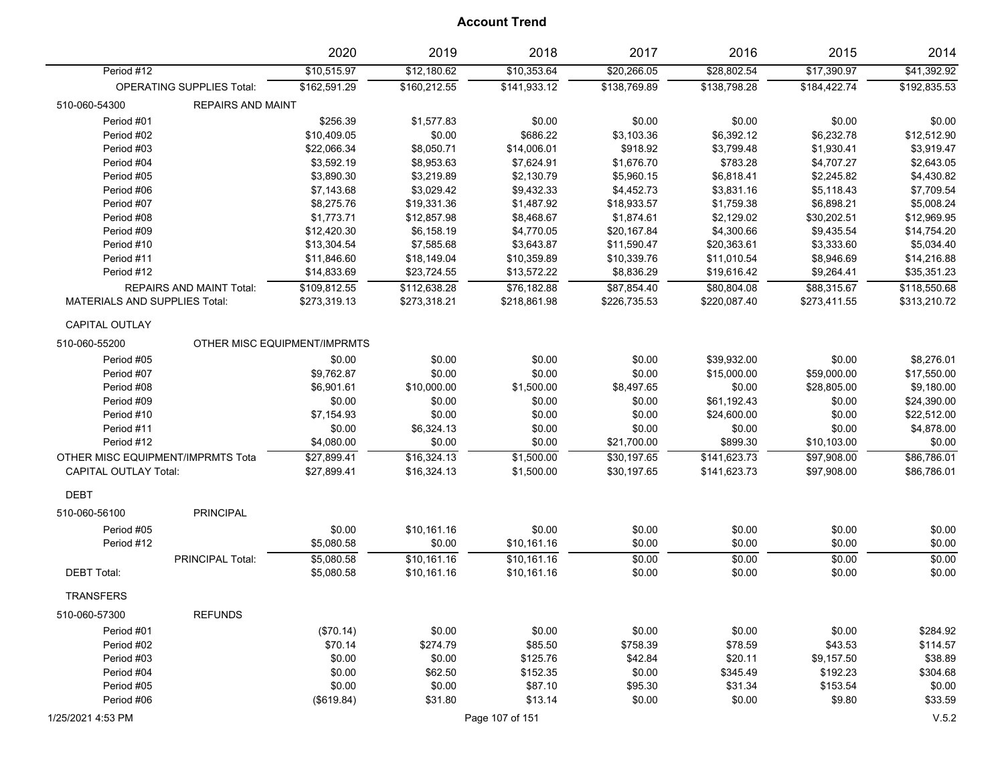|                                      |                                  | 2020                         | 2019         | 2018            | 2017         | 2016         | 2015         | 2014         |
|--------------------------------------|----------------------------------|------------------------------|--------------|-----------------|--------------|--------------|--------------|--------------|
| Period #12                           |                                  | \$10,515.97                  | \$12,180.62  | \$10,353.64     | \$20,266.05  | \$28,802.54  | \$17,390.97  | \$41,392.92  |
|                                      | <b>OPERATING SUPPLIES Total:</b> | \$162,591.29                 | \$160,212.55 | \$141,933.12    | \$138,769.89 | \$138,798.28 | \$184,422.74 | \$192,835.53 |
| 510-060-54300                        | <b>REPAIRS AND MAINT</b>         |                              |              |                 |              |              |              |              |
| Period #01                           |                                  | \$256.39                     | \$1,577.83   | \$0.00          | \$0.00       | \$0.00       | \$0.00       | \$0.00       |
| Period #02                           |                                  | \$10,409.05                  | \$0.00       | \$686.22        | \$3,103.36   | \$6,392.12   | \$6,232.78   | \$12,512.90  |
| Period #03                           |                                  | \$22,066.34                  | \$8,050.71   | \$14,006.01     | \$918.92     | \$3,799.48   | \$1,930.41   | \$3,919.47   |
| Period #04                           |                                  | \$3,592.19                   | \$8,953.63   | \$7,624.91      | \$1,676.70   | \$783.28     | \$4,707.27   | \$2,643.05   |
| Period #05                           |                                  | \$3,890.30                   | \$3,219.89   | \$2,130.79      | \$5,960.15   | \$6,818.41   | \$2,245.82   | \$4,430.82   |
| Period #06                           |                                  | \$7,143.68                   | \$3,029.42   | \$9,432.33      | \$4,452.73   | \$3,831.16   | \$5,118.43   | \$7,709.54   |
| Period #07                           |                                  | \$8,275.76                   | \$19,331.36  | \$1,487.92      | \$18,933.57  | \$1,759.38   | \$6,898.21   | \$5,008.24   |
| Period #08                           |                                  | \$1,773.71                   | \$12,857.98  | \$8,468.67      | \$1,874.61   | \$2,129.02   | \$30,202.51  | \$12,969.95  |
| Period #09                           |                                  | \$12,420.30                  | \$6,158.19   | \$4,770.05      | \$20,167.84  | \$4,300.66   | \$9,435.54   | \$14,754.20  |
| Period #10                           |                                  | \$13,304.54                  | \$7,585.68   | \$3,643.87      | \$11,590.47  | \$20,363.61  | \$3,333.60   | \$5,034.40   |
| Period #11                           |                                  | \$11,846.60                  | \$18,149.04  | \$10,359.89     | \$10,339.76  | \$11,010.54  | \$8,946.69   | \$14,216.88  |
| Period #12                           |                                  | \$14,833.69                  | \$23,724.55  | \$13,572.22     | \$8,836.29   | \$19,616.42  | \$9,264.41   | \$35,351.23  |
|                                      | <b>REPAIRS AND MAINT Total:</b>  | \$109,812.55                 | \$112,638.28 | \$76,182.88     | \$87,854.40  | \$80,804.08  | \$88,315.67  | \$118,550.68 |
| <b>MATERIALS AND SUPPLIES Total:</b> |                                  | \$273,319.13                 | \$273,318.21 | \$218,861.98    | \$226,735.53 | \$220,087.40 | \$273,411.55 | \$313,210.72 |
| CAPITAL OUTLAY                       |                                  |                              |              |                 |              |              |              |              |
| 510-060-55200                        |                                  | OTHER MISC EQUIPMENT/IMPRMTS |              |                 |              |              |              |              |
| Period #05                           |                                  | \$0.00                       | \$0.00       | \$0.00          | \$0.00       | \$39,932.00  | \$0.00       | \$8,276.01   |
| Period #07                           |                                  | \$9,762.87                   | \$0.00       | \$0.00          | \$0.00       | \$15,000.00  | \$59,000.00  | \$17,550.00  |
| Period #08                           |                                  | \$6,901.61                   | \$10,000.00  | \$1,500.00      | \$8,497.65   | \$0.00       | \$28,805.00  | \$9,180.00   |
| Period #09                           |                                  | \$0.00                       | \$0.00       | \$0.00          | \$0.00       | \$61,192.43  | \$0.00       | \$24,390.00  |
| Period #10                           |                                  | \$7,154.93                   | \$0.00       | \$0.00          | \$0.00       | \$24,600.00  | \$0.00       | \$22,512.00  |
| Period #11                           |                                  | \$0.00                       | \$6,324.13   | \$0.00          | \$0.00       | \$0.00       | \$0.00       | \$4,878.00   |
| Period #12                           |                                  | \$4,080.00                   | \$0.00       | \$0.00          | \$21,700.00  | \$899.30     | \$10,103.00  | \$0.00       |
| OTHER MISC EQUIPMENT/IMPRMTS Tota    |                                  | \$27,899.41                  | \$16,324.13  | \$1,500.00      | \$30,197.65  | \$141,623.73 | \$97,908.00  | \$86,786.01  |
| <b>CAPITAL OUTLAY Total:</b>         |                                  | \$27,899.41                  | \$16,324.13  | \$1,500.00      | \$30,197.65  | \$141,623.73 | \$97,908.00  | \$86,786.01  |
| <b>DEBT</b>                          |                                  |                              |              |                 |              |              |              |              |
| 510-060-56100                        | <b>PRINCIPAL</b>                 |                              |              |                 |              |              |              |              |
| Period #05                           |                                  | \$0.00                       | \$10,161.16  | \$0.00          | \$0.00       | \$0.00       | \$0.00       | \$0.00       |
| Period #12                           |                                  | \$5,080.58                   | \$0.00       | \$10,161.16     | \$0.00       | \$0.00       | \$0.00       | \$0.00       |
|                                      | <b>PRINCIPAL Total:</b>          | \$5,080.58                   | \$10,161.16  | \$10,161.16     | \$0.00       | \$0.00       | \$0.00       | \$0.00       |
| <b>DEBT Total:</b>                   |                                  | \$5,080.58                   | \$10,161.16  | \$10,161.16     | \$0.00       | \$0.00       | \$0.00       | \$0.00       |
| <b>TRANSFERS</b>                     |                                  |                              |              |                 |              |              |              |              |
| 510-060-57300                        | <b>REFUNDS</b>                   |                              |              |                 |              |              |              |              |
| Period #01                           |                                  | (\$70.14)                    | \$0.00       | \$0.00          | \$0.00       | \$0.00       | \$0.00       | \$284.92     |
| Period #02                           |                                  | \$70.14                      | \$274.79     | \$85.50         | \$758.39     | \$78.59      | \$43.53      | \$114.57     |
| Period #03                           |                                  | \$0.00                       | \$0.00       | \$125.76        | \$42.84      | \$20.11      | \$9,157.50   | \$38.89      |
| Period #04                           |                                  | \$0.00                       | \$62.50      | \$152.35        | \$0.00       | \$345.49     | \$192.23     | \$304.68     |
| Period #05                           |                                  | \$0.00                       | \$0.00       | \$87.10         | \$95.30      | \$31.34      | \$153.54     | \$0.00       |
| Period #06                           |                                  | (\$619.84)                   | \$31.80      | \$13.14         | \$0.00       | \$0.00       | \$9.80       | \$33.59      |
| 1/25/2021 4:53 PM                    |                                  |                              |              | Page 107 of 151 |              |              |              | V.5.2        |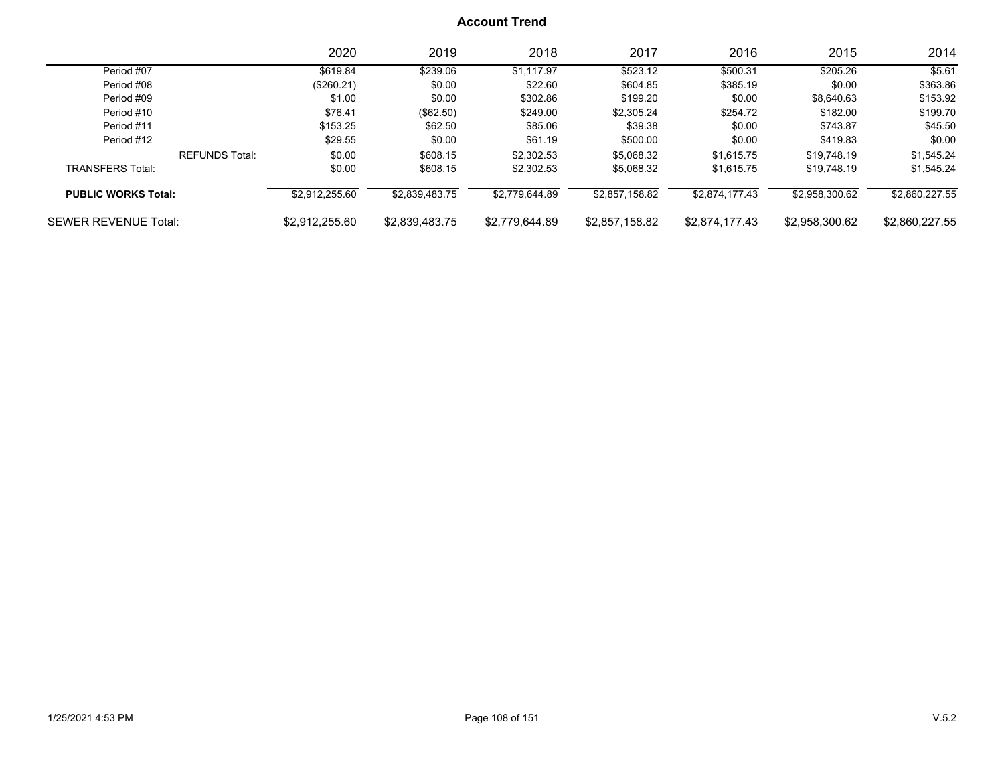|                             | 2020           | 2019           | 2018           | 2017           | 2016           | 2015           | 2014           |
|-----------------------------|----------------|----------------|----------------|----------------|----------------|----------------|----------------|
| Period #07                  | \$619.84       | \$239.06       | \$1.117.97     | \$523.12       | \$500.31       | \$205.26       | \$5.61         |
| Period #08                  | (\$260.21)     | \$0.00         | \$22.60        | \$604.85       | \$385.19       | \$0.00         | \$363.86       |
| Period #09                  | \$1.00         | \$0.00         | \$302.86       | \$199.20       | \$0.00         | \$8.640.63     | \$153.92       |
| Period #10                  | \$76.41        | (\$62.50)      | \$249.00       | \$2,305.24     | \$254.72       | \$182.00       | \$199.70       |
| Period #11                  | \$153.25       | \$62.50        | \$85.06        | \$39.38        | \$0.00         | \$743.87       | \$45.50        |
| Period #12                  | \$29.55        | \$0.00         | \$61.19        | \$500.00       | \$0.00         | \$419.83       | \$0.00         |
| <b>REFUNDS Total:</b>       | \$0.00         | \$608.15       | \$2,302.53     | \$5.068.32     | \$1.615.75     | \$19,748.19    | \$1.545.24     |
| <b>TRANSFERS Total:</b>     | \$0.00         | \$608.15       | \$2,302.53     | \$5.068.32     | \$1.615.75     | \$19,748.19    | \$1.545.24     |
| <b>PUBLIC WORKS Total:</b>  | \$2.912.255.60 | \$2,839,483.75 | \$2,779,644.89 | \$2,857,158.82 | \$2,874,177.43 | \$2,958,300.62 | \$2,860,227.55 |
| <b>SEWER REVENUE Total:</b> | \$2,912,255.60 | \$2,839,483.75 | \$2,779,644.89 | \$2,857,158.82 | \$2,874,177.43 | \$2,958,300.62 | \$2,860,227.55 |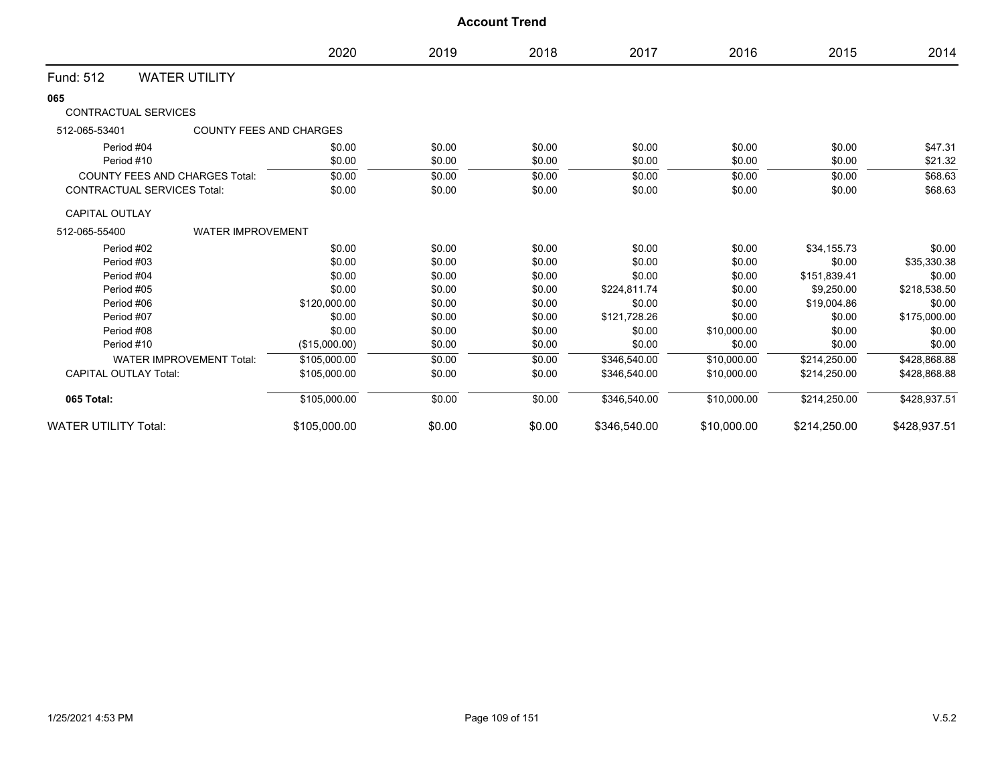|                                                 |               |        | <b>Account Trend</b> |              |             |              |              |
|-------------------------------------------------|---------------|--------|----------------------|--------------|-------------|--------------|--------------|
|                                                 | 2020          | 2019   | 2018                 | 2017         | 2016        | 2015         | 2014         |
| <b>WATER UTILITY</b><br>Fund: 512               |               |        |                      |              |             |              |              |
| 065                                             |               |        |                      |              |             |              |              |
| <b>CONTRACTUAL SERVICES</b>                     |               |        |                      |              |             |              |              |
| 512-065-53401<br><b>COUNTY FEES AND CHARGES</b> |               |        |                      |              |             |              |              |
| Period #04                                      | \$0.00        | \$0.00 | \$0.00               | \$0.00       | \$0.00      | \$0.00       | \$47.31      |
| Period #10                                      | \$0.00        | \$0.00 | \$0.00               | \$0.00       | \$0.00      | \$0.00       | \$21.32      |
| <b>COUNTY FEES AND CHARGES Total:</b>           | \$0.00        | \$0.00 | \$0.00               | \$0.00       | \$0.00      | \$0.00       | \$68.63      |
| <b>CONTRACTUAL SERVICES Total:</b>              | \$0.00        | \$0.00 | \$0.00               | \$0.00       | \$0.00      | \$0.00       | \$68.63      |
| <b>CAPITAL OUTLAY</b>                           |               |        |                      |              |             |              |              |
| 512-065-55400<br><b>WATER IMPROVEMENT</b>       |               |        |                      |              |             |              |              |
| Period #02                                      | \$0.00        | \$0.00 | \$0.00               | \$0.00       | \$0.00      | \$34,155.73  | \$0.00       |
| Period #03                                      | \$0.00        | \$0.00 | \$0.00               | \$0.00       | \$0.00      | \$0.00       | \$35,330.38  |
| Period #04                                      | \$0.00        | \$0.00 | \$0.00               | \$0.00       | \$0.00      | \$151,839.41 | \$0.00       |
| Period #05                                      | \$0.00        | \$0.00 | \$0.00               | \$224,811.74 | \$0.00      | \$9,250.00   | \$218,538.50 |
| Period #06                                      | \$120,000.00  | \$0.00 | \$0.00               | \$0.00       | \$0.00      | \$19,004.86  | \$0.00       |
| Period #07                                      | \$0.00        | \$0.00 | \$0.00               | \$121,728.26 | \$0.00      | \$0.00       | \$175,000.00 |
| Period #08                                      | \$0.00        | \$0.00 | \$0.00               | \$0.00       | \$10,000.00 | \$0.00       | \$0.00       |
| Period #10                                      | (\$15,000.00) | \$0.00 | \$0.00               | \$0.00       | \$0.00      | \$0.00       | \$0.00       |
| <b>WATER IMPROVEMENT Total:</b>                 | \$105,000.00  | \$0.00 | \$0.00               | \$346,540.00 | \$10,000.00 | \$214,250.00 | \$428,868.88 |
| <b>CAPITAL OUTLAY Total:</b>                    | \$105,000.00  | \$0.00 | \$0.00               | \$346,540.00 | \$10,000.00 | \$214,250.00 | \$428,868.88 |
| 065 Total:                                      | \$105,000.00  | \$0.00 | \$0.00               | \$346,540.00 | \$10,000.00 | \$214,250.00 | \$428,937.51 |
| <b>WATER UTILITY Total:</b>                     | \$105.000.00  | \$0.00 | \$0.00               | \$346,540.00 | \$10,000.00 | \$214.250.00 | \$428.937.51 |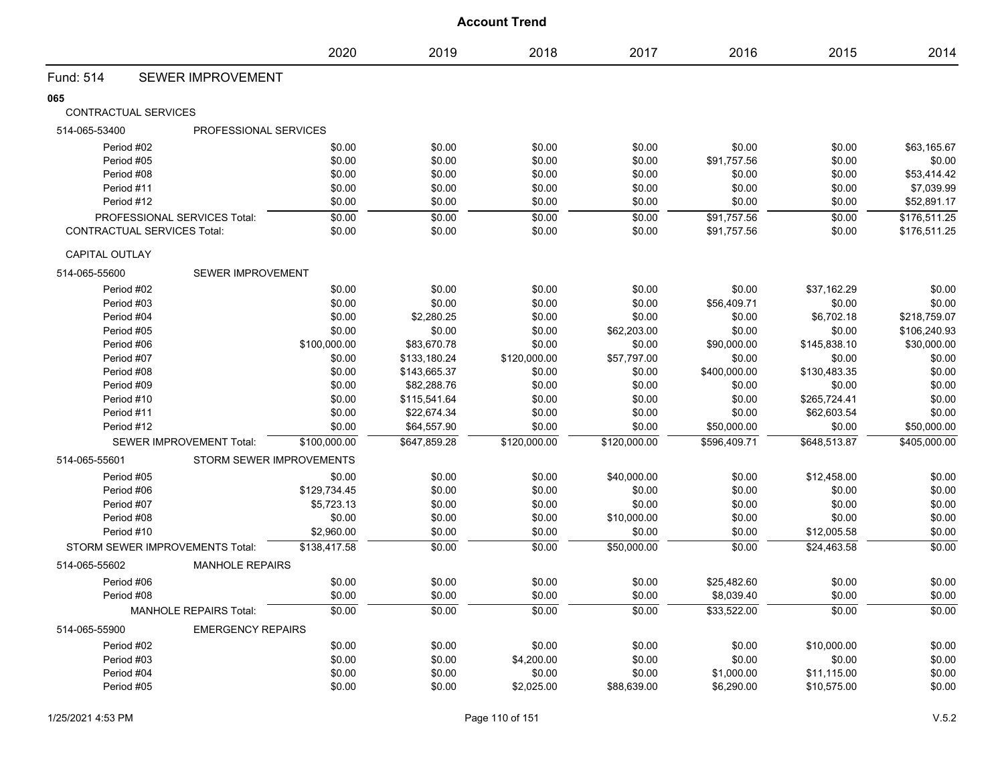|                                    |                               |              |              | <b>Account Trend</b> |              |              |              |              |
|------------------------------------|-------------------------------|--------------|--------------|----------------------|--------------|--------------|--------------|--------------|
|                                    |                               | 2020         | 2019         | 2018                 | 2017         | 2016         | 2015         | 2014         |
| <b>Fund: 514</b>                   | <b>SEWER IMPROVEMENT</b>      |              |              |                      |              |              |              |              |
| 065                                |                               |              |              |                      |              |              |              |              |
| CONTRACTUAL SERVICES               |                               |              |              |                      |              |              |              |              |
| 514-065-53400                      | PROFESSIONAL SERVICES         |              |              |                      |              |              |              |              |
| Period #02                         |                               | \$0.00       | \$0.00       | \$0.00               | \$0.00       | \$0.00       | \$0.00       | \$63,165.67  |
| Period #05                         |                               | \$0.00       | \$0.00       | \$0.00               | \$0.00       | \$91,757.56  | \$0.00       | \$0.00       |
| Period #08                         |                               | \$0.00       | \$0.00       | \$0.00               | \$0.00       | \$0.00       | \$0.00       | \$53,414.42  |
| Period #11                         |                               | \$0.00       | \$0.00       | \$0.00               | \$0.00       | \$0.00       | \$0.00       | \$7,039.99   |
| Period #12                         |                               | \$0.00       | \$0.00       | \$0.00               | \$0.00       | \$0.00       | \$0.00       | \$52,891.17  |
|                                    | PROFESSIONAL SERVICES Total:  | \$0.00       | \$0.00       | \$0.00               | \$0.00       | \$91,757.56  | \$0.00       | \$176,511.25 |
| <b>CONTRACTUAL SERVICES Total:</b> |                               | \$0.00       | \$0.00       | \$0.00               | \$0.00       | \$91,757.56  | \$0.00       | \$176,511.25 |
| CAPITAL OUTLAY                     |                               |              |              |                      |              |              |              |              |
| 514-065-55600                      | <b>SEWER IMPROVEMENT</b>      |              |              |                      |              |              |              |              |
| Period #02                         |                               | \$0.00       | \$0.00       | \$0.00               | \$0.00       | \$0.00       | \$37,162.29  | \$0.00       |
| Period #03                         |                               | \$0.00       | \$0.00       | \$0.00               | \$0.00       | \$56,409.71  | \$0.00       | \$0.00       |
| Period #04                         |                               | \$0.00       | \$2,280.25   | \$0.00               | \$0.00       | \$0.00       | \$6,702.18   | \$218,759.07 |
| Period #05                         |                               | \$0.00       | \$0.00       | \$0.00               | \$62,203.00  | \$0.00       | \$0.00       | \$106,240.93 |
| Period #06                         |                               | \$100,000.00 | \$83,670.78  | \$0.00               | \$0.00       | \$90,000.00  | \$145,838.10 | \$30,000.00  |
| Period #07                         |                               | \$0.00       | \$133,180.24 | \$120,000.00         | \$57,797.00  | \$0.00       | \$0.00       | \$0.00       |
| Period #08                         |                               | \$0.00       | \$143,665.37 | \$0.00               | \$0.00       | \$400,000.00 | \$130,483.35 | \$0.00       |
| Period #09                         |                               | \$0.00       | \$82,288.76  | \$0.00               | \$0.00       | \$0.00       | \$0.00       | \$0.00       |
| Period #10                         |                               | \$0.00       | \$115,541.64 | \$0.00               | \$0.00       | \$0.00       | \$265,724.41 | \$0.00       |
| Period #11                         |                               | \$0.00       | \$22,674.34  | \$0.00               | \$0.00       | \$0.00       | \$62,603.54  | \$0.00       |
| Period #12                         |                               | \$0.00       | \$64,557.90  | \$0.00               | \$0.00       | \$50,000.00  | \$0.00       | \$50,000.00  |
|                                    | SEWER IMPROVEMENT Total:      | \$100,000.00 | \$647,859.28 | \$120,000.00         | \$120,000.00 | \$596,409.71 | \$648,513.87 | \$405,000.00 |
| 514-065-55601                      | STORM SEWER IMPROVEMENTS      |              |              |                      |              |              |              |              |
| Period #05                         |                               | \$0.00       | \$0.00       | \$0.00               | \$40,000.00  | \$0.00       | \$12,458.00  | \$0.00       |
| Period #06                         |                               | \$129,734.45 | \$0.00       | \$0.00               | \$0.00       | \$0.00       | \$0.00       | \$0.00       |
| Period #07                         |                               | \$5,723.13   | \$0.00       | \$0.00               | \$0.00       | \$0.00       | \$0.00       | \$0.00       |
| Period #08                         |                               | \$0.00       | \$0.00       | \$0.00               | \$10,000.00  | \$0.00       | \$0.00       | \$0.00       |
| Period #10                         |                               | \$2,960.00   | \$0.00       | \$0.00               | \$0.00       | \$0.00       | \$12,005.58  | \$0.00       |
| STORM SEWER IMPROVEMENTS Total:    |                               | \$138,417.58 | \$0.00       | \$0.00               | \$50,000.00  | \$0.00       | \$24,463.58  | \$0.00       |
| 514-065-55602                      | <b>MANHOLE REPAIRS</b>        |              |              |                      |              |              |              |              |
| Period #06                         |                               | \$0.00       | \$0.00       | \$0.00               | \$0.00       | \$25,482.60  | \$0.00       | \$0.00       |
| Period #08                         |                               | \$0.00       | \$0.00       | \$0.00               | \$0.00       | \$8,039.40   | \$0.00       | \$0.00       |
|                                    | <b>MANHOLE REPAIRS Total:</b> | \$0.00       | \$0.00       | \$0.00               | \$0.00       | \$33,522.00  | \$0.00       | \$0.00       |
| 514-065-55900                      | <b>EMERGENCY REPAIRS</b>      |              |              |                      |              |              |              |              |
| Period #02                         |                               | \$0.00       | \$0.00       | \$0.00               | \$0.00       | \$0.00       | \$10,000.00  | \$0.00       |
| Period #03                         |                               | \$0.00       | \$0.00       | \$4,200.00           | \$0.00       | \$0.00       | \$0.00       | \$0.00       |
| Period #04                         |                               | \$0.00       | \$0.00       | \$0.00               | \$0.00       | \$1,000.00   | \$11,115.00  | \$0.00       |
| Period #05                         |                               | \$0.00       | \$0.00       | \$2,025.00           | \$88,639.00  | \$6,290.00   | \$10,575.00  | \$0.00       |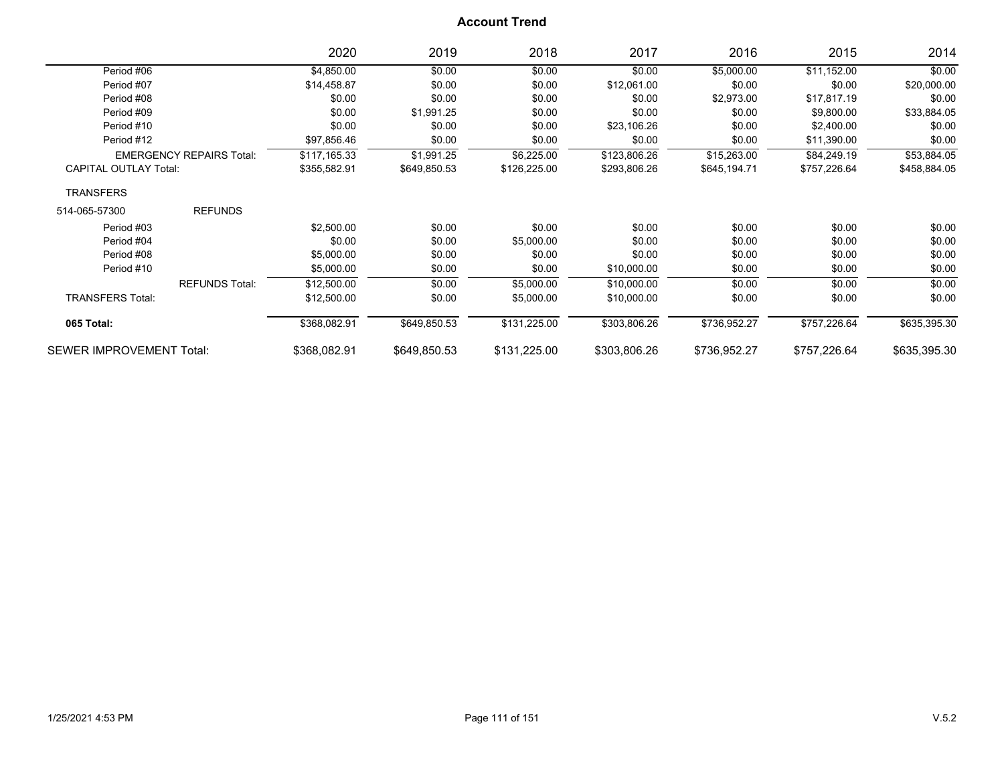|                                 |                                 | 2020         | 2019         | 2018         | 2017         | 2016         | 2015         | 2014         |
|---------------------------------|---------------------------------|--------------|--------------|--------------|--------------|--------------|--------------|--------------|
| Period #06                      |                                 | \$4,850.00   | \$0.00       | \$0.00       | \$0.00       | \$5,000.00   | \$11,152.00  | \$0.00       |
| Period #07                      |                                 | \$14,458.87  | \$0.00       | \$0.00       | \$12,061.00  | \$0.00       | \$0.00       | \$20,000.00  |
| Period #08                      |                                 | \$0.00       | \$0.00       | \$0.00       | \$0.00       | \$2,973.00   | \$17,817.19  | \$0.00       |
| Period #09                      |                                 | \$0.00       | \$1,991.25   | \$0.00       | \$0.00       | \$0.00       | \$9,800.00   | \$33,884.05  |
| Period #10                      |                                 | \$0.00       | \$0.00       | \$0.00       | \$23,106.26  | \$0.00       | \$2,400.00   | \$0.00       |
| Period #12                      |                                 | \$97,856.46  | \$0.00       | \$0.00       | \$0.00       | \$0.00       | \$11,390.00  | \$0.00       |
|                                 | <b>EMERGENCY REPAIRS Total:</b> | \$117,165.33 | \$1,991.25   | \$6,225.00   | \$123,806.26 | \$15,263.00  | \$84,249.19  | \$53,884.05  |
| <b>CAPITAL OUTLAY Total:</b>    |                                 | \$355,582.91 | \$649,850.53 | \$126,225.00 | \$293,806.26 | \$645,194.71 | \$757,226.64 | \$458,884.05 |
| <b>TRANSFERS</b>                |                                 |              |              |              |              |              |              |              |
| 514-065-57300                   | <b>REFUNDS</b>                  |              |              |              |              |              |              |              |
| Period #03                      |                                 | \$2,500.00   | \$0.00       | \$0.00       | \$0.00       | \$0.00       | \$0.00       | \$0.00       |
| Period #04                      |                                 | \$0.00       | \$0.00       | \$5,000.00   | \$0.00       | \$0.00       | \$0.00       | \$0.00       |
| Period #08                      |                                 | \$5,000.00   | \$0.00       | \$0.00       | \$0.00       | \$0.00       | \$0.00       | \$0.00       |
| Period #10                      |                                 | \$5,000.00   | \$0.00       | \$0.00       | \$10,000.00  | \$0.00       | \$0.00       | \$0.00       |
|                                 | <b>REFUNDS Total:</b>           | \$12,500.00  | \$0.00       | \$5,000.00   | \$10,000.00  | \$0.00       | \$0.00       | \$0.00       |
| <b>TRANSFERS Total:</b>         |                                 | \$12,500.00  | \$0.00       | \$5,000.00   | \$10,000.00  | \$0.00       | \$0.00       | \$0.00       |
| 065 Total:                      |                                 | \$368,082.91 | \$649,850.53 | \$131,225.00 | \$303,806.26 | \$736,952.27 | \$757,226.64 | \$635,395.30 |
| <b>SEWER IMPROVEMENT Total:</b> |                                 | \$368,082.91 | \$649,850.53 | \$131,225.00 | \$303,806.26 | \$736,952.27 | \$757,226.64 | \$635,395.30 |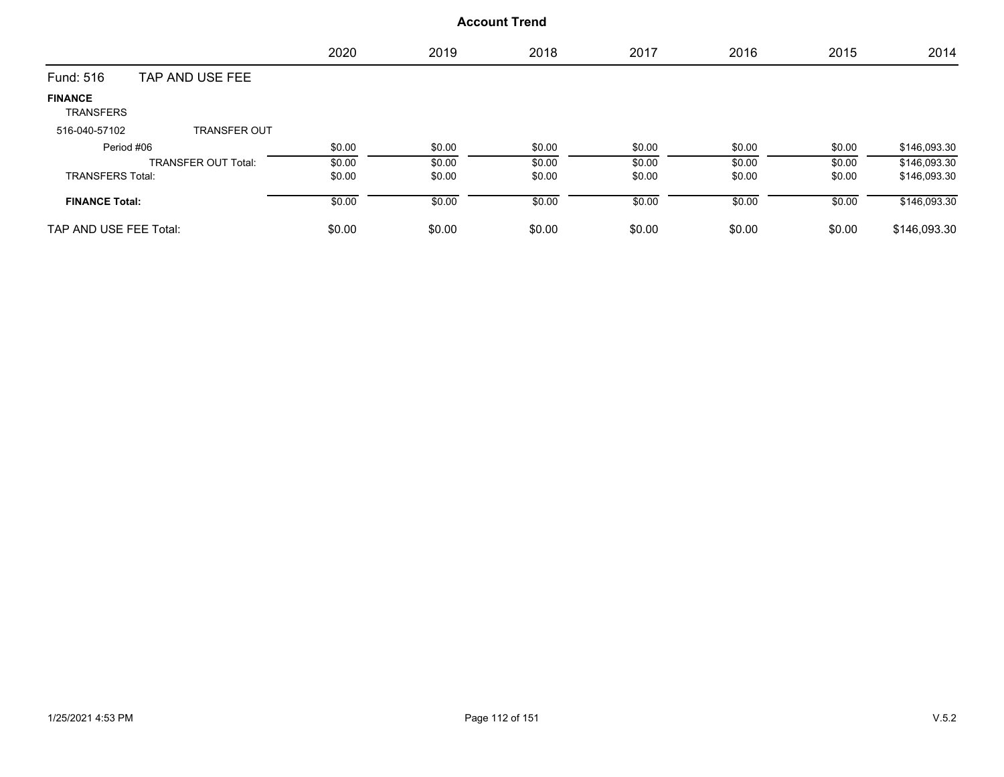|                                    |                            | 2020   | 2019   | 2018   | 2017   | 2016   | 2015   | 2014         |
|------------------------------------|----------------------------|--------|--------|--------|--------|--------|--------|--------------|
| Fund: 516                          | TAP AND USE FEE            |        |        |        |        |        |        |              |
| <b>FINANCE</b><br><b>TRANSFERS</b> |                            |        |        |        |        |        |        |              |
| 516-040-57102                      | <b>TRANSFER OUT</b>        |        |        |        |        |        |        |              |
| Period #06                         |                            | \$0.00 | \$0.00 | \$0.00 | \$0.00 | \$0.00 | \$0.00 | \$146,093.30 |
|                                    | <b>TRANSFER OUT Total:</b> | \$0.00 | \$0.00 | \$0.00 | \$0.00 | \$0.00 | \$0.00 | \$146,093.30 |
| <b>TRANSFERS Total:</b>            |                            | \$0.00 | \$0.00 | \$0.00 | \$0.00 | \$0.00 | \$0.00 | \$146,093.30 |
| <b>FINANCE Total:</b>              |                            | \$0.00 | \$0.00 | \$0.00 | \$0.00 | \$0.00 | \$0.00 | \$146,093.30 |
| TAP AND USE FEE Total:             |                            | \$0.00 | \$0.00 | \$0.00 | \$0.00 | \$0.00 | \$0.00 | \$146,093.30 |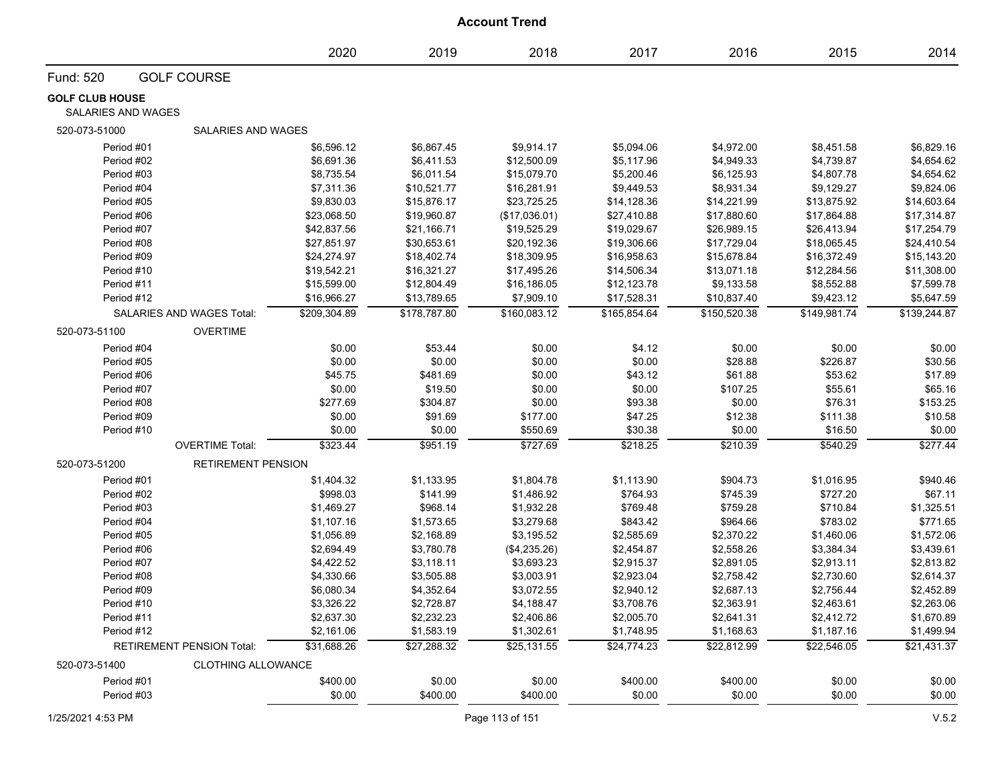|                        |                           |              |              | <b>Account Trend</b> |              |              |              |              |
|------------------------|---------------------------|--------------|--------------|----------------------|--------------|--------------|--------------|--------------|
|                        |                           | 2020         | 2019         | 2018                 | 2017         | 2016         | 2015         | 2014         |
| Fund: 520              | <b>GOLF COURSE</b>        |              |              |                      |              |              |              |              |
| <b>GOLF CLUB HOUSE</b> | <b>SALARIES AND WAGES</b> |              |              |                      |              |              |              |              |
| 520-073-51000          | SALARIES AND WAGES        |              |              |                      |              |              |              |              |
|                        | Period #01                | \$6,596.12   | \$6,867.45   | \$9,914.17           | \$5,094.06   | \$4,972.00   | \$8,451.58   | \$6,829.16   |
|                        | Period #02                | \$6,691.36   | \$6,411.53   | \$12,500.09          | \$5,117.96   | \$4,949.33   | \$4,739.87   | \$4,654.62   |
|                        | Period #03                | \$8,735.54   | \$6,011.54   | \$15,079.70          | \$5,200.46   | \$6,125.93   | \$4,807.78   | \$4,654.62   |
|                        | Period #04                | \$7,311.36   | \$10,521.77  | \$16,281.91          | \$9,449.53   | \$8,931.34   | \$9,129.27   | \$9,824.06   |
|                        | Period #05                | \$9,830.03   | \$15,876.17  | \$23,725.25          | \$14,128.36  | \$14,221.99  | \$13,875.92  | \$14,603.64  |
|                        | Period #06                | \$23,068.50  | \$19,960.87  | (\$17,036.01)        | \$27,410.88  | \$17,880.60  | \$17,864.88  | \$17,314.87  |
|                        | Period #07                | \$42,837.56  | \$21,166.71  | \$19,525.29          | \$19,029.67  | \$26,989.15  | \$26,413.94  | \$17,254.79  |
|                        | Period #08                | \$27,851.97  | \$30,653.61  | \$20,192.36          | \$19,306.66  | \$17,729.04  | \$18,065.45  | \$24,410.54  |
|                        | Period #09                | \$24,274.97  | \$18,402.74  | \$18,309.95          | \$16,958.63  | \$15,678.84  | \$16,372.49  | \$15,143.20  |
|                        | Period #10                | \$19,542.21  | \$16,321.27  | \$17,495.26          | \$14,506.34  | \$13,071.18  | \$12,284.56  | \$11,308.00  |
|                        | Period #11                | \$15,599.00  | \$12,804.49  | \$16,186.05          | \$12,123.78  | \$9,133.58   | \$8,552.88   | \$7,599.78   |
|                        | Period #12                | \$16,966.27  | \$13,789.65  | \$7,909.10           | \$17,528.31  | \$10,837.40  | \$9,423.12   | \$5,647.59   |
|                        | SALARIES AND WAGES Total: | \$209,304.89 | \$178.787.80 | \$160,083.12         | \$165,854.64 | \$150,520.38 | \$149,981.74 | \$139,244.87 |
| 520-073-51100          | <b>OVERTIME</b>           |              |              |                      |              |              |              |              |
|                        | Period #04                | \$0.00       | \$53.44      | \$0.00               | \$4.12       | \$0.00       | \$0.00       | \$0.00       |
|                        | Period #05                | \$0.00       | \$0.00       | \$0.00               | \$0.00       | \$28.88      | \$226.87     | \$30.56      |
|                        | Period #06                | \$45.75      | \$481.69     | \$0.00               | \$43.12      | \$61.88      | \$53.62      | \$17.89      |
|                        | Period #07                | \$0.00       | \$19.50      | \$0.00               | \$0.00       | \$107.25     | \$55.61      | \$65.16      |
|                        | Period #08                | \$277.69     | \$304.87     | \$0.00               | \$93.38      | \$0.00       | \$76.31      | \$153.25     |
|                        | Period #09                | \$0.00       | \$91.69      | \$177.00             | \$47.25      | \$12.38      | \$111.38     | \$10.58      |
|                        | Period #10                | \$0.00       | \$0.00       | \$550.69             | \$30.38      | \$0.00       | \$16.50      | \$0.00       |
|                        | <b>OVERTIME Total:</b>    | \$323.44     | \$951.19     | \$727.69             | \$218.25     | \$210.39     | \$540.29     | \$277.44     |
| 520-073-51200          | <b>RETIREMENT PENSION</b> |              |              |                      |              |              |              |              |
|                        | Period #01                | \$1,404.32   | \$1,133.95   | \$1,804.78           | \$1,113.90   | \$904.73     | \$1,016.95   | \$940.46     |
|                        | Period #02                | \$998.03     | \$141.99     | \$1,486.92           | \$764.93     | \$745.39     | \$727.20     | \$67.11      |
|                        | Period #03                | \$1,469.27   | \$968.14     | \$1,932.28           | \$769.48     | \$759.28     | \$710.84     | \$1,325.51   |
|                        | Period #04                | \$1,107.16   | \$1,573.65   | \$3,279.68           | \$843.42     | \$964.66     | \$783.02     | \$771.65     |
|                        | Period #05                | \$1,056.89   | \$2,168.89   | \$3,195.52           | \$2,585.69   | \$2,370.22   | \$1,460.06   | \$1,572.06   |
|                        | Period #06                | \$2,694.49   | \$3,780.78   | (\$4,235.26)         | \$2,454.87   | \$2,558.26   | \$3,384.34   | \$3,439.61   |
|                        | Period #07                | \$4,422.52   | \$3,118.11   | \$3,693.23           | \$2,915.37   | \$2,891.05   | \$2,913.11   | \$2,813.82   |
|                        | Period #08                | \$4,330.66   | \$3,505.88   | \$3,003.91           | \$2,923.04   | \$2,758.42   | \$2,730.60   | \$2,614.37   |
|                        | Period #09                | \$6,080.34   | \$4,352.64   | \$3,072.55           | \$2,940.12   | \$2,687.13   | \$2,756.44   | \$2,452.89   |
|                        | Period #10                | \$3,326.22   | \$2,728.87   | \$4,188.47           | \$3,708.76   | \$2,363.91   | \$2,463.61   | \$2,263.06   |
|                        | Period #11                | \$2,637.30   | \$2,232.23   | \$2,406.86           | \$2,005.70   | \$2,641.31   | \$2,412.72   | \$1,670.89   |
|                        | Period #12                | \$2,161.06   | \$1,583.19   | \$1,302.61           | \$1,748.95   | \$1,168.63   | \$1,187.16   | \$1,499.94   |
|                        | RETIREMENT PENSION Total: | \$31,688.26  | \$27,288.32  | \$25,131.55          | \$24,774.23  | \$22,812.99  | \$22,546.05  | \$21,431.37  |
| 520-073-51400          | <b>CLOTHING ALLOWANCE</b> |              |              |                      |              |              |              |              |
|                        | Period #01                | \$400.00     | \$0.00       | \$0.00               | \$400.00     | \$400.00     | \$0.00       | \$0.00       |
|                        | Period #03                | \$0.00       | \$400.00     | \$400.00             | \$0.00       | \$0.00       | \$0.00       | \$0.00       |
|                        |                           |              |              |                      |              |              |              |              |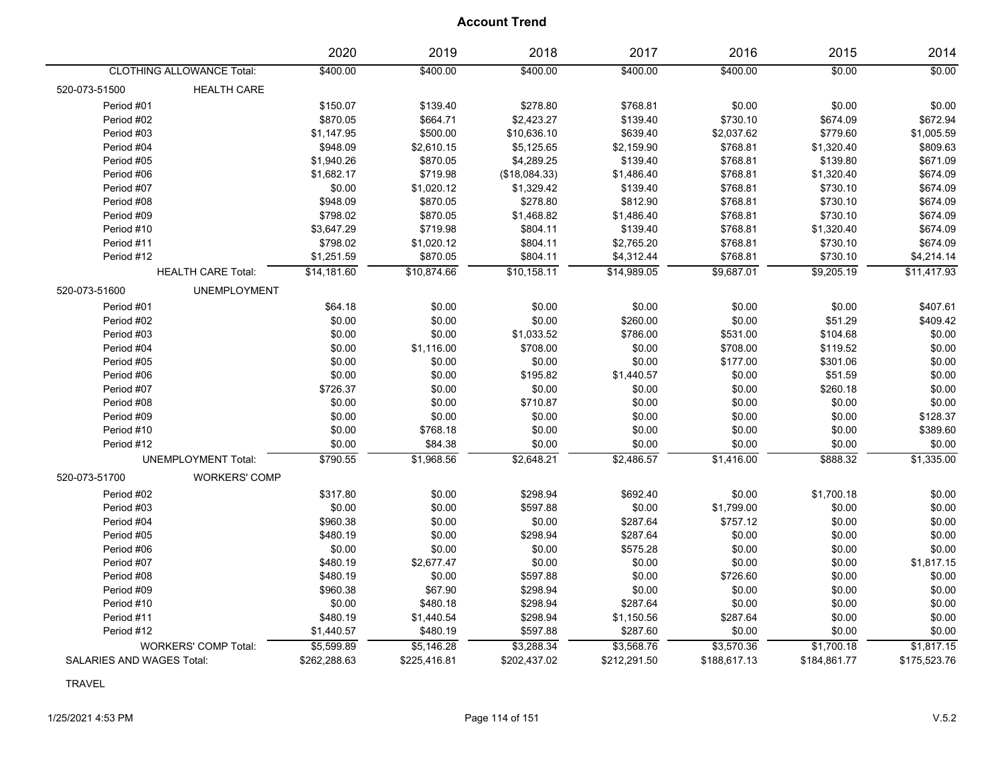|                           |                                  | 2020         | 2019         | 2018          | 2017         | 2016         | 2015         | 2014         |
|---------------------------|----------------------------------|--------------|--------------|---------------|--------------|--------------|--------------|--------------|
|                           | <b>CLOTHING ALLOWANCE Total:</b> | \$400.00     | \$400.00     | \$400.00      | \$400.00     | \$400.00     | \$0.00       | \$0.00       |
| 520-073-51500             | <b>HEALTH CARE</b>               |              |              |               |              |              |              |              |
| Period #01                |                                  | \$150.07     | \$139.40     | \$278.80      | \$768.81     | \$0.00       | \$0.00       | \$0.00       |
| Period #02                |                                  | \$870.05     | \$664.71     | \$2,423.27    | \$139.40     | \$730.10     | \$674.09     | \$672.94     |
| Period #03                |                                  | \$1,147.95   | \$500.00     | \$10,636.10   | \$639.40     | \$2,037.62   | \$779.60     | \$1,005.59   |
| Period #04                |                                  | \$948.09     | \$2,610.15   | \$5,125.65    | \$2,159.90   | \$768.81     | \$1,320.40   | \$809.63     |
| Period #05                |                                  | \$1,940.26   | \$870.05     | \$4,289.25    | \$139.40     | \$768.81     | \$139.80     | \$671.09     |
| Period #06                |                                  | \$1,682.17   | \$719.98     | (\$18,084.33) | \$1,486.40   | \$768.81     | \$1,320.40   | \$674.09     |
| Period #07                |                                  | \$0.00       | \$1,020.12   | \$1,329.42    | \$139.40     | \$768.81     | \$730.10     | \$674.09     |
| Period #08                |                                  | \$948.09     | \$870.05     | \$278.80      | \$812.90     | \$768.81     | \$730.10     | \$674.09     |
| Period #09                |                                  | \$798.02     | \$870.05     | \$1,468.82    | \$1,486.40   | \$768.81     | \$730.10     | \$674.09     |
| Period #10                |                                  | \$3,647.29   | \$719.98     | \$804.11      | \$139.40     | \$768.81     | \$1,320.40   | \$674.09     |
| Period #11                |                                  | \$798.02     | \$1,020.12   | \$804.11      | \$2,765.20   | \$768.81     | \$730.10     | \$674.09     |
| Period #12                |                                  | \$1,251.59   | \$870.05     | \$804.11      | \$4,312.44   | \$768.81     | \$730.10     | \$4,214.14   |
|                           | <b>HEALTH CARE Total:</b>        | \$14,181.60  | \$10,874.66  | \$10,158.11   | \$14,989.05  | \$9,687.01   | \$9,205.19   | \$11,417.93  |
| 520-073-51600             | <b>UNEMPLOYMENT</b>              |              |              |               |              |              |              |              |
| Period #01                |                                  | \$64.18      | \$0.00       | \$0.00        | \$0.00       | \$0.00       | \$0.00       | \$407.61     |
| Period #02                |                                  | \$0.00       | \$0.00       | \$0.00        | \$260.00     | \$0.00       | \$51.29      | \$409.42     |
| Period #03                |                                  | \$0.00       | \$0.00       | \$1,033.52    | \$786.00     | \$531.00     | \$104.68     | \$0.00       |
| Period #04                |                                  | \$0.00       | \$1,116.00   | \$708.00      | \$0.00       | \$708.00     | \$119.52     | \$0.00       |
| Period #05                |                                  | \$0.00       | \$0.00       | \$0.00        | \$0.00       | \$177.00     | \$301.06     | \$0.00       |
| Period #06                |                                  | \$0.00       | \$0.00       | \$195.82      | \$1,440.57   | \$0.00       | \$51.59      | \$0.00       |
| Period #07                |                                  | \$726.37     | \$0.00       | \$0.00        | \$0.00       | \$0.00       | \$260.18     | \$0.00       |
| Period #08                |                                  | \$0.00       | \$0.00       | \$710.87      | \$0.00       | \$0.00       | \$0.00       | \$0.00       |
| Period #09                |                                  | \$0.00       | \$0.00       | \$0.00        | \$0.00       | \$0.00       | \$0.00       | \$128.37     |
| Period #10                |                                  | \$0.00       | \$768.18     | \$0.00        | \$0.00       | \$0.00       | \$0.00       | \$389.60     |
| Period #12                |                                  | \$0.00       | \$84.38      | \$0.00        | \$0.00       | \$0.00       | \$0.00       | \$0.00       |
|                           | <b>UNEMPLOYMENT Total:</b>       | \$790.55     | \$1,968.56   | \$2,648.21    | \$2,486.57   | \$1,416.00   | \$888.32     | \$1,335.00   |
| 520-073-51700             | <b>WORKERS' COMP</b>             |              |              |               |              |              |              |              |
| Period #02                |                                  | \$317.80     | \$0.00       | \$298.94      | \$692.40     | \$0.00       | \$1,700.18   | \$0.00       |
| Period #03                |                                  | \$0.00       | \$0.00       | \$597.88      | \$0.00       | \$1,799.00   | \$0.00       | \$0.00       |
| Period #04                |                                  | \$960.38     | \$0.00       | \$0.00        | \$287.64     | \$757.12     | \$0.00       | \$0.00       |
| Period #05                |                                  | \$480.19     | \$0.00       | \$298.94      | \$287.64     | \$0.00       | \$0.00       | \$0.00       |
| Period #06                |                                  | \$0.00       | \$0.00       | \$0.00        | \$575.28     | \$0.00       | \$0.00       | \$0.00       |
| Period #07                |                                  | \$480.19     | \$2,677.47   | \$0.00        | \$0.00       | \$0.00       | \$0.00       | \$1,817.15   |
| Period #08                |                                  | \$480.19     | \$0.00       | \$597.88      | \$0.00       | \$726.60     | \$0.00       | \$0.00       |
| Period #09                |                                  | \$960.38     | \$67.90      | \$298.94      | \$0.00       | \$0.00       | \$0.00       | \$0.00       |
| Period #10                |                                  | \$0.00       | \$480.18     | \$298.94      | \$287.64     | \$0.00       | \$0.00       | \$0.00       |
| Period #11                |                                  | \$480.19     | \$1,440.54   | \$298.94      | \$1,150.56   | \$287.64     | \$0.00       | \$0.00       |
| Period #12                |                                  | \$1,440.57   | \$480.19     | \$597.88      | \$287.60     | \$0.00       | \$0.00       | \$0.00       |
|                           | <b>WORKERS' COMP Total:</b>      | \$5,599.89   | \$5,146.28   | \$3,288.34    | \$3,568.76   | \$3,570.36   | \$1,700.18   | \$1,817.15   |
| SALARIES AND WAGES Total: |                                  | \$262,288.63 | \$225,416.81 | \$202,437.02  | \$212,291.50 | \$188,617.13 | \$184,861.77 | \$175,523.76 |

TRAVEL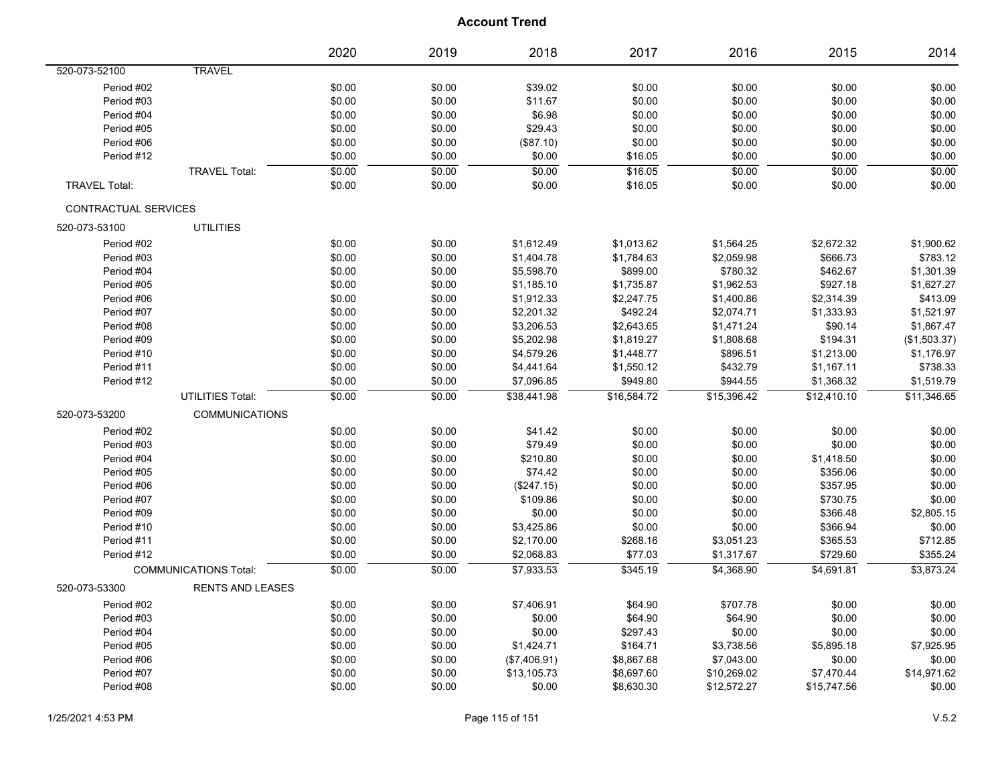|                      |                              | 2020   | 2019   | 2018         | 2017        | 2016        | 2015        | 2014         |
|----------------------|------------------------------|--------|--------|--------------|-------------|-------------|-------------|--------------|
| 520-073-52100        | <b>TRAVEL</b>                |        |        |              |             |             |             |              |
| Period #02           |                              | \$0.00 | \$0.00 | \$39.02      | \$0.00      | \$0.00      | \$0.00      | \$0.00       |
| Period #03           |                              | \$0.00 | \$0.00 | \$11.67      | \$0.00      | \$0.00      | \$0.00      | \$0.00       |
| Period #04           |                              | \$0.00 | \$0.00 | \$6.98       | \$0.00      | \$0.00      | \$0.00      | \$0.00       |
| Period #05           |                              | \$0.00 | \$0.00 | \$29.43      | \$0.00      | \$0.00      | \$0.00      | \$0.00       |
| Period #06           |                              | \$0.00 | \$0.00 | (\$87.10)    | \$0.00      | \$0.00      | \$0.00      | \$0.00       |
| Period #12           |                              | \$0.00 | \$0.00 | \$0.00       | \$16.05     | \$0.00      | \$0.00      | \$0.00       |
|                      | <b>TRAVEL Total:</b>         | \$0.00 | \$0.00 | \$0.00       | \$16.05     | \$0.00      | \$0.00      | \$0.00       |
| <b>TRAVEL Total:</b> |                              | \$0.00 | \$0.00 | \$0.00       | \$16.05     | \$0.00      | \$0.00      | \$0.00       |
| CONTRACTUAL SERVICES |                              |        |        |              |             |             |             |              |
| 520-073-53100        | <b>UTILITIES</b>             |        |        |              |             |             |             |              |
| Period #02           |                              | \$0.00 | \$0.00 | \$1,612.49   | \$1,013.62  | \$1,564.25  | \$2,672.32  | \$1,900.62   |
| Period #03           |                              | \$0.00 | \$0.00 | \$1,404.78   | \$1,784.63  | \$2,059.98  | \$666.73    | \$783.12     |
| Period #04           |                              | \$0.00 | \$0.00 | \$5,598.70   | \$899.00    | \$780.32    | \$462.67    | \$1,301.39   |
| Period #05           |                              | \$0.00 | \$0.00 | \$1,185.10   | \$1,735.87  | \$1,962.53  | \$927.18    | \$1,627.27   |
| Period #06           |                              | \$0.00 | \$0.00 | \$1,912.33   | \$2,247.75  | \$1,400.86  | \$2,314.39  | \$413.09     |
| Period #07           |                              | \$0.00 | \$0.00 | \$2,201.32   | \$492.24    | \$2,074.71  | \$1,333.93  | \$1,521.97   |
| Period #08           |                              | \$0.00 | \$0.00 | \$3,206.53   | \$2,643.65  | \$1,471.24  | \$90.14     | \$1,867.47   |
| Period #09           |                              | \$0.00 | \$0.00 | \$5,202.98   | \$1,819.27  | \$1,808.68  | \$194.31    | (\$1,503.37) |
| Period #10           |                              | \$0.00 | \$0.00 | \$4,579.26   | \$1,448.77  | \$896.51    | \$1,213.00  | \$1,176.97   |
| Period #11           |                              | \$0.00 | \$0.00 | \$4,441.64   | \$1,550.12  | \$432.79    | \$1,167.11  | \$738.33     |
| Period #12           |                              | \$0.00 | \$0.00 | \$7,096.85   | \$949.80    | \$944.55    | \$1,368.32  | \$1,519.79   |
|                      | UTILITIES Total:             | \$0.00 | \$0.00 | \$38,441.98  | \$16,584.72 | \$15,396.42 | \$12,410.10 | \$11,346.65  |
| 520-073-53200        | <b>COMMUNICATIONS</b>        |        |        |              |             |             |             |              |
| Period #02           |                              | \$0.00 | \$0.00 | \$41.42      | \$0.00      | \$0.00      | \$0.00      | \$0.00       |
| Period #03           |                              | \$0.00 | \$0.00 | \$79.49      | \$0.00      | \$0.00      | \$0.00      | \$0.00       |
| Period #04           |                              | \$0.00 | \$0.00 | \$210.80     | \$0.00      | \$0.00      | \$1,418.50  | \$0.00       |
| Period #05           |                              | \$0.00 | \$0.00 | \$74.42      | \$0.00      | \$0.00      | \$356.06    | \$0.00       |
| Period #06           |                              | \$0.00 | \$0.00 | (\$247.15)   | \$0.00      | \$0.00      | \$357.95    | \$0.00       |
| Period #07           |                              | \$0.00 | \$0.00 | \$109.86     | \$0.00      | \$0.00      | \$730.75    | \$0.00       |
| Period #09           |                              | \$0.00 | \$0.00 | \$0.00       | \$0.00      | \$0.00      | \$366.48    | \$2,805.15   |
| Period #10           |                              | \$0.00 | \$0.00 | \$3,425.86   | \$0.00      | \$0.00      | \$366.94    | \$0.00       |
| Period #11           |                              | \$0.00 | \$0.00 | \$2,170.00   | \$268.16    | \$3,051.23  | \$365.53    | \$712.85     |
| Period #12           |                              | \$0.00 | \$0.00 | \$2,068.83   | \$77.03     | \$1,317.67  | \$729.60    | \$355.24     |
|                      | <b>COMMUNICATIONS Total:</b> | \$0.00 | \$0.00 | \$7.933.53   | \$345.19    | \$4,368.90  | \$4,691.81  | \$3,873.24   |
| 520-073-53300        | <b>RENTS AND LEASES</b>      |        |        |              |             |             |             |              |
| Period #02           |                              | \$0.00 | \$0.00 | \$7,406.91   | \$64.90     | \$707.78    | \$0.00      | \$0.00       |
| Period #03           |                              | \$0.00 | \$0.00 | \$0.00       | \$64.90     | \$64.90     | \$0.00      | \$0.00       |
| Period #04           |                              | \$0.00 | \$0.00 | \$0.00       | \$297.43    | \$0.00      | \$0.00      | \$0.00       |
| Period #05           |                              | \$0.00 | \$0.00 | \$1,424.71   | \$164.71    | \$3,738.56  | \$5,895.18  | \$7,925.95   |
| Period #06           |                              | \$0.00 | \$0.00 | (\$7,406.91) | \$8,867.68  | \$7,043.00  | \$0.00      | \$0.00       |
| Period #07           |                              | \$0.00 | \$0.00 | \$13,105.73  | \$8,697.60  | \$10,269.02 | \$7,470.44  | \$14,971.62  |
| Period #08           |                              | \$0.00 | \$0.00 | \$0.00       | \$8,630.30  | \$12,572.27 | \$15,747.56 | \$0.00       |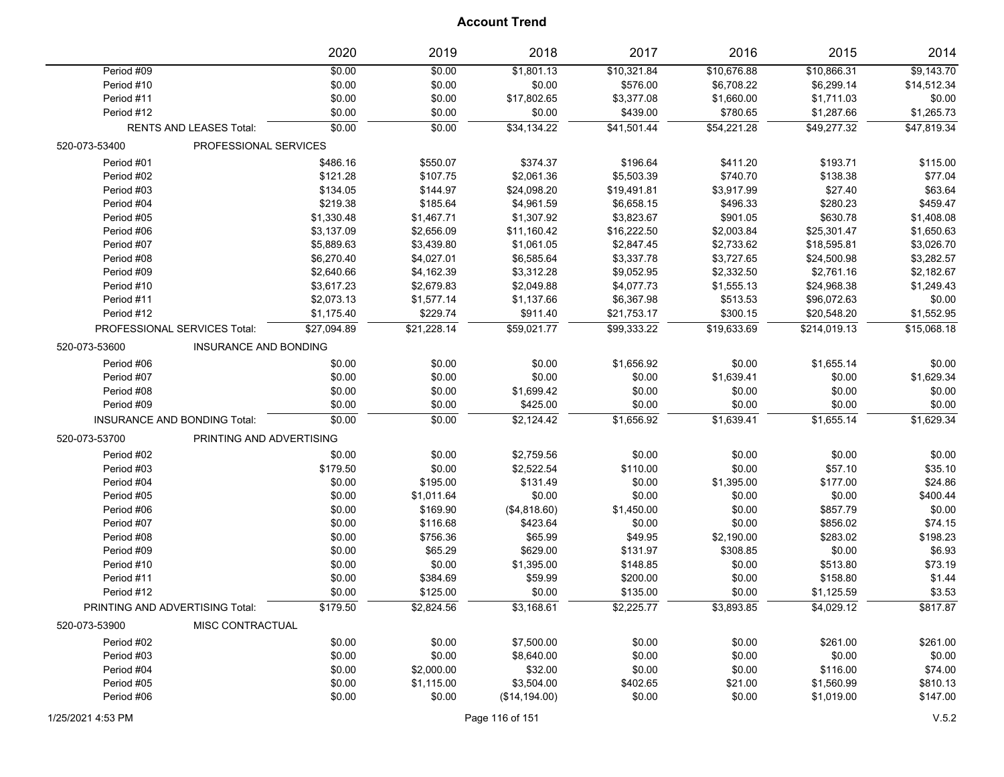|                                 |                                | 2020        | 2019        | 2018           | 2017        | 2016        | 2015         | 2014        |
|---------------------------------|--------------------------------|-------------|-------------|----------------|-------------|-------------|--------------|-------------|
| Period #09                      |                                | \$0.00      | \$0.00      | \$1,801.13     | \$10,321.84 | \$10,676.88 | \$10,866.31  | \$9,143.70  |
| Period #10                      |                                | \$0.00      | \$0.00      | \$0.00         | \$576.00    | \$6,708.22  | \$6,299.14   | \$14,512.34 |
| Period #11                      |                                | \$0.00      | \$0.00      | \$17,802.65    | \$3,377.08  | \$1,660.00  | \$1,711.03   | \$0.00      |
| Period #12                      |                                | \$0.00      | \$0.00      | \$0.00         | \$439.00    | \$780.65    | \$1,287.66   | \$1,265.73  |
|                                 | <b>RENTS AND LEASES Total:</b> | \$0.00      | \$0.00      | \$34,134.22    | \$41,501.44 | \$54,221.28 | \$49,277.32  | \$47,819.34 |
| 520-073-53400                   | PROFESSIONAL SERVICES          |             |             |                |             |             |              |             |
| Period #01                      |                                | \$486.16    | \$550.07    | \$374.37       | \$196.64    | \$411.20    | \$193.71     | \$115.00    |
| Period #02                      |                                | \$121.28    | \$107.75    | \$2,061.36     | \$5,503.39  | \$740.70    | \$138.38     | \$77.04     |
| Period #03                      |                                | \$134.05    | \$144.97    | \$24,098.20    | \$19,491.81 | \$3,917.99  | \$27.40      | \$63.64     |
| Period #04                      |                                | \$219.38    | \$185.64    | \$4,961.59     | \$6,658.15  | \$496.33    | \$280.23     | \$459.47    |
| Period #05                      |                                | \$1,330.48  | \$1,467.71  | \$1,307.92     | \$3,823.67  | \$901.05    | \$630.78     | \$1,408.08  |
| Period #06                      |                                | \$3,137.09  | \$2,656.09  | \$11,160.42    | \$16,222.50 | \$2,003.84  | \$25,301.47  | \$1,650.63  |
| Period #07                      |                                | \$5,889.63  | \$3,439.80  | \$1,061.05     | \$2,847.45  | \$2,733.62  | \$18,595.81  | \$3,026.70  |
| Period #08                      |                                | \$6,270.40  | \$4,027.01  | \$6,585.64     | \$3,337.78  | \$3,727.65  | \$24,500.98  | \$3,282.57  |
| Period #09                      |                                | \$2,640.66  | \$4,162.39  | \$3,312.28     | \$9,052.95  | \$2,332.50  | \$2,761.16   | \$2,182.67  |
| Period #10                      |                                | \$3,617.23  | \$2,679.83  | \$2,049.88     | \$4,077.73  | \$1,555.13  | \$24,968.38  | \$1,249.43  |
| Period #11                      |                                | \$2,073.13  | \$1,577.14  | \$1,137.66     | \$6,367.98  | \$513.53    | \$96,072.63  | \$0.00      |
| Period #12                      |                                | \$1,175.40  | \$229.74    | \$911.40       | \$21,753.17 | \$300.15    | \$20,548.20  | \$1,552.95  |
|                                 | PROFESSIONAL SERVICES Total:   | \$27,094.89 | \$21,228.14 | \$59,021.77    | \$99,333.22 | \$19,633.69 | \$214,019.13 | \$15,068.18 |
| 520-073-53600                   | <b>INSURANCE AND BONDING</b>   |             |             |                |             |             |              |             |
| Period #06                      |                                | \$0.00      | \$0.00      | \$0.00         | \$1,656.92  | \$0.00      | \$1,655.14   | \$0.00      |
| Period #07                      |                                | \$0.00      | \$0.00      | \$0.00         | \$0.00      | \$1,639.41  | \$0.00       | \$1,629.34  |
| Period #08                      |                                | \$0.00      | \$0.00      | \$1,699.42     | \$0.00      | \$0.00      | \$0.00       | \$0.00      |
| Period #09                      |                                | \$0.00      | \$0.00      | \$425.00       | \$0.00      | \$0.00      | \$0.00       | \$0.00      |
|                                 | INSURANCE AND BONDING Total:   | \$0.00      | \$0.00      | \$2,124.42     | \$1,656.92  | \$1,639.41  | \$1,655.14   | \$1,629.34  |
| 520-073-53700                   | PRINTING AND ADVERTISING       |             |             |                |             |             |              |             |
| Period #02                      |                                | \$0.00      | \$0.00      | \$2,759.56     | \$0.00      | \$0.00      | \$0.00       | \$0.00      |
| Period #03                      |                                | \$179.50    | \$0.00      | \$2,522.54     | \$110.00    | \$0.00      | \$57.10      | \$35.10     |
| Period #04                      |                                | \$0.00      | \$195.00    | \$131.49       | \$0.00      | \$1,395.00  | \$177.00     | \$24.86     |
| Period #05                      |                                | \$0.00      | \$1,011.64  | \$0.00         | \$0.00      | \$0.00      | \$0.00       | \$400.44    |
| Period #06                      |                                | \$0.00      | \$169.90    | (\$4,818.60)   | \$1,450.00  | \$0.00      | \$857.79     | \$0.00      |
| Period #07                      |                                | \$0.00      | \$116.68    | \$423.64       | \$0.00      | \$0.00      | \$856.02     | \$74.15     |
| Period #08                      |                                | \$0.00      | \$756.36    | \$65.99        | \$49.95     | \$2,190.00  | \$283.02     | \$198.23    |
| Period #09                      |                                | \$0.00      | \$65.29     | \$629.00       | \$131.97    | \$308.85    | \$0.00       | \$6.93      |
| Period #10                      |                                | \$0.00      | \$0.00      | \$1,395.00     | \$148.85    | \$0.00      | \$513.80     | \$73.19     |
| Period #11                      |                                | \$0.00      | \$384.69    | \$59.99        | \$200.00    | \$0.00      | \$158.80     | \$1.44      |
| Period #12                      |                                | \$0.00      | \$125.00    | \$0.00         | \$135.00    | \$0.00      | \$1,125.59   | \$3.53      |
| PRINTING AND ADVERTISING Total: |                                | \$179.50    | \$2.824.56  | \$3,168.61     | \$2,225.77  | \$3,893.85  | \$4,029.12   | \$817.87    |
| 520-073-53900                   | MISC CONTRACTUAL               |             |             |                |             |             |              |             |
| Period #02                      |                                | \$0.00      | \$0.00      | \$7,500.00     | \$0.00      | \$0.00      | \$261.00     | \$261.00    |
| Period #03                      |                                | \$0.00      | \$0.00      | \$8,640.00     | \$0.00      | \$0.00      | \$0.00       | \$0.00      |
| Period #04                      |                                | \$0.00      | \$2,000.00  | \$32.00        | \$0.00      | \$0.00      | \$116.00     | \$74.00     |
| Period #05                      |                                | \$0.00      | \$1,115.00  | \$3,504.00     | \$402.65    | \$21.00     | \$1,560.99   | \$810.13    |
| Period #06                      |                                | \$0.00      | \$0.00      | (\$14, 194.00) | \$0.00      | \$0.00      | \$1,019.00   | \$147.00    |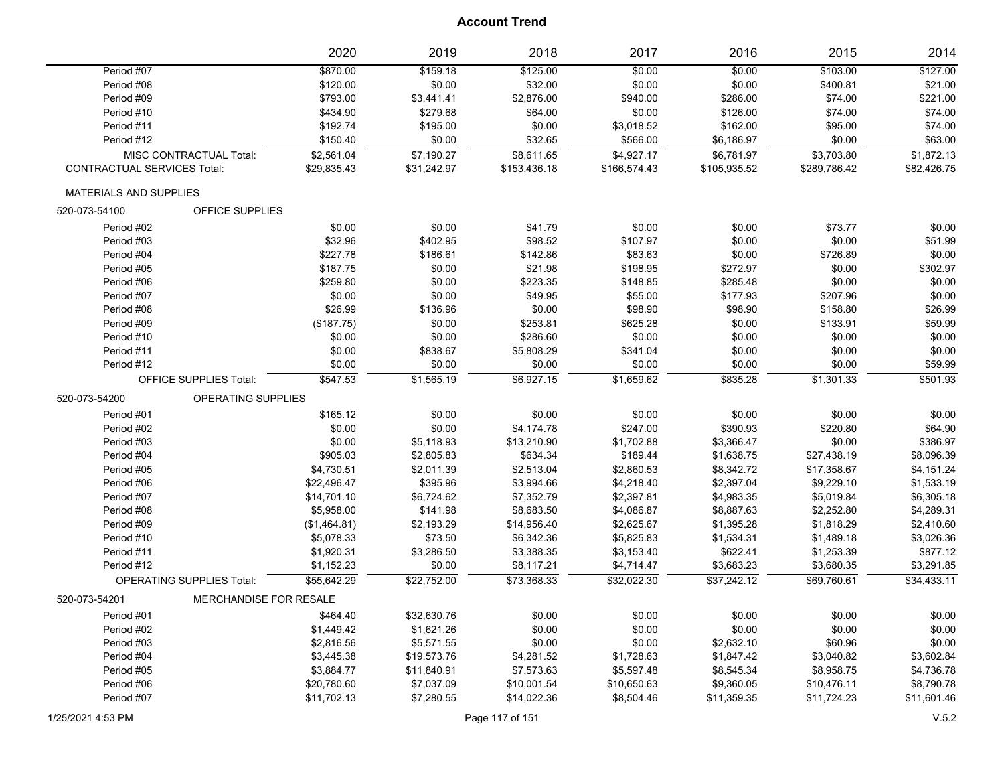|                                    |                                  | 2020         | 2019        | 2018         | 2017         | 2016         | 2015         | 2014        |
|------------------------------------|----------------------------------|--------------|-------------|--------------|--------------|--------------|--------------|-------------|
| Period #07                         |                                  | \$870.00     | \$159.18    | \$125.00     | \$0.00       | \$0.00       | \$103.00     | \$127.00    |
| Period #08                         |                                  | \$120.00     | \$0.00      | \$32.00      | \$0.00       | \$0.00       | \$400.81     | \$21.00     |
| Period #09                         |                                  | \$793.00     | \$3,441.41  | \$2,876.00   | \$940.00     | \$286.00     | \$74.00      | \$221.00    |
| Period #10                         |                                  | \$434.90     | \$279.68    | \$64.00      | \$0.00       | \$126.00     | \$74.00      | \$74.00     |
| Period #11                         |                                  | \$192.74     | \$195.00    | \$0.00       | \$3,018.52   | \$162.00     | \$95.00      | \$74.00     |
| Period #12                         |                                  | \$150.40     | \$0.00      | \$32.65      | \$566.00     | \$6,186.97   | \$0.00       | \$63.00     |
|                                    | MISC CONTRACTUAL Total:          | \$2,561.04   | \$7,190.27  | \$8,611.65   | \$4,927.17   | \$6,781.97   | \$3,703.80   | \$1,872.13  |
| <b>CONTRACTUAL SERVICES Total:</b> |                                  | \$29,835.43  | \$31,242.97 | \$153,436.18 | \$166,574.43 | \$105,935.52 | \$289,786.42 | \$82,426.75 |
| <b>MATERIALS AND SUPPLIES</b>      |                                  |              |             |              |              |              |              |             |
| 520-073-54100                      | OFFICE SUPPLIES                  |              |             |              |              |              |              |             |
| Period #02                         |                                  | \$0.00       | \$0.00      | \$41.79      | \$0.00       | \$0.00       | \$73.77      | \$0.00      |
| Period #03                         |                                  | \$32.96      | \$402.95    | \$98.52      | \$107.97     | \$0.00       | \$0.00       | \$51.99     |
| Period #04                         |                                  | \$227.78     | \$186.61    | \$142.86     | \$83.63      | \$0.00       | \$726.89     | \$0.00      |
| Period #05                         |                                  | \$187.75     | \$0.00      | \$21.98      | \$198.95     | \$272.97     | \$0.00       | \$302.97    |
| Period #06                         |                                  | \$259.80     | \$0.00      | \$223.35     | \$148.85     | \$285.48     | \$0.00       | \$0.00      |
| Period #07                         |                                  | \$0.00       | \$0.00      | \$49.95      | \$55.00      | \$177.93     | \$207.96     | \$0.00      |
| Period #08                         |                                  | \$26.99      | \$136.96    | \$0.00       | \$98.90      | \$98.90      | \$158.80     | \$26.99     |
| Period #09                         |                                  | (\$187.75)   | \$0.00      | \$253.81     | \$625.28     | \$0.00       | \$133.91     | \$59.99     |
| Period #10                         |                                  | \$0.00       | \$0.00      | \$286.60     | \$0.00       | \$0.00       | \$0.00       | \$0.00      |
| Period #11                         |                                  | \$0.00       | \$838.67    | \$5,808.29   | \$341.04     | \$0.00       | \$0.00       | \$0.00      |
| Period #12                         |                                  | \$0.00       | \$0.00      | \$0.00       | \$0.00       | \$0.00       | \$0.00       | \$59.99     |
|                                    | <b>OFFICE SUPPLIES Total:</b>    | \$547.53     | \$1,565.19  | \$6,927.15   | \$1,659.62   | \$835.28     | \$1,301.33   | \$501.93    |
| 520-073-54200                      | OPERATING SUPPLIES               |              |             |              |              |              |              |             |
| Period #01                         |                                  | \$165.12     | \$0.00      | \$0.00       | \$0.00       | \$0.00       | \$0.00       | \$0.00      |
| Period #02                         |                                  | \$0.00       | \$0.00      | \$4,174.78   | \$247.00     | \$390.93     | \$220.80     | \$64.90     |
| Period #03                         |                                  | \$0.00       | \$5,118.93  | \$13,210.90  | \$1,702.88   | \$3,366.47   | \$0.00       | \$386.97    |
| Period #04                         |                                  | \$905.03     | \$2,805.83  | \$634.34     | \$189.44     | \$1,638.75   | \$27,438.19  | \$8,096.39  |
| Period #05                         |                                  | \$4,730.51   | \$2,011.39  | \$2,513.04   | \$2,860.53   | \$8,342.72   | \$17,358.67  | \$4,151.24  |
| Period #06                         |                                  | \$22,496.47  | \$395.96    | \$3,994.66   | \$4,218.40   | \$2,397.04   | \$9,229.10   | \$1,533.19  |
| Period #07                         |                                  | \$14,701.10  | \$6,724.62  | \$7,352.79   | \$2,397.81   | \$4,983.35   | \$5,019.84   | \$6,305.18  |
| Period #08                         |                                  | \$5,958.00   | \$141.98    | \$8,683.50   | \$4,086.87   | \$8,887.63   | \$2,252.80   | \$4,289.31  |
| Period #09                         |                                  | (\$1,464.81) | \$2,193.29  | \$14,956.40  | \$2,625.67   | \$1,395.28   | \$1,818.29   | \$2,410.60  |
| Period #10                         |                                  | \$5,078.33   | \$73.50     | \$6,342.36   | \$5,825.83   | \$1,534.31   | \$1,489.18   | \$3,026.36  |
| Period #11                         |                                  | \$1,920.31   | \$3,286.50  | \$3,388.35   | \$3,153.40   | \$622.41     | \$1,253.39   | \$877.12    |
| Period #12                         |                                  | \$1,152.23   | \$0.00      | \$8,117.21   | \$4,714.47   | \$3,683.23   | \$3,680.35   | \$3,291.85  |
|                                    | <b>OPERATING SUPPLIES Total:</b> | \$55,642.29  | \$22,752.00 | \$73,368.33  | \$32,022.30  | \$37,242.12  | \$69,760.61  | \$34,433.11 |
| 520-073-54201                      | MERCHANDISE FOR RESALE           |              |             |              |              |              |              |             |
| Period #01                         |                                  | \$464.40     | \$32,630.76 | \$0.00       | \$0.00       | \$0.00       | \$0.00       | \$0.00      |
| Period #02                         |                                  | \$1,449.42   | \$1,621.26  | \$0.00       | \$0.00       | \$0.00       | \$0.00       | \$0.00      |
| Period #03                         |                                  | \$2,816.56   | \$5,571.55  | \$0.00       | \$0.00       | \$2,632.10   | \$60.96      | \$0.00      |
| Period #04                         |                                  | \$3,445.38   | \$19,573.76 | \$4,281.52   | \$1,728.63   | \$1,847.42   | \$3,040.82   | \$3,602.84  |
| Period #05                         |                                  | \$3,884.77   | \$11,840.91 | \$7,573.63   | \$5,597.48   | \$8,545.34   | \$8,958.75   | \$4,736.78  |
| Period #06                         |                                  | \$20,780.60  | \$7,037.09  | \$10,001.54  | \$10,650.63  | \$9,360.05   | \$10,476.11  | \$8,790.78  |
| Period #07                         |                                  | \$11,702.13  | \$7,280.55  | \$14,022.36  | \$8,504.46   | \$11,359.35  | \$11,724.23  | \$11,601.46 |
|                                    |                                  |              |             |              |              |              |              |             |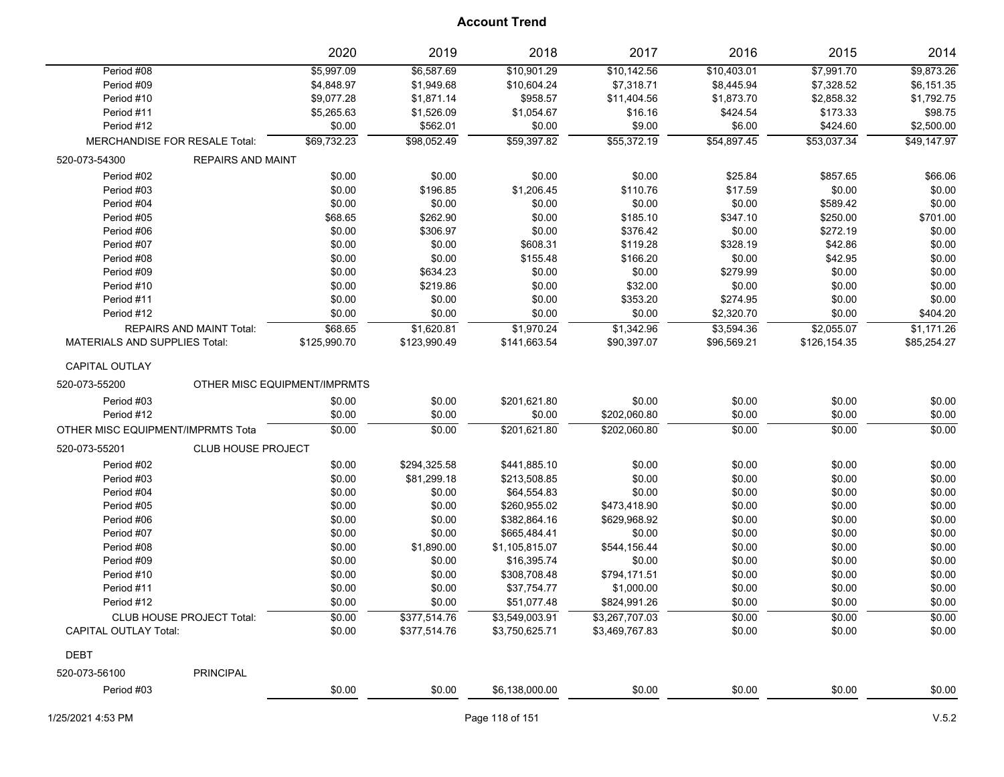|                                      |                                 | 2020                         | 2019         | 2018            | 2017           | 2016        | 2015         | 2014        |
|--------------------------------------|---------------------------------|------------------------------|--------------|-----------------|----------------|-------------|--------------|-------------|
| Period #08                           |                                 | \$5,997.09                   | \$6,587.69   | \$10,901.29     | \$10,142.56    | \$10,403.01 | \$7,991.70   | \$9,873.26  |
| Period #09                           |                                 | \$4,848.97                   | \$1,949.68   | \$10,604.24     | \$7,318.71     | \$8,445.94  | \$7,328.52   | \$6,151.35  |
| Period #10                           |                                 | \$9,077.28                   | \$1,871.14   | \$958.57        | \$11,404.56    | \$1,873.70  | \$2,858.32   | \$1,792.75  |
| Period #11                           |                                 | \$5,265.63                   | \$1,526.09   | \$1,054.67      | \$16.16        | \$424.54    | \$173.33     | \$98.75     |
| Period #12                           |                                 | \$0.00                       | \$562.01     | \$0.00          | \$9.00         | \$6.00      | \$424.60     | \$2,500.00  |
| MERCHANDISE FOR RESALE Total:        |                                 | \$69,732.23                  | \$98,052.49  | \$59,397.82     | \$55,372.19    | \$54,897.45 | \$53.037.34  | \$49,147.97 |
| 520-073-54300                        | <b>REPAIRS AND MAINT</b>        |                              |              |                 |                |             |              |             |
| Period #02                           |                                 | \$0.00                       | \$0.00       | \$0.00          | \$0.00         | \$25.84     | \$857.65     | \$66.06     |
| Period #03                           |                                 | \$0.00                       | \$196.85     | \$1,206.45      | \$110.76       | \$17.59     | \$0.00       | \$0.00      |
| Period #04                           |                                 | \$0.00                       | \$0.00       | \$0.00          | \$0.00         | \$0.00      | \$589.42     | \$0.00      |
| Period #05                           |                                 | \$68.65                      | \$262.90     | \$0.00          | \$185.10       | \$347.10    | \$250.00     | \$701.00    |
| Period #06                           |                                 | \$0.00                       | \$306.97     | \$0.00          | \$376.42       | \$0.00      | \$272.19     | \$0.00      |
| Period #07                           |                                 | \$0.00                       | \$0.00       | \$608.31        | \$119.28       | \$328.19    | \$42.86      | \$0.00      |
| Period #08                           |                                 | \$0.00                       | \$0.00       | \$155.48        | \$166.20       | \$0.00      | \$42.95      | \$0.00      |
| Period #09                           |                                 | \$0.00                       | \$634.23     | \$0.00          | \$0.00         | \$279.99    | \$0.00       | \$0.00      |
| Period #10                           |                                 | \$0.00                       | \$219.86     | \$0.00          | \$32.00        | \$0.00      | \$0.00       | \$0.00      |
| Period #11                           |                                 | \$0.00                       | \$0.00       | \$0.00          | \$353.20       | \$274.95    | \$0.00       | \$0.00      |
| Period #12                           |                                 | \$0.00                       | \$0.00       | \$0.00          | \$0.00         | \$2,320.70  | \$0.00       | \$404.20    |
|                                      | <b>REPAIRS AND MAINT Total:</b> | \$68.65                      | \$1,620.81   | \$1,970.24      | \$1,342.96     | \$3,594.36  | \$2,055.07   | \$1,171.26  |
| <b>MATERIALS AND SUPPLIES Total:</b> |                                 | \$125,990.70                 | \$123,990.49 | \$141,663.54    | \$90,397.07    | \$96,569.21 | \$126,154.35 | \$85,254.27 |
| CAPITAL OUTLAY                       |                                 |                              |              |                 |                |             |              |             |
| 520-073-55200                        |                                 | OTHER MISC EQUIPMENT/IMPRMTS |              |                 |                |             |              |             |
| Period #03                           |                                 | \$0.00                       | \$0.00       | \$201,621.80    | \$0.00         | \$0.00      | \$0.00       | \$0.00      |
| Period #12                           |                                 | \$0.00                       | \$0.00       | \$0.00          | \$202,060.80   | \$0.00      | \$0.00       | \$0.00      |
| OTHER MISC EQUIPMENT/IMPRMTS Tota    |                                 | \$0.00                       | \$0.00       | \$201,621.80    | \$202,060.80   | \$0.00      | \$0.00       | \$0.00      |
| 520-073-55201                        | <b>CLUB HOUSE PROJECT</b>       |                              |              |                 |                |             |              |             |
| Period #02                           |                                 | \$0.00                       | \$294,325.58 | \$441,885.10    | \$0.00         | \$0.00      | \$0.00       | \$0.00      |
| Period #03                           |                                 | \$0.00                       | \$81,299.18  | \$213,508.85    | \$0.00         | \$0.00      | \$0.00       | \$0.00      |
| Period #04                           |                                 | \$0.00                       | \$0.00       | \$64,554.83     | \$0.00         | \$0.00      | \$0.00       | \$0.00      |
| Period #05                           |                                 | \$0.00                       | \$0.00       | \$260,955.02    | \$473,418.90   | \$0.00      | \$0.00       | \$0.00      |
| Period #06                           |                                 | \$0.00                       | \$0.00       | \$382,864.16    | \$629,968.92   | \$0.00      | \$0.00       | \$0.00      |
| Period #07                           |                                 | \$0.00                       | \$0.00       | \$665,484.41    | \$0.00         | \$0.00      | \$0.00       | \$0.00      |
| Period #08                           |                                 | \$0.00                       | \$1,890.00   | \$1,105,815.07  | \$544,156.44   | \$0.00      | \$0.00       | \$0.00      |
| Period #09                           |                                 | \$0.00                       | \$0.00       | \$16,395.74     | \$0.00         | \$0.00      | \$0.00       | \$0.00      |
| Period #10                           |                                 | \$0.00                       | \$0.00       | \$308,708.48    | \$794,171.51   | \$0.00      | \$0.00       | \$0.00      |
| Period #11                           |                                 | \$0.00                       | \$0.00       | \$37,754.77     | \$1,000.00     | \$0.00      | \$0.00       | \$0.00      |
| Period #12                           |                                 | \$0.00                       | \$0.00       | \$51,077.48     | \$824,991.26   | \$0.00      | \$0.00       | \$0.00      |
|                                      | CLUB HOUSE PROJECT Total:       | \$0.00                       | \$377,514.76 | \$3,549,003.91  | \$3,267,707.03 | \$0.00      | \$0.00       | \$0.00      |
| <b>CAPITAL OUTLAY Total:</b>         |                                 | \$0.00                       | \$377,514.76 | \$3,750,625.71  | \$3,469,767.83 | \$0.00      | \$0.00       | \$0.00      |
| DEBT                                 |                                 |                              |              |                 |                |             |              |             |
| 520-073-56100                        | <b>PRINCIPAL</b>                |                              |              |                 |                |             |              |             |
| Period #03                           |                                 | \$0.00                       | \$0.00       | \$6,138,000.00  | \$0.00         | \$0.00      | \$0.00       | \$0.00      |
| 1/25/2021 4:53 PM                    |                                 |                              |              | Page 118 of 151 |                |             |              | V.5.2       |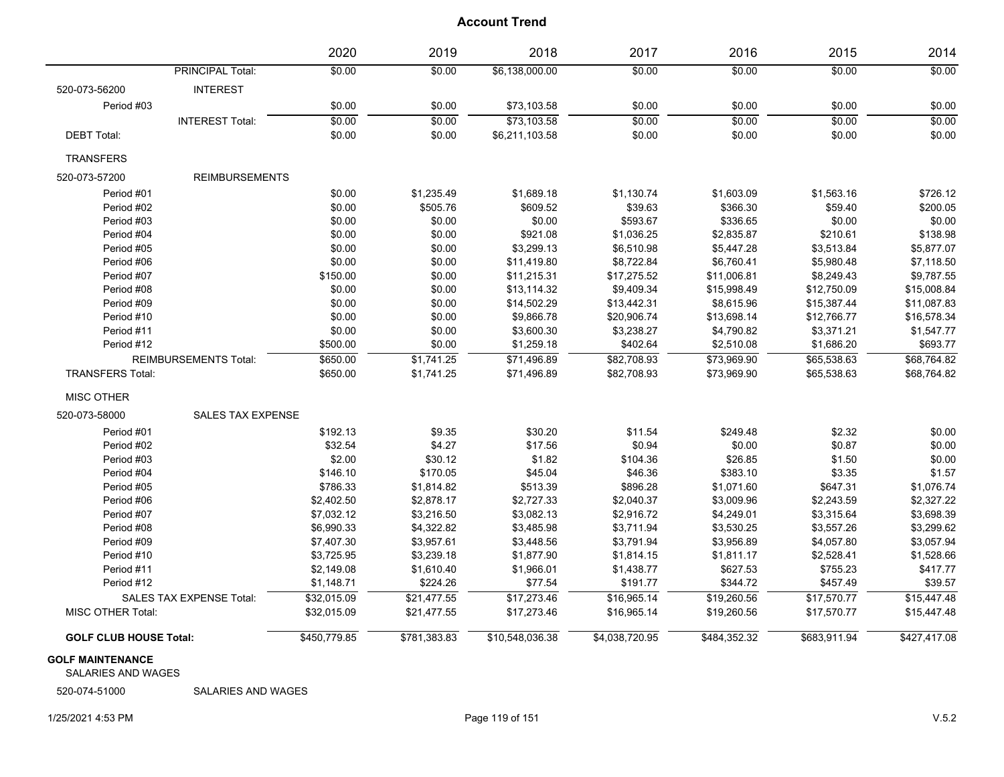|                               |                              | 2020         | 2019         | 2018            | 2017           | 2016         | 2015         | 2014         |
|-------------------------------|------------------------------|--------------|--------------|-----------------|----------------|--------------|--------------|--------------|
|                               | PRINCIPAL Total:             | \$0.00       | \$0.00       | \$6,138,000.00  | \$0.00         | \$0.00       | \$0.00       | \$0.00       |
| 520-073-56200                 | <b>INTEREST</b>              |              |              |                 |                |              |              |              |
| Period #03                    |                              | \$0.00       | \$0.00       | \$73,103.58     | \$0.00         | \$0.00       | \$0.00       | \$0.00       |
|                               | <b>INTEREST Total:</b>       | \$0.00       | \$0.00       | \$73,103.58     | \$0.00         | \$0.00       | \$0.00       | \$0.00       |
| <b>DEBT Total:</b>            |                              | \$0.00       | \$0.00       | \$6,211,103.58  | \$0.00         | \$0.00       | \$0.00       | \$0.00       |
| <b>TRANSFERS</b>              |                              |              |              |                 |                |              |              |              |
| 520-073-57200                 | <b>REIMBURSEMENTS</b>        |              |              |                 |                |              |              |              |
| Period #01                    |                              | \$0.00       | \$1,235.49   | \$1,689.18      | \$1,130.74     | \$1,603.09   | \$1,563.16   | \$726.12     |
| Period #02                    |                              | \$0.00       | \$505.76     | \$609.52        | \$39.63        | \$366.30     | \$59.40      | \$200.05     |
| Period #03                    |                              | \$0.00       | \$0.00       | \$0.00          | \$593.67       | \$336.65     | \$0.00       | \$0.00       |
| Period #04                    |                              | \$0.00       | \$0.00       | \$921.08        | \$1,036.25     | \$2,835.87   | \$210.61     | \$138.98     |
| Period #05                    |                              | \$0.00       | \$0.00       | \$3,299.13      | \$6,510.98     | \$5,447.28   | \$3,513.84   | \$5,877.07   |
| Period #06                    |                              | \$0.00       | \$0.00       | \$11,419.80     | \$8,722.84     | \$6,760.41   | \$5,980.48   | \$7,118.50   |
| Period #07                    |                              | \$150.00     | \$0.00       | \$11,215.31     | \$17,275.52    | \$11,006.81  | \$8,249.43   | \$9,787.55   |
| Period #08                    |                              | \$0.00       | \$0.00       | \$13,114.32     | \$9,409.34     | \$15,998.49  | \$12,750.09  | \$15,008.84  |
| Period #09                    |                              | \$0.00       | \$0.00       | \$14,502.29     | \$13,442.31    | \$8,615.96   | \$15,387.44  | \$11,087.83  |
| Period #10                    |                              | \$0.00       | \$0.00       | \$9,866.78      | \$20,906.74    | \$13,698.14  | \$12,766.77  | \$16,578.34  |
| Period #11                    |                              | \$0.00       | \$0.00       | \$3,600.30      | \$3,238.27     | \$4,790.82   | \$3,371.21   | \$1,547.77   |
| Period #12                    |                              | \$500.00     | \$0.00       | \$1,259.18      | \$402.64       | \$2,510.08   | \$1,686.20   | \$693.77     |
|                               | <b>REIMBURSEMENTS Total:</b> | \$650.00     | \$1,741.25   | \$71,496.89     | \$82,708.93    | \$73,969.90  | \$65,538.63  | \$68,764.82  |
| <b>TRANSFERS Total:</b>       |                              | \$650.00     | \$1,741.25   | \$71,496.89     | \$82,708.93    | \$73,969.90  | \$65,538.63  | \$68,764.82  |
| <b>MISC OTHER</b>             |                              |              |              |                 |                |              |              |              |
| 520-073-58000                 | <b>SALES TAX EXPENSE</b>     |              |              |                 |                |              |              |              |
| Period #01                    |                              | \$192.13     | \$9.35       | \$30.20         | \$11.54        | \$249.48     | \$2.32       | \$0.00       |
| Period #02                    |                              | \$32.54      | \$4.27       | \$17.56         | \$0.94         | \$0.00       | \$0.87       | \$0.00       |
| Period #03                    |                              | \$2.00       | \$30.12      | \$1.82          | \$104.36       | \$26.85      | \$1.50       | \$0.00       |
| Period #04                    |                              | \$146.10     | \$170.05     | \$45.04         | \$46.36        | \$383.10     | \$3.35       | \$1.57       |
| Period #05                    |                              | \$786.33     | \$1,814.82   | \$513.39        | \$896.28       | \$1,071.60   | \$647.31     | \$1,076.74   |
| Period #06                    |                              | \$2,402.50   | \$2,878.17   | \$2,727.33      | \$2,040.37     | \$3,009.96   | \$2,243.59   | \$2,327.22   |
| Period #07                    |                              | \$7,032.12   | \$3,216.50   | \$3,082.13      | \$2,916.72     | \$4,249.01   | \$3,315.64   | \$3,698.39   |
| Period #08                    |                              | \$6,990.33   | \$4,322.82   | \$3,485.98      | \$3,711.94     | \$3,530.25   | \$3,557.26   | \$3,299.62   |
| Period #09                    |                              | \$7,407.30   | \$3,957.61   | \$3,448.56      | \$3,791.94     | \$3,956.89   | \$4,057.80   | \$3,057.94   |
| Period #10                    |                              | \$3,725.95   | \$3,239.18   | \$1,877.90      | \$1,814.15     | \$1,811.17   | \$2,528.41   | \$1,528.66   |
| Period #11                    |                              | \$2,149.08   | \$1,610.40   | \$1,966.01      | \$1,438.77     | \$627.53     | \$755.23     | \$417.77     |
| Period #12                    |                              | \$1,148.71   | \$224.26     | \$77.54         | \$191.77       | \$344.72     | \$457.49     | \$39.57      |
|                               | SALES TAX EXPENSE Total:     | \$32,015.09  | \$21,477.55  | \$17,273.46     | \$16,965.14    | \$19,260.56  | \$17,570.77  | \$15,447.48  |
| <b>MISC OTHER Total:</b>      |                              | \$32,015.09  | \$21,477.55  | \$17,273.46     | \$16,965.14    | \$19,260.56  | \$17,570.77  | \$15,447.48  |
| <b>GOLF CLUB HOUSE Total:</b> |                              | \$450,779.85 | \$781,383.83 | \$10,548,036.38 | \$4,038,720.95 | \$484,352.32 | \$683,911.94 | \$427,417.08 |

#### **GOLF MAINTENANCE**

SALARIES AND WAGES

520-074-51000 SALARIES AND WAGES

#### 1/25/2021 4:53 PM Page 119 of 151 V.5.2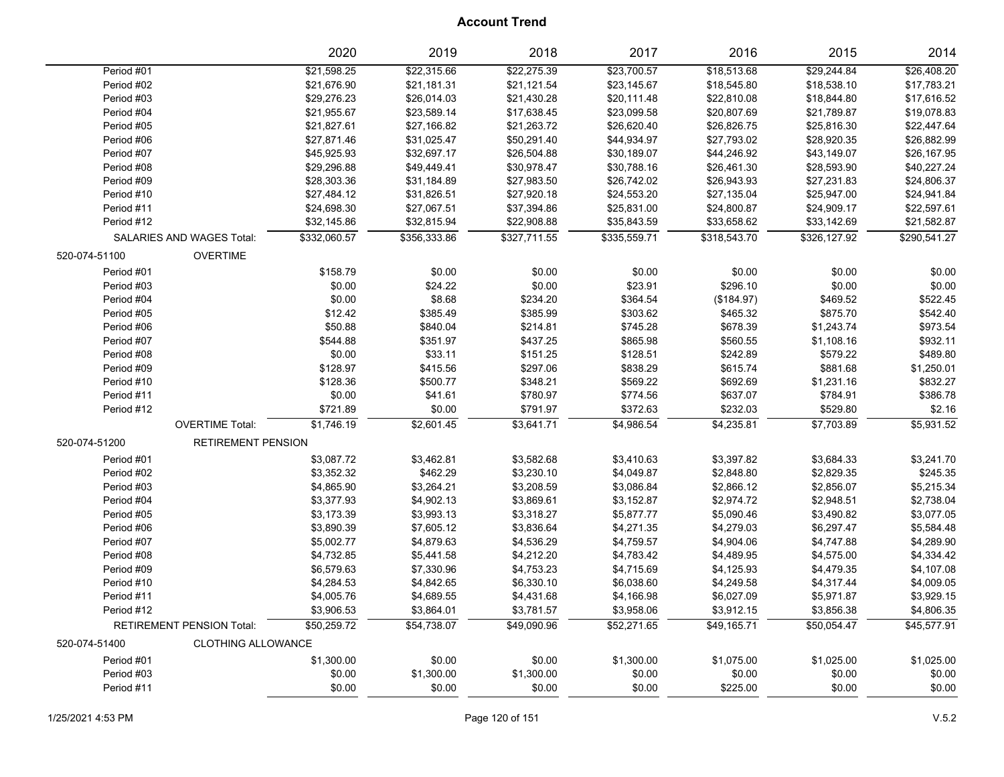| \$22,275.39<br>\$23,700.57<br>\$18,513.68<br>\$29,244.84<br>\$26,408.20<br>Period #01<br>\$21,598.25<br>\$22,315.66<br>Period #02<br>\$21,676.90<br>\$21,181.31<br>\$21,121.54<br>\$23,145.67<br>\$18,545.80<br>\$18,538.10<br>\$17,783.21<br>\$26,014.03<br>\$21,430.28<br>\$20,111.48<br>\$17,616.52<br>Period #03<br>\$29,276.23<br>\$22,810.08<br>\$18,844.80<br>\$23,589.14<br>\$23,099.58<br>\$20,807.69<br>\$19,078.83<br>Period #04<br>\$21,955.67<br>\$17,638.45<br>\$21,789.87<br>Period #05<br>\$21,827.61<br>\$27,166.82<br>\$21,263.72<br>\$26,620.40<br>\$26,826.75<br>\$25,816.30<br>\$22,447.64<br>\$50,291.40<br>\$44,934.97<br>\$27,793.02<br>\$26,882.99<br>Period #06<br>\$27,871.46<br>\$31,025.47<br>\$28,920.35<br>\$45,925.93<br>\$32,697.17<br>\$26,504.88<br>\$30,189.07<br>\$44,246.92<br>\$43,149.07<br>\$26,167.95<br>Period #07<br>\$26,461.30<br>\$40,227.24<br>Period #08<br>\$29,296.88<br>\$49,449.41<br>\$30,978.47<br>\$30,788.16<br>\$28,593.90<br>\$24,806.37<br>Period #09<br>\$28,303.36<br>\$31,184.89<br>\$27,983.50<br>\$26,742.02<br>\$26,943.93<br>\$27,231.83<br>Period #10<br>\$27,484.12<br>\$31,826.51<br>\$27,920.18<br>\$24,553.20<br>\$27,135.04<br>\$25,947.00<br>\$24,941.84<br>\$22,597.61<br>\$24,698.30<br>\$37,394.86<br>\$25,831.00<br>\$24,800.87<br>\$24,909.17<br>Period #11<br>\$27,067.51<br>\$32,815.94<br>\$22,908.88<br>\$35,843.59<br>\$33,658.62<br>\$33,142.69<br>\$21,582.87<br>Period #12<br>\$32,145.86<br>\$356,333.86<br>\$327,711.55<br>\$335,559.71<br>\$318,543.70<br>\$326,127.92<br>\$290,541.27<br>SALARIES AND WAGES Total:<br>\$332,060.57<br><b>OVERTIME</b><br>520-074-51100<br>Period #01<br>\$158.79<br>\$0.00<br>\$0.00<br>\$0.00<br>\$0.00<br>\$0.00<br>\$0.00<br>\$0.00<br>Period #03<br>\$0.00<br>\$24.22<br>\$0.00<br>\$23.91<br>\$296.10<br>\$0.00<br>\$8.68<br>\$0.00<br>\$234.20<br>\$364.54<br>\$469.52<br>\$522.45<br>Period #04<br>(\$184.97)<br>\$12.42<br>\$385.49<br>\$385.99<br>\$303.62<br>\$875.70<br>\$542.40<br>Period #05<br>\$465.32<br>\$973.54<br>\$50.88<br>\$840.04<br>\$214.81<br>\$745.28<br>\$678.39<br>\$1,243.74<br>Period #06<br>\$544.88<br>\$351.97<br>\$437.25<br>\$865.98<br>\$560.55<br>\$1,108.16<br>\$932.11<br>Period #07<br>\$0.00<br>\$33.11<br>\$151.25<br>\$128.51<br>\$242.89<br>\$579.22<br>\$489.80<br>Period #08<br>\$128.97<br>\$415.56<br>\$297.06<br>\$838.29<br>\$615.74<br>\$881.68<br>\$1,250.01<br>Period #09<br>\$500.77<br>\$832.27<br>Period #10<br>\$128.36<br>\$348.21<br>\$569.22<br>\$692.69<br>\$1,231.16<br>\$0.00<br>\$41.61<br>\$780.97<br>\$774.56<br>\$386.78<br>Period #11<br>\$637.07<br>\$784.91<br>\$721.89<br>\$0.00<br>\$791.97<br>\$372.63<br>\$232.03<br>\$529.80<br>\$2.16<br>Period #12<br>\$5,931.52<br><b>OVERTIME Total:</b><br>\$1,746.19<br>\$2,601.45<br>\$3,641.71<br>\$4,986.54<br>\$4,235.81<br>\$7,703.89<br>520-074-51200<br><b>RETIREMENT PENSION</b><br>Period #01<br>\$3,582.68<br>\$3,410.63<br>\$3,397.82<br>\$3,684.33<br>\$3,241.70<br>\$3,087.72<br>\$3,462.81<br>\$3,352.32<br>\$462.29<br>\$3,230.10<br>\$245.35<br>Period #02<br>\$4,049.87<br>\$2,848.80<br>\$2,829.35<br>\$5,215.34<br>\$4,865.90<br>\$3,264.21<br>\$3,208.59<br>\$3,086.84<br>\$2,866.12<br>\$2,856.07<br>Period #03<br>\$3,377.93<br>\$4,902.13<br>\$3,869.61<br>\$2,738.04<br>Period #04<br>\$3,152.87<br>\$2,974.72<br>\$2,948.51<br>\$3,173.39<br>\$3,993.13<br>\$3,318.27<br>\$5,877.77<br>\$5,090.46<br>\$3,490.82<br>\$3,077.05<br>Period #05<br>Period #06<br>\$3,890.39<br>\$7,605.12<br>\$3,836.64<br>\$4,271.35<br>\$4,279.03<br>\$6,297.47<br>\$5,584.48<br>\$4,289.90<br>\$5,002.77<br>\$4,879.63<br>\$4,536.29<br>\$4,759.57<br>\$4,904.06<br>\$4,747.88<br>Period #07<br>\$4,732.85<br>\$5,441.58<br>\$4,212.20<br>\$4,783.42<br>\$4,334.42<br>Period #08<br>\$4,489.95<br>\$4,575.00<br>\$6,579.63<br>\$7,330.96<br>\$4,753.23<br>\$4,715.69<br>\$4,479.35<br>\$4,107.08<br>Period #09<br>\$4,125.93<br>\$6,330.10<br>\$4,009.05<br>Period #10<br>\$4,284.53<br>\$4,842.65<br>\$6,038.60<br>\$4,249.58<br>\$4,317.44<br>\$3,929.15<br>Period #11<br>\$4,005.76<br>\$4,689.55<br>\$4,431.68<br>\$4,166.98<br>\$6,027.09<br>\$5,971.87<br>Period #12<br>\$3,906.53<br>\$3,864.01<br>\$3,781.57<br>\$3,958.06<br>\$3,912.15<br>\$3,856.38<br>\$4,806.35<br><b>RETIREMENT PENSION Total:</b><br>\$50,259.72<br>\$54,738.07<br>\$49,090.96<br>\$52,271.65<br>\$49,165.71<br>\$50,054.47<br>\$45,577.91<br>520-074-51400<br><b>CLOTHING ALLOWANCE</b><br>\$1,025.00<br>Period #01<br>\$1,300.00<br>\$0.00<br>\$0.00<br>\$1,300.00<br>\$1,075.00<br>\$1,025.00<br>\$1,300.00<br>Period #03<br>\$0.00<br>\$1,300.00<br>\$0.00<br>\$0.00<br>\$0.00<br>\$0.00<br>\$0.00<br>\$0.00<br>\$0.00<br>\$0.00<br>\$0.00<br>\$225.00<br>\$0.00<br>Period #11 |  | 2020 | 2019 | 2018 | 2017 | 2016 | 2015 | 2014 |
|------------------------------------------------------------------------------------------------------------------------------------------------------------------------------------------------------------------------------------------------------------------------------------------------------------------------------------------------------------------------------------------------------------------------------------------------------------------------------------------------------------------------------------------------------------------------------------------------------------------------------------------------------------------------------------------------------------------------------------------------------------------------------------------------------------------------------------------------------------------------------------------------------------------------------------------------------------------------------------------------------------------------------------------------------------------------------------------------------------------------------------------------------------------------------------------------------------------------------------------------------------------------------------------------------------------------------------------------------------------------------------------------------------------------------------------------------------------------------------------------------------------------------------------------------------------------------------------------------------------------------------------------------------------------------------------------------------------------------------------------------------------------------------------------------------------------------------------------------------------------------------------------------------------------------------------------------------------------------------------------------------------------------------------------------------------------------------------------------------------------------------------------------------------------------------------------------------------------------------------------------------------------------------------------------------------------------------------------------------------------------------------------------------------------------------------------------------------------------------------------------------------------------------------------------------------------------------------------------------------------------------------------------------------------------------------------------------------------------------------------------------------------------------------------------------------------------------------------------------------------------------------------------------------------------------------------------------------------------------------------------------------------------------------------------------------------------------------------------------------------------------------------------------------------------------------------------------------------------------------------------------------------------------------------------------------------------------------------------------------------------------------------------------------------------------------------------------------------------------------------------------------------------------------------------------------------------------------------------------------------------------------------------------------------------------------------------------------------------------------------------------------------------------------------------------------------------------------------------------------------------------------------------------------------------------------------------------------------------------------------------------------------------------------------------------------------------------------------------------------------------------------------------------------------------------------------------------------------------------------------------------------------------------------------------------------------------------------------------------------------------------------------------------------------------------------------------------------------------------------------------------------------------------------------------------------------------------------------------------------------------------------------------------------------------------------------------------------------------------------------------------------------------------------------------------------------|--|------|------|------|------|------|------|------|
|                                                                                                                                                                                                                                                                                                                                                                                                                                                                                                                                                                                                                                                                                                                                                                                                                                                                                                                                                                                                                                                                                                                                                                                                                                                                                                                                                                                                                                                                                                                                                                                                                                                                                                                                                                                                                                                                                                                                                                                                                                                                                                                                                                                                                                                                                                                                                                                                                                                                                                                                                                                                                                                                                                                                                                                                                                                                                                                                                                                                                                                                                                                                                                                                                                                                                                                                                                                                                                                                                                                                                                                                                                                                                                                                                                                                                                                                                                                                                                                                                                                                                                                                                                                                                                                                                                                                                                                                                                                                                                                                                                                                                                                                                                                                                                                                                        |  |      |      |      |      |      |      |      |
|                                                                                                                                                                                                                                                                                                                                                                                                                                                                                                                                                                                                                                                                                                                                                                                                                                                                                                                                                                                                                                                                                                                                                                                                                                                                                                                                                                                                                                                                                                                                                                                                                                                                                                                                                                                                                                                                                                                                                                                                                                                                                                                                                                                                                                                                                                                                                                                                                                                                                                                                                                                                                                                                                                                                                                                                                                                                                                                                                                                                                                                                                                                                                                                                                                                                                                                                                                                                                                                                                                                                                                                                                                                                                                                                                                                                                                                                                                                                                                                                                                                                                                                                                                                                                                                                                                                                                                                                                                                                                                                                                                                                                                                                                                                                                                                                                        |  |      |      |      |      |      |      |      |
|                                                                                                                                                                                                                                                                                                                                                                                                                                                                                                                                                                                                                                                                                                                                                                                                                                                                                                                                                                                                                                                                                                                                                                                                                                                                                                                                                                                                                                                                                                                                                                                                                                                                                                                                                                                                                                                                                                                                                                                                                                                                                                                                                                                                                                                                                                                                                                                                                                                                                                                                                                                                                                                                                                                                                                                                                                                                                                                                                                                                                                                                                                                                                                                                                                                                                                                                                                                                                                                                                                                                                                                                                                                                                                                                                                                                                                                                                                                                                                                                                                                                                                                                                                                                                                                                                                                                                                                                                                                                                                                                                                                                                                                                                                                                                                                                                        |  |      |      |      |      |      |      |      |
|                                                                                                                                                                                                                                                                                                                                                                                                                                                                                                                                                                                                                                                                                                                                                                                                                                                                                                                                                                                                                                                                                                                                                                                                                                                                                                                                                                                                                                                                                                                                                                                                                                                                                                                                                                                                                                                                                                                                                                                                                                                                                                                                                                                                                                                                                                                                                                                                                                                                                                                                                                                                                                                                                                                                                                                                                                                                                                                                                                                                                                                                                                                                                                                                                                                                                                                                                                                                                                                                                                                                                                                                                                                                                                                                                                                                                                                                                                                                                                                                                                                                                                                                                                                                                                                                                                                                                                                                                                                                                                                                                                                                                                                                                                                                                                                                                        |  |      |      |      |      |      |      |      |
|                                                                                                                                                                                                                                                                                                                                                                                                                                                                                                                                                                                                                                                                                                                                                                                                                                                                                                                                                                                                                                                                                                                                                                                                                                                                                                                                                                                                                                                                                                                                                                                                                                                                                                                                                                                                                                                                                                                                                                                                                                                                                                                                                                                                                                                                                                                                                                                                                                                                                                                                                                                                                                                                                                                                                                                                                                                                                                                                                                                                                                                                                                                                                                                                                                                                                                                                                                                                                                                                                                                                                                                                                                                                                                                                                                                                                                                                                                                                                                                                                                                                                                                                                                                                                                                                                                                                                                                                                                                                                                                                                                                                                                                                                                                                                                                                                        |  |      |      |      |      |      |      |      |
|                                                                                                                                                                                                                                                                                                                                                                                                                                                                                                                                                                                                                                                                                                                                                                                                                                                                                                                                                                                                                                                                                                                                                                                                                                                                                                                                                                                                                                                                                                                                                                                                                                                                                                                                                                                                                                                                                                                                                                                                                                                                                                                                                                                                                                                                                                                                                                                                                                                                                                                                                                                                                                                                                                                                                                                                                                                                                                                                                                                                                                                                                                                                                                                                                                                                                                                                                                                                                                                                                                                                                                                                                                                                                                                                                                                                                                                                                                                                                                                                                                                                                                                                                                                                                                                                                                                                                                                                                                                                                                                                                                                                                                                                                                                                                                                                                        |  |      |      |      |      |      |      |      |
|                                                                                                                                                                                                                                                                                                                                                                                                                                                                                                                                                                                                                                                                                                                                                                                                                                                                                                                                                                                                                                                                                                                                                                                                                                                                                                                                                                                                                                                                                                                                                                                                                                                                                                                                                                                                                                                                                                                                                                                                                                                                                                                                                                                                                                                                                                                                                                                                                                                                                                                                                                                                                                                                                                                                                                                                                                                                                                                                                                                                                                                                                                                                                                                                                                                                                                                                                                                                                                                                                                                                                                                                                                                                                                                                                                                                                                                                                                                                                                                                                                                                                                                                                                                                                                                                                                                                                                                                                                                                                                                                                                                                                                                                                                                                                                                                                        |  |      |      |      |      |      |      |      |
|                                                                                                                                                                                                                                                                                                                                                                                                                                                                                                                                                                                                                                                                                                                                                                                                                                                                                                                                                                                                                                                                                                                                                                                                                                                                                                                                                                                                                                                                                                                                                                                                                                                                                                                                                                                                                                                                                                                                                                                                                                                                                                                                                                                                                                                                                                                                                                                                                                                                                                                                                                                                                                                                                                                                                                                                                                                                                                                                                                                                                                                                                                                                                                                                                                                                                                                                                                                                                                                                                                                                                                                                                                                                                                                                                                                                                                                                                                                                                                                                                                                                                                                                                                                                                                                                                                                                                                                                                                                                                                                                                                                                                                                                                                                                                                                                                        |  |      |      |      |      |      |      |      |
|                                                                                                                                                                                                                                                                                                                                                                                                                                                                                                                                                                                                                                                                                                                                                                                                                                                                                                                                                                                                                                                                                                                                                                                                                                                                                                                                                                                                                                                                                                                                                                                                                                                                                                                                                                                                                                                                                                                                                                                                                                                                                                                                                                                                                                                                                                                                                                                                                                                                                                                                                                                                                                                                                                                                                                                                                                                                                                                                                                                                                                                                                                                                                                                                                                                                                                                                                                                                                                                                                                                                                                                                                                                                                                                                                                                                                                                                                                                                                                                                                                                                                                                                                                                                                                                                                                                                                                                                                                                                                                                                                                                                                                                                                                                                                                                                                        |  |      |      |      |      |      |      |      |
|                                                                                                                                                                                                                                                                                                                                                                                                                                                                                                                                                                                                                                                                                                                                                                                                                                                                                                                                                                                                                                                                                                                                                                                                                                                                                                                                                                                                                                                                                                                                                                                                                                                                                                                                                                                                                                                                                                                                                                                                                                                                                                                                                                                                                                                                                                                                                                                                                                                                                                                                                                                                                                                                                                                                                                                                                                                                                                                                                                                                                                                                                                                                                                                                                                                                                                                                                                                                                                                                                                                                                                                                                                                                                                                                                                                                                                                                                                                                                                                                                                                                                                                                                                                                                                                                                                                                                                                                                                                                                                                                                                                                                                                                                                                                                                                                                        |  |      |      |      |      |      |      |      |
|                                                                                                                                                                                                                                                                                                                                                                                                                                                                                                                                                                                                                                                                                                                                                                                                                                                                                                                                                                                                                                                                                                                                                                                                                                                                                                                                                                                                                                                                                                                                                                                                                                                                                                                                                                                                                                                                                                                                                                                                                                                                                                                                                                                                                                                                                                                                                                                                                                                                                                                                                                                                                                                                                                                                                                                                                                                                                                                                                                                                                                                                                                                                                                                                                                                                                                                                                                                                                                                                                                                                                                                                                                                                                                                                                                                                                                                                                                                                                                                                                                                                                                                                                                                                                                                                                                                                                                                                                                                                                                                                                                                                                                                                                                                                                                                                                        |  |      |      |      |      |      |      |      |
|                                                                                                                                                                                                                                                                                                                                                                                                                                                                                                                                                                                                                                                                                                                                                                                                                                                                                                                                                                                                                                                                                                                                                                                                                                                                                                                                                                                                                                                                                                                                                                                                                                                                                                                                                                                                                                                                                                                                                                                                                                                                                                                                                                                                                                                                                                                                                                                                                                                                                                                                                                                                                                                                                                                                                                                                                                                                                                                                                                                                                                                                                                                                                                                                                                                                                                                                                                                                                                                                                                                                                                                                                                                                                                                                                                                                                                                                                                                                                                                                                                                                                                                                                                                                                                                                                                                                                                                                                                                                                                                                                                                                                                                                                                                                                                                                                        |  |      |      |      |      |      |      |      |
|                                                                                                                                                                                                                                                                                                                                                                                                                                                                                                                                                                                                                                                                                                                                                                                                                                                                                                                                                                                                                                                                                                                                                                                                                                                                                                                                                                                                                                                                                                                                                                                                                                                                                                                                                                                                                                                                                                                                                                                                                                                                                                                                                                                                                                                                                                                                                                                                                                                                                                                                                                                                                                                                                                                                                                                                                                                                                                                                                                                                                                                                                                                                                                                                                                                                                                                                                                                                                                                                                                                                                                                                                                                                                                                                                                                                                                                                                                                                                                                                                                                                                                                                                                                                                                                                                                                                                                                                                                                                                                                                                                                                                                                                                                                                                                                                                        |  |      |      |      |      |      |      |      |
|                                                                                                                                                                                                                                                                                                                                                                                                                                                                                                                                                                                                                                                                                                                                                                                                                                                                                                                                                                                                                                                                                                                                                                                                                                                                                                                                                                                                                                                                                                                                                                                                                                                                                                                                                                                                                                                                                                                                                                                                                                                                                                                                                                                                                                                                                                                                                                                                                                                                                                                                                                                                                                                                                                                                                                                                                                                                                                                                                                                                                                                                                                                                                                                                                                                                                                                                                                                                                                                                                                                                                                                                                                                                                                                                                                                                                                                                                                                                                                                                                                                                                                                                                                                                                                                                                                                                                                                                                                                                                                                                                                                                                                                                                                                                                                                                                        |  |      |      |      |      |      |      |      |
|                                                                                                                                                                                                                                                                                                                                                                                                                                                                                                                                                                                                                                                                                                                                                                                                                                                                                                                                                                                                                                                                                                                                                                                                                                                                                                                                                                                                                                                                                                                                                                                                                                                                                                                                                                                                                                                                                                                                                                                                                                                                                                                                                                                                                                                                                                                                                                                                                                                                                                                                                                                                                                                                                                                                                                                                                                                                                                                                                                                                                                                                                                                                                                                                                                                                                                                                                                                                                                                                                                                                                                                                                                                                                                                                                                                                                                                                                                                                                                                                                                                                                                                                                                                                                                                                                                                                                                                                                                                                                                                                                                                                                                                                                                                                                                                                                        |  |      |      |      |      |      |      |      |
|                                                                                                                                                                                                                                                                                                                                                                                                                                                                                                                                                                                                                                                                                                                                                                                                                                                                                                                                                                                                                                                                                                                                                                                                                                                                                                                                                                                                                                                                                                                                                                                                                                                                                                                                                                                                                                                                                                                                                                                                                                                                                                                                                                                                                                                                                                                                                                                                                                                                                                                                                                                                                                                                                                                                                                                                                                                                                                                                                                                                                                                                                                                                                                                                                                                                                                                                                                                                                                                                                                                                                                                                                                                                                                                                                                                                                                                                                                                                                                                                                                                                                                                                                                                                                                                                                                                                                                                                                                                                                                                                                                                                                                                                                                                                                                                                                        |  |      |      |      |      |      |      |      |
|                                                                                                                                                                                                                                                                                                                                                                                                                                                                                                                                                                                                                                                                                                                                                                                                                                                                                                                                                                                                                                                                                                                                                                                                                                                                                                                                                                                                                                                                                                                                                                                                                                                                                                                                                                                                                                                                                                                                                                                                                                                                                                                                                                                                                                                                                                                                                                                                                                                                                                                                                                                                                                                                                                                                                                                                                                                                                                                                                                                                                                                                                                                                                                                                                                                                                                                                                                                                                                                                                                                                                                                                                                                                                                                                                                                                                                                                                                                                                                                                                                                                                                                                                                                                                                                                                                                                                                                                                                                                                                                                                                                                                                                                                                                                                                                                                        |  |      |      |      |      |      |      |      |
|                                                                                                                                                                                                                                                                                                                                                                                                                                                                                                                                                                                                                                                                                                                                                                                                                                                                                                                                                                                                                                                                                                                                                                                                                                                                                                                                                                                                                                                                                                                                                                                                                                                                                                                                                                                                                                                                                                                                                                                                                                                                                                                                                                                                                                                                                                                                                                                                                                                                                                                                                                                                                                                                                                                                                                                                                                                                                                                                                                                                                                                                                                                                                                                                                                                                                                                                                                                                                                                                                                                                                                                                                                                                                                                                                                                                                                                                                                                                                                                                                                                                                                                                                                                                                                                                                                                                                                                                                                                                                                                                                                                                                                                                                                                                                                                                                        |  |      |      |      |      |      |      |      |
|                                                                                                                                                                                                                                                                                                                                                                                                                                                                                                                                                                                                                                                                                                                                                                                                                                                                                                                                                                                                                                                                                                                                                                                                                                                                                                                                                                                                                                                                                                                                                                                                                                                                                                                                                                                                                                                                                                                                                                                                                                                                                                                                                                                                                                                                                                                                                                                                                                                                                                                                                                                                                                                                                                                                                                                                                                                                                                                                                                                                                                                                                                                                                                                                                                                                                                                                                                                                                                                                                                                                                                                                                                                                                                                                                                                                                                                                                                                                                                                                                                                                                                                                                                                                                                                                                                                                                                                                                                                                                                                                                                                                                                                                                                                                                                                                                        |  |      |      |      |      |      |      |      |
|                                                                                                                                                                                                                                                                                                                                                                                                                                                                                                                                                                                                                                                                                                                                                                                                                                                                                                                                                                                                                                                                                                                                                                                                                                                                                                                                                                                                                                                                                                                                                                                                                                                                                                                                                                                                                                                                                                                                                                                                                                                                                                                                                                                                                                                                                                                                                                                                                                                                                                                                                                                                                                                                                                                                                                                                                                                                                                                                                                                                                                                                                                                                                                                                                                                                                                                                                                                                                                                                                                                                                                                                                                                                                                                                                                                                                                                                                                                                                                                                                                                                                                                                                                                                                                                                                                                                                                                                                                                                                                                                                                                                                                                                                                                                                                                                                        |  |      |      |      |      |      |      |      |
|                                                                                                                                                                                                                                                                                                                                                                                                                                                                                                                                                                                                                                                                                                                                                                                                                                                                                                                                                                                                                                                                                                                                                                                                                                                                                                                                                                                                                                                                                                                                                                                                                                                                                                                                                                                                                                                                                                                                                                                                                                                                                                                                                                                                                                                                                                                                                                                                                                                                                                                                                                                                                                                                                                                                                                                                                                                                                                                                                                                                                                                                                                                                                                                                                                                                                                                                                                                                                                                                                                                                                                                                                                                                                                                                                                                                                                                                                                                                                                                                                                                                                                                                                                                                                                                                                                                                                                                                                                                                                                                                                                                                                                                                                                                                                                                                                        |  |      |      |      |      |      |      |      |
|                                                                                                                                                                                                                                                                                                                                                                                                                                                                                                                                                                                                                                                                                                                                                                                                                                                                                                                                                                                                                                                                                                                                                                                                                                                                                                                                                                                                                                                                                                                                                                                                                                                                                                                                                                                                                                                                                                                                                                                                                                                                                                                                                                                                                                                                                                                                                                                                                                                                                                                                                                                                                                                                                                                                                                                                                                                                                                                                                                                                                                                                                                                                                                                                                                                                                                                                                                                                                                                                                                                                                                                                                                                                                                                                                                                                                                                                                                                                                                                                                                                                                                                                                                                                                                                                                                                                                                                                                                                                                                                                                                                                                                                                                                                                                                                                                        |  |      |      |      |      |      |      |      |
|                                                                                                                                                                                                                                                                                                                                                                                                                                                                                                                                                                                                                                                                                                                                                                                                                                                                                                                                                                                                                                                                                                                                                                                                                                                                                                                                                                                                                                                                                                                                                                                                                                                                                                                                                                                                                                                                                                                                                                                                                                                                                                                                                                                                                                                                                                                                                                                                                                                                                                                                                                                                                                                                                                                                                                                                                                                                                                                                                                                                                                                                                                                                                                                                                                                                                                                                                                                                                                                                                                                                                                                                                                                                                                                                                                                                                                                                                                                                                                                                                                                                                                                                                                                                                                                                                                                                                                                                                                                                                                                                                                                                                                                                                                                                                                                                                        |  |      |      |      |      |      |      |      |
|                                                                                                                                                                                                                                                                                                                                                                                                                                                                                                                                                                                                                                                                                                                                                                                                                                                                                                                                                                                                                                                                                                                                                                                                                                                                                                                                                                                                                                                                                                                                                                                                                                                                                                                                                                                                                                                                                                                                                                                                                                                                                                                                                                                                                                                                                                                                                                                                                                                                                                                                                                                                                                                                                                                                                                                                                                                                                                                                                                                                                                                                                                                                                                                                                                                                                                                                                                                                                                                                                                                                                                                                                                                                                                                                                                                                                                                                                                                                                                                                                                                                                                                                                                                                                                                                                                                                                                                                                                                                                                                                                                                                                                                                                                                                                                                                                        |  |      |      |      |      |      |      |      |
|                                                                                                                                                                                                                                                                                                                                                                                                                                                                                                                                                                                                                                                                                                                                                                                                                                                                                                                                                                                                                                                                                                                                                                                                                                                                                                                                                                                                                                                                                                                                                                                                                                                                                                                                                                                                                                                                                                                                                                                                                                                                                                                                                                                                                                                                                                                                                                                                                                                                                                                                                                                                                                                                                                                                                                                                                                                                                                                                                                                                                                                                                                                                                                                                                                                                                                                                                                                                                                                                                                                                                                                                                                                                                                                                                                                                                                                                                                                                                                                                                                                                                                                                                                                                                                                                                                                                                                                                                                                                                                                                                                                                                                                                                                                                                                                                                        |  |      |      |      |      |      |      |      |
|                                                                                                                                                                                                                                                                                                                                                                                                                                                                                                                                                                                                                                                                                                                                                                                                                                                                                                                                                                                                                                                                                                                                                                                                                                                                                                                                                                                                                                                                                                                                                                                                                                                                                                                                                                                                                                                                                                                                                                                                                                                                                                                                                                                                                                                                                                                                                                                                                                                                                                                                                                                                                                                                                                                                                                                                                                                                                                                                                                                                                                                                                                                                                                                                                                                                                                                                                                                                                                                                                                                                                                                                                                                                                                                                                                                                                                                                                                                                                                                                                                                                                                                                                                                                                                                                                                                                                                                                                                                                                                                                                                                                                                                                                                                                                                                                                        |  |      |      |      |      |      |      |      |
|                                                                                                                                                                                                                                                                                                                                                                                                                                                                                                                                                                                                                                                                                                                                                                                                                                                                                                                                                                                                                                                                                                                                                                                                                                                                                                                                                                                                                                                                                                                                                                                                                                                                                                                                                                                                                                                                                                                                                                                                                                                                                                                                                                                                                                                                                                                                                                                                                                                                                                                                                                                                                                                                                                                                                                                                                                                                                                                                                                                                                                                                                                                                                                                                                                                                                                                                                                                                                                                                                                                                                                                                                                                                                                                                                                                                                                                                                                                                                                                                                                                                                                                                                                                                                                                                                                                                                                                                                                                                                                                                                                                                                                                                                                                                                                                                                        |  |      |      |      |      |      |      |      |
|                                                                                                                                                                                                                                                                                                                                                                                                                                                                                                                                                                                                                                                                                                                                                                                                                                                                                                                                                                                                                                                                                                                                                                                                                                                                                                                                                                                                                                                                                                                                                                                                                                                                                                                                                                                                                                                                                                                                                                                                                                                                                                                                                                                                                                                                                                                                                                                                                                                                                                                                                                                                                                                                                                                                                                                                                                                                                                                                                                                                                                                                                                                                                                                                                                                                                                                                                                                                                                                                                                                                                                                                                                                                                                                                                                                                                                                                                                                                                                                                                                                                                                                                                                                                                                                                                                                                                                                                                                                                                                                                                                                                                                                                                                                                                                                                                        |  |      |      |      |      |      |      |      |
|                                                                                                                                                                                                                                                                                                                                                                                                                                                                                                                                                                                                                                                                                                                                                                                                                                                                                                                                                                                                                                                                                                                                                                                                                                                                                                                                                                                                                                                                                                                                                                                                                                                                                                                                                                                                                                                                                                                                                                                                                                                                                                                                                                                                                                                                                                                                                                                                                                                                                                                                                                                                                                                                                                                                                                                                                                                                                                                                                                                                                                                                                                                                                                                                                                                                                                                                                                                                                                                                                                                                                                                                                                                                                                                                                                                                                                                                                                                                                                                                                                                                                                                                                                                                                                                                                                                                                                                                                                                                                                                                                                                                                                                                                                                                                                                                                        |  |      |      |      |      |      |      |      |
|                                                                                                                                                                                                                                                                                                                                                                                                                                                                                                                                                                                                                                                                                                                                                                                                                                                                                                                                                                                                                                                                                                                                                                                                                                                                                                                                                                                                                                                                                                                                                                                                                                                                                                                                                                                                                                                                                                                                                                                                                                                                                                                                                                                                                                                                                                                                                                                                                                                                                                                                                                                                                                                                                                                                                                                                                                                                                                                                                                                                                                                                                                                                                                                                                                                                                                                                                                                                                                                                                                                                                                                                                                                                                                                                                                                                                                                                                                                                                                                                                                                                                                                                                                                                                                                                                                                                                                                                                                                                                                                                                                                                                                                                                                                                                                                                                        |  |      |      |      |      |      |      |      |
|                                                                                                                                                                                                                                                                                                                                                                                                                                                                                                                                                                                                                                                                                                                                                                                                                                                                                                                                                                                                                                                                                                                                                                                                                                                                                                                                                                                                                                                                                                                                                                                                                                                                                                                                                                                                                                                                                                                                                                                                                                                                                                                                                                                                                                                                                                                                                                                                                                                                                                                                                                                                                                                                                                                                                                                                                                                                                                                                                                                                                                                                                                                                                                                                                                                                                                                                                                                                                                                                                                                                                                                                                                                                                                                                                                                                                                                                                                                                                                                                                                                                                                                                                                                                                                                                                                                                                                                                                                                                                                                                                                                                                                                                                                                                                                                                                        |  |      |      |      |      |      |      |      |
|                                                                                                                                                                                                                                                                                                                                                                                                                                                                                                                                                                                                                                                                                                                                                                                                                                                                                                                                                                                                                                                                                                                                                                                                                                                                                                                                                                                                                                                                                                                                                                                                                                                                                                                                                                                                                                                                                                                                                                                                                                                                                                                                                                                                                                                                                                                                                                                                                                                                                                                                                                                                                                                                                                                                                                                                                                                                                                                                                                                                                                                                                                                                                                                                                                                                                                                                                                                                                                                                                                                                                                                                                                                                                                                                                                                                                                                                                                                                                                                                                                                                                                                                                                                                                                                                                                                                                                                                                                                                                                                                                                                                                                                                                                                                                                                                                        |  |      |      |      |      |      |      |      |
|                                                                                                                                                                                                                                                                                                                                                                                                                                                                                                                                                                                                                                                                                                                                                                                                                                                                                                                                                                                                                                                                                                                                                                                                                                                                                                                                                                                                                                                                                                                                                                                                                                                                                                                                                                                                                                                                                                                                                                                                                                                                                                                                                                                                                                                                                                                                                                                                                                                                                                                                                                                                                                                                                                                                                                                                                                                                                                                                                                                                                                                                                                                                                                                                                                                                                                                                                                                                                                                                                                                                                                                                                                                                                                                                                                                                                                                                                                                                                                                                                                                                                                                                                                                                                                                                                                                                                                                                                                                                                                                                                                                                                                                                                                                                                                                                                        |  |      |      |      |      |      |      |      |
|                                                                                                                                                                                                                                                                                                                                                                                                                                                                                                                                                                                                                                                                                                                                                                                                                                                                                                                                                                                                                                                                                                                                                                                                                                                                                                                                                                                                                                                                                                                                                                                                                                                                                                                                                                                                                                                                                                                                                                                                                                                                                                                                                                                                                                                                                                                                                                                                                                                                                                                                                                                                                                                                                                                                                                                                                                                                                                                                                                                                                                                                                                                                                                                                                                                                                                                                                                                                                                                                                                                                                                                                                                                                                                                                                                                                                                                                                                                                                                                                                                                                                                                                                                                                                                                                                                                                                                                                                                                                                                                                                                                                                                                                                                                                                                                                                        |  |      |      |      |      |      |      |      |
|                                                                                                                                                                                                                                                                                                                                                                                                                                                                                                                                                                                                                                                                                                                                                                                                                                                                                                                                                                                                                                                                                                                                                                                                                                                                                                                                                                                                                                                                                                                                                                                                                                                                                                                                                                                                                                                                                                                                                                                                                                                                                                                                                                                                                                                                                                                                                                                                                                                                                                                                                                                                                                                                                                                                                                                                                                                                                                                                                                                                                                                                                                                                                                                                                                                                                                                                                                                                                                                                                                                                                                                                                                                                                                                                                                                                                                                                                                                                                                                                                                                                                                                                                                                                                                                                                                                                                                                                                                                                                                                                                                                                                                                                                                                                                                                                                        |  |      |      |      |      |      |      |      |
|                                                                                                                                                                                                                                                                                                                                                                                                                                                                                                                                                                                                                                                                                                                                                                                                                                                                                                                                                                                                                                                                                                                                                                                                                                                                                                                                                                                                                                                                                                                                                                                                                                                                                                                                                                                                                                                                                                                                                                                                                                                                                                                                                                                                                                                                                                                                                                                                                                                                                                                                                                                                                                                                                                                                                                                                                                                                                                                                                                                                                                                                                                                                                                                                                                                                                                                                                                                                                                                                                                                                                                                                                                                                                                                                                                                                                                                                                                                                                                                                                                                                                                                                                                                                                                                                                                                                                                                                                                                                                                                                                                                                                                                                                                                                                                                                                        |  |      |      |      |      |      |      |      |
|                                                                                                                                                                                                                                                                                                                                                                                                                                                                                                                                                                                                                                                                                                                                                                                                                                                                                                                                                                                                                                                                                                                                                                                                                                                                                                                                                                                                                                                                                                                                                                                                                                                                                                                                                                                                                                                                                                                                                                                                                                                                                                                                                                                                                                                                                                                                                                                                                                                                                                                                                                                                                                                                                                                                                                                                                                                                                                                                                                                                                                                                                                                                                                                                                                                                                                                                                                                                                                                                                                                                                                                                                                                                                                                                                                                                                                                                                                                                                                                                                                                                                                                                                                                                                                                                                                                                                                                                                                                                                                                                                                                                                                                                                                                                                                                                                        |  |      |      |      |      |      |      |      |
|                                                                                                                                                                                                                                                                                                                                                                                                                                                                                                                                                                                                                                                                                                                                                                                                                                                                                                                                                                                                                                                                                                                                                                                                                                                                                                                                                                                                                                                                                                                                                                                                                                                                                                                                                                                                                                                                                                                                                                                                                                                                                                                                                                                                                                                                                                                                                                                                                                                                                                                                                                                                                                                                                                                                                                                                                                                                                                                                                                                                                                                                                                                                                                                                                                                                                                                                                                                                                                                                                                                                                                                                                                                                                                                                                                                                                                                                                                                                                                                                                                                                                                                                                                                                                                                                                                                                                                                                                                                                                                                                                                                                                                                                                                                                                                                                                        |  |      |      |      |      |      |      |      |
|                                                                                                                                                                                                                                                                                                                                                                                                                                                                                                                                                                                                                                                                                                                                                                                                                                                                                                                                                                                                                                                                                                                                                                                                                                                                                                                                                                                                                                                                                                                                                                                                                                                                                                                                                                                                                                                                                                                                                                                                                                                                                                                                                                                                                                                                                                                                                                                                                                                                                                                                                                                                                                                                                                                                                                                                                                                                                                                                                                                                                                                                                                                                                                                                                                                                                                                                                                                                                                                                                                                                                                                                                                                                                                                                                                                                                                                                                                                                                                                                                                                                                                                                                                                                                                                                                                                                                                                                                                                                                                                                                                                                                                                                                                                                                                                                                        |  |      |      |      |      |      |      |      |
|                                                                                                                                                                                                                                                                                                                                                                                                                                                                                                                                                                                                                                                                                                                                                                                                                                                                                                                                                                                                                                                                                                                                                                                                                                                                                                                                                                                                                                                                                                                                                                                                                                                                                                                                                                                                                                                                                                                                                                                                                                                                                                                                                                                                                                                                                                                                                                                                                                                                                                                                                                                                                                                                                                                                                                                                                                                                                                                                                                                                                                                                                                                                                                                                                                                                                                                                                                                                                                                                                                                                                                                                                                                                                                                                                                                                                                                                                                                                                                                                                                                                                                                                                                                                                                                                                                                                                                                                                                                                                                                                                                                                                                                                                                                                                                                                                        |  |      |      |      |      |      |      |      |
|                                                                                                                                                                                                                                                                                                                                                                                                                                                                                                                                                                                                                                                                                                                                                                                                                                                                                                                                                                                                                                                                                                                                                                                                                                                                                                                                                                                                                                                                                                                                                                                                                                                                                                                                                                                                                                                                                                                                                                                                                                                                                                                                                                                                                                                                                                                                                                                                                                                                                                                                                                                                                                                                                                                                                                                                                                                                                                                                                                                                                                                                                                                                                                                                                                                                                                                                                                                                                                                                                                                                                                                                                                                                                                                                                                                                                                                                                                                                                                                                                                                                                                                                                                                                                                                                                                                                                                                                                                                                                                                                                                                                                                                                                                                                                                                                                        |  |      |      |      |      |      |      |      |
|                                                                                                                                                                                                                                                                                                                                                                                                                                                                                                                                                                                                                                                                                                                                                                                                                                                                                                                                                                                                                                                                                                                                                                                                                                                                                                                                                                                                                                                                                                                                                                                                                                                                                                                                                                                                                                                                                                                                                                                                                                                                                                                                                                                                                                                                                                                                                                                                                                                                                                                                                                                                                                                                                                                                                                                                                                                                                                                                                                                                                                                                                                                                                                                                                                                                                                                                                                                                                                                                                                                                                                                                                                                                                                                                                                                                                                                                                                                                                                                                                                                                                                                                                                                                                                                                                                                                                                                                                                                                                                                                                                                                                                                                                                                                                                                                                        |  |      |      |      |      |      |      |      |
|                                                                                                                                                                                                                                                                                                                                                                                                                                                                                                                                                                                                                                                                                                                                                                                                                                                                                                                                                                                                                                                                                                                                                                                                                                                                                                                                                                                                                                                                                                                                                                                                                                                                                                                                                                                                                                                                                                                                                                                                                                                                                                                                                                                                                                                                                                                                                                                                                                                                                                                                                                                                                                                                                                                                                                                                                                                                                                                                                                                                                                                                                                                                                                                                                                                                                                                                                                                                                                                                                                                                                                                                                                                                                                                                                                                                                                                                                                                                                                                                                                                                                                                                                                                                                                                                                                                                                                                                                                                                                                                                                                                                                                                                                                                                                                                                                        |  |      |      |      |      |      |      |      |
|                                                                                                                                                                                                                                                                                                                                                                                                                                                                                                                                                                                                                                                                                                                                                                                                                                                                                                                                                                                                                                                                                                                                                                                                                                                                                                                                                                                                                                                                                                                                                                                                                                                                                                                                                                                                                                                                                                                                                                                                                                                                                                                                                                                                                                                                                                                                                                                                                                                                                                                                                                                                                                                                                                                                                                                                                                                                                                                                                                                                                                                                                                                                                                                                                                                                                                                                                                                                                                                                                                                                                                                                                                                                                                                                                                                                                                                                                                                                                                                                                                                                                                                                                                                                                                                                                                                                                                                                                                                                                                                                                                                                                                                                                                                                                                                                                        |  |      |      |      |      |      |      |      |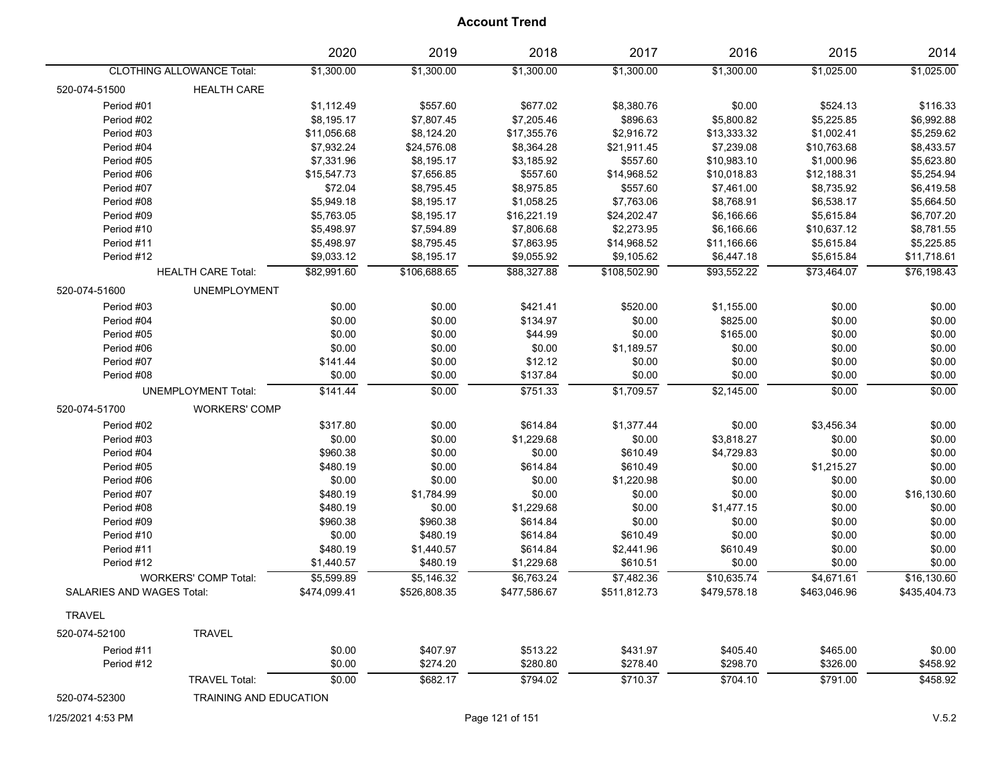|                                  |                                  | 2020         | 2019         | 2018         | 2017         | 2016         | 2015         | 2014         |
|----------------------------------|----------------------------------|--------------|--------------|--------------|--------------|--------------|--------------|--------------|
|                                  | <b>CLOTHING ALLOWANCE Total:</b> | \$1,300.00   | \$1,300.00   | \$1,300.00   | \$1,300.00   | \$1,300.00   | \$1,025.00   | \$1,025.00   |
| 520-074-51500                    | <b>HEALTH CARE</b>               |              |              |              |              |              |              |              |
| Period #01                       |                                  | \$1,112.49   | \$557.60     | \$677.02     | \$8,380.76   | \$0.00       | \$524.13     | \$116.33     |
| Period #02                       |                                  | \$8,195.17   | \$7,807.45   | \$7,205.46   | \$896.63     | \$5,800.82   | \$5,225.85   | \$6,992.88   |
| Period #03                       |                                  | \$11,056.68  | \$8,124.20   | \$17,355.76  | \$2,916.72   | \$13,333.32  | \$1,002.41   | \$5,259.62   |
| Period #04                       |                                  | \$7,932.24   | \$24,576.08  | \$8,364.28   | \$21,911.45  | \$7,239.08   | \$10,763.68  | \$8,433.57   |
| Period #05                       |                                  | \$7,331.96   | \$8,195.17   | \$3,185.92   | \$557.60     | \$10,983.10  | \$1,000.96   | \$5,623.80   |
| Period #06                       |                                  | \$15,547.73  | \$7,656.85   | \$557.60     | \$14,968.52  | \$10,018.83  | \$12,188.31  | \$5,254.94   |
| Period #07                       |                                  | \$72.04      | \$8,795.45   | \$8,975.85   | \$557.60     | \$7,461.00   | \$8,735.92   | \$6,419.58   |
| Period #08                       |                                  | \$5,949.18   | \$8,195.17   | \$1,058.25   | \$7,763.06   | \$8,768.91   | \$6,538.17   | \$5,664.50   |
| Period #09                       |                                  | \$5,763.05   | \$8,195.17   | \$16,221.19  | \$24,202.47  | \$6,166.66   | \$5,615.84   | \$6,707.20   |
| Period #10                       |                                  | \$5,498.97   | \$7,594.89   | \$7,806.68   | \$2,273.95   | \$6,166.66   | \$10,637.12  | \$8,781.55   |
| Period #11                       |                                  | \$5,498.97   | \$8,795.45   | \$7,863.95   | \$14,968.52  | \$11,166.66  | \$5,615.84   | \$5,225.85   |
| Period #12                       |                                  | \$9,033.12   | \$8,195.17   | \$9,055.92   | \$9,105.62   | \$6,447.18   | \$5,615.84   | \$11,718.61  |
|                                  | <b>HEALTH CARE Total:</b>        | \$82,991.60  | \$106,688.65 | \$88,327.88  | \$108,502.90 | \$93,552.22  | \$73,464.07  | \$76,198.43  |
| 520-074-51600                    | <b>UNEMPLOYMENT</b>              |              |              |              |              |              |              |              |
| Period #03                       |                                  | \$0.00       | \$0.00       | \$421.41     | \$520.00     | \$1,155.00   | \$0.00       | \$0.00       |
| Period #04                       |                                  | \$0.00       | \$0.00       | \$134.97     | \$0.00       | \$825.00     | \$0.00       | \$0.00       |
| Period #05                       |                                  | \$0.00       | \$0.00       | \$44.99      | \$0.00       | \$165.00     | \$0.00       | \$0.00       |
| Period #06                       |                                  | \$0.00       | \$0.00       | \$0.00       | \$1,189.57   | \$0.00       | \$0.00       | \$0.00       |
| Period #07                       |                                  | \$141.44     | \$0.00       | \$12.12      | \$0.00       | \$0.00       | \$0.00       | \$0.00       |
| Period #08                       |                                  | \$0.00       | \$0.00       | \$137.84     | \$0.00       | \$0.00       | \$0.00       | \$0.00       |
|                                  | <b>UNEMPLOYMENT Total:</b>       | \$141.44     | \$0.00       | \$751.33     | \$1,709.57   | \$2,145.00   | \$0.00       | \$0.00       |
| 520-074-51700                    | <b>WORKERS' COMP</b>             |              |              |              |              |              |              |              |
| Period #02                       |                                  | \$317.80     | \$0.00       | \$614.84     | \$1,377.44   | \$0.00       | \$3,456.34   | \$0.00       |
| Period #03                       |                                  | \$0.00       | \$0.00       | \$1,229.68   | \$0.00       | \$3,818.27   | \$0.00       | \$0.00       |
| Period #04                       |                                  | \$960.38     | \$0.00       | \$0.00       | \$610.49     | \$4,729.83   | \$0.00       | \$0.00       |
| Period #05                       |                                  | \$480.19     | \$0.00       | \$614.84     | \$610.49     | \$0.00       | \$1,215.27   | \$0.00       |
| Period #06                       |                                  | \$0.00       | \$0.00       | \$0.00       | \$1,220.98   | \$0.00       | \$0.00       | \$0.00       |
| Period #07                       |                                  | \$480.19     | \$1,784.99   | \$0.00       | \$0.00       | \$0.00       | \$0.00       | \$16,130.60  |
| Period #08                       |                                  | \$480.19     | \$0.00       | \$1,229.68   | \$0.00       | \$1,477.15   | \$0.00       | \$0.00       |
| Period #09                       |                                  | \$960.38     | \$960.38     | \$614.84     | \$0.00       | \$0.00       | \$0.00       | \$0.00       |
| Period #10                       |                                  | \$0.00       | \$480.19     | \$614.84     | \$610.49     | \$0.00       | \$0.00       | \$0.00       |
| Period #11                       |                                  | \$480.19     | \$1,440.57   | \$614.84     | \$2,441.96   | \$610.49     | \$0.00       | \$0.00       |
| Period #12                       |                                  | \$1,440.57   | \$480.19     | \$1,229.68   | \$610.51     | \$0.00       | \$0.00       | \$0.00       |
|                                  | <b>WORKERS' COMP Total:</b>      | \$5,599.89   | \$5,146.32   | \$6,763.24   | \$7,482.36   | \$10,635.74  | \$4,671.61   | \$16,130.60  |
| <b>SALARIES AND WAGES Total:</b> |                                  | \$474.099.41 | \$526.808.35 | \$477,586.67 | \$511,812.73 | \$479,578.18 | \$463,046.96 | \$435,404.73 |
| <b>TRAVEL</b>                    |                                  |              |              |              |              |              |              |              |
| 520-074-52100                    | <b>TRAVEL</b>                    |              |              |              |              |              |              |              |
|                                  |                                  |              |              |              |              |              |              |              |
| Period #11                       |                                  | \$0.00       | \$407.97     | \$513.22     | \$431.97     | \$405.40     | \$465.00     | \$0.00       |
| Period #12                       |                                  | \$0.00       | \$274.20     | \$280.80     | \$278.40     | \$298.70     | \$326.00     | \$458.92     |
|                                  | <b>TRAVEL Total:</b>             | \$0.00       | \$682.17     | \$794.02     | \$710.37     | \$704.10     | \$791.00     | \$458.92     |
| 520-074-52300                    | <b>TRAINING AND EDUCATION</b>    |              |              |              |              |              |              |              |

1/25/2021 4:53 PM Page 121 of 151 V.5.2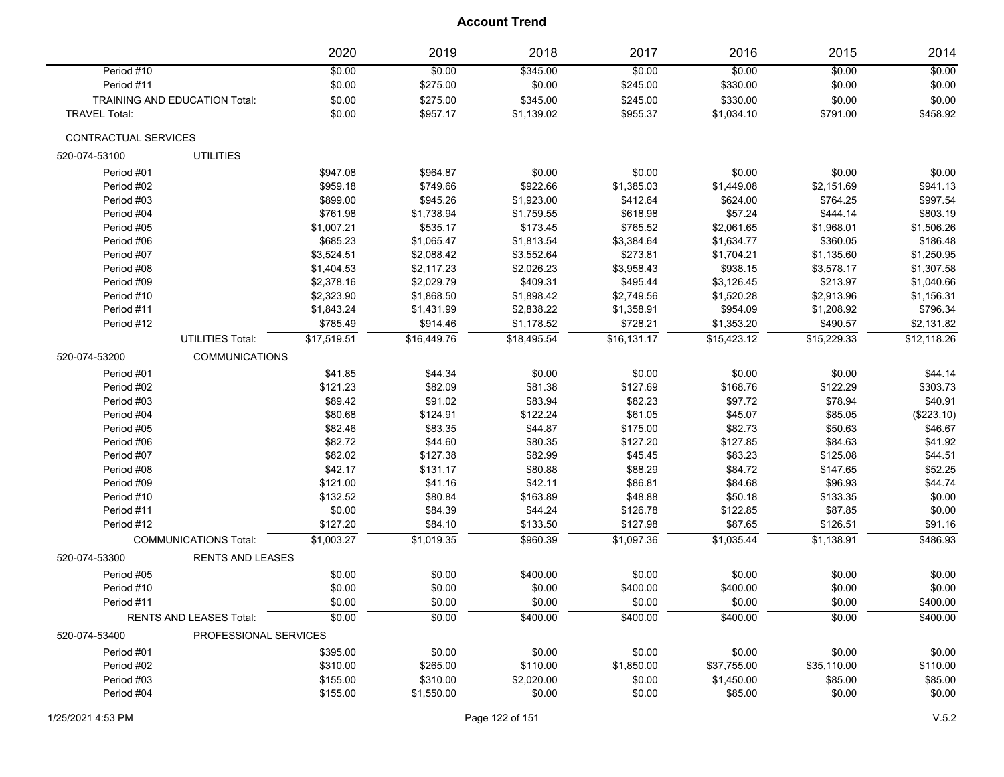|                             |                                      | 2020        | 2019        | 2018        | 2017           | 2016        | 2015        | 2014        |
|-----------------------------|--------------------------------------|-------------|-------------|-------------|----------------|-------------|-------------|-------------|
| Period #10                  |                                      | \$0.00      | \$0.00      | \$345.00    | $\sqrt{$0.00}$ | \$0.00      | \$0.00      | \$0.00      |
| Period #11                  |                                      | \$0.00      | \$275.00    | \$0.00      | \$245.00       | \$330.00    | \$0.00      | \$0.00      |
|                             | <b>TRAINING AND EDUCATION Total:</b> | \$0.00      | \$275.00    | \$345.00    | \$245.00       | \$330.00    | \$0.00      | \$0.00      |
| <b>TRAVEL Total:</b>        |                                      | \$0.00      | \$957.17    | \$1,139.02  | \$955.37       | \$1,034.10  | \$791.00    | \$458.92    |
| <b>CONTRACTUAL SERVICES</b> |                                      |             |             |             |                |             |             |             |
| 520-074-53100               | <b>UTILITIES</b>                     |             |             |             |                |             |             |             |
| Period #01                  |                                      | \$947.08    | \$964.87    | \$0.00      | \$0.00         | \$0.00      | \$0.00      | \$0.00      |
| Period #02                  |                                      | \$959.18    | \$749.66    | \$922.66    | \$1,385.03     | \$1,449.08  | \$2,151.69  | \$941.13    |
| Period #03                  |                                      | \$899.00    | \$945.26    | \$1,923.00  | \$412.64       | \$624.00    | \$764.25    | \$997.54    |
| Period #04                  |                                      | \$761.98    | \$1,738.94  | \$1,759.55  | \$618.98       | \$57.24     | \$444.14    | \$803.19    |
| Period #05                  |                                      | \$1,007.21  | \$535.17    | \$173.45    | \$765.52       | \$2,061.65  | \$1,968.01  | \$1,506.26  |
| Period #06                  |                                      | \$685.23    | \$1,065.47  | \$1,813.54  | \$3,384.64     | \$1,634.77  | \$360.05    | \$186.48    |
| Period #07                  |                                      | \$3,524.51  | \$2,088.42  | \$3,552.64  | \$273.81       | \$1,704.21  | \$1,135.60  | \$1,250.95  |
| Period #08                  |                                      | \$1,404.53  | \$2,117.23  | \$2,026.23  | \$3,958.43     | \$938.15    | \$3,578.17  | \$1,307.58  |
| Period #09                  |                                      | \$2,378.16  | \$2,029.79  | \$409.31    | \$495.44       | \$3,126.45  | \$213.97    | \$1,040.66  |
| Period #10                  |                                      | \$2,323.90  | \$1,868.50  | \$1,898.42  | \$2,749.56     | \$1,520.28  | \$2,913.96  | \$1,156.31  |
| Period #11                  |                                      | \$1,843.24  | \$1,431.99  | \$2,838.22  | \$1,358.91     | \$954.09    | \$1,208.92  | \$796.34    |
| Period #12                  |                                      | \$785.49    | \$914.46    | \$1,178.52  | \$728.21       | \$1,353.20  | \$490.57    | \$2,131.82  |
|                             | UTILITIES Total:                     | \$17,519.51 | \$16,449.76 | \$18,495.54 | \$16,131.17    | \$15,423.12 | \$15,229.33 | \$12,118.26 |
| 520-074-53200               | <b>COMMUNICATIONS</b>                |             |             |             |                |             |             |             |
| Period #01                  |                                      | \$41.85     | \$44.34     | \$0.00      | \$0.00         | \$0.00      | \$0.00      | \$44.14     |
| Period #02                  |                                      | \$121.23    | \$82.09     | \$81.38     | \$127.69       | \$168.76    | \$122.29    | \$303.73    |
| Period #03                  |                                      | \$89.42     | \$91.02     | \$83.94     | \$82.23        | \$97.72     | \$78.94     | \$40.91     |
| Period #04                  |                                      | \$80.68     | \$124.91    | \$122.24    | \$61.05        | \$45.07     | \$85.05     | (\$223.10)  |
| Period #05                  |                                      | \$82.46     | \$83.35     | \$44.87     | \$175.00       | \$82.73     | \$50.63     | \$46.67     |
| Period #06                  |                                      | \$82.72     | \$44.60     | \$80.35     | \$127.20       | \$127.85    | \$84.63     | \$41.92     |
| Period #07                  |                                      | \$82.02     | \$127.38    | \$82.99     | \$45.45        | \$83.23     | \$125.08    | \$44.51     |
| Period #08                  |                                      | \$42.17     | \$131.17    | \$80.88     | \$88.29        | \$84.72     | \$147.65    | \$52.25     |
| Period #09                  |                                      | \$121.00    | \$41.16     | \$42.11     | \$86.81        | \$84.68     | \$96.93     | \$44.74     |
| Period #10                  |                                      | \$132.52    | \$80.84     | \$163.89    | \$48.88        | \$50.18     | \$133.35    | \$0.00      |
| Period #11                  |                                      | \$0.00      | \$84.39     | \$44.24     | \$126.78       | \$122.85    | \$87.85     | \$0.00      |
| Period #12                  |                                      | \$127.20    | \$84.10     | \$133.50    | \$127.98       | \$87.65     | \$126.51    | \$91.16     |
|                             | <b>COMMUNICATIONS Total:</b>         | \$1,003.27  | \$1,019.35  | \$960.39    | \$1,097.36     | \$1,035.44  | \$1,138.91  | \$486.93    |
| 520-074-53300               | <b>RENTS AND LEASES</b>              |             |             |             |                |             |             |             |
| Period #05                  |                                      | \$0.00      | \$0.00      | \$400.00    | \$0.00         | \$0.00      | \$0.00      | \$0.00      |
| Period #10                  |                                      | \$0.00      | \$0.00      | \$0.00      | \$400.00       | \$400.00    | \$0.00      | \$0.00      |
| Period #11                  |                                      | \$0.00      | \$0.00      | \$0.00      | \$0.00         | \$0.00      | \$0.00      | \$400.00    |
|                             | <b>RENTS AND LEASES Total:</b>       | \$0.00      | \$0.00      | \$400.00    | \$400.00       | \$400.00    | \$0.00      | \$400.00    |
| 520-074-53400               | PROFESSIONAL SERVICES                |             |             |             |                |             |             |             |
| Period #01                  |                                      | \$395.00    | \$0.00      | \$0.00      | \$0.00         | \$0.00      | \$0.00      | \$0.00      |
| Period #02                  |                                      | \$310.00    | \$265.00    | \$110.00    | \$1,850.00     | \$37,755.00 | \$35,110.00 | \$110.00    |
| Period #03                  |                                      | \$155.00    | \$310.00    | \$2,020.00  | \$0.00         | \$1,450.00  | \$85.00     | \$85.00     |
| Period #04                  |                                      | \$155.00    | \$1,550.00  | \$0.00      | \$0.00         | \$85.00     | \$0.00      | \$0.00      |
|                             |                                      |             |             |             |                |             |             |             |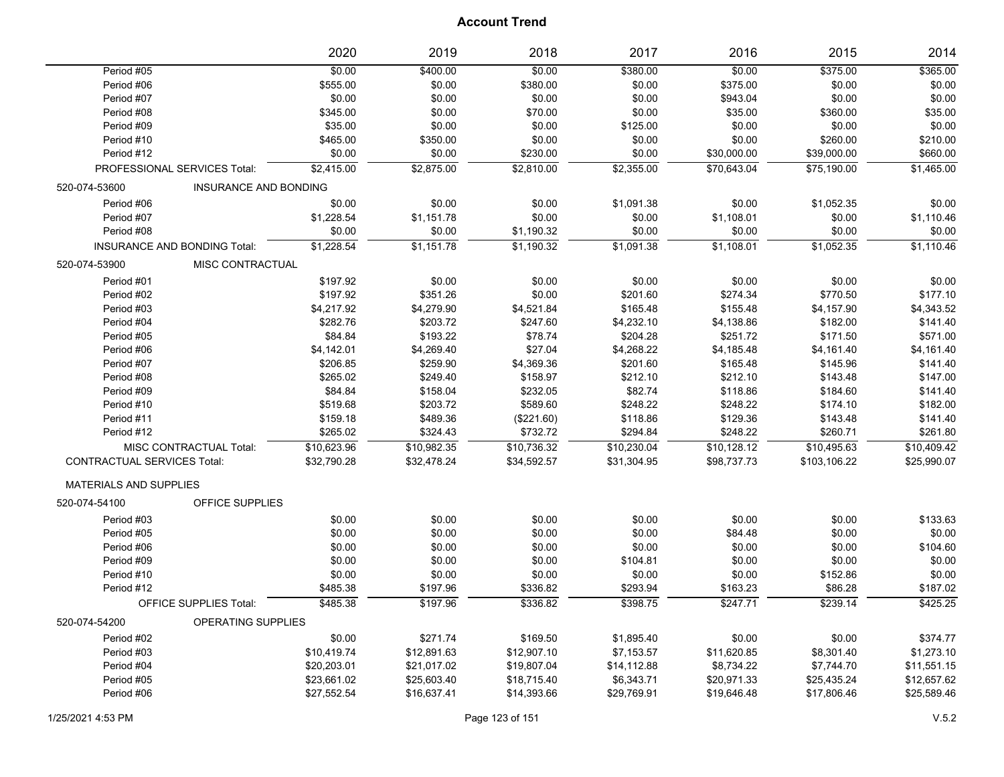|                                    |                                | 2020        | 2019        | 2018        | 2017        | 2016        | 2015         | 2014        |
|------------------------------------|--------------------------------|-------------|-------------|-------------|-------------|-------------|--------------|-------------|
| Period #05                         |                                | \$0.00      | \$400.00    | \$0.00      | \$380.00    | \$0.00      | \$375.00     | \$365.00    |
| Period #06                         |                                | \$555.00    | \$0.00      | \$380.00    | \$0.00      | \$375.00    | \$0.00       | \$0.00      |
| Period #07                         |                                | \$0.00      | \$0.00      | \$0.00      | \$0.00      | \$943.04    | \$0.00       | \$0.00      |
| Period #08                         |                                | \$345.00    | \$0.00      | \$70.00     | \$0.00      | \$35.00     | \$360.00     | \$35.00     |
| Period #09                         |                                | \$35.00     | \$0.00      | \$0.00      | \$125.00    | \$0.00      | \$0.00       | \$0.00      |
| Period #10                         |                                | \$465.00    | \$350.00    | \$0.00      | \$0.00      | \$0.00      | \$260.00     | \$210.00    |
| Period #12                         |                                | \$0.00      | \$0.00      | \$230.00    | \$0.00      | \$30,000.00 | \$39,000.00  | \$660.00    |
|                                    | PROFESSIONAL SERVICES Total:   | \$2,415.00  | \$2,875.00  | \$2,810.00  | \$2,355.00  | \$70,643.04 | \$75,190.00  | \$1,465.00  |
| 520-074-53600                      | <b>INSURANCE AND BONDING</b>   |             |             |             |             |             |              |             |
| Period #06                         |                                | \$0.00      | \$0.00      | \$0.00      | \$1,091.38  | \$0.00      | \$1,052.35   | \$0.00      |
| Period #07                         |                                | \$1,228.54  | \$1,151.78  | \$0.00      | \$0.00      | \$1,108.01  | \$0.00       | \$1,110.46  |
| Period #08                         |                                | \$0.00      | \$0.00      | \$1,190.32  | \$0.00      | \$0.00      | \$0.00       | \$0.00      |
|                                    | INSURANCE AND BONDING Total:   | \$1,228.54  | \$1,151.78  | \$1,190.32  | \$1,091.38  | \$1,108.01  | \$1,052.35   | \$1,110.46  |
| 520-074-53900                      | MISC CONTRACTUAL               |             |             |             |             |             |              |             |
| Period #01                         |                                | \$197.92    | \$0.00      | \$0.00      | \$0.00      | \$0.00      | \$0.00       | \$0.00      |
| Period #02                         |                                | \$197.92    | \$351.26    | \$0.00      | \$201.60    | \$274.34    | \$770.50     | \$177.10    |
| Period #03                         |                                | \$4,217.92  | \$4,279.90  | \$4,521.84  | \$165.48    | \$155.48    | \$4,157.90   | \$4,343.52  |
| Period #04                         |                                | \$282.76    | \$203.72    | \$247.60    | \$4,232.10  | \$4,138.86  | \$182.00     | \$141.40    |
| Period #05                         |                                | \$84.84     | \$193.22    | \$78.74     | \$204.28    | \$251.72    | \$171.50     | \$571.00    |
| Period #06                         |                                | \$4,142.01  | \$4,269.40  | \$27.04     | \$4,268.22  | \$4,185.48  | \$4,161.40   | \$4,161.40  |
| Period #07                         |                                | \$206.85    | \$259.90    | \$4,369.36  | \$201.60    | \$165.48    | \$145.96     | \$141.40    |
| Period #08                         |                                | \$265.02    | \$249.40    | \$158.97    | \$212.10    | \$212.10    | \$143.48     | \$147.00    |
| Period #09                         |                                | \$84.84     | \$158.04    | \$232.05    | \$82.74     | \$118.86    | \$184.60     | \$141.40    |
| Period #10                         |                                | \$519.68    | \$203.72    | \$589.60    | \$248.22    | \$248.22    | \$174.10     | \$182.00    |
| Period #11                         |                                | \$159.18    | \$489.36    | (\$221.60)  | \$118.86    | \$129.36    | \$143.48     | \$141.40    |
| Period #12                         |                                | \$265.02    | \$324.43    | \$732.72    | \$294.84    | \$248.22    | \$260.71     | \$261.80    |
|                                    | <b>MISC CONTRACTUAL Total:</b> | \$10,623.96 | \$10,982.35 | \$10,736.32 | \$10,230.04 | \$10,128.12 | \$10,495.63  | \$10,409.42 |
| <b>CONTRACTUAL SERVICES Total:</b> |                                | \$32,790.28 | \$32,478.24 | \$34,592.57 | \$31,304.95 | \$98,737.73 | \$103,106.22 | \$25,990.07 |
| <b>MATERIALS AND SUPPLIES</b>      |                                |             |             |             |             |             |              |             |
| 520-074-54100                      | OFFICE SUPPLIES                |             |             |             |             |             |              |             |
| Period #03                         |                                | \$0.00      | \$0.00      | \$0.00      | \$0.00      | \$0.00      | \$0.00       | \$133.63    |
| Period #05                         |                                | \$0.00      | \$0.00      | \$0.00      | \$0.00      | \$84.48     | \$0.00       | \$0.00      |
| Period #06                         |                                | \$0.00      | \$0.00      | \$0.00      | \$0.00      | \$0.00      | \$0.00       | \$104.60    |
| Period #09                         |                                | \$0.00      | \$0.00      | \$0.00      | \$104.81    | \$0.00      | \$0.00       | \$0.00      |
| Period #10                         |                                | \$0.00      | \$0.00      | \$0.00      | \$0.00      | \$0.00      | \$152.86     | \$0.00      |
| Period #12                         |                                | \$485.38    | \$197.96    | \$336.82    | \$293.94    | \$163.23    | \$86.28      | \$187.02    |
|                                    | <b>OFFICE SUPPLIES Total:</b>  | \$485.38    | \$197.96    | \$336.82    | \$398.75    | \$247.71    | \$239.14     | \$425.25    |
| 520-074-54200                      | OPERATING SUPPLIES             |             |             |             |             |             |              |             |
| Period #02                         |                                | \$0.00      | \$271.74    | \$169.50    | \$1,895.40  | \$0.00      | \$0.00       | \$374.77    |
| Period #03                         |                                | \$10,419.74 | \$12,891.63 | \$12,907.10 | \$7,153.57  | \$11,620.85 | \$8,301.40   | \$1,273.10  |
| Period #04                         |                                | \$20,203.01 | \$21,017.02 | \$19,807.04 | \$14,112.88 | \$8,734.22  | \$7,744.70   | \$11,551.15 |
| Period #05                         |                                | \$23,661.02 | \$25,603.40 | \$18,715.40 | \$6,343.71  | \$20,971.33 | \$25,435.24  | \$12,657.62 |
| Period #06                         |                                | \$27,552.54 | \$16,637.41 | \$14,393.66 | \$29,769.91 | \$19,646.48 | \$17,806.46  | \$25,589.46 |
|                                    |                                |             |             |             |             |             |              |             |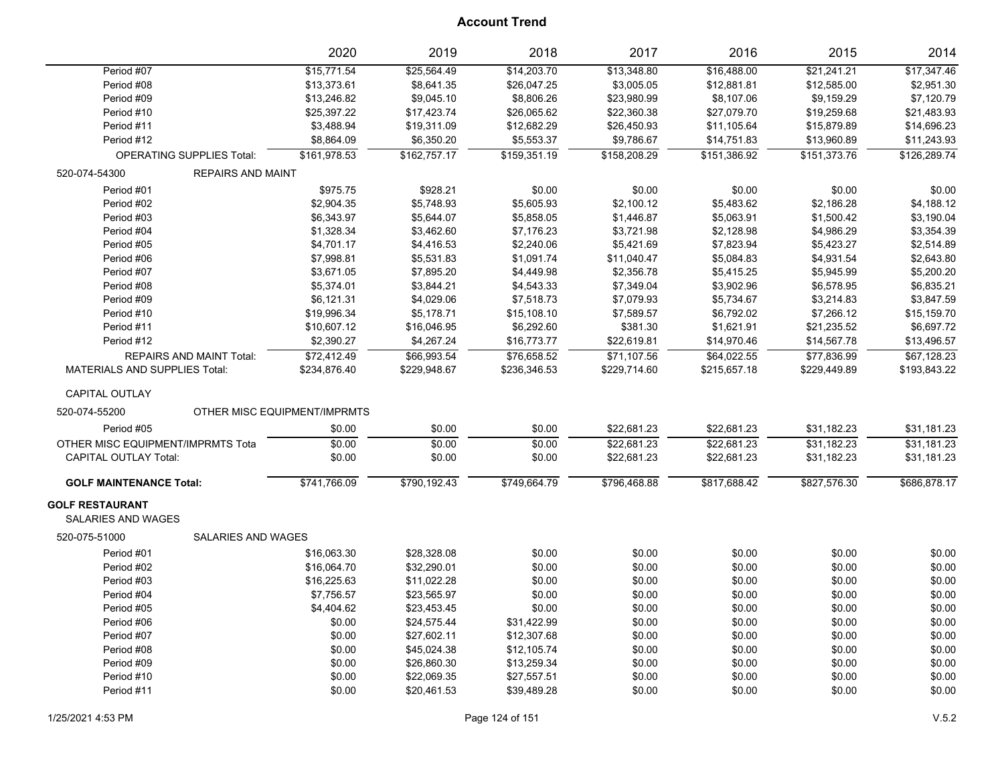|                                      |                                  | 2020                         | 2019         | 2018         | 2017         | 2016         | 2015         | 2014         |
|--------------------------------------|----------------------------------|------------------------------|--------------|--------------|--------------|--------------|--------------|--------------|
| Period #07                           |                                  | \$15,771.54                  | \$25,564.49  | \$14,203.70  | \$13,348.80  | \$16,488.00  | \$21,241.21  | \$17,347.46  |
| Period #08                           |                                  | \$13,373.61                  | \$8,641.35   | \$26,047.25  | \$3,005.05   | \$12,881.81  | \$12,585.00  | \$2,951.30   |
| Period #09                           |                                  | \$13,246.82                  | \$9,045.10   | \$8,806.26   | \$23,980.99  | \$8,107.06   | \$9,159.29   | \$7,120.79   |
| Period #10                           |                                  | \$25,397.22                  | \$17,423.74  | \$26,065.62  | \$22,360.38  | \$27,079.70  | \$19,259.68  | \$21,483.93  |
| Period #11                           |                                  | \$3,488.94                   | \$19,311.09  | \$12,682.29  | \$26,450.93  | \$11,105.64  | \$15,879.89  | \$14,696.23  |
| Period #12                           |                                  | \$8,864.09                   | \$6,350.20   | \$5,553.37   | \$9,786.67   | \$14,751.83  | \$13,960.89  | \$11,243.93  |
|                                      | <b>OPERATING SUPPLIES Total:</b> | \$161,978.53                 | \$162,757.17 | \$159,351.19 | \$158,208.29 | \$151,386.92 | \$151,373.76 | \$126,289.74 |
| 520-074-54300                        | <b>REPAIRS AND MAINT</b>         |                              |              |              |              |              |              |              |
| Period #01                           |                                  | \$975.75                     | \$928.21     | \$0.00       | \$0.00       | \$0.00       | \$0.00       | \$0.00       |
| Period #02                           |                                  | \$2,904.35                   | \$5,748.93   | \$5,605.93   | \$2,100.12   | \$5,483.62   | \$2,186.28   | \$4,188.12   |
| Period #03                           |                                  | \$6,343.97                   | \$5,644.07   | \$5,858.05   | \$1,446.87   | \$5,063.91   | \$1,500.42   | \$3,190.04   |
| Period #04                           |                                  | \$1,328.34                   | \$3,462.60   | \$7,176.23   | \$3,721.98   | \$2,128.98   | \$4,986.29   | \$3,354.39   |
| Period #05                           |                                  | \$4,701.17                   | \$4,416.53   | \$2,240.06   | \$5,421.69   | \$7,823.94   | \$5,423.27   | \$2,514.89   |
| Period #06                           |                                  | \$7,998.81                   | \$5,531.83   | \$1,091.74   | \$11,040.47  | \$5,084.83   | \$4,931.54   | \$2,643.80   |
| Period #07                           |                                  | \$3,671.05                   | \$7,895.20   | \$4,449.98   | \$2,356.78   | \$5,415.25   | \$5,945.99   | \$5,200.20   |
| Period #08                           |                                  | \$5,374.01                   | \$3,844.21   | \$4,543.33   | \$7,349.04   | \$3,902.96   | \$6,578.95   | \$6,835.21   |
| Period #09                           |                                  | \$6,121.31                   | \$4,029.06   | \$7,518.73   | \$7,079.93   | \$5,734.67   | \$3,214.83   | \$3,847.59   |
| Period #10                           |                                  | \$19,996.34                  | \$5,178.71   | \$15,108.10  | \$7,589.57   | \$6,792.02   | \$7,266.12   | \$15,159.70  |
| Period #11                           |                                  | \$10,607.12                  | \$16,046.95  | \$6,292.60   | \$381.30     | \$1,621.91   | \$21,235.52  | \$6,697.72   |
| Period #12                           |                                  | \$2,390.27                   | \$4,267.24   | \$16,773.77  | \$22,619.81  | \$14,970.46  | \$14,567.78  | \$13,496.57  |
|                                      | REPAIRS AND MAINT Total:         | \$72.412.49                  | \$66.993.54  | \$76.658.52  | \$71.107.56  | \$64.022.55  | \$77.836.99  | \$67.128.23  |
| <b>MATERIALS AND SUPPLIES Total:</b> |                                  | \$234,876.40                 | \$229,948.67 | \$236,346.53 | \$229,714.60 | \$215,657.18 | \$229,449.89 | \$193,843.22 |
| <b>CAPITAL OUTLAY</b>                |                                  |                              |              |              |              |              |              |              |
| 520-074-55200                        |                                  | OTHER MISC EQUIPMENT/IMPRMTS |              |              |              |              |              |              |
| Period #05                           |                                  | \$0.00                       | \$0.00       | \$0.00       | \$22,681.23  | \$22,681.23  | \$31,182.23  | \$31,181.23  |
| OTHER MISC EQUIPMENT/IMPRMTS Tota    |                                  | \$0.00                       | \$0.00       | \$0.00       | \$22,681.23  | \$22,681.23  | \$31,182.23  | \$31,181.23  |
| <b>CAPITAL OUTLAY Total:</b>         |                                  | \$0.00                       | \$0.00       | \$0.00       | \$22,681.23  | \$22,681.23  | \$31,182.23  | \$31,181.23  |
| <b>GOLF MAINTENANCE Total:</b>       |                                  | \$741,766.09                 | \$790,192.43 | \$749,664.79 | \$796,468.88 | \$817,688.42 | \$827,576.30 | \$686,878.17 |
| <b>GOLF RESTAURANT</b>               |                                  |                              |              |              |              |              |              |              |
| SALARIES AND WAGES                   |                                  |                              |              |              |              |              |              |              |
| 520-075-51000                        | <b>SALARIES AND WAGES</b>        |                              |              |              |              |              |              |              |
| Period #01                           |                                  | \$16,063.30                  | \$28,328.08  | \$0.00       | \$0.00       | \$0.00       | \$0.00       | \$0.00       |
| Period #02                           |                                  | \$16,064.70                  | \$32,290.01  | \$0.00       | \$0.00       | \$0.00       | \$0.00       | \$0.00       |
| Period #03                           |                                  | \$16,225.63                  | \$11,022.28  | \$0.00       | \$0.00       | \$0.00       | \$0.00       | \$0.00       |
| Period #04                           |                                  | \$7,756.57                   | \$23,565.97  | \$0.00       | \$0.00       | \$0.00       | \$0.00       | \$0.00       |
| Period #05                           |                                  | \$4,404.62                   | \$23,453.45  | \$0.00       | \$0.00       | \$0.00       | \$0.00       | \$0.00       |
| Period #06                           |                                  | \$0.00                       | \$24,575.44  | \$31,422.99  | \$0.00       | \$0.00       | \$0.00       | \$0.00       |
| Period #07                           |                                  | \$0.00                       | \$27,602.11  | \$12,307.68  | \$0.00       | \$0.00       | \$0.00       | \$0.00       |
| Period #08                           |                                  | \$0.00                       | \$45,024.38  | \$12,105.74  | \$0.00       | \$0.00       | \$0.00       | \$0.00       |
| Period #09                           |                                  | \$0.00                       | \$26,860.30  | \$13,259.34  | \$0.00       | \$0.00       | \$0.00       | \$0.00       |
| Period #10                           |                                  | \$0.00                       | \$22,069.35  | \$27,557.51  | \$0.00       | \$0.00       | \$0.00       | \$0.00       |
| Period #11                           |                                  | \$0.00                       | \$20,461.53  | \$39,489.28  | \$0.00       | \$0.00       | \$0.00       | \$0.00       |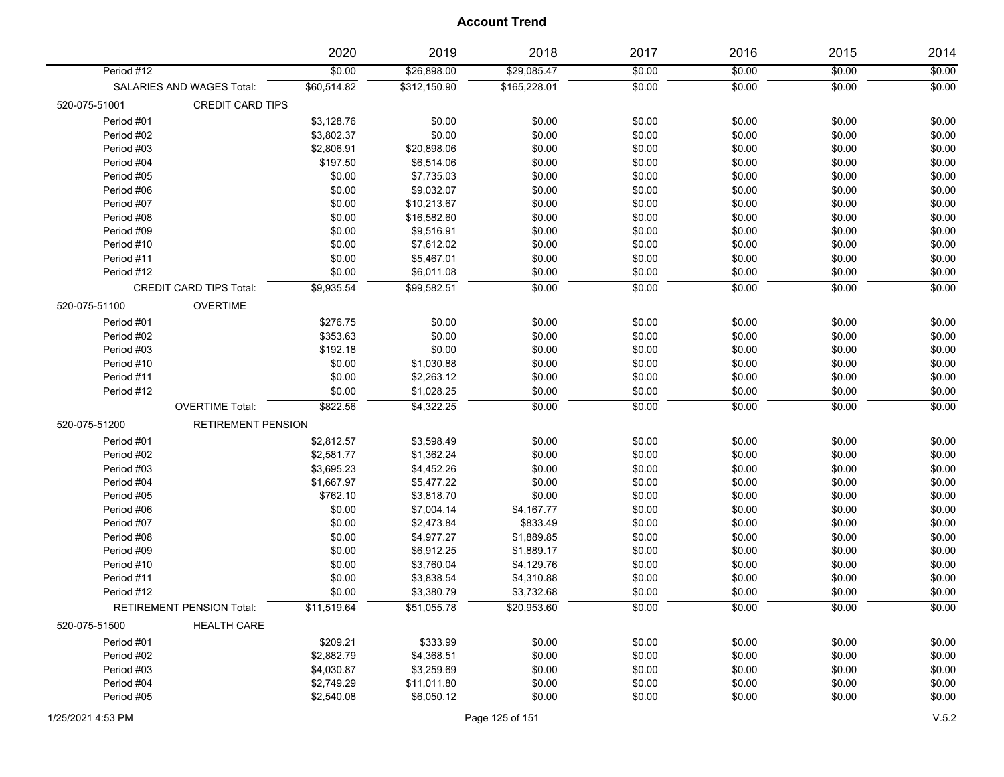|               |                                  | 2020        | 2019         | 2018         | 2017   | 2016           | 2015             | 2014             |
|---------------|----------------------------------|-------------|--------------|--------------|--------|----------------|------------------|------------------|
| Period #12    |                                  | \$0.00      | \$26,898.00  | \$29,085.47  | \$0.00 | \$0.00         | \$0.00           | \$0.00           |
|               | <b>SALARIES AND WAGES Total:</b> | \$60,514.82 | \$312.150.90 | \$165,228.01 | \$0.00 | \$0.00         | \$0.00           | \$0.00           |
| 520-075-51001 | <b>CREDIT CARD TIPS</b>          |             |              |              |        |                |                  |                  |
| Period #01    |                                  | \$3,128.76  | \$0.00       | \$0.00       | \$0.00 | \$0.00         | \$0.00           | \$0.00           |
| Period #02    |                                  | \$3,802.37  | \$0.00       | \$0.00       | \$0.00 | \$0.00         | \$0.00           | \$0.00           |
| Period #03    |                                  | \$2,806.91  | \$20,898.06  | \$0.00       | \$0.00 | \$0.00         | \$0.00           | \$0.00           |
| Period #04    |                                  | \$197.50    | \$6,514.06   | \$0.00       | \$0.00 | \$0.00         | \$0.00           | \$0.00           |
| Period #05    |                                  | \$0.00      | \$7,735.03   | \$0.00       | \$0.00 | \$0.00         | \$0.00           | \$0.00           |
| Period #06    |                                  | \$0.00      | \$9,032.07   | \$0.00       | \$0.00 | \$0.00         | \$0.00           | \$0.00           |
| Period #07    |                                  | \$0.00      | \$10,213.67  | \$0.00       | \$0.00 | \$0.00         | \$0.00           | \$0.00           |
| Period #08    |                                  | \$0.00      | \$16,582.60  | \$0.00       | \$0.00 | \$0.00         | \$0.00           | \$0.00           |
| Period #09    |                                  | \$0.00      | \$9,516.91   | \$0.00       | \$0.00 | \$0.00         | \$0.00           | \$0.00           |
| Period #10    |                                  | \$0.00      | \$7,612.02   | \$0.00       | \$0.00 | \$0.00         | \$0.00           | \$0.00           |
| Period #11    |                                  | \$0.00      | \$5,467.01   | \$0.00       | \$0.00 | \$0.00         | \$0.00           | \$0.00           |
| Period #12    |                                  | \$0.00      | \$6,011.08   | \$0.00       | \$0.00 | \$0.00         | \$0.00           | \$0.00           |
|               | <b>CREDIT CARD TIPS Total:</b>   | \$9.935.54  | \$99.582.51  | \$0.00       | \$0.00 | \$0.00         | \$0.00           | \$0.00           |
| 520-075-51100 | <b>OVERTIME</b>                  |             |              |              |        |                |                  |                  |
| Period #01    |                                  | \$276.75    | \$0.00       | \$0.00       | \$0.00 | \$0.00         | \$0.00           | \$0.00           |
| Period #02    |                                  | \$353.63    | \$0.00       | \$0.00       | \$0.00 | \$0.00         | \$0.00           | \$0.00           |
| Period #03    |                                  | \$192.18    | \$0.00       | \$0.00       | \$0.00 | \$0.00         | \$0.00           | \$0.00           |
| Period #10    |                                  | \$0.00      | \$1,030.88   | \$0.00       | \$0.00 | \$0.00         | \$0.00           | \$0.00           |
| Period #11    |                                  | \$0.00      | \$2,263.12   | \$0.00       | \$0.00 | \$0.00         | \$0.00           | \$0.00           |
| Period #12    |                                  | \$0.00      | \$1,028.25   | \$0.00       | \$0.00 | \$0.00         | \$0.00           | \$0.00           |
|               | <b>OVERTIME Total:</b>           | \$822.56    | \$4,322.25   | \$0.00       | \$0.00 | \$0.00         | \$0.00           | \$0.00           |
|               |                                  |             |              |              |        |                |                  |                  |
| 520-075-51200 | <b>RETIREMENT PENSION</b>        |             |              |              |        |                |                  |                  |
| Period #01    |                                  | \$2,812.57  | \$3,598.49   | \$0.00       | \$0.00 | \$0.00         | \$0.00           | \$0.00           |
| Period #02    |                                  | \$2,581.77  | \$1,362.24   | \$0.00       | \$0.00 | \$0.00         | \$0.00           | \$0.00           |
| Period #03    |                                  | \$3,695.23  | \$4,452.26   | \$0.00       | \$0.00 | \$0.00         | \$0.00           | \$0.00           |
| Period #04    |                                  | \$1,667.97  | \$5,477.22   | \$0.00       | \$0.00 | \$0.00         | \$0.00           | \$0.00           |
| Period #05    |                                  | \$762.10    | \$3,818.70   | \$0.00       | \$0.00 | \$0.00         | \$0.00           | \$0.00           |
| Period #06    |                                  | \$0.00      | \$7,004.14   | \$4,167.77   | \$0.00 | \$0.00         | \$0.00           | \$0.00           |
| Period #07    |                                  | \$0.00      | \$2,473.84   | \$833.49     | \$0.00 | \$0.00         | \$0.00           | \$0.00           |
| Period #08    |                                  | \$0.00      | \$4,977.27   | \$1,889.85   | \$0.00 | \$0.00         | \$0.00           | \$0.00           |
| Period #09    |                                  | \$0.00      | \$6,912.25   | \$1,889.17   | \$0.00 | \$0.00         | \$0.00<br>\$0.00 | \$0.00<br>\$0.00 |
| Period #10    |                                  | \$0.00      | \$3,760.04   | \$4,129.76   | \$0.00 | \$0.00         |                  |                  |
| Period #11    |                                  | \$0.00      | \$3,838.54   | \$4,310.88   | \$0.00 | \$0.00         | \$0.00           | \$0.00           |
| Period #12    |                                  | \$0.00      | \$3,380.79   | \$3,732.68   | \$0.00 | \$0.00         | \$0.00           | \$0.00           |
|               | <b>RETIREMENT PENSION Total:</b> | \$11,519.64 | \$51,055.78  | \$20,953.60  | \$0.00 | $\frac{1}{00}$ | \$0.00           | \$0.00           |
| 520-075-51500 | <b>HEALTH CARE</b>               |             |              |              |        |                |                  |                  |
| Period #01    |                                  | \$209.21    | \$333.99     | \$0.00       | \$0.00 | \$0.00         | \$0.00           | \$0.00           |
| Period #02    |                                  | \$2,882.79  | \$4,368.51   | \$0.00       | \$0.00 | \$0.00         | \$0.00           | \$0.00           |
| Period #03    |                                  | \$4,030.87  | \$3,259.69   | \$0.00       | \$0.00 | \$0.00         | \$0.00           | \$0.00           |
| Period #04    |                                  | \$2,749.29  | \$11,011.80  | \$0.00       | \$0.00 | \$0.00         | \$0.00           | \$0.00           |
| Period #05    |                                  | \$2,540.08  | \$6,050.12   | \$0.00       | \$0.00 | \$0.00         | \$0.00           | \$0.00           |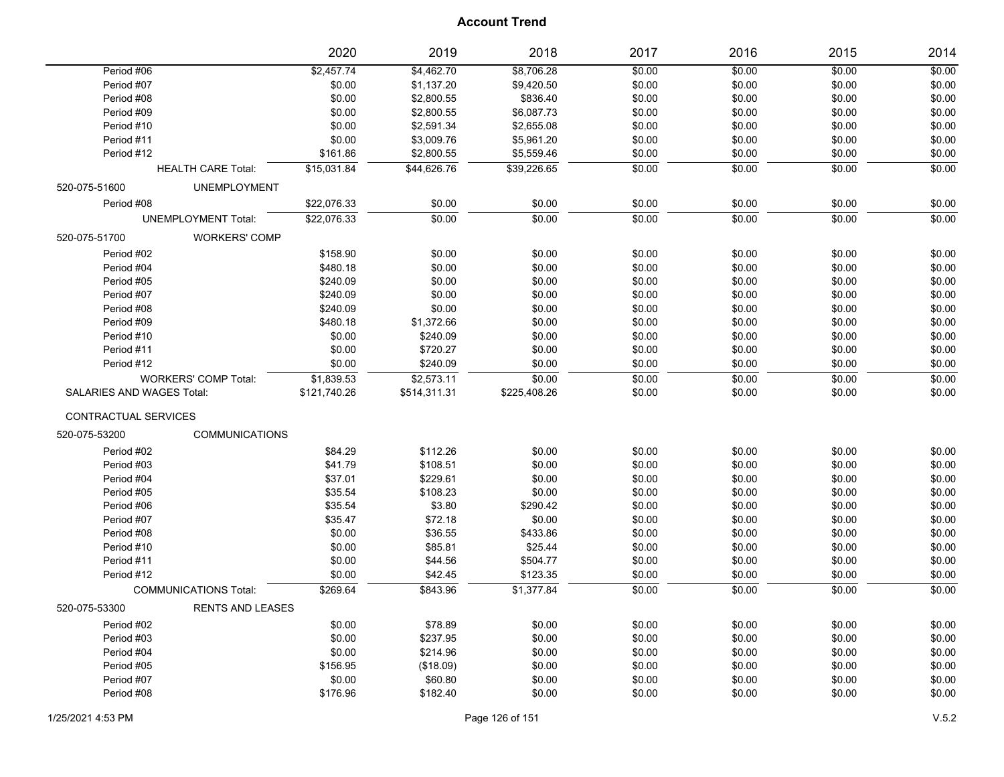|                           |                              | 2020         | 2019         | 2018         | 2017   | 2016           | 2015           | 2014   |
|---------------------------|------------------------------|--------------|--------------|--------------|--------|----------------|----------------|--------|
| Period #06                |                              | \$2,457.74   | \$4,462.70   | \$8,706.28   | \$0.00 | \$0.00         | \$0.00         | \$0.00 |
| Period #07                |                              | \$0.00       | \$1,137.20   | \$9,420.50   | \$0.00 | \$0.00         | \$0.00         | \$0.00 |
| Period #08                |                              | \$0.00       | \$2,800.55   | \$836.40     | \$0.00 | \$0.00         | \$0.00         | \$0.00 |
| Period #09                |                              | \$0.00       | \$2,800.55   | \$6,087.73   | \$0.00 | \$0.00         | \$0.00         | \$0.00 |
| Period #10                |                              | \$0.00       | \$2,591.34   | \$2,655.08   | \$0.00 | \$0.00         | \$0.00         | \$0.00 |
| Period #11                |                              | \$0.00       | \$3,009.76   | \$5,961.20   | \$0.00 | \$0.00         | \$0.00         | \$0.00 |
| Period #12                |                              | \$161.86     | \$2,800.55   | \$5,559.46   | \$0.00 | \$0.00         | \$0.00         | \$0.00 |
|                           | <b>HEALTH CARE Total:</b>    | \$15,031.84  | \$44,626.76  | \$39,226.65  | \$0.00 | \$0.00         | \$0.00         | \$0.00 |
| 520-075-51600             | <b>UNEMPLOYMENT</b>          |              |              |              |        |                |                |        |
| Period #08                |                              | \$22,076.33  | \$0.00       | \$0.00       | \$0.00 | \$0.00         | \$0.00         | \$0.00 |
|                           | <b>UNEMPLOYMENT Total:</b>   | \$22,076.33  | \$0.00       | \$0.00       | 50.00  | $\frac{1}{00}$ | $\frac{1}{00}$ | \$0.00 |
| 520-075-51700             | <b>WORKERS' COMP</b>         |              |              |              |        |                |                |        |
| Period #02                |                              | \$158.90     | \$0.00       | \$0.00       | \$0.00 | \$0.00         | \$0.00         | \$0.00 |
| Period #04                |                              | \$480.18     | \$0.00       | \$0.00       | \$0.00 | \$0.00         | \$0.00         | \$0.00 |
| Period #05                |                              | \$240.09     | \$0.00       | \$0.00       | \$0.00 | \$0.00         | \$0.00         | \$0.00 |
| Period #07                |                              | \$240.09     | \$0.00       | \$0.00       | \$0.00 | \$0.00         | \$0.00         | \$0.00 |
| Period #08                |                              | \$240.09     | \$0.00       | \$0.00       | \$0.00 | \$0.00         | \$0.00         | \$0.00 |
| Period #09                |                              | \$480.18     | \$1,372.66   | \$0.00       | \$0.00 | \$0.00         | \$0.00         | \$0.00 |
| Period #10                |                              | \$0.00       | \$240.09     | \$0.00       | \$0.00 | \$0.00         | \$0.00         | \$0.00 |
| Period #11                |                              | \$0.00       | \$720.27     | \$0.00       | \$0.00 | \$0.00         | \$0.00         | \$0.00 |
| Period #12                |                              | \$0.00       | \$240.09     | \$0.00       | \$0.00 | \$0.00         | \$0.00         | \$0.00 |
|                           | <b>WORKERS' COMP Total:</b>  | \$1,839.53   | \$2,573.11   | \$0.00       | 50.00  | \$0.00         | $\frac{1}{00}$ | \$0.00 |
| SALARIES AND WAGES Total: |                              | \$121,740.26 | \$514,311.31 | \$225,408.26 | \$0.00 | \$0.00         | \$0.00         | \$0.00 |
| CONTRACTUAL SERVICES      |                              |              |              |              |        |                |                |        |
| 520-075-53200             | <b>COMMUNICATIONS</b>        |              |              |              |        |                |                |        |
| Period #02                |                              | \$84.29      | \$112.26     | \$0.00       | \$0.00 | \$0.00         | \$0.00         | \$0.00 |
| Period #03                |                              | \$41.79      | \$108.51     | \$0.00       | \$0.00 | \$0.00         | \$0.00         | \$0.00 |
| Period #04                |                              | \$37.01      | \$229.61     | \$0.00       | \$0.00 | \$0.00         | \$0.00         | \$0.00 |
| Period #05                |                              | \$35.54      | \$108.23     | \$0.00       | \$0.00 | \$0.00         | \$0.00         | \$0.00 |
| Period #06                |                              | \$35.54      | \$3.80       | \$290.42     | \$0.00 | \$0.00         | \$0.00         | \$0.00 |
| Period #07                |                              | \$35.47      | \$72.18      | \$0.00       | \$0.00 | \$0.00         | \$0.00         | \$0.00 |
| Period #08                |                              | \$0.00       | \$36.55      | \$433.86     | \$0.00 | \$0.00         | \$0.00         | \$0.00 |
| Period #10                |                              | \$0.00       | \$85.81      | \$25.44      | \$0.00 | \$0.00         | \$0.00         | \$0.00 |
| Period #11                |                              | \$0.00       | \$44.56      | \$504.77     | \$0.00 | \$0.00         | \$0.00         | \$0.00 |
| Period #12                |                              | \$0.00       | \$42.45      | \$123.35     | \$0.00 | \$0.00         | \$0.00         | \$0.00 |
|                           | <b>COMMUNICATIONS Total:</b> | \$269.64     | \$843.96     | \$1,377.84   | \$0.00 | \$0.00         | \$0.00         | \$0.00 |
| 520-075-53300             | <b>RENTS AND LEASES</b>      |              |              |              |        |                |                |        |
| Period #02                |                              | \$0.00       | \$78.89      | \$0.00       | \$0.00 | \$0.00         | \$0.00         | \$0.00 |
| Period #03                |                              | \$0.00       | \$237.95     | \$0.00       | \$0.00 | \$0.00         | \$0.00         | \$0.00 |
| Period #04                |                              | \$0.00       | \$214.96     | \$0.00       | \$0.00 | \$0.00         | \$0.00         | \$0.00 |
| Period #05                |                              | \$156.95     | (\$18.09)    | \$0.00       | \$0.00 | \$0.00         | \$0.00         | \$0.00 |
| Period #07                |                              | \$0.00       | \$60.80      | \$0.00       | \$0.00 | \$0.00         | \$0.00         | \$0.00 |
| Period #08                |                              | \$176.96     | \$182.40     | \$0.00       | \$0.00 | \$0.00         | \$0.00         | \$0.00 |
|                           |                              |              |              |              |        |                |                |        |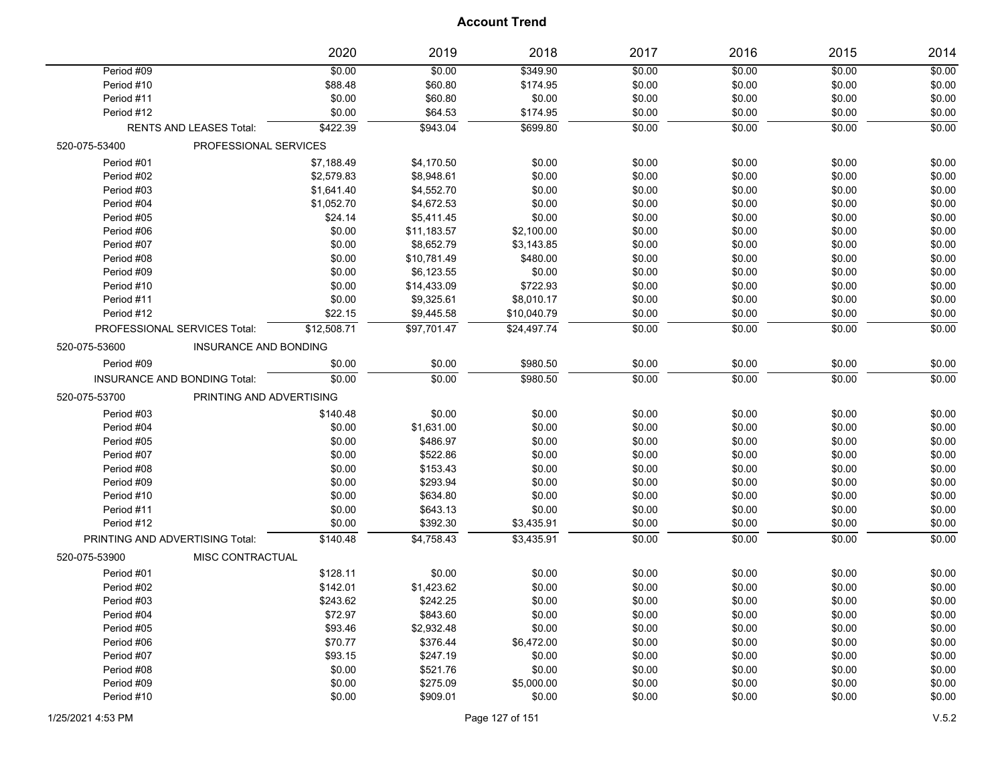|               |                                     | 2020        | 2019        | 2018        | 2017   | 2016   | 2015   | 2014   |
|---------------|-------------------------------------|-------------|-------------|-------------|--------|--------|--------|--------|
| Period #09    |                                     | \$0.00      | \$0.00      | \$349.90    | \$0.00 | \$0.00 | \$0.00 | \$0.00 |
| Period #10    |                                     | \$88.48     | \$60.80     | \$174.95    | \$0.00 | \$0.00 | \$0.00 | \$0.00 |
| Period #11    |                                     | \$0.00      | \$60.80     | \$0.00      | \$0.00 | \$0.00 | \$0.00 | \$0.00 |
| Period #12    |                                     | \$0.00      | \$64.53     | \$174.95    | \$0.00 | \$0.00 | \$0.00 | \$0.00 |
|               | <b>RENTS AND LEASES Total:</b>      | \$422.39    | \$943.04    | \$699.80    | \$0.00 | \$0.00 | \$0.00 | \$0.00 |
| 520-075-53400 | PROFESSIONAL SERVICES               |             |             |             |        |        |        |        |
| Period #01    |                                     | \$7,188.49  | \$4,170.50  | \$0.00      | \$0.00 | \$0.00 | \$0.00 | \$0.00 |
| Period #02    |                                     | \$2,579.83  | \$8,948.61  | \$0.00      | \$0.00 | \$0.00 | \$0.00 | \$0.00 |
| Period #03    |                                     | \$1,641.40  | \$4,552.70  | \$0.00      | \$0.00 | \$0.00 | \$0.00 | \$0.00 |
| Period #04    |                                     | \$1,052.70  | \$4,672.53  | \$0.00      | \$0.00 | \$0.00 | \$0.00 | \$0.00 |
| Period #05    |                                     | \$24.14     | \$5,411.45  | \$0.00      | \$0.00 | \$0.00 | \$0.00 | \$0.00 |
| Period #06    |                                     | \$0.00      | \$11,183.57 | \$2,100.00  | \$0.00 | \$0.00 | \$0.00 | \$0.00 |
| Period #07    |                                     | \$0.00      | \$8,652.79  | \$3,143.85  | \$0.00 | \$0.00 | \$0.00 | \$0.00 |
| Period #08    |                                     | \$0.00      | \$10,781.49 | \$480.00    | \$0.00 | \$0.00 | \$0.00 | \$0.00 |
| Period #09    |                                     | \$0.00      | \$6,123.55  | \$0.00      | \$0.00 | \$0.00 | \$0.00 | \$0.00 |
| Period #10    |                                     | \$0.00      | \$14,433.09 | \$722.93    | \$0.00 | \$0.00 | \$0.00 | \$0.00 |
| Period #11    |                                     | \$0.00      | \$9,325.61  | \$8,010.17  | \$0.00 | \$0.00 | \$0.00 | \$0.00 |
| Period #12    |                                     | \$22.15     | \$9,445.58  | \$10,040.79 | \$0.00 | \$0.00 | \$0.00 | \$0.00 |
|               | PROFESSIONAL SERVICES Total:        | \$12,508.71 | \$97,701.47 | \$24,497.74 | \$0.00 | \$0.00 | \$0.00 | \$0.00 |
| 520-075-53600 | INSURANCE AND BONDING               |             |             |             |        |        |        |        |
| Period #09    |                                     | \$0.00      | \$0.00      | \$980.50    | \$0.00 | \$0.00 | \$0.00 | \$0.00 |
|               | <b>INSURANCE AND BONDING Total:</b> | \$0.00      | \$0.00      | \$980.50    | \$0.00 | \$0.00 | \$0.00 | \$0.00 |
| 520-075-53700 | PRINTING AND ADVERTISING            |             |             |             |        |        |        |        |
| Period #03    |                                     | \$140.48    | \$0.00      | \$0.00      | \$0.00 | \$0.00 | \$0.00 | \$0.00 |
| Period #04    |                                     | \$0.00      | \$1,631.00  | \$0.00      | \$0.00 | \$0.00 | \$0.00 | \$0.00 |
| Period #05    |                                     | \$0.00      | \$486.97    | \$0.00      | \$0.00 | \$0.00 | \$0.00 | \$0.00 |
| Period #07    |                                     | \$0.00      | \$522.86    | \$0.00      | \$0.00 | \$0.00 | \$0.00 | \$0.00 |
| Period #08    |                                     | \$0.00      | \$153.43    | \$0.00      | \$0.00 | \$0.00 | \$0.00 | \$0.00 |
| Period #09    |                                     | \$0.00      | \$293.94    | \$0.00      | \$0.00 | \$0.00 | \$0.00 | \$0.00 |
| Period #10    |                                     | \$0.00      | \$634.80    | \$0.00      | \$0.00 | \$0.00 | \$0.00 | \$0.00 |
| Period #11    |                                     | \$0.00      | \$643.13    | \$0.00      | \$0.00 | \$0.00 | \$0.00 | \$0.00 |
| Period #12    |                                     | \$0.00      | \$392.30    | \$3,435.91  | \$0.00 | \$0.00 | \$0.00 | \$0.00 |
|               | PRINTING AND ADVERTISING Total:     | \$140.48    | \$4,758.43  | \$3,435.91  | \$0.00 | \$0.00 | \$0.00 | \$0.00 |
| 520-075-53900 | MISC CONTRACTUAL                    |             |             |             |        |        |        |        |
| Period #01    |                                     | \$128.11    | \$0.00      | \$0.00      | \$0.00 | \$0.00 | \$0.00 | \$0.00 |
| Period #02    |                                     | \$142.01    | \$1,423.62  | \$0.00      | \$0.00 | \$0.00 | \$0.00 | \$0.00 |
| Period #03    |                                     | \$243.62    | \$242.25    | \$0.00      | \$0.00 | \$0.00 | \$0.00 | \$0.00 |
| Period #04    |                                     | \$72.97     | \$843.60    | \$0.00      | \$0.00 | \$0.00 | \$0.00 | \$0.00 |
| Period #05    |                                     | \$93.46     | \$2,932.48  | \$0.00      | \$0.00 | \$0.00 | \$0.00 | \$0.00 |
| Period #06    |                                     | \$70.77     | \$376.44    | \$6,472.00  | \$0.00 | \$0.00 | \$0.00 | \$0.00 |
| Period #07    |                                     | \$93.15     | \$247.19    | \$0.00      | \$0.00 | \$0.00 | \$0.00 | \$0.00 |
| Period #08    |                                     | \$0.00      | \$521.76    | \$0.00      | \$0.00 | \$0.00 | \$0.00 | \$0.00 |
| Period #09    |                                     | \$0.00      | \$275.09    | \$5,000.00  | \$0.00 | \$0.00 | \$0.00 | \$0.00 |
| Period #10    |                                     | \$0.00      | \$909.01    | \$0.00      | \$0.00 | \$0.00 | \$0.00 | \$0.00 |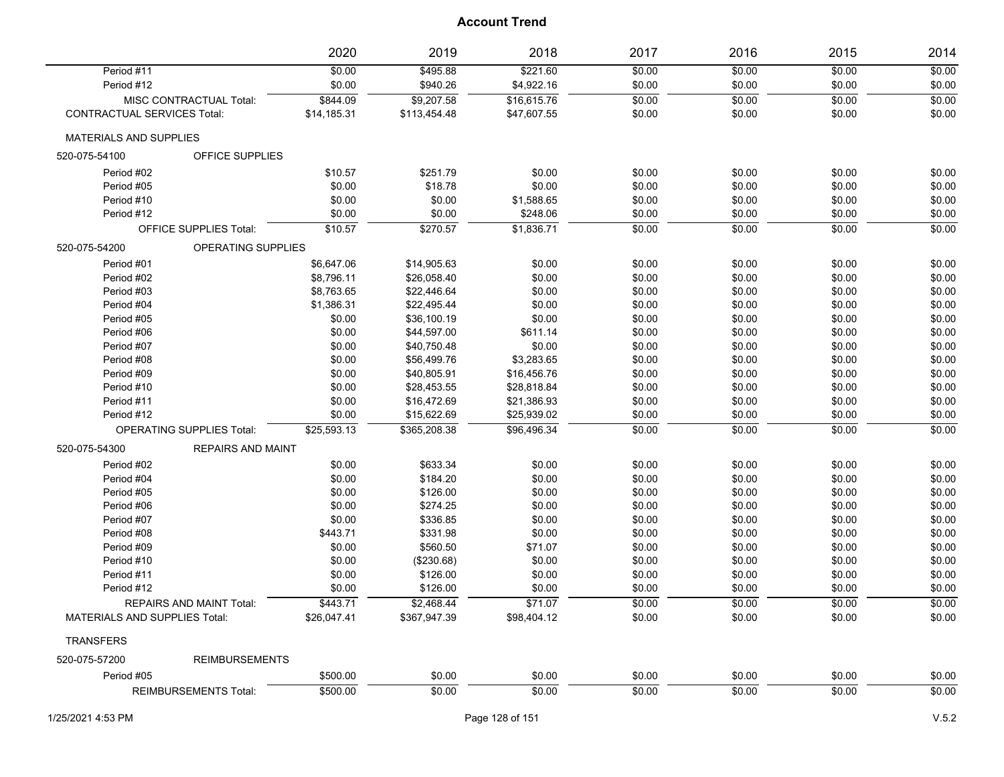|                                      |                                  | 2020        | 2019         | 2018        | 2017   | 2016   | 2015   | 2014   |
|--------------------------------------|----------------------------------|-------------|--------------|-------------|--------|--------|--------|--------|
| Period #11                           |                                  | \$0.00      | \$495.88     | \$221.60    | \$0.00 | \$0.00 | \$0.00 | \$0.00 |
| Period #12                           |                                  | \$0.00      | \$940.26     | \$4,922.16  | \$0.00 | \$0.00 | \$0.00 | \$0.00 |
|                                      | MISC CONTRACTUAL Total:          | \$844.09    | \$9,207.58   | \$16,615.76 | \$0.00 | \$0.00 | \$0.00 | \$0.00 |
| <b>CONTRACTUAL SERVICES Total:</b>   |                                  | \$14,185.31 | \$113,454.48 | \$47,607.55 | \$0.00 | \$0.00 | \$0.00 | \$0.00 |
| <b>MATERIALS AND SUPPLIES</b>        |                                  |             |              |             |        |        |        |        |
| 520-075-54100                        | <b>OFFICE SUPPLIES</b>           |             |              |             |        |        |        |        |
| Period #02                           |                                  | \$10.57     | \$251.79     | \$0.00      | \$0.00 | \$0.00 | \$0.00 | \$0.00 |
| Period #05                           |                                  | \$0.00      | \$18.78      | \$0.00      | \$0.00 | \$0.00 | \$0.00 | \$0.00 |
| Period #10                           |                                  | \$0.00      | \$0.00       | \$1,588.65  | \$0.00 | \$0.00 | \$0.00 | \$0.00 |
| Period #12                           |                                  | \$0.00      | \$0.00       | \$248.06    | \$0.00 | \$0.00 | \$0.00 | \$0.00 |
|                                      | OFFICE SUPPLIES Total:           | \$10.57     | \$270.57     | \$1.836.71  | \$0.00 | \$0.00 | \$0.00 | \$0.00 |
| 520-075-54200                        | OPERATING SUPPLIES               |             |              |             |        |        |        |        |
| Period #01                           |                                  | \$6,647.06  | \$14,905.63  | \$0.00      | \$0.00 | \$0.00 | \$0.00 | \$0.00 |
| Period #02                           |                                  | \$8,796.11  | \$26,058.40  | \$0.00      | \$0.00 | \$0.00 | \$0.00 | \$0.00 |
| Period #03                           |                                  | \$8,763.65  | \$22,446.64  | \$0.00      | \$0.00 | \$0.00 | \$0.00 | \$0.00 |
| Period #04                           |                                  | \$1,386.31  | \$22,495.44  | \$0.00      | \$0.00 | \$0.00 | \$0.00 | \$0.00 |
| Period #05                           |                                  | \$0.00      | \$36,100.19  | \$0.00      | \$0.00 | \$0.00 | \$0.00 | \$0.00 |
| Period #06                           |                                  | \$0.00      | \$44,597.00  | \$611.14    | \$0.00 | \$0.00 | \$0.00 | \$0.00 |
| Period #07                           |                                  | \$0.00      | \$40,750.48  | \$0.00      | \$0.00 | \$0.00 | \$0.00 | \$0.00 |
| Period #08                           |                                  | \$0.00      | \$56,499.76  | \$3,283.65  | \$0.00 | \$0.00 | \$0.00 | \$0.00 |
| Period #09                           |                                  | \$0.00      | \$40,805.91  | \$16,456.76 | \$0.00 | \$0.00 | \$0.00 | \$0.00 |
| Period #10                           |                                  | \$0.00      | \$28,453.55  | \$28,818.84 | \$0.00 | \$0.00 | \$0.00 | \$0.00 |
| Period #11                           |                                  | \$0.00      | \$16,472.69  | \$21,386.93 | \$0.00 | \$0.00 | \$0.00 | \$0.00 |
| Period #12                           |                                  | \$0.00      | \$15,622.69  | \$25,939.02 | \$0.00 | \$0.00 | \$0.00 | \$0.00 |
|                                      | <b>OPERATING SUPPLIES Total:</b> | \$25,593.13 | \$365,208.38 | \$96,496.34 | \$0.00 | \$0.00 | \$0.00 | \$0.00 |
| 520-075-54300                        | REPAIRS AND MAINT                |             |              |             |        |        |        |        |
| Period #02                           |                                  | \$0.00      | \$633.34     | \$0.00      | \$0.00 | \$0.00 | \$0.00 | \$0.00 |
| Period #04                           |                                  | \$0.00      | \$184.20     | \$0.00      | \$0.00 | \$0.00 | \$0.00 | \$0.00 |
| Period #05                           |                                  | \$0.00      | \$126.00     | \$0.00      | \$0.00 | \$0.00 | \$0.00 | \$0.00 |
| Period #06                           |                                  | \$0.00      | \$274.25     | \$0.00      | \$0.00 | \$0.00 | \$0.00 | \$0.00 |
| Period #07                           |                                  | \$0.00      | \$336.85     | \$0.00      | \$0.00 | \$0.00 | \$0.00 | \$0.00 |
| Period #08                           |                                  | \$443.71    | \$331.98     | \$0.00      | \$0.00 | \$0.00 | \$0.00 | \$0.00 |
| Period #09                           |                                  | \$0.00      | \$560.50     | \$71.07     | \$0.00 | \$0.00 | \$0.00 | \$0.00 |
| Period #10                           |                                  | \$0.00      | (\$230.68)   | \$0.00      | \$0.00 | \$0.00 | \$0.00 | \$0.00 |
| Period #11                           |                                  | \$0.00      | \$126.00     | \$0.00      | \$0.00 | \$0.00 | \$0.00 | \$0.00 |
| Period #12                           |                                  | \$0.00      | \$126.00     | \$0.00      | \$0.00 | \$0.00 | \$0.00 | \$0.00 |
|                                      | REPAIRS AND MAINT Total:         | \$443.71    | \$2,468.44   | \$71.07     | \$0.00 | \$0.00 | \$0.00 | \$0.00 |
| <b>MATERIALS AND SUPPLIES Total:</b> |                                  | \$26,047.41 | \$367,947.39 | \$98,404.12 | \$0.00 | \$0.00 | \$0.00 | \$0.00 |
| <b>TRANSFERS</b>                     |                                  |             |              |             |        |        |        |        |
| 520-075-57200                        | <b>REIMBURSEMENTS</b>            |             |              |             |        |        |        |        |
| Period #05                           |                                  | \$500.00    | \$0.00       | \$0.00      | \$0.00 | \$0.00 | \$0.00 | \$0.00 |
|                                      | <b>REIMBURSEMENTS Total:</b>     | \$500.00    | \$0.00       | \$0.00      | \$0.00 | \$0.00 | \$0.00 | \$0.00 |
|                                      |                                  |             |              |             |        |        |        |        |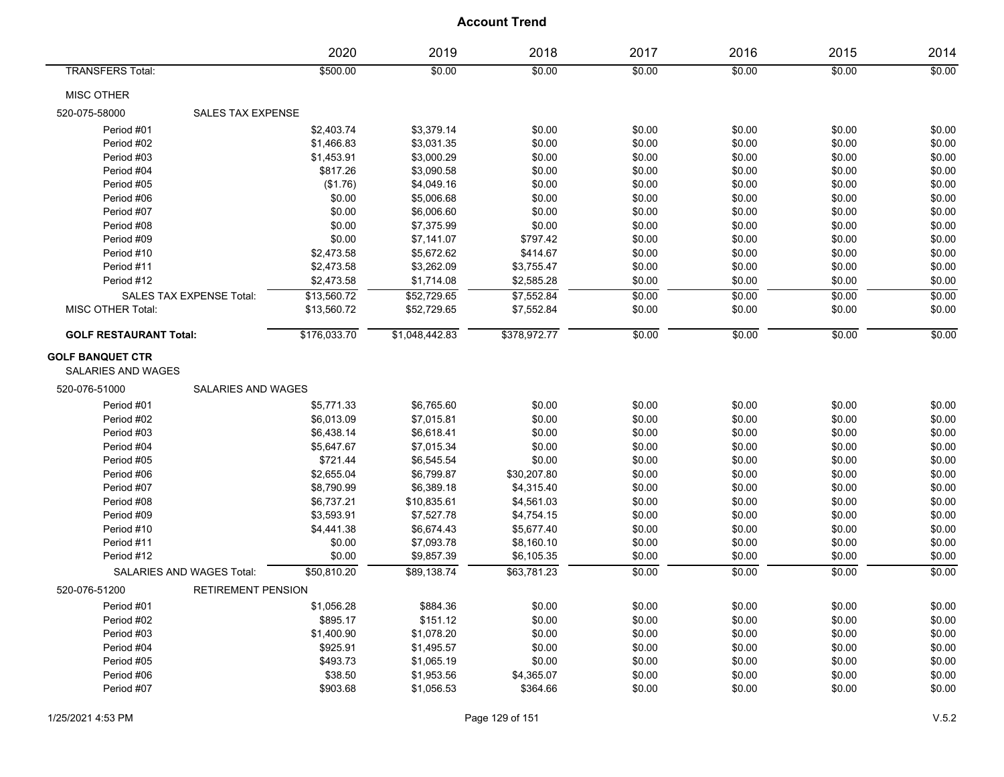|                                               |                                 | 2020         | 2019           | 2018         | 2017   | 2016   | 2015   | 2014   |
|-----------------------------------------------|---------------------------------|--------------|----------------|--------------|--------|--------|--------|--------|
| <b>TRANSFERS Total:</b>                       |                                 | \$500.00     | \$0.00         | \$0.00       | \$0.00 | \$0.00 | \$0.00 | \$0.00 |
| MISC OTHER                                    |                                 |              |                |              |        |        |        |        |
| 520-075-58000                                 | <b>SALES TAX EXPENSE</b>        |              |                |              |        |        |        |        |
| Period #01                                    |                                 | \$2,403.74   | \$3,379.14     | \$0.00       | \$0.00 | \$0.00 | \$0.00 | \$0.00 |
| Period #02                                    |                                 | \$1,466.83   | \$3,031.35     | \$0.00       | \$0.00 | \$0.00 | \$0.00 | \$0.00 |
| Period #03                                    |                                 | \$1,453.91   | \$3,000.29     | \$0.00       | \$0.00 | \$0.00 | \$0.00 | \$0.00 |
| Period #04                                    |                                 | \$817.26     | \$3,090.58     | \$0.00       | \$0.00 | \$0.00 | \$0.00 | \$0.00 |
| Period #05                                    |                                 | (\$1.76)     | \$4,049.16     | \$0.00       | \$0.00 | \$0.00 | \$0.00 | \$0.00 |
| Period #06                                    |                                 | \$0.00       | \$5,006.68     | \$0.00       | \$0.00 | \$0.00 | \$0.00 | \$0.00 |
| Period #07                                    |                                 | \$0.00       | \$6,006.60     | \$0.00       | \$0.00 | \$0.00 | \$0.00 | \$0.00 |
| Period #08                                    |                                 | \$0.00       | \$7,375.99     | \$0.00       | \$0.00 | \$0.00 | \$0.00 | \$0.00 |
| Period #09                                    |                                 | \$0.00       | \$7,141.07     | \$797.42     | \$0.00 | \$0.00 | \$0.00 | \$0.00 |
| Period #10                                    |                                 | \$2,473.58   | \$5,672.62     | \$414.67     | \$0.00 | \$0.00 | \$0.00 | \$0.00 |
| Period #11                                    |                                 | \$2,473.58   | \$3,262.09     | \$3,755.47   | \$0.00 | \$0.00 | \$0.00 | \$0.00 |
| Period #12                                    |                                 | \$2,473.58   | \$1,714.08     | \$2,585.28   | \$0.00 | \$0.00 | \$0.00 | \$0.00 |
|                                               | <b>SALES TAX EXPENSE Total:</b> | \$13,560.72  | \$52,729.65    | \$7,552.84   | 50.00  | \$0.00 | \$0.00 | \$0.00 |
| <b>MISC OTHER Total:</b>                      |                                 | \$13,560.72  | \$52,729.65    | \$7,552.84   | \$0.00 | \$0.00 | \$0.00 | \$0.00 |
| <b>GOLF RESTAURANT Total:</b>                 |                                 | \$176,033.70 | \$1,048,442.83 | \$378,972.77 | \$0.00 | \$0.00 | \$0.00 | \$0.00 |
| <b>GOLF BANQUET CTR</b><br>SALARIES AND WAGES |                                 |              |                |              |        |        |        |        |
| 520-076-51000                                 | <b>SALARIES AND WAGES</b>       |              |                |              |        |        |        |        |
| Period #01                                    |                                 | \$5,771.33   | \$6,765.60     | \$0.00       | \$0.00 | \$0.00 | \$0.00 | \$0.00 |
| Period #02                                    |                                 | \$6,013.09   | \$7,015.81     | \$0.00       | \$0.00 | \$0.00 | \$0.00 | \$0.00 |
| Period #03                                    |                                 | \$6,438.14   | \$6,618.41     | \$0.00       | \$0.00 | \$0.00 | \$0.00 | \$0.00 |
| Period #04                                    |                                 | \$5,647.67   | \$7,015.34     | \$0.00       | \$0.00 | \$0.00 | \$0.00 | \$0.00 |
| Period #05                                    |                                 | \$721.44     | \$6,545.54     | \$0.00       | \$0.00 | \$0.00 | \$0.00 | \$0.00 |
| Period #06                                    |                                 | \$2,655.04   | \$6,799.87     | \$30,207.80  | \$0.00 | \$0.00 | \$0.00 | \$0.00 |
| Period #07                                    |                                 | \$8,790.99   | \$6,389.18     | \$4,315.40   | \$0.00 | \$0.00 | \$0.00 | \$0.00 |
| Period #08                                    |                                 | \$6,737.21   | \$10,835.61    | \$4,561.03   | \$0.00 | \$0.00 | \$0.00 | \$0.00 |
| Period #09                                    |                                 | \$3,593.91   | \$7,527.78     | \$4,754.15   | \$0.00 | \$0.00 | \$0.00 | \$0.00 |
| Period #10                                    |                                 | \$4,441.38   | \$6,674.43     | \$5,677.40   | \$0.00 | \$0.00 | \$0.00 | \$0.00 |
| Period #11                                    |                                 | \$0.00       | \$7,093.78     | \$8,160.10   | \$0.00 | \$0.00 | \$0.00 | \$0.00 |
| Period #12                                    |                                 | \$0.00       | \$9,857.39     | \$6,105.35   | \$0.00 | \$0.00 | \$0.00 | \$0.00 |
|                                               | SALARIES AND WAGES Total:       | \$50,810.20  | \$89,138.74    | \$63,781.23  | \$0.00 | \$0.00 | \$0.00 | \$0.00 |
| 520-076-51200                                 | RETIREMENT PENSION              |              |                |              |        |        |        |        |
| Period #01                                    |                                 | \$1,056.28   | \$884.36       | \$0.00       | \$0.00 | \$0.00 | \$0.00 | \$0.00 |
| Period #02                                    |                                 | \$895.17     | \$151.12       | \$0.00       | \$0.00 | \$0.00 | \$0.00 | \$0.00 |
| Period #03                                    |                                 | \$1,400.90   | \$1,078.20     | \$0.00       | \$0.00 | \$0.00 | \$0.00 | \$0.00 |
| Period #04                                    |                                 | \$925.91     | \$1,495.57     | \$0.00       | \$0.00 | \$0.00 | \$0.00 | \$0.00 |
| Period #05                                    |                                 | \$493.73     | \$1,065.19     | \$0.00       | \$0.00 | \$0.00 | \$0.00 | \$0.00 |
| Period #06                                    |                                 | \$38.50      | \$1,953.56     | \$4,365.07   | \$0.00 | \$0.00 | \$0.00 | \$0.00 |
| Period #07                                    |                                 | \$903.68     | \$1,056.53     | \$364.66     | \$0.00 | \$0.00 | \$0.00 | \$0.00 |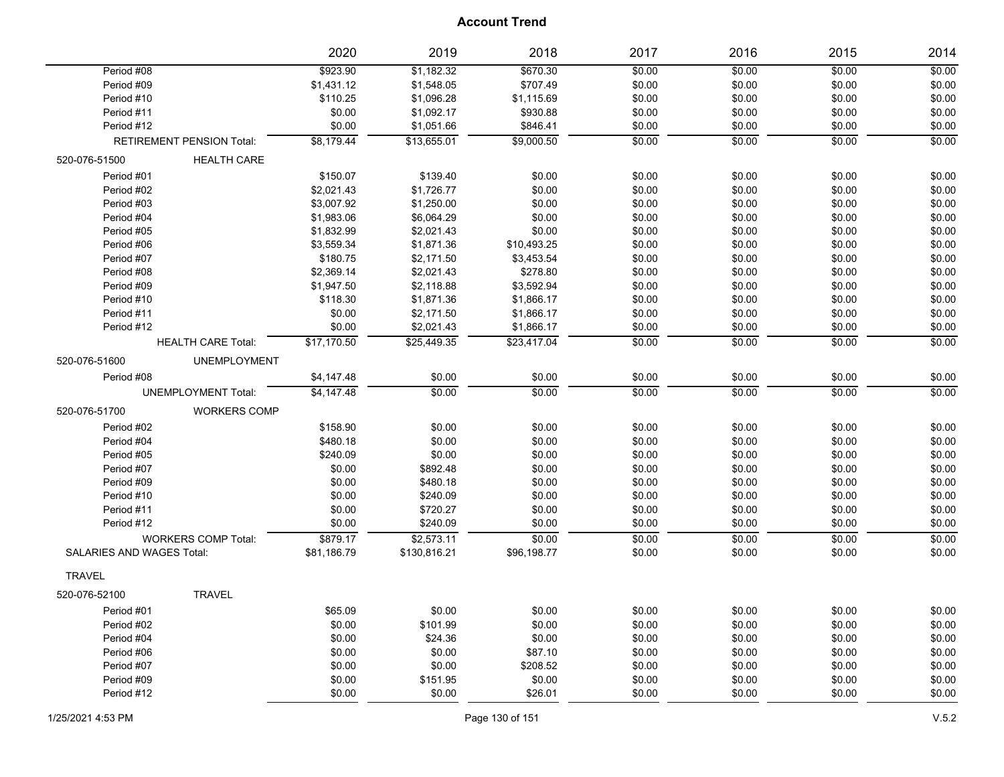|                           |                                  | 2020             | 2019               | 2018              | 2017             | 2016             | 2015             | 2014             |
|---------------------------|----------------------------------|------------------|--------------------|-------------------|------------------|------------------|------------------|------------------|
| Period #08                |                                  | \$923.90         | \$1,182.32         | \$670.30          | \$0.00           | \$0.00           | \$0.00           | \$0.00           |
| Period #09                |                                  | \$1,431.12       | \$1,548.05         | \$707.49          | \$0.00           | \$0.00           | \$0.00           | \$0.00           |
| Period #10                |                                  | \$110.25         | \$1,096.28         | \$1,115.69        | \$0.00           | \$0.00           | \$0.00           | \$0.00           |
| Period #11                |                                  | \$0.00           | \$1,092.17         | \$930.88          | \$0.00           | \$0.00           | \$0.00           | \$0.00           |
| Period #12                |                                  | \$0.00           | \$1,051.66         | \$846.41          | \$0.00           | \$0.00           | \$0.00           | \$0.00           |
|                           | <b>RETIREMENT PENSION Total:</b> | \$8,179.44       | \$13.655.01        | \$9,000.50        | \$0.00           | \$0.00           | \$0.00           | \$0.00           |
| 520-076-51500             | <b>HEALTH CARE</b>               |                  |                    |                   |                  |                  |                  |                  |
| Period #01                |                                  | \$150.07         | \$139.40           | \$0.00            | \$0.00           | \$0.00           | \$0.00           | \$0.00           |
| Period #02                |                                  | \$2,021.43       | \$1,726.77         | \$0.00            | \$0.00           | \$0.00           | \$0.00           | \$0.00           |
| Period #03                |                                  | \$3,007.92       | \$1,250.00         | \$0.00            | \$0.00           | \$0.00           | \$0.00           | \$0.00           |
| Period #04                |                                  | \$1,983.06       | \$6,064.29         | \$0.00            | \$0.00           | \$0.00           | \$0.00           | \$0.00           |
| Period #05                |                                  | \$1,832.99       | \$2,021.43         | \$0.00            | \$0.00           | \$0.00           | \$0.00           | \$0.00           |
| Period #06                |                                  | \$3,559.34       | \$1,871.36         | \$10,493.25       | \$0.00           | \$0.00           | \$0.00           | \$0.00           |
| Period #07                |                                  | \$180.75         | \$2,171.50         | \$3,453.54        | \$0.00           | \$0.00           | \$0.00           | \$0.00           |
| Period #08                |                                  | \$2,369.14       | \$2,021.43         | \$278.80          | \$0.00           | \$0.00           | \$0.00           | \$0.00           |
| Period #09                |                                  | \$1,947.50       | \$2,118.88         | \$3,592.94        | \$0.00           | \$0.00           | \$0.00           | \$0.00           |
| Period #10                |                                  | \$118.30         | \$1,871.36         | \$1,866.17        | \$0.00           | \$0.00           | \$0.00           | \$0.00           |
| Period #11                |                                  | \$0.00           | \$2,171.50         | \$1,866.17        | \$0.00           | \$0.00           | \$0.00           | \$0.00           |
| Period #12                |                                  | \$0.00           | \$2,021.43         | \$1,866.17        | \$0.00           | \$0.00           | \$0.00           | \$0.00           |
|                           | <b>HEALTH CARE Total:</b>        | \$17,170.50      | \$25.449.35        | \$23.417.04       | \$0.00           | \$0.00           | \$0.00           | \$0.00           |
| 520-076-51600             | <b>UNEMPLOYMENT</b>              |                  |                    |                   |                  |                  |                  |                  |
| Period #08                |                                  | \$4,147.48       | \$0.00             | \$0.00            | \$0.00           | \$0.00           | \$0.00           | \$0.00           |
|                           | <b>UNEMPLOYMENT Total:</b>       | \$4,147.48       | \$0.00             | \$0.00            | \$0.00           | \$0.00           | \$0.00           | \$0.00           |
| 520-076-51700             | <b>WORKERS COMP</b>              |                  |                    |                   |                  |                  |                  |                  |
| Period #02                |                                  | \$158.90         | \$0.00             | \$0.00            | \$0.00           | \$0.00           | \$0.00           | \$0.00           |
| Period #04                |                                  | \$480.18         | \$0.00             | \$0.00            | \$0.00           | \$0.00           | \$0.00           | \$0.00           |
| Period #05                |                                  | \$240.09         | \$0.00             | \$0.00            | \$0.00           | \$0.00           | \$0.00           | \$0.00           |
| Period #07                |                                  | \$0.00           | \$892.48           | \$0.00            | \$0.00           | \$0.00           | \$0.00           | \$0.00           |
| Period #09                |                                  | \$0.00           | \$480.18           | \$0.00            | \$0.00           | \$0.00           | \$0.00           | \$0.00           |
| Period #10                |                                  | \$0.00           | \$240.09           | \$0.00            | \$0.00           | \$0.00           | \$0.00           | \$0.00           |
| Period #11                |                                  | \$0.00           | \$720.27           | \$0.00            | \$0.00           | \$0.00           | \$0.00           | \$0.00           |
| Period #12                |                                  | \$0.00           | \$240.09           | \$0.00            | \$0.00           | \$0.00           | \$0.00           | \$0.00           |
|                           | <b>WORKERS COMP Total:</b>       | \$879.17         | \$2,573.11         | \$0.00            | \$0.00           | \$0.00           | \$0.00           | \$0.00           |
| SALARIES AND WAGES Total: |                                  | \$81,186.79      | \$130,816.21       | \$96,198.77       | \$0.00           | \$0.00           | \$0.00           | \$0.00           |
| <b>TRAVEL</b>             |                                  |                  |                    |                   |                  |                  |                  |                  |
| 520-076-52100             | <b>TRAVEL</b>                    |                  |                    |                   |                  |                  |                  |                  |
| Period #01                |                                  | \$65.09          | \$0.00             | \$0.00            | \$0.00           | \$0.00           | \$0.00           | \$0.00           |
| Period #02                |                                  | \$0.00           | \$101.99           | \$0.00            | \$0.00           | \$0.00           | \$0.00           | \$0.00           |
| Period #04                |                                  | \$0.00           | \$24.36            | \$0.00            | \$0.00           | \$0.00           | \$0.00           | \$0.00           |
| Period #06                |                                  | \$0.00           | \$0.00             | \$87.10           | \$0.00           | \$0.00           | \$0.00           | \$0.00           |
|                           |                                  | \$0.00           |                    | \$208.52          |                  |                  |                  | \$0.00           |
| Period #07                |                                  |                  | \$0.00             |                   | \$0.00           | \$0.00           | \$0.00           |                  |
| Period #09                |                                  | \$0.00<br>\$0.00 | \$151.95<br>\$0.00 | \$0.00<br>\$26.01 | \$0.00<br>\$0.00 | \$0.00<br>\$0.00 | \$0.00<br>\$0.00 | \$0.00<br>\$0.00 |
| Period #12                |                                  |                  |                    |                   |                  |                  |                  |                  |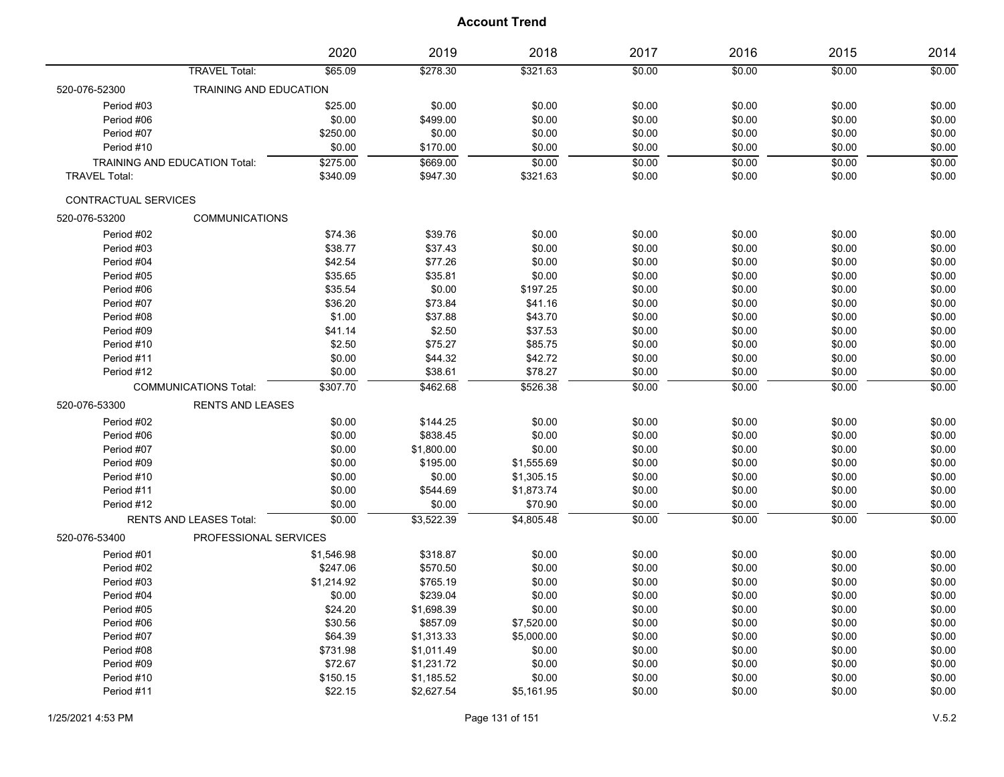|                      |                                      | 2020       | 2019       | 2018       | 2017   | 2016   | 2015   | 2014   |
|----------------------|--------------------------------------|------------|------------|------------|--------|--------|--------|--------|
|                      | <b>TRAVEL Total:</b>                 | \$65.09    | \$278.30   | \$321.63   | \$0.00 | \$0.00 | \$0.00 | \$0.00 |
| 520-076-52300        | TRAINING AND EDUCATION               |            |            |            |        |        |        |        |
| Period #03           |                                      | \$25.00    | \$0.00     | \$0.00     | \$0.00 | \$0.00 | \$0.00 | \$0.00 |
| Period #06           |                                      | \$0.00     | \$499.00   | \$0.00     | \$0.00 | \$0.00 | \$0.00 | \$0.00 |
| Period #07           |                                      | \$250.00   | \$0.00     | \$0.00     | \$0.00 | \$0.00 | \$0.00 | \$0.00 |
| Period #10           |                                      | \$0.00     | \$170.00   | \$0.00     | \$0.00 | \$0.00 | \$0.00 | \$0.00 |
|                      | <b>TRAINING AND EDUCATION Total:</b> | \$275.00   | \$669.00   | \$0.00     | \$0.00 | \$0.00 | \$0.00 | \$0.00 |
| <b>TRAVEL Total:</b> |                                      | \$340.09   | \$947.30   | \$321.63   | \$0.00 | \$0.00 | \$0.00 | \$0.00 |
| CONTRACTUAL SERVICES |                                      |            |            |            |        |        |        |        |
| 520-076-53200        | <b>COMMUNICATIONS</b>                |            |            |            |        |        |        |        |
| Period #02           |                                      | \$74.36    | \$39.76    | \$0.00     | \$0.00 | \$0.00 | \$0.00 | \$0.00 |
| Period #03           |                                      | \$38.77    | \$37.43    | \$0.00     | \$0.00 | \$0.00 | \$0.00 | \$0.00 |
| Period #04           |                                      | \$42.54    | \$77.26    | \$0.00     | \$0.00 | \$0.00 | \$0.00 | \$0.00 |
| Period #05           |                                      | \$35.65    | \$35.81    | \$0.00     | \$0.00 | \$0.00 | \$0.00 | \$0.00 |
| Period #06           |                                      | \$35.54    | \$0.00     | \$197.25   | \$0.00 | \$0.00 | \$0.00 | \$0.00 |
| Period #07           |                                      | \$36.20    | \$73.84    | \$41.16    | \$0.00 | \$0.00 | \$0.00 | \$0.00 |
| Period #08           |                                      | \$1.00     | \$37.88    | \$43.70    | \$0.00 | \$0.00 | \$0.00 | \$0.00 |
| Period #09           |                                      | \$41.14    | \$2.50     | \$37.53    | \$0.00 | \$0.00 | \$0.00 | \$0.00 |
| Period #10           |                                      | \$2.50     | \$75.27    | \$85.75    | \$0.00 | \$0.00 | \$0.00 | \$0.00 |
| Period #11           |                                      | \$0.00     | \$44.32    | \$42.72    | \$0.00 | \$0.00 | \$0.00 | \$0.00 |
| Period #12           |                                      | \$0.00     | \$38.61    | \$78.27    | \$0.00 | \$0.00 | \$0.00 | \$0.00 |
|                      | <b>COMMUNICATIONS Total:</b>         | \$307.70   | \$462.68   | \$526.38   | 50.00  | \$0.00 | 50.00  | \$0.00 |
| 520-076-53300        | <b>RENTS AND LEASES</b>              |            |            |            |        |        |        |        |
| Period #02           |                                      | \$0.00     | \$144.25   | \$0.00     | \$0.00 | \$0.00 | \$0.00 | \$0.00 |
| Period #06           |                                      | \$0.00     | \$838.45   | \$0.00     | \$0.00 | \$0.00 | \$0.00 | \$0.00 |
| Period #07           |                                      | \$0.00     | \$1,800.00 | \$0.00     | \$0.00 | \$0.00 | \$0.00 | \$0.00 |
| Period #09           |                                      | \$0.00     | \$195.00   | \$1,555.69 | \$0.00 | \$0.00 | \$0.00 | \$0.00 |
| Period #10           |                                      | \$0.00     | \$0.00     | \$1,305.15 | \$0.00 | \$0.00 | \$0.00 | \$0.00 |
| Period #11           |                                      | \$0.00     | \$544.69   | \$1,873.74 | \$0.00 | \$0.00 | \$0.00 | \$0.00 |
| Period #12           |                                      | \$0.00     | \$0.00     | \$70.90    | \$0.00 | \$0.00 | \$0.00 | \$0.00 |
|                      | RENTS AND LEASES Total:              | \$0.00     | \$3,522.39 | \$4,805.48 | \$0.00 | \$0.00 | \$0.00 | \$0.00 |
| 520-076-53400        | PROFESSIONAL SERVICES                |            |            |            |        |        |        |        |
| Period #01           |                                      | \$1,546.98 | \$318.87   | \$0.00     | \$0.00 | \$0.00 | \$0.00 | \$0.00 |
| Period #02           |                                      | \$247.06   | \$570.50   | \$0.00     | \$0.00 | \$0.00 | \$0.00 | \$0.00 |
| Period #03           |                                      | \$1,214.92 | \$765.19   | \$0.00     | \$0.00 | \$0.00 | \$0.00 | \$0.00 |
| Period #04           |                                      | \$0.00     | \$239.04   | \$0.00     | \$0.00 | \$0.00 | \$0.00 | \$0.00 |
| Period #05           |                                      | \$24.20    | \$1,698.39 | \$0.00     | \$0.00 | \$0.00 | \$0.00 | \$0.00 |
| Period #06           |                                      | \$30.56    | \$857.09   | \$7,520.00 | \$0.00 | \$0.00 | \$0.00 | \$0.00 |
| Period #07           |                                      | \$64.39    | \$1,313.33 | \$5,000.00 | \$0.00 | \$0.00 | \$0.00 | \$0.00 |
| Period #08           |                                      | \$731.98   | \$1,011.49 | \$0.00     | \$0.00 | \$0.00 | \$0.00 | \$0.00 |
| Period #09           |                                      | \$72.67    | \$1,231.72 | \$0.00     | \$0.00 | \$0.00 | \$0.00 | \$0.00 |
| Period #10           |                                      | \$150.15   | \$1,185.52 | \$0.00     | \$0.00 | \$0.00 | \$0.00 | \$0.00 |
| Period #11           |                                      | \$22.15    | \$2,627.54 | \$5,161.95 | \$0.00 | \$0.00 | \$0.00 | \$0.00 |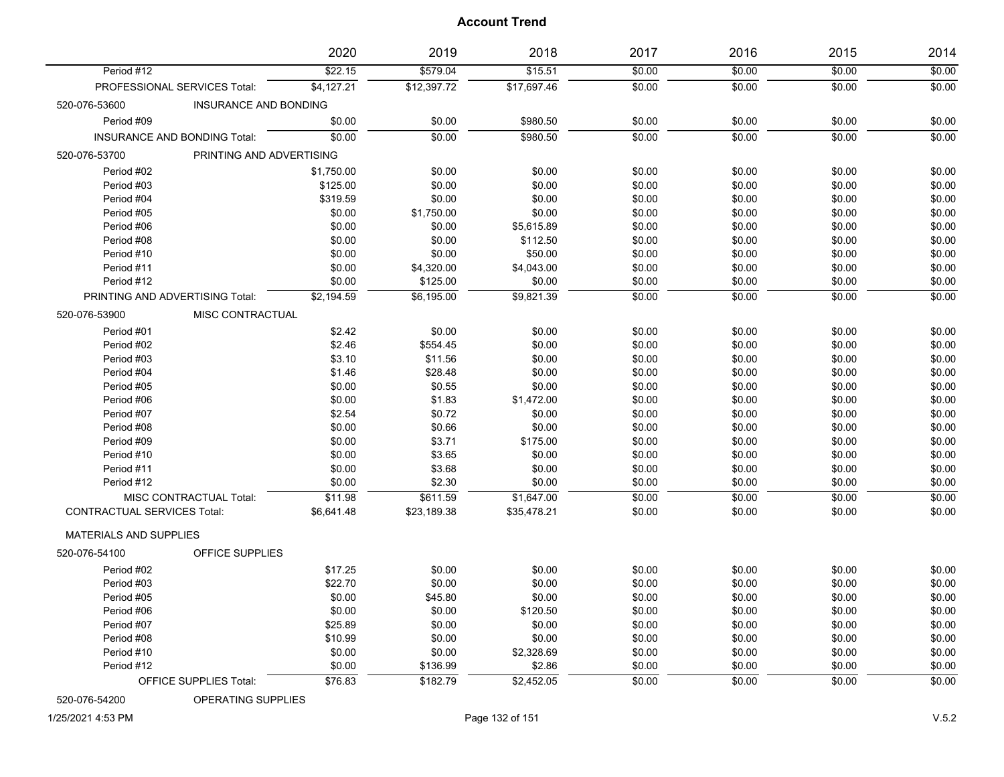|                                    |                                 | 2020       | 2019        | 2018        | 2017   | 2016   | 2015   | 2014   |
|------------------------------------|---------------------------------|------------|-------------|-------------|--------|--------|--------|--------|
| Period #12                         |                                 | \$22.15    | \$579.04    | \$15.51     | \$0.00 | \$0.00 | \$0.00 | \$0.00 |
|                                    | PROFESSIONAL SERVICES Total:    | \$4,127.21 | \$12,397.72 | \$17,697.46 | \$0.00 | \$0.00 | \$0.00 | \$0.00 |
| 520-076-53600                      | <b>INSURANCE AND BONDING</b>    |            |             |             |        |        |        |        |
| Period #09                         |                                 | \$0.00     | \$0.00      | \$980.50    | \$0.00 | \$0.00 | \$0.00 | \$0.00 |
|                                    | INSURANCE AND BONDING Total:    | \$0.00     | \$0.00      | \$980.50    | 50.00  | 50.00  | \$0.00 | \$0.00 |
| 520-076-53700                      | PRINTING AND ADVERTISING        |            |             |             |        |        |        |        |
|                                    |                                 |            |             |             |        |        |        |        |
| Period #02                         |                                 | \$1,750.00 | \$0.00      | \$0.00      | \$0.00 | \$0.00 | \$0.00 | \$0.00 |
| Period #03                         |                                 | \$125.00   | \$0.00      | \$0.00      | \$0.00 | \$0.00 | \$0.00 | \$0.00 |
| Period #04                         |                                 | \$319.59   | \$0.00      | \$0.00      | \$0.00 | \$0.00 | \$0.00 | \$0.00 |
| Period #05                         |                                 | \$0.00     | \$1,750.00  | \$0.00      | \$0.00 | \$0.00 | \$0.00 | \$0.00 |
| Period #06                         |                                 | \$0.00     | \$0.00      | \$5,615.89  | \$0.00 | \$0.00 | \$0.00 | \$0.00 |
| Period #08                         |                                 | \$0.00     | \$0.00      | \$112.50    | \$0.00 | \$0.00 | \$0.00 | \$0.00 |
| Period #10                         |                                 | \$0.00     | \$0.00      | \$50.00     | \$0.00 | \$0.00 | \$0.00 | \$0.00 |
| Period #11                         |                                 | \$0.00     | \$4,320.00  | \$4,043.00  | \$0.00 | \$0.00 | \$0.00 | \$0.00 |
| Period #12                         |                                 | \$0.00     | \$125.00    | \$0.00      | \$0.00 | \$0.00 | \$0.00 | \$0.00 |
|                                    | PRINTING AND ADVERTISING Total: | \$2,194.59 | \$6,195.00  | \$9,821.39  | 50.00  | 50.00  | \$0.00 | \$0.00 |
| 520-076-53900                      | <b>MISC CONTRACTUAL</b>         |            |             |             |        |        |        |        |
| Period #01                         |                                 | \$2.42     | \$0.00      | \$0.00      | \$0.00 | \$0.00 | \$0.00 | \$0.00 |
| Period #02                         |                                 | \$2.46     | \$554.45    | \$0.00      | \$0.00 | \$0.00 | \$0.00 | \$0.00 |
| Period #03                         |                                 | \$3.10     | \$11.56     | \$0.00      | \$0.00 | \$0.00 | \$0.00 | \$0.00 |
| Period #04                         |                                 | \$1.46     | \$28.48     | \$0.00      | \$0.00 | \$0.00 | \$0.00 | \$0.00 |
| Period #05                         |                                 | \$0.00     | \$0.55      | \$0.00      | \$0.00 | \$0.00 | \$0.00 | \$0.00 |
| Period #06                         |                                 | \$0.00     | \$1.83      | \$1,472.00  | \$0.00 | \$0.00 | \$0.00 | \$0.00 |
| Period #07                         |                                 | \$2.54     | \$0.72      | \$0.00      | \$0.00 | \$0.00 | \$0.00 | \$0.00 |
| Period #08                         |                                 | \$0.00     | \$0.66      | \$0.00      | \$0.00 | \$0.00 | \$0.00 | \$0.00 |
|                                    |                                 |            |             |             | \$0.00 | \$0.00 | \$0.00 |        |
| Period #09                         |                                 | \$0.00     | \$3.71      | \$175.00    |        |        |        | \$0.00 |
| Period #10                         |                                 | \$0.00     | \$3.65      | \$0.00      | \$0.00 | \$0.00 | \$0.00 | \$0.00 |
| Period #11                         |                                 | \$0.00     | \$3.68      | \$0.00      | \$0.00 | \$0.00 | \$0.00 | \$0.00 |
| Period #12                         |                                 | \$0.00     | \$2.30      | \$0.00      | \$0.00 | \$0.00 | \$0.00 | \$0.00 |
|                                    | MISC CONTRACTUAL Total:         | \$11.98    | \$611.59    | \$1,647.00  | \$0.00 | \$0.00 | \$0.00 | \$0.00 |
| <b>CONTRACTUAL SERVICES Total:</b> |                                 | \$6,641.48 | \$23,189.38 | \$35,478.21 | \$0.00 | \$0.00 | \$0.00 | \$0.00 |
| <b>MATERIALS AND SUPPLIES</b>      |                                 |            |             |             |        |        |        |        |
| 520-076-54100                      | <b>OFFICE SUPPLIES</b>          |            |             |             |        |        |        |        |
| Period #02                         |                                 | \$17.25    | \$0.00      | \$0.00      | \$0.00 | \$0.00 | \$0.00 | \$0.00 |
| Period #03                         |                                 | \$22.70    | \$0.00      | \$0.00      | \$0.00 | \$0.00 | \$0.00 | \$0.00 |
| Period #05                         |                                 | \$0.00     | \$45.80     | \$0.00      | \$0.00 | \$0.00 | \$0.00 | \$0.00 |
| Period #06                         |                                 | \$0.00     | \$0.00      | \$120.50    | \$0.00 | \$0.00 | \$0.00 | \$0.00 |
| Period #07                         |                                 | \$25.89    | \$0.00      | \$0.00      | \$0.00 | \$0.00 | \$0.00 | \$0.00 |
| Period #08                         |                                 | \$10.99    | \$0.00      | \$0.00      | \$0.00 | \$0.00 | \$0.00 | \$0.00 |
| Period #10                         |                                 | \$0.00     | \$0.00      | \$2,328.69  | \$0.00 | \$0.00 | \$0.00 | \$0.00 |
| Period #12                         |                                 | \$0.00     | \$136.99    | \$2.86      | \$0.00 | \$0.00 | \$0.00 | \$0.00 |
|                                    |                                 |            |             |             |        |        |        |        |
|                                    | <b>OFFICE SUPPLIES Total:</b>   | \$76.83    | \$182.79    | \$2,452.05  | \$0.00 | \$0.00 | \$0.00 | \$0.00 |

520-076-54200 OPERATING SUPPLIES

1/25/2021 4:53 PM Page 132 of 151 V.5.2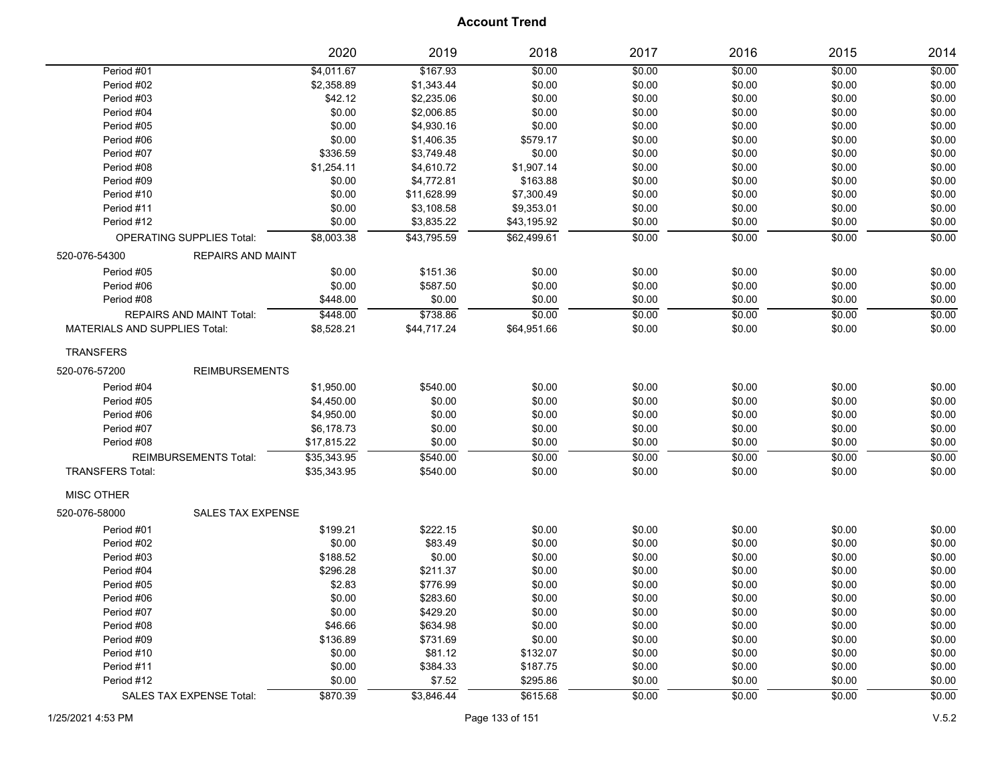|                                      |                                  | 2020        | 2019        | 2018        | 2017   | 2016   | 2015   | 2014   |
|--------------------------------------|----------------------------------|-------------|-------------|-------------|--------|--------|--------|--------|
| Period #01                           |                                  | \$4,011.67  | \$167.93    | \$0.00      | \$0.00 | \$0.00 | \$0.00 | \$0.00 |
| Period #02                           |                                  | \$2,358.89  | \$1,343.44  | \$0.00      | \$0.00 | \$0.00 | \$0.00 | \$0.00 |
| Period #03                           |                                  | \$42.12     | \$2,235.06  | \$0.00      | \$0.00 | \$0.00 | \$0.00 | \$0.00 |
| Period #04                           |                                  | \$0.00      | \$2,006.85  | \$0.00      | \$0.00 | \$0.00 | \$0.00 | \$0.00 |
| Period #05                           |                                  | \$0.00      | \$4,930.16  | \$0.00      | \$0.00 | \$0.00 | \$0.00 | \$0.00 |
| Period #06                           |                                  | \$0.00      | \$1,406.35  | \$579.17    | \$0.00 | \$0.00 | \$0.00 | \$0.00 |
| Period #07                           |                                  | \$336.59    | \$3,749.48  | \$0.00      | \$0.00 | \$0.00 | \$0.00 | \$0.00 |
| Period #08                           |                                  | \$1,254.11  | \$4,610.72  | \$1,907.14  | \$0.00 | \$0.00 | \$0.00 | \$0.00 |
| Period #09                           |                                  | \$0.00      | \$4,772.81  | \$163.88    | \$0.00 | \$0.00 | \$0.00 | \$0.00 |
| Period #10                           |                                  | \$0.00      | \$11,628.99 | \$7,300.49  | \$0.00 | \$0.00 | \$0.00 | \$0.00 |
| Period #11                           |                                  | \$0.00      | \$3,108.58  | \$9,353.01  | \$0.00 | \$0.00 | \$0.00 | \$0.00 |
| Period #12                           |                                  | \$0.00      | \$3,835.22  | \$43,195.92 | \$0.00 | \$0.00 | \$0.00 | \$0.00 |
|                                      | <b>OPERATING SUPPLIES Total:</b> | \$8,003.38  | \$43,795.59 | \$62,499.61 | \$0.00 | \$0.00 | \$0.00 | \$0.00 |
| 520-076-54300                        | <b>REPAIRS AND MAINT</b>         |             |             |             |        |        |        |        |
| Period #05                           |                                  | \$0.00      | \$151.36    | \$0.00      | \$0.00 | \$0.00 | \$0.00 | \$0.00 |
| Period #06                           |                                  | \$0.00      | \$587.50    | \$0.00      | \$0.00 | \$0.00 | \$0.00 | \$0.00 |
| Period #08                           |                                  | \$448.00    | \$0.00      | \$0.00      | \$0.00 | \$0.00 | \$0.00 | \$0.00 |
|                                      | REPAIRS AND MAINT Total:         | \$448.00    | \$738.86    | \$0.00      | \$0.00 | \$0.00 | \$0.00 | \$0.00 |
| <b>MATERIALS AND SUPPLIES Total:</b> |                                  | \$8,528.21  | \$44,717.24 | \$64,951.66 | \$0.00 | \$0.00 | \$0.00 | \$0.00 |
| <b>TRANSFERS</b>                     |                                  |             |             |             |        |        |        |        |
| 520-076-57200                        | <b>REIMBURSEMENTS</b>            |             |             |             |        |        |        |        |
| Period #04                           |                                  | \$1,950.00  | \$540.00    | \$0.00      | \$0.00 | \$0.00 | \$0.00 | \$0.00 |
| Period #05                           |                                  | \$4,450.00  | \$0.00      | \$0.00      | \$0.00 | \$0.00 | \$0.00 | \$0.00 |
| Period #06                           |                                  | \$4,950.00  | \$0.00      | \$0.00      | \$0.00 | \$0.00 | \$0.00 | \$0.00 |
| Period #07                           |                                  | \$6,178.73  | \$0.00      | \$0.00      | \$0.00 | \$0.00 | \$0.00 | \$0.00 |
| Period #08                           |                                  | \$17,815.22 | \$0.00      | \$0.00      | \$0.00 | \$0.00 | \$0.00 | \$0.00 |
|                                      | <b>REIMBURSEMENTS Total:</b>     | \$35,343.95 | \$540.00    | \$0.00      | \$0.00 | \$0.00 | \$0.00 | \$0.00 |
| <b>TRANSFERS Total:</b>              |                                  | \$35,343.95 | \$540.00    | \$0.00      | \$0.00 | \$0.00 | \$0.00 | \$0.00 |
| <b>MISC OTHER</b>                    |                                  |             |             |             |        |        |        |        |
| 520-076-58000                        | <b>SALES TAX EXPENSE</b>         |             |             |             |        |        |        |        |
| Period #01                           |                                  | \$199.21    | \$222.15    | \$0.00      | \$0.00 | \$0.00 | \$0.00 | \$0.00 |
| Period #02                           |                                  | \$0.00      | \$83.49     | \$0.00      | \$0.00 | \$0.00 | \$0.00 | \$0.00 |
| Period #03                           |                                  | \$188.52    | \$0.00      | \$0.00      | \$0.00 | \$0.00 | \$0.00 | \$0.00 |
| Period #04                           |                                  | \$296.28    | \$211.37    | \$0.00      | \$0.00 | \$0.00 | \$0.00 | \$0.00 |
| Period #05                           |                                  | \$2.83      | \$776.99    | \$0.00      | \$0.00 | \$0.00 | \$0.00 | \$0.00 |
| Period #06                           |                                  | \$0.00      | \$283.60    | \$0.00      | \$0.00 | \$0.00 | \$0.00 | \$0.00 |
| Period #07                           |                                  | \$0.00      | \$429.20    | \$0.00      | \$0.00 | \$0.00 | \$0.00 | \$0.00 |
| Period #08                           |                                  | \$46.66     | \$634.98    | \$0.00      | \$0.00 | \$0.00 | \$0.00 | \$0.00 |
| Period #09                           |                                  | \$136.89    | \$731.69    | \$0.00      | \$0.00 | \$0.00 | \$0.00 | \$0.00 |
| Period #10                           |                                  | \$0.00      | \$81.12     | \$132.07    | \$0.00 | \$0.00 | \$0.00 | \$0.00 |
| Period #11                           |                                  | \$0.00      | \$384.33    | \$187.75    | \$0.00 | \$0.00 | \$0.00 | \$0.00 |
| Period #12                           |                                  | \$0.00      | \$7.52      | \$295.86    | \$0.00 | \$0.00 | \$0.00 | \$0.00 |
|                                      | SALES TAX EXPENSE Total:         | \$870.39    | \$3,846.44  | \$615.68    | 50.00  | 50.00  | \$0.00 | \$0.00 |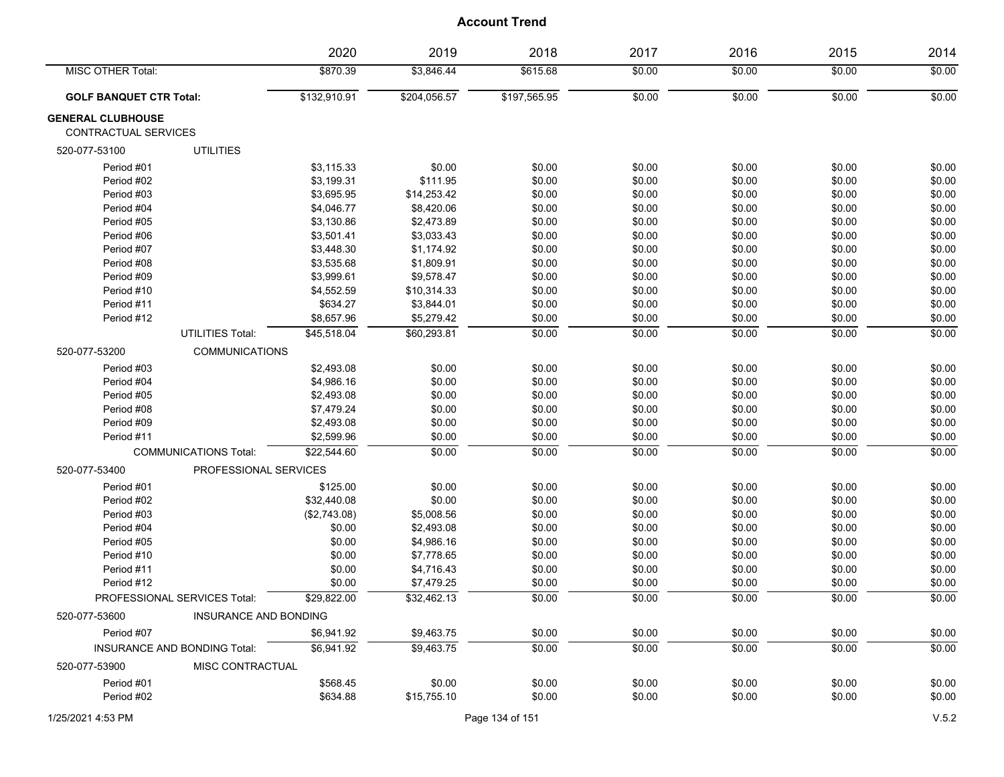|                                                  |                              | 2020         | 2019         | 2018         | 2017   | 2016   | 2015   | 2014   |
|--------------------------------------------------|------------------------------|--------------|--------------|--------------|--------|--------|--------|--------|
| MISC OTHER Total:                                |                              | \$870.39     | \$3,846.44   | \$615.68     | \$0.00 | \$0.00 | \$0.00 | \$0.00 |
| <b>GOLF BANQUET CTR Total:</b>                   |                              | \$132,910.91 | \$204,056.57 | \$197,565.95 | \$0.00 | \$0.00 | \$0.00 | \$0.00 |
| <b>GENERAL CLUBHOUSE</b><br>CONTRACTUAL SERVICES |                              |              |              |              |        |        |        |        |
| 520-077-53100                                    | <b>UTILITIES</b>             |              |              |              |        |        |        |        |
| Period #01                                       |                              | \$3,115.33   | \$0.00       | \$0.00       | \$0.00 | \$0.00 | \$0.00 | \$0.00 |
| Period #02                                       |                              | \$3,199.31   | \$111.95     | \$0.00       | \$0.00 | \$0.00 | \$0.00 | \$0.00 |
| Period #03                                       |                              | \$3,695.95   | \$14,253.42  | \$0.00       | \$0.00 | \$0.00 | \$0.00 | \$0.00 |
| Period #04                                       |                              | \$4,046.77   | \$8,420.06   | \$0.00       | \$0.00 | \$0.00 | \$0.00 | \$0.00 |
| Period #05                                       |                              | \$3,130.86   | \$2,473.89   | \$0.00       | \$0.00 | \$0.00 | \$0.00 | \$0.00 |
| Period #06                                       |                              | \$3,501.41   | \$3,033.43   | \$0.00       | \$0.00 | \$0.00 | \$0.00 | \$0.00 |
| Period #07                                       |                              | \$3,448.30   | \$1,174.92   | \$0.00       | \$0.00 | \$0.00 | \$0.00 | \$0.00 |
| Period #08                                       |                              | \$3,535.68   | \$1,809.91   | \$0.00       | \$0.00 | \$0.00 | \$0.00 | \$0.00 |
| Period #09                                       |                              | \$3,999.61   | \$9,578.47   | \$0.00       | \$0.00 | \$0.00 | \$0.00 | \$0.00 |
| Period #10                                       |                              | \$4,552.59   | \$10,314.33  | \$0.00       | \$0.00 | \$0.00 | \$0.00 | \$0.00 |
| Period #11                                       |                              | \$634.27     | \$3,844.01   | \$0.00       | \$0.00 | \$0.00 | \$0.00 | \$0.00 |
| Period #12                                       |                              | \$8,657.96   | \$5,279.42   | \$0.00       | \$0.00 | \$0.00 | \$0.00 | \$0.00 |
|                                                  | <b>UTILITIES Total:</b>      | \$45,518.04  | \$60,293.81  | \$0.00       | \$0.00 | \$0.00 | \$0.00 | \$0.00 |
| 520-077-53200                                    | <b>COMMUNICATIONS</b>        |              |              |              |        |        |        |        |
| Period #03                                       |                              | \$2,493.08   | \$0.00       | \$0.00       | \$0.00 | \$0.00 | \$0.00 | \$0.00 |
| Period #04                                       |                              | \$4,986.16   | \$0.00       | \$0.00       | \$0.00 | \$0.00 | \$0.00 | \$0.00 |
| Period #05                                       |                              | \$2,493.08   | \$0.00       | \$0.00       | \$0.00 | \$0.00 | \$0.00 | \$0.00 |
| Period #08                                       |                              | \$7,479.24   | \$0.00       | \$0.00       | \$0.00 | \$0.00 | \$0.00 | \$0.00 |
| Period #09                                       |                              | \$2,493.08   | \$0.00       | \$0.00       | \$0.00 | \$0.00 | \$0.00 | \$0.00 |
| Period #11                                       |                              | \$2,599.96   | \$0.00       | \$0.00       | \$0.00 | \$0.00 | \$0.00 | \$0.00 |
|                                                  | <b>COMMUNICATIONS Total:</b> | \$22,544.60  | \$0.00       | \$0.00       | \$0.00 | \$0.00 | \$0.00 | \$0.00 |
| 520-077-53400                                    | PROFESSIONAL SERVICES        |              |              |              |        |        |        |        |
| Period #01                                       |                              | \$125.00     | \$0.00       | \$0.00       | \$0.00 | \$0.00 | \$0.00 | \$0.00 |
| Period #02                                       |                              | \$32,440.08  | \$0.00       | \$0.00       | \$0.00 | \$0.00 | \$0.00 | \$0.00 |
| Period #03                                       |                              | (\$2,743.08) | \$5,008.56   | \$0.00       | \$0.00 | \$0.00 | \$0.00 | \$0.00 |
| Period #04                                       |                              | \$0.00       | \$2,493.08   | \$0.00       | \$0.00 | \$0.00 | \$0.00 | \$0.00 |
| Period #05                                       |                              | \$0.00       | \$4,986.16   | \$0.00       | \$0.00 | \$0.00 | \$0.00 | \$0.00 |
| Period #10                                       |                              | \$0.00       | \$7,778.65   | \$0.00       | \$0.00 | \$0.00 | \$0.00 | \$0.00 |
| Period #11                                       |                              | \$0.00       | \$4,716.43   | \$0.00       | \$0.00 | \$0.00 | \$0.00 | \$0.00 |
| Period #12                                       |                              | \$0.00       | \$7,479.25   | \$0.00       | \$0.00 | \$0.00 | \$0.00 | \$0.00 |
|                                                  | PROFESSIONAL SERVICES Total: | \$29,822.00  | \$32,462.13  | \$0.00       | \$0.00 | \$0.00 | \$0.00 | \$0.00 |
| 520-077-53600                                    | INSURANCE AND BONDING        |              |              |              |        |        |        |        |
| Period #07                                       |                              | \$6,941.92   | \$9,463.75   | \$0.00       | \$0.00 | \$0.00 | \$0.00 | \$0.00 |
|                                                  | INSURANCE AND BONDING Total: | \$6,941.92   | \$9,463.75   | \$0.00       | \$0.00 | \$0.00 | \$0.00 | \$0.00 |
| 520-077-53900                                    | MISC CONTRACTUAL             |              |              |              |        |        |        |        |
| Period #01                                       |                              | \$568.45     | \$0.00       | \$0.00       | \$0.00 | \$0.00 | \$0.00 | \$0.00 |
| Period #02                                       |                              | \$634.88     | \$15,755.10  | \$0.00       | \$0.00 | \$0.00 | \$0.00 | \$0.00 |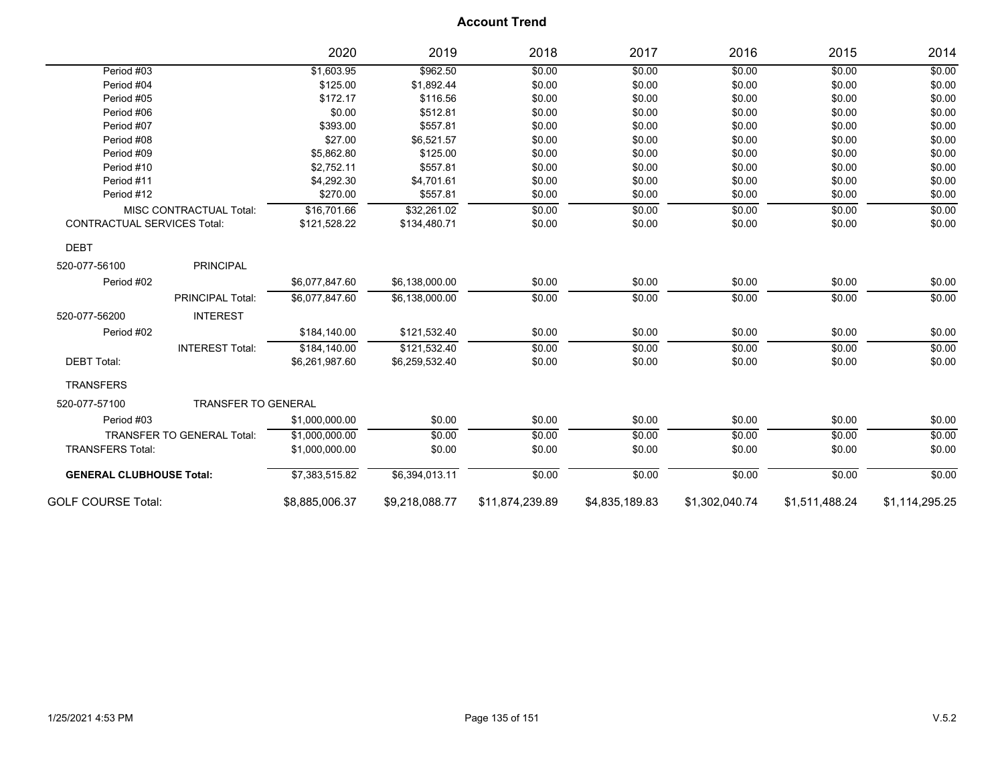|                                    |                                   | 2020           | 2019           | 2018            | 2017           | 2016           | 2015           | 2014           |
|------------------------------------|-----------------------------------|----------------|----------------|-----------------|----------------|----------------|----------------|----------------|
| Period #03                         |                                   | \$1,603.95     | \$962.50       | \$0.00          | \$0.00         | \$0.00         | \$0.00         | \$0.00         |
| Period #04                         |                                   | \$125.00       | \$1,892.44     | \$0.00          | \$0.00         | \$0.00         | \$0.00         | \$0.00         |
| Period #05                         |                                   | \$172.17       | \$116.56       | \$0.00          | \$0.00         | \$0.00         | \$0.00         | \$0.00         |
| Period #06                         |                                   | \$0.00         | \$512.81       | \$0.00          | \$0.00         | \$0.00         | \$0.00         | \$0.00         |
| Period #07                         |                                   | \$393.00       | \$557.81       | \$0.00          | \$0.00         | \$0.00         | \$0.00         | \$0.00         |
| Period #08                         |                                   | \$27.00        | \$6,521.57     | \$0.00          | \$0.00         | \$0.00         | \$0.00         | \$0.00         |
| Period #09                         |                                   | \$5,862.80     | \$125.00       | \$0.00          | \$0.00         | \$0.00         | \$0.00         | \$0.00         |
| Period #10                         |                                   | \$2,752.11     | \$557.81       | \$0.00          | \$0.00         | \$0.00         | \$0.00         | \$0.00         |
| Period #11                         |                                   | \$4,292.30     | \$4,701.61     | \$0.00          | \$0.00         | \$0.00         | \$0.00         | \$0.00         |
| Period #12                         |                                   | \$270.00       | \$557.81       | \$0.00          | \$0.00         | \$0.00         | \$0.00         | \$0.00         |
|                                    | <b>MISC CONTRACTUAL Total:</b>    | \$16,701.66    | \$32,261.02    | \$0.00          | \$0.00         | \$0.00         | \$0.00         | \$0.00         |
| <b>CONTRACTUAL SERVICES Total:</b> |                                   | \$121,528.22   | \$134,480.71   | \$0.00          | \$0.00         | \$0.00         | \$0.00         | \$0.00         |
| <b>DEBT</b>                        |                                   |                |                |                 |                |                |                |                |
| 520-077-56100                      | <b>PRINCIPAL</b>                  |                |                |                 |                |                |                |                |
| Period #02                         |                                   | \$6,077,847.60 | \$6,138,000.00 | \$0.00          | \$0.00         | \$0.00         | \$0.00         | \$0.00         |
|                                    | <b>PRINCIPAL Total:</b>           | \$6,077,847.60 | \$6,138,000.00 | \$0.00          | \$0.00         | \$0.00         | \$0.00         | \$0.00         |
| 520-077-56200                      | <b>INTEREST</b>                   |                |                |                 |                |                |                |                |
| Period #02                         |                                   | \$184,140.00   | \$121,532.40   | \$0.00          | \$0.00         | \$0.00         | \$0.00         | \$0.00         |
|                                    | <b>INTEREST Total:</b>            | \$184.140.00   | \$121.532.40   | \$0.00          | \$0.00         | \$0.00         | \$0.00         | \$0.00         |
| <b>DEBT Total:</b>                 |                                   | \$6.261.987.60 | \$6,259,532.40 | \$0.00          | \$0.00         | \$0.00         | \$0.00         | \$0.00         |
| <b>TRANSFERS</b>                   |                                   |                |                |                 |                |                |                |                |
| 520-077-57100                      | <b>TRANSFER TO GENERAL</b>        |                |                |                 |                |                |                |                |
| Period #03                         |                                   | \$1,000,000.00 | \$0.00         | \$0.00          | \$0.00         | \$0.00         | \$0.00         | \$0.00         |
|                                    | <b>TRANSFER TO GENERAL Total:</b> | \$1.000.000.00 | \$0.00         | \$0.00          | \$0.00         | \$0.00         | \$0.00         | \$0.00         |
| <b>TRANSFERS Total:</b>            |                                   | \$1.000.000.00 | \$0.00         | \$0.00          | \$0.00         | \$0.00         | \$0.00         | \$0.00         |
| <b>GENERAL CLUBHOUSE Total:</b>    |                                   | \$7,383,515.82 | \$6,394,013.11 | \$0.00          | \$0.00         | \$0.00         | \$0.00         | \$0.00         |
| <b>GOLF COURSE Total:</b>          |                                   | \$8,885,006.37 | \$9,218,088.77 | \$11,874,239.89 | \$4,835,189.83 | \$1,302,040.74 | \$1,511,488.24 | \$1,114,295.25 |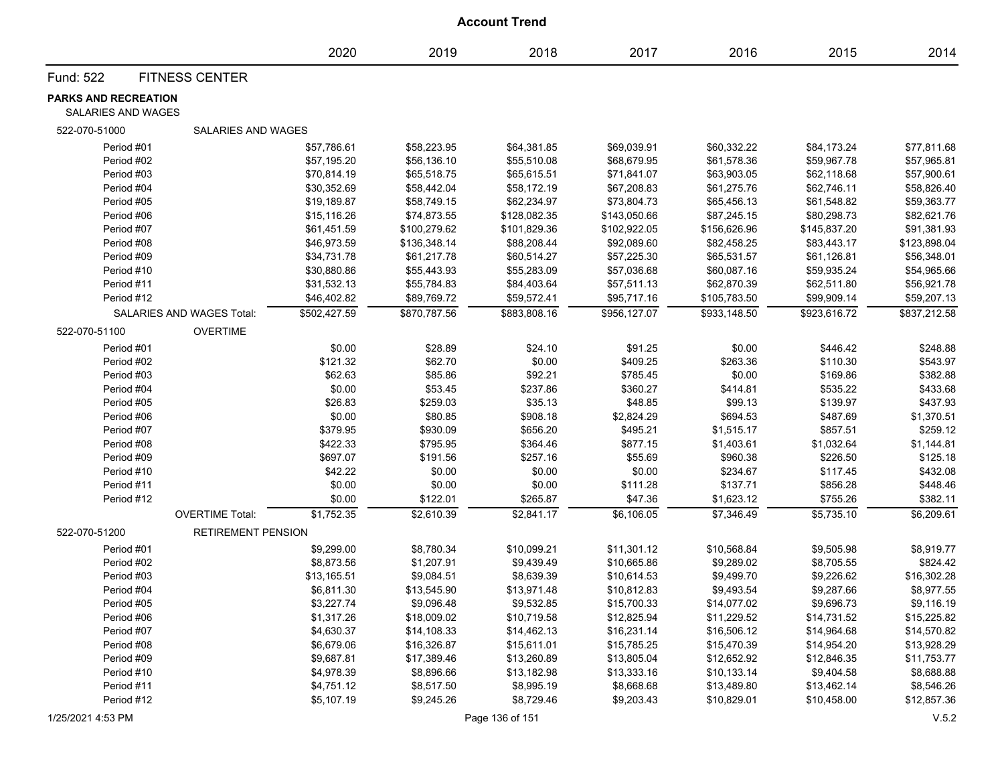|                                            |                           |              |              | <b>Account Trend</b> |              |              |              |              |
|--------------------------------------------|---------------------------|--------------|--------------|----------------------|--------------|--------------|--------------|--------------|
|                                            |                           | 2020         | 2019         | 2018                 | 2017         | 2016         | 2015         | 2014         |
| Fund: 522                                  | <b>FITNESS CENTER</b>     |              |              |                      |              |              |              |              |
| PARKS AND RECREATION<br>SALARIES AND WAGES |                           |              |              |                      |              |              |              |              |
| 522-070-51000                              | SALARIES AND WAGES        |              |              |                      |              |              |              |              |
| Period #01                                 |                           | \$57,786.61  | \$58,223.95  | \$64,381.85          | \$69,039.91  | \$60,332.22  | \$84,173.24  | \$77,811.68  |
| Period #02                                 |                           | \$57,195.20  | \$56,136.10  | \$55,510.08          | \$68,679.95  | \$61,578.36  | \$59,967.78  | \$57,965.81  |
| Period #03                                 |                           | \$70,814.19  | \$65,518.75  | \$65,615.51          | \$71,841.07  | \$63,903.05  | \$62,118.68  | \$57,900.61  |
| Period #04                                 |                           | \$30,352.69  | \$58,442.04  | \$58,172.19          | \$67,208.83  | \$61,275.76  | \$62,746.11  | \$58,826.40  |
| Period #05                                 |                           | \$19,189.87  | \$58,749.15  | \$62,234.97          | \$73,804.73  | \$65,456.13  | \$61,548.82  | \$59,363.77  |
| Period #06                                 |                           | \$15,116.26  | \$74,873.55  | \$128,082.35         | \$143,050.66 | \$87,245.15  | \$80,298.73  | \$82,621.76  |
| Period #07                                 |                           | \$61,451.59  | \$100,279.62 | \$101,829.36         | \$102,922.05 | \$156,626.96 | \$145,837.20 | \$91,381.93  |
| Period #08                                 |                           | \$46,973.59  | \$136,348.14 | \$88,208.44          | \$92,089.60  | \$82,458.25  | \$83,443.17  | \$123,898.04 |
| Period #09                                 |                           | \$34,731.78  | \$61,217.78  | \$60,514.27          | \$57,225.30  | \$65,531.57  | \$61,126.81  | \$56,348.01  |
| Period #10                                 |                           | \$30,880.86  | \$55,443.93  | \$55,283.09          | \$57,036.68  | \$60,087.16  | \$59,935.24  | \$54,965.66  |
| Period #11                                 |                           | \$31,532.13  | \$55,784.83  | \$84,403.64          | \$57,511.13  | \$62,870.39  | \$62,511.80  | \$56,921.78  |
| Period #12                                 |                           | \$46,402.82  | \$89,769.72  | \$59,572.41          | \$95,717.16  | \$105,783.50 | \$99,909.14  | \$59,207.13  |
|                                            | SALARIES AND WAGES Total: | \$502,427.59 | \$870,787.56 | \$883,808.16         | \$956,127.07 | \$933,148.50 | \$923,616.72 | \$837,212.58 |
| 522-070-51100                              | <b>OVERTIME</b>           |              |              |                      |              |              |              |              |
| Period #01                                 |                           | \$0.00       | \$28.89      | \$24.10              | \$91.25      | \$0.00       | \$446.42     | \$248.88     |
| Period #02                                 |                           | \$121.32     | \$62.70      | \$0.00               | \$409.25     | \$263.36     | \$110.30     | \$543.97     |
| Period #03                                 |                           | \$62.63      | \$85.86      | \$92.21              | \$785.45     | \$0.00       | \$169.86     | \$382.88     |
| Period #04                                 |                           | \$0.00       | \$53.45      | \$237.86             | \$360.27     | \$414.81     | \$535.22     | \$433.68     |
| Period #05                                 |                           | \$26.83      | \$259.03     | \$35.13              | \$48.85      | \$99.13      | \$139.97     | \$437.93     |
| Period #06                                 |                           | \$0.00       | \$80.85      | \$908.18             | \$2,824.29   | \$694.53     | \$487.69     | \$1,370.51   |
| Period #07                                 |                           | \$379.95     | \$930.09     | \$656.20             | \$495.21     | \$1,515.17   | \$857.51     | \$259.12     |
| Period #08                                 |                           | \$422.33     | \$795.95     | \$364.46             | \$877.15     | \$1,403.61   | \$1,032.64   | \$1,144.81   |
| Period #09                                 |                           | \$697.07     | \$191.56     | \$257.16             | \$55.69      | \$960.38     | \$226.50     | \$125.18     |
| Period #10                                 |                           | \$42.22      | \$0.00       | \$0.00               | \$0.00       | \$234.67     | \$117.45     | \$432.08     |
| Period #11                                 |                           | \$0.00       | \$0.00       | \$0.00               | \$111.28     | \$137.71     | \$856.28     | \$448.46     |
| Period #12                                 |                           | \$0.00       | \$122.01     | \$265.87             | \$47.36      | \$1,623.12   | \$755.26     | \$382.11     |
|                                            | <b>OVERTIME Total:</b>    | \$1,752.35   | \$2,610.39   | \$2,841.17           | \$6,106.05   | \$7,346.49   | \$5,735.10   | \$6,209.61   |
| 522-070-51200                              | <b>RETIREMENT PENSION</b> |              |              |                      |              |              |              |              |
| Period #01                                 |                           | \$9,299.00   | \$8,780.34   | \$10,099.21          | \$11,301.12  | \$10,568.84  | \$9,505.98   | \$8,919.77   |
| Period #02                                 |                           | \$8,873.56   | \$1,207.91   | \$9,439.49           | \$10,665.86  | \$9,289.02   | \$8,705.55   | \$824.42     |
| Period #03                                 |                           | \$13,165.51  | \$9,084.51   | \$8,639.39           | \$10,614.53  | \$9,499.70   | \$9,226.62   | \$16,302.28  |
| Period #04                                 |                           | \$6,811.30   | \$13,545.90  | \$13,971.48          | \$10,812.83  | \$9,493.54   | \$9,287.66   | \$8,977.55   |
| Period #05                                 |                           | \$3,227.74   | \$9,096.48   | \$9,532.85           | \$15,700.33  | \$14,077.02  | \$9,696.73   | \$9,116.19   |
| Period #06                                 |                           | \$1,317.26   | \$18,009.02  | \$10,719.58          | \$12,825.94  | \$11,229.52  | \$14,731.52  | \$15,225.82  |
| Period #07                                 |                           | \$4,630.37   | \$14,108.33  | \$14,462.13          | \$16,231.14  | \$16,506.12  | \$14,964.68  | \$14,570.82  |
| Period #08                                 |                           | \$6,679.06   | \$16,326.87  | \$15,611.01          | \$15,785.25  | \$15,470.39  | \$14,954.20  | \$13,928.29  |
| Period #09                                 |                           | \$9,687.81   | \$17,389.46  | \$13,260.89          | \$13,805.04  | \$12,652.92  | \$12,846.35  | \$11,753.77  |
| Period #10                                 |                           | \$4,978.39   | \$8,896.66   | \$13,182.98          | \$13,333.16  | \$10,133.14  | \$9,404.58   | \$8,688.88   |
| Period #11                                 |                           | \$4,751.12   | \$8,517.50   | \$8,995.19           | \$8,668.68   | \$13,489.80  | \$13,462.14  | \$8,546.26   |
| Period #12                                 |                           | \$5,107.19   | \$9,245.26   | \$8,729.46           | \$9,203.43   | \$10,829.01  | \$10,458.00  | \$12,857.36  |

#### 1/25/2021 4:53 PM Page 136 of 151 V.5.2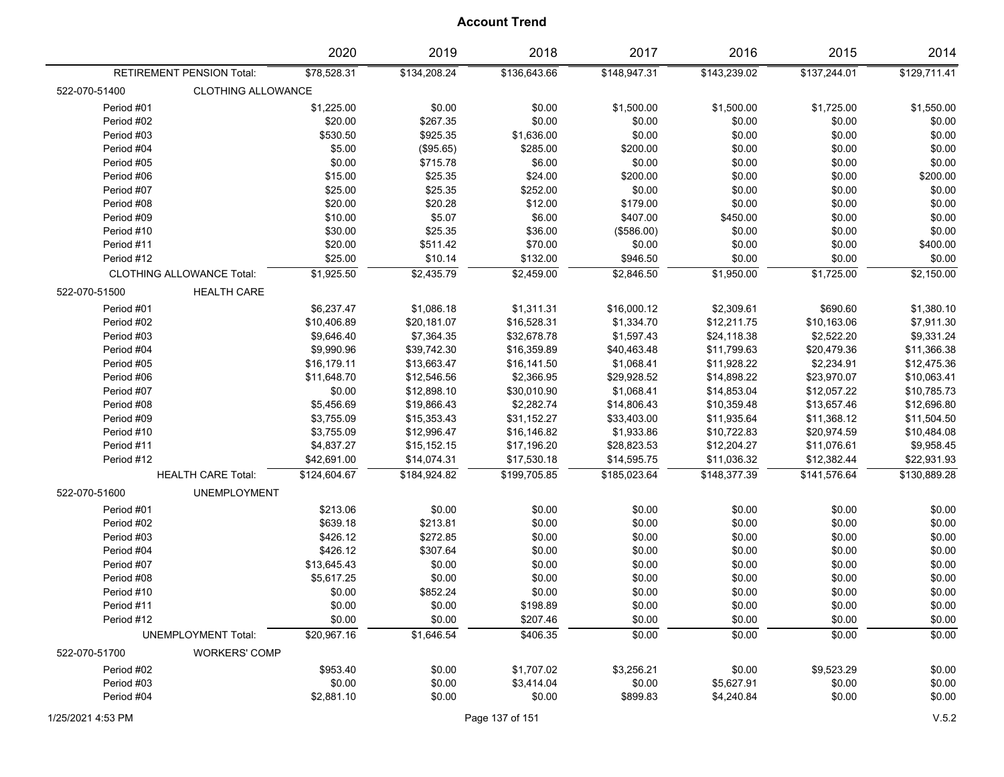|               |                                  | 2020         | 2019         | 2018         | 2017         | 2016         | 2015         | 2014         |
|---------------|----------------------------------|--------------|--------------|--------------|--------------|--------------|--------------|--------------|
|               | RETIREMENT PENSION Total:        | \$78,528.31  | \$134,208.24 | \$136,643.66 | \$148,947.31 | \$143,239.02 | \$137,244.01 | \$129,711.41 |
| 522-070-51400 | <b>CLOTHING ALLOWANCE</b>        |              |              |              |              |              |              |              |
| Period #01    |                                  | \$1,225.00   | \$0.00       | \$0.00       | \$1,500.00   | \$1,500.00   | \$1,725.00   | \$1,550.00   |
| Period #02    |                                  | \$20.00      | \$267.35     | \$0.00       | \$0.00       | \$0.00       | \$0.00       | \$0.00       |
| Period #03    |                                  | \$530.50     | \$925.35     | \$1,636.00   | \$0.00       | \$0.00       | \$0.00       | \$0.00       |
| Period #04    |                                  | \$5.00       | (\$95.65)    | \$285.00     | \$200.00     | \$0.00       | \$0.00       | \$0.00       |
| Period #05    |                                  | \$0.00       | \$715.78     | \$6.00       | \$0.00       | \$0.00       | \$0.00       | \$0.00       |
| Period #06    |                                  | \$15.00      | \$25.35      | \$24.00      | \$200.00     | \$0.00       | \$0.00       | \$200.00     |
| Period #07    |                                  | \$25.00      | \$25.35      | \$252.00     | \$0.00       | \$0.00       | \$0.00       | \$0.00       |
| Period #08    |                                  | \$20.00      | \$20.28      | \$12.00      | \$179.00     | \$0.00       | \$0.00       | \$0.00       |
| Period #09    |                                  | \$10.00      | \$5.07       | \$6.00       | \$407.00     | \$450.00     | \$0.00       | \$0.00       |
| Period #10    |                                  | \$30.00      | \$25.35      | \$36.00      | (\$586.00)   | \$0.00       | \$0.00       | \$0.00       |
| Period #11    |                                  | \$20.00      | \$511.42     | \$70.00      | \$0.00       | \$0.00       | \$0.00       | \$400.00     |
| Period #12    |                                  | \$25.00      | \$10.14      | \$132.00     | \$946.50     | \$0.00       | \$0.00       | \$0.00       |
|               | <b>CLOTHING ALLOWANCE Total:</b> | \$1,925.50   | \$2,435.79   | \$2,459.00   | \$2,846.50   | \$1,950.00   | \$1,725.00   | \$2,150.00   |
| 522-070-51500 | <b>HEALTH CARE</b>               |              |              |              |              |              |              |              |
| Period #01    |                                  | \$6,237.47   | \$1,086.18   | \$1,311.31   | \$16,000.12  | \$2,309.61   | \$690.60     | \$1,380.10   |
| Period #02    |                                  | \$10,406.89  | \$20,181.07  | \$16,528.31  | \$1,334.70   | \$12,211.75  | \$10,163.06  | \$7,911.30   |
| Period #03    |                                  | \$9,646.40   | \$7,364.35   | \$32,678.78  | \$1,597.43   | \$24,118.38  | \$2,522.20   | \$9,331.24   |
| Period #04    |                                  | \$9,990.96   | \$39,742.30  | \$16,359.89  | \$40,463.48  | \$11,799.63  | \$20,479.36  | \$11,366.38  |
| Period #05    |                                  | \$16,179.11  | \$13,663.47  | \$16,141.50  | \$1,068.41   | \$11,928.22  | \$2,234.91   | \$12,475.36  |
| Period #06    |                                  | \$11,648.70  | \$12,546.56  | \$2,366.95   | \$29,928.52  | \$14,898.22  | \$23,970.07  | \$10,063.41  |
| Period #07    |                                  | \$0.00       | \$12,898.10  | \$30,010.90  | \$1,068.41   | \$14,853.04  | \$12,057.22  | \$10,785.73  |
| Period #08    |                                  | \$5,456.69   | \$19,866.43  | \$2,282.74   | \$14,806.43  | \$10,359.48  | \$13,657.46  | \$12,696.80  |
| Period #09    |                                  | \$3,755.09   | \$15,353.43  | \$31,152.27  | \$33,403.00  | \$11,935.64  | \$11,368.12  | \$11,504.50  |
| Period #10    |                                  | \$3,755.09   | \$12,996.47  | \$16,146.82  | \$1,933.86   | \$10,722.83  | \$20,974.59  | \$10,484.08  |
| Period #11    |                                  | \$4,837.27   | \$15,152.15  | \$17,196.20  | \$28,823.53  | \$12,204.27  | \$11,076.61  | \$9,958.45   |
| Period #12    |                                  | \$42,691.00  | \$14,074.31  | \$17,530.18  | \$14,595.75  | \$11,036.32  | \$12,382.44  | \$22,931.93  |
|               | <b>HEALTH CARE Total:</b>        | \$124,604.67 | \$184,924.82 | \$199,705.85 | \$185,023.64 | \$148,377.39 | \$141,576.64 | \$130,889.28 |
| 522-070-51600 | <b>UNEMPLOYMENT</b>              |              |              |              |              |              |              |              |
| Period #01    |                                  | \$213.06     | \$0.00       | \$0.00       | \$0.00       | \$0.00       | \$0.00       | \$0.00       |
| Period #02    |                                  | \$639.18     | \$213.81     | \$0.00       | \$0.00       | \$0.00       | \$0.00       | \$0.00       |
| Period #03    |                                  | \$426.12     | \$272.85     | \$0.00       | \$0.00       | \$0.00       | \$0.00       | \$0.00       |
| Period #04    |                                  | \$426.12     | \$307.64     | \$0.00       | \$0.00       | \$0.00       | \$0.00       | \$0.00       |
| Period #07    |                                  | \$13,645.43  | \$0.00       | \$0.00       | \$0.00       | \$0.00       | \$0.00       | \$0.00       |
| Period #08    |                                  | \$5,617.25   | \$0.00       | \$0.00       | \$0.00       | \$0.00       | \$0.00       | \$0.00       |
| Period #10    |                                  | \$0.00       | \$852.24     | \$0.00       | \$0.00       | \$0.00       | \$0.00       | \$0.00       |
| Period #11    |                                  | \$0.00       | \$0.00       | \$198.89     | \$0.00       | \$0.00       | \$0.00       | \$0.00       |
| Period #12    |                                  | \$0.00       | \$0.00       | \$207.46     | \$0.00       | \$0.00       | \$0.00       | \$0.00       |
|               | <b>UNEMPLOYMENT Total:</b>       | \$20,967.16  | \$1,646.54   | \$406.35     | \$0.00       | \$0.00       | \$0.00       | \$0.00       |
| 522-070-51700 | <b>WORKERS' COMP</b>             |              |              |              |              |              |              |              |
| Period #02    |                                  | \$953.40     | \$0.00       | \$1,707.02   | \$3,256.21   | \$0.00       | \$9,523.29   | \$0.00       |
| Period #03    |                                  | \$0.00       | \$0.00       | \$3,414.04   | \$0.00       | \$5,627.91   | \$0.00       | \$0.00       |
| Period #04    |                                  | \$2,881.10   | \$0.00       | \$0.00       | \$899.83     | \$4,240.84   | \$0.00       | \$0.00       |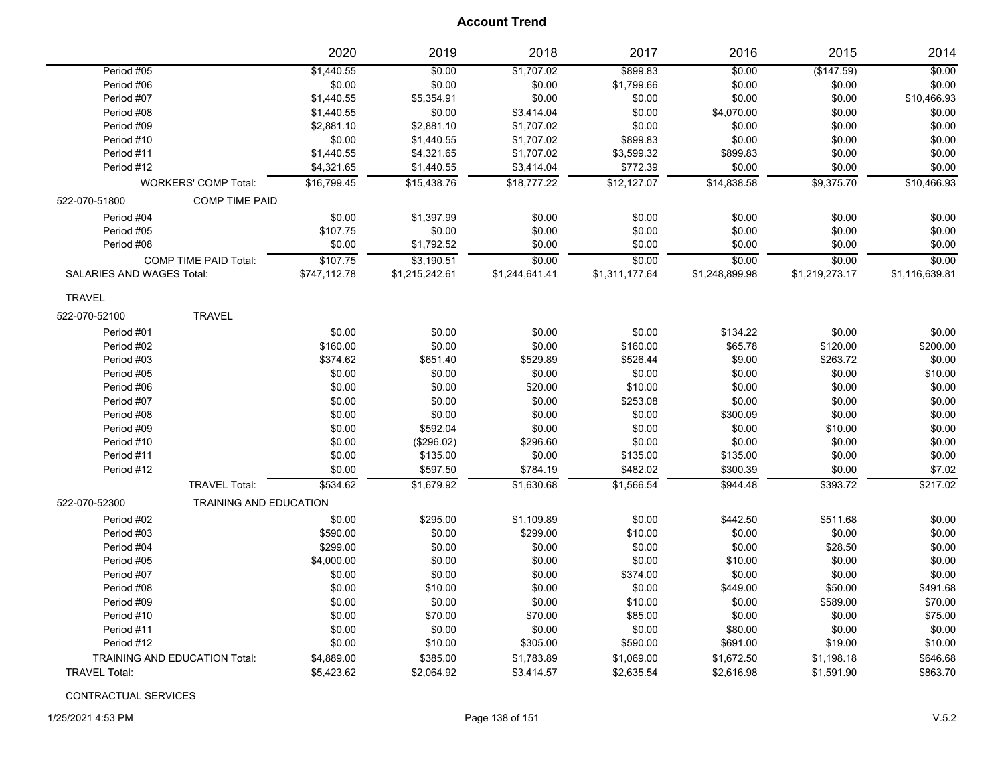|                           |                               | 2020         | 2019           | 2018           | 2017           | 2016           | 2015           | 2014           |
|---------------------------|-------------------------------|--------------|----------------|----------------|----------------|----------------|----------------|----------------|
| Period #05                |                               | \$1,440.55   | \$0.00         | \$1,707.02     | \$899.83       | \$0.00         | (\$147.59)     | \$0.00         |
| Period #06                |                               | \$0.00       | \$0.00         | \$0.00         | \$1,799.66     | \$0.00         | \$0.00         | \$0.00         |
| Period #07                |                               | \$1,440.55   | \$5,354.91     | \$0.00         | \$0.00         | \$0.00         | \$0.00         | \$10,466.93    |
| Period #08                |                               | \$1,440.55   | \$0.00         | \$3,414.04     | \$0.00         | \$4,070.00     | \$0.00         | \$0.00         |
| Period #09                |                               | \$2,881.10   | \$2,881.10     | \$1,707.02     | \$0.00         | \$0.00         | \$0.00         | \$0.00         |
| Period #10                |                               | \$0.00       | \$1,440.55     | \$1,707.02     | \$899.83       | \$0.00         | \$0.00         | \$0.00         |
| Period #11                |                               | \$1,440.55   | \$4,321.65     | \$1,707.02     | \$3,599.32     | \$899.83       | \$0.00         | \$0.00         |
| Period #12                |                               | \$4,321.65   | \$1,440.55     | \$3,414.04     | \$772.39       | \$0.00         | \$0.00         | \$0.00         |
|                           | <b>WORKERS' COMP Total:</b>   | \$16,799.45  | \$15,438.76    | \$18,777.22    | \$12,127.07    | \$14,838.58    | \$9,375.70     | \$10,466.93    |
| 522-070-51800             | <b>COMP TIME PAID</b>         |              |                |                |                |                |                |                |
| Period #04                |                               | \$0.00       | \$1,397.99     | \$0.00         | \$0.00         | \$0.00         | \$0.00         | \$0.00         |
| Period #05                |                               | \$107.75     | \$0.00         | \$0.00         | \$0.00         | \$0.00         | \$0.00         | \$0.00         |
| Period #08                |                               | \$0.00       | \$1,792.52     | \$0.00         | \$0.00         | \$0.00         | \$0.00         | \$0.00         |
|                           | <b>COMP TIME PAID Total:</b>  | \$107.75     | \$3,190.51     | \$0.00         | \$0.00         | \$0.00         | \$0.00         | \$0.00         |
| SALARIES AND WAGES Total: |                               | \$747,112.78 | \$1,215,242.61 | \$1,244,641.41 | \$1,311,177.64 | \$1,248,899.98 | \$1,219,273.17 | \$1,116,639.81 |
| <b>TRAVEL</b>             |                               |              |                |                |                |                |                |                |
| 522-070-52100             | <b>TRAVEL</b>                 |              |                |                |                |                |                |                |
| Period #01                |                               | \$0.00       | \$0.00         | \$0.00         | \$0.00         | \$134.22       | \$0.00         | \$0.00         |
| Period #02                |                               | \$160.00     | \$0.00         | \$0.00         | \$160.00       | \$65.78        | \$120.00       | \$200.00       |
| Period #03                |                               | \$374.62     | \$651.40       | \$529.89       | \$526.44       | \$9.00         | \$263.72       | \$0.00         |
| Period #05                |                               | \$0.00       | \$0.00         | \$0.00         | \$0.00         | \$0.00         | \$0.00         | \$10.00        |
| Period #06                |                               | \$0.00       | \$0.00         | \$20.00        | \$10.00        | \$0.00         | \$0.00         | \$0.00         |
| Period #07                |                               | \$0.00       | \$0.00         | \$0.00         | \$253.08       | \$0.00         | \$0.00         | \$0.00         |
| Period #08                |                               | \$0.00       | \$0.00         | \$0.00         | \$0.00         | \$300.09       | \$0.00         | \$0.00         |
| Period #09                |                               | \$0.00       | \$592.04       | \$0.00         | \$0.00         | \$0.00         | \$10.00        | \$0.00         |
| Period #10                |                               | \$0.00       | (\$296.02)     | \$296.60       | \$0.00         | \$0.00         | \$0.00         | \$0.00         |
| Period #11                |                               | \$0.00       | \$135.00       | \$0.00         | \$135.00       | \$135.00       | \$0.00         | \$0.00         |
| Period #12                |                               | \$0.00       | \$597.50       | \$784.19       | \$482.02       | \$300.39       | \$0.00         | \$7.02         |
|                           | <b>TRAVEL Total:</b>          | \$534.62     | \$1,679.92     | \$1,630.68     | \$1,566.54     | \$944.48       | \$393.72       | \$217.02       |
| 522-070-52300             | TRAINING AND EDUCATION        |              |                |                |                |                |                |                |
| Period #02                |                               | \$0.00       | \$295.00       | \$1,109.89     | \$0.00         | \$442.50       | \$511.68       | \$0.00         |
| Period #03                |                               | \$590.00     | \$0.00         | \$299.00       | \$10.00        | \$0.00         | \$0.00         | \$0.00         |
| Period #04                |                               | \$299.00     | \$0.00         | \$0.00         | \$0.00         | \$0.00         | \$28.50        | \$0.00         |
| Period #05                |                               | \$4,000.00   | \$0.00         | \$0.00         | \$0.00         | \$10.00        | \$0.00         | \$0.00         |
| Period #07                |                               | \$0.00       | \$0.00         | \$0.00         | \$374.00       | \$0.00         | \$0.00         | \$0.00         |
| Period #08                |                               | \$0.00       | \$10.00        | \$0.00         | \$0.00         | \$449.00       | \$50.00        | \$491.68       |
| Period #09                |                               | \$0.00       | \$0.00         | \$0.00         | \$10.00        | \$0.00         | \$589.00       | \$70.00        |
| Period #10                |                               | \$0.00       | \$70.00        | \$70.00        | \$85.00        | \$0.00         | \$0.00         | \$75.00        |
| Period #11                |                               | \$0.00       | \$0.00         | \$0.00         | \$0.00         | \$80.00        | \$0.00         | \$0.00         |
| Period #12                |                               | \$0.00       | \$10.00        | \$305.00       | \$590.00       | \$691.00       | \$19.00        | \$10.00        |
|                           | TRAINING AND EDUCATION Total: | \$4,889.00   | \$385.00       | \$1,783.89     | \$1,069.00     | \$1,672.50     | \$1,198.18     | \$646.68       |
| <b>TRAVEL Total:</b>      |                               | \$5,423.62   | \$2,064.92     | \$3,414.57     | \$2,635.54     | \$2,616.98     | \$1,591.90     | \$863.70       |

CONTRACTUAL SERVICES

1/25/2021 4:53 PM Page 138 of 151 V.5.2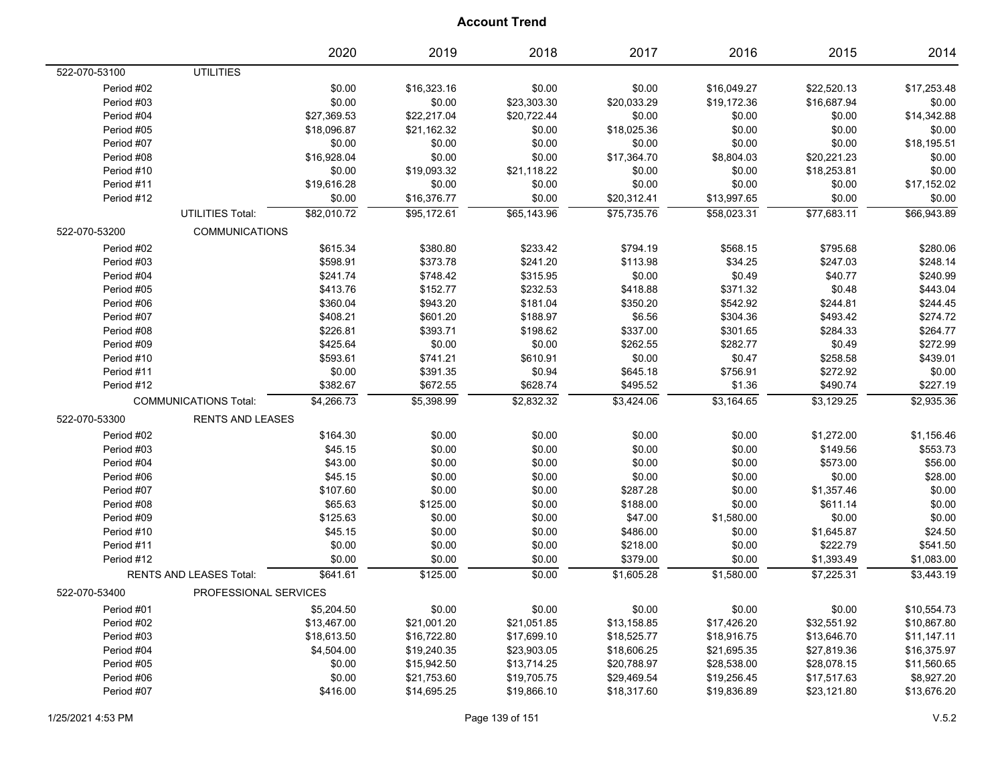|               |                                | 2020        | 2019        | 2018        | 2017        | 2016        | 2015        | 2014        |
|---------------|--------------------------------|-------------|-------------|-------------|-------------|-------------|-------------|-------------|
| 522-070-53100 | <b>UTILITIES</b>               |             |             |             |             |             |             |             |
| Period #02    |                                | \$0.00      | \$16,323.16 | \$0.00      | \$0.00      | \$16,049.27 | \$22,520.13 | \$17,253.48 |
| Period #03    |                                | \$0.00      | \$0.00      | \$23,303.30 | \$20,033.29 | \$19,172.36 | \$16,687.94 | \$0.00      |
| Period #04    |                                | \$27,369.53 | \$22,217.04 | \$20,722.44 | \$0.00      | \$0.00      | \$0.00      | \$14,342.88 |
| Period #05    |                                | \$18,096.87 | \$21,162.32 | \$0.00      | \$18,025.36 | \$0.00      | \$0.00      | \$0.00      |
| Period #07    |                                | \$0.00      | \$0.00      | \$0.00      | \$0.00      | \$0.00      | \$0.00      | \$18,195.51 |
| Period #08    |                                | \$16,928.04 | \$0.00      | \$0.00      | \$17,364.70 | \$8,804.03  | \$20,221.23 | \$0.00      |
| Period #10    |                                | \$0.00      | \$19,093.32 | \$21,118.22 | \$0.00      | \$0.00      | \$18,253.81 | \$0.00      |
| Period #11    |                                | \$19,616.28 | \$0.00      | \$0.00      | \$0.00      | \$0.00      | \$0.00      | \$17,152.02 |
| Period #12    |                                | \$0.00      | \$16,376.77 | \$0.00      | \$20,312.41 | \$13,997.65 | \$0.00      | \$0.00      |
|               | <b>UTILITIES Total:</b>        | \$82,010.72 | \$95,172.61 | \$65,143.96 | \$75,735.76 | \$58,023.31 | \$77,683.11 | \$66,943.89 |
| 522-070-53200 | <b>COMMUNICATIONS</b>          |             |             |             |             |             |             |             |
| Period #02    |                                | \$615.34    | \$380.80    | \$233.42    | \$794.19    | \$568.15    | \$795.68    | \$280.06    |
| Period #03    |                                | \$598.91    | \$373.78    | \$241.20    | \$113.98    | \$34.25     | \$247.03    | \$248.14    |
| Period #04    |                                | \$241.74    | \$748.42    | \$315.95    | \$0.00      | \$0.49      | \$40.77     | \$240.99    |
| Period #05    |                                | \$413.76    | \$152.77    | \$232.53    | \$418.88    | \$371.32    | \$0.48      | \$443.04    |
| Period #06    |                                | \$360.04    | \$943.20    | \$181.04    | \$350.20    | \$542.92    | \$244.81    | \$244.45    |
| Period #07    |                                | \$408.21    | \$601.20    | \$188.97    | \$6.56      | \$304.36    | \$493.42    | \$274.72    |
| Period #08    |                                | \$226.81    | \$393.71    | \$198.62    | \$337.00    | \$301.65    | \$284.33    | \$264.77    |
| Period #09    |                                | \$425.64    | \$0.00      | \$0.00      | \$262.55    | \$282.77    | \$0.49      | \$272.99    |
| Period #10    |                                | \$593.61    | \$741.21    | \$610.91    | \$0.00      | \$0.47      | \$258.58    | \$439.01    |
| Period #11    |                                | \$0.00      | \$391.35    | \$0.94      | \$645.18    | \$756.91    | \$272.92    | \$0.00      |
| Period #12    |                                | \$382.67    | \$672.55    | \$628.74    | \$495.52    | \$1.36      | \$490.74    | \$227.19    |
|               | <b>COMMUNICATIONS Total:</b>   | \$4,266.73  | \$5,398.99  | \$2,832.32  | \$3,424.06  | \$3,164.65  | \$3,129.25  | \$2,935.36  |
| 522-070-53300 | <b>RENTS AND LEASES</b>        |             |             |             |             |             |             |             |
| Period #02    |                                | \$164.30    | \$0.00      | \$0.00      | \$0.00      | \$0.00      | \$1,272.00  | \$1,156.46  |
| Period #03    |                                | \$45.15     | \$0.00      | \$0.00      | \$0.00      | \$0.00      | \$149.56    | \$553.73    |
| Period #04    |                                | \$43.00     | \$0.00      | \$0.00      | \$0.00      | \$0.00      | \$573.00    | \$56.00     |
| Period #06    |                                | \$45.15     | \$0.00      | \$0.00      | \$0.00      | \$0.00      | \$0.00      | \$28.00     |
| Period #07    |                                | \$107.60    | \$0.00      | \$0.00      | \$287.28    | \$0.00      | \$1,357.46  | \$0.00      |
| Period #08    |                                | \$65.63     | \$125.00    | \$0.00      | \$188.00    | \$0.00      | \$611.14    | \$0.00      |
| Period #09    |                                | \$125.63    | \$0.00      | \$0.00      | \$47.00     | \$1,580.00  | \$0.00      | \$0.00      |
| Period #10    |                                | \$45.15     | \$0.00      | \$0.00      | \$486.00    | \$0.00      | \$1,645.87  | \$24.50     |
| Period #11    |                                | \$0.00      | \$0.00      | \$0.00      | \$218.00    | \$0.00      | \$222.79    | \$541.50    |
| Period #12    |                                | \$0.00      | \$0.00      | \$0.00      | \$379.00    | \$0.00      | \$1,393.49  | \$1,083.00  |
|               | <b>RENTS AND LEASES Total:</b> | \$641.61    | \$125.00    | \$0.00      | \$1,605.28  | \$1,580.00  | \$7,225.31  | \$3,443.19  |
| 522-070-53400 | PROFESSIONAL SERVICES          |             |             |             |             |             |             |             |
| Period #01    |                                | \$5,204.50  | \$0.00      | \$0.00      | \$0.00      | \$0.00      | \$0.00      | \$10,554.73 |
| Period #02    |                                | \$13,467.00 | \$21,001.20 | \$21,051.85 | \$13,158.85 | \$17,426.20 | \$32,551.92 | \$10,867.80 |
| Period #03    |                                | \$18,613.50 | \$16,722.80 | \$17,699.10 | \$18,525.77 | \$18,916.75 | \$13,646.70 | \$11,147.11 |
| Period #04    |                                | \$4,504.00  | \$19,240.35 | \$23,903.05 | \$18,606.25 | \$21,695.35 | \$27,819.36 | \$16,375.97 |
| Period #05    |                                | \$0.00      | \$15,942.50 | \$13,714.25 | \$20,788.97 | \$28,538.00 | \$28,078.15 | \$11,560.65 |
| Period #06    |                                | \$0.00      | \$21,753.60 | \$19,705.75 | \$29,469.54 | \$19,256.45 | \$17,517.63 | \$8,927.20  |
| Period #07    |                                | \$416.00    | \$14,695.25 | \$19,866.10 | \$18,317.60 | \$19,836.89 | \$23,121.80 | \$13,676.20 |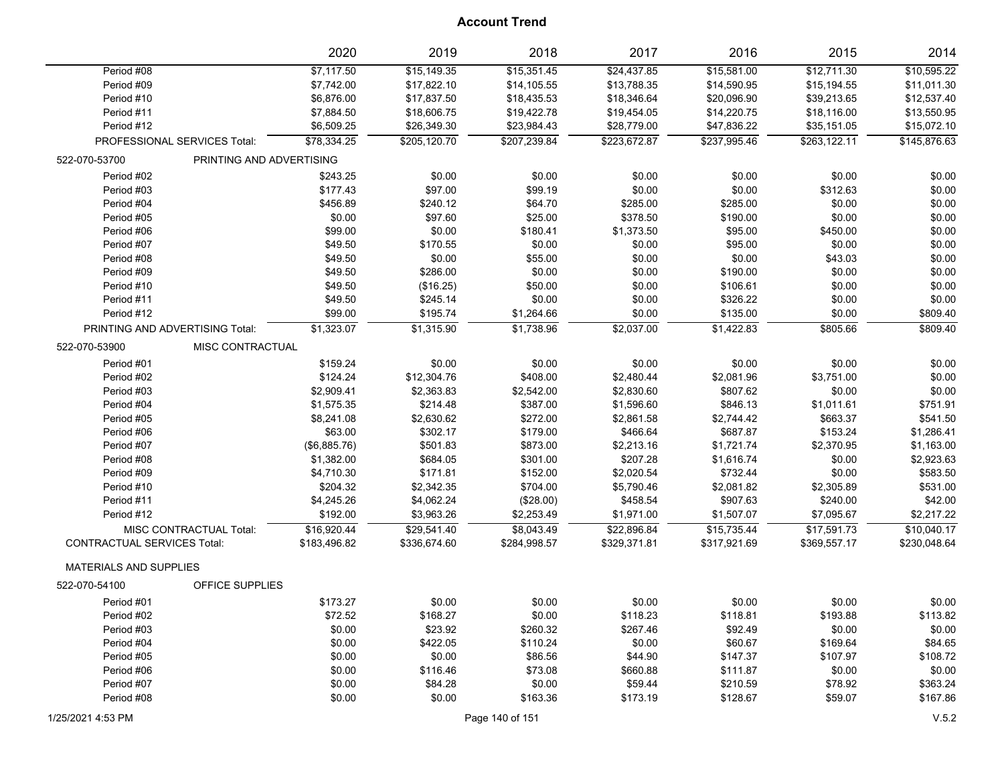|                                    |                                 | 2020         | 2019         | 2018         | 2017         | 2016         | 2015         | 2014         |
|------------------------------------|---------------------------------|--------------|--------------|--------------|--------------|--------------|--------------|--------------|
| Period #08                         |                                 | \$7,117.50   | \$15,149.35  | \$15,351.45  | \$24,437.85  | \$15,581.00  | \$12,711.30  | \$10,595.22  |
| Period #09                         |                                 | \$7,742.00   | \$17,822.10  | \$14,105.55  | \$13,788.35  | \$14,590.95  | \$15,194.55  | \$11,011.30  |
| Period #10                         |                                 | \$6,876.00   | \$17,837.50  | \$18,435.53  | \$18,346.64  | \$20,096.90  | \$39,213.65  | \$12,537.40  |
| Period #11                         |                                 | \$7,884.50   | \$18,606.75  | \$19,422.78  | \$19,454.05  | \$14,220.75  | \$18,116.00  | \$13,550.95  |
| Period #12                         |                                 | \$6,509.25   | \$26,349.30  | \$23,984.43  | \$28,779.00  | \$47,836.22  | \$35,151.05  | \$15,072.10  |
|                                    | PROFESSIONAL SERVICES Total:    | \$78,334.25  | \$205,120.70 | \$207,239.84 | \$223,672.87 | \$237,995.46 | \$263,122.11 | \$145,876.63 |
| 522-070-53700                      | PRINTING AND ADVERTISING        |              |              |              |              |              |              |              |
| Period #02                         |                                 | \$243.25     | \$0.00       | \$0.00       | \$0.00       | \$0.00       | \$0.00       | \$0.00       |
| Period #03                         |                                 | \$177.43     | \$97.00      | \$99.19      | \$0.00       | \$0.00       | \$312.63     | \$0.00       |
| Period #04                         |                                 | \$456.89     | \$240.12     | \$64.70      | \$285.00     | \$285.00     | \$0.00       | \$0.00       |
| Period #05                         |                                 | \$0.00       | \$97.60      | \$25.00      | \$378.50     | \$190.00     | \$0.00       | \$0.00       |
| Period #06                         |                                 | \$99.00      | \$0.00       | \$180.41     | \$1,373.50   | \$95.00      | \$450.00     | \$0.00       |
| Period #07                         |                                 | \$49.50      | \$170.55     | \$0.00       | \$0.00       | \$95.00      | \$0.00       | \$0.00       |
| Period #08                         |                                 | \$49.50      | \$0.00       | \$55.00      | \$0.00       | \$0.00       | \$43.03      | \$0.00       |
| Period #09                         |                                 | \$49.50      | \$286.00     | \$0.00       | \$0.00       | \$190.00     | \$0.00       | \$0.00       |
| Period #10                         |                                 | \$49.50      | (\$16.25)    | \$50.00      | \$0.00       | \$106.61     | \$0.00       | \$0.00       |
| Period #11                         |                                 | \$49.50      | \$245.14     | \$0.00       | \$0.00       | \$326.22     | \$0.00       | \$0.00       |
| Period #12                         |                                 | \$99.00      | \$195.74     | \$1,264.66   | \$0.00       | \$135.00     | \$0.00       | \$809.40     |
|                                    | PRINTING AND ADVERTISING Total: | \$1,323.07   | \$1,315.90   | \$1,738.96   | \$2,037.00   | \$1,422.83   | \$805.66     | \$809.40     |
| 522-070-53900                      | <b>MISC CONTRACTUAL</b>         |              |              |              |              |              |              |              |
| Period #01                         |                                 | \$159.24     | \$0.00       | \$0.00       | \$0.00       | \$0.00       | \$0.00       | \$0.00       |
| Period #02                         |                                 | \$124.24     | \$12,304.76  | \$408.00     | \$2,480.44   | \$2,081.96   | \$3,751.00   | \$0.00       |
| Period #03                         |                                 | \$2,909.41   | \$2,363.83   | \$2,542.00   | \$2,830.60   | \$807.62     | \$0.00       | \$0.00       |
| Period #04                         |                                 | \$1,575.35   | \$214.48     | \$387.00     | \$1,596.60   | \$846.13     | \$1,011.61   | \$751.91     |
| Period #05                         |                                 | \$8,241.08   | \$2,630.62   | \$272.00     | \$2,861.58   | \$2,744.42   | \$663.37     | \$541.50     |
| Period #06                         |                                 | \$63.00      | \$302.17     | \$179.00     | \$466.64     | \$687.87     | \$153.24     | \$1,286.41   |
| Period #07                         |                                 | (\$6,885.76) | \$501.83     | \$873.00     | \$2,213.16   | \$1,721.74   | \$2,370.95   | \$1,163.00   |
| Period #08                         |                                 | \$1,382.00   | \$684.05     | \$301.00     | \$207.28     | \$1,616.74   | \$0.00       | \$2,923.63   |
| Period #09                         |                                 | \$4,710.30   | \$171.81     | \$152.00     | \$2,020.54   | \$732.44     | \$0.00       | \$583.50     |
| Period #10                         |                                 | \$204.32     | \$2,342.35   | \$704.00     | \$5,790.46   | \$2,081.82   | \$2,305.89   | \$531.00     |
| Period #11                         |                                 | \$4,245.26   | \$4,062.24   | (\$28.00)    | \$458.54     | \$907.63     | \$240.00     | \$42.00      |
| Period #12                         |                                 | \$192.00     | \$3,963.26   | \$2,253.49   | \$1,971.00   | \$1,507.07   | \$7,095.67   | \$2,217.22   |
|                                    | MISC CONTRACTUAL Total:         | \$16,920.44  | \$29,541.40  | \$8,043.49   | \$22,896.84  | \$15,735.44  | \$17,591.73  | \$10,040.17  |
| <b>CONTRACTUAL SERVICES Total:</b> |                                 | \$183,496.82 | \$336,674.60 | \$284,998.57 | \$329,371.81 | \$317,921.69 | \$369,557.17 | \$230,048.64 |
| <b>MATERIALS AND SUPPLIES</b>      |                                 |              |              |              |              |              |              |              |
| 522-070-54100                      | <b>OFFICE SUPPLIES</b>          |              |              |              |              |              |              |              |
| Period #01                         |                                 | \$173.27     | \$0.00       | \$0.00       | \$0.00       | \$0.00       | \$0.00       | \$0.00       |
| Period #02                         |                                 | \$72.52      | \$168.27     | \$0.00       | \$118.23     | \$118.81     | \$193.88     | \$113.82     |
| Period #03                         |                                 | \$0.00       | \$23.92      | \$260.32     | \$267.46     | \$92.49      | \$0.00       | \$0.00       |
| Period #04                         |                                 | \$0.00       | \$422.05     | \$110.24     | \$0.00       | \$60.67      | \$169.64     | \$84.65      |
| Period #05                         |                                 | \$0.00       | \$0.00       | \$86.56      | \$44.90      | \$147.37     | \$107.97     | \$108.72     |
| Period #06                         |                                 | \$0.00       | \$116.46     | \$73.08      | \$660.88     | \$111.87     | \$0.00       | \$0.00       |
| Period #07                         |                                 | \$0.00       | \$84.28      | \$0.00       | \$59.44      | \$210.59     | \$78.92      | \$363.24     |
| Period #08                         |                                 | \$0.00       | \$0.00       | \$163.36     | \$173.19     | \$128.67     | \$59.07      | \$167.86     |
|                                    |                                 |              |              |              |              |              |              |              |

1/25/2021 4:53 PM Page 140 of 151 V.5.2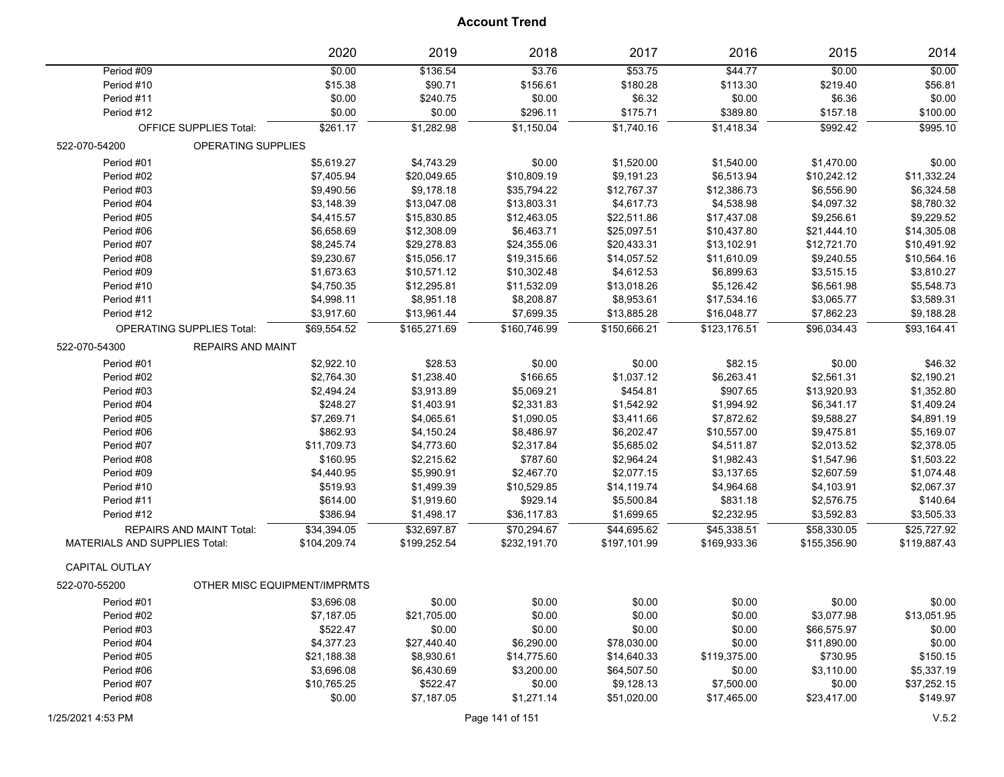|                                      |                                  | 2020                         | 2019         | 2018         | 2017         | 2016         | 2015         | 2014         |
|--------------------------------------|----------------------------------|------------------------------|--------------|--------------|--------------|--------------|--------------|--------------|
| Period #09                           |                                  | \$0.00                       | \$136.54     | \$3.76       | \$53.75      | \$44.77      | \$0.00       | \$0.00       |
| Period #10                           |                                  | \$15.38                      | \$90.71      | \$156.61     | \$180.28     | \$113.30     | \$219.40     | \$56.81      |
| Period #11                           |                                  | \$0.00                       | \$240.75     | \$0.00       | \$6.32       | \$0.00       | \$6.36       | \$0.00       |
| Period #12                           |                                  | \$0.00                       | \$0.00       | \$296.11     | \$175.71     | \$389.80     | \$157.18     | \$100.00     |
|                                      | <b>OFFICE SUPPLIES Total:</b>    | \$261.17                     | \$1,282.98   | \$1,150.04   | \$1,740.16   | \$1,418.34   | \$992.42     | \$995.10     |
| 522-070-54200                        | <b>OPERATING SUPPLIES</b>        |                              |              |              |              |              |              |              |
| Period #01                           |                                  | \$5,619.27                   | \$4,743.29   | \$0.00       | \$1,520.00   | \$1,540.00   | \$1,470.00   | \$0.00       |
| Period #02                           |                                  | \$7,405.94                   | \$20,049.65  | \$10,809.19  | \$9,191.23   | \$6,513.94   | \$10,242.12  | \$11,332.24  |
| Period #03                           |                                  | \$9,490.56                   | \$9,178.18   | \$35,794.22  | \$12,767.37  | \$12,386.73  | \$6,556.90   | \$6,324.58   |
| Period #04                           |                                  | \$3,148.39                   | \$13,047.08  | \$13,803.31  | \$4,617.73   | \$4,538.98   | \$4,097.32   | \$8,780.32   |
| Period #05                           |                                  | \$4,415.57                   | \$15,830.85  | \$12,463.05  | \$22,511.86  | \$17,437.08  | \$9,256.61   | \$9,229.52   |
| Period #06                           |                                  | \$6,658.69                   | \$12,308.09  | \$6,463.71   | \$25,097.51  | \$10,437.80  | \$21,444.10  | \$14,305.08  |
| Period #07                           |                                  | \$8,245.74                   | \$29,278.83  | \$24,355.06  | \$20,433.31  | \$13,102.91  | \$12,721.70  | \$10,491.92  |
| Period #08                           |                                  | \$9,230.67                   | \$15,056.17  | \$19,315.66  | \$14,057.52  | \$11,610.09  | \$9,240.55   | \$10,564.16  |
| Period #09                           |                                  | \$1,673.63                   | \$10,571.12  | \$10,302.48  | \$4,612.53   | \$6,899.63   | \$3,515.15   | \$3,810.27   |
| Period #10                           |                                  | \$4,750.35                   | \$12,295.81  | \$11,532.09  | \$13,018.26  | \$5,126.42   | \$6,561.98   | \$5,548.73   |
| Period #11                           |                                  | \$4,998.11                   | \$8,951.18   | \$8,208.87   | \$8,953.61   | \$17,534.16  | \$3,065.77   | \$3,589.31   |
| Period #12                           |                                  | \$3,917.60                   | \$13,961.44  | \$7,699.35   | \$13,885.28  | \$16,048.77  | \$7,862.23   | \$9,188.28   |
|                                      | <b>OPERATING SUPPLIES Total:</b> | \$69,554.52                  | \$165,271.69 | \$160,746.99 | \$150,666.21 | \$123,176.51 | \$96,034.43  | \$93,164.41  |
| 522-070-54300                        | <b>REPAIRS AND MAINT</b>         |                              |              |              |              |              |              |              |
| Period #01                           |                                  | \$2,922.10                   | \$28.53      | \$0.00       | \$0.00       | \$82.15      | \$0.00       | \$46.32      |
| Period #02                           |                                  | \$2,764.30                   | \$1,238.40   | \$166.65     | \$1,037.12   | \$6,263.41   | \$2,561.31   | \$2,190.21   |
| Period #03                           |                                  | \$2,494.24                   | \$3,913.89   | \$5,069.21   | \$454.81     | \$907.65     | \$13,920.93  | \$1,352.80   |
| Period #04                           |                                  | \$248.27                     | \$1,403.91   | \$2,331.83   | \$1,542.92   | \$1,994.92   | \$6,341.17   | \$1,409.24   |
| Period #05                           |                                  | \$7,269.71                   | \$4,065.61   | \$1,090.05   | \$3,411.66   | \$7,872.62   | \$9,588.27   | \$4,891.19   |
| Period #06                           |                                  | \$862.93                     | \$4,150.24   | \$8,486.97   | \$6,202.47   | \$10,557.00  | \$9,475.81   | \$5,169.07   |
| Period #07                           |                                  | \$11,709.73                  | \$4,773.60   | \$2,317.84   | \$5,685.02   | \$4,511.87   | \$2,013.52   | \$2,378.05   |
| Period #08                           |                                  | \$160.95                     | \$2,215.62   | \$787.60     | \$2,964.24   | \$1,982.43   | \$1,547.96   | \$1,503.22   |
| Period #09                           |                                  | \$4,440.95                   | \$5,990.91   | \$2,467.70   | \$2,077.15   | \$3,137.65   | \$2,607.59   | \$1,074.48   |
| Period #10                           |                                  | \$519.93                     | \$1,499.39   | \$10,529.85  | \$14,119.74  | \$4,964.68   | \$4,103.91   | \$2,067.37   |
| Period #11                           |                                  | \$614.00                     | \$1,919.60   | \$929.14     | \$5,500.84   | \$831.18     | \$2,576.75   | \$140.64     |
| Period #12                           |                                  | \$386.94                     | \$1,498.17   | \$36,117.83  | \$1,699.65   | \$2,232.95   | \$3,592.83   | \$3,505.33   |
|                                      | <b>REPAIRS AND MAINT Total:</b>  | \$34,394.05                  | \$32.697.87  | \$70.294.67  | \$44,695.62  | \$45,338.51  | \$58,330.05  | \$25,727.92  |
| <b>MATERIALS AND SUPPLIES Total:</b> |                                  | \$104,209.74                 | \$199,252.54 | \$232,191.70 | \$197,101.99 | \$169,933.36 | \$155,356.90 | \$119,887.43 |
| <b>CAPITAL OUTLAY</b>                |                                  |                              |              |              |              |              |              |              |
| 522-070-55200                        |                                  | OTHER MISC EQUIPMENT/IMPRMTS |              |              |              |              |              |              |
| Period #01                           |                                  | \$3,696.08                   | \$0.00       | \$0.00       | \$0.00       | \$0.00       | \$0.00       | \$0.00       |
| Period #02                           |                                  | \$7,187.05                   | \$21,705.00  | \$0.00       | \$0.00       | \$0.00       | \$3,077.98   | \$13,051.95  |
| Period #03                           |                                  | \$522.47                     | \$0.00       | \$0.00       | \$0.00       | \$0.00       | \$66,575.97  | \$0.00       |
| Period #04                           |                                  | \$4,377.23                   | \$27,440.40  | \$6,290.00   | \$78,030.00  | \$0.00       | \$11,890.00  | \$0.00       |
| Period #05                           |                                  | \$21,188.38                  | \$8,930.61   | \$14,775.60  | \$14,640.33  | \$119,375.00 | \$730.95     | \$150.15     |
| Period #06                           |                                  | \$3,696.08                   | \$6,430.69   | \$3,200.00   | \$64,507.50  | \$0.00       | \$3,110.00   | \$5,337.19   |
| Period #07                           |                                  | \$10,765.25                  | \$522.47     | \$0.00       | \$9,128.13   | \$7,500.00   | \$0.00       | \$37,252.15  |
| Period #08                           |                                  | \$0.00                       | \$7,187.05   | \$1,271.14   | \$51,020.00  | \$17,465.00  | \$23,417.00  | \$149.97     |
|                                      |                                  |                              |              |              |              |              |              |              |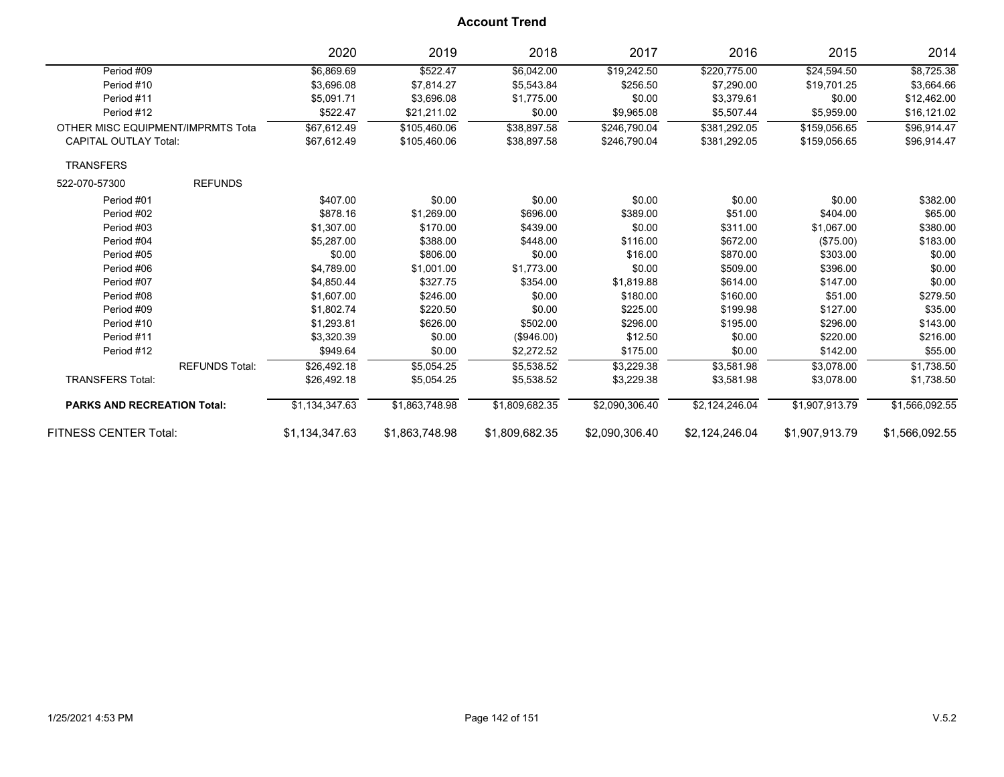|                                    |                       | 2020           | 2019           | 2018           | 2017           | 2016           | 2015           | 2014           |
|------------------------------------|-----------------------|----------------|----------------|----------------|----------------|----------------|----------------|----------------|
| Period #09                         |                       | \$6,869.69     | \$522.47       | \$6,042.00     | \$19,242.50    | \$220,775.00   | \$24,594.50    | \$8,725.38     |
| Period #10                         |                       | \$3,696.08     | \$7,814.27     | \$5,543.84     | \$256.50       | \$7,290.00     | \$19,701.25    | \$3,664.66     |
| Period #11                         |                       | \$5,091.71     | \$3,696.08     | \$1,775.00     | \$0.00         | \$3,379.61     | \$0.00         | \$12,462.00    |
| Period #12                         |                       | \$522.47       | \$21,211.02    | \$0.00         | \$9,965.08     | \$5,507.44     | \$5,959.00     | \$16,121.02    |
| OTHER MISC EQUIPMENT/IMPRMTS Tota  |                       | \$67,612.49    | \$105,460.06   | \$38,897.58    | \$246,790.04   | \$381,292.05   | \$159,056.65   | \$96,914.47    |
| <b>CAPITAL OUTLAY Total:</b>       |                       | \$67,612.49    | \$105,460.06   | \$38,897.58    | \$246,790.04   | \$381,292.05   | \$159,056.65   | \$96,914.47    |
| <b>TRANSFERS</b>                   |                       |                |                |                |                |                |                |                |
| 522-070-57300                      | <b>REFUNDS</b>        |                |                |                |                |                |                |                |
| Period #01                         |                       | \$407.00       | \$0.00         | \$0.00         | \$0.00         | \$0.00         | \$0.00         | \$382.00       |
| Period #02                         |                       | \$878.16       | \$1,269.00     | \$696.00       | \$389.00       | \$51.00        | \$404.00       | \$65.00        |
| Period #03                         |                       | \$1,307.00     | \$170.00       | \$439.00       | \$0.00         | \$311.00       | \$1,067.00     | \$380.00       |
| Period #04                         |                       | \$5,287.00     | \$388.00       | \$448.00       | \$116.00       | \$672.00       | (\$75.00)      | \$183.00       |
| Period #05                         |                       | \$0.00         | \$806.00       | \$0.00         | \$16.00        | \$870.00       | \$303.00       | \$0.00         |
| Period #06                         |                       | \$4,789.00     | \$1,001.00     | \$1,773.00     | \$0.00         | \$509.00       | \$396.00       | \$0.00         |
| Period #07                         |                       | \$4,850.44     | \$327.75       | \$354.00       | \$1,819.88     | \$614.00       | \$147.00       | \$0.00         |
| Period #08                         |                       | \$1,607.00     | \$246.00       | \$0.00         | \$180.00       | \$160.00       | \$51.00        | \$279.50       |
| Period #09                         |                       | \$1,802.74     | \$220.50       | \$0.00         | \$225.00       | \$199.98       | \$127.00       | \$35.00        |
| Period #10                         |                       | \$1,293.81     | \$626.00       | \$502.00       | \$296.00       | \$195.00       | \$296.00       | \$143.00       |
| Period #11                         |                       | \$3,320.39     | \$0.00         | (\$946.00)     | \$12.50        | \$0.00         | \$220.00       | \$216.00       |
| Period #12                         |                       | \$949.64       | \$0.00         | \$2,272.52     | \$175.00       | \$0.00         | \$142.00       | \$55.00        |
|                                    | <b>REFUNDS Total:</b> | \$26,492.18    | \$5,054.25     | \$5,538.52     | \$3,229.38     | \$3,581.98     | \$3,078.00     | \$1,738.50     |
| <b>TRANSFERS Total:</b>            |                       | \$26,492.18    | \$5,054.25     | \$5,538.52     | \$3,229.38     | \$3,581.98     | \$3,078.00     | \$1,738.50     |
| <b>PARKS AND RECREATION Total:</b> |                       | \$1,134,347.63 | \$1,863,748.98 | \$1,809,682.35 | \$2,090,306.40 | \$2,124,246.04 | \$1,907,913.79 | \$1,566,092.55 |
| <b>FITNESS CENTER Total:</b>       |                       | \$1,134,347.63 | \$1.863.748.98 | \$1,809,682.35 | \$2.090.306.40 | \$2.124.246.04 | \$1.907.913.79 | \$1.566.092.55 |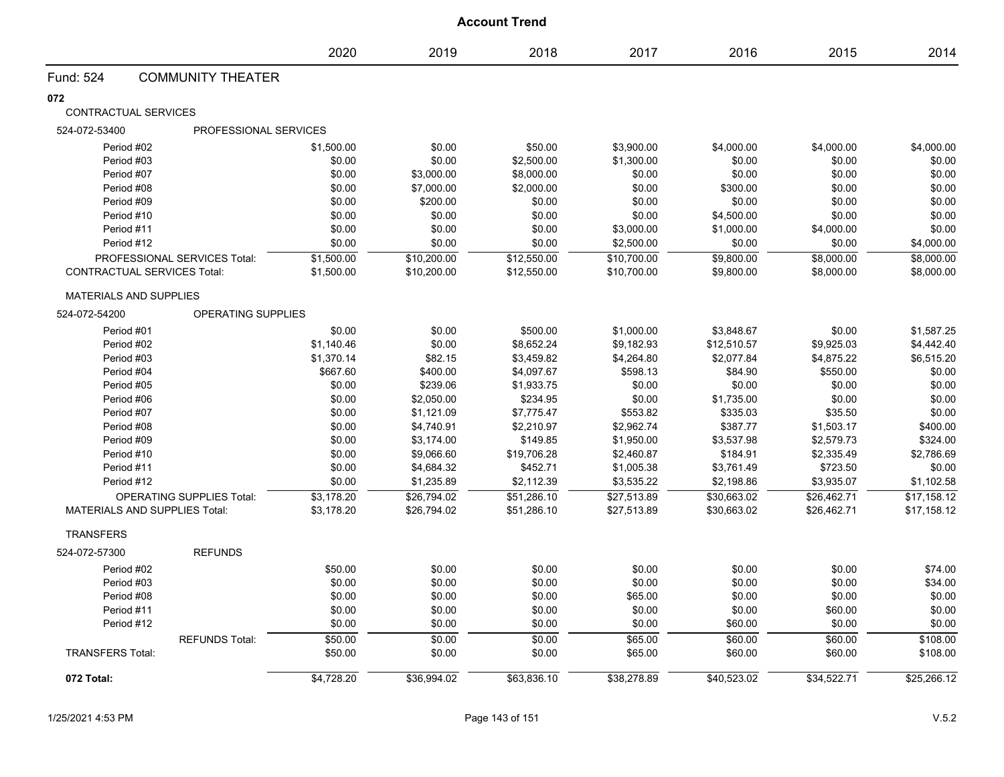|                         |                                      |            |             | <b>Account Trend</b> |             |             |             |             |
|-------------------------|--------------------------------------|------------|-------------|----------------------|-------------|-------------|-------------|-------------|
|                         |                                      | 2020       | 2019        | 2018                 | 2017        | 2016        | 2015        | 2014        |
| Fund: 524               | <b>COMMUNITY THEATER</b>             |            |             |                      |             |             |             |             |
| 072                     |                                      |            |             |                      |             |             |             |             |
|                         | CONTRACTUAL SERVICES                 |            |             |                      |             |             |             |             |
| 524-072-53400           | PROFESSIONAL SERVICES                |            |             |                      |             |             |             |             |
|                         | Period #02                           | \$1,500.00 | \$0.00      | \$50.00              | \$3,900.00  | \$4,000.00  | \$4,000.00  | \$4,000.00  |
|                         | Period #03                           | \$0.00     | \$0.00      | \$2,500.00           | \$1,300.00  | \$0.00      | \$0.00      | \$0.00      |
|                         | Period #07                           | \$0.00     | \$3,000.00  | \$8,000.00           | \$0.00      | \$0.00      | \$0.00      | \$0.00      |
|                         | Period #08                           | \$0.00     | \$7,000.00  | \$2,000.00           | \$0.00      | \$300.00    | \$0.00      | \$0.00      |
|                         | Period #09                           | \$0.00     | \$200.00    | \$0.00               | \$0.00      | \$0.00      | \$0.00      | \$0.00      |
|                         | Period #10                           | \$0.00     | \$0.00      | \$0.00               | \$0.00      | \$4,500.00  | \$0.00      | \$0.00      |
|                         | Period #11                           | \$0.00     | \$0.00      | \$0.00               | \$3,000.00  | \$1,000.00  | \$4,000.00  | \$0.00      |
|                         | Period #12                           | \$0.00     | \$0.00      | \$0.00               | \$2,500.00  | \$0.00      | \$0.00      | \$4,000.00  |
|                         | PROFESSIONAL SERVICES Total:         | \$1,500.00 | \$10,200.00 | \$12,550.00          | \$10,700.00 | \$9,800.00  | \$8,000.00  | \$8,000.00  |
|                         | <b>CONTRACTUAL SERVICES Total:</b>   | \$1,500.00 | \$10,200.00 | \$12,550.00          | \$10,700.00 | \$9,800.00  | \$8,000.00  | \$8,000.00  |
|                         | <b>MATERIALS AND SUPPLIES</b>        |            |             |                      |             |             |             |             |
| 524-072-54200           | <b>OPERATING SUPPLIES</b>            |            |             |                      |             |             |             |             |
|                         | Period #01                           | \$0.00     | \$0.00      | \$500.00             | \$1,000.00  | \$3,848.67  | \$0.00      | \$1,587.25  |
|                         | Period #02                           | \$1,140.46 | \$0.00      | \$8,652.24           | \$9,182.93  | \$12,510.57 | \$9,925.03  | \$4,442.40  |
|                         | Period #03                           | \$1,370.14 | \$82.15     | \$3,459.82           | \$4,264.80  | \$2,077.84  | \$4,875.22  | \$6,515.20  |
|                         | Period #04                           | \$667.60   | \$400.00    | \$4,097.67           | \$598.13    | \$84.90     | \$550.00    | \$0.00      |
|                         | Period #05                           | \$0.00     | \$239.06    | \$1,933.75           | \$0.00      | \$0.00      | \$0.00      | \$0.00      |
|                         | Period #06                           | \$0.00     | \$2,050.00  | \$234.95             | \$0.00      | \$1,735.00  | \$0.00      | \$0.00      |
|                         | Period #07                           | \$0.00     | \$1,121.09  | \$7,775.47           | \$553.82    | \$335.03    | \$35.50     | \$0.00      |
|                         | Period #08                           | \$0.00     | \$4,740.91  | \$2,210.97           | \$2,962.74  | \$387.77    | \$1,503.17  | \$400.00    |
|                         | Period #09                           | \$0.00     | \$3,174.00  | \$149.85             | \$1,950.00  | \$3,537.98  | \$2,579.73  | \$324.00    |
|                         | Period #10                           | \$0.00     | \$9,066.60  | \$19,706.28          | \$2,460.87  | \$184.91    | \$2,335.49  | \$2,786.69  |
|                         | Period #11                           | \$0.00     | \$4,684.32  | \$452.71             | \$1,005.38  | \$3,761.49  | \$723.50    | \$0.00      |
|                         | Period #12                           | \$0.00     | \$1,235.89  | \$2,112.39           | \$3,535.22  | \$2,198.86  | \$3,935.07  | \$1,102.58  |
|                         | <b>OPERATING SUPPLIES Total:</b>     | \$3,178.20 | \$26,794.02 | \$51,286.10          | \$27,513.89 | \$30,663.02 | \$26,462.71 | \$17,158.12 |
|                         | <b>MATERIALS AND SUPPLIES Total:</b> | \$3.178.20 | \$26,794.02 | \$51,286.10          | \$27,513.89 | \$30,663.02 | \$26,462.71 | \$17,158.12 |
| <b>TRANSFERS</b>        |                                      |            |             |                      |             |             |             |             |
| 524-072-57300           | <b>REFUNDS</b>                       |            |             |                      |             |             |             |             |
|                         | Period #02                           | \$50.00    | \$0.00      | \$0.00               | \$0.00      | \$0.00      | \$0.00      | \$74.00     |
|                         | Period #03                           | \$0.00     | \$0.00      | \$0.00               | \$0.00      | \$0.00      | \$0.00      | \$34.00     |
|                         | Period #08                           | \$0.00     | \$0.00      | \$0.00               | \$65.00     | \$0.00      | \$0.00      | \$0.00      |
|                         | Period #11                           | \$0.00     | \$0.00      | \$0.00               | \$0.00      | \$0.00      | \$60.00     | \$0.00      |
|                         | Period #12                           | \$0.00     | \$0.00      | \$0.00               | \$0.00      | \$60.00     | \$0.00      | \$0.00      |
|                         | <b>REFUNDS Total:</b>                | \$50.00    | \$0.00      | \$0.00               | \$65.00     | \$60.00     | \$60.00     | \$108.00    |
| <b>TRANSFERS Total:</b> |                                      | \$50.00    | \$0.00      | \$0.00               | \$65.00     | \$60.00     | \$60.00     | \$108.00    |
| 072 Total:              |                                      | \$4,728.20 | \$36,994.02 | \$63,836.10          | \$38,278.89 | \$40,523.02 | \$34,522.71 | \$25,266.12 |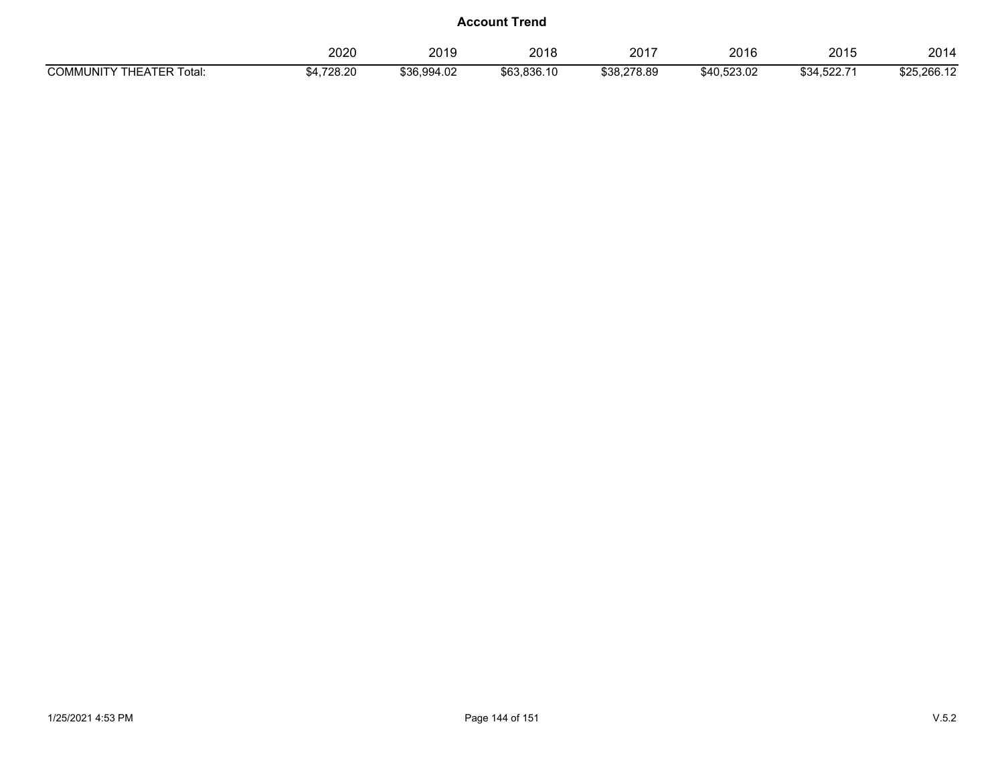|                                    | 2020       | 2019        | nn10<br>2018 | 2017        | 2016        | 2015       | 2014        |
|------------------------------------|------------|-------------|--------------|-------------|-------------|------------|-------------|
| <b>COMMUNITY THEATER</b><br>Total: | \$4,728.20 | \$36,994.02 | \$63,836.10  | \$38,278.89 | \$40,523.02 | \$34,522.7 | \$25,266.12 |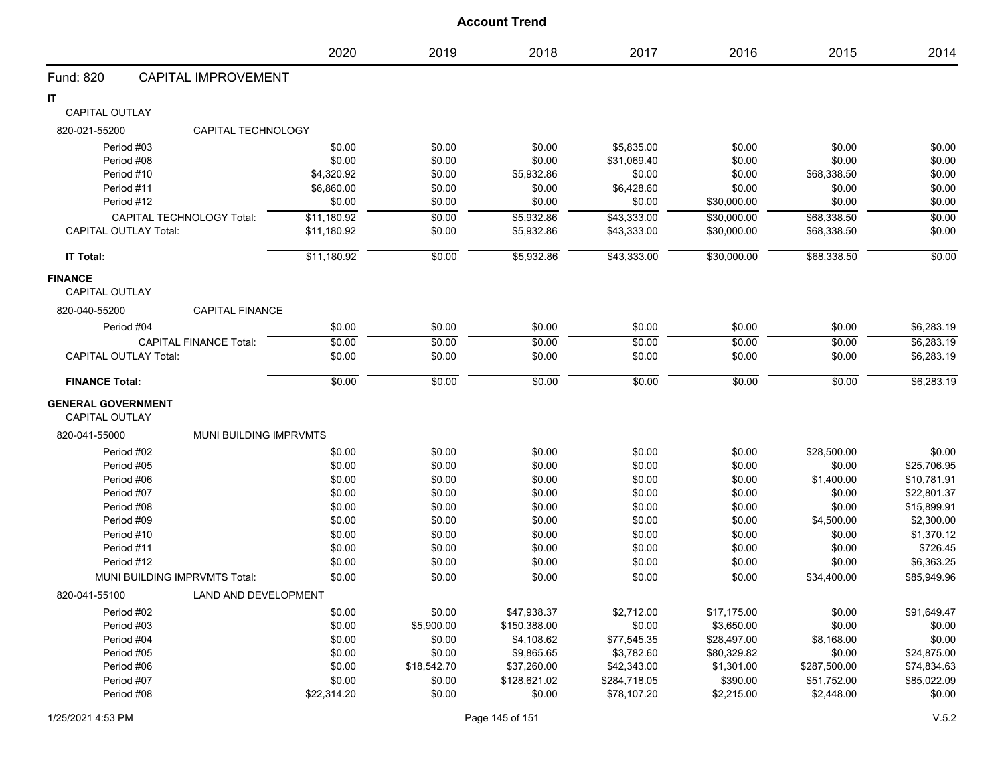|                                  |                               | 2020        | 2019        | 2018         | 2017         | 2016        | 2015         | 2014        |
|----------------------------------|-------------------------------|-------------|-------------|--------------|--------------|-------------|--------------|-------------|
| Fund: 820                        | <b>CAPITAL IMPROVEMENT</b>    |             |             |              |              |             |              |             |
| IT                               |                               |             |             |              |              |             |              |             |
| <b>CAPITAL OUTLAY</b>            |                               |             |             |              |              |             |              |             |
| 820-021-55200                    | CAPITAL TECHNOLOGY            |             |             |              |              |             |              |             |
| Period #03                       |                               | \$0.00      | \$0.00      | \$0.00       | \$5,835.00   | \$0.00      | \$0.00       | \$0.00      |
| Period #08                       |                               | \$0.00      | \$0.00      | \$0.00       | \$31,069.40  | \$0.00      | \$0.00       | \$0.00      |
| Period #10                       |                               | \$4,320.92  | \$0.00      | \$5,932.86   | \$0.00       | \$0.00      | \$68,338.50  | \$0.00      |
| Period #11                       |                               | \$6,860.00  | \$0.00      | \$0.00       | \$6,428.60   | \$0.00      | \$0.00       | \$0.00      |
| Period #12                       |                               | \$0.00      | \$0.00      | \$0.00       | \$0.00       | \$30,000.00 | \$0.00       | \$0.00      |
|                                  | CAPITAL TECHNOLOGY Total:     | \$11,180.92 | \$0.00      | \$5,932.86   | \$43,333.00  | \$30,000.00 | \$68,338.50  | \$0.00      |
| <b>CAPITAL OUTLAY Total:</b>     |                               | \$11,180.92 | \$0.00      | \$5,932.86   | \$43,333.00  | \$30,000.00 | \$68,338.50  | \$0.00      |
| IT Total:                        |                               | \$11,180.92 | \$0.00      | \$5,932.86   | \$43,333.00  | \$30,000.00 | \$68,338.50  | \$0.00      |
| <b>FINANCE</b><br>CAPITAL OUTLAY |                               |             |             |              |              |             |              |             |
| 820-040-55200                    | <b>CAPITAL FINANCE</b>        |             |             |              |              |             |              |             |
| Period #04                       |                               | \$0.00      | \$0.00      | \$0.00       | \$0.00       | \$0.00      | \$0.00       | \$6,283.19  |
|                                  | <b>CAPITAL FINANCE Total:</b> | \$0.00      | \$0.00      | \$0.00       | \$0.00       | \$0.00      | \$0.00       | \$6,283.19  |
| <b>CAPITAL OUTLAY Total:</b>     |                               | \$0.00      | \$0.00      | \$0.00       | \$0.00       | \$0.00      | \$0.00       | \$6,283.19  |
| <b>FINANCE Total:</b>            |                               | \$0.00      | \$0.00      | \$0.00       | \$0.00       | \$0.00      | \$0.00       | \$6,283.19  |
| <b>GENERAL GOVERNMENT</b>        |                               |             |             |              |              |             |              |             |
| CAPITAL OUTLAY                   |                               |             |             |              |              |             |              |             |
| 820-041-55000                    | MUNI BUILDING IMPRVMTS        |             |             |              |              |             |              |             |
| Period #02                       |                               | \$0.00      | \$0.00      | \$0.00       | \$0.00       | \$0.00      | \$28,500.00  | \$0.00      |
| Period #05                       |                               | \$0.00      | \$0.00      | \$0.00       | \$0.00       | \$0.00      | \$0.00       | \$25,706.95 |
| Period #06                       |                               | \$0.00      | \$0.00      | \$0.00       | \$0.00       | \$0.00      | \$1,400.00   | \$10,781.91 |
| Period #07                       |                               | \$0.00      | \$0.00      | \$0.00       | \$0.00       | \$0.00      | \$0.00       | \$22,801.37 |
| Period #08                       |                               | \$0.00      | \$0.00      | \$0.00       | \$0.00       | \$0.00      | \$0.00       | \$15,899.91 |
| Period #09                       |                               | \$0.00      | \$0.00      | \$0.00       | \$0.00       | \$0.00      | \$4,500.00   | \$2,300.00  |
| Period #10                       |                               | \$0.00      | \$0.00      | \$0.00       | \$0.00       | \$0.00      | \$0.00       | \$1,370.12  |
| Period #11                       |                               | \$0.00      | \$0.00      | \$0.00       | \$0.00       | \$0.00      | \$0.00       | \$726.45    |
| Period #12                       |                               | \$0.00      | \$0.00      | \$0.00       | \$0.00       | \$0.00      | \$0.00       | \$6,363.25  |
|                                  | MUNI BUILDING IMPRVMTS Total: | \$0.00      | \$0.00      | \$0.00       | \$0.00       | \$0.00      | \$34,400.00  | \$85,949.96 |
| 820-041-55100                    | <b>LAND AND DEVELOPMENT</b>   |             |             |              |              |             |              |             |
| Period #02                       |                               | \$0.00      | \$0.00      | \$47,938.37  | \$2,712.00   | \$17,175.00 | \$0.00       | \$91,649.47 |
| Period #03                       |                               | \$0.00      | \$5,900.00  | \$150,388.00 | \$0.00       | \$3,650.00  | \$0.00       | \$0.00      |
| Period #04                       |                               | \$0.00      | \$0.00      | \$4,108.62   | \$77,545.35  | \$28,497.00 | \$8,168.00   | \$0.00      |
| Period #05                       |                               | \$0.00      | \$0.00      | \$9,865.65   | \$3,782.60   | \$80,329.82 | \$0.00       | \$24,875.00 |
| Period #06                       |                               | \$0.00      | \$18,542.70 | \$37,260.00  | \$42,343.00  | \$1,301.00  | \$287,500.00 | \$74,834.63 |
| Period #07                       |                               | \$0.00      | \$0.00      | \$128,621.02 | \$284,718.05 | \$390.00    | \$51,752.00  | \$85,022.09 |
| Period #08                       |                               | \$22,314.20 | \$0.00      | \$0.00       | \$78,107.20  | \$2,215.00  | \$2,448.00   | \$0.00      |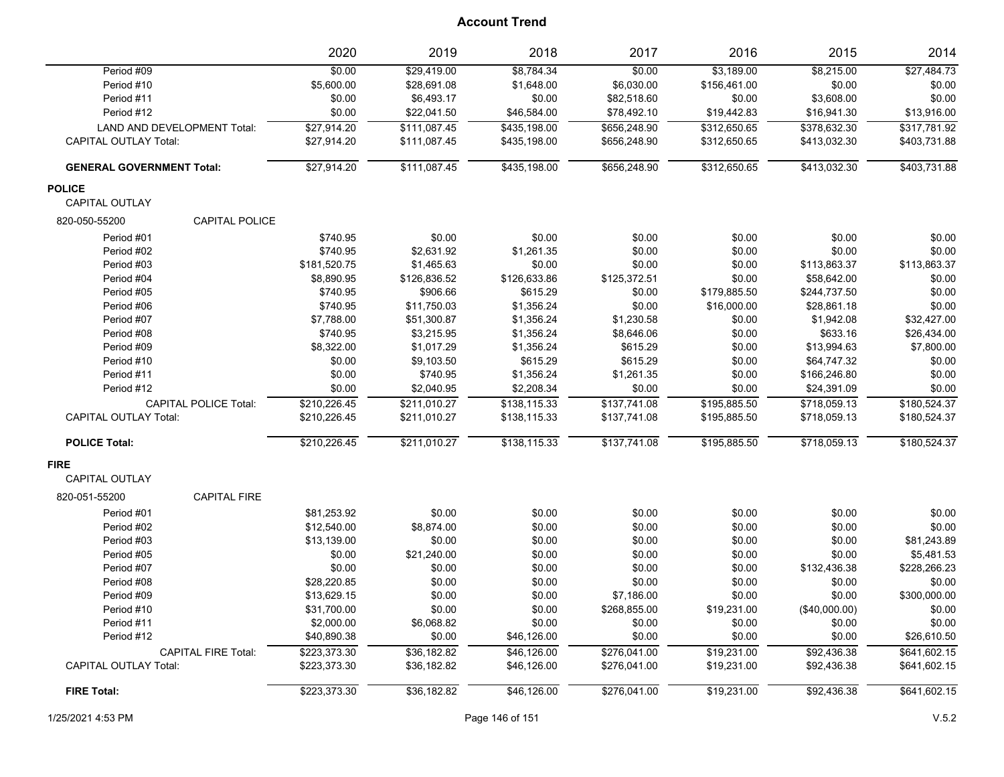| \$29,419.00<br>\$8,784.34<br>\$0.00<br>\$3,189.00<br>\$8,215.00<br>Period #09<br>\$0.00<br>\$5,600.00<br>\$28,691.08<br>\$1,648.00<br>\$6,030.00<br>\$156,461.00<br>\$0.00<br>Period #10<br>\$0.00<br>\$6,493.17<br>\$82,518.60<br>Period #11<br>\$0.00<br>\$0.00<br>\$3,608.00<br>\$0.00<br>Period #12<br>\$22,041.50<br>\$46,584.00<br>\$78,492.10<br>\$19,442.83<br>\$16,941.30<br>\$27,914.20<br>\$111,087.45<br>\$435,198.00<br>\$656,248.90<br>\$312,650.65<br>\$378,632.30<br><b>LAND AND DEVELOPMENT Total:</b><br><b>CAPITAL OUTLAY Total:</b><br>\$27,914.20<br>\$435,198.00<br>\$656,248.90<br>\$312,650.65<br>\$413,032.30<br>\$111,087.45<br>\$656,248.90<br>\$413,032.30<br>\$27,914.20<br>\$111,087.45<br>\$435,198.00<br>\$312,650.65<br><b>GENERAL GOVERNMENT Total:</b> | \$27,484.73<br>\$0.00<br>\$0.00<br>\$13,916.00<br>\$317,781.92<br>\$403,731.88<br>\$403,731.88<br>\$0.00<br>\$0.00 |
|-------------------------------------------------------------------------------------------------------------------------------------------------------------------------------------------------------------------------------------------------------------------------------------------------------------------------------------------------------------------------------------------------------------------------------------------------------------------------------------------------------------------------------------------------------------------------------------------------------------------------------------------------------------------------------------------------------------------------------------------------------------------------------------------|--------------------------------------------------------------------------------------------------------------------|
|                                                                                                                                                                                                                                                                                                                                                                                                                                                                                                                                                                                                                                                                                                                                                                                           |                                                                                                                    |
|                                                                                                                                                                                                                                                                                                                                                                                                                                                                                                                                                                                                                                                                                                                                                                                           |                                                                                                                    |
|                                                                                                                                                                                                                                                                                                                                                                                                                                                                                                                                                                                                                                                                                                                                                                                           |                                                                                                                    |
|                                                                                                                                                                                                                                                                                                                                                                                                                                                                                                                                                                                                                                                                                                                                                                                           |                                                                                                                    |
|                                                                                                                                                                                                                                                                                                                                                                                                                                                                                                                                                                                                                                                                                                                                                                                           |                                                                                                                    |
|                                                                                                                                                                                                                                                                                                                                                                                                                                                                                                                                                                                                                                                                                                                                                                                           |                                                                                                                    |
|                                                                                                                                                                                                                                                                                                                                                                                                                                                                                                                                                                                                                                                                                                                                                                                           |                                                                                                                    |
| <b>POLICE</b>                                                                                                                                                                                                                                                                                                                                                                                                                                                                                                                                                                                                                                                                                                                                                                             |                                                                                                                    |
| <b>CAPITAL OUTLAY</b>                                                                                                                                                                                                                                                                                                                                                                                                                                                                                                                                                                                                                                                                                                                                                                     |                                                                                                                    |
| 820-050-55200<br><b>CAPITAL POLICE</b>                                                                                                                                                                                                                                                                                                                                                                                                                                                                                                                                                                                                                                                                                                                                                    |                                                                                                                    |
| \$740.95<br>\$0.00<br>\$0.00<br>\$0.00<br>\$0.00<br>\$0.00<br>Period #01                                                                                                                                                                                                                                                                                                                                                                                                                                                                                                                                                                                                                                                                                                                  |                                                                                                                    |
| \$740.95<br>\$2,631.92<br>\$1,261.35<br>\$0.00<br>\$0.00<br>\$0.00<br>Period #02                                                                                                                                                                                                                                                                                                                                                                                                                                                                                                                                                                                                                                                                                                          |                                                                                                                    |
| \$181,520.75<br>\$1,465.63<br>\$0.00<br>\$0.00<br>\$0.00<br>\$113,863.37<br>Period #03                                                                                                                                                                                                                                                                                                                                                                                                                                                                                                                                                                                                                                                                                                    | \$113,863.37                                                                                                       |
| \$8,890.95<br>\$126,836.52<br>\$126,633.86<br>\$58,642.00<br>Period #04<br>\$125,372.51<br>\$0.00                                                                                                                                                                                                                                                                                                                                                                                                                                                                                                                                                                                                                                                                                         | \$0.00                                                                                                             |
| \$740.95<br>\$615.29<br>\$179,885.50<br>Period #05<br>\$906.66<br>\$0.00<br>\$244,737.50                                                                                                                                                                                                                                                                                                                                                                                                                                                                                                                                                                                                                                                                                                  | \$0.00                                                                                                             |
| \$740.95<br>\$11,750.03<br>\$1,356.24<br>\$0.00<br>\$16,000.00<br>\$28,861.18<br>Period #06                                                                                                                                                                                                                                                                                                                                                                                                                                                                                                                                                                                                                                                                                               | \$0.00                                                                                                             |
| \$7,788.00<br>\$1,356.24<br>Period #07<br>\$51,300.87<br>\$1,230.58<br>\$0.00<br>\$1,942.08                                                                                                                                                                                                                                                                                                                                                                                                                                                                                                                                                                                                                                                                                               | \$32,427.00                                                                                                        |
| \$740.95<br>\$3,215.95<br>\$1,356.24<br>\$8,646.06<br>\$0.00<br>Period #08<br>\$633.16                                                                                                                                                                                                                                                                                                                                                                                                                                                                                                                                                                                                                                                                                                    | \$26,434.00                                                                                                        |
| Period #09<br>\$8,322.00<br>\$1,017.29<br>\$1,356.24<br>\$615.29<br>\$0.00<br>\$13,994.63                                                                                                                                                                                                                                                                                                                                                                                                                                                                                                                                                                                                                                                                                                 | \$7,800.00                                                                                                         |
| \$615.29<br>Period #10<br>\$0.00<br>\$9,103.50<br>\$615.29<br>\$0.00<br>\$64,747.32                                                                                                                                                                                                                                                                                                                                                                                                                                                                                                                                                                                                                                                                                                       | \$0.00                                                                                                             |
| \$0.00<br>\$740.95<br>\$1,356.24<br>\$1,261.35<br>\$0.00<br>Period #11<br>\$166,246.80                                                                                                                                                                                                                                                                                                                                                                                                                                                                                                                                                                                                                                                                                                    | \$0.00                                                                                                             |
| \$2,040.95<br>\$2,208.34<br>\$0.00<br>\$0.00<br>Period #12<br>\$0.00<br>\$24,391.09                                                                                                                                                                                                                                                                                                                                                                                                                                                                                                                                                                                                                                                                                                       | \$0.00                                                                                                             |
| <b>CAPITAL POLICE Total:</b><br>\$210,226.45<br>\$211,010.27<br>\$138,115.33<br>\$137,741.08<br>\$195,885.50<br>\$718,059.13                                                                                                                                                                                                                                                                                                                                                                                                                                                                                                                                                                                                                                                              | \$180,524.37                                                                                                       |
| <b>CAPITAL OUTLAY Total:</b><br>\$210,226.45<br>\$211,010.27<br>\$138,115.33<br>\$137,741.08<br>\$195,885.50<br>\$718,059.13                                                                                                                                                                                                                                                                                                                                                                                                                                                                                                                                                                                                                                                              | \$180,524.37                                                                                                       |
| \$210,226.45<br>\$211,010.27<br>\$138,115.33<br>\$137,741.08<br>\$195,885.50<br>\$718,059.13<br><b>POLICE Total:</b>                                                                                                                                                                                                                                                                                                                                                                                                                                                                                                                                                                                                                                                                      | \$180,524.37                                                                                                       |
| <b>FIRE</b>                                                                                                                                                                                                                                                                                                                                                                                                                                                                                                                                                                                                                                                                                                                                                                               |                                                                                                                    |
| <b>CAPITAL OUTLAY</b>                                                                                                                                                                                                                                                                                                                                                                                                                                                                                                                                                                                                                                                                                                                                                                     |                                                                                                                    |
| 820-051-55200<br><b>CAPITAL FIRE</b>                                                                                                                                                                                                                                                                                                                                                                                                                                                                                                                                                                                                                                                                                                                                                      |                                                                                                                    |
| Period #01<br>\$81,253.92<br>\$0.00<br>\$0.00<br>\$0.00<br>\$0.00<br>\$0.00                                                                                                                                                                                                                                                                                                                                                                                                                                                                                                                                                                                                                                                                                                               | \$0.00                                                                                                             |
| \$12,540.00<br>\$8,874.00<br>\$0.00<br>\$0.00<br>\$0.00<br>\$0.00<br>Period #02                                                                                                                                                                                                                                                                                                                                                                                                                                                                                                                                                                                                                                                                                                           | \$0.00                                                                                                             |
| Period #03<br>\$13,139.00<br>\$0.00<br>\$0.00<br>\$0.00<br>\$0.00<br>\$0.00                                                                                                                                                                                                                                                                                                                                                                                                                                                                                                                                                                                                                                                                                                               | \$81,243.89                                                                                                        |
| \$21,240.00<br>Period #05<br>\$0.00<br>\$0.00<br>\$0.00<br>\$0.00<br>\$0.00                                                                                                                                                                                                                                                                                                                                                                                                                                                                                                                                                                                                                                                                                                               | \$5,481.53                                                                                                         |
| \$0.00<br>\$132,436.38<br>Period #07<br>\$0.00<br>\$0.00<br>\$0.00<br>\$0.00                                                                                                                                                                                                                                                                                                                                                                                                                                                                                                                                                                                                                                                                                                              | \$228,266.23                                                                                                       |
| \$28,220.85<br>\$0.00<br>\$0.00<br>\$0.00<br>\$0.00<br>\$0.00<br>Period #08                                                                                                                                                                                                                                                                                                                                                                                                                                                                                                                                                                                                                                                                                                               | \$0.00                                                                                                             |
| \$13,629.15<br>\$0.00<br>\$0.00<br>Period #09<br>\$0.00<br>\$7,186.00<br>\$0.00                                                                                                                                                                                                                                                                                                                                                                                                                                                                                                                                                                                                                                                                                                           | \$300,000.00                                                                                                       |
| \$0.00<br>\$0.00<br>\$268,855.00<br>Period #10<br>\$31,700.00<br>\$19,231.00<br>(\$40,000.00)                                                                                                                                                                                                                                                                                                                                                                                                                                                                                                                                                                                                                                                                                             | \$0.00                                                                                                             |
| \$6,068.82<br>Period #11<br>\$2,000.00<br>\$0.00<br>\$0.00<br>\$0.00<br>\$0.00                                                                                                                                                                                                                                                                                                                                                                                                                                                                                                                                                                                                                                                                                                            | \$0.00                                                                                                             |
| \$0.00<br>Period #12<br>\$40,890.38<br>\$0.00<br>\$46,126.00<br>\$0.00<br>\$0.00                                                                                                                                                                                                                                                                                                                                                                                                                                                                                                                                                                                                                                                                                                          | \$26,610.50                                                                                                        |
| <b>CAPITAL FIRE Total:</b><br>\$223,373.30<br>\$36,182.82<br>\$46,126.00<br>\$276,041.00<br>\$19,231.00<br>\$92,436.38                                                                                                                                                                                                                                                                                                                                                                                                                                                                                                                                                                                                                                                                    | \$641.602.15                                                                                                       |
| <b>CAPITAL OUTLAY Total:</b><br>\$223,373.30<br>\$36,182.82<br>\$46,126.00<br>\$276,041.00<br>\$19,231.00<br>\$92,436.38                                                                                                                                                                                                                                                                                                                                                                                                                                                                                                                                                                                                                                                                  | \$641,602.15                                                                                                       |
| \$223,373.30<br>\$36,182.82<br>\$46,126.00<br>\$276,041.00<br>\$19,231.00<br>\$92,436.38<br><b>FIRE Total:</b>                                                                                                                                                                                                                                                                                                                                                                                                                                                                                                                                                                                                                                                                            | \$641,602.15                                                                                                       |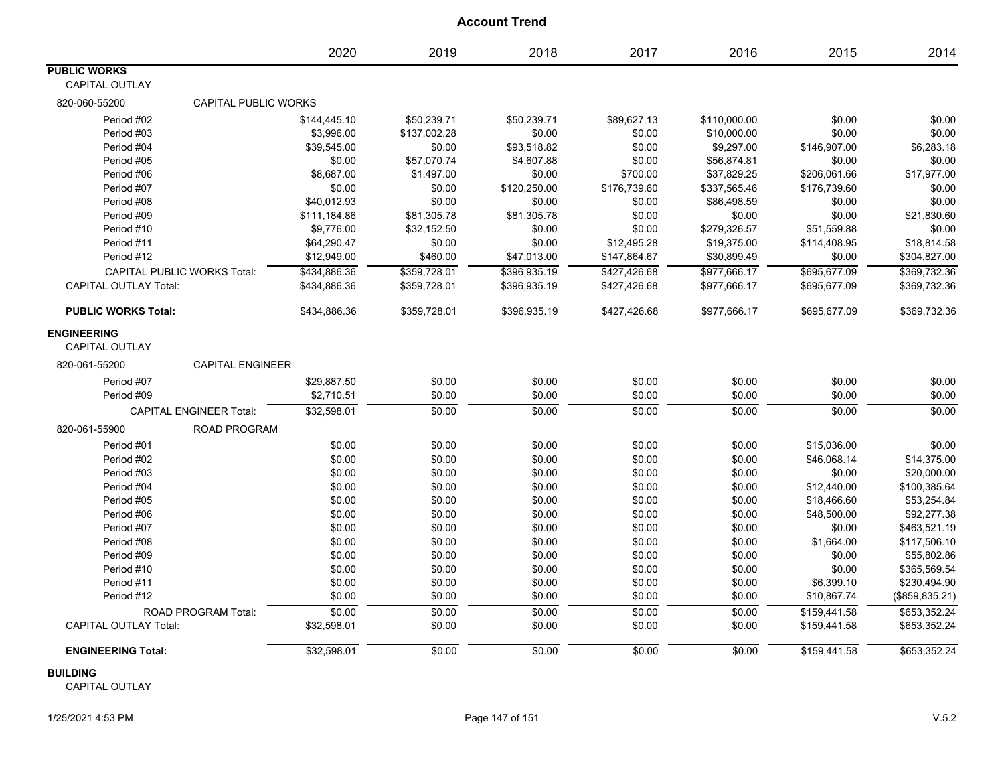| <b>Account Trend</b>                         |                                    |              |              |              |              |              |              |                 |
|----------------------------------------------|------------------------------------|--------------|--------------|--------------|--------------|--------------|--------------|-----------------|
|                                              |                                    | 2020         | 2019         | 2018         | 2017         | 2016         | 2015         | 2014            |
| <b>PUBLIC WORKS</b><br><b>CAPITAL OUTLAY</b> |                                    |              |              |              |              |              |              |                 |
| 820-060-55200                                | <b>CAPITAL PUBLIC WORKS</b>        |              |              |              |              |              |              |                 |
| Period #02                                   |                                    | \$144,445.10 | \$50,239.71  | \$50,239.71  | \$89,627.13  | \$110,000.00 | \$0.00       | \$0.00          |
| Period #03                                   |                                    | \$3,996.00   | \$137,002.28 | \$0.00       | \$0.00       | \$10,000.00  | \$0.00       | \$0.00          |
| Period #04                                   |                                    | \$39,545.00  | \$0.00       | \$93,518.82  | \$0.00       | \$9,297.00   | \$146,907.00 | \$6,283.18      |
| Period #05                                   |                                    | \$0.00       | \$57,070.74  | \$4,607.88   | \$0.00       | \$56,874.81  | \$0.00       | \$0.00          |
| Period #06                                   |                                    | \$8,687.00   | \$1,497.00   | \$0.00       | \$700.00     | \$37,829.25  | \$206,061.66 | \$17,977.00     |
| Period #07                                   |                                    | \$0.00       | \$0.00       | \$120,250.00 | \$176,739.60 | \$337,565.46 | \$176,739.60 | \$0.00          |
| Period #08                                   |                                    | \$40,012.93  | \$0.00       | \$0.00       | \$0.00       | \$86,498.59  | \$0.00       | \$0.00          |
| Period #09                                   |                                    | \$111,184.86 | \$81,305.78  | \$81,305.78  | \$0.00       | \$0.00       | \$0.00       | \$21,830.60     |
| Period #10                                   |                                    | \$9,776.00   | \$32,152.50  | \$0.00       | \$0.00       | \$279,326.57 | \$51,559.88  | \$0.00          |
| Period #11                                   |                                    | \$64,290.47  | \$0.00       | \$0.00       | \$12,495.28  | \$19,375.00  | \$114,408.95 | \$18,814.58     |
| Period #12                                   |                                    | \$12,949.00  | \$460.00     | \$47,013.00  | \$147,864.67 | \$30,899.49  | \$0.00       | \$304,827.00    |
|                                              | <b>CAPITAL PUBLIC WORKS Total:</b> | \$434,886.36 | \$359,728.01 | \$396,935.19 | \$427,426.68 | \$977,666.17 | \$695,677.09 | \$369,732.36    |
| <b>CAPITAL OUTLAY Total:</b>                 |                                    | \$434,886.36 | \$359,728.01 | \$396,935.19 | \$427,426.68 | \$977,666.17 | \$695,677.09 | \$369,732.36    |
| <b>PUBLIC WORKS Total:</b>                   |                                    | \$434,886.36 | \$359,728.01 | \$396,935.19 | \$427,426.68 | \$977,666.17 | \$695,677.09 | \$369,732.36    |
| <b>ENGINEERING</b><br><b>CAPITAL OUTLAY</b>  |                                    |              |              |              |              |              |              |                 |
| 820-061-55200                                | <b>CAPITAL ENGINEER</b>            |              |              |              |              |              |              |                 |
| Period #07                                   |                                    | \$29,887.50  | \$0.00       | \$0.00       | \$0.00       | \$0.00       | \$0.00       | \$0.00          |
| Period #09                                   |                                    | \$2,710.51   | \$0.00       | \$0.00       | \$0.00       | \$0.00       | \$0.00       | \$0.00          |
|                                              | <b>CAPITAL ENGINEER Total:</b>     | \$32.598.01  | \$0.00       | \$0.00       | \$0.00       | \$0.00       | \$0.00       | \$0.00          |
| 820-061-55900                                | <b>ROAD PROGRAM</b>                |              |              |              |              |              |              |                 |
| Period #01                                   |                                    | \$0.00       | \$0.00       | \$0.00       | \$0.00       | \$0.00       | \$15,036.00  | \$0.00          |
| Period #02                                   |                                    | \$0.00       | \$0.00       | \$0.00       | \$0.00       | \$0.00       | \$46,068.14  | \$14,375.00     |
| Period #03                                   |                                    | \$0.00       | \$0.00       | \$0.00       | \$0.00       | \$0.00       | \$0.00       | \$20,000.00     |
| Period #04                                   |                                    | \$0.00       | \$0.00       | \$0.00       | \$0.00       | \$0.00       | \$12,440.00  | \$100,385.64    |
| Period #05                                   |                                    | \$0.00       | \$0.00       | \$0.00       | \$0.00       | \$0.00       | \$18,466.60  | \$53,254.84     |
| Period #06                                   |                                    | \$0.00       | \$0.00       | \$0.00       | \$0.00       | \$0.00       | \$48,500.00  | \$92,277.38     |
| Period #07                                   |                                    | \$0.00       | \$0.00       | \$0.00       | \$0.00       | \$0.00       | \$0.00       | \$463,521.19    |
| Period #08                                   |                                    | \$0.00       | \$0.00       | \$0.00       | \$0.00       | \$0.00       | \$1,664.00   | \$117,506.10    |
| Period #09                                   |                                    | \$0.00       | \$0.00       | \$0.00       | \$0.00       | \$0.00       | \$0.00       | \$55,802.86     |
| Period #10                                   |                                    | \$0.00       | \$0.00       | \$0.00       | \$0.00       | \$0.00       | \$0.00       | \$365,569.54    |
| Period #11                                   |                                    | \$0.00       | \$0.00       | \$0.00       | \$0.00       | \$0.00       | \$6,399.10   | \$230,494.90    |
| Period #12                                   |                                    | \$0.00       | \$0.00       | \$0.00       | \$0.00       | \$0.00       | \$10,867.74  | (\$859, 835.21) |
|                                              | ROAD PROGRAM Total:                | \$0.00       | \$0.00       | \$0.00       | \$0.00       | \$0.00       | \$159,441.58 | \$653,352.24    |
| <b>CAPITAL OUTLAY Total:</b>                 |                                    | \$32,598.01  | \$0.00       | \$0.00       | \$0.00       | \$0.00       | \$159,441.58 | \$653,352.24    |
| <b>ENGINEERING Total:</b>                    |                                    | \$32,598.01  | \$0.00       | \$0.00       | \$0.00       | \$0.00       | \$159,441.58 | \$653,352.24    |

#### **BUILDING**

CAPITAL OUTLAY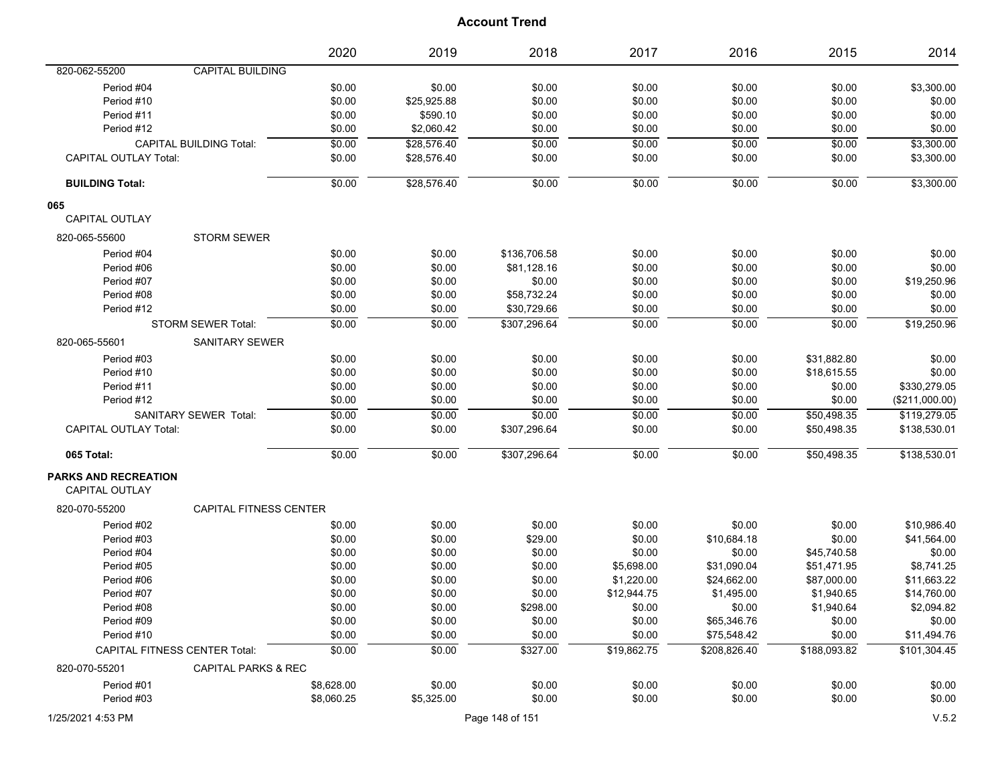|                                                      |                                      | 2020       | 2019        | 2018         | 2017        | 2016         | 2015         | 2014           |
|------------------------------------------------------|--------------------------------------|------------|-------------|--------------|-------------|--------------|--------------|----------------|
| 820-062-55200                                        | <b>CAPITAL BUILDING</b>              |            |             |              |             |              |              |                |
| Period #04                                           |                                      | \$0.00     | \$0.00      | \$0.00       | \$0.00      | \$0.00       | \$0.00       | \$3,300.00     |
| Period #10                                           |                                      | \$0.00     | \$25,925.88 | \$0.00       | \$0.00      | \$0.00       | \$0.00       | \$0.00         |
| Period #11                                           |                                      | \$0.00     | \$590.10    | \$0.00       | \$0.00      | \$0.00       | \$0.00       | \$0.00         |
| Period #12                                           |                                      | \$0.00     | \$2,060.42  | \$0.00       | \$0.00      | \$0.00       | \$0.00       | \$0.00         |
|                                                      | <b>CAPITAL BUILDING Total:</b>       | \$0.00     | \$28,576.40 | \$0.00       | \$0.00      | \$0.00       | \$0.00       | \$3,300.00     |
| <b>CAPITAL OUTLAY Total:</b>                         |                                      | \$0.00     | \$28,576.40 | \$0.00       | \$0.00      | \$0.00       | \$0.00       | \$3,300.00     |
| <b>BUILDING Total:</b>                               |                                      | \$0.00     | \$28,576.40 | \$0.00       | \$0.00      | \$0.00       | \$0.00       | \$3,300.00     |
| 065                                                  |                                      |            |             |              |             |              |              |                |
| <b>CAPITAL OUTLAY</b>                                |                                      |            |             |              |             |              |              |                |
| 820-065-55600                                        | <b>STORM SEWER</b>                   |            |             |              |             |              |              |                |
| Period #04                                           |                                      | \$0.00     | \$0.00      | \$136,706.58 | \$0.00      | \$0.00       | \$0.00       | \$0.00         |
| Period #06                                           |                                      | \$0.00     | \$0.00      | \$81,128.16  | \$0.00      | \$0.00       | \$0.00       | \$0.00         |
| Period #07                                           |                                      | \$0.00     | \$0.00      | \$0.00       | \$0.00      | \$0.00       | \$0.00       | \$19,250.96    |
| Period #08                                           |                                      | \$0.00     | \$0.00      | \$58,732.24  | \$0.00      | \$0.00       | \$0.00       | \$0.00         |
| Period #12                                           |                                      | \$0.00     | \$0.00      | \$30,729.66  | \$0.00      | \$0.00       | \$0.00       | \$0.00         |
|                                                      | <b>STORM SEWER Total:</b>            | \$0.00     | \$0.00      | \$307,296.64 | \$0.00      | \$0.00       | \$0.00       | \$19,250.96    |
| 820-065-55601                                        | <b>SANITARY SEWER</b>                |            |             |              |             |              |              |                |
| Period #03                                           |                                      | \$0.00     | \$0.00      | \$0.00       | \$0.00      | \$0.00       | \$31,882.80  | \$0.00         |
| Period #10                                           |                                      | \$0.00     | \$0.00      | \$0.00       | \$0.00      | \$0.00       | \$18,615.55  | \$0.00         |
| Period #11                                           |                                      | \$0.00     | \$0.00      | \$0.00       | \$0.00      | \$0.00       | \$0.00       | \$330,279.05   |
| Period #12                                           |                                      | \$0.00     | \$0.00      | \$0.00       | \$0.00      | \$0.00       | \$0.00       | (\$211,000.00) |
|                                                      | SANITARY SEWER Total:                | \$0.00     | \$0.00      | \$0.00       | \$0.00      | \$0.00       | \$50,498.35  | \$119,279.05   |
| <b>CAPITAL OUTLAY Total:</b>                         |                                      | \$0.00     | \$0.00      | \$307,296.64 | \$0.00      | \$0.00       | \$50,498.35  | \$138,530.01   |
| 065 Total:                                           |                                      | \$0.00     | \$0.00      | \$307,296.64 | \$0.00      | \$0.00       | \$50,498.35  | \$138,530.01   |
| <b>PARKS AND RECREATION</b><br><b>CAPITAL OUTLAY</b> |                                      |            |             |              |             |              |              |                |
| 820-070-55200                                        | <b>CAPITAL FITNESS CENTER</b>        |            |             |              |             |              |              |                |
| Period #02                                           |                                      | \$0.00     | \$0.00      | \$0.00       | \$0.00      | \$0.00       | \$0.00       | \$10,986.40    |
| Period #03                                           |                                      | \$0.00     | \$0.00      | \$29.00      | \$0.00      | \$10,684.18  | \$0.00       | \$41,564.00    |
| Period #04                                           |                                      | \$0.00     | \$0.00      | \$0.00       | \$0.00      | \$0.00       | \$45,740.58  | \$0.00         |
| Period #05                                           |                                      | \$0.00     | \$0.00      | \$0.00       | \$5,698.00  | \$31,090.04  | \$51,471.95  | \$8,741.25     |
| Period #06                                           |                                      | \$0.00     | \$0.00      | \$0.00       | \$1,220.00  | \$24,662.00  | \$87,000.00  | \$11,663.22    |
| Period #07                                           |                                      | \$0.00     | \$0.00      | \$0.00       | \$12,944.75 | \$1,495.00   | \$1,940.65   | \$14,760.00    |
| Period #08                                           |                                      | \$0.00     | \$0.00      | \$298.00     | \$0.00      | \$0.00       | \$1,940.64   | \$2,094.82     |
| Period #09                                           |                                      | \$0.00     | \$0.00      | \$0.00       | \$0.00      | \$65,346.76  | \$0.00       | \$0.00         |
| Period #10                                           |                                      | \$0.00     | \$0.00      | \$0.00       | \$0.00      | \$75,548.42  | \$0.00       | \$11,494.76    |
|                                                      | <b>CAPITAL FITNESS CENTER Total:</b> | \$0.00     | \$0.00      | \$327.00     | \$19,862.75 | \$208,826.40 | \$188,093.82 | \$101,304.45   |
| 820-070-55201                                        | <b>CAPITAL PARKS &amp; REC</b>       |            |             |              |             |              |              |                |
| Period #01                                           |                                      | \$8,628.00 | \$0.00      | \$0.00       | \$0.00      | \$0.00       | \$0.00       | \$0.00         |
| Period #03                                           |                                      | \$8,060.25 | \$5,325.00  | \$0.00       | \$0.00      | \$0.00       | \$0.00       | \$0.00         |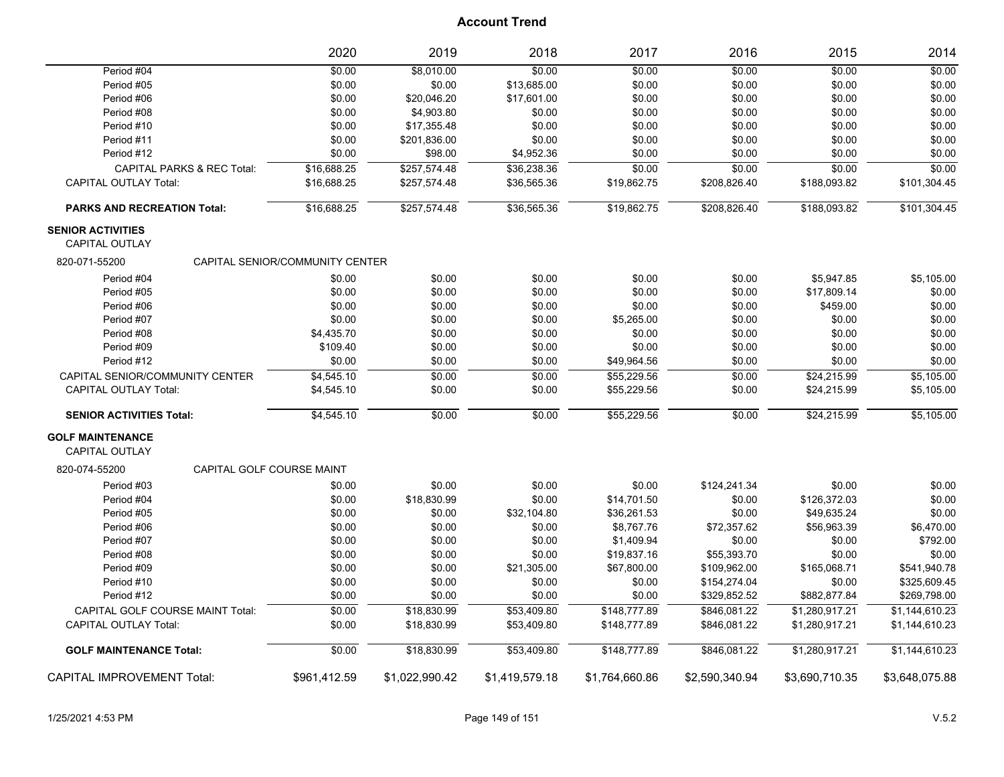|                                                   | 2020                            | 2019           | 2018           | 2017           | 2016           | 2015           | 2014           |
|---------------------------------------------------|---------------------------------|----------------|----------------|----------------|----------------|----------------|----------------|
| Period #04                                        | \$0.00                          | \$8,010.00     | \$0.00         | \$0.00         | \$0.00         | \$0.00         | \$0.00         |
| Period #05                                        | \$0.00                          | \$0.00         | \$13,685.00    | \$0.00         | \$0.00         | \$0.00         | \$0.00         |
| Period #06                                        | \$0.00                          | \$20,046.20    | \$17,601.00    | \$0.00         | \$0.00         | \$0.00         | \$0.00         |
| Period #08                                        | \$0.00                          | \$4,903.80     | \$0.00         | \$0.00         | \$0.00         | \$0.00         | \$0.00         |
| Period #10                                        | \$0.00                          | \$17,355.48    | \$0.00         | \$0.00         | \$0.00         | \$0.00         | \$0.00         |
| Period #11                                        | \$0.00                          | \$201,836.00   | \$0.00         | \$0.00         | \$0.00         | \$0.00         | \$0.00         |
| Period #12                                        | \$0.00                          | \$98.00        | \$4,952.36     | \$0.00         | \$0.00         | \$0.00         | \$0.00         |
| CAPITAL PARKS & REC Total:                        | \$16,688.25                     | \$257,574.48   | \$36,238.36    | \$0.00         | \$0.00         | \$0.00         | \$0.00         |
| <b>CAPITAL OUTLAY Total:</b>                      | \$16,688.25                     | \$257,574.48   | \$36,565.36    | \$19,862.75    | \$208,826.40   | \$188,093.82   | \$101,304.45   |
| <b>PARKS AND RECREATION Total:</b>                | \$16,688.25                     | \$257,574.48   | \$36,565.36    | \$19,862.75    | \$208,826.40   | \$188,093.82   | \$101,304.45   |
| <b>SENIOR ACTIVITIES</b><br><b>CAPITAL OUTLAY</b> |                                 |                |                |                |                |                |                |
| 820-071-55200                                     | CAPITAL SENIOR/COMMUNITY CENTER |                |                |                |                |                |                |
| Period #04                                        | \$0.00                          | \$0.00         | \$0.00         | \$0.00         | \$0.00         | \$5,947.85     | \$5,105.00     |
| Period #05                                        | \$0.00                          | \$0.00         | \$0.00         | \$0.00         | \$0.00         | \$17,809.14    | \$0.00         |
| Period #06                                        | \$0.00                          | \$0.00         | \$0.00         | \$0.00         | \$0.00         | \$459.00       | \$0.00         |
| Period #07                                        | \$0.00                          | \$0.00         | \$0.00         | \$5,265.00     | \$0.00         | \$0.00         | \$0.00         |
| Period #08                                        | \$4,435.70                      | \$0.00         | \$0.00         | \$0.00         | \$0.00         | \$0.00         | \$0.00         |
| Period #09                                        | \$109.40                        | \$0.00         | \$0.00         | \$0.00         | \$0.00         | \$0.00         | \$0.00         |
| Period #12                                        | \$0.00                          | \$0.00         | \$0.00         | \$49,964.56    | \$0.00         | \$0.00         | \$0.00         |
| CAPITAL SENIOR/COMMUNITY CENTER                   | \$4,545.10                      | \$0.00         | \$0.00         | \$55,229.56    | \$0.00         | \$24,215.99    | \$5,105.00     |
| <b>CAPITAL OUTLAY Total:</b>                      | \$4,545.10                      | \$0.00         | \$0.00         | \$55,229.56    | \$0.00         | \$24,215.99    | \$5,105.00     |
| <b>SENIOR ACTIVITIES Total:</b>                   | \$4,545.10                      | \$0.00         | \$0.00         | \$55,229.56    | \$0.00         | \$24,215.99    | \$5,105.00     |
| <b>GOLF MAINTENANCE</b><br>CAPITAL OUTLAY         |                                 |                |                |                |                |                |                |
| 820-074-55200<br>CAPITAL GOLF COURSE MAINT        |                                 |                |                |                |                |                |                |
| Period #03                                        | \$0.00                          | \$0.00         | \$0.00         | \$0.00         | \$124,241.34   | \$0.00         | \$0.00         |
| Period #04                                        | \$0.00                          | \$18,830.99    | \$0.00         | \$14,701.50    | \$0.00         | \$126,372.03   | \$0.00         |
| Period #05                                        | \$0.00                          | \$0.00         | \$32,104.80    | \$36,261.53    | \$0.00         | \$49,635.24    | \$0.00         |
| Period #06                                        | \$0.00                          | \$0.00         | \$0.00         | \$8,767.76     | \$72,357.62    | \$56,963.39    | \$6,470.00     |
| Period #07                                        | \$0.00                          | \$0.00         | \$0.00         | \$1,409.94     | \$0.00         | \$0.00         | \$792.00       |
| Period #08                                        | \$0.00                          | \$0.00         | \$0.00         | \$19,837.16    | \$55,393.70    | \$0.00         | \$0.00         |
| Period #09                                        | \$0.00                          | \$0.00         | \$21,305.00    | \$67,800.00    | \$109,962.00   | \$165,068.71   | \$541,940.78   |
| Period #10                                        | \$0.00                          | \$0.00         | \$0.00         | \$0.00         | \$154,274.04   | \$0.00         | \$325,609.45   |
| Period #12                                        | \$0.00                          | \$0.00         | \$0.00         | \$0.00         | \$329,852.52   | \$882,877.84   | \$269,798.00   |
| CAPITAL GOLF COURSE MAINT Total:                  | \$0.00                          | \$18,830.99    | \$53,409.80    | \$148,777.89   | \$846,081.22   | \$1,280,917.21 | \$1,144,610.23 |
| <b>CAPITAL OUTLAY Total:</b>                      | \$0.00                          | \$18,830.99    | \$53,409.80    | \$148,777.89   | \$846,081.22   | \$1,280,917.21 | \$1,144,610.23 |
| <b>GOLF MAINTENANCE Total:</b>                    | \$0.00                          | \$18,830.99    | \$53.409.80    | \$148.777.89   | \$846,081.22   | \$1,280,917.21 | \$1,144,610.23 |
| <b>CAPITAL IMPROVEMENT Total:</b>                 | \$961,412.59                    | \$1,022,990.42 | \$1,419,579.18 | \$1,764,660.86 | \$2,590,340.94 | \$3,690,710.35 | \$3,648,075.88 |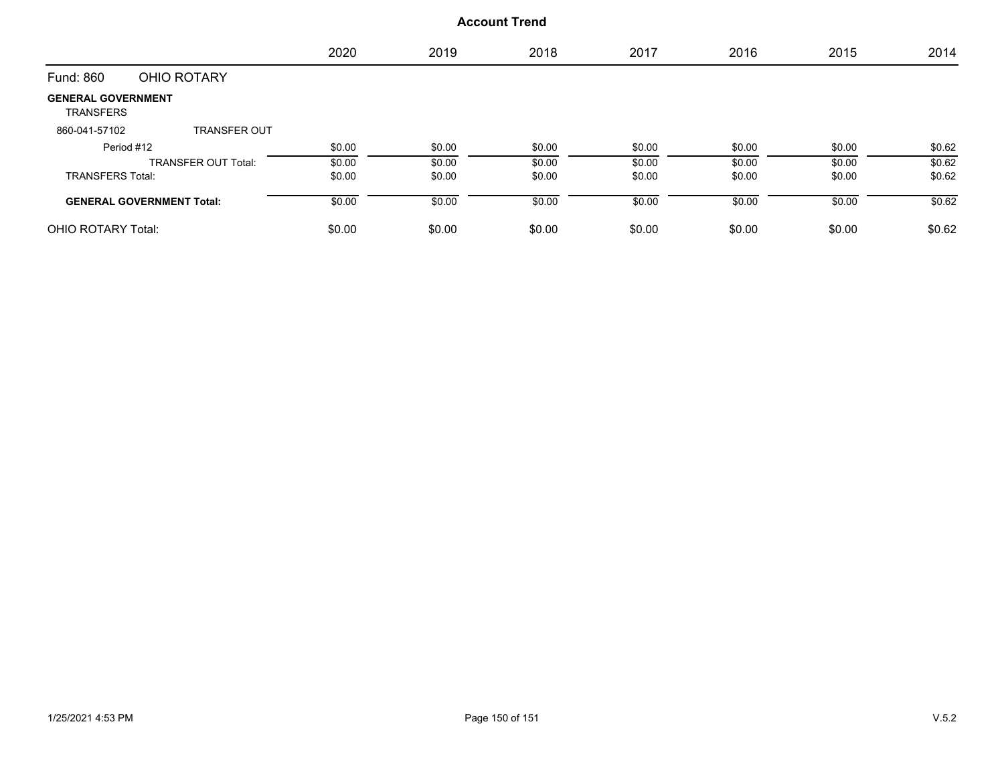|                                               |                                  | 2020   | 2019   | 2018   | 2017   | 2016   | 2015   | 2014   |
|-----------------------------------------------|----------------------------------|--------|--------|--------|--------|--------|--------|--------|
| Fund: 860                                     | OHIO ROTARY                      |        |        |        |        |        |        |        |
| <b>GENERAL GOVERNMENT</b><br><b>TRANSFERS</b> |                                  |        |        |        |        |        |        |        |
| 860-041-57102                                 | <b>TRANSFER OUT</b>              |        |        |        |        |        |        |        |
| Period #12                                    |                                  | \$0.00 | \$0.00 | \$0.00 | \$0.00 | \$0.00 | \$0.00 | \$0.62 |
|                                               | <b>TRANSFER OUT Total:</b>       | \$0.00 | \$0.00 | \$0.00 | \$0.00 | \$0.00 | \$0.00 | \$0.62 |
| <b>TRANSFERS Total:</b>                       |                                  | \$0.00 | \$0.00 | \$0.00 | \$0.00 | \$0.00 | \$0.00 | \$0.62 |
|                                               | <b>GENERAL GOVERNMENT Total:</b> | \$0.00 | \$0.00 | \$0.00 | \$0.00 | \$0.00 | \$0.00 | \$0.62 |
| OHIO ROTARY Total:                            |                                  | \$0.00 | \$0.00 | \$0.00 | \$0.00 | \$0.00 | \$0.00 | \$0.62 |